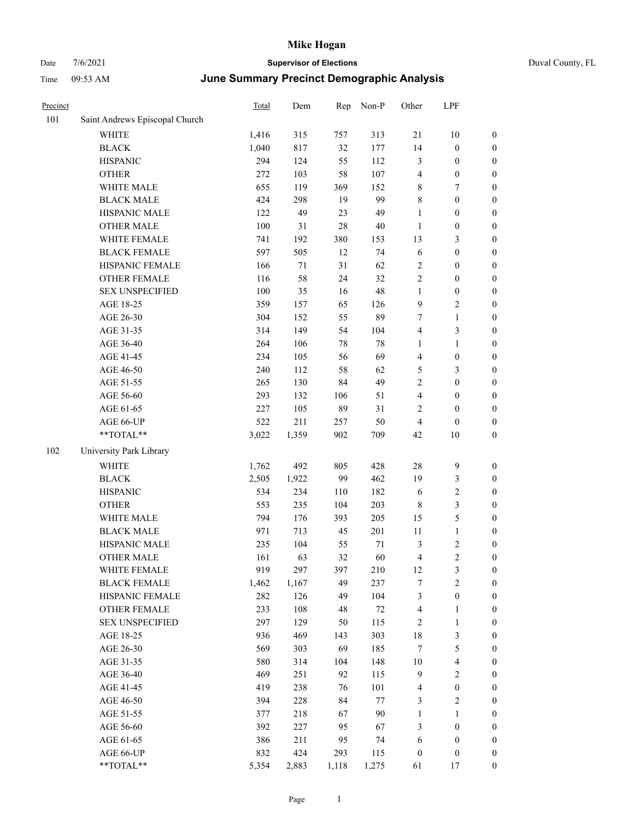| Duval County, FL |  |
|------------------|--|
|                  |  |

| Precinct |                                | <b>Total</b> | Dem   | Rep    | Non-P  | Other            | LPF                     |                  |
|----------|--------------------------------|--------------|-------|--------|--------|------------------|-------------------------|------------------|
| 101      | Saint Andrews Episcopal Church |              |       |        |        |                  |                         |                  |
|          | <b>WHITE</b>                   | 1,416        | 315   | 757    | 313    | 21               | 10                      | $\boldsymbol{0}$ |
|          | <b>BLACK</b>                   | 1,040        | 817   | 32     | 177    | 14               | $\boldsymbol{0}$        | $\boldsymbol{0}$ |
|          | <b>HISPANIC</b>                | 294          | 124   | 55     | 112    | $\mathfrak{Z}$   | $\boldsymbol{0}$        | $\boldsymbol{0}$ |
|          | <b>OTHER</b>                   | 272          | 103   | 58     | 107    | $\overline{4}$   | $\boldsymbol{0}$        | $\boldsymbol{0}$ |
|          | WHITE MALE                     | 655          | 119   | 369    | 152    | $\,$ 8 $\,$      | 7                       | $\boldsymbol{0}$ |
|          | <b>BLACK MALE</b>              | 424          | 298   | 19     | 99     | $\,$ 8 $\,$      | $\boldsymbol{0}$        | $\boldsymbol{0}$ |
|          | HISPANIC MALE                  | 122          | 49    | 23     | 49     | $\mathbf{1}$     | $\boldsymbol{0}$        | $\boldsymbol{0}$ |
|          | <b>OTHER MALE</b>              | 100          | 31    | $28\,$ | 40     | $\mathbf{1}$     | $\boldsymbol{0}$        | $\boldsymbol{0}$ |
|          | WHITE FEMALE                   | 741          | 192   | 380    | 153    | 13               | 3                       | $\boldsymbol{0}$ |
|          | <b>BLACK FEMALE</b>            | 597          | 505   | 12     | 74     | 6                | $\boldsymbol{0}$        | $\boldsymbol{0}$ |
|          | HISPANIC FEMALE                | 166          | 71    | 31     | 62     | $\overline{2}$   | $\boldsymbol{0}$        | $\boldsymbol{0}$ |
|          | <b>OTHER FEMALE</b>            | 116          | 58    | 24     | 32     | $\sqrt{2}$       | $\boldsymbol{0}$        | $\boldsymbol{0}$ |
|          | <b>SEX UNSPECIFIED</b>         | 100          | 35    | 16     | 48     | $\mathbf{1}$     | $\boldsymbol{0}$        | $\boldsymbol{0}$ |
|          | AGE 18-25                      | 359          | 157   | 65     | 126    | 9                | 2                       | $\boldsymbol{0}$ |
|          | AGE 26-30                      | 304          | 152   | 55     | 89     | 7                | 1                       | $\boldsymbol{0}$ |
|          | AGE 31-35                      | 314          | 149   | 54     | 104    | $\overline{4}$   | 3                       | $\boldsymbol{0}$ |
|          | AGE 36-40                      | 264          | 106   | 78     | 78     | $\mathbf{1}$     | 1                       | $\boldsymbol{0}$ |
|          | AGE 41-45                      | 234          | 105   | 56     | 69     | $\overline{4}$   | $\boldsymbol{0}$        | $\boldsymbol{0}$ |
|          | AGE 46-50                      | 240          | 112   | 58     | 62     | 5                | 3                       | $\boldsymbol{0}$ |
|          | AGE 51-55                      | 265          | 130   | 84     | 49     | $\overline{2}$   | $\boldsymbol{0}$        | $\boldsymbol{0}$ |
|          | AGE 56-60                      | 293          | 132   | 106    | 51     | $\overline{4}$   | $\boldsymbol{0}$        | $\boldsymbol{0}$ |
|          | AGE 61-65                      | 227          | 105   | 89     | 31     | $\sqrt{2}$       | $\boldsymbol{0}$        | $\boldsymbol{0}$ |
|          | AGE 66-UP                      | 522          | 211   | 257    | 50     | $\overline{4}$   | $\theta$                | $\boldsymbol{0}$ |
|          | **TOTAL**                      | 3,022        | 1,359 | 902    | 709    | 42               | 10                      | $\boldsymbol{0}$ |
| 102      | University Park Library        |              |       |        |        |                  |                         |                  |
|          | WHITE                          | 1,762        | 492   | 805    | 428    | 28               | 9                       | $\boldsymbol{0}$ |
|          | <b>BLACK</b>                   | 2,505        | 1,922 | 99     | 462    | 19               | 3                       | $\boldsymbol{0}$ |
|          | <b>HISPANIC</b>                | 534          | 234   | 110    | 182    | 6                | $\overline{\mathbf{c}}$ | $\boldsymbol{0}$ |
|          | <b>OTHER</b>                   | 553          | 235   | 104    | 203    | $\,$ 8 $\,$      | 3                       | $\boldsymbol{0}$ |
|          | WHITE MALE                     | 794          | 176   | 393    | 205    | 15               | 5                       | $\boldsymbol{0}$ |
|          | <b>BLACK MALE</b>              | 971          | 713   | 45     | 201    | $11\,$           | 1                       | $\boldsymbol{0}$ |
|          | HISPANIC MALE                  | 235          | 104   | 55     | 71     | 3                | $\overline{\mathbf{c}}$ | $\boldsymbol{0}$ |
|          | <b>OTHER MALE</b>              | 161          | 63    | 32     | 60     | $\overline{4}$   | $\overline{\mathbf{c}}$ | $\boldsymbol{0}$ |
|          | WHITE FEMALE                   | 919          | 297   | 397    | 210    | 12               | 3                       | $\boldsymbol{0}$ |
|          | <b>BLACK FEMALE</b>            | 1,462        | 1,167 | 49     | 237    | $\boldsymbol{7}$ | $\overline{c}$          | $\boldsymbol{0}$ |
|          | HISPANIC FEMALE                | 282          | 126   | 49     | 104    | $\mathfrak{Z}$   | $\boldsymbol{0}$        | $\boldsymbol{0}$ |
|          | <b>OTHER FEMALE</b>            | 233          | 108   | 48     | $72\,$ | $\overline{4}$   | 1                       | $\boldsymbol{0}$ |
|          | <b>SEX UNSPECIFIED</b>         | 297          | 129   | 50     | 115    | $\sqrt{2}$       | $\mathbf{1}$            | $\boldsymbol{0}$ |
|          | AGE 18-25                      | 936          | 469   | 143    | 303    | 18               | 3                       | $\boldsymbol{0}$ |
|          | AGE 26-30                      | 569          | 303   | 69     | 185    | $\boldsymbol{7}$ | 5                       | $\boldsymbol{0}$ |
|          | AGE 31-35                      | 580          | 314   | 104    | 148    | 10               | 4                       | $\boldsymbol{0}$ |
|          | AGE 36-40                      | 469          | 251   | 92     | 115    | $\overline{9}$   | $\mathbf{2}$            | $\boldsymbol{0}$ |
|          | AGE 41-45                      | 419          | 238   | 76     | 101    | $\overline{4}$   | $\boldsymbol{0}$        | $\boldsymbol{0}$ |
|          | AGE 46-50                      | 394          | 228   | 84     | $77\,$ | 3                | 2                       | $\boldsymbol{0}$ |
|          | AGE 51-55                      | 377          | 218   | 67     | $90\,$ | $\mathbf{1}$     | 1                       | $\boldsymbol{0}$ |
|          | AGE 56-60                      | 392          | 227   | 95     | 67     | 3                | $\boldsymbol{0}$        | $\boldsymbol{0}$ |
|          | AGE 61-65                      | 386          | 211   | 95     | 74     | 6                | $\boldsymbol{0}$        | $\boldsymbol{0}$ |
|          | AGE 66-UP                      | 832          | 424   | 293    | 115    | $\boldsymbol{0}$ | $\boldsymbol{0}$        | $\boldsymbol{0}$ |
|          | **TOTAL**                      | 5,354        | 2,883 | 1,118  | 1,275  | 61               | 17                      | $\boldsymbol{0}$ |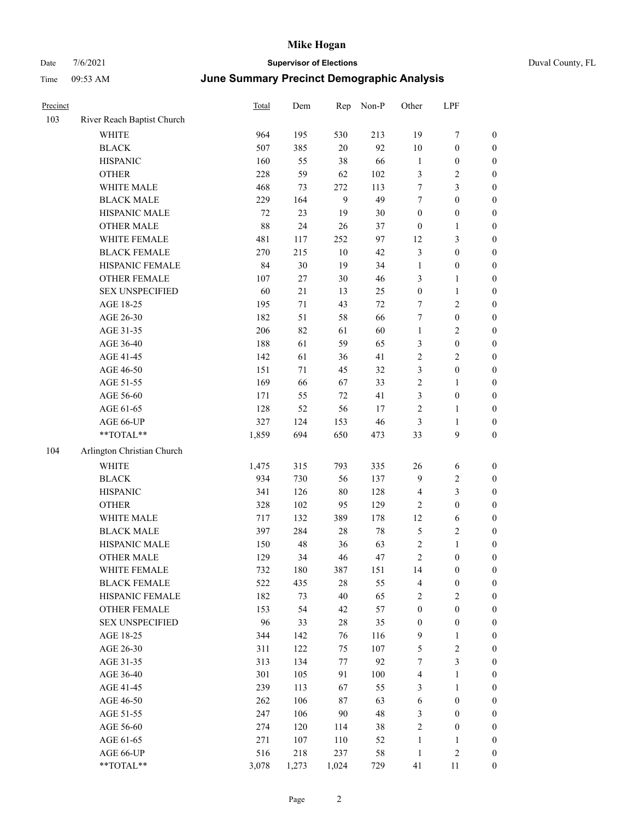| Precinct |                            | Total | Dem    | Rep    | Non-P  | Other            | LPF                     |                  |
|----------|----------------------------|-------|--------|--------|--------|------------------|-------------------------|------------------|
| 103      | River Reach Baptist Church |       |        |        |        |                  |                         |                  |
|          | <b>WHITE</b>               | 964   | 195    | 530    | 213    | 19               | 7                       | $\boldsymbol{0}$ |
|          | <b>BLACK</b>               | 507   | 385    | $20\,$ | 92     | 10               | $\boldsymbol{0}$        | $\bf{0}$         |
|          | <b>HISPANIC</b>            | 160   | 55     | 38     | 66     | $\mathbf{1}$     | $\boldsymbol{0}$        | $\boldsymbol{0}$ |
|          | <b>OTHER</b>               | 228   | 59     | 62     | 102    | 3                | $\overline{\mathbf{c}}$ | $\boldsymbol{0}$ |
|          | WHITE MALE                 | 468   | 73     | 272    | 113    | $\tau$           | 3                       | $\boldsymbol{0}$ |
|          | <b>BLACK MALE</b>          | 229   | 164    | 9      | 49     | $\tau$           | $\boldsymbol{0}$        | $\boldsymbol{0}$ |
|          | HISPANIC MALE              | 72    | 23     | 19     | 30     | $\boldsymbol{0}$ | $\boldsymbol{0}$        | $\boldsymbol{0}$ |
|          | <b>OTHER MALE</b>          | 88    | 24     | 26     | 37     | $\boldsymbol{0}$ | 1                       | $\boldsymbol{0}$ |
|          | WHITE FEMALE               | 481   | 117    | 252    | 97     | 12               | 3                       | $\boldsymbol{0}$ |
|          | <b>BLACK FEMALE</b>        | 270   | 215    | $10\,$ | 42     | $\mathfrak{Z}$   | $\boldsymbol{0}$        | $\boldsymbol{0}$ |
|          | HISPANIC FEMALE            | 84    | 30     | 19     | 34     | $\mathbf{1}$     | $\boldsymbol{0}$        | $\boldsymbol{0}$ |
|          | <b>OTHER FEMALE</b>        | 107   | 27     | $30\,$ | 46     | 3                | 1                       | $\boldsymbol{0}$ |
|          | <b>SEX UNSPECIFIED</b>     | 60    | 21     | 13     | 25     | $\boldsymbol{0}$ | 1                       | $\boldsymbol{0}$ |
|          | AGE 18-25                  | 195   | $71\,$ | 43     | 72     | $\tau$           | 2                       | $\boldsymbol{0}$ |
|          | AGE 26-30                  | 182   | 51     | 58     | 66     | $\tau$           | $\boldsymbol{0}$        | $\boldsymbol{0}$ |
|          | AGE 31-35                  | 206   | 82     | 61     | 60     | $\mathbf{1}$     | 2                       | $\boldsymbol{0}$ |
|          | AGE 36-40                  | 188   | 61     | 59     | 65     | 3                | $\boldsymbol{0}$        | $\boldsymbol{0}$ |
|          | AGE 41-45                  | 142   | 61     | 36     | 41     | $\sqrt{2}$       | 2                       | $\boldsymbol{0}$ |
|          | AGE 46-50                  | 151   | 71     | 45     | 32     | 3                | $\boldsymbol{0}$        | $\boldsymbol{0}$ |
|          | AGE 51-55                  | 169   | 66     | 67     | 33     | $\sqrt{2}$       | 1                       | $\boldsymbol{0}$ |
|          | AGE 56-60                  | 171   | 55     | $72\,$ | 41     | $\mathfrak{Z}$   | $\boldsymbol{0}$        | $\boldsymbol{0}$ |
|          | AGE 61-65                  | 128   | 52     | 56     | 17     | $\overline{2}$   | 1                       | $\boldsymbol{0}$ |
|          | AGE 66-UP                  | 327   | 124    | 153    | 46     | 3                | 1                       | $\boldsymbol{0}$ |
|          | **TOTAL**                  | 1,859 | 694    | 650    | 473    | 33               | 9                       | $\boldsymbol{0}$ |
| 104      | Arlington Christian Church |       |        |        |        |                  |                         |                  |
|          | <b>WHITE</b>               | 1,475 | 315    | 793    | 335    | 26               | 6                       | $\boldsymbol{0}$ |
|          | <b>BLACK</b>               | 934   | 730    | 56     | 137    | 9                | 2                       | $\boldsymbol{0}$ |
|          | <b>HISPANIC</b>            | 341   | 126    | $80\,$ | 128    | $\overline{4}$   | 3                       | $\boldsymbol{0}$ |
|          | <b>OTHER</b>               | 328   | 102    | 95     | 129    | $\overline{2}$   | $\boldsymbol{0}$        | $\boldsymbol{0}$ |
|          | WHITE MALE                 | 717   | 132    | 389    | 178    | 12               | 6                       | $\boldsymbol{0}$ |
|          | <b>BLACK MALE</b>          | 397   | 284    | $28\,$ | $78\,$ | 5                | 2                       | $\boldsymbol{0}$ |
|          | HISPANIC MALE              | 150   | 48     | 36     | 63     | $\sqrt{2}$       | 1                       | $\boldsymbol{0}$ |
|          | <b>OTHER MALE</b>          | 129   | 34     | 46     | 47     | $\mathfrak{2}$   | $\boldsymbol{0}$        | $\boldsymbol{0}$ |
|          | WHITE FEMALE               | 732   | 180    | 387    | 151    | 14               | $\boldsymbol{0}$        | $\boldsymbol{0}$ |
|          | <b>BLACK FEMALE</b>        | 522   | 435    | $28\,$ | 55     | $\overline{4}$   | $\boldsymbol{0}$        | $\boldsymbol{0}$ |
|          | HISPANIC FEMALE            | 182   | 73     | $40\,$ | 65     | $\sqrt{2}$       | $\overline{\mathbf{c}}$ | $\boldsymbol{0}$ |
|          | <b>OTHER FEMALE</b>        | 153   | 54     | 42     | 57     | $\boldsymbol{0}$ | $\boldsymbol{0}$        | $\boldsymbol{0}$ |
|          | <b>SEX UNSPECIFIED</b>     | 96    | 33     | $28\,$ | 35     | $\boldsymbol{0}$ | $\boldsymbol{0}$        | $\boldsymbol{0}$ |
|          | AGE 18-25                  | 344   | 142    | 76     | 116    | $\overline{9}$   | $\mathbf{1}$            | $\boldsymbol{0}$ |
|          | AGE 26-30                  | 311   | 122    | 75     | 107    | $\mathfrak s$    | 2                       | $\boldsymbol{0}$ |
|          | AGE 31-35                  | 313   | 134    | 77     | 92     | $\tau$           | 3                       | $\boldsymbol{0}$ |
|          | AGE 36-40                  | 301   | 105    | 91     | 100    | $\overline{4}$   | 1                       | $\boldsymbol{0}$ |
|          | AGE 41-45                  | 239   | 113    | 67     | 55     | 3                | $\mathbf{1}$            | $\boldsymbol{0}$ |
|          | AGE 46-50                  | 262   | 106    | 87     | 63     | 6                | $\boldsymbol{0}$        | $\boldsymbol{0}$ |
|          | AGE 51-55                  | 247   | 106    | 90     | 48     | $\mathfrak{Z}$   | $\boldsymbol{0}$        | $\boldsymbol{0}$ |
|          | AGE 56-60                  | 274   | 120    | 114    | 38     | $\sqrt{2}$       | $\boldsymbol{0}$        | $\boldsymbol{0}$ |
|          | AGE 61-65                  | 271   | 107    | 110    | 52     | $\mathbf{1}$     | 1                       | $\mathbf{0}$     |
|          | AGE 66-UP                  | 516   | 218    | 237    | 58     | $\mathbf{1}$     | $\mathbf{2}$            | $\mathbf{0}$     |
|          | **TOTAL**                  | 3,078 | 1,273  | 1,024  | 729    | 41               | 11                      | $\boldsymbol{0}$ |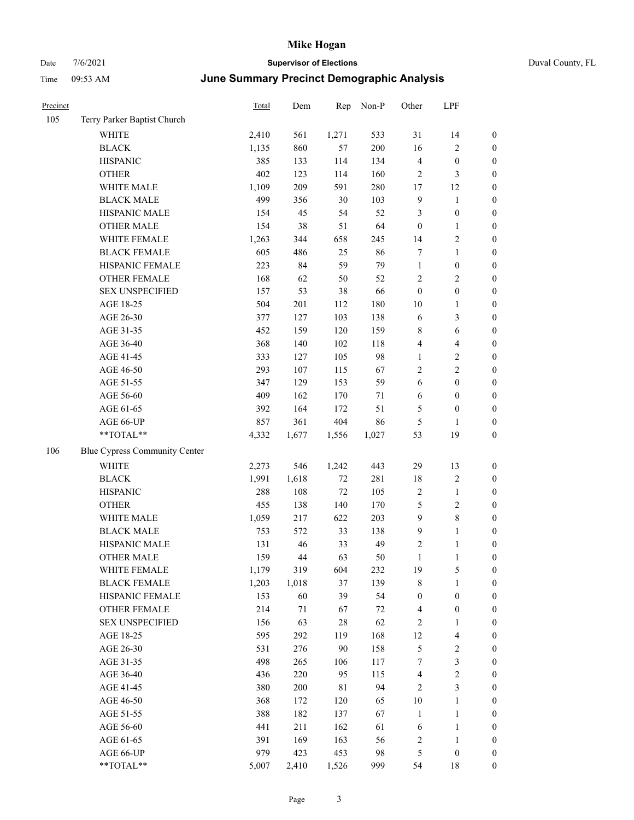| Duval County, FL |  |
|------------------|--|
|------------------|--|

| Precinct |                                                           | Total | Dem   | Rep         | Non-P | Other            | LPF                     |                  |
|----------|-----------------------------------------------------------|-------|-------|-------------|-------|------------------|-------------------------|------------------|
| 105      | Terry Parker Baptist Church                               |       |       |             |       |                  |                         |                  |
|          | WHITE                                                     | 2,410 | 561   | 1,271       | 533   | $31\,$           | 14                      | $\boldsymbol{0}$ |
|          | <b>BLACK</b>                                              | 1,135 | 860   | 57          | 200   | 16               | $\sqrt{2}$              | $\boldsymbol{0}$ |
|          | <b>HISPANIC</b>                                           | 385   | 133   | 114         | 134   | $\overline{4}$   | $\boldsymbol{0}$        | $\boldsymbol{0}$ |
|          | <b>OTHER</b>                                              | 402   | 123   | 114         | 160   | $\overline{c}$   | $\mathfrak{Z}$          | $\boldsymbol{0}$ |
|          | WHITE MALE                                                | 1,109 | 209   | 591         | 280   | 17               | 12                      | $\boldsymbol{0}$ |
|          | <b>BLACK MALE</b>                                         | 499   | 356   | $30\,$      | 103   | $\overline{9}$   | $\mathbf{1}$            | $\boldsymbol{0}$ |
|          | HISPANIC MALE                                             | 154   | 45    | 54          | 52    | 3                | $\boldsymbol{0}$        | $\boldsymbol{0}$ |
|          | <b>OTHER MALE</b>                                         | 154   | 38    | 51          | 64    | $\boldsymbol{0}$ | $\mathbf{1}$            | 0                |
|          | WHITE FEMALE                                              | 1,263 | 344   | 658         | 245   | 14               | $\sqrt{2}$              | 0                |
|          | <b>BLACK FEMALE</b>                                       | 605   | 486   | 25          | 86    | $\tau$           | $\mathbf{1}$            | $\boldsymbol{0}$ |
|          | HISPANIC FEMALE                                           | 223   | 84    | 59          | 79    | $\mathbf{1}$     | $\boldsymbol{0}$        | $\boldsymbol{0}$ |
|          | <b>OTHER FEMALE</b>                                       | 168   | 62    | 50          | 52    | $\overline{c}$   | $\sqrt{2}$              | $\boldsymbol{0}$ |
|          | <b>SEX UNSPECIFIED</b>                                    | 157   | 53    | 38          | 66    | $\boldsymbol{0}$ | $\boldsymbol{0}$        | $\boldsymbol{0}$ |
|          | AGE 18-25                                                 | 504   | 201   | 112         | 180   | 10               | $\mathbf{1}$            | $\boldsymbol{0}$ |
|          | AGE 26-30                                                 | 377   | 127   | 103         | 138   | 6                | $\mathfrak{Z}$          | $\boldsymbol{0}$ |
|          | AGE 31-35                                                 | 452   | 159   | 120         | 159   | 8                | $\sqrt{6}$              | $\boldsymbol{0}$ |
|          | AGE 36-40                                                 | 368   | 140   | 102         | 118   | 4                | $\overline{\mathbf{4}}$ | $\boldsymbol{0}$ |
|          | AGE 41-45                                                 | 333   | 127   | 105         | 98    | $\mathbf{1}$     | $\sqrt{2}$              | 0                |
|          | AGE 46-50                                                 | 293   | 107   | 115         | 67    | $\mathfrak{2}$   | $\sqrt{2}$              | 0                |
|          | AGE 51-55                                                 | 347   | 129   | 153         | 59    | 6                | $\boldsymbol{0}$        | $\boldsymbol{0}$ |
|          | AGE 56-60                                                 | 409   | 162   | 170         | 71    | 6                | $\boldsymbol{0}$        | $\boldsymbol{0}$ |
|          | AGE 61-65                                                 | 392   | 164   | 172         | 51    | 5                | $\boldsymbol{0}$        | $\boldsymbol{0}$ |
|          | AGE 66-UP                                                 | 857   | 361   | 404         | 86    | 5                | $\mathbf{1}$            | $\boldsymbol{0}$ |
|          | **TOTAL**                                                 | 4,332 | 1,677 | 1,556       | 1,027 | 53               | 19                      | $\boldsymbol{0}$ |
| 106      | Blue Cypress Community Center                             |       |       |             |       |                  |                         |                  |
|          | WHITE                                                     | 2,273 | 546   | 1,242       | 443   | 29               | 13                      | $\boldsymbol{0}$ |
|          | <b>BLACK</b>                                              | 1,991 | 1,618 | $72\,$      | 281   | 18               | $\sqrt{2}$              | $\boldsymbol{0}$ |
|          | <b>HISPANIC</b>                                           | 288   | 108   | $72\,$      | 105   | $\sqrt{2}$       | $\mathbf{1}$            | $\boldsymbol{0}$ |
|          | <b>OTHER</b>                                              | 455   | 138   | 140         | 170   | 5                | $\sqrt{2}$              | $\boldsymbol{0}$ |
|          | WHITE MALE                                                | 1,059 | 217   | 622         | 203   | $\overline{9}$   | $\,8\,$                 | 0                |
|          | <b>BLACK MALE</b>                                         | 753   | 572   | 33          | 138   | 9                | $\mathbf{1}$            | 0                |
|          | HISPANIC MALE                                             | 131   | 46    | 33          | 49    | $\sqrt{2}$       | $\mathbf{1}$            | $\boldsymbol{0}$ |
|          | <b>OTHER MALE</b>                                         | 159   | 44    | 63          | 50    | 1                | 1                       | $\theta$         |
|          | WHITE FEMALE                                              | 1,179 | 319   | 604         | 232   | 19               | 5                       | $\boldsymbol{0}$ |
|          | <b>BLACK FEMALE</b>                                       | 1,203 | 1,018 | 37          | 139   | 8                | 1                       | 0                |
|          | HISPANIC FEMALE                                           | 153   | 60    | 39          | 54    | $\boldsymbol{0}$ | $\boldsymbol{0}$        | 0                |
|          | <b>OTHER FEMALE</b>                                       | 214   | 71    | 67          | 72    | 4                | $\boldsymbol{0}$        | 0                |
|          | <b>SEX UNSPECIFIED</b>                                    | 156   | 63    | $28\,$      | 62    | $\sqrt{2}$       | $\mathbf{1}$            | 0                |
|          | AGE 18-25                                                 | 595   | 292   | 119         | 168   | 12               | $\overline{4}$          | 0                |
|          | AGE 26-30                                                 | 531   | 276   | 90          | 158   | 5                | $\sqrt{2}$              | 0                |
|          | AGE 31-35                                                 | 498   | 265   | 106         | 117   | 7                | $\mathfrak{Z}$          | 0                |
|          | AGE 36-40                                                 | 436   | 220   | 95          | 115   | $\overline{4}$   | $\sqrt{2}$              | 0                |
|          | AGE 41-45                                                 | 380   | 200   | $8\sqrt{1}$ | 94    | 2                | $\mathfrak{Z}$          | 0                |
|          | AGE 46-50                                                 | 368   | 172   | 120         | 65    | $10\,$           | $\mathbf{1}$            | 0                |
|          | AGE 51-55                                                 | 388   | 182   | 137         | 67    | $\mathbf{1}$     | $\mathbf{1}$            | 0                |
|          | AGE 56-60                                                 | 441   | 211   | 162         | 61    | 6                | $\mathbf{1}$            | 0                |
|          | AGE 61-65                                                 | 391   | 169   | 163         | 56    | $\sqrt{2}$       | $\mathbf{1}$            | 0                |
|          | AGE 66-UP                                                 | 979   | 423   | 453         | 98    | 5                | $\boldsymbol{0}$        | 0                |
|          | $\mathrm{*}\mathrm{*}\mathrm{TOTAL} \mathrm{*}\mathrm{*}$ | 5,007 | 2,410 | 1,526       | 999   | 54               | $18\,$                  | 0                |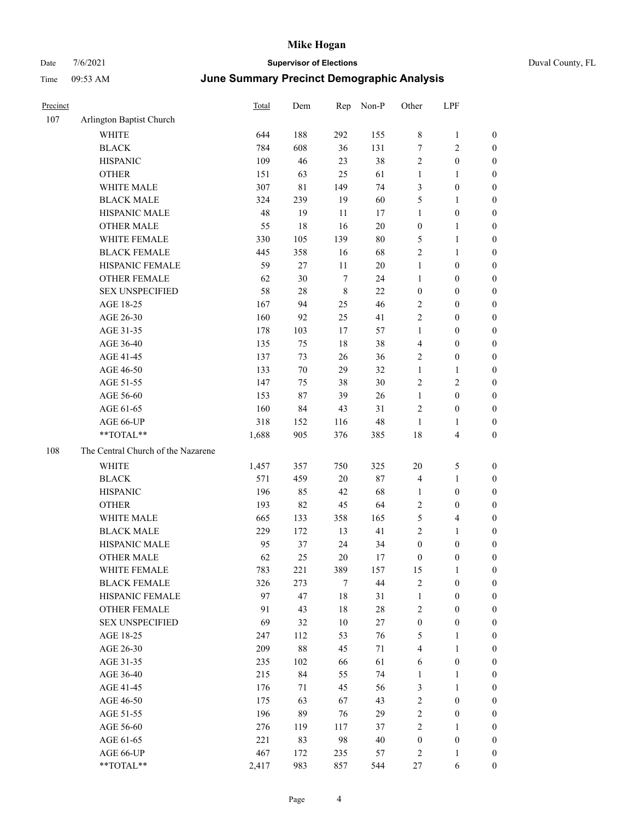| Precinct |                                    | Total | Dem    | Rep     | Non-P  | Other            | LPF                     |                  |
|----------|------------------------------------|-------|--------|---------|--------|------------------|-------------------------|------------------|
| 107      | Arlington Baptist Church           |       |        |         |        |                  |                         |                  |
|          | <b>WHITE</b>                       | 644   | 188    | 292     | 155    | $\,$ 8 $\,$      | $\mathbf{1}$            | $\boldsymbol{0}$ |
|          | <b>BLACK</b>                       | 784   | 608    | 36      | 131    | 7                | $\sqrt{2}$              | $\boldsymbol{0}$ |
|          | <b>HISPANIC</b>                    | 109   | 46     | 23      | 38     | $\mathfrak{2}$   | $\boldsymbol{0}$        | $\boldsymbol{0}$ |
|          | <b>OTHER</b>                       | 151   | 63     | 25      | 61     | $\mathbf{1}$     | $\mathbf{1}$            | $\boldsymbol{0}$ |
|          | WHITE MALE                         | 307   | 81     | 149     | 74     | 3                | $\boldsymbol{0}$        | 0                |
|          | <b>BLACK MALE</b>                  | 324   | 239    | 19      | 60     | 5                | $\mathbf{1}$            | 0                |
|          | HISPANIC MALE                      | 48    | 19     | 11      | 17     | 1                | $\boldsymbol{0}$        | 0                |
|          | <b>OTHER MALE</b>                  | 55    | 18     | 16      | $20\,$ | $\boldsymbol{0}$ | $\mathbf{1}$            | $\boldsymbol{0}$ |
|          | WHITE FEMALE                       | 330   | 105    | 139     | $80\,$ | 5                | $\mathbf{1}$            | $\boldsymbol{0}$ |
|          | <b>BLACK FEMALE</b>                | 445   | 358    | 16      | 68     | $\overline{c}$   | $\mathbf{1}$            | $\boldsymbol{0}$ |
|          | HISPANIC FEMALE                    | 59    | 27     | 11      | $20\,$ | $\mathbf{1}$     | $\boldsymbol{0}$        | $\boldsymbol{0}$ |
|          | OTHER FEMALE                       | 62    | 30     | $\tau$  | 24     | $\mathbf{1}$     | $\boldsymbol{0}$        | $\boldsymbol{0}$ |
|          | <b>SEX UNSPECIFIED</b>             | 58    | 28     | $\,8\,$ | 22     | $\boldsymbol{0}$ | $\boldsymbol{0}$        | $\boldsymbol{0}$ |
|          | AGE 18-25                          | 167   | 94     | 25      | 46     | $\mathfrak{2}$   | $\boldsymbol{0}$        | $\boldsymbol{0}$ |
|          | AGE 26-30                          | 160   | 92     | 25      | 41     | $\sqrt{2}$       | $\boldsymbol{0}$        | $\boldsymbol{0}$ |
|          | AGE 31-35                          | 178   | 103    | 17      | 57     | $\mathbf{1}$     | $\boldsymbol{0}$        | 0                |
|          | AGE 36-40                          | 135   | 75     | $18\,$  | 38     | 4                | $\boldsymbol{0}$        | 0                |
|          | AGE 41-45                          | 137   | 73     | 26      | 36     | $\overline{c}$   | $\boldsymbol{0}$        | $\boldsymbol{0}$ |
|          | AGE 46-50                          | 133   | $70\,$ | 29      | 32     | 1                | $\mathbf{1}$            | $\boldsymbol{0}$ |
|          | AGE 51-55                          | 147   | 75     | 38      | 30     | 2                | $\sqrt{2}$              | $\boldsymbol{0}$ |
|          | AGE 56-60                          | 153   | 87     | 39      | 26     | $\mathbf{1}$     | $\boldsymbol{0}$        | $\boldsymbol{0}$ |
|          | AGE 61-65                          | 160   | 84     | 43      | 31     | $\overline{c}$   | $\boldsymbol{0}$        | $\boldsymbol{0}$ |
|          | AGE 66-UP                          | 318   | 152    | 116     | 48     | $\mathbf{1}$     | $\mathbf{1}$            | $\boldsymbol{0}$ |
|          | **TOTAL**                          | 1,688 | 905    | 376     | 385    | 18               | $\overline{\mathbf{4}}$ | $\boldsymbol{0}$ |
| 108      | The Central Church of the Nazarene |       |        |         |        |                  |                         |                  |
|          | WHITE                              | 1,457 | 357    | 750     | 325    | $20\,$           | $\mathfrak{S}$          | $\boldsymbol{0}$ |
|          | <b>BLACK</b>                       | 571   | 459    | $20\,$  | 87     | $\overline{4}$   | $\mathbf{1}$            | $\boldsymbol{0}$ |
|          | <b>HISPANIC</b>                    | 196   | 85     | 42      | 68     | 1                | $\boldsymbol{0}$        | 0                |
|          | <b>OTHER</b>                       | 193   | 82     | 45      | 64     | $\overline{c}$   | $\boldsymbol{0}$        | 0                |
|          | WHITE MALE                         | 665   | 133    | 358     | 165    | 5                | $\overline{\mathbf{4}}$ | $\boldsymbol{0}$ |
|          | <b>BLACK MALE</b>                  | 229   | 172    | 13      | 41     | $\overline{c}$   | $\mathbf{1}$            | $\boldsymbol{0}$ |
|          | HISPANIC MALE                      | 95    | 37     | 24      | 34     | $\boldsymbol{0}$ | $\boldsymbol{0}$        | $\boldsymbol{0}$ |
|          | <b>OTHER MALE</b>                  | 62    | 25     | $20\,$  | 17     | $\boldsymbol{0}$ | $\boldsymbol{0}$        | $\boldsymbol{0}$ |
|          | WHITE FEMALE                       | 783   | 221    | 389     | 157    | 15               | $\mathbf{1}$            | $\overline{0}$   |
|          | <b>BLACK FEMALE</b>                | 326   | 273    | $\tau$  | 44     | $\sqrt{2}$       | $\boldsymbol{0}$        | $\overline{0}$   |
|          | HISPANIC FEMALE                    | 97    | 47     | $18\,$  | 31     | $\mathbf{1}$     | $\boldsymbol{0}$        | 0                |
|          | <b>OTHER FEMALE</b>                | 91    | 43     | $18\,$  | $28\,$ | $\sqrt{2}$       | $\boldsymbol{0}$        | 0                |
|          | <b>SEX UNSPECIFIED</b>             | 69    | 32     | 10      | 27     | $\boldsymbol{0}$ | $\boldsymbol{0}$        | 0                |
|          | AGE 18-25                          | 247   | 112    | 53      | 76     | 5                | $\mathbf{1}$            | 0                |
|          | AGE 26-30                          | 209   | 88     | 45      | 71     | 4                | $\mathbf{1}$            | $\overline{0}$   |
|          | AGE 31-35                          | 235   | 102    | 66      | 61     | 6                | $\boldsymbol{0}$        | $\overline{0}$   |
|          | AGE 36-40                          | 215   | 84     | 55      | 74     | $\mathbf{1}$     | $\mathbf{1}$            | $\overline{0}$   |
|          | AGE 41-45                          | 176   | 71     | 45      | 56     | 3                | $\mathbf{1}$            | $\overline{0}$   |
|          | AGE 46-50                          | 175   | 63     | 67      | 43     | $\overline{c}$   | $\boldsymbol{0}$        | $\overline{0}$   |
|          | AGE 51-55                          | 196   | 89     | 76      | 29     | $\sqrt{2}$       | $\boldsymbol{0}$        | $\overline{0}$   |
|          | AGE 56-60                          | 276   | 119    | 117     | 37     | $\mathbf{2}$     | $\mathbf{1}$            | $\overline{0}$   |
|          | AGE 61-65                          | 221   | 83     | 98      | 40     | $\boldsymbol{0}$ | $\boldsymbol{0}$        | 0                |
|          | AGE 66-UP                          | 467   | 172    | 235     | 57     | $\overline{c}$   | $\mathbf{1}$            | 0                |
|          | **TOTAL**                          | 2,417 | 983    | 857     | 544    | $27\,$           | $\sqrt{6}$              | $\boldsymbol{0}$ |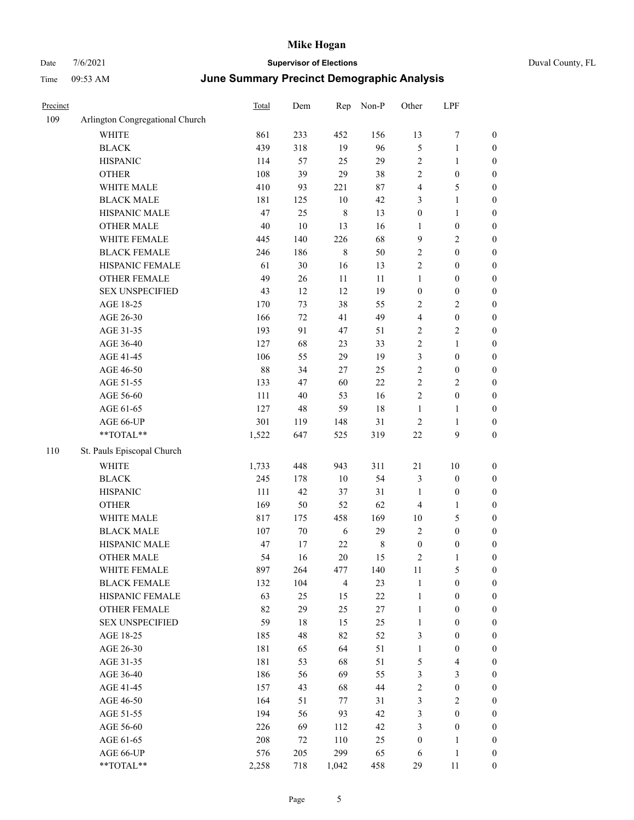| Duval County, FL |  |  |
|------------------|--|--|
|------------------|--|--|

| Precinct |                                                             | Total | Dem    | Rep            | Non-P     | Other            | LPF                     |                  |
|----------|-------------------------------------------------------------|-------|--------|----------------|-----------|------------------|-------------------------|------------------|
| 109      | Arlington Congregational Church                             |       |        |                |           |                  |                         |                  |
|          | <b>WHITE</b>                                                | 861   | 233    | 452            | 156       | 13               | 7                       | $\boldsymbol{0}$ |
|          | <b>BLACK</b>                                                | 439   | 318    | 19             | 96        | 5                | $\mathbf{1}$            | $\boldsymbol{0}$ |
|          | <b>HISPANIC</b>                                             | 114   | 57     | 25             | 29        | $\overline{c}$   | $\mathbf{1}$            | $\boldsymbol{0}$ |
|          | <b>OTHER</b>                                                | 108   | 39     | 29             | 38        | $\overline{c}$   | $\boldsymbol{0}$        | $\boldsymbol{0}$ |
|          | WHITE MALE                                                  | 410   | 93     | 221            | $87\,$    | 4                | $\mathfrak{S}$          | $\boldsymbol{0}$ |
|          | <b>BLACK MALE</b>                                           | 181   | 125    | $10\,$         | 42        | 3                | $\mathbf{1}$            | $\boldsymbol{0}$ |
|          | HISPANIC MALE                                               | 47    | 25     | $\,$ 8 $\,$    | 13        | $\boldsymbol{0}$ | $\mathbf{1}$            | $\boldsymbol{0}$ |
|          | <b>OTHER MALE</b>                                           | 40    | $10\,$ | 13             | 16        | $\mathbf{1}$     | $\boldsymbol{0}$        | $\boldsymbol{0}$ |
|          | WHITE FEMALE                                                | 445   | 140    | 226            | 68        | $\overline{9}$   | $\sqrt{2}$              | $\boldsymbol{0}$ |
|          | <b>BLACK FEMALE</b>                                         | 246   | 186    | $\,8\,$        | 50        | $\sqrt{2}$       | $\boldsymbol{0}$        | 0                |
|          | HISPANIC FEMALE                                             | 61    | 30     | 16             | 13        | $\overline{c}$   | $\boldsymbol{0}$        | $\boldsymbol{0}$ |
|          | OTHER FEMALE                                                | 49    | 26     | $11\,$         | 11        | $\mathbf{1}$     | $\boldsymbol{0}$        | $\boldsymbol{0}$ |
|          | <b>SEX UNSPECIFIED</b>                                      | 43    | 12     | 12             | 19        | $\boldsymbol{0}$ | $\boldsymbol{0}$        | $\boldsymbol{0}$ |
|          | AGE 18-25                                                   | 170   | 73     | 38             | 55        | $\overline{c}$   | $\sqrt{2}$              | $\boldsymbol{0}$ |
|          | AGE 26-30                                                   | 166   | 72     | 41             | 49        | 4                | $\boldsymbol{0}$        | $\boldsymbol{0}$ |
|          | AGE 31-35                                                   | 193   | 91     | 47             | 51        | $\overline{c}$   | $\sqrt{2}$              | $\boldsymbol{0}$ |
|          | AGE 36-40                                                   | 127   | 68     | 23             | 33        | $\overline{c}$   | $\mathbf{1}$            | $\boldsymbol{0}$ |
|          | AGE 41-45                                                   | 106   | 55     | 29             | 19        | 3                | $\boldsymbol{0}$        | $\boldsymbol{0}$ |
|          | AGE 46-50                                                   | 88    | 34     | $27\,$         | 25        | $\sqrt{2}$       | $\boldsymbol{0}$        | 0                |
|          | AGE 51-55                                                   | 133   | 47     | 60             | 22        | $\sqrt{2}$       | $\sqrt{2}$              | 0                |
|          | AGE 56-60                                                   | 111   | 40     | 53             | 16        | $\sqrt{2}$       | $\boldsymbol{0}$        | $\boldsymbol{0}$ |
|          | AGE 61-65                                                   | 127   | 48     | 59             | 18        | $\mathbf{1}$     | $\mathbf{1}$            | $\boldsymbol{0}$ |
|          | AGE 66-UP                                                   | 301   | 119    | 148            | 31        | $\overline{c}$   | $\mathbf{1}$            | $\boldsymbol{0}$ |
|          | **TOTAL**                                                   | 1,522 | 647    | 525            | 319       | $22\,$           | 9                       | $\boldsymbol{0}$ |
| 110      | St. Pauls Episcopal Church                                  |       |        |                |           |                  |                         |                  |
|          | WHITE                                                       | 1,733 | 448    | 943            | 311       | 21               | 10                      | $\boldsymbol{0}$ |
|          | <b>BLACK</b>                                                | 245   | 178    | 10             | 54        | 3                | $\boldsymbol{0}$        | $\boldsymbol{0}$ |
|          | <b>HISPANIC</b>                                             | 111   | 42     | 37             | 31        | $\mathbf{1}$     | $\boldsymbol{0}$        | $\boldsymbol{0}$ |
|          | <b>OTHER</b>                                                | 169   | 50     | 52             | 62        | $\overline{4}$   | $\mathbf{1}$            | $\boldsymbol{0}$ |
|          | WHITE MALE                                                  | 817   | 175    | 458            | 169       | 10               | $\mathfrak{S}$          | $\boldsymbol{0}$ |
|          | <b>BLACK MALE</b>                                           | 107   | $70\,$ | 6              | 29        | 2                | $\boldsymbol{0}$        | $\boldsymbol{0}$ |
|          | HISPANIC MALE                                               | 47    | 17     | 22             | $\,$ $\,$ | $\boldsymbol{0}$ | $\boldsymbol{0}$        | 0                |
|          | <b>OTHER MALE</b>                                           | 54    | 16     | 20             | 15        | 2                | 1                       | $\boldsymbol{0}$ |
|          | WHITE FEMALE                                                | 897   | 264    | 477            | 140       | 11               | 5                       | $\boldsymbol{0}$ |
|          | <b>BLACK FEMALE</b>                                         | 132   | 104    | $\overline{4}$ | 23        | $\mathbf{1}$     | $\boldsymbol{0}$        | $\boldsymbol{0}$ |
|          | HISPANIC FEMALE                                             | 63    | 25     | 15             | $22\,$    | $\mathbf{1}$     | $\boldsymbol{0}$        | $\overline{0}$   |
|          | <b>OTHER FEMALE</b>                                         | 82    | 29     | 25             | $27\,$    | $\mathbf{1}$     | $\boldsymbol{0}$        | 0                |
|          | <b>SEX UNSPECIFIED</b>                                      | 59    | 18     | 15             | 25        | $\mathbf{1}$     | $\boldsymbol{0}$        | 0                |
|          | AGE 18-25                                                   | 185   | 48     | 82             | 52        | 3                | $\boldsymbol{0}$        | 0                |
|          | AGE 26-30                                                   | 181   | 65     | 64             | 51        | $\mathbf{1}$     | $\boldsymbol{0}$        | 0                |
|          | AGE 31-35                                                   | 181   | 53     | 68             | 51        | 5                | $\overline{\mathbf{4}}$ | 0                |
|          | AGE 36-40                                                   | 186   | 56     | 69             | 55        | 3                | $\mathfrak{Z}$          | 0                |
|          | AGE 41-45                                                   | 157   | 43     | 68             | 44        | $\sqrt{2}$       | $\boldsymbol{0}$        | 0                |
|          | AGE 46-50                                                   | 164   | 51     | $77\,$         | 31        | 3                | $\sqrt{2}$              | $\boldsymbol{0}$ |
|          | AGE 51-55                                                   | 194   | 56     | 93             | 42        | 3                | $\boldsymbol{0}$        | $\boldsymbol{0}$ |
|          | AGE 56-60                                                   | 226   | 69     | 112            | 42        | 3                | $\boldsymbol{0}$        | $\overline{0}$   |
|          | AGE 61-65                                                   | 208   | 72     | 110            | 25        | $\boldsymbol{0}$ | $\mathbf{1}$            | 0                |
|          | AGE 66-UP                                                   | 576   | 205    | 299            | 65        | 6                | $\mathbf{1}$            | $\boldsymbol{0}$ |
|          | $\mathrm{*}\mathrm{*} \mathrm{TOTAL} \mathrm{*} \mathrm{*}$ | 2,258 | 718    | 1,042          | 458       | 29               | 11                      | $\boldsymbol{0}$ |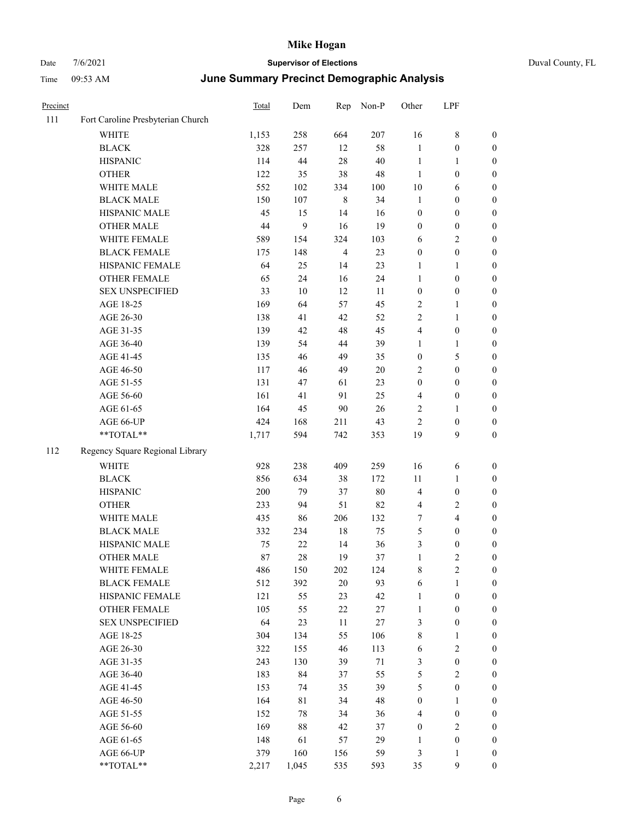#### Date  $7/6/2021$  **Supervisor of Elections Supervisor of Elections** Duval County, FL Time 09:53 AM **June Summary Precinct Demographic Analysis**

| Precinct |                                   | Total | Dem    | Rep            | Non-P  | Other                   | LPF              |                  |
|----------|-----------------------------------|-------|--------|----------------|--------|-------------------------|------------------|------------------|
| 111      | Fort Caroline Presbyterian Church |       |        |                |        |                         |                  |                  |
|          | <b>WHITE</b>                      | 1,153 | 258    | 664            | 207    | 16                      | $\,$ $\,$        | $\boldsymbol{0}$ |
|          | <b>BLACK</b>                      | 328   | 257    | 12             | 58     | $\mathbf{1}$            | $\boldsymbol{0}$ | $\boldsymbol{0}$ |
|          | <b>HISPANIC</b>                   | 114   | 44     | 28             | 40     | $\mathbf{1}$            | $\mathbf{1}$     | $\mathbf{0}$     |
|          | <b>OTHER</b>                      | 122   | 35     | 38             | 48     | $\mathbf{1}$            | $\boldsymbol{0}$ | $\boldsymbol{0}$ |
|          | WHITE MALE                        | 552   | 102    | 334            | 100    | 10                      | 6                | $\boldsymbol{0}$ |
|          | <b>BLACK MALE</b>                 | 150   | 107    | $\,8\,$        | 34     | $\mathbf{1}$            | $\boldsymbol{0}$ | $\boldsymbol{0}$ |
|          | <b>HISPANIC MALE</b>              | 45    | 15     | 14             | 16     | $\mathbf{0}$            | $\mathbf{0}$     | $\mathbf{0}$     |
|          | <b>OTHER MALE</b>                 | 44    | 9      | 16             | 19     | $\boldsymbol{0}$        | $\boldsymbol{0}$ | $\boldsymbol{0}$ |
|          | WHITE FEMALE                      | 589   | 154    | 324            | 103    | 6                       | $\overline{c}$   | $\boldsymbol{0}$ |
|          | <b>BLACK FEMALE</b>               | 175   | 148    | $\overline{4}$ | 23     | $\boldsymbol{0}$        | $\overline{0}$   | $\boldsymbol{0}$ |
|          | HISPANIC FEMALE                   | 64    | 25     | 14             | 23     | $\mathbf{1}$            | $\mathbf{1}$     | $\mathbf{0}$     |
|          | OTHER FEMALE                      | 65    | 24     | 16             | 24     | $\mathbf{1}$            | $\boldsymbol{0}$ | $\boldsymbol{0}$ |
|          | <b>SEX UNSPECIFIED</b>            | 33    | $10\,$ | $12\,$         | 11     | $\boldsymbol{0}$        | $\boldsymbol{0}$ | $\boldsymbol{0}$ |
|          | AGE 18-25                         | 169   | 64     | 57             | 45     | $\mathfrak{2}$          | $\mathbf{1}$     | $\mathbf{0}$     |
|          | AGE 26-30                         | 138   | 41     | 42             | 52     | $\overline{c}$          | $\mathbf{1}$     | $\boldsymbol{0}$ |
|          | AGE 31-35                         | 139   | 42     | 48             | 45     | $\overline{\mathbf{4}}$ | $\boldsymbol{0}$ | $\boldsymbol{0}$ |
|          | AGE 36-40                         | 139   | 54     | 44             | 39     | $\mathbf{1}$            | $\mathbf{1}$     | $\boldsymbol{0}$ |
|          | AGE 41-45                         | 135   | 46     | 49             | 35     | $\boldsymbol{0}$        | 5                | $\boldsymbol{0}$ |
|          | AGE 46-50                         | 117   | 46     | 49             | 20     | 2                       | $\boldsymbol{0}$ | $\boldsymbol{0}$ |
|          | AGE 51-55                         | 131   | 47     | 61             | 23     | $\boldsymbol{0}$        | $\mathbf{0}$     | $\mathbf{0}$     |
|          | AGE 56-60                         | 161   | 41     | 91             | 25     | 4                       | $\mathbf{0}$     | $\boldsymbol{0}$ |
|          | AGE 61-65                         | 164   | 45     | 90             | 26     | $\overline{c}$          | $\mathbf{1}$     | $\mathbf{0}$     |
|          | AGE 66-UP                         | 424   | 168    | 211            | 43     | $\overline{c}$          | $\boldsymbol{0}$ | $\boldsymbol{0}$ |
|          | **TOTAL**                         | 1,717 | 594    | 742            | 353    | 19                      | 9                | $\boldsymbol{0}$ |
| 112      | Regency Square Regional Library   |       |        |                |        |                         |                  |                  |
|          | <b>WHITE</b>                      | 928   | 238    | 409            | 259    | 16                      | 6                | $\boldsymbol{0}$ |
|          | <b>BLACK</b>                      | 856   | 634    | 38             | 172    | 11                      | $\mathbf{1}$     | $\boldsymbol{0}$ |
|          | <b>HISPANIC</b>                   | 200   | 79     | 37             | $80\,$ | $\overline{4}$          | $\mathbf{0}$     | $\mathbf{0}$     |
|          | <b>OTHER</b>                      | 233   | 94     | 51             | 82     | $\overline{4}$          | $\overline{c}$   | $\boldsymbol{0}$ |
|          | WHITE MALE                        | 435   | 86     | 206            | 132    | 7                       | $\overline{4}$   | $\boldsymbol{0}$ |
|          | <b>BLACK MALE</b>                 | 332   | 234    | 18             | 75     | 5                       | $\boldsymbol{0}$ | $\boldsymbol{0}$ |
|          | HISPANIC MALE                     | 75    | 22     | 14             | 36     | 3                       | $\boldsymbol{0}$ | $\boldsymbol{0}$ |
|          | <b>OTHER MALE</b>                 | 87    | 28     | 19             | 37     | $\mathbf{1}$            | $\overline{c}$   | $\boldsymbol{0}$ |
|          | WHITE FEMALE                      | 486   | 150    | 202            | 124    | $\,$ $\,$               | $\overline{2}$   | $\boldsymbol{0}$ |
|          | <b>BLACK FEMALE</b>               | 512   | 392    | 20             | 93     | 6                       | $\mathbf{1}$     | $\boldsymbol{0}$ |
|          | HISPANIC FEMALE                   | 121   | 55     | 23             | 42     | $\mathbf{1}$            | $\boldsymbol{0}$ | $\boldsymbol{0}$ |
|          | <b>OTHER FEMALE</b>               | 105   | 55     | 22             | 27     | $\mathbf{1}$            | $\overline{0}$   | $\mathbf{0}$     |

SEX UNSPECIFIED 64 23 11 27 3 0 0 AGE 18-25 304 134 55 106 8 1 0 AGE 26-30 322 155 46 113 6 2 0 AGE 31-35 243 130 39 71 3 0 0 AGE 36-40 183 84 37 55 5 2 0 AGE 41-45 153 74 35 39 5 0 0 AGE 46-50 164 81 34 48 0 1 0 AGE 51-55 152 78 34 36 4 0 0 AGE 56-60 169 88 42 37 0 2 0 AGE 61-65 148 61 57 29 1 0 0 AGE 66-UP 379 160 156 59 3 1 0 \*\*TOTAL\*\* 2,217 1,045 535 593 35 9 0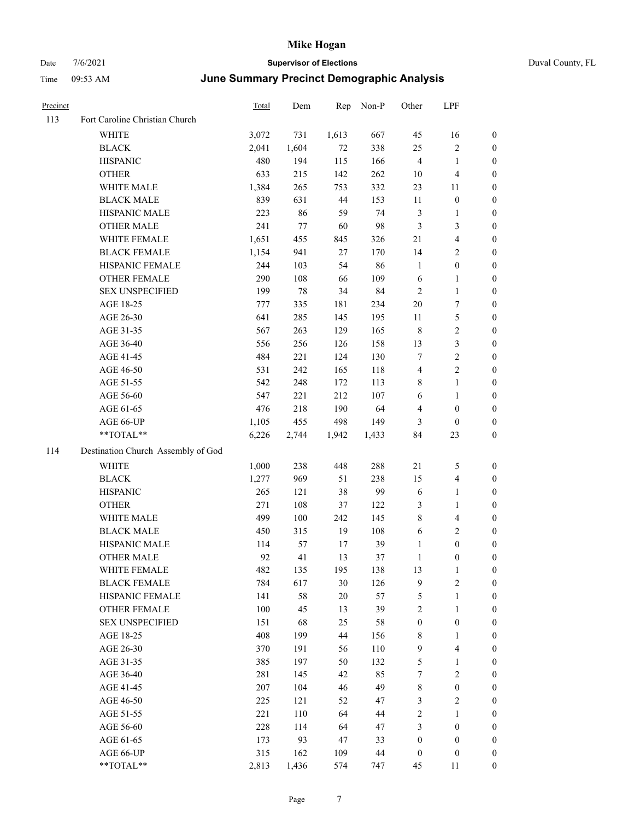| Duval County, FL |  |
|------------------|--|
|------------------|--|

| Precinct |                                                           | <b>Total</b> | Dem   | Rep    | Non-P  | Other            | LPF                     |                  |
|----------|-----------------------------------------------------------|--------------|-------|--------|--------|------------------|-------------------------|------------------|
| 113      | Fort Caroline Christian Church                            |              |       |        |        |                  |                         |                  |
|          | WHITE                                                     | 3,072        | 731   | 1,613  | 667    | 45               | 16                      | $\boldsymbol{0}$ |
|          | <b>BLACK</b>                                              | 2,041        | 1,604 | 72     | 338    | 25               | $\sqrt{2}$              | $\boldsymbol{0}$ |
|          | <b>HISPANIC</b>                                           | 480          | 194   | 115    | 166    | $\overline{4}$   | $\mathbf{1}$            | $\boldsymbol{0}$ |
|          | <b>OTHER</b>                                              | 633          | 215   | 142    | 262    | 10               | $\overline{\mathbf{4}}$ | $\boldsymbol{0}$ |
|          | WHITE MALE                                                | 1,384        | 265   | 753    | 332    | 23               | 11                      | $\boldsymbol{0}$ |
|          | <b>BLACK MALE</b>                                         | 839          | 631   | 44     | 153    | 11               | $\boldsymbol{0}$        | $\boldsymbol{0}$ |
|          | HISPANIC MALE                                             | 223          | 86    | 59     | 74     | 3                | $\mathbf{1}$            | 0                |
|          | <b>OTHER MALE</b>                                         | 241          | 77    | 60     | 98     | $\mathfrak{Z}$   | $\mathfrak{Z}$          | 0                |
|          | WHITE FEMALE                                              | 1,651        | 455   | 845    | 326    | 21               | $\overline{\mathbf{4}}$ | 0                |
|          | <b>BLACK FEMALE</b>                                       | 1,154        | 941   | $27\,$ | 170    | 14               | $\sqrt{2}$              | $\boldsymbol{0}$ |
|          | HISPANIC FEMALE                                           | 244          | 103   | 54     | 86     | $\mathbf{1}$     | $\boldsymbol{0}$        | $\boldsymbol{0}$ |
|          | <b>OTHER FEMALE</b>                                       | 290          | 108   | 66     | 109    | 6                | $\mathbf{1}$            | $\boldsymbol{0}$ |
|          | <b>SEX UNSPECIFIED</b>                                    | 199          | 78    | 34     | 84     | $\overline{2}$   | $\mathbf{1}$            | $\boldsymbol{0}$ |
|          | AGE 18-25                                                 | 777          | 335   | 181    | 234    | $20\,$           | 7                       | $\boldsymbol{0}$ |
|          | AGE 26-30                                                 | 641          | 285   | 145    | 195    | 11               | $\mathfrak s$           | $\boldsymbol{0}$ |
|          | AGE 31-35                                                 | 567          | 263   | 129    | 165    | $\,$ 8 $\,$      | $\sqrt{2}$              | $\boldsymbol{0}$ |
|          | AGE 36-40                                                 | 556          | 256   | 126    | 158    | 13               | $\mathfrak{Z}$          | 0                |
|          | AGE 41-45                                                 | 484          | 221   | 124    | 130    | $\tau$           | $\sqrt{2}$              | 0                |
|          | AGE 46-50                                                 | 531          | 242   | 165    | 118    | 4                | $\sqrt{2}$              | 0                |
|          | AGE 51-55                                                 | 542          | 248   | 172    | 113    | 8                | $\mathbf{1}$            | $\boldsymbol{0}$ |
|          | AGE 56-60                                                 | 547          | 221   | 212    | 107    | 6                | $\mathbf{1}$            | $\boldsymbol{0}$ |
|          | AGE 61-65                                                 | 476          | 218   | 190    | 64     | $\overline{4}$   | $\boldsymbol{0}$        | $\boldsymbol{0}$ |
|          | AGE 66-UP                                                 | 1,105        | 455   | 498    | 149    | $\mathfrak{Z}$   | $\boldsymbol{0}$        | $\boldsymbol{0}$ |
|          | **TOTAL**                                                 | 6,226        | 2,744 | 1,942  | 1,433  | 84               | 23                      | $\boldsymbol{0}$ |
| 114      | Destination Church Assembly of God                        |              |       |        |        |                  |                         |                  |
|          | WHITE                                                     | 1,000        | 238   | 448    | 288    | 21               | 5                       | $\boldsymbol{0}$ |
|          | <b>BLACK</b>                                              | 1,277        | 969   | 51     | 238    | 15               | $\overline{\mathbf{4}}$ | $\boldsymbol{0}$ |
|          | <b>HISPANIC</b>                                           | 265          | 121   | $38\,$ | 99     | 6                | $\mathbf{1}$            | $\boldsymbol{0}$ |
|          | <b>OTHER</b>                                              | 271          | 108   | 37     | 122    | 3                | $\mathbf{1}$            | 0                |
|          | WHITE MALE                                                | 499          | 100   | 242    | 145    | 8                | $\overline{\mathbf{4}}$ | 0                |
|          | <b>BLACK MALE</b>                                         | 450          | 315   | 19     | 108    | 6                | $\sqrt{2}$              | $\boldsymbol{0}$ |
|          | HISPANIC MALE                                             | 114          | 57    | 17     | 39     | $\mathbf{1}$     | $\boldsymbol{0}$        | $\boldsymbol{0}$ |
|          | <b>OTHER MALE</b>                                         | 92           | 41    | 13     | 37     | 1                | $\Omega$                | $\theta$         |
|          | WHITE FEMALE                                              | 482          | 135   | 195    | 138    | 13               | $\mathbf{1}$            | $\boldsymbol{0}$ |
|          | <b>BLACK FEMALE</b>                                       | 784          | 617   | 30     | 126    | 9                | $\sqrt{2}$              | 0                |
|          | HISPANIC FEMALE                                           | 141          | 58    | 20     | 57     | 5                | $\mathbf{1}$            | 0                |
|          | <b>OTHER FEMALE</b>                                       | $100\,$      | 45    | 13     | 39     | 2                | 1                       | 0                |
|          | <b>SEX UNSPECIFIED</b>                                    | 151          | 68    | 25     | 58     | $\boldsymbol{0}$ | $\boldsymbol{0}$        | 0                |
|          | AGE 18-25                                                 | 408          | 199   | $44\,$ | 156    | 8                | $\mathbf{1}$            | 0                |
|          | AGE 26-30                                                 | 370          | 191   | 56     | 110    | 9                | $\overline{4}$          | 0                |
|          | AGE 31-35                                                 | 385          | 197   | 50     | 132    | 5                | $\mathbf{1}$            | 0                |
|          | AGE 36-40                                                 | 281          | 145   | 42     | 85     | 7                | $\sqrt{2}$              | 0                |
|          | AGE 41-45                                                 | $207\,$      | 104   | 46     | 49     | $\,$ 8 $\,$      | $\boldsymbol{0}$        | 0                |
|          | AGE 46-50                                                 | 225          | 121   | 52     | 47     | 3                | $\sqrt{2}$              | 0                |
|          | AGE 51-55                                                 | 221          | 110   | 64     | $44\,$ | $\sqrt{2}$       | $\mathbf{1}$            | 0                |
|          | AGE 56-60                                                 | 228          | 114   | 64     | 47     | 3                | $\boldsymbol{0}$        | 0                |
|          | AGE 61-65                                                 | 173          | 93    | 47     | 33     | $\boldsymbol{0}$ | $\boldsymbol{0}$        | 0                |
|          | AGE 66-UP                                                 | 315          | 162   | 109    | $44\,$ | $\boldsymbol{0}$ | $\boldsymbol{0}$        | 0                |
|          | $\mathrm{*}\mathrm{*}\mathrm{TOTAL} \mathrm{*}\mathrm{*}$ | 2,813        | 1,436 | 574    | 747    | 45               | 11                      | 0                |
|          |                                                           |              |       |        |        |                  |                         |                  |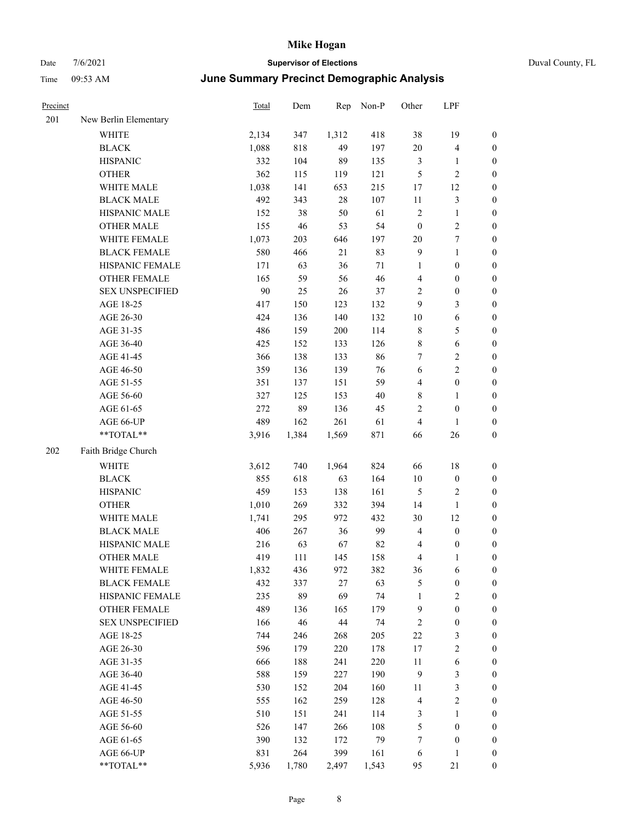| Precinct |                        | <b>Total</b> | Dem   | Rep    | Non-P  | Other            | LPF              |                  |
|----------|------------------------|--------------|-------|--------|--------|------------------|------------------|------------------|
| 201      | New Berlin Elementary  |              |       |        |        |                  |                  |                  |
|          | WHITE                  | 2,134        | 347   | 1,312  | 418    | 38               | 19               | 0                |
|          | <b>BLACK</b>           | 1,088        | 818   | 49     | 197    | 20               | $\overline{4}$   | 0                |
|          | <b>HISPANIC</b>        | 332          | 104   | 89     | 135    | 3                | $\mathbf{1}$     | $\boldsymbol{0}$ |
|          | <b>OTHER</b>           | 362          | 115   | 119    | 121    | 5                | $\sqrt{2}$       | $\boldsymbol{0}$ |
|          | WHITE MALE             | 1,038        | 141   | 653    | 215    | 17               | 12               | $\boldsymbol{0}$ |
|          | <b>BLACK MALE</b>      | 492          | 343   | $28\,$ | 107    | 11               | $\mathfrak{Z}$   | $\boldsymbol{0}$ |
|          | HISPANIC MALE          | 152          | 38    | 50     | 61     | 2                | $\mathbf{1}$     | $\boldsymbol{0}$ |
|          | <b>OTHER MALE</b>      | 155          | 46    | 53     | 54     | $\boldsymbol{0}$ | $\sqrt{2}$       | $\boldsymbol{0}$ |
|          | WHITE FEMALE           | 1,073        | 203   | 646    | 197    | $20\,$           | $\boldsymbol{7}$ | $\boldsymbol{0}$ |
|          | <b>BLACK FEMALE</b>    | 580          | 466   | 21     | 83     | $\overline{9}$   | $\mathbf{1}$     | $\boldsymbol{0}$ |
|          | HISPANIC FEMALE        | 171          | 63    | 36     | 71     | 1                | $\boldsymbol{0}$ | 0                |
|          | OTHER FEMALE           | 165          | 59    | 56     | 46     | $\overline{4}$   | $\boldsymbol{0}$ | 0                |
|          | <b>SEX UNSPECIFIED</b> | 90           | 25    | 26     | 37     | $\overline{c}$   | $\boldsymbol{0}$ | $\boldsymbol{0}$ |
|          | AGE 18-25              | 417          | 150   | 123    | 132    | 9                | $\mathfrak{Z}$   | $\boldsymbol{0}$ |
|          | AGE 26-30              | 424          | 136   | 140    | 132    | 10               | 6                | $\boldsymbol{0}$ |
|          | AGE 31-35              | 486          | 159   | 200    | 114    | 8                | $\mathfrak{S}$   | $\boldsymbol{0}$ |
|          | AGE 36-40              | 425          | 152   | 133    | 126    | $\,$ 8 $\,$      | 6                | $\boldsymbol{0}$ |
|          | AGE 41-45              | 366          | 138   | 133    | 86     | 7                | $\overline{2}$   | $\boldsymbol{0}$ |
|          | AGE 46-50              | 359          | 136   | 139    | 76     | 6                | $\overline{2}$   | $\boldsymbol{0}$ |
|          | AGE 51-55              | 351          | 137   | 151    | 59     | 4                | $\boldsymbol{0}$ | 0                |
|          | AGE 56-60              | 327          | 125   | 153    | $40\,$ | 8                | $\mathbf{1}$     | 0                |
|          | AGE 61-65              | 272          | 89    | 136    | 45     | $\mathbf{2}$     | $\boldsymbol{0}$ | 0                |
|          | AGE 66-UP              | 489          | 162   | 261    | 61     | $\overline{4}$   | $\mathbf{1}$     | $\boldsymbol{0}$ |
|          | **TOTAL**              | 3,916        | 1,384 | 1,569  | 871    | 66               | 26               | $\boldsymbol{0}$ |
| 202      | Faith Bridge Church    |              |       |        |        |                  |                  |                  |
|          | <b>WHITE</b>           | 3,612        | 740   | 1,964  | 824    | 66               | 18               | $\boldsymbol{0}$ |
|          | <b>BLACK</b>           | 855          | 618   | 63     | 164    | $10\,$           | $\boldsymbol{0}$ | $\boldsymbol{0}$ |
|          | <b>HISPANIC</b>        | 459          | 153   | 138    | 161    | 5                | $\sqrt{2}$       | $\boldsymbol{0}$ |
|          | <b>OTHER</b>           | 1,010        | 269   | 332    | 394    | 14               | $\mathbf{1}$     | $\boldsymbol{0}$ |
|          | WHITE MALE             | 1,741        | 295   | 972    | 432    | 30               | 12               | $\boldsymbol{0}$ |
|          | <b>BLACK MALE</b>      | 406          | 267   | 36     | 99     | 4                | $\boldsymbol{0}$ | $\boldsymbol{0}$ |
|          | HISPANIC MALE          | 216          | 63    | 67     | 82     | 4                | $\boldsymbol{0}$ | 0                |
|          | <b>OTHER MALE</b>      | 419          | 111   | 145    | 158    | 4                | 1                | $\boldsymbol{0}$ |
|          | WHITE FEMALE           | 1,832        | 436   | 972    | 382    | 36               | 6                | 0                |
|          | <b>BLACK FEMALE</b>    | 432          | 337   | $27\,$ | 63     | 5                | $\boldsymbol{0}$ | 0                |
|          | HISPANIC FEMALE        | 235          | 89    | 69     | 74     | 1                | $\sqrt{2}$       | $\boldsymbol{0}$ |
|          | <b>OTHER FEMALE</b>    | 489          | 136   | 165    | 179    | 9                | $\boldsymbol{0}$ | 0                |
|          | <b>SEX UNSPECIFIED</b> | 166          | 46    | $44\,$ | 74     | $\overline{c}$   | $\boldsymbol{0}$ | 0                |
|          | AGE 18-25              | 744          | 246   | 268    | 205    | 22               | $\mathfrak{Z}$   | 0                |
|          | AGE 26-30              | 596          | 179   | 220    | 178    | 17               | $\sqrt{2}$       | 0                |
|          | AGE 31-35              | 666          | 188   | 241    | 220    | 11               | 6                | 0                |
|          | AGE 36-40              | 588          | 159   | 227    | 190    | $\overline{9}$   | $\mathfrak{Z}$   | 0                |
|          | AGE 41-45              | 530          | 152   | 204    | 160    | 11               | $\mathfrak{Z}$   | 0                |
|          | AGE 46-50              | 555          | 162   | 259    | 128    | 4                | $\sqrt{2}$       | 0                |
|          | AGE 51-55              | 510          | 151   | 241    | 114    | 3                | $\mathbf{1}$     | $\boldsymbol{0}$ |
|          | AGE 56-60              | 526          | 147   | 266    | 108    | 5                | $\boldsymbol{0}$ | $\boldsymbol{0}$ |
|          | AGE 61-65              | 390          | 132   | 172    | 79     | 7                | $\boldsymbol{0}$ | $\boldsymbol{0}$ |
|          | AGE 66-UP              | 831          | 264   | 399    | 161    | 6                | $\mathbf{1}$     | $\boldsymbol{0}$ |
|          | **TOTAL**              | 5,936        | 1,780 | 2,497  | 1,543  | 95               | $21\,$           | $\boldsymbol{0}$ |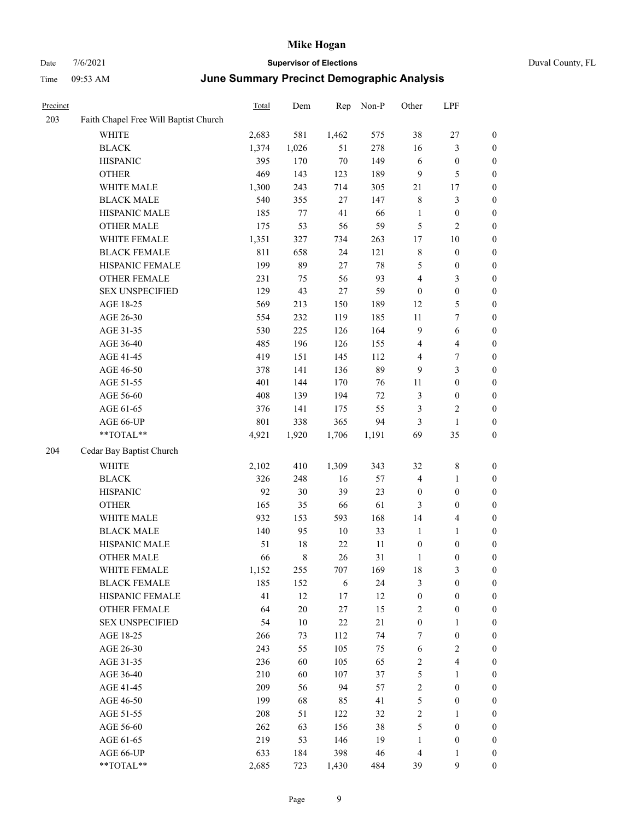| Duval County, FL |  |
|------------------|--|
|------------------|--|

| Precinct |                                                           | <b>Total</b> | Dem    | Rep    | Non-P  | Other            | LPF                     |                  |
|----------|-----------------------------------------------------------|--------------|--------|--------|--------|------------------|-------------------------|------------------|
| 203      | Faith Chapel Free Will Baptist Church                     |              |        |        |        |                  |                         |                  |
|          | WHITE                                                     | 2,683        | 581    | 1,462  | 575    | 38               | 27                      | $\boldsymbol{0}$ |
|          | <b>BLACK</b>                                              | 1,374        | 1,026  | 51     | 278    | 16               | $\mathfrak{Z}$          | 0                |
|          | <b>HISPANIC</b>                                           | 395          | 170    | $70\,$ | 149    | 6                | $\boldsymbol{0}$        | 0                |
|          | <b>OTHER</b>                                              | 469          | 143    | 123    | 189    | 9                | $\mathfrak{S}$          | $\boldsymbol{0}$ |
|          | WHITE MALE                                                | 1,300        | 243    | 714    | 305    | 21               | 17                      | $\boldsymbol{0}$ |
|          | <b>BLACK MALE</b>                                         | 540          | 355    | $27\,$ | 147    | 8                | $\mathfrak{Z}$          | $\boldsymbol{0}$ |
|          | HISPANIC MALE                                             | 185          | 77     | 41     | 66     | $\mathbf{1}$     | $\boldsymbol{0}$        | $\boldsymbol{0}$ |
|          | <b>OTHER MALE</b>                                         | 175          | 53     | 56     | 59     | 5                | $\sqrt{2}$              | $\boldsymbol{0}$ |
|          | WHITE FEMALE                                              | 1,351        | 327    | 734    | 263    | 17               | $10\,$                  | $\boldsymbol{0}$ |
|          | <b>BLACK FEMALE</b>                                       | 811          | 658    | 24     | 121    | 8                | $\boldsymbol{0}$        | $\boldsymbol{0}$ |
|          | HISPANIC FEMALE                                           | 199          | 89     | 27     | $78\,$ | $\mathfrak{S}$   | $\boldsymbol{0}$        | 0                |
|          | OTHER FEMALE                                              | 231          | 75     | 56     | 93     | $\overline{4}$   | 3                       | 0                |
|          | <b>SEX UNSPECIFIED</b>                                    | 129          | 43     | $27\,$ | 59     | $\boldsymbol{0}$ | $\boldsymbol{0}$        | $\boldsymbol{0}$ |
|          | AGE 18-25                                                 | 569          | 213    | 150    | 189    | 12               | 5                       | $\boldsymbol{0}$ |
|          | AGE 26-30                                                 | 554          | 232    | 119    | 185    | 11               | 7                       | $\boldsymbol{0}$ |
|          | AGE 31-35                                                 | 530          | 225    | 126    | 164    | 9                | 6                       | $\boldsymbol{0}$ |
|          | AGE 36-40                                                 | 485          | 196    | 126    | 155    | 4                | $\overline{\mathbf{4}}$ | $\boldsymbol{0}$ |
|          | AGE 41-45                                                 | 419          | 151    | 145    | 112    | 4                | 7                       | $\boldsymbol{0}$ |
|          | AGE 46-50                                                 | 378          | 141    | 136    | 89     | 9                | $\mathfrak{Z}$          | $\boldsymbol{0}$ |
|          | AGE 51-55                                                 | 401          | 144    | 170    | 76     | 11               | $\boldsymbol{0}$        | 0                |
|          | AGE 56-60                                                 | 408          | 139    | 194    | 72     | 3                | $\boldsymbol{0}$        | 0                |
|          | AGE 61-65                                                 | 376          | 141    | 175    | 55     | 3                | $\sqrt{2}$              | 0                |
|          | AGE 66-UP                                                 | 801          | 338    | 365    | 94     | 3                | $\mathbf{1}$            | 0                |
|          | **TOTAL**                                                 | 4,921        | 1,920  | 1,706  | 1,191  | 69               | 35                      | $\boldsymbol{0}$ |
| 204      | Cedar Bay Baptist Church                                  |              |        |        |        |                  |                         |                  |
|          | <b>WHITE</b>                                              | 2,102        | 410    | 1,309  | 343    | 32               | $\,8\,$                 | $\boldsymbol{0}$ |
|          | <b>BLACK</b>                                              | 326          | 248    | 16     | 57     | 4                | $\mathbf{1}$            | $\boldsymbol{0}$ |
|          | <b>HISPANIC</b>                                           | 92           | 30     | 39     | 23     | $\boldsymbol{0}$ | $\boldsymbol{0}$        | $\boldsymbol{0}$ |
|          | <b>OTHER</b>                                              | 165          | 35     | 66     | 61     | 3                | $\boldsymbol{0}$        | $\boldsymbol{0}$ |
|          | WHITE MALE                                                | 932          | 153    | 593    | 168    | 14               | $\overline{\mathbf{4}}$ | $\boldsymbol{0}$ |
|          | <b>BLACK MALE</b>                                         | 140          | 95     | 10     | 33     | $\mathbf{1}$     | $\mathbf{1}$            | $\boldsymbol{0}$ |
|          | HISPANIC MALE                                             | 51           | 18     | 22     | 11     | $\boldsymbol{0}$ | $\boldsymbol{0}$        | $\boldsymbol{0}$ |
|          | <b>OTHER MALE</b>                                         | 66           | 8      | 26     | 31     | 1                | $\boldsymbol{0}$        | $\boldsymbol{0}$ |
|          | WHITE FEMALE                                              | 1,152        | 255    | 707    | 169    | 18               | $\mathfrak{Z}$          | 0                |
|          | <b>BLACK FEMALE</b>                                       | 185          | 152    | 6      | 24     | 3                | $\boldsymbol{0}$        | 0                |
|          | HISPANIC FEMALE                                           | 41           | 12     | 17     | 12     | $\boldsymbol{0}$ | $\boldsymbol{0}$        | 0                |
|          | <b>OTHER FEMALE</b>                                       | 64           | $20\,$ | 27     | 15     | 2                | $\boldsymbol{0}$        | $\boldsymbol{0}$ |
|          | <b>SEX UNSPECIFIED</b>                                    | 54           | $10\,$ | $22\,$ | 21     | $\boldsymbol{0}$ | $\mathbf{1}$            | 0                |
|          | AGE 18-25                                                 | 266          | 73     | 112    | 74     | 7                | $\boldsymbol{0}$        | 0                |
|          | AGE 26-30                                                 | 243          | 55     | 105    | 75     | $\sqrt{6}$       | $\sqrt{2}$              | 0                |
|          | AGE 31-35                                                 | 236          | 60     | 105    | 65     | $\sqrt{2}$       | $\overline{\mathbf{4}}$ | 0                |
|          | AGE 36-40                                                 | 210          | 60     | 107    | 37     | 5                | $\mathbf{1}$            | 0                |
|          | AGE 41-45                                                 | 209          | 56     | 94     | 57     | $\sqrt{2}$       | $\boldsymbol{0}$        | 0                |
|          | AGE 46-50                                                 | 199          | 68     | 85     | 41     | 5                | $\boldsymbol{0}$        | 0                |
|          | AGE 51-55                                                 | 208          | 51     | 122    | 32     | $\sqrt{2}$       | $\mathbf{1}$            | 0                |
|          | AGE 56-60                                                 | 262          | 63     | 156    | 38     | 5                | $\boldsymbol{0}$        | 0                |
|          | AGE 61-65                                                 | 219          | 53     | 146    | 19     | $\mathbf{1}$     | $\boldsymbol{0}$        | $\boldsymbol{0}$ |
|          | AGE 66-UP                                                 | 633          | 184    | 398    | 46     | $\overline{4}$   | $\mathbf{1}$            | $\boldsymbol{0}$ |
|          | $\mathrm{*}\mathrm{*}\mathrm{TOTAL} \mathrm{*}\mathrm{*}$ | 2,685        | 723    | 1,430  | 484    | 39               | $\mathbf{9}$            | $\overline{0}$   |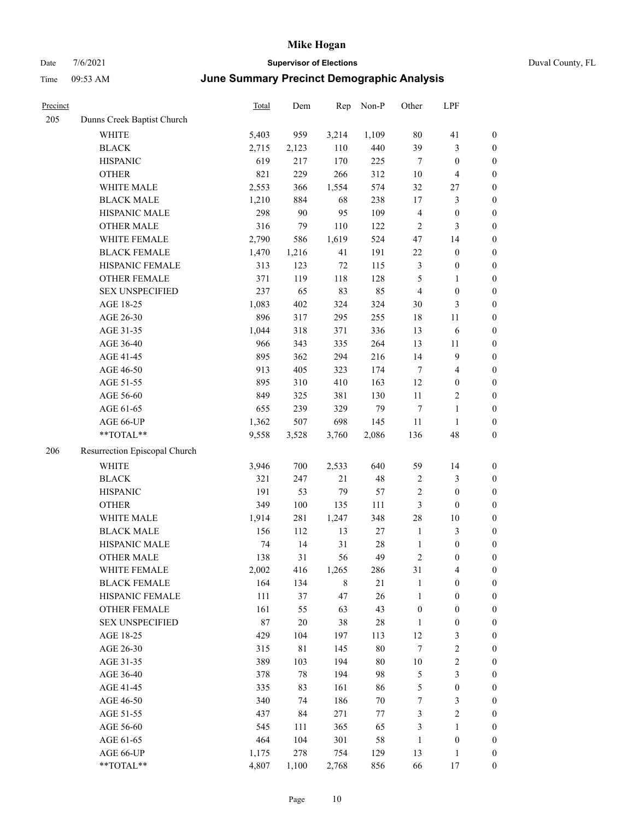## Date 7/6/2021 **Supervisor of Elections** Time 09:53 AM **June Summary Precinct Demographic Analysis**

|  | Duval County, FL |  |
|--|------------------|--|
|--|------------------|--|

| Precinct |                               | Total  | Dem         | Rep     | Non-P  | Other            | LPF                     |                  |
|----------|-------------------------------|--------|-------------|---------|--------|------------------|-------------------------|------------------|
| 205      | Dunns Creek Baptist Church    |        |             |         |        |                  |                         |                  |
|          | <b>WHITE</b>                  | 5,403  | 959         | 3,214   | 1,109  | 80               | 41                      | $\boldsymbol{0}$ |
|          | <b>BLACK</b>                  | 2,715  | 2,123       | 110     | 440    | 39               | 3                       | $\mathbf{0}$     |
|          | <b>HISPANIC</b>               | 619    | 217         | 170     | 225    | 7                | $\boldsymbol{0}$        | $\boldsymbol{0}$ |
|          | <b>OTHER</b>                  | 821    | 229         | 266     | 312    | $10\,$           | 4                       | $\boldsymbol{0}$ |
|          | WHITE MALE                    | 2,553  | 366         | 1,554   | 574    | 32               | 27                      | $\boldsymbol{0}$ |
|          | <b>BLACK MALE</b>             | 1,210  | 884         | 68      | 238    | 17               | 3                       | $\boldsymbol{0}$ |
|          | HISPANIC MALE                 | 298    | 90          | 95      | 109    | $\overline{4}$   | $\boldsymbol{0}$        | $\boldsymbol{0}$ |
|          | <b>OTHER MALE</b>             | 316    | 79          | 110     | 122    | 2                | 3                       | $\boldsymbol{0}$ |
|          | WHITE FEMALE                  | 2,790  | 586         | 1,619   | 524    | 47               | 14                      | $\boldsymbol{0}$ |
|          | <b>BLACK FEMALE</b>           | 1,470  | 1,216       | 41      | 191    | $22\,$           | $\boldsymbol{0}$        | $\boldsymbol{0}$ |
|          | HISPANIC FEMALE               | 313    | 123         | $72\,$  | 115    | 3                | $\boldsymbol{0}$        | $\boldsymbol{0}$ |
|          | <b>OTHER FEMALE</b>           | 371    | 119         | 118     | 128    | 5                | $\mathbf{1}$            | $\boldsymbol{0}$ |
|          | <b>SEX UNSPECIFIED</b>        | 237    | 65          | 83      | 85     | 4                | $\boldsymbol{0}$        | $\boldsymbol{0}$ |
|          | AGE 18-25                     | 1,083  | 402         | 324     | 324    | 30               | 3                       | $\boldsymbol{0}$ |
|          | AGE 26-30                     | 896    | 317         | 295     | 255    | 18               | $11\,$                  | $\boldsymbol{0}$ |
|          | AGE 31-35                     | 1,044  | 318         | 371     | 336    | 13               | $\sqrt{6}$              | $\boldsymbol{0}$ |
|          | AGE 36-40                     | 966    | 343         | 335     | 264    | 13               | 11                      | $\boldsymbol{0}$ |
|          | AGE 41-45                     | 895    | 362         | 294     | 216    | 14               | 9                       | $\boldsymbol{0}$ |
|          | AGE 46-50                     | 913    | 405         | 323     | 174    | 7                | $\overline{4}$          | $\boldsymbol{0}$ |
|          | AGE 51-55                     | 895    | 310         | 410     | 163    | 12               | $\boldsymbol{0}$        | $\boldsymbol{0}$ |
|          | AGE 56-60                     | 849    | 325         | 381     | 130    | 11               | 2                       | $\boldsymbol{0}$ |
|          | AGE 61-65                     | 655    | 239         | 329     | 79     | 7                | $\mathbf{1}$            | $\boldsymbol{0}$ |
|          | AGE 66-UP                     | 1,362  | 507         | 698     | 145    | $11\,$           | $\mathbf{1}$            | $\boldsymbol{0}$ |
|          | **TOTAL**                     | 9,558  | 3,528       | 3,760   | 2,086  | 136              | 48                      | $\boldsymbol{0}$ |
| 206      | Resurrection Episcopal Church |        |             |         |        |                  |                         |                  |
|          | <b>WHITE</b>                  | 3,946  | 700         | 2,533   | 640    | 59               | 14                      | $\boldsymbol{0}$ |
|          | <b>BLACK</b>                  | 321    | 247         | 21      | 48     | $\sqrt{2}$       | 3                       | $\mathbf{0}$     |
|          | <b>HISPANIC</b>               | 191    | 53          | 79      | 57     | $\overline{c}$   | $\boldsymbol{0}$        | $\boldsymbol{0}$ |
|          | <b>OTHER</b>                  | 349    | 100         | 135     | 111    | 3                | $\boldsymbol{0}$        | $\boldsymbol{0}$ |
|          | WHITE MALE                    | 1,914  | 281         | 1,247   | 348    | 28               | $10\,$                  | $\boldsymbol{0}$ |
|          | <b>BLACK MALE</b>             | 156    | 112         | 13      | $27\,$ | $\mathbf{1}$     | 3                       | $\boldsymbol{0}$ |
|          | HISPANIC MALE                 | 74     | 14          | 31      | 28     | $\mathbf{1}$     | $\boldsymbol{0}$        | $\boldsymbol{0}$ |
|          | <b>OTHER MALE</b>             | 138    | 31          | 56      | 49     | $\mathfrak{D}$   | 0                       | $\Omega$         |
|          | WHITE FEMALE                  | 2,002  | 416         | 1,265   | 286    | 31               | 4                       | $\boldsymbol{0}$ |
|          | <b>BLACK FEMALE</b>           | 164    | 134         | $\,8\,$ | $21\,$ | $\mathbf{1}$     | 0                       | $\boldsymbol{0}$ |
|          | HISPANIC FEMALE               | 111    | $37\,$      | 47      | 26     | $\mathbf{1}$     | $\boldsymbol{0}$        | $\boldsymbol{0}$ |
|          | <b>OTHER FEMALE</b>           | 161    | 55          | 63      | 43     | $\boldsymbol{0}$ | $\boldsymbol{0}$        | $\boldsymbol{0}$ |
|          | <b>SEX UNSPECIFIED</b>        | $87\,$ | 20          | $38\,$  | $28\,$ | 1                | $\boldsymbol{0}$        | $\mathbf{0}$     |
|          | AGE 18-25                     | 429    | 104         | 197     | 113    | 12               | 3                       | $\boldsymbol{0}$ |
|          | AGE 26-30                     | 315    | $8\sqrt{1}$ | 145     | $80\,$ | $\boldsymbol{7}$ | $\overline{\mathbf{c}}$ | $\boldsymbol{0}$ |
|          | AGE 31-35                     | 389    | 103         | 194     | 80     | $10\,$           | $\overline{\mathbf{c}}$ | $\boldsymbol{0}$ |
|          | AGE 36-40                     | 378    | $78\,$      | 194     | 98     | 5                | 3                       | $\boldsymbol{0}$ |
|          | AGE 41-45                     | 335    | 83          | 161     | 86     | 5                | $\boldsymbol{0}$        | $\overline{0}$   |
|          | AGE 46-50                     | 340    | 74          | 186     | $70\,$ | 7                | 3                       | $\boldsymbol{0}$ |
|          | AGE 51-55                     | 437    | 84          | 271     | $77\,$ | 3                | $\overline{c}$          | $\boldsymbol{0}$ |
|          | AGE 56-60                     | 545    | 111         | 365     | 65     | 3                | $\mathbf{1}$            | $\boldsymbol{0}$ |
|          | AGE 61-65                     | 464    | 104         | 301     | 58     | 1                | 0                       | $\boldsymbol{0}$ |
|          |                               |        |             |         |        |                  |                         |                  |

AGE 66-UP 1,175 278 754 129 13 1 0 \*\*TOTAL\*\* 4,807 1,100 2,768 856 66 17 0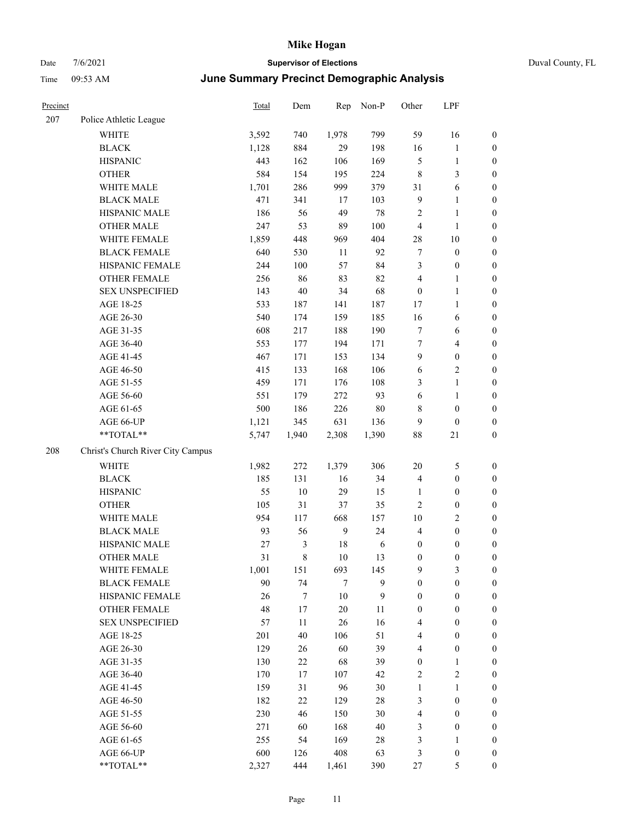# Date 7/6/2021 **Supervisor of Elections** Duval County, FL

## Time 09:53 AM **June Summary Precinct Demographic Analysis**

| Precinct |                                                             | Total | Dem              |                  | Rep Non-P    | Other            | LPF              |                  |
|----------|-------------------------------------------------------------|-------|------------------|------------------|--------------|------------------|------------------|------------------|
| 207      | Police Athletic League                                      |       |                  |                  |              |                  |                  |                  |
|          | <b>WHITE</b>                                                | 3,592 | 740              | 1,978            | 799          | 59               | 16               | 0                |
|          | <b>BLACK</b>                                                | 1,128 | 884              | 29               | 198          | 16               | $\mathbf{1}$     | $\boldsymbol{0}$ |
|          | <b>HISPANIC</b>                                             | 443   | 162              | 106              | 169          | 5                | $\mathbf{1}$     | $\boldsymbol{0}$ |
|          | <b>OTHER</b>                                                | 584   | 154              | 195              | 224          | $\,$ $\,$        | $\mathfrak{Z}$   | $\boldsymbol{0}$ |
|          | WHITE MALE                                                  | 1,701 | 286              | 999              | 379          | 31               | 6                | $\boldsymbol{0}$ |
|          | <b>BLACK MALE</b>                                           | 471   | 341              | 17               | 103          | 9                | $\mathbf{1}$     | $\boldsymbol{0}$ |
|          | HISPANIC MALE                                               | 186   | 56               | 49               | 78           | 2                | $\mathbf{1}$     | $\boldsymbol{0}$ |
|          | <b>OTHER MALE</b>                                           | 247   | 53               | 89               | 100          | 4                | $\mathbf{1}$     | $\boldsymbol{0}$ |
|          | WHITE FEMALE                                                | 1,859 | 448              | 969              | 404          | 28               | 10               | $\boldsymbol{0}$ |
|          | <b>BLACK FEMALE</b>                                         | 640   | 530              | 11               | 92           | 7                | $\boldsymbol{0}$ | $\boldsymbol{0}$ |
|          | HISPANIC FEMALE                                             | 244   | 100              | 57               | 84           | 3                | $\boldsymbol{0}$ | $\boldsymbol{0}$ |
|          | OTHER FEMALE                                                | 256   | 86               | 83               | 82           | 4                | $\mathbf{1}$     | $\boldsymbol{0}$ |
|          | <b>SEX UNSPECIFIED</b>                                      | 143   | 40               | 34               | 68           | $\boldsymbol{0}$ | $\mathbf{1}$     | $\boldsymbol{0}$ |
|          | AGE 18-25                                                   | 533   | 187              | 141              | 187          | 17               | $\mathbf{1}$     | $\boldsymbol{0}$ |
|          | AGE 26-30                                                   | 540   | 174              | 159              | 185          | 16               | 6                | $\boldsymbol{0}$ |
|          | AGE 31-35                                                   | 608   | 217              | 188              | 190          | 7                | 6                | $\boldsymbol{0}$ |
|          | AGE 36-40                                                   | 553   | 177              | 194              | 171          | $\boldsymbol{7}$ | $\overline{4}$   | $\boldsymbol{0}$ |
|          | AGE 41-45                                                   | 467   | 171              | 153              | 134          | 9                | $\boldsymbol{0}$ | $\boldsymbol{0}$ |
|          | AGE 46-50                                                   | 415   | 133              | 168              | 106          | 6                | $\sqrt{2}$       | $\boldsymbol{0}$ |
|          | AGE 51-55                                                   | 459   | 171              | 176              | 108          | 3                | $\mathbf{1}$     | $\boldsymbol{0}$ |
|          | AGE 56-60                                                   | 551   | 179              | 272              | 93           | 6                | $\mathbf{1}$     | 0                |
|          | AGE 61-65                                                   | 500   | 186              | 226              | 80           | 8                | $\boldsymbol{0}$ | $\boldsymbol{0}$ |
|          | AGE 66-UP                                                   | 1,121 | 345              | 631              | 136          | 9                | $\boldsymbol{0}$ | $\boldsymbol{0}$ |
|          | $\mathrm{*}\mathrm{*} \mathrm{TOTAL} \mathrm{*} \mathrm{*}$ | 5,747 | 1,940            | 2,308            | 1,390        | 88               | 21               | $\boldsymbol{0}$ |
| 208      | Christ's Church River City Campus                           |       |                  |                  |              |                  |                  |                  |
|          | <b>WHITE</b>                                                | 1,982 | 272              | 1,379            | 306          | $20\,$           | 5                | $\boldsymbol{0}$ |
|          | <b>BLACK</b>                                                | 185   | 131              | 16               | 34           | 4                | $\boldsymbol{0}$ | $\boldsymbol{0}$ |
|          | <b>HISPANIC</b>                                             | 55    | 10               | 29               | 15           | $\mathbf{1}$     | $\boldsymbol{0}$ | $\boldsymbol{0}$ |
|          | <b>OTHER</b>                                                | 105   | 31               | 37               | 35           | 2                | $\boldsymbol{0}$ | $\boldsymbol{0}$ |
|          | WHITE MALE                                                  | 954   | 117              | 668              | 157          | 10               | $\mathfrak{2}$   | $\boldsymbol{0}$ |
|          | <b>BLACK MALE</b>                                           | 93    | 56               | $\boldsymbol{9}$ | 24           | 4                | $\boldsymbol{0}$ | $\boldsymbol{0}$ |
|          | HISPANIC MALE                                               | 27    | $\mathfrak{Z}$   | 18               | 6            | $\boldsymbol{0}$ | $\boldsymbol{0}$ | $\boldsymbol{0}$ |
|          | <b>OTHER MALE</b>                                           | 31    | $\,$ 8 $\,$      | 10               | 13           | 0                | $\boldsymbol{0}$ | $\boldsymbol{0}$ |
|          | WHITE FEMALE                                                | 1,001 | 151              | 693              | 145          | 9                | 3                | 0                |
|          | <b>BLACK FEMALE</b>                                         | 90    | 74               | 7                | 9            | 0                | $\boldsymbol{0}$ | $\boldsymbol{0}$ |
|          | HISPANIC FEMALE                                             | 26    | $\boldsymbol{7}$ | 10               | $\mathbf{9}$ | $\boldsymbol{0}$ | $\boldsymbol{0}$ | $\overline{0}$   |
|          | <b>OTHER FEMALE</b>                                         | 48    | 17               | 20               | 11           | $\boldsymbol{0}$ | $\boldsymbol{0}$ | $\overline{0}$   |
|          | <b>SEX UNSPECIFIED</b>                                      | 57    | 11               | 26               | 16           | 4                | $\boldsymbol{0}$ | $\overline{0}$   |
|          | AGE 18-25                                                   | 201   | 40               | 106              | 51           | 4                | $\boldsymbol{0}$ | $\overline{0}$   |
|          | AGE 26-30                                                   | 129   | 26               | 60               | 39           | 4                | $\boldsymbol{0}$ | 0                |
|          | AGE 31-35                                                   | 130   | 22               | 68               | 39           | $\boldsymbol{0}$ | $\mathbf{1}$     | 0                |
|          | AGE 36-40                                                   | 170   | 17               | 107              | 42           | 2                | $\sqrt{2}$       | 0                |
|          | AGE 41-45                                                   | 159   | 31               | 96               | 30           | $\mathbf{1}$     | $\mathbf{1}$     | 0                |
|          | AGE 46-50                                                   | 182   | 22               | 129              | 28           | 3                | $\boldsymbol{0}$ | $\boldsymbol{0}$ |
|          | AGE 51-55                                                   | 230   | 46               | 150              | 30           | 4                | $\boldsymbol{0}$ | $\overline{0}$   |
|          | AGE 56-60                                                   | 271   | 60               | 168              | 40           | 3                | $\boldsymbol{0}$ | $\overline{0}$   |
|          | AGE 61-65                                                   | 255   | 54               | 169              | 28           | 3                | $\mathbf{1}$     | $\overline{0}$   |
|          | AGE 66-UP                                                   | 600   | 126              | 408              | 63           | 3                | $\boldsymbol{0}$ | 0                |
|          | **TOTAL**                                                   | 2,327 | 444              | 1,461            | 390          | 27               | $\mathfrak{S}$   | $\boldsymbol{0}$ |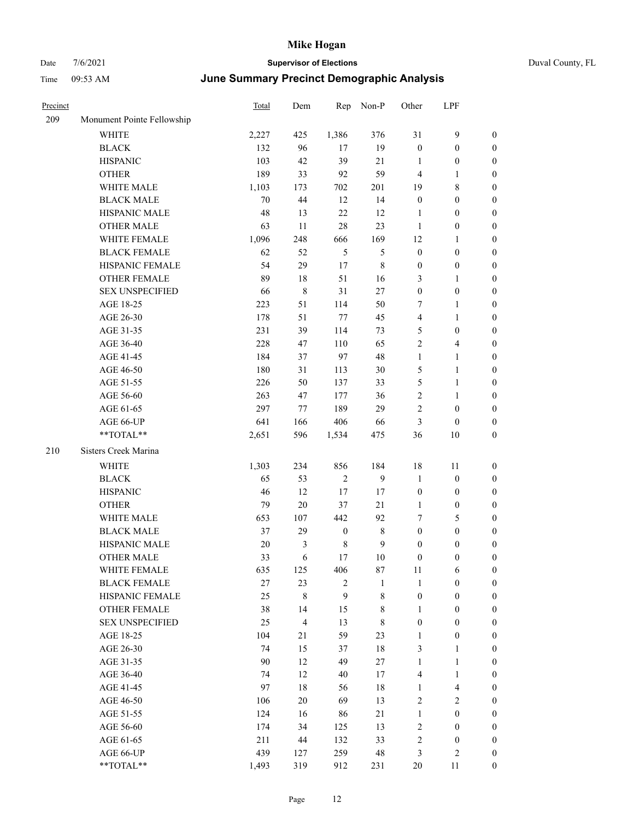| Precinct |                            | <b>Total</b> | Dem            | Rep              | Non-P          | Other            | LPF              |                  |
|----------|----------------------------|--------------|----------------|------------------|----------------|------------------|------------------|------------------|
| 209      | Monument Pointe Fellowship |              |                |                  |                |                  |                  |                  |
|          | WHITE                      | 2,227        | 425            | 1,386            | 376            | 31               | 9                | $\boldsymbol{0}$ |
|          | <b>BLACK</b>               | 132          | 96             | 17               | 19             | $\boldsymbol{0}$ | $\boldsymbol{0}$ | $\boldsymbol{0}$ |
|          | <b>HISPANIC</b>            | 103          | 42             | 39               | 21             | 1                | $\boldsymbol{0}$ | $\boldsymbol{0}$ |
|          | <b>OTHER</b>               | 189          | 33             | 92               | 59             | $\overline{4}$   | 1                | $\boldsymbol{0}$ |
|          | WHITE MALE                 | 1,103        | 173            | 702              | 201            | 19               | 8                | $\boldsymbol{0}$ |
|          | <b>BLACK MALE</b>          | 70           | 44             | 12               | 14             | $\boldsymbol{0}$ | $\boldsymbol{0}$ | $\boldsymbol{0}$ |
|          | HISPANIC MALE              | 48           | 13             | 22               | 12             | 1                | $\boldsymbol{0}$ | $\boldsymbol{0}$ |
|          | <b>OTHER MALE</b>          | 63           | 11             | 28               | 23             | $\mathbf{1}$     | $\boldsymbol{0}$ | $\boldsymbol{0}$ |
|          | WHITE FEMALE               | 1,096        | 248            | 666              | 169            | 12               | 1                | $\boldsymbol{0}$ |
|          | <b>BLACK FEMALE</b>        | 62           | 52             | $\mathfrak{H}$   | $\mathfrak{S}$ | $\boldsymbol{0}$ | $\boldsymbol{0}$ | $\boldsymbol{0}$ |
|          | HISPANIC FEMALE            | 54           | 29             | 17               | 8              | $\boldsymbol{0}$ | $\boldsymbol{0}$ | $\boldsymbol{0}$ |
|          | <b>OTHER FEMALE</b>        | 89           | 18             | 51               | 16             | 3                | 1                | $\boldsymbol{0}$ |
|          | <b>SEX UNSPECIFIED</b>     | 66           | 8              | 31               | 27             | $\boldsymbol{0}$ | $\boldsymbol{0}$ | $\boldsymbol{0}$ |
|          | AGE 18-25                  | 223          | 51             | 114              | 50             | 7                | 1                | $\boldsymbol{0}$ |
|          | AGE 26-30                  | 178          | 51             | 77               | 45             | $\overline{4}$   | 1                | $\boldsymbol{0}$ |
|          | AGE 31-35                  | 231          | 39             | 114              | 73             | 5                | $\boldsymbol{0}$ | $\boldsymbol{0}$ |
|          | AGE 36-40                  | 228          | 47             | 110              | 65             | $\overline{2}$   | 4                | $\boldsymbol{0}$ |
|          | AGE 41-45                  | 184          | 37             | 97               | 48             | $\mathbf{1}$     | 1                | $\boldsymbol{0}$ |
|          | AGE 46-50                  | 180          | 31             | 113              | 30             | 5                | 1                | $\boldsymbol{0}$ |
|          | AGE 51-55                  | 226          | 50             | 137              | 33             | 5                | 1                | $\boldsymbol{0}$ |
|          | AGE 56-60                  | 263          | 47             | 177              | 36             | $\sqrt{2}$       | 1                | $\boldsymbol{0}$ |
|          | AGE 61-65                  | 297          | 77             | 189              | 29             | $\overline{2}$   | $\boldsymbol{0}$ | $\boldsymbol{0}$ |
|          | AGE 66-UP                  | 641          | 166            | 406              | 66             | $\mathfrak{Z}$   | $\boldsymbol{0}$ | $\boldsymbol{0}$ |
|          | **TOTAL**                  | 2,651        | 596            | 1,534            | 475            | 36               | 10               | $\boldsymbol{0}$ |
| 210      | Sisters Creek Marina       |              |                |                  |                |                  |                  |                  |
|          | <b>WHITE</b>               | 1,303        | 234            | 856              | 184            | 18               | 11               | $\boldsymbol{0}$ |
|          | <b>BLACK</b>               | 65           | 53             | $\overline{2}$   | 9              | $\mathbf{1}$     | $\boldsymbol{0}$ | $\boldsymbol{0}$ |
|          | <b>HISPANIC</b>            | 46           | 12             | 17               | 17             | $\boldsymbol{0}$ | $\boldsymbol{0}$ | $\boldsymbol{0}$ |
|          | <b>OTHER</b>               | 79           | $20\,$         | 37               | 21             | 1                | $\boldsymbol{0}$ | $\boldsymbol{0}$ |
|          | WHITE MALE                 | 653          | 107            | 442              | 92             | $\tau$           | 5                | $\boldsymbol{0}$ |
|          | <b>BLACK MALE</b>          | 37           | 29             | $\boldsymbol{0}$ | 8              | $\boldsymbol{0}$ | $\boldsymbol{0}$ | $\boldsymbol{0}$ |
|          | HISPANIC MALE              | 20           | 3              | $\,$ 8 $\,$      | 9              | $\boldsymbol{0}$ | $\boldsymbol{0}$ | $\boldsymbol{0}$ |
|          | <b>OTHER MALE</b>          | 33           | 6              | 17               | 10             | $\boldsymbol{0}$ | $\boldsymbol{0}$ | $\boldsymbol{0}$ |
|          | WHITE FEMALE               | 635          | 125            | 406              | 87             | $11\,$           | 6                | $\boldsymbol{0}$ |
|          | <b>BLACK FEMALE</b>        | 27           | 23             | 2                | $\mathbf{1}$   | $\mathbf{1}$     | $\boldsymbol{0}$ | $\boldsymbol{0}$ |
|          | HISPANIC FEMALE            | 25           | $\,8\,$        | 9                | $8\,$          | $\boldsymbol{0}$ | $\boldsymbol{0}$ | $\boldsymbol{0}$ |
|          | OTHER FEMALE               | 38           | 14             | 15               | $8\,$          | $\mathbf{1}$     | $\boldsymbol{0}$ | $\boldsymbol{0}$ |
|          | <b>SEX UNSPECIFIED</b>     | 25           | $\overline{4}$ | 13               | 8              | $\boldsymbol{0}$ | $\boldsymbol{0}$ | $\boldsymbol{0}$ |
|          | AGE 18-25                  | 104          | 21             | 59               | 23             | $\mathbf{1}$     | $\boldsymbol{0}$ | $\boldsymbol{0}$ |
|          | AGE 26-30                  | 74           | 15             | 37               | $18\,$         | 3                | $\mathbf{1}$     | $\boldsymbol{0}$ |
|          | AGE 31-35                  | 90           | 12             | 49               | $27\,$         | $\mathbf{1}$     | 1                | $\boldsymbol{0}$ |
|          | AGE 36-40                  | 74           | 12             | 40               | 17             | $\overline{4}$   | 1                | $\boldsymbol{0}$ |
|          | AGE 41-45                  | 97           | $18\,$         | 56               | 18             | $\mathbf{1}$     | $\overline{4}$   | $\boldsymbol{0}$ |
|          | AGE 46-50                  | 106          | 20             | 69               | 13             | $\sqrt{2}$       | $\mathbf{2}$     | $\boldsymbol{0}$ |
|          | AGE 51-55                  | 124          | 16             | 86               | $21\,$         | $\mathbf{1}$     | $\boldsymbol{0}$ | $\boldsymbol{0}$ |
|          | AGE 56-60                  | 174          | 34             | 125              | 13             | $\sqrt{2}$       | $\boldsymbol{0}$ | $\boldsymbol{0}$ |
|          | AGE 61-65                  | 211          | 44             | 132              | 33             | $\sqrt{2}$       | $\boldsymbol{0}$ | $\boldsymbol{0}$ |
|          | AGE 66-UP                  | 439          | 127            | 259              | 48             | 3                | 2                | $\boldsymbol{0}$ |
|          | **TOTAL**                  | 1,493        | 319            | 912              | 231            | $20\,$           | 11               | $\boldsymbol{0}$ |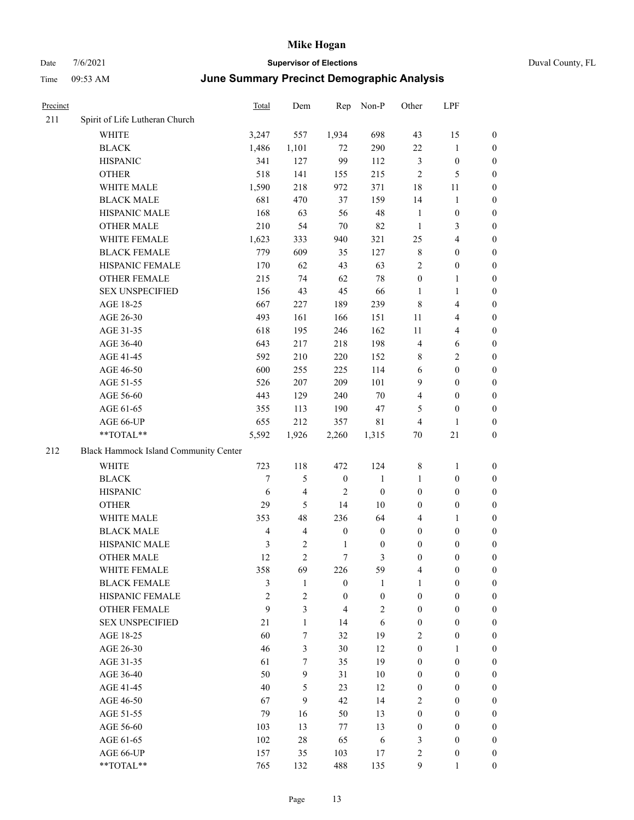#### Date  $7/6/2021$  **Supervisor of Elections Supervisor of Elections** Duval County, FL Time 09:53 AM **June Summary Precinct Demographic Analysis**

| Precinct |                                       | Total        | Dem      |                  | Rep Non-P        | Other            | LPF              |                  |  |
|----------|---------------------------------------|--------------|----------|------------------|------------------|------------------|------------------|------------------|--|
| 211      | Spirit of Life Lutheran Church        |              |          |                  |                  |                  |                  |                  |  |
|          | <b>WHITE</b>                          | 3,247        | 557      | 1,934            | 698              | 43               | 15               | $\mathbf{0}$     |  |
|          | <b>BLACK</b>                          | 1,486        | 1,101    | 72               | 290              | 22               | 1                | $\boldsymbol{0}$ |  |
|          | <b>HISPANIC</b>                       | 341          | 127      | 99               | 112              | 3                | $\boldsymbol{0}$ | $\boldsymbol{0}$ |  |
|          | <b>OTHER</b>                          | 518          | 141      | 155              | 215              | $\overline{2}$   | 5                | $\boldsymbol{0}$ |  |
|          | WHITE MALE                            | 1,590        | 218      | 972              | 371              | 18               | 11               | $\boldsymbol{0}$ |  |
|          | <b>BLACK MALE</b>                     | 681          | 470      | 37               | 159              | 14               | 1                | $\boldsymbol{0}$ |  |
|          | HISPANIC MALE                         | 168          | 63       | 56               | 48               | 1                | $\boldsymbol{0}$ | $\boldsymbol{0}$ |  |
|          | <b>OTHER MALE</b>                     | 210          | 54       | 70               | 82               | $\mathbf{1}$     | 3                | $\boldsymbol{0}$ |  |
|          | WHITE FEMALE                          | 1,623        | 333      | 940              | 321              | 25               | 4                | $\boldsymbol{0}$ |  |
|          | <b>BLACK FEMALE</b>                   | 779          | 609      | 35               | 127              | $\,$ 8 $\,$      | $\mathbf{0}$     | $\boldsymbol{0}$ |  |
|          | HISPANIC FEMALE                       | 170          | 62       | 43               | 63               | $\overline{c}$   | $\theta$         | $\boldsymbol{0}$ |  |
|          | <b>OTHER FEMALE</b>                   | 215          | 74       | 62               | 78               | $\mathbf{0}$     | $\mathbf{1}$     | $\boldsymbol{0}$ |  |
|          | <b>SEX UNSPECIFIED</b>                | 156          | 43       | 45               | 66               | 1                | 1                | $\boldsymbol{0}$ |  |
|          | AGE 18-25                             | 667          | 227      | 189              | 239              | $\,$ 8 $\,$      | 4                | $\boldsymbol{0}$ |  |
|          | AGE 26-30                             | 493          | 161      | 166              | 151              | 11               | 4                | $\boldsymbol{0}$ |  |
|          | AGE 31-35                             | 618          | 195      | 246              | 162              | 11               | 4                | $\boldsymbol{0}$ |  |
|          | AGE 36-40                             | 643          | 217      | 218              | 198              | $\overline{4}$   | 6                | $\boldsymbol{0}$ |  |
|          | AGE 41-45                             | 592          | 210      | 220              | 152              | 8                | 2                | $\boldsymbol{0}$ |  |
|          | AGE 46-50                             | 600          | 255      | 225              | 114              | 6                | $\mathbf{0}$     | $\boldsymbol{0}$ |  |
|          | AGE 51-55                             | 526          | 207      | 209              | 101              | 9                | $\boldsymbol{0}$ | $\boldsymbol{0}$ |  |
|          | AGE 56-60                             | 443          | 129      | 240              | $70\,$           | $\overline{4}$   | $\theta$         | $\boldsymbol{0}$ |  |
|          | AGE 61-65                             | 355          | 113      | 190              | 47               | 5                | $\mathbf{0}$     | $\mathbf{0}$     |  |
|          | AGE 66-UP                             | 655          | 212      | 357              | 81               | $\overline{4}$   | 1                | $\boldsymbol{0}$ |  |
|          | **TOTAL**                             | 5,592        | 1,926    | 2,260            | 1,315            | 70               | 21               | $\mathbf{0}$     |  |
| 212      | Black Hammock Island Community Center |              |          |                  |                  |                  |                  |                  |  |
|          | <b>WHITE</b>                          | 723          | 118      | 472              | 124              | 8                | $\mathbf{1}$     | $\boldsymbol{0}$ |  |
|          | <b>BLACK</b>                          | 7            | 5        | $\boldsymbol{0}$ | $\mathbf{1}$     | $\mathbf{1}$     | $\boldsymbol{0}$ | $\boldsymbol{0}$ |  |
|          | <b>HISPANIC</b>                       | 6            | 4        | 2                | $\boldsymbol{0}$ | $\boldsymbol{0}$ | $\boldsymbol{0}$ | $\boldsymbol{0}$ |  |
|          | <b>OTHER</b>                          | 29           | 5        | 14               | 10               | $\mathbf{0}$     | $\mathbf{0}$     | $\boldsymbol{0}$ |  |
|          | WHITE MALE                            | 353          | 48       | 236              | 64               | 4                | $\mathbf{1}$     | $\boldsymbol{0}$ |  |
|          | <b>BLACK MALE</b>                     | 4            | 4        | $\boldsymbol{0}$ | $\mathbf{0}$     | $\mathbf{0}$     | $\theta$         | $\theta$         |  |
|          | <b>HISPANIC MALE</b>                  | $\mathbf{c}$ | $\gamma$ | $\mathbf{1}$     | $\Omega$         | $\Omega$         | $\Omega$         | $\Omega$         |  |

#### 212 Black Hammock Island Community Center

| ick Hammock Island Community Center |                |                |                |                |                |              |                  |
|-------------------------------------|----------------|----------------|----------------|----------------|----------------|--------------|------------------|
| <b>WHITE</b>                        | 723            | 118            | 472            | 124            | 8              | 1            | $\mathbf{0}$     |
| <b>BLACK</b>                        | 7              | 5              | $\mathbf{0}$   | 1              | 1              | $\theta$     | $\mathbf{0}$     |
| <b>HISPANIC</b>                     | 6              | $\overline{4}$ | $\overline{2}$ | $\theta$       | $\theta$       | $\theta$     | $\mathbf{0}$     |
| <b>OTHER</b>                        | 29             | 5              | 14             | 10             | $\theta$       | $\theta$     | $\mathbf{0}$     |
| <b>WHITE MALE</b>                   | 353            | 48             | 236            | 64             | $\overline{4}$ | 1            | $\mathbf{0}$     |
| <b>BLACK MALE</b>                   | $\overline{4}$ | $\overline{4}$ | $\mathbf{0}$   | $\theta$       | $\theta$       | $\theta$     | $\mathbf{0}$     |
| <b>HISPANIC MALE</b>                | 3              | $\overline{2}$ | 1              | $\theta$       | $\theta$       | $\theta$     | $\mathbf{0}$     |
| <b>OTHER MALE</b>                   | 12             | $\overline{2}$ | 7              | 3              | $\theta$       | $\mathbf{0}$ | $\mathbf{0}$     |
| <b>WHITE FEMALE</b>                 | 358            | 69             | 226            | 59             | 4              | $\mathbf{0}$ | $\mathbf{0}$     |
| <b>BLACK FEMALE</b>                 | 3              | 1              | $\theta$       | 1              | 1              | $\theta$     | $\mathbf{0}$     |
| <b>HISPANIC FEMALE</b>              | $\overline{2}$ | $\overline{2}$ | $\theta$       | $\theta$       | $\mathbf{0}$   | $\theta$     | $\mathbf{0}$     |
| <b>OTHER FEMALE</b>                 | 9              | 3              | 4              | $\overline{2}$ | $\mathbf{0}$   | $\mathbf{0}$ | $\mathbf{0}$     |
| <b>SEX UNSPECIFIED</b>              | 21             | 1              | 14             | 6              | $\theta$       | $\theta$     | $\boldsymbol{0}$ |
| AGE 18-25                           | 60             | 7              | 32             | 19             | $\overline{2}$ | $\theta$     | $\mathbf{0}$     |
| AGE 26-30                           | 46             | 3              | 30             | 12             | $\mathbf{0}$   | 1            | $\boldsymbol{0}$ |
| AGE 31-35                           | 61             | 7              | 35             | 19             | $\theta$       | $\theta$     | $\mathbf{0}$     |
| AGE 36-40                           | 50             | 9              | 31             | 10             | $\theta$       | $\theta$     | $\mathbf{0}$     |
| AGE 41-45                           | 40             | 5              | 23             | 12             | $\theta$       | $\theta$     | $\mathbf{0}$     |
| AGE 46-50                           | 67             | 9              | 42             | 14             | $\overline{2}$ | $\mathbf{0}$ | $\mathbf{0}$     |
| AGE 51-55                           | 79             | 16             | 50             | 13             | $\theta$       | $\theta$     | $\mathbf{0}$     |
| AGE 56-60                           | 103            | 13             | 77             | 13             | $\theta$       | $\theta$     | $\boldsymbol{0}$ |
| AGE 61-65                           | 102            | 28             | 65             | 6              | 3              | $\theta$     | $\theta$         |
| AGE 66-UP                           | 157            | 35             | 103            | 17             | $\overline{2}$ | $\theta$     | $\mathbf{0}$     |
| **TOTAL**                           | 765            | 132            | 488            | 135            | 9              |              | $\mathbf{0}$     |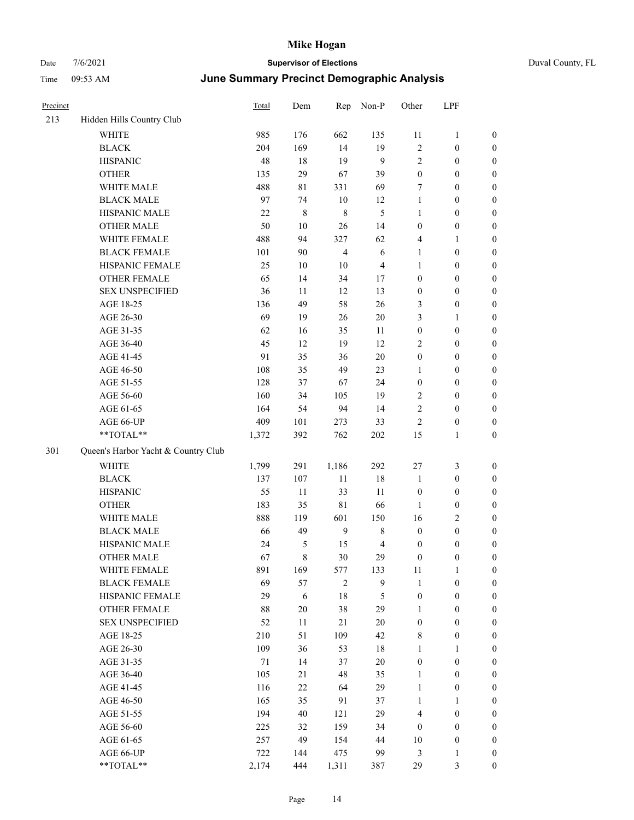| Precinct |                                     | Total  | Dem    | Rep            | Non-P            | Other            | LPF              |                  |
|----------|-------------------------------------|--------|--------|----------------|------------------|------------------|------------------|------------------|
| 213      | Hidden Hills Country Club           |        |        |                |                  |                  |                  |                  |
|          | <b>WHITE</b>                        | 985    | 176    | 662            | 135              | 11               | $\mathbf{1}$     | $\boldsymbol{0}$ |
|          | <b>BLACK</b>                        | 204    | 169    | 14             | 19               | 2                | $\boldsymbol{0}$ | $\boldsymbol{0}$ |
|          | <b>HISPANIC</b>                     | 48     | 18     | 19             | $\mathbf{9}$     | $\mathfrak{2}$   | $\boldsymbol{0}$ | $\boldsymbol{0}$ |
|          | <b>OTHER</b>                        | 135    | 29     | 67             | 39               | $\boldsymbol{0}$ | $\boldsymbol{0}$ | $\boldsymbol{0}$ |
|          | WHITE MALE                          | 488    | 81     | 331            | 69               | 7                | $\boldsymbol{0}$ | 0                |
|          | <b>BLACK MALE</b>                   | 97     | 74     | $10\,$         | 12               | $\mathbf{1}$     | $\boldsymbol{0}$ | $\boldsymbol{0}$ |
|          | HISPANIC MALE                       | $22\,$ | 8      | $\,$ 8 $\,$    | 5                | $\mathbf{1}$     | $\boldsymbol{0}$ | $\boldsymbol{0}$ |
|          | <b>OTHER MALE</b>                   | 50     | $10\,$ | 26             | 14               | $\boldsymbol{0}$ | $\boldsymbol{0}$ | $\boldsymbol{0}$ |
|          | WHITE FEMALE                        | 488    | 94     | 327            | 62               | 4                | $\mathbf{1}$     | $\boldsymbol{0}$ |
|          | <b>BLACK FEMALE</b>                 | 101    | 90     | $\overline{4}$ | $\sqrt{6}$       | $\mathbf{1}$     | $\boldsymbol{0}$ | $\boldsymbol{0}$ |
|          | HISPANIC FEMALE                     | 25     | $10\,$ | $10\,$         | $\overline{4}$   | $\mathbf{1}$     | $\boldsymbol{0}$ | $\boldsymbol{0}$ |
|          | OTHER FEMALE                        | 65     | 14     | 34             | 17               | $\boldsymbol{0}$ | $\boldsymbol{0}$ | $\boldsymbol{0}$ |
|          | <b>SEX UNSPECIFIED</b>              | 36     | 11     | 12             | 13               | $\boldsymbol{0}$ | $\boldsymbol{0}$ | $\boldsymbol{0}$ |
|          | AGE 18-25                           | 136    | 49     | 58             | 26               | 3                | $\boldsymbol{0}$ | $\boldsymbol{0}$ |
|          | AGE 26-30                           | 69     | 19     | 26             | $20\,$           | 3                | $\mathbf{1}$     | 0                |
|          | AGE 31-35                           | 62     | 16     | 35             | 11               | $\boldsymbol{0}$ | $\boldsymbol{0}$ | $\boldsymbol{0}$ |
|          | AGE 36-40                           | 45     | 12     | 19             | 12               | $\overline{c}$   | $\boldsymbol{0}$ | $\boldsymbol{0}$ |
|          | AGE 41-45                           | 91     | 35     | 36             | $20\,$           | $\boldsymbol{0}$ | $\boldsymbol{0}$ | $\boldsymbol{0}$ |
|          | AGE 46-50                           | 108    | 35     | 49             | 23               | 1                | $\boldsymbol{0}$ | $\boldsymbol{0}$ |
|          | AGE 51-55                           | 128    | 37     | 67             | 24               | $\boldsymbol{0}$ | $\boldsymbol{0}$ | $\boldsymbol{0}$ |
|          | AGE 56-60                           | 160    | 34     | 105            | 19               | $\overline{c}$   | $\boldsymbol{0}$ | $\boldsymbol{0}$ |
|          | AGE 61-65                           | 164    | 54     | 94             | 14               | $\overline{c}$   | $\boldsymbol{0}$ | $\boldsymbol{0}$ |
|          | AGE 66-UP                           | 409    | 101    | 273            | 33               | $\overline{c}$   | $\boldsymbol{0}$ | $\boldsymbol{0}$ |
|          | **TOTAL**                           | 1,372  | 392    | 762            | 202              | 15               | $\mathbf{1}$     | $\boldsymbol{0}$ |
| 301      | Queen's Harbor Yacht & Country Club |        |        |                |                  |                  |                  |                  |
|          | WHITE                               | 1,799  | 291    | 1,186          | 292              | 27               | $\mathfrak{Z}$   | $\boldsymbol{0}$ |
|          | <b>BLACK</b>                        | 137    | 107    | 11             | $18\,$           | $\mathbf{1}$     | $\boldsymbol{0}$ | $\boldsymbol{0}$ |
|          | <b>HISPANIC</b>                     | 55     | 11     | 33             | 11               | $\boldsymbol{0}$ | $\boldsymbol{0}$ | 0                |
|          | <b>OTHER</b>                        | 183    | 35     | $8\sqrt{1}$    | 66               | 1                | $\boldsymbol{0}$ | $\boldsymbol{0}$ |
|          | WHITE MALE                          | 888    | 119    | 601            | 150              | 16               | $\sqrt{2}$       | $\boldsymbol{0}$ |
|          | <b>BLACK MALE</b>                   | 66     | 49     | 9              | 8                | $\boldsymbol{0}$ | $\boldsymbol{0}$ | $\boldsymbol{0}$ |
|          | HISPANIC MALE                       | 24     | 5      | 15             | $\overline{4}$   | $\boldsymbol{0}$ | $\boldsymbol{0}$ | $\boldsymbol{0}$ |
|          | <b>OTHER MALE</b>                   | 67     | 8      | 30             | 29               | $\boldsymbol{0}$ | $\boldsymbol{0}$ | $\boldsymbol{0}$ |
|          | WHITE FEMALE                        | 891    | 169    | 577            | 133              | 11               | $\mathbf{1}$     | $\overline{0}$   |
|          | <b>BLACK FEMALE</b>                 | 69     | 57     | $\sqrt{2}$     | $\boldsymbol{9}$ | $\mathbf{1}$     | $\boldsymbol{0}$ | 0                |
|          | HISPANIC FEMALE                     | 29     | 6      | 18             | 5                | $\boldsymbol{0}$ | $\boldsymbol{0}$ | 0                |
|          | <b>OTHER FEMALE</b>                 | 88     | $20\,$ | 38             | 29               | $\mathbf{1}$     | $\boldsymbol{0}$ | 0                |
|          | <b>SEX UNSPECIFIED</b>              | 52     | 11     | 21             | $20\,$           | $\boldsymbol{0}$ | $\boldsymbol{0}$ | 0                |
|          | AGE 18-25                           | 210    | 51     | 109            | 42               | $\,$ 8 $\,$      | $\boldsymbol{0}$ | $\boldsymbol{0}$ |
|          | AGE 26-30                           | 109    | 36     | 53             | $18\,$           | 1                | $\mathbf{1}$     | $\boldsymbol{0}$ |
|          | AGE 31-35                           | 71     | 14     | 37             | $20\,$           | $\boldsymbol{0}$ | $\boldsymbol{0}$ | $\boldsymbol{0}$ |
|          | AGE 36-40                           | 105    | 21     | 48             | 35               | $\mathbf{1}$     | $\boldsymbol{0}$ | $\boldsymbol{0}$ |
|          | AGE 41-45                           | 116    | $22\,$ | 64             | 29               | $\mathbf{1}$     | $\boldsymbol{0}$ | $\boldsymbol{0}$ |
|          | AGE 46-50                           | 165    | 35     | 91             | 37               | $\mathbf{1}$     | $\mathbf{1}$     | $\boldsymbol{0}$ |
|          | AGE 51-55                           | 194    | 40     | 121            | 29               | 4                | $\boldsymbol{0}$ | $\boldsymbol{0}$ |
|          | AGE 56-60                           | 225    | 32     | 159            | 34               | $\boldsymbol{0}$ | $\boldsymbol{0}$ | $\boldsymbol{0}$ |
|          | AGE 61-65                           | 257    | 49     | 154            | 44               | 10               | $\boldsymbol{0}$ | 0                |
|          | AGE 66-UP                           | 722    | 144    | 475            | 99               | 3                | $\mathbf{1}$     | 0                |
|          | $**TOTAL**$                         | 2,174  | 444    | 1,311          | 387              | 29               | $\mathfrak{Z}$   | $\boldsymbol{0}$ |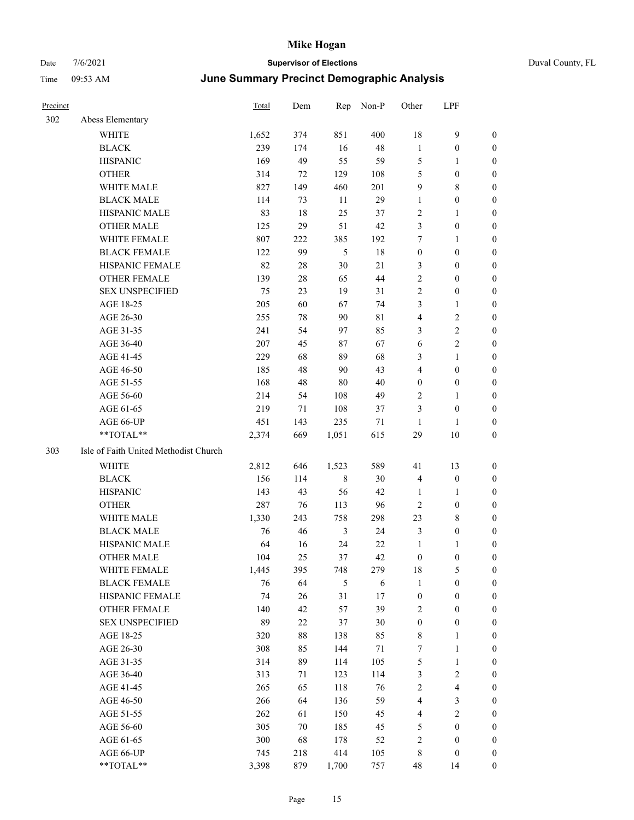| Precinct |                                       | <b>Total</b> | Dem    | Rep        | Non-P  | Other            | LPF              |                  |
|----------|---------------------------------------|--------------|--------|------------|--------|------------------|------------------|------------------|
| 302      | Abess Elementary                      |              |        |            |        |                  |                  |                  |
|          | WHITE                                 | 1,652        | 374    | 851        | 400    | 18               | 9                | $\boldsymbol{0}$ |
|          | <b>BLACK</b>                          | 239          | 174    | 16         | 48     | $\mathbf{1}$     | $\boldsymbol{0}$ | $\boldsymbol{0}$ |
|          | <b>HISPANIC</b>                       | 169          | 49     | 55         | 59     | $\mathfrak{S}$   | 1                | $\boldsymbol{0}$ |
|          | <b>OTHER</b>                          | 314          | 72     | 129        | 108    | 5                | $\boldsymbol{0}$ | $\boldsymbol{0}$ |
|          | WHITE MALE                            | 827          | 149    | 460        | 201    | 9                | 8                | $\boldsymbol{0}$ |
|          | <b>BLACK MALE</b>                     | 114          | 73     | 11         | 29     | 1                | $\boldsymbol{0}$ | $\boldsymbol{0}$ |
|          | HISPANIC MALE                         | 83           | $18\,$ | 25         | 37     | $\sqrt{2}$       | 1                | $\boldsymbol{0}$ |
|          | <b>OTHER MALE</b>                     | 125          | 29     | 51         | 42     | 3                | $\boldsymbol{0}$ | $\boldsymbol{0}$ |
|          | WHITE FEMALE                          | 807          | 222    | 385        | 192    | 7                | 1                | $\boldsymbol{0}$ |
|          | <b>BLACK FEMALE</b>                   | 122          | 99     | 5          | 18     | $\boldsymbol{0}$ | $\boldsymbol{0}$ | $\boldsymbol{0}$ |
|          | HISPANIC FEMALE                       | 82           | 28     | $30\,$     | $21\,$ | 3                | $\boldsymbol{0}$ | $\boldsymbol{0}$ |
|          | <b>OTHER FEMALE</b>                   | 139          | 28     | 65         | 44     | $\sqrt{2}$       | $\boldsymbol{0}$ | $\boldsymbol{0}$ |
|          | <b>SEX UNSPECIFIED</b>                | 75           | 23     | 19         | 31     | $\overline{2}$   | $\boldsymbol{0}$ | $\boldsymbol{0}$ |
|          | AGE 18-25                             | 205          | 60     | 67         | 74     | 3                | 1                | $\boldsymbol{0}$ |
|          | AGE 26-30                             | 255          | 78     | 90         | 81     | $\overline{4}$   | 2                | $\boldsymbol{0}$ |
|          | AGE 31-35                             | 241          | 54     | 97         | 85     | 3                | 2                | $\boldsymbol{0}$ |
|          | AGE 36-40                             | 207          | 45     | 87         | 67     | 6                | 2                | $\boldsymbol{0}$ |
|          | AGE 41-45                             | 229          | 68     | 89         | 68     | 3                | 1                | $\boldsymbol{0}$ |
|          | AGE 46-50                             | 185          | 48     | 90         | 43     | $\overline{4}$   | $\boldsymbol{0}$ | $\boldsymbol{0}$ |
|          | AGE 51-55                             | 168          | 48     | 80         | 40     | $\boldsymbol{0}$ | $\boldsymbol{0}$ | $\boldsymbol{0}$ |
|          | AGE 56-60                             | 214          | 54     | 108        | 49     | $\sqrt{2}$       | 1                | $\boldsymbol{0}$ |
|          | AGE 61-65                             | 219          | 71     | 108        | 37     | 3                | $\boldsymbol{0}$ | $\boldsymbol{0}$ |
|          | AGE 66-UP                             | 451          | 143    | 235        | 71     | 1                | 1                | $\boldsymbol{0}$ |
|          | **TOTAL**                             | 2,374        | 669    | 1,051      | 615    | 29               | 10               | $\boldsymbol{0}$ |
| 303      | Isle of Faith United Methodist Church |              |        |            |        |                  |                  |                  |
|          | WHITE                                 | 2,812        | 646    | 1,523      | 589    | 41               | 13               | $\boldsymbol{0}$ |
|          | <b>BLACK</b>                          | 156          | 114    | 8          | 30     | $\overline{4}$   | $\boldsymbol{0}$ | $\boldsymbol{0}$ |
|          | <b>HISPANIC</b>                       | 143          | 43     | 56         | 42     | 1                | 1                | $\boldsymbol{0}$ |
|          | <b>OTHER</b>                          | 287          | 76     | 113        | 96     | $\sqrt{2}$       | $\boldsymbol{0}$ | $\boldsymbol{0}$ |
|          | WHITE MALE                            | 1,330        | 243    | 758        | 298    | 23               | 8                | $\boldsymbol{0}$ |
|          | <b>BLACK MALE</b>                     | 76           | 46     | 3          | 24     | 3                | $\boldsymbol{0}$ | $\boldsymbol{0}$ |
|          | HISPANIC MALE                         | 64           | 16     | 24         | 22     | $\mathbf{1}$     | 1                | $\boldsymbol{0}$ |
|          | <b>OTHER MALE</b>                     | 104          | 25     | 37         | 42     | $\boldsymbol{0}$ | $\boldsymbol{0}$ | $\boldsymbol{0}$ |
|          | WHITE FEMALE                          | 1,445        | 395    | 748        | 279    | 18               | 5                | $\boldsymbol{0}$ |
|          | <b>BLACK FEMALE</b>                   | 76           | 64     | $\sqrt{5}$ | 6      | 1                | $\boldsymbol{0}$ | $\boldsymbol{0}$ |
|          | HISPANIC FEMALE                       | 74           | 26     | 31         | 17     | $\boldsymbol{0}$ | $\boldsymbol{0}$ | $\boldsymbol{0}$ |
|          | <b>OTHER FEMALE</b>                   | 140          | 42     | 57         | 39     | $\sqrt{2}$       | $\boldsymbol{0}$ | $\boldsymbol{0}$ |
|          | <b>SEX UNSPECIFIED</b>                | 89           | 22     | 37         | 30     | $\boldsymbol{0}$ | $\boldsymbol{0}$ | $\boldsymbol{0}$ |
|          | AGE 18-25                             | 320          | $88\,$ | 138        | 85     | $\,$ 8 $\,$      | 1                | $\boldsymbol{0}$ |
|          | AGE 26-30                             | 308          | 85     | 144        | 71     | $\boldsymbol{7}$ | 1                | $\boldsymbol{0}$ |
|          | AGE 31-35                             | 314          | 89     | 114        | 105    | $\mathfrak s$    | $\mathbf{1}$     | $\boldsymbol{0}$ |
|          | AGE 36-40                             | 313          | 71     | 123        | 114    | 3                | 2                | $\boldsymbol{0}$ |
|          | AGE 41-45                             | 265          | 65     | 118        | 76     | $\sqrt{2}$       | 4                | $\boldsymbol{0}$ |
|          | AGE 46-50                             | 266          | 64     | 136        | 59     | $\overline{4}$   | 3                | $\boldsymbol{0}$ |
|          | AGE 51-55                             | 262          | 61     | 150        | 45     | $\overline{4}$   | $\sqrt{2}$       | $\boldsymbol{0}$ |
|          | AGE 56-60                             | 305          | 70     | 185        | 45     | $\mathfrak s$    | $\boldsymbol{0}$ | $\boldsymbol{0}$ |
|          | AGE 61-65                             | 300          | 68     | 178        | 52     | $\sqrt{2}$       | $\boldsymbol{0}$ | $\boldsymbol{0}$ |
|          | AGE 66-UP                             | 745          | 218    | 414        | 105    | $\,$ 8 $\,$      | $\boldsymbol{0}$ | $\bf{0}$         |
|          | **TOTAL**                             | 3,398        | 879    | 1,700      | 757    | 48               | 14               | $\boldsymbol{0}$ |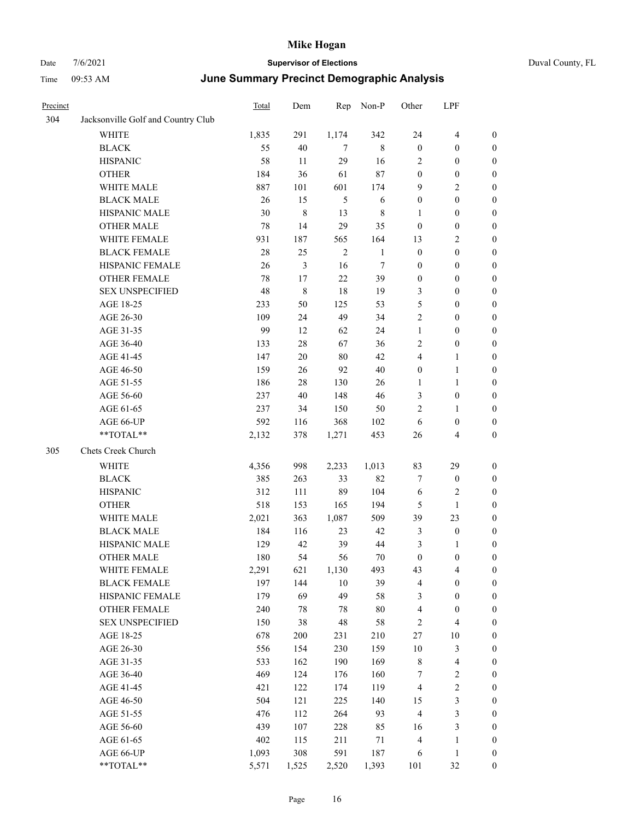| Duval County, FL |  |
|------------------|--|
|                  |  |

| Precinct |                                    | Total      | Dem            | Rep            | Non-P        | Other                | LPF                                   |                  |
|----------|------------------------------------|------------|----------------|----------------|--------------|----------------------|---------------------------------------|------------------|
| 304      | Jacksonville Golf and Country Club |            |                |                |              |                      |                                       |                  |
|          | WHITE                              | 1,835      | 291            | 1,174          | 342          | 24                   | $\overline{\mathbf{4}}$               | $\boldsymbol{0}$ |
|          | <b>BLACK</b>                       | 55         | 40             | $\tau$         | $\,$ 8 $\,$  | $\mathbf{0}$         | $\boldsymbol{0}$                      | $\boldsymbol{0}$ |
|          | <b>HISPANIC</b>                    | 58         | 11             | 29             | 16           | 2                    | $\boldsymbol{0}$                      | 0                |
|          | <b>OTHER</b>                       | 184        | 36             | 61             | 87           | $\boldsymbol{0}$     | $\boldsymbol{0}$                      | $\boldsymbol{0}$ |
|          | WHITE MALE                         | 887        | 101            | 601            | 174          | 9                    | $\sqrt{2}$                            | $\boldsymbol{0}$ |
|          | <b>BLACK MALE</b>                  | 26         | 15             | $\mathfrak s$  | 6            | $\boldsymbol{0}$     | $\boldsymbol{0}$                      | $\boldsymbol{0}$ |
|          | HISPANIC MALE                      | 30         | $\,$ $\,$      | 13             | 8            | $\mathbf{1}$         | $\boldsymbol{0}$                      | $\boldsymbol{0}$ |
|          | <b>OTHER MALE</b>                  | 78         | 14             | 29             | 35           | $\boldsymbol{0}$     | $\boldsymbol{0}$                      | $\boldsymbol{0}$ |
|          | WHITE FEMALE                       | 931        | 187            | 565            | 164          | 13                   | $\sqrt{2}$                            | $\boldsymbol{0}$ |
|          | <b>BLACK FEMALE</b>                | 28         | 25             | $\overline{2}$ | $\mathbf{1}$ | $\boldsymbol{0}$     | $\boldsymbol{0}$                      | $\boldsymbol{0}$ |
|          | HISPANIC FEMALE                    | 26         | $\mathfrak{Z}$ | 16             | $\tau$       | $\boldsymbol{0}$     | $\boldsymbol{0}$                      | $\boldsymbol{0}$ |
|          | OTHER FEMALE                       | 78         | 17             | 22             | 39           | $\boldsymbol{0}$     | $\boldsymbol{0}$                      | 0                |
|          | <b>SEX UNSPECIFIED</b>             | 48         | $\,$ 8 $\,$    | 18             | 19           | 3                    | $\boldsymbol{0}$                      | 0                |
|          | AGE 18-25                          | 233        | 50             | 125            | 53           | 5                    | $\boldsymbol{0}$                      | 0                |
|          | AGE 26-30                          | 109        | 24             | 49             | 34           | 2                    | $\boldsymbol{0}$                      | $\boldsymbol{0}$ |
|          | AGE 31-35                          | 99         | 12             | 62             | 24           | $\mathbf{1}$         | $\boldsymbol{0}$                      | $\boldsymbol{0}$ |
|          | AGE 36-40                          | 133        | 28             | 67             | 36           | $\overline{c}$       | $\boldsymbol{0}$                      | $\boldsymbol{0}$ |
|          | AGE 41-45                          | 147        | 20             | $80\,$         | 42           | 4                    | $\mathbf{1}$                          | $\boldsymbol{0}$ |
|          | AGE 46-50                          | 159        | 26             | 92             | 40           | $\boldsymbol{0}$     | $\mathbf{1}$                          | $\boldsymbol{0}$ |
|          | AGE 51-55                          | 186        | 28             | 130            | 26           | 1                    | $\mathbf{1}$                          | $\boldsymbol{0}$ |
|          | AGE 56-60                          | 237        | 40             | 148            | 46           | 3                    | $\boldsymbol{0}$                      | 0                |
|          | AGE 61-65                          | 237        | 34             | 150            | 50           | $\overline{c}$       | $\mathbf{1}$                          | 0                |
|          | AGE 66-UP                          | 592        | 116            | 368            | 102          | 6                    | $\boldsymbol{0}$                      | 0                |
|          | **TOTAL**                          | 2,132      | 378            | 1,271          | 453          | 26                   | $\overline{4}$                        | $\boldsymbol{0}$ |
| 305      | Chets Creek Church                 |            |                |                |              |                      |                                       |                  |
|          | <b>WHITE</b>                       | 4,356      | 998            | 2,233          | 1,013        | 83                   | 29                                    | $\boldsymbol{0}$ |
|          | <b>BLACK</b>                       | 385        | 263            | 33             | 82           | 7                    | $\boldsymbol{0}$                      | $\boldsymbol{0}$ |
|          | <b>HISPANIC</b>                    | 312        | 111            | 89             | 104          | 6                    | $\sqrt{2}$                            | $\boldsymbol{0}$ |
|          | <b>OTHER</b>                       | 518        | 153            | 165            | 194          | 5                    | $\mathbf{1}$                          | $\boldsymbol{0}$ |
|          | WHITE MALE                         | 2,021      | 363            | 1,087          | 509          | 39                   | 23                                    | $\boldsymbol{0}$ |
|          | <b>BLACK MALE</b>                  | 184        | 116            | 23             | 42           | 3                    | $\boldsymbol{0}$                      | $\boldsymbol{0}$ |
|          | HISPANIC MALE                      | 129        | 42             | 39             | 44           | 3                    | 1                                     | $\boldsymbol{0}$ |
|          | <b>OTHER MALE</b>                  | 180        | 54             | 56             | 70           | $\boldsymbol{0}$     | $\boldsymbol{0}$                      | $\boldsymbol{0}$ |
|          | WHITE FEMALE                       | 2,291      | 621            | 1,130          | 493          | 43                   | $\overline{4}$                        | 0                |
|          | <b>BLACK FEMALE</b>                | 197        | 144            | $10\,$         | 39           | 4                    | $\boldsymbol{0}$                      | 0                |
|          | HISPANIC FEMALE                    | 179        | 69             | 49             | 58           | 3                    | $\boldsymbol{0}$                      | 0                |
|          | <b>OTHER FEMALE</b>                | 240        | 78             | 78             | $80\,$       | 4                    | $\boldsymbol{0}$                      | 0                |
|          | <b>SEX UNSPECIFIED</b>             | 150        | 38             | $48\,$         | 58           | $\overline{c}$       | $\overline{\mathbf{4}}$               | $\boldsymbol{0}$ |
|          | AGE 18-25                          | 678        | 200            | 231            | 210          | 27                   | 10                                    | 0                |
|          | AGE 26-30                          | 556        | 154            | 230            | 159          | 10                   | $\mathfrak{Z}$                        | 0                |
|          | AGE 31-35                          | 533<br>469 | 162            | 190            | 169          | $\,$ 8 $\,$          | $\overline{\mathbf{4}}$<br>$\sqrt{2}$ | 0                |
|          | AGE 36-40<br>AGE 41-45             | 421        | 124<br>122     | 176<br>174     | 160<br>119   | 7<br>$\overline{4}$  | $\sqrt{2}$                            | 0<br>0           |
|          |                                    | 504        |                |                | 140          |                      | $\mathfrak{Z}$                        |                  |
|          | AGE 46-50<br>AGE 51-55             | 476        | 121<br>112     | 225<br>264     | 93           | 15<br>$\overline{4}$ | $\mathfrak{Z}$                        | 0<br>0           |
|          | AGE 56-60                          | 439        | 107            | 228            | 85           | 16                   | $\mathfrak{Z}$                        | $\boldsymbol{0}$ |
|          | AGE 61-65                          | 402        | 115            | 211            | 71           | 4                    | $\mathbf{1}$                          | $\boldsymbol{0}$ |
|          | AGE 66-UP                          | 1,093      | 308            | 591            | 187          | 6                    | $\mathbf{1}$                          | $\boldsymbol{0}$ |
|          | $**TOTAL**$                        | 5,571      | 1,525          | 2,520          | 1,393        | 101                  | $32\,$                                | $\boldsymbol{0}$ |
|          |                                    |            |                |                |              |                      |                                       |                  |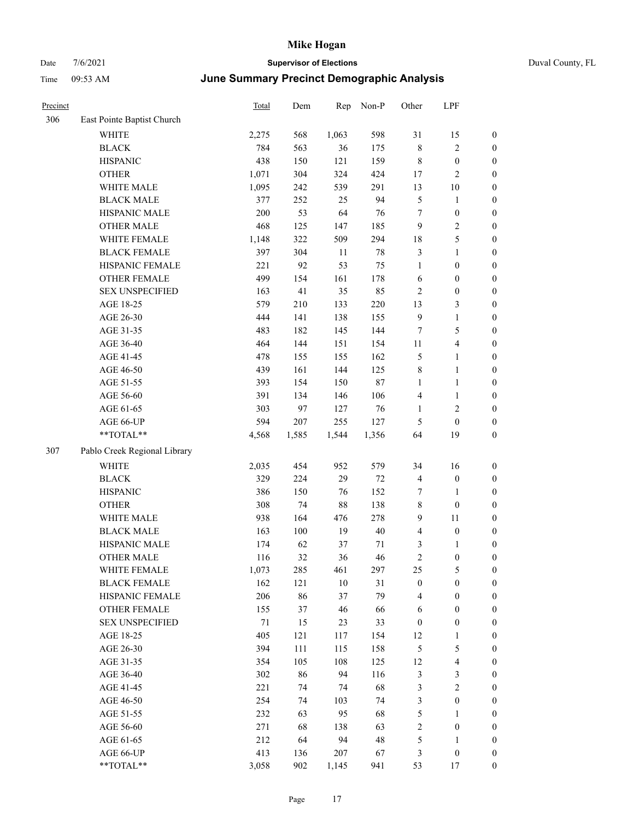## Date 7/6/2021 **Supervisor of Elections** Duval County, FL Time 09:53 AM **June Summary Precinct Demographic Analysis**

| Precinct |                              | Total  | Dem     | Rep    | Non-P  | Other                   | LPF              |                  |
|----------|------------------------------|--------|---------|--------|--------|-------------------------|------------------|------------------|
| 306      | East Pointe Baptist Church   |        |         |        |        |                         |                  |                  |
|          | <b>WHITE</b>                 | 2,275  | 568     | 1,063  | 598    | 31                      | 15               | $\boldsymbol{0}$ |
|          | <b>BLACK</b>                 | 784    | 563     | 36     | 175    | $\,$ 8 $\,$             | $\sqrt{2}$       | $\boldsymbol{0}$ |
|          | <b>HISPANIC</b>              | 438    | 150     | 121    | 159    | $\,$ $\,$               | $\boldsymbol{0}$ | $\boldsymbol{0}$ |
|          | <b>OTHER</b>                 | 1,071  | 304     | 324    | 424    | 17                      | $\overline{c}$   | $\boldsymbol{0}$ |
|          | WHITE MALE                   | 1,095  | 242     | 539    | 291    | 13                      | 10               | $\boldsymbol{0}$ |
|          | <b>BLACK MALE</b>            | 377    | 252     | 25     | 94     | 5                       | 1                | $\boldsymbol{0}$ |
|          | HISPANIC MALE                | 200    | 53      | 64     | 76     | $\tau$                  | $\boldsymbol{0}$ | $\boldsymbol{0}$ |
|          | <b>OTHER MALE</b>            | 468    | 125     | 147    | 185    | 9                       | $\sqrt{2}$       | $\boldsymbol{0}$ |
|          | WHITE FEMALE                 | 1,148  | 322     | 509    | 294    | 18                      | 5                | $\boldsymbol{0}$ |
|          | <b>BLACK FEMALE</b>          | 397    | 304     | 11     | 78     | $\mathfrak{Z}$          | $\mathbf{1}$     | $\boldsymbol{0}$ |
|          | HISPANIC FEMALE              | 221    | 92      | 53     | 75     | 1                       | $\boldsymbol{0}$ | $\boldsymbol{0}$ |
|          | OTHER FEMALE                 | 499    | 154     | 161    | 178    | 6                       | $\boldsymbol{0}$ | $\boldsymbol{0}$ |
|          | <b>SEX UNSPECIFIED</b>       | 163    | 41      | 35     | 85     | $\mathfrak{2}$          | $\boldsymbol{0}$ | $\boldsymbol{0}$ |
|          | AGE 18-25                    | 579    | 210     | 133    | 220    | 13                      | 3                | $\boldsymbol{0}$ |
|          | AGE 26-30                    | 444    | 141     | 138    | 155    | 9                       | $\mathbf{1}$     | $\boldsymbol{0}$ |
|          | AGE 31-35                    | 483    | 182     | 145    | 144    | $\tau$                  | 5                | $\boldsymbol{0}$ |
|          | AGE 36-40                    | 464    | 144     | 151    | 154    | 11                      | 4                | $\boldsymbol{0}$ |
|          | AGE 41-45                    | 478    | 155     | 155    | 162    | 5                       | 1                | $\boldsymbol{0}$ |
|          | AGE 46-50                    | 439    | 161     | 144    | 125    | $\,$ 8 $\,$             | $\mathbf{1}$     | $\boldsymbol{0}$ |
|          | AGE 51-55                    | 393    | 154     | 150    | 87     | $\mathbf{1}$            | $\mathbf{1}$     | $\boldsymbol{0}$ |
|          | AGE 56-60                    | 391    | 134     | 146    | 106    | $\overline{4}$          | $\mathbf{1}$     | $\boldsymbol{0}$ |
|          | AGE 61-65                    | 303    | 97      | 127    | 76     | $\mathbf{1}$            | $\overline{c}$   | $\boldsymbol{0}$ |
|          | AGE 66-UP                    | 594    | $207\,$ | 255    | 127    | 5                       | $\boldsymbol{0}$ | $\boldsymbol{0}$ |
|          | $**TOTAL**$                  | 4,568  | 1,585   | 1,544  | 1,356  | 64                      | 19               | $\boldsymbol{0}$ |
| 307      | Pablo Creek Regional Library |        |         |        |        |                         |                  |                  |
|          | WHITE                        | 2,035  | 454     | 952    | 579    | 34                      | 16               | $\boldsymbol{0}$ |
|          | <b>BLACK</b>                 | 329    | 224     | 29     | 72     | $\overline{4}$          | $\boldsymbol{0}$ | $\boldsymbol{0}$ |
|          | <b>HISPANIC</b>              | 386    | 150     | 76     | 152    | 7                       | 1                | $\boldsymbol{0}$ |
|          | <b>OTHER</b>                 | 308    | 74      | 88     | 138    | $\,$ 8 $\,$             | $\mathbf{0}$     | $\boldsymbol{0}$ |
|          | WHITE MALE                   | 938    | 164     | 476    | 278    | 9                       | 11               | $\boldsymbol{0}$ |
|          | <b>BLACK MALE</b>            | 163    | 100     | 19     | $40\,$ | $\overline{4}$          | $\boldsymbol{0}$ | $\boldsymbol{0}$ |
|          | HISPANIC MALE                | 174    | 62      | 37     | 71     | 3                       | $\mathbf{1}$     | $\boldsymbol{0}$ |
|          | <b>OTHER MALE</b>            | 116    | 32      | 36     | 46     | $\overline{c}$          | $\boldsymbol{0}$ | $\boldsymbol{0}$ |
|          | WHITE FEMALE                 | 1,073  | 285     | 461    | 297    | 25                      | $\mathfrak s$    | $\boldsymbol{0}$ |
|          | <b>BLACK FEMALE</b>          | 162    | 121     | $10\,$ | 31     | $\boldsymbol{0}$        | $\boldsymbol{0}$ | $\boldsymbol{0}$ |
|          | HISPANIC FEMALE              | 206    | 86      | 37     | 79     | $\overline{\mathbf{4}}$ | $\boldsymbol{0}$ | $\boldsymbol{0}$ |
|          | OTHER FEMALE                 | 155    | 37      | 46     | 66     | 6                       | $\boldsymbol{0}$ | $\boldsymbol{0}$ |
|          | <b>SEX UNSPECIFIED</b>       | $71\,$ | 15      | 23     | 33     | $\boldsymbol{0}$        | $\boldsymbol{0}$ | $\boldsymbol{0}$ |
|          | AGE 18-25                    | 405    | 121     | 117    | 154    | 12                      | $\mathbf{1}$     | $\boldsymbol{0}$ |
|          | AGE 26-30                    | 394    | 111     | 115    | 158    | $\mathfrak{S}$          | 5                | $\boldsymbol{0}$ |
|          | AGE 31-35                    | 354    | 105     | 108    | 125    | 12                      | 4                | $\boldsymbol{0}$ |
|          | AGE 36-40                    | 302    | 86      | 94     | 116    | $\mathfrak{Z}$          | 3                | $\boldsymbol{0}$ |
|          | AGE 41-45                    | 221    | 74      | 74     | 68     | 3                       | $\sqrt{2}$       | $\boldsymbol{0}$ |
|          | AGE 46-50                    | 254    | 74      | 103    | 74     | 3                       | $\boldsymbol{0}$ | $\boldsymbol{0}$ |

AGE 51-55 232 63 95 68 5 1 0 AGE 56-60 271 68 138 63 2 0 0 AGE 61-65 212 64 94 48 5 1 0 AGE 66-UP 413 136 207 67 3 0 0 \*\*TOTAL\*\* 3,058 902 1,145 941 53 17 0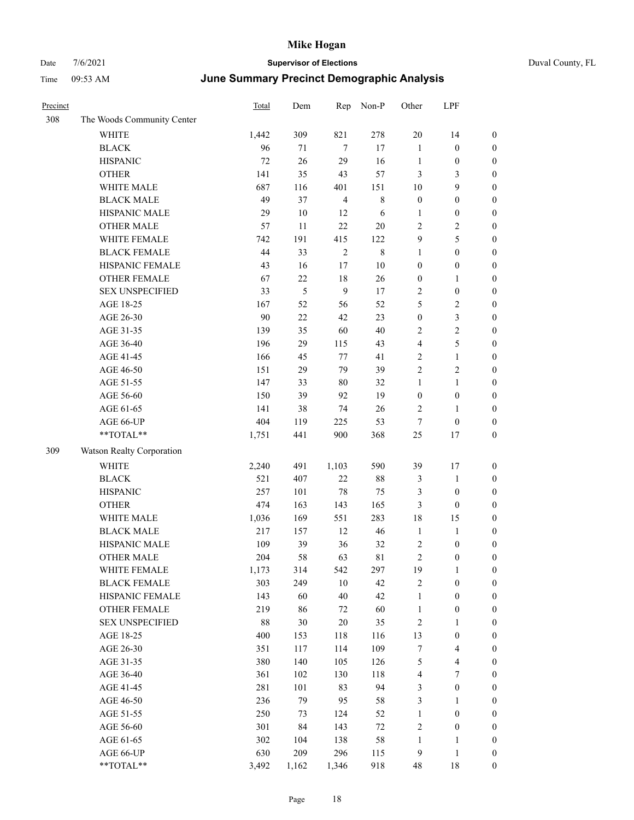| Precinct |                            | <b>Total</b> | Dem           | Rep            | Non-P       | Other            | LPF              |                  |
|----------|----------------------------|--------------|---------------|----------------|-------------|------------------|------------------|------------------|
| 308      | The Woods Community Center |              |               |                |             |                  |                  |                  |
|          | WHITE                      | 1,442        | 309           | 821            | 278         | $20\,$           | 14               | $\boldsymbol{0}$ |
|          | <b>BLACK</b>               | 96           | 71            | 7              | $17\,$      | $\mathbf{1}$     | $\boldsymbol{0}$ | $\boldsymbol{0}$ |
|          | <b>HISPANIC</b>            | 72           | 26            | 29             | 16          | $\mathbf{1}$     | $\boldsymbol{0}$ | $\boldsymbol{0}$ |
|          | <b>OTHER</b>               | 141          | 35            | 43             | 57          | 3                | $\mathfrak{Z}$   | $\boldsymbol{0}$ |
|          | WHITE MALE                 | 687          | 116           | 401            | 151         | 10               | $\boldsymbol{9}$ | $\boldsymbol{0}$ |
|          | <b>BLACK MALE</b>          | 49           | 37            | $\overline{4}$ | $\,$ 8 $\,$ | $\boldsymbol{0}$ | $\boldsymbol{0}$ | $\boldsymbol{0}$ |
|          | HISPANIC MALE              | 29           | $10\,$        | 12             | 6           | $\mathbf{1}$     | $\boldsymbol{0}$ | $\boldsymbol{0}$ |
|          | <b>OTHER MALE</b>          | 57           | 11            | 22             | $20\,$      | $\mathbf{2}$     | $\sqrt{2}$       | $\boldsymbol{0}$ |
|          | WHITE FEMALE               | 742          | 191           | 415            | 122         | 9                | $\mathfrak s$    | $\boldsymbol{0}$ |
|          | <b>BLACK FEMALE</b>        | 44           | 33            | $\sqrt{2}$     | 8           | $\mathbf{1}$     | $\boldsymbol{0}$ | $\boldsymbol{0}$ |
|          | HISPANIC FEMALE            | 43           | 16            | 17             | 10          | $\boldsymbol{0}$ | $\boldsymbol{0}$ | $\boldsymbol{0}$ |
|          | OTHER FEMALE               | 67           | 22            | $18\,$         | 26          | $\boldsymbol{0}$ | $\mathbf{1}$     | $\boldsymbol{0}$ |
|          | <b>SEX UNSPECIFIED</b>     | 33           | $\mathfrak s$ | 9              | $17\,$      | $\mathbf{2}$     | $\boldsymbol{0}$ | $\boldsymbol{0}$ |
|          | AGE 18-25                  | 167          | 52            | 56             | 52          | 5                | $\sqrt{2}$       | $\boldsymbol{0}$ |
|          | AGE 26-30                  | 90           | $22\,$        | 42             | 23          | $\boldsymbol{0}$ | $\mathfrak{Z}$   | $\boldsymbol{0}$ |
|          | AGE 31-35                  | 139          | 35            | 60             | 40          | 2                | $\sqrt{2}$       | 0                |
|          | AGE 36-40                  | 196          | 29            | 115            | 43          | 4                | $\mathfrak s$    | 0                |
|          | AGE 41-45                  | 166          | 45            | 77             | 41          | $\overline{c}$   | $\mathbf{1}$     | $\boldsymbol{0}$ |
|          | AGE 46-50                  | 151          | 29            | 79             | 39          | $\overline{c}$   | $\sqrt{2}$       | $\boldsymbol{0}$ |
|          | AGE 51-55                  | 147          | 33            | 80             | 32          | $\mathbf{1}$     | $\mathbf{1}$     | $\boldsymbol{0}$ |
|          | AGE 56-60                  | 150          | 39            | 92             | 19          | $\boldsymbol{0}$ | $\boldsymbol{0}$ | $\boldsymbol{0}$ |
|          | AGE 61-65                  | 141          | 38            | 74             | 26          | $\overline{c}$   | $\mathbf{1}$     | $\boldsymbol{0}$ |
|          | AGE 66-UP                  | 404          | 119           | 225            | 53          | $\tau$           | $\boldsymbol{0}$ | $\boldsymbol{0}$ |
|          | **TOTAL**                  | 1,751        | 441           | 900            | 368         | 25               | 17               | $\boldsymbol{0}$ |
| 309      | Watson Realty Corporation  |              |               |                |             |                  |                  |                  |
|          | <b>WHITE</b>               | 2,240        | 491           | 1,103          | 590         | 39               | 17               | $\boldsymbol{0}$ |
|          | <b>BLACK</b>               | 521          | 407           | $22\,$         | $88\,$      | 3                | $\mathbf{1}$     | $\boldsymbol{0}$ |
|          | <b>HISPANIC</b>            | 257          | 101           | $78\,$         | 75          | 3                | $\boldsymbol{0}$ | 0                |
|          | <b>OTHER</b>               | 474          | 163           | 143            | 165         | 3                | $\boldsymbol{0}$ | 0                |
|          | WHITE MALE                 | 1,036        | 169           | 551            | 283         | 18               | 15               | $\boldsymbol{0}$ |
|          | <b>BLACK MALE</b>          | 217          | 157           | 12             | 46          | $\mathbf{1}$     | $\mathbf{1}$     | $\boldsymbol{0}$ |
|          | HISPANIC MALE              | 109          | 39            | 36             | 32          | $\boldsymbol{2}$ | $\boldsymbol{0}$ | $\boldsymbol{0}$ |
|          | <b>OTHER MALE</b>          | 204          | 58            | 63             | 81          | $\overline{c}$   | $\boldsymbol{0}$ | $\boldsymbol{0}$ |
|          | WHITE FEMALE               | 1,173        | 314           | 542            | 297         | 19               | $\mathbf{1}$     | $\overline{0}$   |
|          | <b>BLACK FEMALE</b>        | 303          | 249           | $10\,$         | 42          | $\overline{c}$   | $\boldsymbol{0}$ | $\overline{0}$   |
|          | HISPANIC FEMALE            | 143          | 60            | $40\,$         | 42          | $\mathbf{1}$     | $\boldsymbol{0}$ | 0                |
|          | OTHER FEMALE               | 219          | 86            | 72             | 60          | $\mathbf{1}$     | $\boldsymbol{0}$ | 0                |
|          | <b>SEX UNSPECIFIED</b>     | 88           | 30            | $20\,$         | 35          | $\sqrt{2}$       | $\mathbf{1}$     | 0                |
|          | AGE 18-25                  | 400          | 153           | 118            | 116         | 13               | $\boldsymbol{0}$ | 0                |
|          | AGE 26-30                  | 351          | 117           | 114            | 109         | $\boldsymbol{7}$ | $\overline{4}$   | $\boldsymbol{0}$ |
|          | AGE 31-35                  | 380          | 140           | 105            | 126         | 5                | $\overline{4}$   | $\boldsymbol{0}$ |
|          | AGE 36-40                  | 361          | 102           | 130            | 118         | 4                | $\boldsymbol{7}$ | $\boldsymbol{0}$ |
|          | AGE 41-45                  | 281          | 101           | 83             | 94          | 3                | $\boldsymbol{0}$ | $\boldsymbol{0}$ |
|          | AGE 46-50                  | 236          | 79            | 95             | 58          | 3                | $\mathbf{1}$     | $\overline{0}$   |
|          | AGE 51-55                  | 250          | 73            | 124            | 52          | $\mathbf{1}$     | $\boldsymbol{0}$ | $\boldsymbol{0}$ |
|          | AGE 56-60                  | 301          | 84            | 143            | $72\,$      | $\sqrt{2}$       | $\boldsymbol{0}$ | $\overline{0}$   |
|          | AGE 61-65                  | 302          | 104           | 138            | 58          | $\mathbf{1}$     | $\mathbf{1}$     | 0                |
|          | AGE 66-UP                  | 630          | 209           | 296            | 115         | 9                | $\mathbf{1}$     | 0                |
|          | **TOTAL**                  | 3,492        | 1,162         | 1,346          | 918         | $\sqrt{48}$      | 18               | $\boldsymbol{0}$ |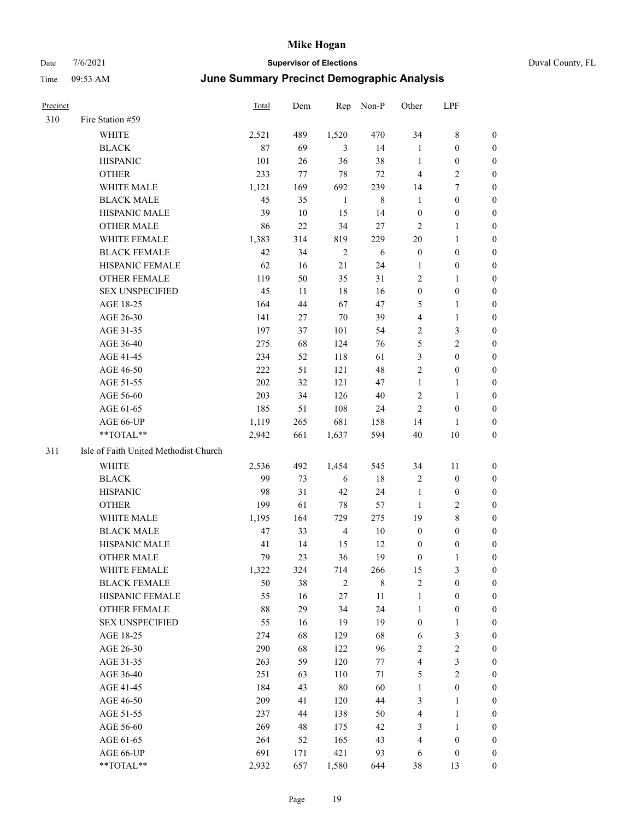## Date 7/6/2021 **Supervisor of Elections** Duval County, FL Time 09:53 AM **June Summary Precinct Demographic Analysis**

## Precinct Total Dem Rep Non-P Other LPF 310 Fire Station #59 WHITE 2,521 489 1,520 470 34 8 0 BLACK 87 69 3 14 1 0 0

|     | DLAUN                                 | $\circ$    | 0Y       | $\mathcal{L}$  | 14          | T                       | v                | v                |
|-----|---------------------------------------|------------|----------|----------------|-------------|-------------------------|------------------|------------------|
|     | <b>HISPANIC</b>                       | 101        | 26       | 36             | 38          | 1                       | $\boldsymbol{0}$ | $\boldsymbol{0}$ |
|     | <b>OTHER</b>                          | 233        | 77       | $78\,$         | $72\,$      | $\overline{4}$          | $\mathbf{2}$     | $\boldsymbol{0}$ |
|     | WHITE MALE                            | 1,121      | 169      | 692            | 239         | 14                      | $\boldsymbol{7}$ | 0                |
|     | <b>BLACK MALE</b>                     | 45         | 35       | $\mathbf{1}$   | $\,$ 8 $\,$ | $\mathbf{1}$            | $\boldsymbol{0}$ | 0                |
|     | HISPANIC MALE                         | 39         | 10       | 15             | 14          | $\boldsymbol{0}$        | $\boldsymbol{0}$ | $\boldsymbol{0}$ |
|     | <b>OTHER MALE</b>                     | 86         | 22       | 34             | 27          | $\mathbf{2}$            | $\mathbf{1}$     | $\boldsymbol{0}$ |
|     | WHITE FEMALE                          | 1,383      | 314      | 819            | 229         | $20\,$                  | $\mathbf{1}$     | $\boldsymbol{0}$ |
|     | <b>BLACK FEMALE</b>                   | $42\,$     | 34       | $\sqrt{2}$     | 6           | $\boldsymbol{0}$        | $\boldsymbol{0}$ | 0                |
|     | HISPANIC FEMALE                       | 62         | 16       | 21             | 24          | $\mathbf{1}$            | $\boldsymbol{0}$ | $\boldsymbol{0}$ |
|     | OTHER FEMALE                          | 119        | 50       | 35             | 31          | $\mathbf{2}$            | $\mathbf{1}$     | $\boldsymbol{0}$ |
|     | <b>SEX UNSPECIFIED</b>                | 45         | 11       | $18\,$         | 16          | $\boldsymbol{0}$        | $\boldsymbol{0}$ | 0                |
|     | AGE 18-25                             | 164        | 44       | 67             | 47          | 5                       | 1                | 0                |
|     | AGE 26-30                             | 141        | 27       | 70             | 39          | $\overline{\mathbf{4}}$ | $\mathbf{1}$     | 0                |
|     | AGE 31-35                             | 197        | 37       | 101            | 54          | $\overline{c}$          | $\mathfrak{Z}$   | 0                |
|     | AGE 36-40                             | 275        | 68       | 124            | 76          | $\mathfrak{S}$          | $\mathbf{2}$     | 0                |
|     | AGE 41-45                             | 234        | 52       | 118            | 61          | 3                       | $\boldsymbol{0}$ | $\boldsymbol{0}$ |
|     | AGE 46-50                             | 222        | 51       | 121            | 48          | $\sqrt{2}$              | $\boldsymbol{0}$ | $\boldsymbol{0}$ |
|     | AGE 51-55                             | 202        | 32       | 121            | 47          | $\mathbf{1}$            | $\mathbf{1}$     | 0                |
|     | AGE 56-60                             | 203        | 34       | 126            | 40          | $\sqrt{2}$              | $\mathbf{1}$     | $\boldsymbol{0}$ |
|     | AGE 61-65                             | 185        | 51       | 108            | 24          | $\overline{2}$          | $\boldsymbol{0}$ | $\boldsymbol{0}$ |
|     | AGE 66-UP                             | 1,119      | 265      | 681            | 158         | 14                      | 1                | 0                |
|     | **TOTAL**                             | 2,942      | 661      | 1,637          | 594         | $40\,$                  | $10\,$           | 0                |
| 311 | Isle of Faith United Methodist Church |            |          |                |             |                         |                  |                  |
|     | WHITE                                 | 2,536      | 492      | 1,454          | 545         | 34                      | 11               | $\boldsymbol{0}$ |
|     | <b>BLACK</b>                          | 99         | 73       | 6              | $18\,$      | $\sqrt{2}$              | $\boldsymbol{0}$ | 0                |
|     | <b>HISPANIC</b>                       | 98         | 31       | 42             | 24          | $\mathbf{1}$            | $\boldsymbol{0}$ | 0                |
|     | <b>OTHER</b>                          | 199        | 61       | 78             | 57          | 1                       | 2                | 0                |
|     | WHITE MALE                            | 1,195      | 164      | 729            | 275         | 19                      | $\,$ 8 $\,$      | $\boldsymbol{0}$ |
|     | <b>BLACK MALE</b>                     | 47         | 33       | $\overline{4}$ | $10\,$      | $\boldsymbol{0}$        | $\boldsymbol{0}$ | $\boldsymbol{0}$ |
|     | HISPANIC MALE                         | 41         | 14       | 15             | 12          | $\boldsymbol{0}$        | $\boldsymbol{0}$ | 0                |
|     | <b>OTHER MALE</b>                     | 79         | 23       | 36             | 19          | $\boldsymbol{0}$        | $\mathbf{1}$     | 0                |
|     | WHITE FEMALE                          | 1,322      | 324      | 714            | 266         | 15                      | 3                | 0                |
|     | <b>BLACK FEMALE</b>                   | 50         | 38       | $\overline{2}$ | $\,8\,$     | $\sqrt{2}$              | $\boldsymbol{0}$ | $\boldsymbol{0}$ |
|     | HISPANIC FEMALE                       | 55         | 16       | 27             | 11          | $\mathbf{1}$            | 0                | 0                |
|     | OTHER FEMALE                          | 88         | 29       | 34             | 24          | 1                       | $\boldsymbol{0}$ | 0                |
|     | <b>SEX UNSPECIFIED</b>                | 55         | 16       | 19             | 19          | $\boldsymbol{0}$        | $\mathbf{1}$     | 0                |
|     | AGE 18-25                             | 274        | 68       | 129            | 68          | $\sqrt{6}$              | 3                | 0                |
|     | AGE 26-30                             | 290        | 68       | 122            | 96          | $\sqrt{2}$              | $\overline{c}$   | $\overline{0}$   |
|     | AGE 31-35                             | 263        | 59       | 120            | 77          | $\overline{4}$          | 3                | 0                |
|     |                                       |            |          |                |             |                         | $\overline{c}$   | 0                |
|     | AGE 36-40<br>AGE 41-45                | 251<br>184 | 63<br>43 | 110<br>$80\,$  | 71<br>60    | 5<br>$\mathbf{1}$       | $\boldsymbol{0}$ | 0                |
|     | AGE 46-50                             | 209        |          |                | 44          |                         | $\mathbf{1}$     |                  |
|     |                                       |            | 41       | 120            |             | 3                       |                  | 0                |
|     | AGE 51-55                             | 237        | 44       | 138            | 50          | $\overline{\mathbf{4}}$ | $\mathbf{1}$     | 0                |
|     | AGE 56-60                             | 269        | 48       | 175            | 42          | $\mathfrak{Z}$          | $\mathbf{1}$     | 0                |
|     | AGE 61-65                             | 264        | 52       | 165            | 43          | $\overline{4}$          | $\boldsymbol{0}$ | 0                |
|     | AGE 66-UP                             | 691        | 171      | 421            | 93          | 6                       | $\boldsymbol{0}$ | 0                |
|     | **TOTAL**                             | 2,932      | 657      | 1,580          | 644         | 38                      | 13               | $\boldsymbol{0}$ |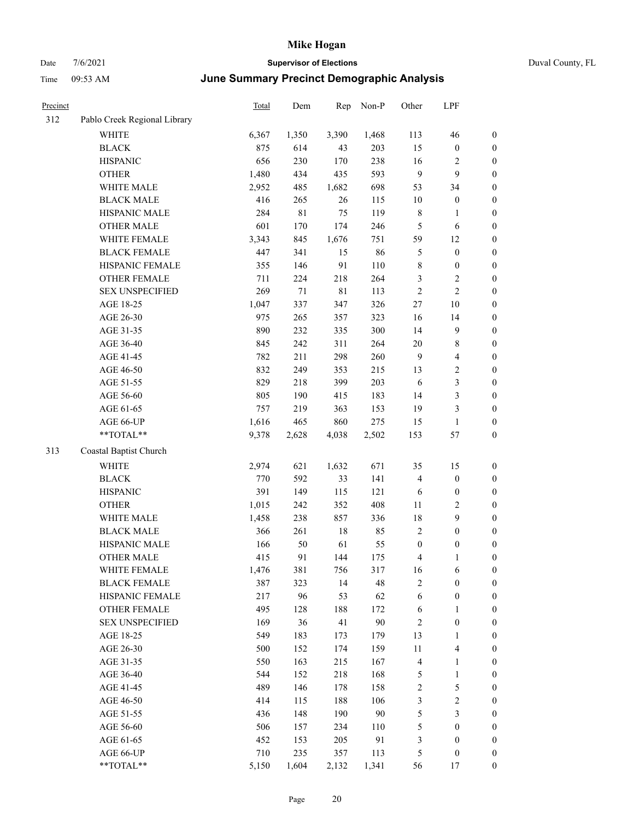|  | Duval County, FL |
|--|------------------|
|--|------------------|

| Precinct |                                                           | <b>Total</b> | Dem    | Rep         | Non-P | Other            | LPF                     |                  |
|----------|-----------------------------------------------------------|--------------|--------|-------------|-------|------------------|-------------------------|------------------|
| 312      | Pablo Creek Regional Library                              |              |        |             |       |                  |                         |                  |
|          | WHITE                                                     | 6,367        | 1,350  | 3,390       | 1,468 | 113              | 46                      | $\boldsymbol{0}$ |
|          | <b>BLACK</b>                                              | 875          | 614    | 43          | 203   | 15               | $\boldsymbol{0}$        | $\boldsymbol{0}$ |
|          | <b>HISPANIC</b>                                           | 656          | 230    | 170         | 238   | 16               | $\overline{c}$          | 0                |
|          | <b>OTHER</b>                                              | 1,480        | 434    | 435         | 593   | 9                | 9                       | $\boldsymbol{0}$ |
|          | WHITE MALE                                                | 2,952        | 485    | 1,682       | 698   | 53               | 34                      | $\boldsymbol{0}$ |
|          | <b>BLACK MALE</b>                                         | 416          | 265    | 26          | 115   | 10               | $\boldsymbol{0}$        | $\boldsymbol{0}$ |
|          | HISPANIC MALE                                             | 284          | 81     | 75          | 119   | $\,$ 8 $\,$      | $\mathbf{1}$            | $\boldsymbol{0}$ |
|          | <b>OTHER MALE</b>                                         | 601          | 170    | 174         | 246   | 5                | 6                       | $\boldsymbol{0}$ |
|          | WHITE FEMALE                                              | 3,343        | 845    | 1,676       | 751   | 59               | 12                      | $\boldsymbol{0}$ |
|          | <b>BLACK FEMALE</b>                                       | 447          | 341    | 15          | 86    | $\mathfrak s$    | $\boldsymbol{0}$        | $\boldsymbol{0}$ |
|          | HISPANIC FEMALE                                           | 355          | 146    | 91          | 110   | 8                | $\boldsymbol{0}$        | 0                |
|          | OTHER FEMALE                                              | 711          | 224    | 218         | 264   | 3                | $\sqrt{2}$              | 0                |
|          | <b>SEX UNSPECIFIED</b>                                    | 269          | $71\,$ | $8\sqrt{1}$ | 113   | $\sqrt{2}$       | $\sqrt{2}$              | $\boldsymbol{0}$ |
|          | AGE 18-25                                                 | 1,047        | 337    | 347         | 326   | 27               | 10                      | $\boldsymbol{0}$ |
|          | AGE 26-30                                                 | 975          | 265    | 357         | 323   | 16               | 14                      | $\boldsymbol{0}$ |
|          | AGE 31-35                                                 | 890          | 232    | 335         | 300   | 14               | 9                       | $\boldsymbol{0}$ |
|          | AGE 36-40                                                 | 845          | 242    | 311         | 264   | 20               | $8\,$                   | $\boldsymbol{0}$ |
|          | AGE 41-45                                                 | 782          | 211    | 298         | 260   | $\overline{9}$   | $\overline{\mathbf{4}}$ | $\boldsymbol{0}$ |
|          | AGE 46-50                                                 | 832          | 249    | 353         | 215   | 13               | $\sqrt{2}$              | $\boldsymbol{0}$ |
|          | AGE 51-55                                                 | 829          | 218    | 399         | 203   | 6                | $\mathfrak{Z}$          | $\boldsymbol{0}$ |
|          | AGE 56-60                                                 | 805          | 190    | 415         | 183   | 14               | $\mathfrak{Z}$          | 0                |
|          | AGE 61-65                                                 | 757          | 219    | 363         | 153   | 19               | $\mathfrak{Z}$          | 0                |
|          | AGE 66-UP                                                 | 1,616        | 465    | 860         | 275   | 15               | $\mathbf{1}$            | 0                |
|          | **TOTAL**                                                 | 9,378        | 2,628  | 4,038       | 2,502 | 153              | 57                      | $\boldsymbol{0}$ |
| 313      | Coastal Baptist Church                                    |              |        |             |       |                  |                         |                  |
|          | <b>WHITE</b>                                              | 2,974        | 621    | 1,632       | 671   | 35               | 15                      | $\boldsymbol{0}$ |
|          | <b>BLACK</b>                                              | 770          | 592    | 33          | 141   | 4                | $\boldsymbol{0}$        | $\boldsymbol{0}$ |
|          | <b>HISPANIC</b>                                           | 391          | 149    | 115         | 121   | 6                | $\boldsymbol{0}$        | $\boldsymbol{0}$ |
|          | <b>OTHER</b>                                              | 1,015        | 242    | 352         | 408   | 11               | $\sqrt{2}$              | $\boldsymbol{0}$ |
|          | WHITE MALE                                                | 1,458        | 238    | 857         | 336   | 18               | $\mathbf{9}$            | $\boldsymbol{0}$ |
|          | <b>BLACK MALE</b>                                         | 366          | 261    | 18          | 85    | $\sqrt{2}$       | $\boldsymbol{0}$        | $\boldsymbol{0}$ |
|          | HISPANIC MALE                                             | 166          | 50     | 61          | 55    | $\boldsymbol{0}$ | $\boldsymbol{0}$        | $\boldsymbol{0}$ |
|          | <b>OTHER MALE</b>                                         | 415          | 91     | 144         | 175   | 4                | 1                       | $\boldsymbol{0}$ |
|          | WHITE FEMALE                                              | 1,476        | 381    | 756         | 317   | 16               | 6                       | 0                |
|          | <b>BLACK FEMALE</b>                                       | 387          | 323    | 14          | 48    | 2                | $\boldsymbol{0}$        | 0                |
|          | HISPANIC FEMALE                                           | 217          | 96     | 53          | 62    | 6                | $\boldsymbol{0}$        | 0                |
|          | <b>OTHER FEMALE</b>                                       | 495          | 128    | 188         | 172   | 6                | $\mathbf{1}$            | 0                |
|          | <b>SEX UNSPECIFIED</b>                                    | 169          | 36     | 41          | 90    | 2                | $\boldsymbol{0}$        | 0                |
|          | AGE 18-25                                                 | 549          | 183    | 173         | 179   | 13               | $\mathbf{1}$            | 0                |
|          | AGE 26-30                                                 | 500          | 152    | 174         | 159   | 11               | $\overline{\mathbf{4}}$ | 0                |
|          | AGE 31-35                                                 | 550          | 163    | 215         | 167   | $\overline{4}$   | $\mathbf{1}$            | 0                |
|          | AGE 36-40                                                 | 544          | 152    | 218         | 168   | 5                | $\mathbf{1}$            | 0                |
|          | AGE 41-45                                                 | 489          | 146    | 178         | 158   | $\sqrt{2}$       | $\mathfrak s$           | 0                |
|          | AGE 46-50                                                 | 414          | 115    | 188         | 106   | 3                | $\boldsymbol{2}$        | 0                |
|          | AGE 51-55                                                 | 436          | 148    | 190         | 90    | 5                | $\mathfrak{Z}$          | $\boldsymbol{0}$ |
|          | AGE 56-60                                                 | 506          | 157    | 234         | 110   | 5                | $\boldsymbol{0}$        | 0                |
|          | AGE 61-65                                                 | 452          | 153    | 205         | 91    | $\mathfrak{Z}$   | $\boldsymbol{0}$        | $\boldsymbol{0}$ |
|          | AGE 66-UP                                                 | 710          | 235    | 357         | 113   | 5                | $\boldsymbol{0}$        | $\boldsymbol{0}$ |
|          | $\mathrm{*}\mathrm{*}\mathrm{TOTAL} \mathrm{*}\mathrm{*}$ | 5,150        | 1,604  | 2,132       | 1,341 | 56               | 17                      | $\overline{0}$   |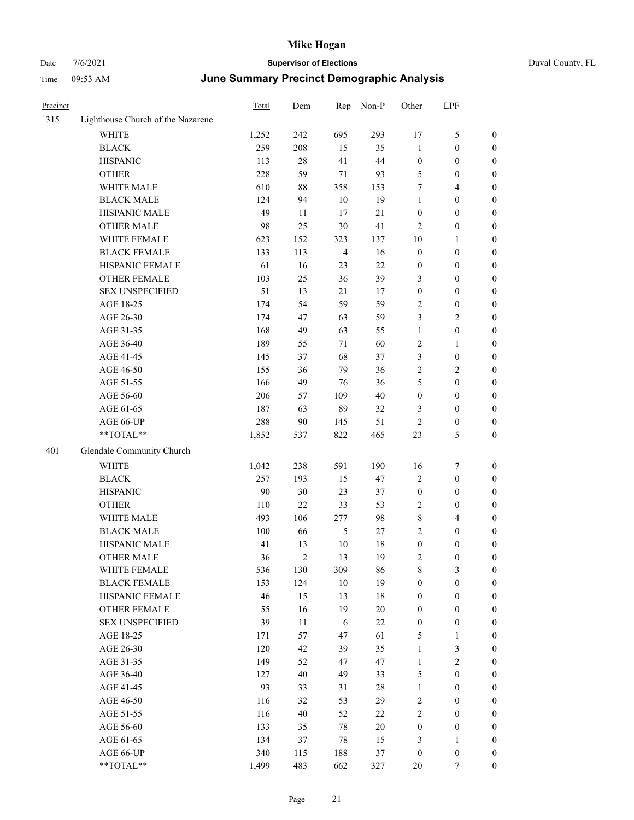| Precinct |                                   | Total | Dem            | Rep            | Non-P  | Other            | LPF                     |                  |
|----------|-----------------------------------|-------|----------------|----------------|--------|------------------|-------------------------|------------------|
| 315      | Lighthouse Church of the Nazarene |       |                |                |        |                  |                         |                  |
|          | <b>WHITE</b>                      | 1,252 | 242            | 695            | 293    | $17\,$           | $\mathfrak{S}$          | $\boldsymbol{0}$ |
|          | <b>BLACK</b>                      | 259   | 208            | 15             | 35     | $\mathbf{1}$     | $\boldsymbol{0}$        | $\boldsymbol{0}$ |
|          | <b>HISPANIC</b>                   | 113   | 28             | 41             | $44\,$ | $\boldsymbol{0}$ | $\boldsymbol{0}$        | $\boldsymbol{0}$ |
|          | <b>OTHER</b>                      | 228   | 59             | $71\,$         | 93     | 5                | $\boldsymbol{0}$        | $\boldsymbol{0}$ |
|          | WHITE MALE                        | 610   | 88             | 358            | 153    | 7                | $\overline{4}$          | 0                |
|          | <b>BLACK MALE</b>                 | 124   | 94             | $10\,$         | 19     | $\mathbf{1}$     | $\boldsymbol{0}$        | 0                |
|          | HISPANIC MALE                     | 49    | 11             | 17             | $21\,$ | $\boldsymbol{0}$ | $\boldsymbol{0}$        | $\boldsymbol{0}$ |
|          | <b>OTHER MALE</b>                 | 98    | 25             | $30\,$         | 41     | 2                | $\boldsymbol{0}$        | $\boldsymbol{0}$ |
|          | WHITE FEMALE                      | 623   | 152            | 323            | 137    | 10               | $\mathbf{1}$            | $\boldsymbol{0}$ |
|          | <b>BLACK FEMALE</b>               | 133   | 113            | $\overline{4}$ | 16     | $\boldsymbol{0}$ | $\boldsymbol{0}$        | $\boldsymbol{0}$ |
|          | HISPANIC FEMALE                   | 61    | 16             | 23             | 22     | $\boldsymbol{0}$ | $\boldsymbol{0}$        | $\boldsymbol{0}$ |
|          | OTHER FEMALE                      | 103   | 25             | 36             | 39     | 3                | $\boldsymbol{0}$        | $\boldsymbol{0}$ |
|          | <b>SEX UNSPECIFIED</b>            | 51    | 13             | 21             | 17     | $\boldsymbol{0}$ | $\boldsymbol{0}$        | $\boldsymbol{0}$ |
|          | AGE 18-25                         | 174   | 54             | 59             | 59     | $\mathfrak{2}$   | $\boldsymbol{0}$        | 0                |
|          | AGE 26-30                         | 174   | 47             | 63             | 59     | 3                | $\mathfrak{2}$          | 0                |
|          | AGE 31-35                         | 168   | 49             | 63             | 55     | $\mathbf{1}$     | $\boldsymbol{0}$        | 0                |
|          | AGE 36-40                         | 189   | 55             | 71             | 60     | 2                | $\mathbf{1}$            | 0                |
|          | AGE 41-45                         | 145   | 37             | 68             | 37     | 3                | $\boldsymbol{0}$        | $\boldsymbol{0}$ |
|          | AGE 46-50                         | 155   | 36             | 79             | 36     | 2                | $\sqrt{2}$              | $\boldsymbol{0}$ |
|          | AGE 51-55                         | 166   | 49             | 76             | 36     | 5                | $\boldsymbol{0}$        | $\boldsymbol{0}$ |
|          | AGE 56-60                         | 206   | 57             | 109            | $40\,$ | $\boldsymbol{0}$ | $\boldsymbol{0}$        | $\boldsymbol{0}$ |
|          | AGE 61-65                         | 187   | 63             | 89             | 32     | 3                | $\boldsymbol{0}$        | $\boldsymbol{0}$ |
|          | AGE 66-UP                         | 288   | 90             | 145            | 51     | $\overline{c}$   | $\boldsymbol{0}$        | 0                |
|          | **TOTAL**                         | 1,852 | 537            | 822            | 465    | 23               | $\mathfrak{S}$          | $\boldsymbol{0}$ |
| 401      | Glendale Community Church         |       |                |                |        |                  |                         |                  |
|          | WHITE                             | 1,042 | 238            | 591            | 190    | 16               | 7                       | $\boldsymbol{0}$ |
|          | <b>BLACK</b>                      | 257   | 193            | 15             | 47     | $\mathbf{2}$     | $\boldsymbol{0}$        | 0                |
|          | <b>HISPANIC</b>                   | 90    | 30             | 23             | 37     | $\boldsymbol{0}$ | $\boldsymbol{0}$        | 0                |
|          | <b>OTHER</b>                      | 110   | $22\,$         | 33             | 53     | 2                | $\boldsymbol{0}$        | $\boldsymbol{0}$ |
|          | WHITE MALE                        | 493   | 106            | 277            | 98     | 8                | $\overline{\mathbf{4}}$ | $\boldsymbol{0}$ |
|          | <b>BLACK MALE</b>                 | 100   | 66             | $\mathfrak{S}$ | 27     | 2                | $\boldsymbol{0}$        | $\boldsymbol{0}$ |
|          | HISPANIC MALE                     | 41    | 13             | $10\,$         | 18     | $\boldsymbol{0}$ | $\boldsymbol{0}$        | $\boldsymbol{0}$ |
|          | <b>OTHER MALE</b>                 | 36    | $\mathfrak{2}$ | 13             | 19     | $\overline{c}$   | $\boldsymbol{0}$        | $\boldsymbol{0}$ |
|          | WHITE FEMALE                      | 536   | 130            | 309            | 86     | 8                | $\mathfrak{Z}$          | $\overline{0}$   |
|          | <b>BLACK FEMALE</b>               | 153   | 124            | $10\,$         | 19     | $\boldsymbol{0}$ | $\boldsymbol{0}$        | 0                |
|          | HISPANIC FEMALE                   | 46    | 15             | 13             | $18\,$ | $\boldsymbol{0}$ | $\boldsymbol{0}$        | 0                |
|          | <b>OTHER FEMALE</b>               | 55    | 16             | 19             | $20\,$ | $\boldsymbol{0}$ | $\boldsymbol{0}$        | 0                |
|          | <b>SEX UNSPECIFIED</b>            | 39    | 11             | $\sqrt{6}$     | $22\,$ | $\boldsymbol{0}$ | $\boldsymbol{0}$        | 0                |
|          | AGE 18-25                         | 171   | 57             | 47             | 61     | 5                | $\mathbf{1}$            | $\boldsymbol{0}$ |
|          | AGE 26-30                         | 120   | 42             | 39             | 35     | $\mathbf{1}$     | $\mathfrak{Z}$          | $\boldsymbol{0}$ |
|          | AGE 31-35                         | 149   | 52             | 47             | 47     | $\mathbf{1}$     | $\sqrt{2}$              | $\boldsymbol{0}$ |
|          | AGE 36-40                         | 127   | 40             | 49             | 33     | 5                | $\boldsymbol{0}$        | $\boldsymbol{0}$ |
|          | AGE 41-45                         | 93    | 33             | 31             | $28\,$ | $\mathbf{1}$     | $\boldsymbol{0}$        | $\boldsymbol{0}$ |
|          | AGE 46-50                         | 116   | 32             | 53             | 29     | $\sqrt{2}$       | $\boldsymbol{0}$        | $\overline{0}$   |
|          | AGE 51-55                         | 116   | 40             | 52             | $22\,$ | $\sqrt{2}$       | $\boldsymbol{0}$        | $\boldsymbol{0}$ |
|          | AGE 56-60                         | 133   | 35             | $78\,$         | $20\,$ | $\boldsymbol{0}$ | $\boldsymbol{0}$        | $\boldsymbol{0}$ |
|          | AGE 61-65                         | 134   | 37             | $78\,$         | 15     | 3                | $\mathbf{1}$            | 0                |
|          | AGE 66-UP                         | 340   | 115            | 188            | 37     | $\boldsymbol{0}$ | $\boldsymbol{0}$        | 0                |
|          | $**TOTAL**$                       | 1,499 | 483            | 662            | 327    | $20\,$           | $\boldsymbol{7}$        | $\boldsymbol{0}$ |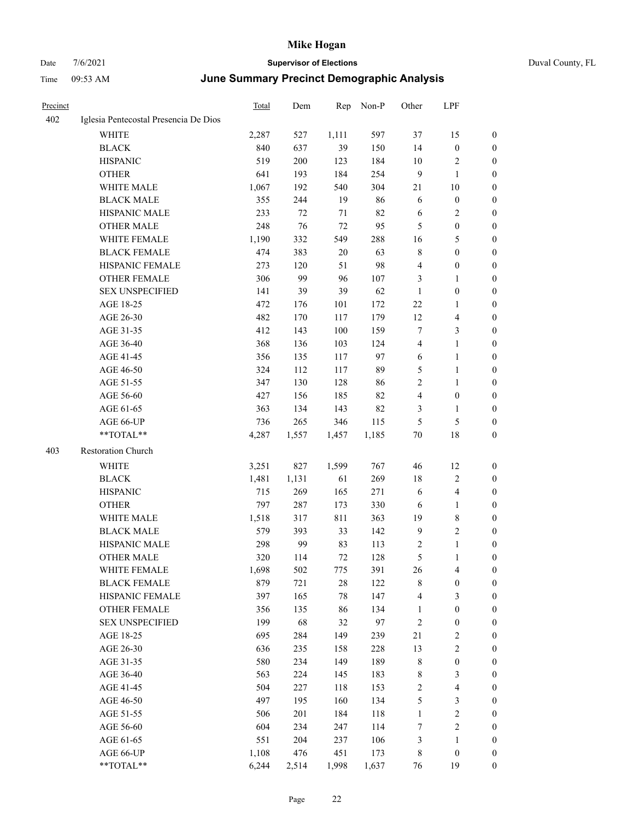| Duval County, FL |  |
|------------------|--|
|                  |  |

| Precinct |                                       | <b>Total</b> | Dem    | Rep    | Non-P | Other          | LPF                     |                  |
|----------|---------------------------------------|--------------|--------|--------|-------|----------------|-------------------------|------------------|
| 402      | Iglesia Pentecostal Presencia De Dios |              |        |        |       |                |                         |                  |
|          | WHITE                                 | 2,287        | 527    | 1,111  | 597   | 37             | 15                      | $\boldsymbol{0}$ |
|          | <b>BLACK</b>                          | 840          | 637    | 39     | 150   | 14             | $\boldsymbol{0}$        | $\boldsymbol{0}$ |
|          | <b>HISPANIC</b>                       | 519          | 200    | 123    | 184   | 10             | $\sqrt{2}$              | 0                |
|          | <b>OTHER</b>                          | 641          | 193    | 184    | 254   | $\overline{9}$ | $\mathbf{1}$            | 0                |
|          | WHITE MALE                            | 1,067        | 192    | 540    | 304   | 21             | $10\,$                  | $\boldsymbol{0}$ |
|          | <b>BLACK MALE</b>                     | 355          | 244    | 19     | 86    | 6              | $\boldsymbol{0}$        | $\boldsymbol{0}$ |
|          | HISPANIC MALE                         | 233          | $72\,$ | 71     | 82    | 6              | $\sqrt{2}$              | $\boldsymbol{0}$ |
|          | <b>OTHER MALE</b>                     | 248          | 76     | 72     | 95    | 5              | $\boldsymbol{0}$        | $\boldsymbol{0}$ |
|          | WHITE FEMALE                          | 1,190        | 332    | 549    | 288   | 16             | $\mathfrak{S}$          | $\boldsymbol{0}$ |
|          | <b>BLACK FEMALE</b>                   | 474          | 383    | $20\,$ | 63    | 8              | $\boldsymbol{0}$        | $\boldsymbol{0}$ |
|          | HISPANIC FEMALE                       | 273          | 120    | 51     | 98    | $\overline{4}$ | $\boldsymbol{0}$        | $\boldsymbol{0}$ |
|          | <b>OTHER FEMALE</b>                   | 306          | 99     | 96     | 107   | 3              | $\mathbf{1}$            | 0                |
|          | <b>SEX UNSPECIFIED</b>                | 141          | 39     | 39     | 62    | $\mathbf{1}$   | $\boldsymbol{0}$        | 0                |
|          | AGE 18-25                             | 472          | 176    | 101    | 172   | 22             | $\mathbf{1}$            | 0                |
|          | AGE 26-30                             | 482          | 170    | 117    | 179   | 12             | $\overline{\mathbf{4}}$ | 0                |
|          | AGE 31-35                             | 412          | 143    | 100    | 159   | 7              | $\mathfrak{Z}$          | 0                |
|          | AGE 36-40                             | 368          | 136    | 103    | 124   | 4              | $\mathbf{1}$            | $\boldsymbol{0}$ |
|          | AGE 41-45                             | 356          | 135    | 117    | 97    | 6              | $\mathbf{1}$            | 0                |
|          | AGE 46-50                             | 324          | 112    | 117    | 89    | 5              | $\mathbf{1}$            | 0                |
|          | AGE 51-55                             | 347          | 130    | 128    | 86    | $\overline{c}$ | $\mathbf{1}$            | $\boldsymbol{0}$ |
|          | AGE 56-60                             | 427          | 156    | 185    | 82    | 4              | $\boldsymbol{0}$        | 0                |
|          | AGE 61-65                             | 363          | 134    | 143    | 82    | 3              | $\mathbf{1}$            | 0                |
|          | AGE 66-UP                             | 736          | 265    | 346    | 115   | 5              | $\mathfrak{S}$          | 0                |
|          | **TOTAL**                             | 4,287        | 1,557  | 1,457  | 1,185 | $70\,$         | 18                      | 0                |
| 403      | Restoration Church                    |              |        |        |       |                |                         |                  |
|          | <b>WHITE</b>                          | 3,251        | 827    | 1,599  | 767   | 46             | 12                      | 0                |
|          | <b>BLACK</b>                          | 1,481        | 1,131  | 61     | 269   | 18             | $\sqrt{2}$              | 0                |
|          | <b>HISPANIC</b>                       | 715          | 269    | 165    | 271   | 6              | $\overline{\mathbf{4}}$ | 0                |
|          | <b>OTHER</b>                          | 797          | 287    | 173    | 330   | 6              | $\mathbf{1}$            | $\boldsymbol{0}$ |
|          | WHITE MALE                            | 1,518        | 317    | 811    | 363   | 19             | $\,$ 8 $\,$             | 0                |
|          | <b>BLACK MALE</b>                     | 579          | 393    | 33     | 142   | $\overline{9}$ | $\sqrt{2}$              | 0                |
|          | HISPANIC MALE                         | 298          | 99     | 83     | 113   | 2              | $\mathbf{1}$            | $\boldsymbol{0}$ |
|          | <b>OTHER MALE</b>                     | 320          | 114    | 72     | 128   | 5              | $\mathbf{1}$            | $\boldsymbol{0}$ |
|          | WHITE FEMALE                          | 1,698        | 502    | 775    | 391   | 26             | $\overline{4}$          | 0                |
|          | <b>BLACK FEMALE</b>                   | 879          | 721    | $28\,$ | 122   | 8              | $\boldsymbol{0}$        | 0                |
|          | HISPANIC FEMALE                       | 397          | 165    | $78\,$ | 147   | $\overline{4}$ | $\mathfrak{Z}$          | 0                |
|          | OTHER FEMALE                          | 356          | 135    | 86     | 134   | $\mathbf{1}$   | $\boldsymbol{0}$        | 0                |
|          | <b>SEX UNSPECIFIED</b>                | 199          | 68     | 32     | 97    | $\sqrt{2}$     | $\boldsymbol{0}$        | 0                |
|          | AGE 18-25                             | 695          | 284    | 149    | 239   | 21             | $\sqrt{2}$              | $\boldsymbol{0}$ |
|          | AGE 26-30                             | 636          | 235    | 158    | 228   | 13             | $\sqrt{2}$              | 0                |
|          | AGE 31-35                             | 580          | 234    | 149    | 189   | $\,$ 8 $\,$    | $\boldsymbol{0}$        | 0                |
|          | AGE 36-40                             | 563          | 224    | 145    | 183   | $\,$ 8 $\,$    | $\mathfrak{Z}$          | 0                |
|          | AGE 41-45                             | 504          | 227    | 118    | 153   | $\sqrt{2}$     | $\overline{\mathbf{4}}$ | 0                |
|          | AGE 46-50                             | 497          | 195    | 160    | 134   | $\mathfrak s$  | $\mathfrak{Z}$          | 0                |
|          | AGE 51-55                             | 506          | 201    | 184    | 118   | $\mathbf{1}$   | $\sqrt{2}$              | 0                |
|          | AGE 56-60                             | 604          | 234    | 247    | 114   | 7              | $\sqrt{2}$              | 0                |
|          | AGE 61-65                             | 551          | 204    | 237    | 106   | 3              | $\mathbf{1}$            | $\boldsymbol{0}$ |
|          | AGE 66-UP                             | 1,108        | 476    | 451    | 173   | $\,$ 8 $\,$    | $\boldsymbol{0}$        | 0                |
|          | **TOTAL**                             | 6,244        | 2,514  | 1,998  | 1,637 | 76             | 19                      | $\boldsymbol{0}$ |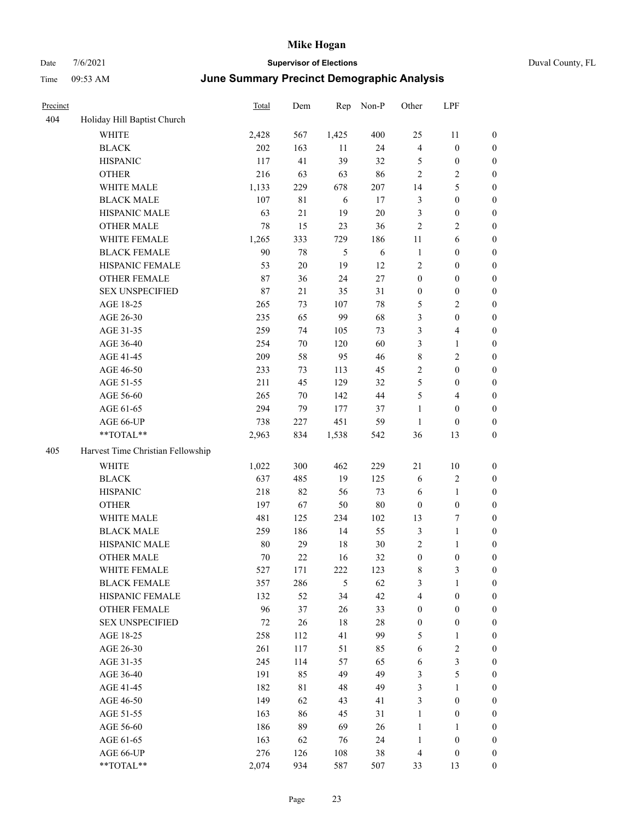|  | Duval County, FL |  |
|--|------------------|--|
|--|------------------|--|

| Precinct |                                   | Total | Dem         |                | Rep Non-P | Other            | LPF              |                  |
|----------|-----------------------------------|-------|-------------|----------------|-----------|------------------|------------------|------------------|
| 404      | Holiday Hill Baptist Church       |       |             |                |           |                  |                  |                  |
|          | WHITE                             | 2,428 | 567         | 1,425          | 400       | 25               | 11               | $\boldsymbol{0}$ |
|          | <b>BLACK</b>                      | 202   | 163         | 11             | 24        | 4                | $\boldsymbol{0}$ | $\boldsymbol{0}$ |
|          | <b>HISPANIC</b>                   | 117   | 41          | 39             | 32        | 5                | $\boldsymbol{0}$ | $\boldsymbol{0}$ |
|          | <b>OTHER</b>                      | 216   | 63          | 63             | 86        | $\overline{c}$   | $\sqrt{2}$       | $\boldsymbol{0}$ |
|          | WHITE MALE                        | 1,133 | 229         | 678            | 207       | 14               | 5                | $\boldsymbol{0}$ |
|          | <b>BLACK MALE</b>                 | 107   | $8\sqrt{1}$ | 6              | 17        | 3                | $\boldsymbol{0}$ | $\boldsymbol{0}$ |
|          | HISPANIC MALE                     | 63    | 21          | 19             | $20\,$    | 3                | $\boldsymbol{0}$ | $\boldsymbol{0}$ |
|          | OTHER MALE                        | 78    | 15          | 23             | 36        | $\sqrt{2}$       | $\sqrt{2}$       | 0                |
|          | WHITE FEMALE                      | 1,265 | 333         | 729            | 186       | 11               | 6                | 0                |
|          | <b>BLACK FEMALE</b>               | 90    | $78\,$      | 5              | 6         | $\mathbf{1}$     | $\boldsymbol{0}$ | $\boldsymbol{0}$ |
|          | HISPANIC FEMALE                   | 53    | $20\,$      | 19             | 12        | 2                | $\boldsymbol{0}$ | $\boldsymbol{0}$ |
|          | <b>OTHER FEMALE</b>               | 87    | 36          | 24             | $27\,$    | $\boldsymbol{0}$ | $\boldsymbol{0}$ | $\boldsymbol{0}$ |
|          | <b>SEX UNSPECIFIED</b>            | 87    | 21          | 35             | 31        | $\boldsymbol{0}$ | $\boldsymbol{0}$ | $\boldsymbol{0}$ |
|          | AGE 18-25                         | 265   | 73          | 107            | 78        | 5                | $\sqrt{2}$       | $\boldsymbol{0}$ |
|          | AGE 26-30                         | 235   | 65          | 99             | 68        | 3                | $\boldsymbol{0}$ | $\boldsymbol{0}$ |
|          | AGE 31-35                         | 259   | 74          | 105            | 73        | 3                | $\overline{4}$   | $\boldsymbol{0}$ |
|          | AGE 36-40                         | 254   | 70          | 120            | 60        | 3                | $\mathbf{1}$     | $\boldsymbol{0}$ |
|          | AGE 41-45                         | 209   | 58          | 95             | 46        | 8                | $\sqrt{2}$       | 0                |
|          | AGE 46-50                         | 233   | 73          | 113            | 45        | 2                | $\boldsymbol{0}$ | $\boldsymbol{0}$ |
|          | AGE 51-55                         | 211   | 45          | 129            | 32        | 5                | $\boldsymbol{0}$ | $\boldsymbol{0}$ |
|          | AGE 56-60                         | 265   | 70          | 142            | 44        | 5                | $\overline{4}$   | $\boldsymbol{0}$ |
|          | AGE 61-65                         | 294   | 79          | 177            | 37        | $\mathbf{1}$     | $\boldsymbol{0}$ | $\boldsymbol{0}$ |
|          | AGE 66-UP                         | 738   | 227         | 451            | 59        | $\mathbf{1}$     | $\boldsymbol{0}$ | $\boldsymbol{0}$ |
|          | **TOTAL**                         | 2,963 | 834         | 1,538          | 542       | 36               | 13               | $\boldsymbol{0}$ |
| 405      | Harvest Time Christian Fellowship |       |             |                |           |                  |                  |                  |
|          | WHITE                             | 1,022 | 300         | 462            | 229       | 21               | $10\,$           | $\boldsymbol{0}$ |
|          | <b>BLACK</b>                      | 637   | 485         | 19             | 125       | 6                | $\overline{2}$   | $\boldsymbol{0}$ |
|          | <b>HISPANIC</b>                   | 218   | 82          | 56             | 73        | 6                | $\mathbf{1}$     | $\boldsymbol{0}$ |
|          | <b>OTHER</b>                      | 197   | 67          | 50             | $80\,$    | $\boldsymbol{0}$ | $\boldsymbol{0}$ | $\boldsymbol{0}$ |
|          | WHITE MALE                        | 481   | 125         | 234            | 102       | 13               | $\boldsymbol{7}$ | 0                |
|          | <b>BLACK MALE</b>                 | 259   | 186         | 14             | 55        | 3                | $\mathbf{1}$     | 0                |
|          | HISPANIC MALE                     | 80    | 29          | 18             | $30\,$    | $\overline{c}$   | $\mathbf{1}$     | $\boldsymbol{0}$ |
|          | <b>OTHER MALE</b>                 | 70    | 22          | 16             | 32        | $\theta$         | $\Omega$         | $\theta$         |
|          | WHITE FEMALE                      | 527   | 171         | 222            | 123       | 8                | $\mathfrak{Z}$   | $\boldsymbol{0}$ |
|          | <b>BLACK FEMALE</b>               | 357   | 286         | $\mathfrak{S}$ | 62        | 3                | 1                | 0                |
|          | HISPANIC FEMALE                   | 132   | 52          | 34             | 42        | 4                | $\boldsymbol{0}$ | 0                |
|          | <b>OTHER FEMALE</b>               | 96    | 37          | 26             | 33        | 0                | $\boldsymbol{0}$ | 0                |
|          | <b>SEX UNSPECIFIED</b>            | 72    | 26          | 18             | $28\,$    | $\boldsymbol{0}$ | $\boldsymbol{0}$ | 0                |
|          | AGE 18-25                         | 258   | 112         | 41             | 99        | 5                | $\mathbf{1}$     | 0                |
|          | AGE 26-30                         | 261   | 117         | 51             | 85        | 6                | $\sqrt{2}$       | 0                |
|          | AGE 31-35                         | 245   | 114         | 57             | 65        | 6                | $\mathfrak{Z}$   | 0                |
|          | AGE 36-40                         | 191   | 85          | 49             | 49        | 3                | $\mathfrak{S}$   | 0                |
|          | AGE 41-45                         | 182   | 81          | 48             | 49        | 3                | 1                | 0                |
|          | AGE 46-50                         | 149   | 62          | 43             | 41        | 3                | $\boldsymbol{0}$ | 0                |
|          | AGE 51-55                         | 163   | 86          | 45             | 31        | $\mathbf{1}$     | $\boldsymbol{0}$ | 0                |
|          | AGE 56-60                         | 186   | 89          | 69             | 26        | $\mathbf{1}$     | $\mathbf{1}$     | 0                |
|          | AGE 61-65                         | 163   | 62          | 76             | 24        | $\mathbf{1}$     | $\boldsymbol{0}$ | 0                |
|          | AGE 66-UP                         | 276   | 126         | 108            | $38\,$    | 4                | $\boldsymbol{0}$ | 0                |
|          | $**TOTAL**$                       | 2,074 | 934         | 587            | 507       | 33               | 13               | 0                |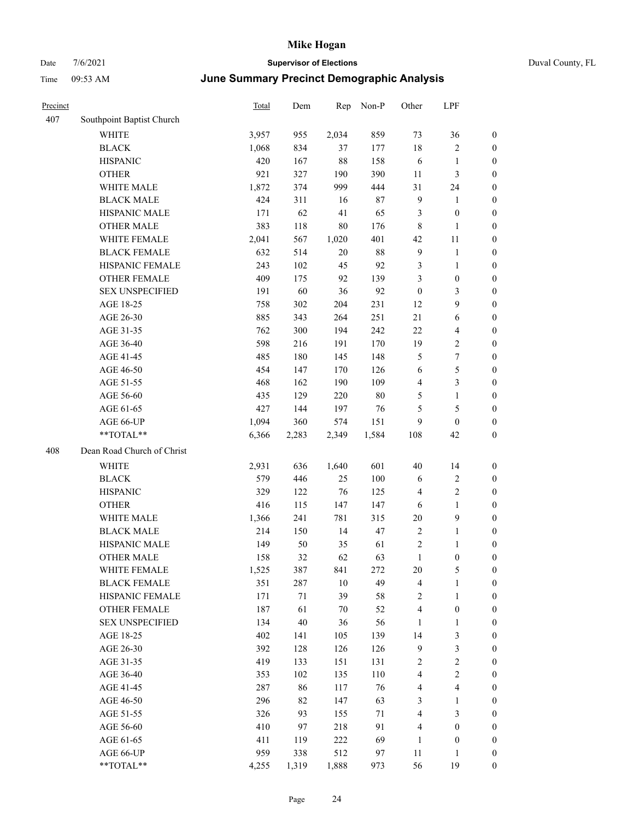| ппе<br>UY.JJ AIVI                | <u>June Jummary Fredinct Demographic Analysis</u> |        |                 |                       |        |            |                |  |
|----------------------------------|---------------------------------------------------|--------|-----------------|-----------------------|--------|------------|----------------|--|
| Precinct                         | Total                                             | Dem    | Rep             | $Non-P$               | Other  | <b>LPF</b> |                |  |
| 407<br>Southpoint Baptist Church |                                                   |        |                 |                       |        |            |                |  |
| WHITE                            | 3,957                                             | 955    | 2,034           | 859                   | 73     | 36         | $\overline{0}$ |  |
| <b>BLACK</b>                     | 1,068                                             | 834    | 37              | 177                   | 18     | 2          | $\theta$       |  |
| <b>HISPANIC</b>                  | 420                                               | 167    | 88              | 158                   | 6      |            | $\theta$       |  |
| <b>OTHER</b>                     | 921                                               | 327    | 190             | 390                   | 11     | 3          | $\mathbf{0}$   |  |
| WHITE MALE                       | 1,872                                             | 374    | 999             | 444                   | 31     | 24         | $\theta$       |  |
| <b>BLACK MALE</b>                | 424                                               | 311    | 16              | 87                    | 9      |            | $\theta$       |  |
| <b>IHODIAHO A LI P</b>           | 1.71                                              | $\sim$ | $\overline{41}$ | $\epsilon$ $\epsilon$ | $\sim$ | $\sim$     | $\sim$         |  |

|     | <b>OTHER</b>               | 921   | 327   | 190   | 390    | 11                      | 3                       | $\boldsymbol{0}$ |
|-----|----------------------------|-------|-------|-------|--------|-------------------------|-------------------------|------------------|
|     | WHITE MALE                 | 1,872 | 374   | 999   | 444    | 31                      | 24                      | $\boldsymbol{0}$ |
|     | <b>BLACK MALE</b>          | 424   | 311   | 16    | 87     | 9                       | $\mathbf{1}$            | $\boldsymbol{0}$ |
|     | HISPANIC MALE              | 171   | 62    | 41    | 65     | $\mathfrak{Z}$          | $\boldsymbol{0}$        | $\boldsymbol{0}$ |
|     | <b>OTHER MALE</b>          | 383   | 118   | 80    | 176    | $\,8\,$                 | $\mathbf{1}$            | 0                |
|     | WHITE FEMALE               | 2,041 | 567   | 1,020 | 401    | 42                      | $11\,$                  | 0                |
|     | <b>BLACK FEMALE</b>        | 632   | 514   | 20    | $88\,$ | $\boldsymbol{9}$        | $\mathbf{1}$            | $\boldsymbol{0}$ |
|     | HISPANIC FEMALE            | 243   | 102   | 45    | 92     | $\mathfrak{Z}$          | $\mathbf{1}$            | $\boldsymbol{0}$ |
|     | OTHER FEMALE               | 409   | 175   | 92    | 139    | 3                       | $\boldsymbol{0}$        | $\boldsymbol{0}$ |
|     | <b>SEX UNSPECIFIED</b>     | 191   | 60    | 36    | 92     | $\mathbf{0}$            | 3                       | $\boldsymbol{0}$ |
|     | AGE 18-25                  | 758   | 302   | 204   | 231    | 12                      | 9                       | $\boldsymbol{0}$ |
|     | AGE 26-30                  | 885   | 343   | 264   | 251    | 21                      | 6                       | $\boldsymbol{0}$ |
|     | AGE 31-35                  | 762   | 300   | 194   | 242    | 22                      | $\overline{\mathbf{4}}$ | $\boldsymbol{0}$ |
|     | AGE 36-40                  | 598   | 216   | 191   | 170    | 19                      | $\mathbf{2}$            | $\boldsymbol{0}$ |
|     | AGE 41-45                  | 485   | 180   | 145   | 148    | $\mathfrak{H}$          | $\tau$                  | $\boldsymbol{0}$ |
|     | AGE 46-50                  | 454   | 147   | 170   | 126    | 6                       | 5                       | $\boldsymbol{0}$ |
|     | AGE 51-55                  | 468   | 162   | 190   | 109    | $\overline{4}$          | $\mathfrak{Z}$          | $\boldsymbol{0}$ |
|     | AGE 56-60                  | 435   | 129   | 220   | 80     | 5                       | $\mathbf{1}$            | $\boldsymbol{0}$ |
|     | AGE 61-65                  | 427   | 144   | 197   | 76     | 5                       | 5                       | $\boldsymbol{0}$ |
|     | AGE 66-UP                  | 1,094 | 360   | 574   | 151    | 9                       | $\boldsymbol{0}$        | 0                |
|     | $**TOTAL**$                | 6,366 | 2,283 | 2,349 | 1,584  | 108                     | 42                      | $\boldsymbol{0}$ |
| 408 | Dean Road Church of Christ |       |       |       |        |                         |                         |                  |
|     | WHITE                      | 2,931 | 636   | 1,640 | 601    | $40\,$                  | 14                      | 0                |
|     | <b>BLACK</b>               | 579   | 446   | 25    | 100    | 6                       | $\mathbf{2}$            | $\boldsymbol{0}$ |
|     | <b>HISPANIC</b>            | 329   | 122   | 76    | 125    | $\overline{4}$          | $\mathbf{2}$            | $\boldsymbol{0}$ |
|     | <b>OTHER</b>               | 416   | 115   | 147   | 147    | 6                       | $\mathbf{1}$            | $\boldsymbol{0}$ |
|     | WHITE MALE                 | 1,366 | 241   | 781   | 315    | $20\,$                  | 9                       | $\boldsymbol{0}$ |
|     | <b>BLACK MALE</b>          | 214   | 150   | 14    | 47     | $\sqrt{2}$              | $\mathbf{1}$            | 0                |
|     | HISPANIC MALE              | 149   | 50    | 35    | 61     | $\sqrt{2}$              | 1                       | 0                |
|     | <b>OTHER MALE</b>          | 158   | 32    | 62    | 63     | 1                       | $\boldsymbol{0}$        | 0                |
|     | WHITE FEMALE               | 1,525 | 387   | 841   | 272    | $20\,$                  | 5                       | 0                |
|     | <b>BLACK FEMALE</b>        | 351   | 287   | 10    | 49     | $\overline{4}$          | $\mathbf{1}$            | $\boldsymbol{0}$ |
|     | HISPANIC FEMALE            | 171   | 71    | 39    | 58     | $\overline{2}$          | 1                       | $\boldsymbol{0}$ |
|     | OTHER FEMALE               | 187   | 61    | 70    | 52     | 4                       | 0                       | $\boldsymbol{0}$ |
|     | <b>SEX UNSPECIFIED</b>     | 134   | 40    | 36    | 56     | $\mathbf{1}$            | 1                       | $\boldsymbol{0}$ |
|     | AGE 18-25                  | 402   | 141   | 105   | 139    | 14                      | 3                       | $\boldsymbol{0}$ |
|     | AGE 26-30                  | 392   | 128   | 126   | 126    | 9                       | 3                       | $\boldsymbol{0}$ |
|     | AGE 31-35                  | 419   | 133   | 151   | 131    | $\boldsymbol{2}$        | $\overline{c}$          | $\boldsymbol{0}$ |
|     | AGE 36-40                  | 353   | 102   | 135   | 110    | 4                       | $\overline{c}$          | $\boldsymbol{0}$ |
|     | AGE 41-45                  | 287   | 86    | 117   | 76     | $\overline{\mathbf{4}}$ | $\overline{\mathbf{4}}$ | $\boldsymbol{0}$ |
|     | AGE 46-50                  | 296   | 82    | 147   | 63     | 3                       | 1                       | $\boldsymbol{0}$ |
|     | AGE 51-55                  | 326   | 93    | 155   | 71     | $\overline{4}$          | 3                       | 0                |
|     | AGE 56-60                  | 410   | 97    | 218   | 91     | $\overline{4}$          | $\boldsymbol{0}$        | 0                |
|     | AGE 61-65                  | 411   | 119   | 222   | 69     | $\mathbf{1}$            | $\boldsymbol{0}$        | 0                |
|     | AGE 66-UP                  | 959   | 338   | 512   | 97     | 11                      | 1                       | 0                |
|     | **TOTAL**                  | 4,255 | 1,319 | 1,888 | 973    | 56                      | 19                      | 0                |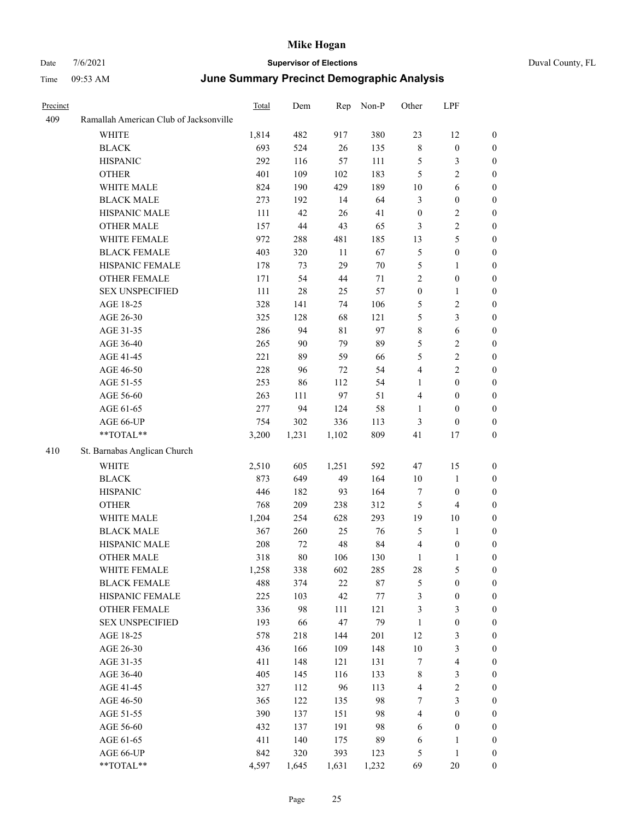|  | Duval County. F |  |
|--|-----------------|--|

| Precinct |                                        | Total | Dem    | Rep         | Non-P  | Other            | LPF                     |                  |
|----------|----------------------------------------|-------|--------|-------------|--------|------------------|-------------------------|------------------|
| 409      | Ramallah American Club of Jacksonville |       |        |             |        |                  |                         |                  |
|          | <b>WHITE</b>                           | 1,814 | 482    | 917         | 380    | 23               | 12                      | $\boldsymbol{0}$ |
|          | <b>BLACK</b>                           | 693   | 524    | $26\,$      | 135    | $\,$ 8 $\,$      | $\boldsymbol{0}$        | $\boldsymbol{0}$ |
|          | <b>HISPANIC</b>                        | 292   | 116    | 57          | 111    | $\mathfrak{S}$   | 3                       | $\boldsymbol{0}$ |
|          | <b>OTHER</b>                           | 401   | 109    | 102         | 183    | 5                | $\overline{\mathbf{c}}$ | $\boldsymbol{0}$ |
|          | WHITE MALE                             | 824   | 190    | 429         | 189    | 10               | 6                       | $\boldsymbol{0}$ |
|          | <b>BLACK MALE</b>                      | 273   | 192    | 14          | 64     | $\mathfrak{Z}$   | $\boldsymbol{0}$        | $\boldsymbol{0}$ |
|          | HISPANIC MALE                          | 111   | 42     | 26          | 41     | $\boldsymbol{0}$ | 2                       | $\boldsymbol{0}$ |
|          | <b>OTHER MALE</b>                      | 157   | $44\,$ | 43          | 65     | 3                | $\overline{c}$          | $\boldsymbol{0}$ |
|          | WHITE FEMALE                           | 972   | 288    | 481         | 185    | 13               | 5                       | $\boldsymbol{0}$ |
|          | <b>BLACK FEMALE</b>                    | 403   | 320    | 11          | 67     | $\mathfrak{S}$   | $\boldsymbol{0}$        | $\boldsymbol{0}$ |
|          | HISPANIC FEMALE                        | 178   | 73     | 29          | 70     | $\mathfrak{S}$   | 1                       | $\boldsymbol{0}$ |
|          | <b>OTHER FEMALE</b>                    | 171   | 54     | 44          | 71     | $\sqrt{2}$       | $\boldsymbol{0}$        | $\boldsymbol{0}$ |
|          | <b>SEX UNSPECIFIED</b>                 | 111   | $28\,$ | 25          | 57     | $\boldsymbol{0}$ | 1                       | $\boldsymbol{0}$ |
|          | AGE 18-25                              | 328   | 141    | 74          | 106    | $\mathfrak{S}$   | 2                       | $\boldsymbol{0}$ |
|          | AGE 26-30                              | 325   | 128    | 68          | 121    | $\mathfrak{S}$   | 3                       | $\boldsymbol{0}$ |
|          | AGE 31-35                              | 286   | 94     | $8\sqrt{1}$ | 97     | $\,$ 8 $\,$      | 6                       | $\boldsymbol{0}$ |
|          | AGE 36-40                              | 265   | 90     | 79          | 89     | 5                | 2                       | $\boldsymbol{0}$ |
|          | AGE 41-45                              | 221   | 89     | 59          | 66     | $\mathfrak{H}$   | $\overline{c}$          | $\boldsymbol{0}$ |
|          | AGE 46-50                              | 228   | 96     | 72          | 54     | $\overline{4}$   | 2                       | $\boldsymbol{0}$ |
|          | AGE 51-55                              | 253   | 86     | 112         | 54     | 1                | $\boldsymbol{0}$        | $\boldsymbol{0}$ |
|          | AGE 56-60                              | 263   | 111    | 97          | 51     | $\overline{4}$   | $\boldsymbol{0}$        | $\boldsymbol{0}$ |
|          | AGE 61-65                              | 277   | 94     | 124         | 58     | 1                | $\boldsymbol{0}$        | $\boldsymbol{0}$ |
|          | AGE 66-UP                              | 754   | 302    | 336         | 113    | 3                | $\mathbf{0}$            | $\boldsymbol{0}$ |
|          | **TOTAL**                              | 3,200 | 1,231  | 1,102       | 809    | 41               | 17                      | $\boldsymbol{0}$ |
| 410      | St. Barnabas Anglican Church           |       |        |             |        |                  |                         |                  |
|          | WHITE                                  | 2,510 | 605    | 1,251       | 592    | 47               | 15                      | $\boldsymbol{0}$ |
|          | <b>BLACK</b>                           | 873   | 649    | 49          | 164    | 10               | $\mathbf{1}$            | $\boldsymbol{0}$ |
|          | <b>HISPANIC</b>                        | 446   | 182    | 93          | 164    | $\tau$           | $\boldsymbol{0}$        | $\boldsymbol{0}$ |
|          | <b>OTHER</b>                           | 768   | 209    | 238         | 312    | 5                | 4                       | $\boldsymbol{0}$ |
|          | WHITE MALE                             | 1,204 | 254    | 628         | 293    | 19               | 10                      | $\boldsymbol{0}$ |
|          | <b>BLACK MALE</b>                      | 367   | 260    | 25          | 76     | 5                | 1                       | $\boldsymbol{0}$ |
|          | HISPANIC MALE                          | 208   | 72     | 48          | 84     | $\overline{4}$   | $\boldsymbol{0}$        | $\boldsymbol{0}$ |
|          | <b>OTHER MALE</b>                      | 318   | $80\,$ | 106         | 130    | 1                | 1                       | $\boldsymbol{0}$ |
|          | WHITE FEMALE                           | 1,258 | 338    | 602         | 285    | 28               | 5                       | $\boldsymbol{0}$ |
|          | <b>BLACK FEMALE</b>                    | 488   | 374    | $22\,$      | $87\,$ | $\mathfrak{S}$   | $\boldsymbol{0}$        | $\boldsymbol{0}$ |
|          | HISPANIC FEMALE                        | 225   | 103    | 42          | 77     | $\mathfrak{Z}$   | $\boldsymbol{0}$        | $\boldsymbol{0}$ |
|          | <b>OTHER FEMALE</b>                    | 336   | 98     | 111         | 121    | 3                | 3                       | $\boldsymbol{0}$ |
|          | <b>SEX UNSPECIFIED</b>                 | 193   | 66     | $47\,$      | 79     | $\mathbf{1}$     | $\boldsymbol{0}$        | $\boldsymbol{0}$ |
|          | AGE 18-25                              | 578   | 218    | 144         | 201    | 12               | 3                       | $\boldsymbol{0}$ |
|          | AGE 26-30                              | 436   | 166    | 109         | 148    | 10               | 3                       | $\boldsymbol{0}$ |
|          | AGE 31-35                              | 411   | 148    | 121         | 131    | $\boldsymbol{7}$ | $\overline{4}$          | $\boldsymbol{0}$ |
|          | AGE 36-40                              | 405   | 145    | 116         | 133    | $\,$ 8 $\,$      | 3                       | $\boldsymbol{0}$ |
|          | AGE 41-45                              | 327   | 112    | 96          | 113    | $\overline{4}$   | $\overline{c}$          | $\boldsymbol{0}$ |
|          | AGE 46-50                              | 365   | 122    | 135         | 98     | $\boldsymbol{7}$ | 3                       | $\boldsymbol{0}$ |
|          | AGE 51-55                              | 390   | 137    | 151         | 98     | $\overline{4}$   | $\boldsymbol{0}$        | $\boldsymbol{0}$ |
|          | AGE 56-60                              | 432   | 137    | 191         | 98     | 6                | $\boldsymbol{0}$        | $\boldsymbol{0}$ |
|          | AGE 61-65                              | 411   | 140    | 175         | 89     | 6                | $\mathbf{1}$            | $\boldsymbol{0}$ |
|          | AGE 66-UP                              | 842   | 320    | 393         | 123    | 5                | $\mathbf{1}$            | $\mathbf{0}$     |
|          | **TOTAL**                              | 4,597 | 1,645  | 1,631       | 1,232  | 69               | $20\,$                  | $\boldsymbol{0}$ |
|          |                                        |       |        |             |        |                  |                         |                  |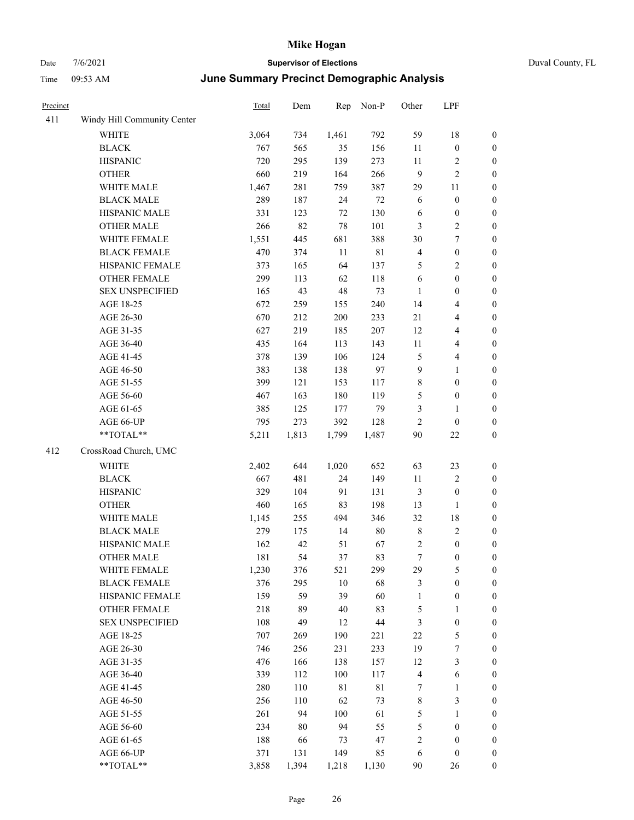## Date 7/6/2021 **Supervisor of Elections** Duval County, FL Time 09:53 AM **June Summary Precinct Demographic Analysis**

| Precinct |                             | Total | Dem   | Rep         | Non-P       | Other                   | LPF              |                  |
|----------|-----------------------------|-------|-------|-------------|-------------|-------------------------|------------------|------------------|
| 411      | Windy Hill Community Center |       |       |             |             |                         |                  |                  |
|          | WHITE                       | 3,064 | 734   | 1,461       | 792         | 59                      | 18               | $\boldsymbol{0}$ |
|          | <b>BLACK</b>                | 767   | 565   | 35          | 156         | $11\,$                  | $\boldsymbol{0}$ | $\boldsymbol{0}$ |
|          | <b>HISPANIC</b>             | 720   | 295   | 139         | 273         | 11                      | $\overline{c}$   | 0                |
|          | <b>OTHER</b>                | 660   | 219   | 164         | 266         | 9                       | $\sqrt{2}$       | $\boldsymbol{0}$ |
|          | WHITE MALE                  | 1,467 | 281   | 759         | 387         | 29                      | $11\,$           | $\boldsymbol{0}$ |
|          | <b>BLACK MALE</b>           | 289   | 187   | 24          | 72          | 6                       | $\boldsymbol{0}$ | $\boldsymbol{0}$ |
|          | HISPANIC MALE               | 331   | 123   | $72\,$      | 130         | 6                       | $\boldsymbol{0}$ | $\boldsymbol{0}$ |
|          | <b>OTHER MALE</b>           | 266   | 82    | $78\,$      | 101         | 3                       | $\sqrt{2}$       | $\boldsymbol{0}$ |
|          | WHITE FEMALE                | 1,551 | 445   | 681         | 388         | 30                      | $\boldsymbol{7}$ | $\boldsymbol{0}$ |
|          | <b>BLACK FEMALE</b>         | 470   | 374   | 11          | $8\sqrt{1}$ | $\overline{\mathbf{4}}$ | $\boldsymbol{0}$ | $\boldsymbol{0}$ |
|          | HISPANIC FEMALE             | 373   | 165   | 64          | 137         | $\mathfrak{S}$          | $\sqrt{2}$       | $\boldsymbol{0}$ |
|          | OTHER FEMALE                | 299   | 113   | 62          | 118         | 6                       | $\boldsymbol{0}$ | 0                |
|          | <b>SEX UNSPECIFIED</b>      | 165   | 43    | 48          | 73          | $\mathbf{1}$            | $\boldsymbol{0}$ | $\boldsymbol{0}$ |
|          | AGE 18-25                   | 672   | 259   | 155         | 240         | 14                      | $\overline{4}$   | $\boldsymbol{0}$ |
|          | AGE 26-30                   | 670   | 212   | 200         | 233         | 21                      | $\overline{4}$   | $\boldsymbol{0}$ |
|          | AGE 31-35                   | 627   | 219   | 185         | 207         | 12                      | $\overline{4}$   | $\boldsymbol{0}$ |
|          | AGE 36-40                   | 435   | 164   | 113         | 143         | $11\,$                  | $\overline{4}$   | $\boldsymbol{0}$ |
|          | AGE 41-45                   | 378   | 139   | 106         | 124         | 5                       | $\overline{4}$   | $\boldsymbol{0}$ |
|          | AGE 46-50                   | 383   | 138   | 138         | 97          | 9                       | $\mathbf{1}$     | $\boldsymbol{0}$ |
|          | AGE 51-55                   | 399   | 121   | 153         | 117         | $\,$ $\,$               | $\boldsymbol{0}$ | $\boldsymbol{0}$ |
|          | AGE 56-60                   | 467   | 163   | 180         | 119         | 5                       | $\boldsymbol{0}$ | 0                |
|          | AGE 61-65                   | 385   | 125   | 177         | 79          | $\mathfrak{Z}$          | $\mathbf{1}$     | 0                |
|          | AGE 66-UP                   | 795   | 273   | 392         | 128         | $\mathbf{2}$            | $\boldsymbol{0}$ | 0                |
|          | **TOTAL**                   | 5,211 | 1,813 | 1,799       | 1,487       | 90                      | 22               | $\boldsymbol{0}$ |
| 412      | CrossRoad Church, UMC       |       |       |             |             |                         |                  |                  |
|          | <b>WHITE</b>                | 2,402 | 644   | 1,020       | 652         | 63                      | 23               | $\boldsymbol{0}$ |
|          | <b>BLACK</b>                | 667   | 481   | 24          | 149         | $11\,$                  | $\sqrt{2}$       | $\boldsymbol{0}$ |
|          | <b>HISPANIC</b>             | 329   | 104   | 91          | 131         | 3                       | $\boldsymbol{0}$ | $\boldsymbol{0}$ |
|          | <b>OTHER</b>                | 460   | 165   | 83          | 198         | 13                      | $\mathbf{1}$     | $\boldsymbol{0}$ |
|          | WHITE MALE                  | 1,145 | 255   | 494         | 346         | 32                      | 18               | $\boldsymbol{0}$ |
|          | <b>BLACK MALE</b>           | 279   | 175   | 14          | $80\,$      | $\,$ 8 $\,$             | $\sqrt{2}$       | $\boldsymbol{0}$ |
|          | HISPANIC MALE               | 162   | 42    | 51          | 67          | $\sqrt{2}$              | $\boldsymbol{0}$ | $\boldsymbol{0}$ |
|          | <b>OTHER MALE</b>           | 181   | 54    | 37          | 83          | 7                       | $\boldsymbol{0}$ | $\boldsymbol{0}$ |
|          | WHITE FEMALE                | 1,230 | 376   | 521         | 299         | 29                      | $\mathfrak s$    | 0                |
|          | <b>BLACK FEMALE</b>         | 376   | 295   | $10\,$      | 68          | 3                       | $\boldsymbol{0}$ | 0                |
|          | HISPANIC FEMALE             | 159   | 59    | 39          | 60          | $\mathbf{1}$            | $\boldsymbol{0}$ | 0                |
|          | <b>OTHER FEMALE</b>         | 218   | 89    | 40          | 83          | 5                       | 1                | 0                |
|          | <b>SEX UNSPECIFIED</b>      | 108   | 49    | 12          | 44          | 3                       | $\boldsymbol{0}$ | 0                |
|          | AGE 18-25                   | 707   | 269   | 190         | 221         | 22                      | $\mathfrak s$    | 0                |
|          | AGE 26-30                   | 746   | 256   | 231         | 233         | 19                      | 7                | 0                |
|          | AGE 31-35                   | 476   | 166   | 138         | 157         | 12                      | 3                | 0                |
|          | AGE 36-40                   | 339   | 112   | 100         | 117         | 4                       | 6                | 0                |
|          | AGE 41-45                   | 280   | 110   | $8\sqrt{1}$ | $8\sqrt{1}$ | 7                       | $\mathbf{1}$     | 0                |
|          | AGE 46-50                   | 256   | 110   | 62          | 73          | $\,$ 8 $\,$             | $\mathfrak z$    | 0                |
|          | AGE 51-55                   | 261   | 94    | 100         | 61          | 5                       | $\mathbf{1}$     | 0                |
|          | AGE 56-60                   | 234   | 80    | 94          | 55          | 5                       | $\boldsymbol{0}$ | 0                |
|          | AGE 61-65                   | 188   | 66    | 73          | 47          | $\sqrt{2}$              | $\boldsymbol{0}$ | 0                |
|          | AGE 66-UP                   | 371   | 131   | 149         | 85          | 6                       | $\boldsymbol{0}$ | $\boldsymbol{0}$ |

\*\*TOTAL\*\* 3,858 1,394 1,218 1,130 90 26 0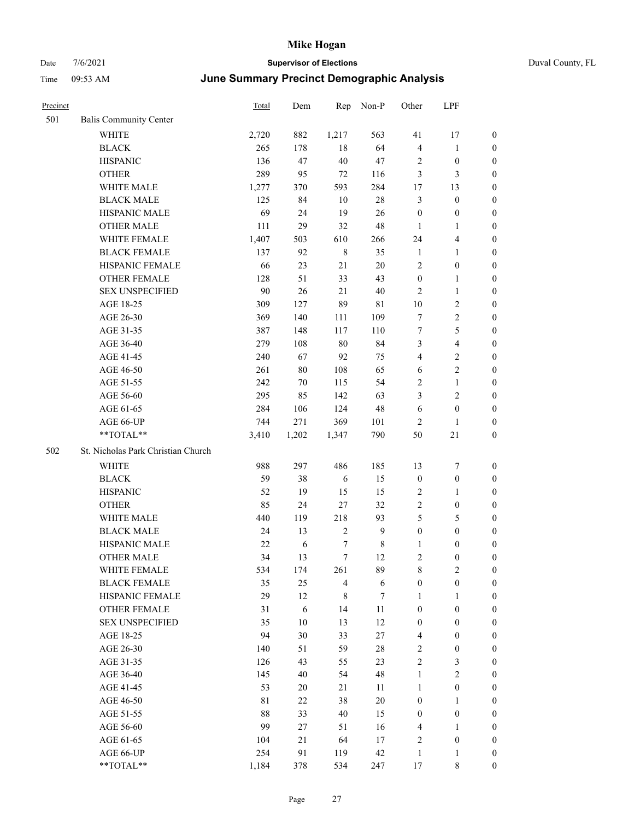| Precinct |                                    | Total       | Dem    | Rep            | Non-P       | Other            | LPF              |                  |
|----------|------------------------------------|-------------|--------|----------------|-------------|------------------|------------------|------------------|
| 501      | <b>Balis Community Center</b>      |             |        |                |             |                  |                  |                  |
|          | <b>WHITE</b>                       | 2,720       | 882    | 1,217          | 563         | 41               | 17               | $\mathbf{0}$     |
|          | <b>BLACK</b>                       | 265         | 178    | 18             | 64          | $\overline{4}$   | $\mathbf{1}$     | $\mathbf{0}$     |
|          | <b>HISPANIC</b>                    | 136         | 47     | 40             | 47          | $\sqrt{2}$       | $\boldsymbol{0}$ | $\boldsymbol{0}$ |
|          | <b>OTHER</b>                       | 289         | 95     | 72             | 116         | 3                | 3                | $\boldsymbol{0}$ |
|          | WHITE MALE                         | 1,277       | 370    | 593            | 284         | 17               | 13               | $\boldsymbol{0}$ |
|          | <b>BLACK MALE</b>                  | 125         | 84     | 10             | $28\,$      | $\mathfrak{Z}$   | $\boldsymbol{0}$ | $\boldsymbol{0}$ |
|          | HISPANIC MALE                      | 69          | 24     | 19             | 26          | $\boldsymbol{0}$ | $\boldsymbol{0}$ | $\boldsymbol{0}$ |
|          | <b>OTHER MALE</b>                  | 111         | 29     | 32             | 48          | $\mathbf{1}$     | 1                | $\boldsymbol{0}$ |
|          | WHITE FEMALE                       | 1,407       | 503    | 610            | 266         | 24               | 4                | $\boldsymbol{0}$ |
|          | <b>BLACK FEMALE</b>                | 137         | 92     | $\,$ 8 $\,$    | 35          | $\mathbf{1}$     | 1                | $\boldsymbol{0}$ |
|          | HISPANIC FEMALE                    | 66          | 23     | 21             | $20\,$      | $\sqrt{2}$       | $\boldsymbol{0}$ | $\boldsymbol{0}$ |
|          | <b>OTHER FEMALE</b>                | 128         | 51     | 33             | 43          | $\boldsymbol{0}$ | 1                | $\boldsymbol{0}$ |
|          | <b>SEX UNSPECIFIED</b>             | 90          | 26     | 21             | 40          | $\overline{2}$   | 1                | $\boldsymbol{0}$ |
|          | AGE 18-25                          | 309         | 127    | 89             | $8\sqrt{1}$ | 10               | 2                | $\boldsymbol{0}$ |
|          | AGE 26-30                          | 369         | 140    | 111            | 109         | $\tau$           | $\overline{c}$   | $\boldsymbol{0}$ |
|          | AGE 31-35                          | 387         | 148    | 117            | 110         | $\tau$           | 5                | $\boldsymbol{0}$ |
|          | AGE 36-40                          | 279         | 108    | 80             | 84          | $\mathfrak{Z}$   | 4                | $\boldsymbol{0}$ |
|          | AGE 41-45                          | 240         | 67     | 92             | 75          | $\overline{4}$   | 2                | $\boldsymbol{0}$ |
|          | AGE 46-50                          | 261         | $80\,$ | 108            | 65          | 6                | 2                | $\boldsymbol{0}$ |
|          | AGE 51-55                          | 242         | 70     | 115            | 54          | $\sqrt{2}$       | 1                | $\boldsymbol{0}$ |
|          | AGE 56-60                          | 295         | 85     | 142            | 63          | 3                | 2                | $\boldsymbol{0}$ |
|          | AGE 61-65                          | 284         | 106    | 124            | 48          | 6                | $\boldsymbol{0}$ | $\boldsymbol{0}$ |
|          | AGE 66-UP                          | 744         | 271    | 369            | 101         | $\overline{2}$   | 1                | $\boldsymbol{0}$ |
|          | **TOTAL**                          | 3,410       | 1,202  | 1,347          | 790         | 50               | 21               | $\boldsymbol{0}$ |
| 502      | St. Nicholas Park Christian Church |             |        |                |             |                  |                  |                  |
|          | WHITE                              | 988         | 297    | 486            | 185         | 13               | 7                | $\boldsymbol{0}$ |
|          | <b>BLACK</b>                       | 59          | 38     | 6              | 15          | $\boldsymbol{0}$ | $\boldsymbol{0}$ | $\boldsymbol{0}$ |
|          | <b>HISPANIC</b>                    | 52          | 19     | 15             | 15          | $\overline{2}$   | 1                | $\boldsymbol{0}$ |
|          | <b>OTHER</b>                       | 85          | 24     | 27             | 32          | $\overline{2}$   | $\boldsymbol{0}$ | $\boldsymbol{0}$ |
|          | WHITE MALE                         | 440         | 119    | 218            | 93          | 5                | 5                | $\boldsymbol{0}$ |
|          | <b>BLACK MALE</b>                  | 24          | 13     | $\sqrt{2}$     | 9           | $\boldsymbol{0}$ | $\boldsymbol{0}$ | $\boldsymbol{0}$ |
|          | HISPANIC MALE                      | 22          | 6      | 7              | 8           | 1                | 0                | $\boldsymbol{0}$ |
|          | <b>OTHER MALE</b>                  | 34          | 13     | $\tau$         | 12          | $\overline{c}$   | $\mathbf{0}$     | $\boldsymbol{0}$ |
|          | WHITE FEMALE                       | 534         | 174    | 261            | 89          | $\,$ 8 $\,$      | $\mathbf{2}$     | $\boldsymbol{0}$ |
|          | <b>BLACK FEMALE</b>                | 35          | 25     | $\overline{4}$ | 6           | $\boldsymbol{0}$ | $\boldsymbol{0}$ | $\boldsymbol{0}$ |
|          | HISPANIC FEMALE                    | 29          | 12     | $\,$ 8 $\,$    | 7           | $\mathbf{1}$     | 1                | $\boldsymbol{0}$ |
|          | OTHER FEMALE                       | 31          | 6      | 14             | 11          | $\boldsymbol{0}$ | $\boldsymbol{0}$ | $\boldsymbol{0}$ |
|          | <b>SEX UNSPECIFIED</b>             | 35          | 10     | 13             | 12          | $\boldsymbol{0}$ | $\boldsymbol{0}$ | $\boldsymbol{0}$ |
|          | AGE 18-25                          | 94          | 30     | 33             | $27\,$      | $\overline{4}$   | $\boldsymbol{0}$ | $\boldsymbol{0}$ |
|          | AGE 26-30                          | 140         | 51     | 59             | $28\,$      | $\sqrt{2}$       | $\boldsymbol{0}$ | $\boldsymbol{0}$ |
|          | AGE 31-35                          | 126         | 43     | 55             | 23          | $\sqrt{2}$       | 3                | $\boldsymbol{0}$ |
|          | AGE 36-40                          | 145         | 40     | 54             | 48          | $\mathbf{1}$     | $\overline{c}$   | $\boldsymbol{0}$ |
|          | AGE 41-45                          | 53          | 20     | 21             | 11          | $\mathbf{1}$     | $\boldsymbol{0}$ | $\boldsymbol{0}$ |
|          | AGE 46-50                          | $8\sqrt{1}$ | 22     | 38             | $20\,$      | $\boldsymbol{0}$ | $\mathbf{1}$     | $\boldsymbol{0}$ |
|          | AGE 51-55                          | 88          | 33     | 40             | 15          | $\boldsymbol{0}$ | $\boldsymbol{0}$ | $\boldsymbol{0}$ |
|          | AGE 56-60                          | 99          | $27\,$ | 51             | 16          | $\overline{4}$   | 1                | $\boldsymbol{0}$ |
|          | AGE 61-65                          | 104         | $21\,$ | 64             | $17\,$      | $\sqrt{2}$       | $\boldsymbol{0}$ | $\boldsymbol{0}$ |
|          | AGE 66-UP                          | 254         | 91     | 119            | 42          | $\mathbf{1}$     | 1                | $\mathbf{0}$     |
|          | **TOTAL**                          | 1,184       | 378    | 534            | 247         | $17\,$           | $\,$ 8 $\,$      | $\boldsymbol{0}$ |
|          |                                    |             |        |                |             |                  |                  |                  |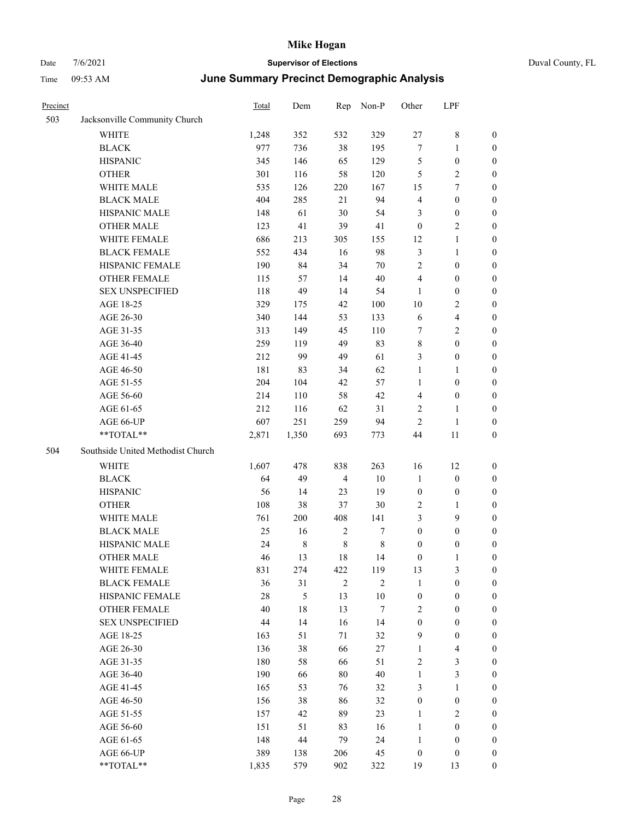| Duval County, Fl |  |
|------------------|--|

| Precinct |                                   | <b>Total</b> | Dem    | Rep            | Non-P          | Other            | LPF                     |                  |
|----------|-----------------------------------|--------------|--------|----------------|----------------|------------------|-------------------------|------------------|
| 503      | Jacksonville Community Church     |              |        |                |                |                  |                         |                  |
|          | WHITE                             | 1,248        | 352    | 532            | 329            | 27               | $\,$ 8 $\,$             | $\boldsymbol{0}$ |
|          | <b>BLACK</b>                      | 977          | 736    | 38             | 195            | 7                | $\mathbf{1}$            | $\boldsymbol{0}$ |
|          | <b>HISPANIC</b>                   | 345          | 146    | 65             | 129            | 5                | $\boldsymbol{0}$        | 0                |
|          | <b>OTHER</b>                      | 301          | 116    | 58             | 120            | 5                | $\sqrt{2}$              | 0                |
|          | WHITE MALE                        | 535          | 126    | 220            | 167            | 15               | $\tau$                  | 0                |
|          | <b>BLACK MALE</b>                 | 404          | 285    | 21             | 94             | 4                | $\boldsymbol{0}$        | $\boldsymbol{0}$ |
|          | HISPANIC MALE                     | 148          | 61     | $30\,$         | 54             | 3                | $\boldsymbol{0}$        | $\boldsymbol{0}$ |
|          | <b>OTHER MALE</b>                 | 123          | 41     | 39             | 41             | $\boldsymbol{0}$ | $\sqrt{2}$              | 0                |
|          | WHITE FEMALE                      | 686          | 213    | 305            | 155            | 12               | $\mathbf{1}$            | 0                |
|          | <b>BLACK FEMALE</b>               | 552          | 434    | 16             | 98             | 3                | $\mathbf{1}$            | $\boldsymbol{0}$ |
|          | HISPANIC FEMALE                   | 190          | 84     | 34             | $70\,$         | $\overline{c}$   | $\boldsymbol{0}$        | $\boldsymbol{0}$ |
|          | <b>OTHER FEMALE</b>               | 115          | 57     | 14             | $40\,$         | 4                | $\boldsymbol{0}$        | 0                |
|          | <b>SEX UNSPECIFIED</b>            | 118          | 49     | 14             | 54             | $\mathbf{1}$     | $\boldsymbol{0}$        | 0                |
|          | AGE 18-25                         | 329          | 175    | 42             | 100            | 10               | $\overline{c}$          | 0                |
|          | AGE 26-30                         | 340          | 144    | 53             | 133            | 6                | $\overline{\mathbf{4}}$ | 0                |
|          | AGE 31-35                         | 313          | 149    | 45             | 110            | 7                | $\sqrt{2}$              | 0                |
|          | AGE 36-40                         | 259          | 119    | 49             | 83             | 8                | $\boldsymbol{0}$        | $\boldsymbol{0}$ |
|          | AGE 41-45                         | 212          | 99     | 49             | 61             | 3                | $\boldsymbol{0}$        | 0                |
|          | AGE 46-50                         | 181          | 83     | 34             | 62             | $\mathbf{1}$     | $\mathbf{1}$            | 0                |
|          | AGE 51-55                         | 204          | 104    | 42             | 57             | $\mathbf{1}$     | $\boldsymbol{0}$        | 0                |
|          | AGE 56-60                         | 214          | 110    | 58             | 42             | 4                | $\boldsymbol{0}$        | 0                |
|          | AGE 61-65                         | 212          | 116    | 62             | 31             | $\mathbf{2}$     | $\mathbf{1}$            | 0                |
|          | AGE 66-UP                         | 607          | 251    | 259            | 94             | $\mathbf{2}$     | $\mathbf{1}$            | 0                |
|          | **TOTAL**                         | 2,871        | 1,350  | 693            | 773            | 44               | 11                      | 0                |
| 504      | Southside United Methodist Church |              |        |                |                |                  |                         |                  |
|          | WHITE                             | 1,607        | 478    | 838            | 263            | 16               | 12                      | 0                |
|          | <b>BLACK</b>                      | 64           | 49     | $\overline{4}$ | 10             | $\mathbf{1}$     | $\boldsymbol{0}$        | 0                |
|          | <b>HISPANIC</b>                   | 56           | 14     | 23             | 19             | $\boldsymbol{0}$ | $\boldsymbol{0}$        | 0                |
|          | <b>OTHER</b>                      | 108          | 38     | 37             | 30             | 2                | $\mathbf{1}$            | $\boldsymbol{0}$ |
|          | WHITE MALE                        | 761          | 200    | 408            | 141            | 3                | 9                       | 0                |
|          | <b>BLACK MALE</b>                 | 25           | 16     | $\sqrt{2}$     | 7              | $\boldsymbol{0}$ | $\boldsymbol{0}$        | 0                |
|          | HISPANIC MALE                     | 24           | 8      | $\,$ 8 $\,$    | $\,$ 8 $\,$    | $\boldsymbol{0}$ | $\boldsymbol{0}$        | 0                |
|          | <b>OTHER MALE</b>                 | 46           | 13     | 18             | 14             | $\boldsymbol{0}$ | $\mathbf{1}$            | $\boldsymbol{0}$ |
|          | WHITE FEMALE                      | 831          | 274    | 422            | 119            | 13               | $\mathfrak{Z}$          | 0                |
|          | <b>BLACK FEMALE</b>               | 36           | 31     | $\overline{2}$ | $\overline{2}$ | $\mathbf{1}$     | $\boldsymbol{0}$        | 0                |
|          | HISPANIC FEMALE                   | 28           | 5      | 13             | $10\,$         | $\boldsymbol{0}$ | $\boldsymbol{0}$        | 0                |
|          | OTHER FEMALE                      | 40           | $18\,$ | 13             | $\tau$         | 2                | $\boldsymbol{0}$        | 0                |
|          | <b>SEX UNSPECIFIED</b>            | 44           | 14     | 16             | 14             | $\boldsymbol{0}$ | $\boldsymbol{0}$        | 0                |
|          | AGE 18-25                         | 163          | 51     | $71\,$         | 32             | 9                | $\boldsymbol{0}$        | $\overline{0}$   |
|          | AGE 26-30                         | 136          | 38     | 66             | 27             | $\mathbf{1}$     | $\overline{\mathbf{4}}$ | 0                |
|          | AGE 31-35                         | 180          | 58     | 66             | 51             | $\sqrt{2}$       | $\mathfrak{Z}$          | 0                |
|          | AGE 36-40                         | 190          | 66     | $80\,$         | $40\,$         | $\mathbf{1}$     | $\mathfrak{Z}$          | $\overline{0}$   |
|          | AGE 41-45                         | 165          | 53     | 76             | 32             | 3                | $\mathbf{1}$            | $\overline{0}$   |
|          | AGE 46-50                         | 156          | 38     | 86             | 32             | $\boldsymbol{0}$ | $\boldsymbol{0}$        | 0                |
|          | AGE 51-55                         | 157          | 42     | 89             | 23             | $\mathbf{1}$     | $\overline{2}$          | 0                |
|          | AGE 56-60                         | 151          | 51     | 83             | 16             | $\mathbf{1}$     | $\boldsymbol{0}$        | 0                |
|          | AGE 61-65                         | 148          | 44     | 79             | 24             | $\mathbf{1}$     | $\boldsymbol{0}$        | $\overline{0}$   |
|          | AGE 66-UP                         | 389          | 138    | 206            | 45             | $\boldsymbol{0}$ | $\boldsymbol{0}$        | 0                |
|          | **TOTAL**                         | 1,835        | 579    | 902            | 322            | 19               | 13                      | $\boldsymbol{0}$ |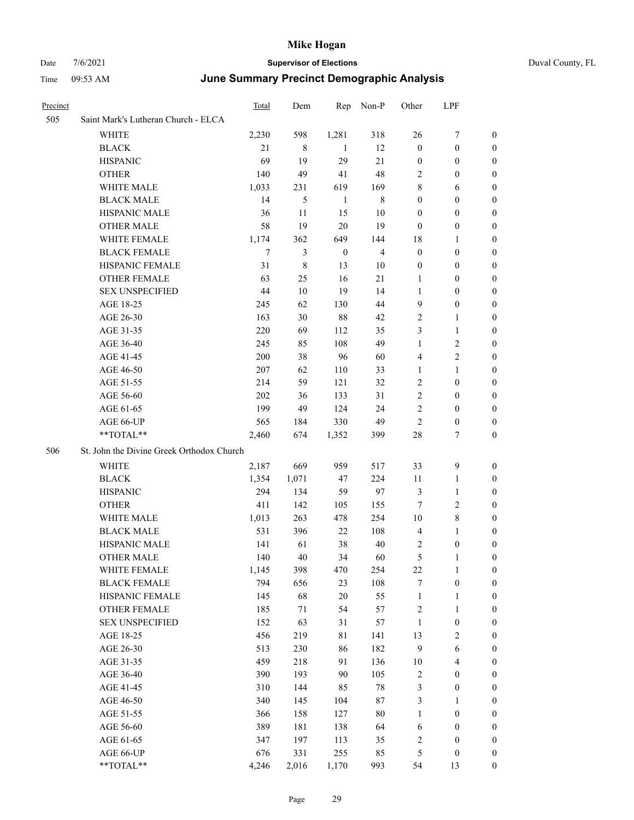## Date 7/6/2021 **Supervisor of Elections** Duval County, FL

## Time 09:53 AM **June Summary Precinct Demographic Analysis**

| Precinct |                                           | <b>Total</b> | Dem         |              | Rep Non-P      | Other            | LPF                     |                  |
|----------|-------------------------------------------|--------------|-------------|--------------|----------------|------------------|-------------------------|------------------|
| 505      | Saint Mark's Lutheran Church - ELCA       |              |             |              |                |                  |                         |                  |
|          | <b>WHITE</b>                              | 2,230        | 598         | 1,281        | 318            | 26               | 7                       | 0                |
|          | <b>BLACK</b>                              | 21           | 8           | -1           | 12             | $\boldsymbol{0}$ | $\boldsymbol{0}$        | $\boldsymbol{0}$ |
|          | <b>HISPANIC</b>                           | 69           | 19          | 29           | 21             | $\boldsymbol{0}$ | $\boldsymbol{0}$        | $\boldsymbol{0}$ |
|          | <b>OTHER</b>                              | 140          | 49          | 41           | 48             | 2                | $\boldsymbol{0}$        | $\boldsymbol{0}$ |
|          | WHITE MALE                                | 1,033        | 231         | 619          | 169            | 8                | 6                       | $\boldsymbol{0}$ |
|          | <b>BLACK MALE</b>                         | 14           | 5           | 1            | $\,$ 8 $\,$    | $\boldsymbol{0}$ | $\boldsymbol{0}$        | $\boldsymbol{0}$ |
|          | HISPANIC MALE                             | 36           | 11          | 15           | 10             | $\boldsymbol{0}$ | $\boldsymbol{0}$        | $\boldsymbol{0}$ |
|          | <b>OTHER MALE</b>                         | 58           | 19          | 20           | 19             | $\boldsymbol{0}$ | $\boldsymbol{0}$        | 0                |
|          | WHITE FEMALE                              | 1,174        | 362         | 649          | 144            | 18               | 1                       | 0                |
|          | <b>BLACK FEMALE</b>                       | 7            | 3           | $\mathbf{0}$ | $\overline{4}$ | $\boldsymbol{0}$ | $\boldsymbol{0}$        | 0                |
|          | HISPANIC FEMALE                           | 31           | $\,$ 8 $\,$ | 13           | 10             | $\boldsymbol{0}$ | $\boldsymbol{0}$        | 0                |
|          | OTHER FEMALE                              | 63           | 25          | 16           | 21             | 1                | $\boldsymbol{0}$        | 0                |
|          | <b>SEX UNSPECIFIED</b>                    | 44           | $10\,$      | 19           | 14             | 1                | $\boldsymbol{0}$        | $\boldsymbol{0}$ |
|          | AGE 18-25                                 | 245          | 62          | 130          | 44             | 9                | $\boldsymbol{0}$        | $\boldsymbol{0}$ |
|          | AGE 26-30                                 | 163          | 30          | 88           | 42             | 2                | $\mathbf{1}$            | $\boldsymbol{0}$ |
|          | AGE 31-35                                 | 220          | 69          | 112          | 35             | 3                | $\mathbf{1}$            | $\boldsymbol{0}$ |
|          | AGE 36-40                                 | 245          | 85          | 108          | 49             | $\mathbf{1}$     | $\sqrt{2}$              | $\overline{0}$   |
|          | AGE 41-45                                 | 200          | 38          | 96           | 60             | 4                | $\overline{2}$          | 0                |
|          | AGE 46-50                                 | 207          | 62          | 110          | 33             | $\mathbf{1}$     | $\mathbf{1}$            | 0                |
|          | AGE 51-55                                 | 214          | 59          | 121          | 32             | 2                | $\boldsymbol{0}$        | 0                |
|          | AGE 56-60                                 | 202          | 36          | 133          | 31             | 2                | $\boldsymbol{0}$        | 0                |
|          | AGE 61-65                                 | 199          | 49          | 124          | 24             | $\mathbf{2}$     | $\boldsymbol{0}$        | 0                |
|          | AGE 66-UP                                 | 565          | 184         | 330          | 49             | $\mathbf{2}$     | $\boldsymbol{0}$        | 0                |
|          | **TOTAL**                                 | 2,460        | 674         | 1,352        | 399            | 28               | 7                       | $\boldsymbol{0}$ |
| 506      | St. John the Divine Greek Orthodox Church |              |             |              |                |                  |                         |                  |
|          | WHITE                                     | 2,187        | 669         | 959          | 517            | 33               | $\mathbf{9}$            | $\boldsymbol{0}$ |
|          | <b>BLACK</b>                              | 1,354        | 1,071       | 47           | 224            | 11               | $\mathbf{1}$            | $\boldsymbol{0}$ |
|          | <b>HISPANIC</b>                           | 294          | 134         | 59           | 97             | 3                | $\mathbf{1}$            | 0                |
|          | <b>OTHER</b>                              | 411          | 142         | 105          | 155            | 7                | $\sqrt{2}$              | $\overline{0}$   |
|          | WHITE MALE                                | 1,013        | 263         | 478          | 254            | $10\,$           | $\,8\,$                 | 0                |
|          | <b>BLACK MALE</b>                         | 531          | 396         | 22           | 108            | $\overline{4}$   | $\mathbf{1}$            | 0                |
|          | HISPANIC MALE                             | 141          | 61          | 38           | 40             | 2                | $\boldsymbol{0}$        | 0                |
|          | <b>OTHER MALE</b>                         | 140          | 40          | 34           | 60             | 5                | 1                       | 0                |
|          | WHITE FEMALE                              | 1,145        | 398         | 470          | 254            | 22               | $\mathbf{1}$            | $\overline{0}$   |
|          | <b>BLACK FEMALE</b>                       | 794          | 656         | 23           | 108            | 7                | $\boldsymbol{0}$        | $\boldsymbol{0}$ |
|          | HISPANIC FEMALE                           | 145          | 68          | 20           | 55             | $\mathbf{1}$     | $\mathbf{1}$            | $\boldsymbol{0}$ |
|          | OTHER FEMALE                              | 185          | $71\,$      | 54           | 57             | 2                | $\mathbf{1}$            | $\overline{0}$   |
|          | <b>SEX UNSPECIFIED</b>                    | 152          | 63          | 31           | 57             | $\mathbf{1}$     | $\boldsymbol{0}$        | 0                |
|          | AGE 18-25                                 | 456          | 219         | 81           | 141            | 13               | $\sqrt{2}$              | 0                |
|          | AGE 26-30                                 | 513          | 230         | 86           | 182            | $\overline{9}$   | $\sqrt{6}$              | 0                |
|          | AGE 31-35                                 | 459          | 218         | 91           | 136            | $10\,$           | $\overline{\mathbf{4}}$ | 0                |
|          | AGE 36-40                                 | 390          | 193         | 90           | 105            | 2                | $\boldsymbol{0}$        | 0                |
|          | AGE 41-45                                 | 310          | 144         | 85           | $78\,$         | 3                | $\boldsymbol{0}$        | 0                |
|          | AGE 46-50                                 | 340          | 145         | 104          | $87\,$         | 3                | 1                       | 0                |
|          | AGE 51-55                                 | 366          | 158         | 127          | $80\,$         | 1                | $\boldsymbol{0}$        | $\boldsymbol{0}$ |
|          | AGE 56-60                                 | 389          | 181         | 138          | 64             | 6                | $\boldsymbol{0}$        | $\boldsymbol{0}$ |
|          | AGE 61-65                                 | 347          | 197         | 113          | 35             | 2                | $\boldsymbol{0}$        | 0                |
|          | AGE 66-UP                                 | 676          | 331         | 255          | 85             | 5                | $\boldsymbol{0}$        | 0                |
|          | **TOTAL**                                 | 4,246        | 2,016       | 1,170        | 993            | 54               | 13                      | $\overline{0}$   |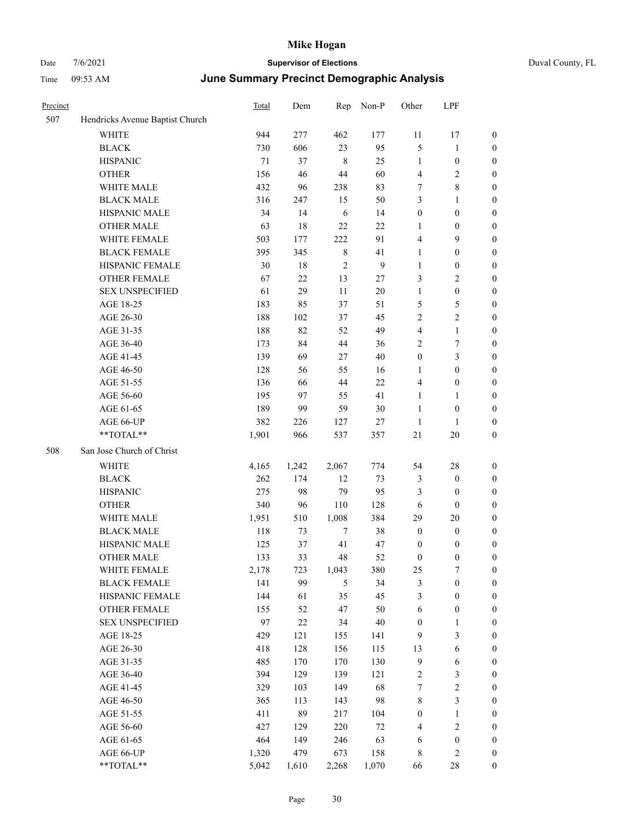| Precinct |                                 | Total  | Dem    | Rep            | Non-P  | Other            | LPF                     |                  |
|----------|---------------------------------|--------|--------|----------------|--------|------------------|-------------------------|------------------|
| 507      | Hendricks Avenue Baptist Church |        |        |                |        |                  |                         |                  |
|          | <b>WHITE</b>                    | 944    | 277    | 462            | 177    | $11\,$           | 17                      | $\boldsymbol{0}$ |
|          | <b>BLACK</b>                    | 730    | 606    | 23             | 95     | 5                | $\mathbf{1}$            | $\mathbf{0}$     |
|          | <b>HISPANIC</b>                 | $71\,$ | 37     | 8              | 25     | $\mathbf{1}$     | $\boldsymbol{0}$        | $\boldsymbol{0}$ |
|          | <b>OTHER</b>                    | 156    | 46     | 44             | 60     | $\overline{4}$   | 2                       | $\boldsymbol{0}$ |
|          | WHITE MALE                      | 432    | 96     | 238            | 83     | 7                | 8                       | $\boldsymbol{0}$ |
|          | <b>BLACK MALE</b>               | 316    | 247    | 15             | 50     | 3                | 1                       | $\boldsymbol{0}$ |
|          | HISPANIC MALE                   | 34     | 14     | 6              | 14     | $\boldsymbol{0}$ | $\boldsymbol{0}$        | $\boldsymbol{0}$ |
|          | <b>OTHER MALE</b>               | 63     | 18     | 22             | 22     | 1                | $\boldsymbol{0}$        | $\boldsymbol{0}$ |
|          | WHITE FEMALE                    | 503    | 177    | 222            | 91     | $\overline{4}$   | 9                       | $\boldsymbol{0}$ |
|          | <b>BLACK FEMALE</b>             | 395    | 345    | $\,8\,$        | 41     | $\mathbf{1}$     | $\boldsymbol{0}$        | $\boldsymbol{0}$ |
|          | HISPANIC FEMALE                 | 30     | $18\,$ | 2              | 9      | $\mathbf{1}$     | $\boldsymbol{0}$        | $\boldsymbol{0}$ |
|          | <b>OTHER FEMALE</b>             | 67     | 22     | 13             | 27     | 3                | 2                       | $\boldsymbol{0}$ |
|          | <b>SEX UNSPECIFIED</b>          | 61     | 29     | 11             | $20\,$ | $\mathbf{1}$     | $\boldsymbol{0}$        | $\boldsymbol{0}$ |
|          | AGE 18-25                       | 183    | 85     | 37             | 51     | 5                | 5                       | $\boldsymbol{0}$ |
|          | AGE 26-30                       | 188    | 102    | 37             | 45     | $\overline{2}$   | $\overline{c}$          | $\boldsymbol{0}$ |
|          | AGE 31-35                       | 188    | 82     | 52             | 49     | $\overline{4}$   | $\mathbf{1}$            | $\boldsymbol{0}$ |
|          | AGE 36-40                       | 173    | 84     | 44             | 36     | $\overline{2}$   | 7                       | $\boldsymbol{0}$ |
|          | AGE 41-45                       | 139    | 69     | 27             | 40     | $\boldsymbol{0}$ | 3                       | $\boldsymbol{0}$ |
|          | AGE 46-50                       | 128    | 56     | 55             | 16     | 1                | $\boldsymbol{0}$        | $\boldsymbol{0}$ |
|          | AGE 51-55                       | 136    | 66     | 44             | $22\,$ | $\overline{4}$   | $\boldsymbol{0}$        | $\boldsymbol{0}$ |
|          | AGE 56-60                       | 195    | 97     | 55             | 41     | 1                | 1                       | $\boldsymbol{0}$ |
|          | AGE 61-65                       | 189    | 99     | 59             | $30\,$ | 1                | $\boldsymbol{0}$        | $\boldsymbol{0}$ |
|          | AGE 66-UP                       | 382    | 226    | 127            | 27     | 1                | 1                       | $\boldsymbol{0}$ |
|          | **TOTAL**                       | 1,901  | 966    | 537            | 357    | $21\,$           | 20                      | $\boldsymbol{0}$ |
| 508      | San Jose Church of Christ       |        |        |                |        |                  |                         |                  |
|          | WHITE                           | 4,165  | 1,242  | 2,067          | 774    | 54               | 28                      | $\boldsymbol{0}$ |
|          | <b>BLACK</b>                    | 262    | 174    | 12             | 73     | 3                | $\boldsymbol{0}$        | $\boldsymbol{0}$ |
|          | <b>HISPANIC</b>                 | 275    | 98     | 79             | 95     | 3                | $\boldsymbol{0}$        | $\boldsymbol{0}$ |
|          | <b>OTHER</b>                    | 340    | 96     | 110            | 128    | 6                | $\boldsymbol{0}$        | $\boldsymbol{0}$ |
|          | WHITE MALE                      | 1,951  | 510    | 1,008          | 384    | 29               | 20                      | $\boldsymbol{0}$ |
|          | <b>BLACK MALE</b>               | 118    | 73     | $\tau$         | 38     | $\boldsymbol{0}$ | $\boldsymbol{0}$        | $\boldsymbol{0}$ |
|          | HISPANIC MALE                   | 125    | 37     | 41             | 47     | $\boldsymbol{0}$ | 0                       | $\boldsymbol{0}$ |
|          | <b>OTHER MALE</b>               | 133    | 33     | 48             | 52     | $\boldsymbol{0}$ | $\mathbf{0}$            | $\boldsymbol{0}$ |
|          | WHITE FEMALE                    | 2,178  | 723    | 1,043          | 380    | 25               | $\boldsymbol{7}$        | $\boldsymbol{0}$ |
|          | <b>BLACK FEMALE</b>             | 141    | 99     | $\mathfrak{H}$ | 34     | $\mathfrak z$    | $\boldsymbol{0}$        | $\boldsymbol{0}$ |
|          | HISPANIC FEMALE                 | 144    | 61     | 35             | 45     | $\mathfrak{Z}$   | $\boldsymbol{0}$        | $\boldsymbol{0}$ |
|          | OTHER FEMALE                    | 155    | 52     | 47             | 50     | $\sqrt{6}$       | $\boldsymbol{0}$        | $\boldsymbol{0}$ |
|          | <b>SEX UNSPECIFIED</b>          | 97     | $22\,$ | 34             | $40\,$ | $\boldsymbol{0}$ | 1                       | $\boldsymbol{0}$ |
|          | AGE 18-25                       | 429    | 121    | 155            | 141    | 9                | 3                       | $\boldsymbol{0}$ |
|          | AGE 26-30                       | 418    | 128    | 156            | 115    | 13               | 6                       | $\boldsymbol{0}$ |
|          | AGE 31-35                       | 485    | 170    | 170            | 130    | $\boldsymbol{9}$ | 6                       | $\boldsymbol{0}$ |
|          | AGE 36-40                       | 394    | 129    | 139            | 121    | $\sqrt{2}$       | 3                       | $\boldsymbol{0}$ |
|          | AGE 41-45                       | 329    | 103    | 149            | 68     | $\boldsymbol{7}$ | $\overline{\mathbf{c}}$ | $\boldsymbol{0}$ |
|          | AGE 46-50                       | 365    | 113    | 143            | 98     | $\,8\,$          | 3                       | $\boldsymbol{0}$ |
|          | AGE 51-55                       | 411    | 89     | 217            | 104    | $\boldsymbol{0}$ | 1                       | $\boldsymbol{0}$ |
|          | AGE 56-60                       | 427    | 129    | 220            | $72\,$ | $\overline{4}$   | $\sqrt{2}$              | $\boldsymbol{0}$ |
|          | AGE 61-65                       | 464    | 149    | 246            | 63     | 6                | $\boldsymbol{0}$        | $\boldsymbol{0}$ |
|          | AGE 66-UP                       | 1,320  | 479    | 673            | 158    | $\,$ 8 $\,$      | 2                       | $\mathbf{0}$     |
|          | **TOTAL**                       | 5,042  | 1,610  | 2,268          | 1,070  | 66               | $28\,$                  | $\boldsymbol{0}$ |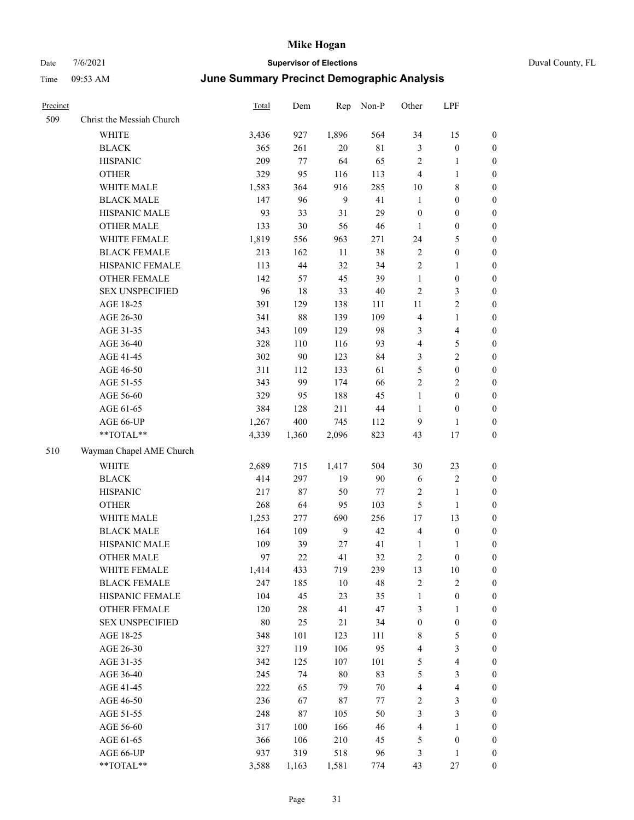| Precinct |                           | <b>Total</b> | Dem    | Rep    | Non-P       | Other            | LPF                     |                  |
|----------|---------------------------|--------------|--------|--------|-------------|------------------|-------------------------|------------------|
| 509      | Christ the Messiah Church |              |        |        |             |                  |                         |                  |
|          | WHITE                     | 3,436        | 927    | 1,896  | 564         | 34               | 15                      | $\mathbf{0}$     |
|          | <b>BLACK</b>              | 365          | 261    | 20     | $8\sqrt{1}$ | 3                | $\boldsymbol{0}$        | $\boldsymbol{0}$ |
|          | <b>HISPANIC</b>           | 209          | 77     | 64     | 65          | $\sqrt{2}$       | 1                       | $\boldsymbol{0}$ |
|          | <b>OTHER</b>              | 329          | 95     | 116    | 113         | $\overline{4}$   | $\mathbf{1}$            | $\boldsymbol{0}$ |
|          | WHITE MALE                | 1,583        | 364    | 916    | 285         | 10               | 8                       | $\boldsymbol{0}$ |
|          | <b>BLACK MALE</b>         | 147          | 96     | 9      | 41          | $\mathbf{1}$     | $\boldsymbol{0}$        | $\boldsymbol{0}$ |
|          | HISPANIC MALE             | 93           | 33     | 31     | 29          | $\boldsymbol{0}$ | $\boldsymbol{0}$        | $\boldsymbol{0}$ |
|          | <b>OTHER MALE</b>         | 133          | 30     | 56     | 46          | $\mathbf{1}$     | $\boldsymbol{0}$        | $\boldsymbol{0}$ |
|          | WHITE FEMALE              | 1,819        | 556    | 963    | 271         | 24               | 5                       | $\boldsymbol{0}$ |
|          | <b>BLACK FEMALE</b>       | 213          | 162    | $11\,$ | 38          | $\sqrt{2}$       | $\boldsymbol{0}$        | $\boldsymbol{0}$ |
|          | HISPANIC FEMALE           | 113          | 44     | 32     | 34          | $\overline{2}$   | $\mathbf{1}$            | $\boldsymbol{0}$ |
|          | <b>OTHER FEMALE</b>       | 142          | 57     | 45     | 39          | $\mathbf{1}$     | $\boldsymbol{0}$        | $\boldsymbol{0}$ |
|          | <b>SEX UNSPECIFIED</b>    | 96           | 18     | 33     | 40          | $\overline{2}$   | 3                       | $\boldsymbol{0}$ |
|          | AGE 18-25                 | 391          | 129    | 138    | 111         | 11               | 2                       | $\boldsymbol{0}$ |
|          | AGE 26-30                 | 341          | 88     | 139    | 109         | $\overline{4}$   | $\mathbf{1}$            | $\boldsymbol{0}$ |
|          | AGE 31-35                 | 343          | 109    | 129    | 98          | $\mathfrak{Z}$   | 4                       | $\boldsymbol{0}$ |
|          | AGE 36-40                 | 328          | 110    | 116    | 93          | $\overline{4}$   | 5                       | $\boldsymbol{0}$ |
|          | AGE 41-45                 | 302          | 90     | 123    | 84          | 3                | $\overline{\mathbf{c}}$ | $\boldsymbol{0}$ |
|          | AGE 46-50                 | 311          | 112    | 133    | 61          | 5                | $\boldsymbol{0}$        | $\boldsymbol{0}$ |
|          | AGE 51-55                 | 343          | 99     | 174    | 66          | $\overline{2}$   | 2                       | $\boldsymbol{0}$ |
|          | AGE 56-60                 | 329          | 95     | 188    | 45          | $\mathbf{1}$     | $\boldsymbol{0}$        | $\boldsymbol{0}$ |
|          | AGE 61-65                 | 384          | 128    | 211    | 44          | $\mathbf{1}$     | $\boldsymbol{0}$        | $\boldsymbol{0}$ |
|          | AGE 66-UP                 | 1,267        | 400    | 745    | 112         | 9                | 1                       | $\boldsymbol{0}$ |
|          | **TOTAL**                 | 4,339        | 1,360  | 2,096  | 823         | 43               | 17                      | $\boldsymbol{0}$ |
| 510      | Wayman Chapel AME Church  |              |        |        |             |                  |                         |                  |
|          | <b>WHITE</b>              | 2,689        | 715    | 1,417  | 504         | 30               | 23                      | $\boldsymbol{0}$ |
|          | <b>BLACK</b>              | 414          | 297    | 19     | 90          | 6                | $\sqrt{2}$              | $\boldsymbol{0}$ |
|          | <b>HISPANIC</b>           | 217          | $87\,$ | 50     | 77          | $\sqrt{2}$       | 1                       | $\boldsymbol{0}$ |
|          | <b>OTHER</b>              | 268          | 64     | 95     | 103         | 5                | 1                       | $\boldsymbol{0}$ |
|          | WHITE MALE                | 1,253        | 277    | 690    | 256         | 17               | 13                      | $\boldsymbol{0}$ |
|          | <b>BLACK MALE</b>         | 164          | 109    | 9      | 42          | $\overline{4}$   | $\boldsymbol{0}$        | $\boldsymbol{0}$ |
|          | HISPANIC MALE             | 109          | 39     | 27     | 41          | $\mathbf{1}$     | 1                       | $\boldsymbol{0}$ |
|          | <b>OTHER MALE</b>         | 97           | 22     | 41     | 32          | $\overline{c}$   | $\boldsymbol{0}$        | $\boldsymbol{0}$ |
|          | WHITE FEMALE              | 1,414        | 433    | 719    | 239         | 13               | 10                      | $\boldsymbol{0}$ |
|          | <b>BLACK FEMALE</b>       | 247          | 185    | $10\,$ | 48          | $\sqrt{2}$       | $\overline{\mathbf{c}}$ | $\boldsymbol{0}$ |
|          | HISPANIC FEMALE           | 104          | 45     | 23     | 35          | $\mathbf{1}$     | $\boldsymbol{0}$        | $\boldsymbol{0}$ |
|          | OTHER FEMALE              | 120          | 28     | 41     | 47          | 3                | 1                       | $\boldsymbol{0}$ |
|          | <b>SEX UNSPECIFIED</b>    | 80           | 25     | 21     | 34          | $\boldsymbol{0}$ | $\boldsymbol{0}$        | $\boldsymbol{0}$ |
|          | AGE 18-25                 | 348          | 101    | 123    | 111         | $\,$ 8 $\,$      | 5                       | $\boldsymbol{0}$ |
|          | AGE 26-30                 | 327          | 119    | 106    | 95          | $\overline{4}$   | 3                       | $\boldsymbol{0}$ |
|          | AGE 31-35                 | 342          | 125    | 107    | 101         | $\mathfrak s$    | 4                       | $\boldsymbol{0}$ |
|          | AGE 36-40                 | 245          | 74     | 80     | 83          | $\mathfrak{S}$   | 3                       | $\boldsymbol{0}$ |
|          | AGE 41-45                 | 222          | 65     | 79     | $70\,$      | $\overline{4}$   | 4                       | $\boldsymbol{0}$ |
|          | AGE 46-50                 | 236          | 67     | 87     | 77          | $\sqrt{2}$       | 3                       | $\boldsymbol{0}$ |
|          | AGE 51-55                 | 248          | $87\,$ | 105    | 50          | $\mathfrak{Z}$   | 3                       | $\boldsymbol{0}$ |
|          | AGE 56-60                 | 317          | 100    | 166    | 46          | $\overline{4}$   | $\mathbf{1}$            | $\boldsymbol{0}$ |
|          | AGE 61-65                 | 366          | 106    | 210    | 45          | 5                | $\boldsymbol{0}$        | $\boldsymbol{0}$ |
|          | AGE 66-UP                 | 937          | 319    | 518    | 96          | $\mathfrak{Z}$   | 1                       | $\boldsymbol{0}$ |
|          | **TOTAL**                 | 3,588        | 1,163  | 1,581  | 774         | 43               | $27\,$                  | $\boldsymbol{0}$ |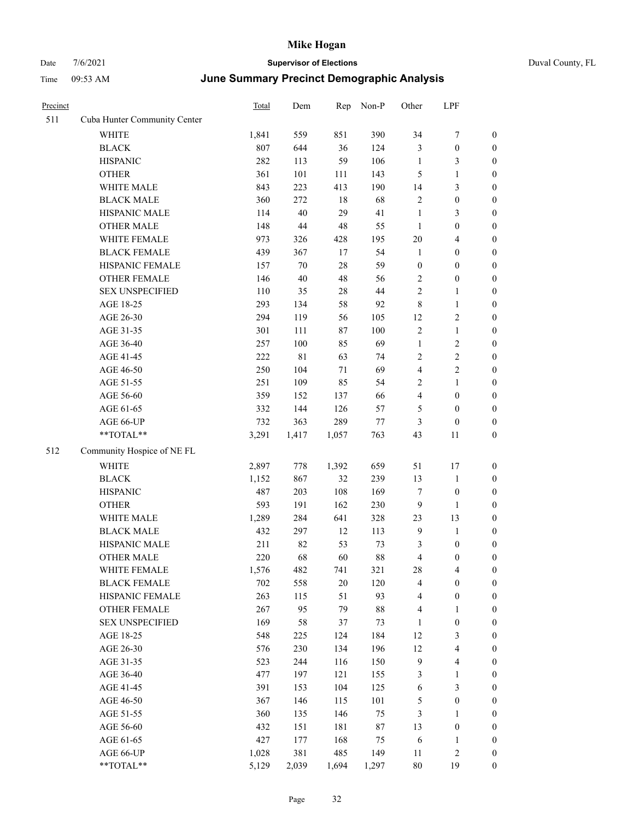| Duval County, FL |  |
|------------------|--|
|                  |  |

| Precinct |                                                           | <b>Total</b> | Dem         | Rep    | Non-P  | Other            | LPF                     |                  |
|----------|-----------------------------------------------------------|--------------|-------------|--------|--------|------------------|-------------------------|------------------|
| 511      | Cuba Hunter Community Center                              |              |             |        |        |                  |                         |                  |
|          | <b>WHITE</b>                                              | 1,841        | 559         | 851    | 390    | 34               | 7                       | 0                |
|          | <b>BLACK</b>                                              | 807          | 644         | 36     | 124    | 3                | $\boldsymbol{0}$        | 0                |
|          | <b>HISPANIC</b>                                           | 282          | 113         | 59     | 106    | $\mathbf{1}$     | 3                       | 0                |
|          | <b>OTHER</b>                                              | 361          | 101         | 111    | 143    | 5                | $\mathbf{1}$            | $\boldsymbol{0}$ |
|          | WHITE MALE                                                | 843          | 223         | 413    | 190    | 14               | $\mathfrak{Z}$          | $\boldsymbol{0}$ |
|          | <b>BLACK MALE</b>                                         | 360          | 272         | 18     | 68     | 2                | $\boldsymbol{0}$        | $\boldsymbol{0}$ |
|          | HISPANIC MALE                                             | 114          | 40          | 29     | 41     | $\mathbf{1}$     | $\mathfrak{Z}$          | $\boldsymbol{0}$ |
|          | <b>OTHER MALE</b>                                         | 148          | $44\,$      | $48\,$ | 55     | $\mathbf{1}$     | $\boldsymbol{0}$        | $\boldsymbol{0}$ |
|          | WHITE FEMALE                                              | 973          | 326         | 428    | 195    | $20\,$           | $\overline{\mathbf{4}}$ | $\boldsymbol{0}$ |
|          | <b>BLACK FEMALE</b>                                       | 439          | 367         | 17     | 54     | $\mathbf{1}$     | $\boldsymbol{0}$        | $\boldsymbol{0}$ |
|          | HISPANIC FEMALE                                           | 157          | 70          | $28\,$ | 59     | $\boldsymbol{0}$ | $\boldsymbol{0}$        | 0                |
|          | OTHER FEMALE                                              | 146          | 40          | $48\,$ | 56     | 2                | $\boldsymbol{0}$        | 0                |
|          | <b>SEX UNSPECIFIED</b>                                    | 110          | 35          | $28\,$ | 44     | 2                | $\mathbf{1}$            | 0                |
|          | AGE 18-25                                                 | 293          | 134         | 58     | 92     | 8                | $\mathbf{1}$            | $\boldsymbol{0}$ |
|          | AGE 26-30                                                 | 294          | 119         | 56     | 105    | 12               | $\sqrt{2}$              | $\boldsymbol{0}$ |
|          | AGE 31-35                                                 | 301          | 111         | $87\,$ | 100    | 2                | $\mathbf{1}$            | $\boldsymbol{0}$ |
|          | AGE 36-40                                                 | 257          | 100         | 85     | 69     | $\mathbf{1}$     | $\sqrt{2}$              | $\boldsymbol{0}$ |
|          | AGE 41-45                                                 | 222          | $8\sqrt{1}$ | 63     | 74     | 2                | $\sqrt{2}$              | $\boldsymbol{0}$ |
|          | AGE 46-50                                                 | 250          | 104         | 71     | 69     | 4                | $\overline{2}$          | $\boldsymbol{0}$ |
|          | AGE 51-55                                                 | 251          | 109         | 85     | 54     | 2                | $\mathbf{1}$            | $\boldsymbol{0}$ |
|          | AGE 56-60                                                 | 359          | 152         | 137    | 66     | 4                | $\boldsymbol{0}$        | 0                |
|          | AGE 61-65                                                 | 332          | 144         | 126    | 57     | 5                | $\boldsymbol{0}$        | 0                |
|          | AGE 66-UP                                                 | 732          | 363         | 289    | $77\,$ | 3                | $\boldsymbol{0}$        | 0                |
|          | **TOTAL**                                                 | 3,291        | 1,417       | 1,057  | 763    | 43               | 11                      | $\boldsymbol{0}$ |
| 512      | Community Hospice of NE FL                                |              |             |        |        |                  |                         |                  |
|          | <b>WHITE</b>                                              | 2,897        | 778         | 1,392  | 659    | 51               | 17                      | $\boldsymbol{0}$ |
|          | <b>BLACK</b>                                              | 1,152        | 867         | 32     | 239    | 13               | $\mathbf{1}$            | $\boldsymbol{0}$ |
|          | <b>HISPANIC</b>                                           | 487          | 203         | 108    | 169    | 7                | $\boldsymbol{0}$        | $\boldsymbol{0}$ |
|          | <b>OTHER</b>                                              | 593          | 191         | 162    | 230    | 9                | $\mathbf{1}$            | $\boldsymbol{0}$ |
|          | WHITE MALE                                                | 1,289        | 284         | 641    | 328    | 23               | 13                      | $\boldsymbol{0}$ |
|          | <b>BLACK MALE</b>                                         | 432          | 297         | 12     | 113    | $\overline{9}$   | $\mathbf{1}$            | $\boldsymbol{0}$ |
|          | HISPANIC MALE                                             | 211          | 82          | 53     | 73     | 3                | $\boldsymbol{0}$        | 0                |
|          | <b>OTHER MALE</b>                                         | 220          | 68          | 60     | 88     | 4                | $\boldsymbol{0}$        | $\boldsymbol{0}$ |
|          | WHITE FEMALE                                              | 1,576        | 482         | 741    | 321    | 28               | $\overline{\mathbf{4}}$ | 0                |
|          | <b>BLACK FEMALE</b>                                       | 702          | 558         | $20\,$ | 120    | 4                | $\boldsymbol{0}$        | 0                |
|          | HISPANIC FEMALE                                           | 263          | 115         | 51     | 93     | 4                | $\boldsymbol{0}$        | 0                |
|          | <b>OTHER FEMALE</b>                                       | 267          | 95          | 79     | $88\,$ | 4                | $\mathbf{1}$            | 0                |
|          | <b>SEX UNSPECIFIED</b>                                    | 169          | 58          | 37     | 73     | $\mathbf{1}$     | $\boldsymbol{0}$        | 0                |
|          | AGE 18-25                                                 | 548          | 225         | 124    | 184    | 12               | $\mathfrak{Z}$          | 0                |
|          | AGE 26-30                                                 | 576          | 230         | 134    | 196    | 12               | $\overline{\mathbf{4}}$ | 0                |
|          | AGE 31-35                                                 | 523          | 244         | 116    | 150    | $\overline{9}$   | $\overline{\mathbf{4}}$ | 0                |
|          | AGE 36-40                                                 | 477          | 197         | 121    | 155    | 3                | $\mathbf{1}$            | 0                |
|          | AGE 41-45                                                 | 391          | 153         | 104    | 125    | 6                | $\mathfrak{Z}$          | 0                |
|          | AGE 46-50                                                 | 367          | 146         | 115    | 101    | 5                | $\boldsymbol{0}$        | 0                |
|          | AGE 51-55                                                 | 360          | 135         | 146    | 75     | 3                | $\mathbf{1}$            | 0                |
|          | AGE 56-60                                                 | 432          | 151         | 181    | $87\,$ | 13               | $\boldsymbol{0}$        | 0                |
|          | AGE 61-65                                                 | 427          | 177         | 168    | 75     | 6                | $\mathbf{1}$            | $\boldsymbol{0}$ |
|          | AGE 66-UP                                                 | 1,028        | 381         | 485    | 149    | 11               | $\sqrt{2}$              | $\boldsymbol{0}$ |
|          | $\mathrm{*}\mathrm{*}\mathrm{TOTAL} \mathrm{*}\mathrm{*}$ | 5,129        | 2,039       | 1,694  | 1,297  | $80\,$           | 19                      | $\boldsymbol{0}$ |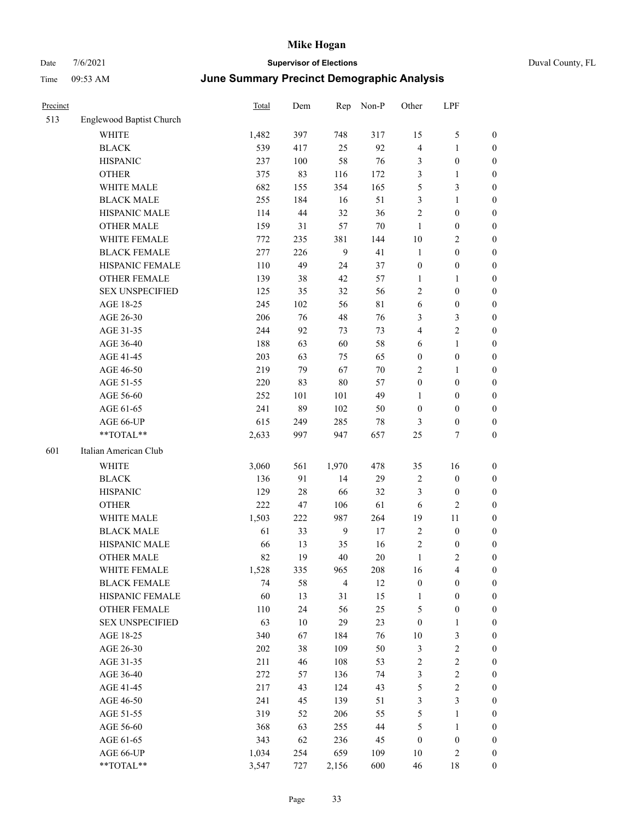| Duval Cour |  |
|------------|--|
|            |  |

| Precinct |                          | <b>Total</b> | Dem    | Rep            | Non-P       | Other            | LPF              |                  |
|----------|--------------------------|--------------|--------|----------------|-------------|------------------|------------------|------------------|
| 513      | Englewood Baptist Church |              |        |                |             |                  |                  |                  |
|          | <b>WHITE</b>             | 1,482        | 397    | 748            | 317         | 15               | $\mathfrak{S}$   | 0                |
|          | <b>BLACK</b>             | 539          | 417    | 25             | 92          | $\overline{4}$   | $\mathbf{1}$     | 0                |
|          | <b>HISPANIC</b>          | 237          | 100    | 58             | 76          | 3                | $\boldsymbol{0}$ | $\boldsymbol{0}$ |
|          | <b>OTHER</b>             | 375          | 83     | 116            | 172         | 3                | $\mathbf{1}$     | $\boldsymbol{0}$ |
|          | WHITE MALE               | 682          | 155    | 354            | 165         | 5                | $\mathfrak{Z}$   | $\boldsymbol{0}$ |
|          | <b>BLACK MALE</b>        | 255          | 184    | 16             | 51          | 3                | $\mathbf{1}$     | $\boldsymbol{0}$ |
|          | HISPANIC MALE            | 114          | 44     | 32             | 36          | $\overline{c}$   | $\boldsymbol{0}$ | $\boldsymbol{0}$ |
|          | <b>OTHER MALE</b>        | 159          | 31     | 57             | $70\,$      | $\mathbf{1}$     | $\boldsymbol{0}$ | $\boldsymbol{0}$ |
|          | WHITE FEMALE             | 772          | 235    | 381            | 144         | 10               | $\mathfrak{2}$   | $\boldsymbol{0}$ |
|          | <b>BLACK FEMALE</b>      | 277          | 226    | 9              | 41          | $\mathbf{1}$     | $\boldsymbol{0}$ | 0                |
|          | HISPANIC FEMALE          | 110          | 49     | 24             | 37          | $\boldsymbol{0}$ | $\boldsymbol{0}$ | 0                |
|          | <b>OTHER FEMALE</b>      | 139          | 38     | 42             | 57          | $\mathbf{1}$     | $\mathbf{1}$     | $\boldsymbol{0}$ |
|          | <b>SEX UNSPECIFIED</b>   | 125          | 35     | 32             | 56          | $\mathfrak{2}$   | $\boldsymbol{0}$ | $\boldsymbol{0}$ |
|          | AGE 18-25                | 245          | 102    | 56             | $8\sqrt{1}$ | 6                | $\boldsymbol{0}$ | $\boldsymbol{0}$ |
|          | AGE 26-30                | 206          | 76     | 48             | 76          | 3                | $\mathfrak{Z}$   | $\boldsymbol{0}$ |
|          | AGE 31-35                | 244          | 92     | 73             | 73          | 4                | $\sqrt{2}$       | $\boldsymbol{0}$ |
|          | AGE 36-40                | 188          | 63     | 60             | 58          | 6                | $\mathbf{1}$     | $\boldsymbol{0}$ |
|          | AGE 41-45                | 203          | 63     | 75             | 65          | $\boldsymbol{0}$ | $\boldsymbol{0}$ | $\boldsymbol{0}$ |
|          | AGE 46-50                | 219          | 79     | 67             | $70\,$      | $\overline{c}$   | $\mathbf{1}$     | $\boldsymbol{0}$ |
|          | AGE 51-55                | 220          | 83     | $80\,$         | 57          | $\boldsymbol{0}$ | $\boldsymbol{0}$ | $\boldsymbol{0}$ |
|          | AGE 56-60                | 252          | 101    | 101            | 49          | 1                | $\boldsymbol{0}$ | 0                |
|          | AGE 61-65                | 241          | 89     | 102            | 50          | $\boldsymbol{0}$ | $\boldsymbol{0}$ | 0                |
|          | AGE 66-UP                | 615          | 249    | 285            | $78\,$      | 3                | $\boldsymbol{0}$ | $\boldsymbol{0}$ |
|          | **TOTAL**                | 2,633        | 997    | 947            | 657         | 25               | $\tau$           | $\boldsymbol{0}$ |
| 601      | Italian American Club    |              |        |                |             |                  |                  |                  |
|          | <b>WHITE</b>             | 3,060        | 561    | 1,970          | 478         | 35               | 16               | $\boldsymbol{0}$ |
|          | <b>BLACK</b>             | 136          | 91     | 14             | 29          | 2                | $\boldsymbol{0}$ | $\boldsymbol{0}$ |
|          | <b>HISPANIC</b>          | 129          | 28     | 66             | 32          | 3                | $\boldsymbol{0}$ | $\boldsymbol{0}$ |
|          | <b>OTHER</b>             | 222          | 47     | 106            | 61          | 6                | $\mathbf{2}$     | $\boldsymbol{0}$ |
|          | WHITE MALE               | 1,503        | 222    | 987            | 264         | 19               | 11               | $\boldsymbol{0}$ |
|          | <b>BLACK MALE</b>        | 61           | 33     | $\overline{9}$ | $17\,$      | $\mathbf{2}$     | $\boldsymbol{0}$ | $\boldsymbol{0}$ |
|          | HISPANIC MALE            | 66           | 13     | 35             | 16          | 2                | $\boldsymbol{0}$ | 0                |
|          | <b>OTHER MALE</b>        | 82           | 19     | 40             | 20          | $\mathbf{1}$     | $\mathbf{2}$     | $\boldsymbol{0}$ |
|          | WHITE FEMALE             | 1,528        | 335    | 965            | 208         | 16               | 4                | 0                |
|          | <b>BLACK FEMALE</b>      | 74           | 58     | $\overline{4}$ | 12          | $\boldsymbol{0}$ | $\boldsymbol{0}$ | $\boldsymbol{0}$ |
|          | HISPANIC FEMALE          | 60           | 13     | 31             | 15          | $\mathbf{1}$     | $\boldsymbol{0}$ | $\overline{0}$   |
|          | <b>OTHER FEMALE</b>      | 110          | 24     | 56             | 25          | 5                | $\boldsymbol{0}$ | $\overline{0}$   |
|          | <b>SEX UNSPECIFIED</b>   | 63           | $10\,$ | 29             | 23          | $\boldsymbol{0}$ | $\mathbf{1}$     | 0                |
|          | AGE 18-25                | 340          | 67     | 184            | 76          | 10               | $\mathfrak{Z}$   | 0                |
|          | AGE 26-30                | $202\,$      | 38     | 109            | 50          | $\mathfrak{Z}$   | $\sqrt{2}$       | 0                |
|          | AGE 31-35                | 211          | 46     | 108            | 53          | $\sqrt{2}$       | $\sqrt{2}$       | 0                |
|          | AGE 36-40                | 272          | 57     | 136            | 74          | 3                | $\sqrt{2}$       | 0                |
|          | AGE 41-45                | 217          | 43     | 124            | 43          | $\mathfrak s$    | $\sqrt{2}$       | 0                |
|          | AGE 46-50                | 241          | 45     | 139            | 51          | 3                | $\mathfrak{Z}$   | 0                |
|          | AGE 51-55                | 319          | 52     | 206            | 55          | 5                | $\mathbf{1}$     | $\boldsymbol{0}$ |
|          | AGE 56-60                | 368          | 63     | 255            | 44          | 5                | $\mathbf{1}$     | $\boldsymbol{0}$ |
|          | AGE 61-65                | 343          | 62     | 236            | 45          | $\boldsymbol{0}$ | $\boldsymbol{0}$ | $\boldsymbol{0}$ |
|          | AGE 66-UP                | 1,034        | 254    | 659            | 109         | 10               | $\sqrt{2}$       | 0                |
|          | **TOTAL**                | 3,547        | 727    | 2,156          | 600         | 46               | 18               | $\boldsymbol{0}$ |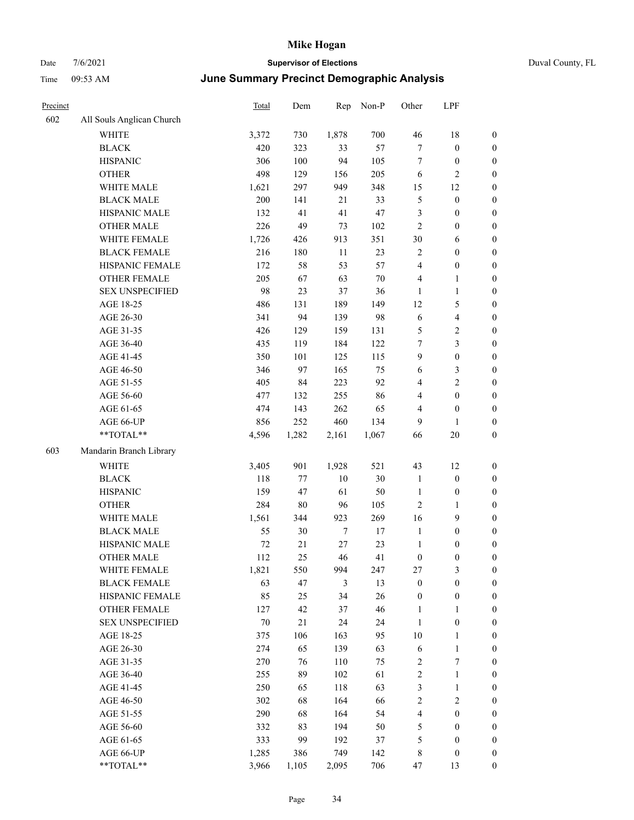|  | Duval County, FL |  |
|--|------------------|--|
|--|------------------|--|

| Precinct |                           | Total | Dem    | Rep    | Non-P  | Other            | LPF                     |                  |
|----------|---------------------------|-------|--------|--------|--------|------------------|-------------------------|------------------|
| 602      | All Souls Anglican Church |       |        |        |        |                  |                         |                  |
|          | WHITE                     | 3,372 | 730    | 1,878  | 700    | 46               | $18\,$                  | $\boldsymbol{0}$ |
|          | <b>BLACK</b>              | 420   | 323    | 33     | 57     | 7                | $\boldsymbol{0}$        | $\boldsymbol{0}$ |
|          | <b>HISPANIC</b>           | 306   | 100    | 94     | 105    | 7                | $\boldsymbol{0}$        | 0                |
|          | <b>OTHER</b>              | 498   | 129    | 156    | 205    | 6                | $\overline{c}$          | 0                |
|          | WHITE MALE                | 1,621 | 297    | 949    | 348    | 15               | 12                      | $\boldsymbol{0}$ |
|          | <b>BLACK MALE</b>         | 200   | 141    | 21     | 33     | 5                | $\boldsymbol{0}$        | $\boldsymbol{0}$ |
|          | HISPANIC MALE             | 132   | 41     | 41     | 47     | 3                | $\boldsymbol{0}$        | $\boldsymbol{0}$ |
|          | <b>OTHER MALE</b>         | 226   | 49     | 73     | 102    | $\sqrt{2}$       | $\boldsymbol{0}$        | $\boldsymbol{0}$ |
|          | WHITE FEMALE              | 1,726 | 426    | 913    | 351    | 30               | 6                       | $\boldsymbol{0}$ |
|          | <b>BLACK FEMALE</b>       | 216   | 180    | $11\,$ | 23     | $\mathbf{2}$     | $\boldsymbol{0}$        | $\boldsymbol{0}$ |
|          | HISPANIC FEMALE           | 172   | 58     | 53     | 57     | 4                | $\boldsymbol{0}$        | $\boldsymbol{0}$ |
|          | OTHER FEMALE              | 205   | 67     | 63     | $70\,$ | 4                | $\mathbf{1}$            | $\boldsymbol{0}$ |
|          | <b>SEX UNSPECIFIED</b>    | 98    | 23     | 37     | 36     | 1                | $\mathbf{1}$            | 0                |
|          | AGE 18-25                 | 486   | 131    | 189    | 149    | 12               | $\mathfrak{S}$          | 0                |
|          | AGE 26-30                 | 341   | 94     | 139    | 98     | 6                | $\overline{\mathbf{4}}$ | $\boldsymbol{0}$ |
|          | AGE 31-35                 | 426   | 129    | 159    | 131    | 5                | $\sqrt{2}$              | $\boldsymbol{0}$ |
|          | AGE 36-40                 | 435   | 119    | 184    | 122    | 7                | $\mathfrak{Z}$          | $\boldsymbol{0}$ |
|          | AGE 41-45                 | 350   | 101    | 125    | 115    | 9                | $\boldsymbol{0}$        | $\boldsymbol{0}$ |
|          | AGE 46-50                 | 346   | 97     | 165    | 75     | 6                | $\mathfrak{Z}$          | $\boldsymbol{0}$ |
|          | AGE 51-55                 | 405   | 84     | 223    | 92     | 4                | $\overline{2}$          | $\boldsymbol{0}$ |
|          | AGE 56-60                 | 477   | 132    | 255    | 86     | 4                | $\boldsymbol{0}$        | $\boldsymbol{0}$ |
|          | AGE 61-65                 | 474   | 143    | 262    | 65     | 4                | $\boldsymbol{0}$        | 0                |
|          | AGE 66-UP                 | 856   | 252    | 460    | 134    | 9                | 1                       | 0                |
|          | **TOTAL**                 | 4,596 | 1,282  | 2,161  | 1,067  | 66               | 20                      | $\boldsymbol{0}$ |
| 603      | Mandarin Branch Library   |       |        |        |        |                  |                         |                  |
|          | <b>WHITE</b>              | 3,405 | 901    | 1,928  | 521    | 43               | 12                      | 0                |
|          | <b>BLACK</b>              | 118   | 77     | 10     | 30     | $\mathbf{1}$     | $\boldsymbol{0}$        | $\boldsymbol{0}$ |
|          | <b>HISPANIC</b>           | 159   | 47     | 61     | $50\,$ | 1                | $\boldsymbol{0}$        | $\boldsymbol{0}$ |
|          | <b>OTHER</b>              | 284   | $80\,$ | 96     | 105    | 2                | $\mathbf{1}$            | $\boldsymbol{0}$ |
|          | WHITE MALE                | 1,561 | 344    | 923    | 269    | 16               | 9                       | $\boldsymbol{0}$ |
|          | <b>BLACK MALE</b>         | 55    | 30     | $\tau$ | 17     | $\mathbf{1}$     | $\boldsymbol{0}$        | $\boldsymbol{0}$ |
|          | HISPANIC MALE             | 72    | 21     | $27\,$ | 23     | $\mathbf{1}$     | $\boldsymbol{0}$        | $\boldsymbol{0}$ |
|          | <b>OTHER MALE</b>         | 112   | 25     | 46     | 41     | $\boldsymbol{0}$ | $\boldsymbol{0}$        | $\boldsymbol{0}$ |
|          | WHITE FEMALE              | 1,821 | 550    | 994    | 247    | 27               | $\mathfrak{Z}$          | 0                |
|          | <b>BLACK FEMALE</b>       | 63    | 47     | 3      | 13     | $\boldsymbol{0}$ | $\boldsymbol{0}$        | 0                |
|          | HISPANIC FEMALE           | 85    | 25     | 34     | 26     | $\boldsymbol{0}$ | $\boldsymbol{0}$        | 0                |
|          | <b>OTHER FEMALE</b>       | 127   | 42     | 37     | 46     | 1                | $\mathbf{1}$            | 0                |
|          | <b>SEX UNSPECIFIED</b>    | 70    | 21     | 24     | 24     | $\mathbf{1}$     | $\boldsymbol{0}$        | 0                |
|          | AGE 18-25                 | 375   | 106    | 163    | 95     | 10               | $\mathbf{1}$            | 0                |
|          | AGE 26-30                 | 274   | 65     | 139    | 63     | 6                | $\mathbf{1}$            | 0                |
|          | AGE 31-35                 | 270   | 76     | 110    | 75     | $\overline{c}$   | 7                       | 0                |
|          | AGE 36-40                 | 255   | 89     | 102    | 61     | $\sqrt{2}$       | $\mathbf{1}$            | 0                |
|          | AGE 41-45                 | 250   | 65     | 118    | 63     | 3                | $\mathbf{1}$            | 0                |
|          | AGE 46-50                 | 302   | 68     | 164    | 66     | $\sqrt{2}$       | $\sqrt{2}$              | 0                |
|          | AGE 51-55                 | 290   | 68     | 164    | 54     | $\overline{4}$   | $\boldsymbol{0}$        | 0                |
|          | AGE 56-60                 | 332   | 83     | 194    | 50     | $\mathfrak{S}$   | $\boldsymbol{0}$        | 0                |
|          | AGE 61-65                 | 333   | 99     | 192    | 37     | 5                | $\boldsymbol{0}$        | 0                |
|          | AGE 66-UP                 | 1,285 | 386    | 749    | 142    | 8                | $\boldsymbol{0}$        | 0                |
|          | $**TOTAL**$               | 3,966 | 1,105  | 2,095  | 706    | 47               | 13                      | $\boldsymbol{0}$ |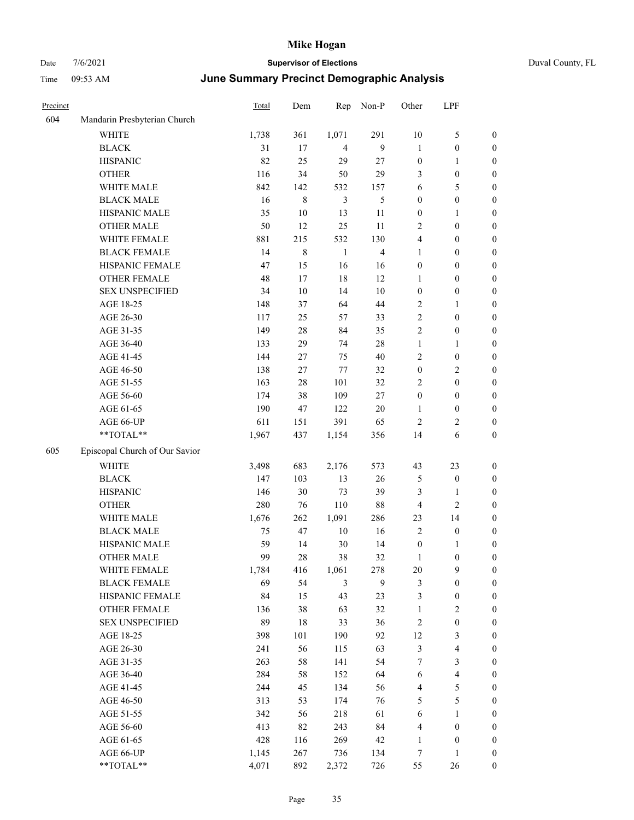|  | Duval County, FL |
|--|------------------|
|--|------------------|

| Precinct |                                | <b>Total</b> | Dem    | Rep            | Non-P                   | Other            | LPF                     |                  |
|----------|--------------------------------|--------------|--------|----------------|-------------------------|------------------|-------------------------|------------------|
| 604      | Mandarin Presbyterian Church   |              |        |                |                         |                  |                         |                  |
|          | WHITE                          | 1,738        | 361    | 1,071          | 291                     | $10\,$           | $\mathfrak{S}$          | $\boldsymbol{0}$ |
|          | <b>BLACK</b>                   | 31           | 17     | $\overline{4}$ | $\mathbf{9}$            | $\mathbf{1}$     | $\boldsymbol{0}$        | $\boldsymbol{0}$ |
|          | <b>HISPANIC</b>                | 82           | 25     | 29             | 27                      | $\boldsymbol{0}$ | $\mathbf{1}$            | 0                |
|          | <b>OTHER</b>                   | 116          | 34     | 50             | 29                      | 3                | $\boldsymbol{0}$        | 0                |
|          | WHITE MALE                     | 842          | 142    | 532            | 157                     | 6                | $\mathfrak{S}$          | $\boldsymbol{0}$ |
|          | <b>BLACK MALE</b>              | 16           | 8      | $\mathfrak{Z}$ | 5                       | $\boldsymbol{0}$ | $\boldsymbol{0}$        | $\boldsymbol{0}$ |
|          | HISPANIC MALE                  | 35           | $10\,$ | 13             | 11                      | $\boldsymbol{0}$ | 1                       | $\boldsymbol{0}$ |
|          | <b>OTHER MALE</b>              | 50           | 12     | 25             | 11                      | $\overline{c}$   | $\boldsymbol{0}$        | $\boldsymbol{0}$ |
|          | WHITE FEMALE                   | 881          | 215    | 532            | 130                     | 4                | $\boldsymbol{0}$        | $\boldsymbol{0}$ |
|          | <b>BLACK FEMALE</b>            | 14           | 8      | $\mathbf{1}$   | $\overline{\mathbf{4}}$ | $\mathbf{1}$     | $\boldsymbol{0}$        | $\boldsymbol{0}$ |
|          | HISPANIC FEMALE                | 47           | 15     | 16             | 16                      | $\boldsymbol{0}$ | $\boldsymbol{0}$        | $\boldsymbol{0}$ |
|          | OTHER FEMALE                   | 48           | 17     | 18             | 12                      | 1                | $\boldsymbol{0}$        | 0                |
|          | <b>SEX UNSPECIFIED</b>         | 34           | 10     | 14             | 10                      | $\boldsymbol{0}$ | $\boldsymbol{0}$        | 0                |
|          | AGE 18-25                      | 148          | 37     | 64             | $44\,$                  | 2                | $\mathbf{1}$            | 0                |
|          | AGE 26-30                      | 117          | 25     | 57             | 33                      | $\sqrt{2}$       | $\boldsymbol{0}$        | $\boldsymbol{0}$ |
|          | AGE 31-35                      | 149          | 28     | 84             | 35                      | $\overline{c}$   | $\boldsymbol{0}$        | $\boldsymbol{0}$ |
|          | AGE 36-40                      | 133          | 29     | 74             | $28\,$                  | $\mathbf{1}$     | 1                       | $\boldsymbol{0}$ |
|          | AGE 41-45                      | 144          | 27     | 75             | $40\,$                  | $\overline{c}$   | $\boldsymbol{0}$        | $\boldsymbol{0}$ |
|          | AGE 46-50                      | 138          | 27     | 77             | 32                      | $\boldsymbol{0}$ | $\sqrt{2}$              | $\boldsymbol{0}$ |
|          | AGE 51-55                      | 163          | 28     | 101            | 32                      | 2                | $\boldsymbol{0}$        | $\boldsymbol{0}$ |
|          | AGE 56-60                      | 174          | 38     | 109            | 27                      | $\boldsymbol{0}$ | $\boldsymbol{0}$        | 0                |
|          | AGE 61-65                      | 190          | 47     | 122            | $20\,$                  | 1                | $\boldsymbol{0}$        | 0                |
|          | AGE 66-UP                      | 611          | 151    | 391            | 65                      | $\overline{c}$   | $\sqrt{2}$              | 0                |
|          | **TOTAL**                      | 1,967        | 437    | 1,154          | 356                     | 14               | 6                       | 0                |
| 605      | Episcopal Church of Our Savior |              |        |                |                         |                  |                         |                  |
|          | <b>WHITE</b>                   | 3,498        | 683    | 2,176          | 573                     | 43               | 23                      | 0                |
|          | <b>BLACK</b>                   | 147          | 103    | 13             | 26                      | 5                | $\boldsymbol{0}$        | $\boldsymbol{0}$ |
|          | <b>HISPANIC</b>                | 146          | 30     | 73             | 39                      | 3                | 1                       | 0                |
|          | <b>OTHER</b>                   | 280          | 76     | 110            | 88                      | 4                | $\sqrt{2}$              | $\boldsymbol{0}$ |
|          | WHITE MALE                     | 1,676        | 262    | 1,091          | 286                     | 23               | 14                      | $\boldsymbol{0}$ |
|          | <b>BLACK MALE</b>              | 75           | 47     | 10             | 16                      | $\overline{c}$   | $\boldsymbol{0}$        | $\boldsymbol{0}$ |
|          | HISPANIC MALE                  | 59           | 14     | 30             | 14                      | $\boldsymbol{0}$ | $\mathbf{1}$            | $\boldsymbol{0}$ |
|          | <b>OTHER MALE</b>              | 99           | 28     | 38             | 32                      | $\mathbf{1}$     | $\boldsymbol{0}$        | $\boldsymbol{0}$ |
|          | WHITE FEMALE                   | 1,784        | 416    | 1,061          | 278                     | 20               | $\mathbf{9}$            | 0                |
|          | <b>BLACK FEMALE</b>            | 69           | 54     | 3              | $\mathbf{9}$            | 3                | $\boldsymbol{0}$        | 0                |
|          | HISPANIC FEMALE                | 84           | 15     | 43             | 23                      | 3                | $\boldsymbol{0}$        | 0                |
|          | OTHER FEMALE                   | 136          | 38     | 63             | 32                      | $\mathbf{1}$     | $\overline{c}$          | 0                |
|          | <b>SEX UNSPECIFIED</b>         | 89           | 18     | 33             | 36                      | $\sqrt{2}$       | $\boldsymbol{0}$        | 0                |
|          | AGE 18-25                      | 398          | 101    | 190            | 92                      | 12               | $\mathfrak{Z}$          | 0                |
|          | AGE 26-30                      | 241          | 56     | 115            | 63                      | $\mathfrak{Z}$   | $\overline{\mathbf{4}}$ | 0                |
|          | AGE 31-35                      | 263          | 58     | 141            | 54                      | 7                | $\mathfrak{Z}$          | 0                |
|          | AGE 36-40                      | 284          | 58     | 152            | 64                      | 6                | $\overline{4}$          | 0                |
|          | AGE 41-45                      | 244          | 45     | 134            | 56                      | 4                | 5                       | 0                |
|          | AGE 46-50                      | 313          | 53     | 174            | 76                      | 5                | 5                       | 0                |
|          | AGE 51-55                      | 342          | 56     | 218            | 61                      | 6                | $\mathbf{1}$            | 0                |
|          | AGE 56-60                      | 413          | 82     | 243            | 84                      | 4                | $\boldsymbol{0}$        | 0                |
|          | AGE 61-65                      | 428          | 116    | 269            | 42                      | $\mathbf{1}$     | $\boldsymbol{0}$        | 0                |
|          | AGE 66-UP                      | 1,145        | 267    | 736            | 134                     | 7                | 1                       | 0                |
|          | $**TOTAL**$                    | 4,071        | 892    | 2,372          | 726                     | 55               | $26\,$                  | $\boldsymbol{0}$ |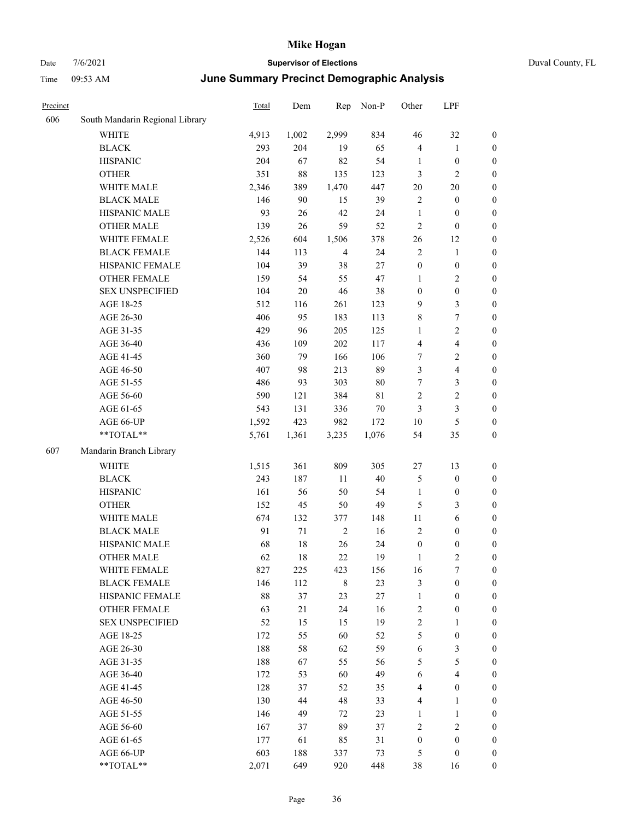## Date 7/6/2021 **Supervisor of Elections** Duval County, FL Time 09:53 AM **June Summary Precinct Demographic Analysis**

| Precinct |                                 | Total | Dem    | Rep            | Non-P  | Other            | LPF              |                  |
|----------|---------------------------------|-------|--------|----------------|--------|------------------|------------------|------------------|
| 606      | South Mandarin Regional Library |       |        |                |        |                  |                  |                  |
|          | <b>WHITE</b>                    | 4,913 | 1,002  | 2,999          | 834    | 46               | 32               | $\boldsymbol{0}$ |
|          | <b>BLACK</b>                    | 293   | 204    | 19             | 65     | $\overline{4}$   | 1                | $\boldsymbol{0}$ |
|          | <b>HISPANIC</b>                 | 204   | 67     | 82             | 54     | 1                | $\boldsymbol{0}$ | $\boldsymbol{0}$ |
|          | <b>OTHER</b>                    | 351   | $88\,$ | 135            | 123    | $\mathfrak{Z}$   | 2                | $\boldsymbol{0}$ |
|          | WHITE MALE                      | 2,346 | 389    | 1,470          | 447    | 20               | 20               | $\boldsymbol{0}$ |
|          | <b>BLACK MALE</b>               | 146   | 90     | 15             | 39     | $\overline{2}$   | $\boldsymbol{0}$ | $\boldsymbol{0}$ |
|          | HISPANIC MALE                   | 93    | 26     | 42             | 24     | $\mathbf{1}$     | $\boldsymbol{0}$ | $\boldsymbol{0}$ |
|          | <b>OTHER MALE</b>               | 139   | 26     | 59             | 52     | $\sqrt{2}$       | $\boldsymbol{0}$ | $\boldsymbol{0}$ |
|          | WHITE FEMALE                    | 2,526 | 604    | 1,506          | 378    | 26               | 12               | $\boldsymbol{0}$ |
|          | <b>BLACK FEMALE</b>             | 144   | 113    | $\overline{4}$ | 24     | $\sqrt{2}$       | $\mathbf{1}$     | $\boldsymbol{0}$ |
|          | HISPANIC FEMALE                 | 104   | 39     | 38             | 27     | $\boldsymbol{0}$ | $\boldsymbol{0}$ | $\boldsymbol{0}$ |
|          | <b>OTHER FEMALE</b>             | 159   | 54     | 55             | 47     | 1                | 2                | $\boldsymbol{0}$ |
|          | <b>SEX UNSPECIFIED</b>          | 104   | $20\,$ | $46\,$         | 38     | $\boldsymbol{0}$ | $\boldsymbol{0}$ | $\boldsymbol{0}$ |
|          | AGE 18-25                       | 512   | 116    | 261            | 123    | 9                | 3                | $\boldsymbol{0}$ |
|          | AGE 26-30                       | 406   | 95     | 183            | 113    | $\,$ 8 $\,$      | 7                | $\boldsymbol{0}$ |
|          | AGE 31-35                       | 429   | 96     | 205            | 125    | 1                | 2                | $\boldsymbol{0}$ |
|          | AGE 36-40                       | 436   | 109    | 202            | 117    | $\overline{4}$   | 4                | $\boldsymbol{0}$ |
|          | AGE 41-45                       | 360   | 79     | 166            | 106    | $\tau$           | 2                | $\boldsymbol{0}$ |
|          | AGE 46-50                       | 407   | 98     | 213            | 89     | 3                | 4                | $\boldsymbol{0}$ |
|          | AGE 51-55                       | 486   | 93     | 303            | $80\,$ | $\tau$           | 3                | $\boldsymbol{0}$ |
|          | AGE 56-60                       | 590   | 121    | 384            | 81     | $\overline{2}$   | 2                | $\boldsymbol{0}$ |
|          | AGE 61-65                       | 543   | 131    | 336            | 70     | 3                | 3                | $\boldsymbol{0}$ |
|          | AGE 66-UP                       | 1,592 | 423    | 982            | 172    | 10               | 5                | $\boldsymbol{0}$ |
|          | **TOTAL**                       | 5,761 | 1,361  | 3,235          | 1,076  | 54               | 35               | $\boldsymbol{0}$ |
| 607      | Mandarin Branch Library         |       |        |                |        |                  |                  |                  |
|          |                                 |       |        |                |        |                  |                  |                  |
|          | <b>WHITE</b>                    | 1,515 | 361    | 809            | 305    | $27\,$           | 13               | $\boldsymbol{0}$ |
|          | <b>BLACK</b>                    | 243   | 187    | 11             | $40\,$ | $\mathfrak{S}$   | $\boldsymbol{0}$ | $\boldsymbol{0}$ |
|          | <b>HISPANIC</b>                 | 161   | 56     | 50             | 54     | $\mathbf{1}$     | $\boldsymbol{0}$ | $\boldsymbol{0}$ |
|          | <b>OTHER</b>                    | 152   | 45     | 50             | 49     | 5                | 3                | $\boldsymbol{0}$ |
|          | WHITE MALE                      | 674   | 132    | 377            | 148    | $11\,$           | 6                | $\boldsymbol{0}$ |
|          | <b>BLACK MALE</b>               | 91    | 71     | $\overline{2}$ | 16     | $\overline{2}$   | $\boldsymbol{0}$ | $\boldsymbol{0}$ |
|          | HISPANIC MALE                   | 68    | 18     | 26             | 24     | $\boldsymbol{0}$ | $\boldsymbol{0}$ | $\boldsymbol{0}$ |
|          | <b>OTHER MALE</b>               | 62    | 18     | 22             | 19     | 1                | 2                | $\boldsymbol{0}$ |
|          | WHITE FEMALE                    | 827   | 225    | 423            | 156    | 16               | 7                | $\mathbf{0}$     |
|          | <b>BLACK FEMALE</b>             | 146   | 112    | $\,$ 8 $\,$    | 23     | $\mathfrak{Z}$   | $\boldsymbol{0}$ | $\boldsymbol{0}$ |
|          | HISPANIC FEMALE                 | 88    | 37     | 23             | 27     | $\mathbf{1}$     | $\boldsymbol{0}$ | $\boldsymbol{0}$ |
|          | <b>OTHER FEMALE</b>             | 63    | 21     | 24             | 16     | $\sqrt{2}$       | $\boldsymbol{0}$ | $\boldsymbol{0}$ |
|          | <b>SEX UNSPECIFIED</b>          | 52    | 15     | 15             | 19     | $\sqrt{2}$       | 1                | $\boldsymbol{0}$ |
|          | AGE 18-25                       | 172   | 55     | 60             | 52     | $\mathfrak{S}$   | $\boldsymbol{0}$ | $\boldsymbol{0}$ |
|          | AGE 26-30                       | 188   | 58     | 62             | 59     | 6                | 3                | $\boldsymbol{0}$ |
|          | AGE 31-35                       | 188   | 67     | 55             | 56     | 5                | 5                | $\boldsymbol{0}$ |
|          | AGE 36-40                       | 172   | 53     | 60             | 49     | 6                | 4                | $\boldsymbol{0}$ |
|          | AGE 41-45                       | 128   | 37     | 52             | 35     | $\overline{4}$   | $\boldsymbol{0}$ | $\boldsymbol{0}$ |
|          | AGE 46-50                       | 130   | 44     | 48             | 33     | $\overline{4}$   | $\mathbf{1}$     | $\boldsymbol{0}$ |
|          | AGE 51-55                       | 146   | 49     | 72             | 23     | 1                | $\mathbf{1}$     | $\boldsymbol{0}$ |
|          | AGE 56-60                       | 167   | 37     | 89             | 37     | $\sqrt{2}$       | $\mathbf{2}$     | $\boldsymbol{0}$ |
|          | AGE 61-65                       | 177   | 61     | 85             | 31     | $\boldsymbol{0}$ | $\boldsymbol{0}$ | $\mathbf{0}$     |
|          | AGE 66-UP                       | 603   | 188    | 337            | 73     | 5                | $\boldsymbol{0}$ | $\boldsymbol{0}$ |

\*\*TOTAL\*\* 2,071 649 920 448 38 16 0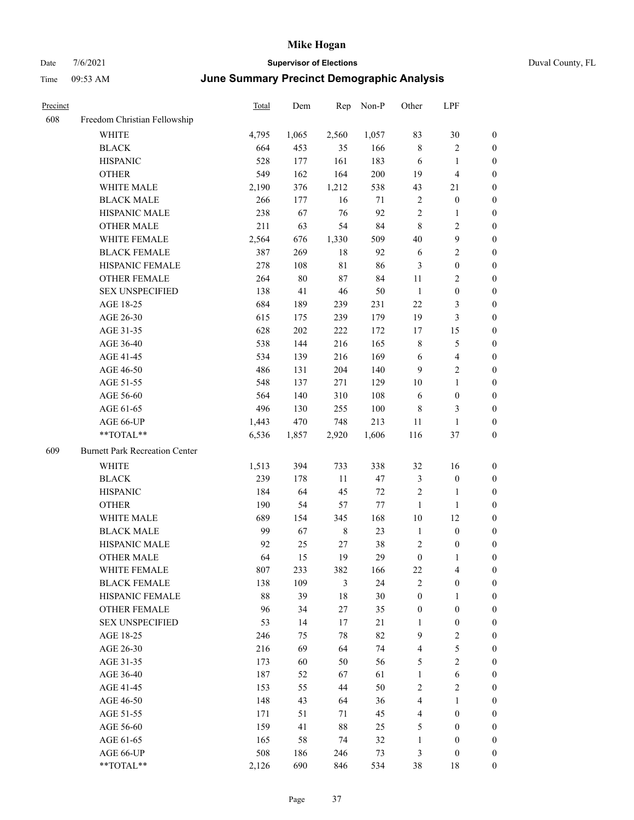| Time            | $09:53$ AM                   | June Summary Precinct Demographic Analysis |       |       |       |       |     |          |  |
|-----------------|------------------------------|--------------------------------------------|-------|-------|-------|-------|-----|----------|--|
| Precinct<br>608 | Freedom Christian Fellowship | <b>Total</b>                               | Dem   | Rep   | Non-P | Other | LPF |          |  |
|                 | WHITE                        | 4.795                                      | 1.065 | 2.560 | 1.057 | 83    | 30  | $\theta$ |  |

|     | WHITE                                                     | 4,795  | 1,065  | 2,560          | 1,057   | 83               | 30                      | 0                |
|-----|-----------------------------------------------------------|--------|--------|----------------|---------|------------------|-------------------------|------------------|
|     | <b>BLACK</b>                                              | 664    | 453    | 35             | 166     | $\,$ 8 $\,$      | $\sqrt{2}$              | 0                |
|     | <b>HISPANIC</b>                                           | 528    | 177    | 161            | 183     | 6                | $\mathbf{1}$            | 0                |
|     | <b>OTHER</b>                                              | 549    | 162    | 164            | $200\,$ | 19               | $\overline{4}$          | 0                |
|     | WHITE MALE                                                | 2,190  | 376    | 1,212          | 538     | 43               | 21                      | $\boldsymbol{0}$ |
|     | <b>BLACK MALE</b>                                         | 266    | 177    | 16             | 71      | 2                | $\boldsymbol{0}$        | $\boldsymbol{0}$ |
|     | HISPANIC MALE                                             | 238    | 67     | 76             | 92      | $\sqrt{2}$       | $\mathbf{1}$            | $\boldsymbol{0}$ |
|     | <b>OTHER MALE</b>                                         | 211    | 63     | 54             | 84      | $\,$ 8 $\,$      | $\sqrt{2}$              | $\boldsymbol{0}$ |
|     | WHITE FEMALE                                              | 2,564  | 676    | 1,330          | 509     | $40\,$           | $\boldsymbol{9}$        | $\boldsymbol{0}$ |
|     | <b>BLACK FEMALE</b>                                       | 387    | 269    | $18\,$         | 92      | 6                | $\sqrt{2}$              | 0                |
|     | HISPANIC FEMALE                                           | 278    | 108    | $8\sqrt{1}$    | 86      | 3                | $\boldsymbol{0}$        | 0                |
|     | OTHER FEMALE                                              | 264    | $80\,$ | $87\,$         | 84      | 11               | $\sqrt{2}$              | 0                |
|     | <b>SEX UNSPECIFIED</b>                                    | 138    | 41     | 46             | 50      | $\mathbf{1}$     | $\boldsymbol{0}$        | 0                |
|     | AGE 18-25                                                 | 684    | 189    | 239            | 231     | 22               | $\mathfrak{Z}$          | 0                |
|     | AGE 26-30                                                 | 615    | 175    | 239            | 179     | 19               | $\mathfrak{Z}$          | $\boldsymbol{0}$ |
|     | AGE 31-35                                                 | 628    | 202    | 222            | 172     | 17               | 15                      | $\boldsymbol{0}$ |
|     | AGE 36-40                                                 | 538    | 144    | 216            | 165     | $\,$ $\,$        | $\mathfrak s$           | $\boldsymbol{0}$ |
|     | AGE 41-45                                                 | 534    | 139    | 216            | 169     | 6                | $\overline{\mathbf{4}}$ | $\boldsymbol{0}$ |
|     | AGE 46-50                                                 | 486    | 131    | 204            | 140     | 9                | $\overline{2}$          | $\boldsymbol{0}$ |
|     | AGE 51-55                                                 | 548    | 137    | 271            | 129     | $10\,$           | $\mathbf{1}$            | 0                |
|     | AGE 56-60                                                 | 564    | 140    | 310            | 108     | 6                | $\boldsymbol{0}$        | 0                |
|     | AGE 61-65                                                 | 496    | 130    | 255            | 100     | 8                | 3                       | 0                |
|     | AGE 66-UP                                                 | 1,443  | 470    | 748            | 213     | 11               | $\mathbf{1}$            | 0                |
|     | $**TOTAL**$                                               | 6,536  | 1,857  | 2,920          | 1,606   | 116              | 37                      | $\boldsymbol{0}$ |
| 609 | <b>Burnett Park Recreation Center</b>                     |        |        |                |         |                  |                         |                  |
|     | <b>WHITE</b>                                              | 1,513  | 394    | 733            | 338     | 32               | 16                      | $\boldsymbol{0}$ |
|     | <b>BLACK</b>                                              | 239    | 178    | $11\,$         | 47      | 3                | $\boldsymbol{0}$        | $\boldsymbol{0}$ |
|     | <b>HISPANIC</b>                                           | 184    | 64     | 45             | $72\,$  | $\boldsymbol{2}$ | $\mathbf{1}$            | $\boldsymbol{0}$ |
|     | <b>OTHER</b>                                              | 190    | 54     | 57             | 77      | $\mathbf{1}$     | $\mathbf{1}$            | 0                |
|     | WHITE MALE                                                | 689    | 154    | 345            | 168     | $10\,$           | 12                      | $\boldsymbol{0}$ |
|     | <b>BLACK MALE</b>                                         | 99     | 67     | $\,$ 8 $\,$    | 23      | $\mathbf{1}$     | $\boldsymbol{0}$        | $\boldsymbol{0}$ |
|     | <b>HISPANIC MALE</b>                                      | 92     | 25     | 27             | 38      | $\overline{c}$   | $\boldsymbol{0}$        | 0                |
|     | <b>OTHER MALE</b>                                         | 64     | 15     | 19             | 29      | $\boldsymbol{0}$ | $\mathbf{1}$            | 0                |
|     | WHITE FEMALE                                              | 807    | 233    | 382            | 166     | 22               | $\overline{\mathbf{4}}$ | 0                |
|     | <b>BLACK FEMALE</b>                                       | 138    | 109    | $\mathfrak{Z}$ | 24      | $\overline{c}$   | $\boldsymbol{0}$        | $\boldsymbol{0}$ |
|     | HISPANIC FEMALE                                           | $88\,$ | 39     | 18             | $30\,$  | $\boldsymbol{0}$ | 1                       | 0                |
|     | <b>OTHER FEMALE</b>                                       | 96     | 34     | 27             | 35      | $\boldsymbol{0}$ | $\boldsymbol{0}$        | $\overline{0}$   |
|     | <b>SEX UNSPECIFIED</b>                                    | 53     | 14     | 17             | 21      | $\mathbf{1}$     | $\boldsymbol{0}$        | 0                |
|     | AGE 18-25                                                 | 246    | 75     | $78\,$         | 82      | $\overline{9}$   | $\sqrt{2}$              | 0                |
|     | AGE 26-30                                                 | 216    | 69     | 64             | 74      | 4                | $\mathfrak{S}$          | 0                |
|     | AGE 31-35                                                 | 173    | 60     | 50             | 56      | 5                | $\overline{2}$          | 0                |
|     | AGE 36-40                                                 | 187    | 52     | 67             | 61      | $\mathbf{1}$     | 6                       | 0                |
|     | AGE 41-45                                                 | 153    | 55     | 44             | 50      | $\sqrt{2}$       | $\sqrt{2}$              | 0                |
|     | AGE 46-50                                                 | 148    | 43     | 64             | 36      | $\overline{4}$   | $\mathbf{1}$            | 0                |
|     | AGE 51-55                                                 | 171    | 51     | 71             | 45      | 4                | $\boldsymbol{0}$        | 0                |
|     | AGE 56-60                                                 | 159    | 41     | $88\,$         | 25      | 5                | $\boldsymbol{0}$        | 0                |
|     | AGE 61-65                                                 | 165    | 58     | 74             | 32      | $\mathbf{1}$     | $\boldsymbol{0}$        | $\boldsymbol{0}$ |
|     | AGE 66-UP                                                 | 508    | 186    | 246            | 73      | 3                | $\boldsymbol{0}$        | $\boldsymbol{0}$ |
|     | $\mathrm{*}\mathrm{*}\mathrm{TOTAL} \mathrm{*}\mathrm{*}$ | 2,126  | 690    | 846            | 534     | $38\,$           | 18                      | $\boldsymbol{0}$ |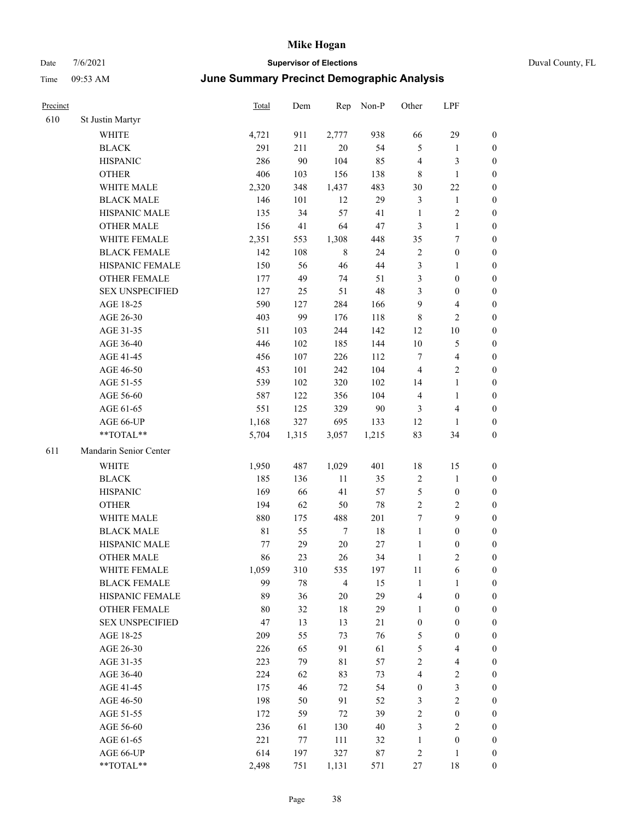# Date 7/6/2021 **Supervisor of Elections** Duval County, FL

## Time 09:53 AM **June Summary Precinct Demographic Analysis**

| Precinct |                        | <b>Total</b> | Dem   | Rep              | Non-P  | Other            | LPF                     |                  |
|----------|------------------------|--------------|-------|------------------|--------|------------------|-------------------------|------------------|
| 610      | St Justin Martyr       |              |       |                  |        |                  |                         |                  |
|          | <b>WHITE</b>           | 4,721        | 911   | 2,777            | 938    | 66               | 29                      | 0                |
|          | <b>BLACK</b>           | 291          | 211   | $20\,$           | 54     | 5                | $\mathbf{1}$            | 0                |
|          | <b>HISPANIC</b>        | 286          | 90    | 104              | 85     | 4                | $\mathfrak{Z}$          | $\boldsymbol{0}$ |
|          | <b>OTHER</b>           | 406          | 103   | 156              | 138    | 8                | $\mathbf{1}$            | $\boldsymbol{0}$ |
|          | WHITE MALE             | 2,320        | 348   | 1,437            | 483    | 30               | $22\,$                  | $\boldsymbol{0}$ |
|          | <b>BLACK MALE</b>      | 146          | 101   | 12               | 29     | 3                | $\mathbf{1}$            | $\boldsymbol{0}$ |
|          | HISPANIC MALE          | 135          | 34    | 57               | 41     | $\mathbf{1}$     | $\sqrt{2}$              | $\boldsymbol{0}$ |
|          | <b>OTHER MALE</b>      | 156          | 41    | 64               | $47\,$ | 3                | $\mathbf{1}$            | $\boldsymbol{0}$ |
|          | WHITE FEMALE           | 2,351        | 553   | 1,308            | 448    | 35               | $\boldsymbol{7}$        | $\boldsymbol{0}$ |
|          | <b>BLACK FEMALE</b>    | 142          | 108   | $\,$ 8 $\,$      | 24     | $\sqrt{2}$       | $\boldsymbol{0}$        | $\boldsymbol{0}$ |
|          | HISPANIC FEMALE        | 150          | 56    | 46               | 44     | 3                | $\mathbf{1}$            | 0                |
|          | <b>OTHER FEMALE</b>    | 177          | 49    | 74               | 51     | 3                | $\boldsymbol{0}$        | $\boldsymbol{0}$ |
|          | <b>SEX UNSPECIFIED</b> | 127          | 25    | 51               | 48     | 3                | $\boldsymbol{0}$        | $\boldsymbol{0}$ |
|          | AGE 18-25              | 590          | 127   | 284              | 166    | 9                | $\overline{\mathbf{4}}$ | $\boldsymbol{0}$ |
|          | AGE 26-30              | 403          | 99    | 176              | 118    | 8                | $\sqrt{2}$              | $\boldsymbol{0}$ |
|          | AGE 31-35              | 511          | 103   | 244              | 142    | 12               | $10\,$                  | $\boldsymbol{0}$ |
|          | AGE 36-40              | 446          | 102   | 185              | 144    | $10\,$           | $\mathfrak{S}$          | $\boldsymbol{0}$ |
|          | AGE 41-45              | 456          | 107   | 226              | 112    | $\boldsymbol{7}$ | $\overline{4}$          | $\boldsymbol{0}$ |
|          | AGE 46-50              | 453          | 101   | 242              | 104    | $\overline{4}$   | $\overline{2}$          | $\boldsymbol{0}$ |
|          | AGE 51-55              | 539          | 102   | 320              | 102    | 14               | $\mathbf{1}$            | $\boldsymbol{0}$ |
|          | AGE 56-60              | 587          | 122   | 356              | 104    | 4                | $\mathbf{1}$            | 0                |
|          | AGE 61-65              | 551          | 125   | 329              | 90     | 3                | $\overline{4}$          | 0                |
|          | AGE 66-UP              | 1,168        | 327   | 695              | 133    | 12               | $\mathbf{1}$            | $\boldsymbol{0}$ |
|          | **TOTAL**              | 5,704        | 1,315 | 3,057            | 1,215  | 83               | 34                      | $\boldsymbol{0}$ |
| 611      | Mandarin Senior Center |              |       |                  |        |                  |                         |                  |
|          | <b>WHITE</b>           | 1,950        | 487   | 1,029            | 401    | 18               | 15                      | $\boldsymbol{0}$ |
|          | <b>BLACK</b>           | 185          | 136   | $11\,$           | 35     | $\sqrt{2}$       | $\mathbf{1}$            | $\boldsymbol{0}$ |
|          | <b>HISPANIC</b>        | 169          | 66    | 41               | 57     | 5                | $\boldsymbol{0}$        | $\boldsymbol{0}$ |
|          | <b>OTHER</b>           | 194          | 62    | 50               | $78\,$ | $\overline{c}$   | $\sqrt{2}$              | $\boldsymbol{0}$ |
|          | WHITE MALE             | 880          | 175   | 488              | 201    | 7                | 9                       | $\boldsymbol{0}$ |
|          | <b>BLACK MALE</b>      | $8\sqrt{1}$  | 55    | $\boldsymbol{7}$ | 18     | $\mathbf{1}$     | $\boldsymbol{0}$        | $\boldsymbol{0}$ |
|          | HISPANIC MALE          | 77           | 29    | $20\,$           | $27\,$ | $\mathbf{1}$     | $\boldsymbol{0}$        | 0                |
|          | <b>OTHER MALE</b>      | 86           | 23    | 26               | 34     | $\mathbf{1}$     | $\mathbf{2}$            | $\boldsymbol{0}$ |
|          | WHITE FEMALE           | 1,059        | 310   | 535              | 197    | 11               | 6                       | 0                |
|          | <b>BLACK FEMALE</b>    | 99           | 78    | $\overline{4}$   | 15     | $\mathbf{1}$     | $\mathbf{1}$            | $\boldsymbol{0}$ |
|          | HISPANIC FEMALE        | 89           | 36    | 20               | 29     | 4                | $\boldsymbol{0}$        | $\overline{0}$   |
|          | OTHER FEMALE           | 80           | 32    | 18               | 29     | $\mathbf{1}$     | $\boldsymbol{0}$        | $\overline{0}$   |
|          | <b>SEX UNSPECIFIED</b> | 47           | 13    | 13               | 21     | $\boldsymbol{0}$ | $\boldsymbol{0}$        | 0                |
|          | AGE 18-25              | 209          | 55    | 73               | 76     | 5                | $\boldsymbol{0}$        | 0                |
|          | AGE 26-30              | 226          | 65    | 91               | 61     | 5                | $\overline{\mathbf{4}}$ | 0                |
|          | AGE 31-35              | 223          | 79    | 81               | 57     | $\overline{c}$   | $\overline{\mathbf{4}}$ | 0                |
|          | AGE 36-40              | 224          | 62    | 83               | 73     | 4                | $\sqrt{2}$              | 0                |
|          | AGE 41-45              | 175          | 46    | 72               | 54     | $\boldsymbol{0}$ | $\mathfrak{Z}$          | 0                |
|          | AGE 46-50              | 198          | 50    | 91               | 52     | 3                | $\sqrt{2}$              | 0                |
|          | AGE 51-55              | 172          | 59    | 72               | 39     | 2                | $\boldsymbol{0}$        | 0                |
|          | AGE 56-60              | 236          | 61    | 130              | $40\,$ | 3                | $\overline{2}$          | $\overline{0}$   |
|          | AGE 61-65              | 221          | 77    | 111              | 32     | $\mathbf{1}$     | $\boldsymbol{0}$        | $\overline{0}$   |
|          | AGE 66-UP              | 614          | 197   | 327              | $87\,$ | 2                | $\mathbf{1}$            | 0                |
|          | **TOTAL**              | 2,498        | 751   | 1,131            | 571    | 27               | 18                      | $\boldsymbol{0}$ |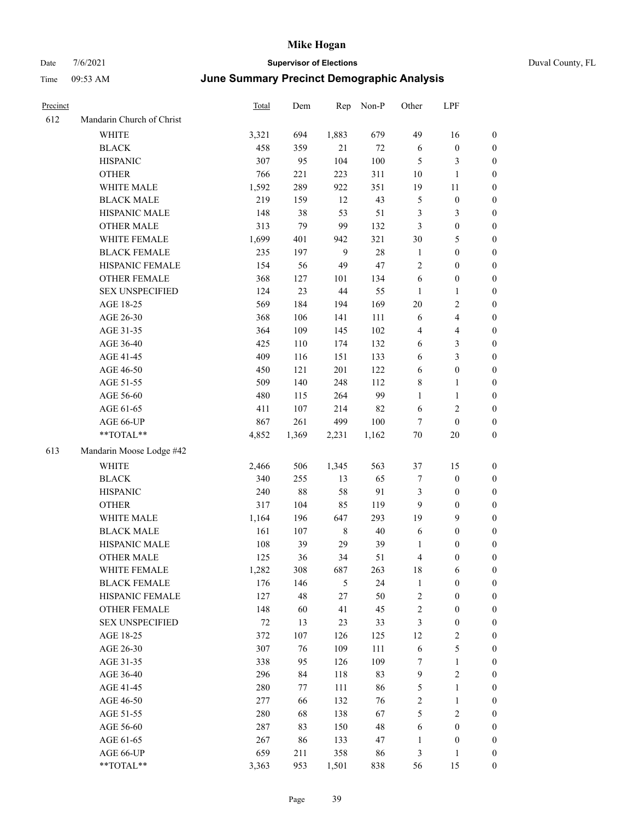| Precinct |                           | <b>Total</b> | Dem    | Rep            | Non-P  | Other            | LPF              |                  |
|----------|---------------------------|--------------|--------|----------------|--------|------------------|------------------|------------------|
| 612      | Mandarin Church of Christ |              |        |                |        |                  |                  |                  |
|          | <b>WHITE</b>              | 3,321        | 694    | 1,883          | 679    | 49               | 16               | $\boldsymbol{0}$ |
|          | <b>BLACK</b>              | 458          | 359    | 21             | $72\,$ | 6                | $\boldsymbol{0}$ | $\boldsymbol{0}$ |
|          | <b>HISPANIC</b>           | 307          | 95     | 104            | 100    | 5                | 3                | $\boldsymbol{0}$ |
|          | <b>OTHER</b>              | 766          | 221    | 223            | 311    | 10               | 1                | $\boldsymbol{0}$ |
|          | WHITE MALE                | 1,592        | 289    | 922            | 351    | 19               | $11\,$           | $\boldsymbol{0}$ |
|          | <b>BLACK MALE</b>         | 219          | 159    | 12             | 43     | $\mathfrak{S}$   | $\boldsymbol{0}$ | $\boldsymbol{0}$ |
|          | HISPANIC MALE             | 148          | 38     | 53             | 51     | $\mathfrak{Z}$   | 3                | $\boldsymbol{0}$ |
|          | <b>OTHER MALE</b>         | 313          | 79     | 99             | 132    | $\mathfrak{Z}$   | $\boldsymbol{0}$ | $\boldsymbol{0}$ |
|          | WHITE FEMALE              | 1,699        | 401    | 942            | 321    | 30               | 5                | $\boldsymbol{0}$ |
|          | <b>BLACK FEMALE</b>       | 235          | 197    | 9              | 28     | $\mathbf{1}$     | $\boldsymbol{0}$ | $\boldsymbol{0}$ |
|          | HISPANIC FEMALE           | 154          | 56     | 49             | 47     | $\sqrt{2}$       | $\boldsymbol{0}$ | $\boldsymbol{0}$ |
|          | <b>OTHER FEMALE</b>       | 368          | 127    | 101            | 134    | 6                | $\boldsymbol{0}$ | $\boldsymbol{0}$ |
|          | <b>SEX UNSPECIFIED</b>    | 124          | 23     | 44             | 55     | $\mathbf{1}$     | 1                | $\boldsymbol{0}$ |
|          | AGE 18-25                 | 569          | 184    | 194            | 169    | 20               | 2                | $\boldsymbol{0}$ |
|          | AGE 26-30                 | 368          | 106    | 141            | 111    | 6                | 4                | $\boldsymbol{0}$ |
|          | AGE 31-35                 | 364          | 109    | 145            | 102    | $\overline{4}$   | 4                | $\boldsymbol{0}$ |
|          | AGE 36-40                 | 425          | 110    | 174            | 132    | 6                | 3                | $\boldsymbol{0}$ |
|          | AGE 41-45                 | 409          | 116    | 151            | 133    | 6                | 3                | $\boldsymbol{0}$ |
|          | AGE 46-50                 | 450          | 121    | 201            | 122    | 6                | $\boldsymbol{0}$ | $\boldsymbol{0}$ |
|          | AGE 51-55                 | 509          | 140    | 248            | 112    | $\,$ 8 $\,$      | 1                | $\boldsymbol{0}$ |
|          | AGE 56-60                 | 480          | 115    | 264            | 99     | $\mathbf{1}$     | 1                | $\boldsymbol{0}$ |
|          | AGE 61-65                 | 411          | 107    | 214            | 82     | 6                | 2                | $\boldsymbol{0}$ |
|          | AGE 66-UP                 | 867          | 261    | 499            | 100    | 7                | $\boldsymbol{0}$ | $\boldsymbol{0}$ |
|          | **TOTAL**                 | 4,852        | 1,369  | 2,231          | 1,162  | $70\,$           | 20               | $\boldsymbol{0}$ |
| 613      | Mandarin Moose Lodge #42  |              |        |                |        |                  |                  |                  |
|          | <b>WHITE</b>              | 2,466        | 506    | 1,345          | 563    | 37               | 15               | $\boldsymbol{0}$ |
|          | <b>BLACK</b>              | 340          | 255    | 13             | 65     | $\tau$           | $\boldsymbol{0}$ | $\boldsymbol{0}$ |
|          | <b>HISPANIC</b>           | 240          | $88\,$ | 58             | 91     | $\mathfrak{Z}$   | $\boldsymbol{0}$ | $\boldsymbol{0}$ |
|          | <b>OTHER</b>              | 317          | 104    | 85             | 119    | 9                | $\boldsymbol{0}$ | $\boldsymbol{0}$ |
|          | WHITE MALE                | 1,164        | 196    | 647            | 293    | 19               | 9                | $\boldsymbol{0}$ |
|          | <b>BLACK MALE</b>         | 161          | 107    | 8              | $40\,$ | 6                | $\boldsymbol{0}$ | $\boldsymbol{0}$ |
|          | HISPANIC MALE             | 108          | 39     | 29             | 39     | $\mathbf{1}$     | $\boldsymbol{0}$ | $\boldsymbol{0}$ |
|          | <b>OTHER MALE</b>         | 125          | 36     | 34             | 51     | $\overline{4}$   | 0                | $\boldsymbol{0}$ |
|          | WHITE FEMALE              | 1,282        | 308    | 687            | 263    | 18               | 6                | $\boldsymbol{0}$ |
|          | <b>BLACK FEMALE</b>       | 176          | 146    | $\mathfrak{H}$ | 24     | $\mathbf{1}$     | $\boldsymbol{0}$ | $\boldsymbol{0}$ |
|          | HISPANIC FEMALE           | 127          | 48     | 27             | 50     | $\sqrt{2}$       | $\boldsymbol{0}$ | $\boldsymbol{0}$ |
|          | <b>OTHER FEMALE</b>       | 148          | 60     | 41             | 45     | $\sqrt{2}$       | $\boldsymbol{0}$ | $\boldsymbol{0}$ |
|          | <b>SEX UNSPECIFIED</b>    | $72\,$       | 13     | 23             | 33     | $\mathfrak{Z}$   | $\boldsymbol{0}$ | $\boldsymbol{0}$ |
|          | AGE 18-25                 | 372          | 107    | 126            | 125    | 12               | 2                | $\boldsymbol{0}$ |
|          | AGE 26-30                 | 307          | 76     | 109            | 111    | $\sqrt{6}$       | 5                | $\boldsymbol{0}$ |
|          | AGE 31-35                 | 338          | 95     | 126            | 109    | 7                | $\mathbf{1}$     | $\boldsymbol{0}$ |
|          | AGE 36-40                 | 296          | 84     | 118            | 83     | $\boldsymbol{9}$ | 2                | $\boldsymbol{0}$ |
|          | AGE 41-45                 | 280          | 77     | 111            | 86     | $\mathfrak{S}$   | 1                | $\boldsymbol{0}$ |
|          | AGE 46-50                 | 277          | 66     | 132            | 76     | $\sqrt{2}$       | 1                | $\boldsymbol{0}$ |
|          | AGE 51-55                 | 280          | 68     | 138            | 67     | $\sqrt{5}$       | $\sqrt{2}$       | $\boldsymbol{0}$ |
|          | AGE 56-60                 | 287          | 83     | 150            | 48     | 6                | $\boldsymbol{0}$ | $\boldsymbol{0}$ |
|          | AGE 61-65                 | 267          | 86     | 133            | 47     | 1                | $\boldsymbol{0}$ | $\boldsymbol{0}$ |
|          | AGE 66-UP                 | 659          | 211    | 358            | 86     | $\mathfrak{Z}$   | 1                | $\boldsymbol{0}$ |
|          | **TOTAL**                 | 3,363        | 953    | 1,501          | 838    | 56               | 15               | $\boldsymbol{0}$ |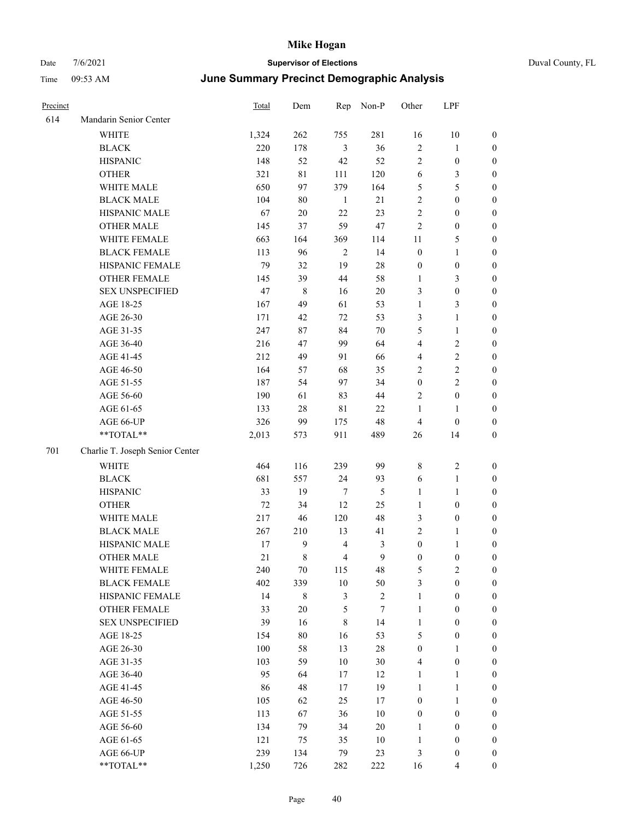|   | Duval |
|---|-------|
| а |       |

| Precinct |                                 | Total   | Dem    | Rep            | Non-P          | Other            | LPF              |                  |
|----------|---------------------------------|---------|--------|----------------|----------------|------------------|------------------|------------------|
| 614      | Mandarin Senior Center          |         |        |                |                |                  |                  |                  |
|          | <b>WHITE</b>                    | 1,324   | 262    | 755            | 281            | 16               | $10\,$           | $\boldsymbol{0}$ |
|          | <b>BLACK</b>                    | 220     | 178    | $\mathfrak{Z}$ | 36             | $\sqrt{2}$       | $\mathbf{1}$     | $\boldsymbol{0}$ |
|          | <b>HISPANIC</b>                 | 148     | 52     | 42             | 52             | $\mathbf{2}$     | $\boldsymbol{0}$ | $\boldsymbol{0}$ |
|          | <b>OTHER</b>                    | 321     | 81     | 111            | 120            | 6                | 3                | $\boldsymbol{0}$ |
|          | WHITE MALE                      | 650     | 97     | 379            | 164            | 5                | 5                | $\boldsymbol{0}$ |
|          | <b>BLACK MALE</b>               | 104     | 80     | $\mathbf{1}$   | 21             | 2                | $\boldsymbol{0}$ | $\boldsymbol{0}$ |
|          | HISPANIC MALE                   | 67      | $20\,$ | $22\,$         | 23             | 2                | $\boldsymbol{0}$ | $\boldsymbol{0}$ |
|          | <b>OTHER MALE</b>               | 145     | 37     | 59             | 47             | $\mathbf{2}$     | $\boldsymbol{0}$ | $\boldsymbol{0}$ |
|          | WHITE FEMALE                    | 663     | 164    | 369            | 114            | 11               | $\mathfrak{S}$   | 0                |
|          | <b>BLACK FEMALE</b>             | 113     | 96     | $\overline{2}$ | 14             | $\boldsymbol{0}$ | $\mathbf{1}$     | 0                |
|          | HISPANIC FEMALE                 | 79      | 32     | 19             | $28\,$         | $\boldsymbol{0}$ | $\boldsymbol{0}$ | $\boldsymbol{0}$ |
|          | OTHER FEMALE                    | 145     | 39     | 44             | 58             | $\mathbf{1}$     | 3                | $\boldsymbol{0}$ |
|          | <b>SEX UNSPECIFIED</b>          | 47      | 8      | 16             | $20\,$         | 3                | $\boldsymbol{0}$ | $\boldsymbol{0}$ |
|          | AGE 18-25                       | 167     | 49     | 61             | 53             | $\mathbf{1}$     | $\mathfrak{Z}$   | $\boldsymbol{0}$ |
|          | AGE 26-30                       | 171     | 42     | 72             | 53             | 3                | $\mathbf{1}$     | $\boldsymbol{0}$ |
|          | AGE 31-35                       | 247     | 87     | 84             | $70\,$         | 5                | $\mathbf{1}$     | $\boldsymbol{0}$ |
|          | AGE 36-40                       | 216     | 47     | 99             | 64             | 4                | $\sqrt{2}$       | $\boldsymbol{0}$ |
|          | AGE 41-45                       | 212     | 49     | 91             | 66             | 4                | $\sqrt{2}$       | $\boldsymbol{0}$ |
|          | AGE 46-50                       | 164     | 57     | 68             | 35             | $\mathbf{2}$     | $\sqrt{2}$       | $\boldsymbol{0}$ |
|          | AGE 51-55                       | 187     | 54     | 97             | 34             | $\boldsymbol{0}$ | $\overline{2}$   | 0                |
|          | AGE 56-60                       | 190     | 61     | 83             | 44             | $\overline{2}$   | $\boldsymbol{0}$ | $\boldsymbol{0}$ |
|          | AGE 61-65                       | 133     | 28     | $8\sqrt{1}$    | 22             | $\mathbf{1}$     | $\mathbf{1}$     | $\boldsymbol{0}$ |
|          | AGE 66-UP                       | 326     | 99     | 175            | 48             | $\overline{4}$   | $\boldsymbol{0}$ | $\boldsymbol{0}$ |
|          | **TOTAL**                       | 2,013   | 573    | 911            | 489            | 26               | 14               | $\boldsymbol{0}$ |
| 701      | Charlie T. Joseph Senior Center |         |        |                |                |                  |                  |                  |
|          | <b>WHITE</b>                    | 464     | 116    | 239            | 99             | $\,$ 8 $\,$      | $\sqrt{2}$       | $\boldsymbol{0}$ |
|          | <b>BLACK</b>                    | 681     | 557    | 24             | 93             | 6                | $\mathbf{1}$     | $\boldsymbol{0}$ |
|          | <b>HISPANIC</b>                 | 33      | 19     | $\tau$         | 5              | $\mathbf{1}$     | $\mathbf{1}$     | $\boldsymbol{0}$ |
|          | <b>OTHER</b>                    | $72\,$  | 34     | 12             | 25             | $\mathbf{1}$     | $\boldsymbol{0}$ | $\boldsymbol{0}$ |
|          | WHITE MALE                      | 217     | 46     | 120            | 48             | 3                | $\boldsymbol{0}$ | $\boldsymbol{0}$ |
|          | <b>BLACK MALE</b>               | 267     | 210    | 13             | 41             | $\mathbf{2}$     | $\mathbf{1}$     | $\boldsymbol{0}$ |
|          | HISPANIC MALE                   | 17      | 9      | $\overline{4}$ | 3              | $\boldsymbol{0}$ | $\mathbf{1}$     | 0                |
|          | <b>OTHER MALE</b>               | 21      | 8      | $\overline{4}$ | 9              | $\boldsymbol{0}$ | $\boldsymbol{0}$ | $\boldsymbol{0}$ |
|          | WHITE FEMALE                    | 240     | $70\,$ | 115            | 48             | 5                | $\overline{c}$   | $\boldsymbol{0}$ |
|          | <b>BLACK FEMALE</b>             | 402     | 339    | $10\,$         | 50             | 3                | $\boldsymbol{0}$ | $\overline{0}$   |
|          | HISPANIC FEMALE                 | 14      | 8      | $\mathfrak{Z}$ | $\overline{c}$ | $\mathbf{1}$     | $\boldsymbol{0}$ | $\overline{0}$   |
|          | <b>OTHER FEMALE</b>             | 33      | $20\,$ | $\mathfrak{S}$ | $\tau$         | $\mathbf{1}$     | $\boldsymbol{0}$ | $\overline{0}$   |
|          | <b>SEX UNSPECIFIED</b>          | 39      | 16     | $\,$ 8 $\,$    | 14             | $\mathbf{1}$     | $\boldsymbol{0}$ | 0                |
|          | AGE 18-25                       | 154     | $80\,$ | 16             | 53             | 5                | $\boldsymbol{0}$ | 0                |
|          | AGE 26-30                       | $100\,$ | 58     | 13             | $28\,$         | $\boldsymbol{0}$ | $\mathbf{1}$     | 0                |
|          | AGE 31-35                       | 103     | 59     | $10\,$         | 30             | 4                | $\boldsymbol{0}$ | 0                |
|          | AGE 36-40                       | 95      | 64     | 17             | 12             | $\mathbf{1}$     | $\mathbf{1}$     | 0                |
|          | AGE 41-45                       | 86      | 48     | 17             | 19             | $\mathbf{1}$     | $\mathbf{1}$     | 0                |
|          | AGE 46-50                       | 105     | 62     | 25             | $17\,$         | $\boldsymbol{0}$ | $\mathbf{1}$     | 0                |
|          | AGE 51-55                       | 113     | 67     | 36             | $10\,$         | $\boldsymbol{0}$ | $\boldsymbol{0}$ | $\boldsymbol{0}$ |
|          | AGE 56-60                       | 134     | 79     | 34             | $20\,$         | $\mathbf{1}$     | $\boldsymbol{0}$ | $\boldsymbol{0}$ |
|          | AGE 61-65                       | 121     | 75     | 35             | $10\,$         | $\mathbf{1}$     | $\boldsymbol{0}$ | $\boldsymbol{0}$ |
|          | AGE 66-UP                       | 239     | 134    | 79             | 23             | 3                | $\boldsymbol{0}$ | $\boldsymbol{0}$ |
|          | **TOTAL**                       | 1,250   | 726    | 282            | 222            | 16               | $\overline{4}$   | $\boldsymbol{0}$ |
|          |                                 |         |        |                |                |                  |                  |                  |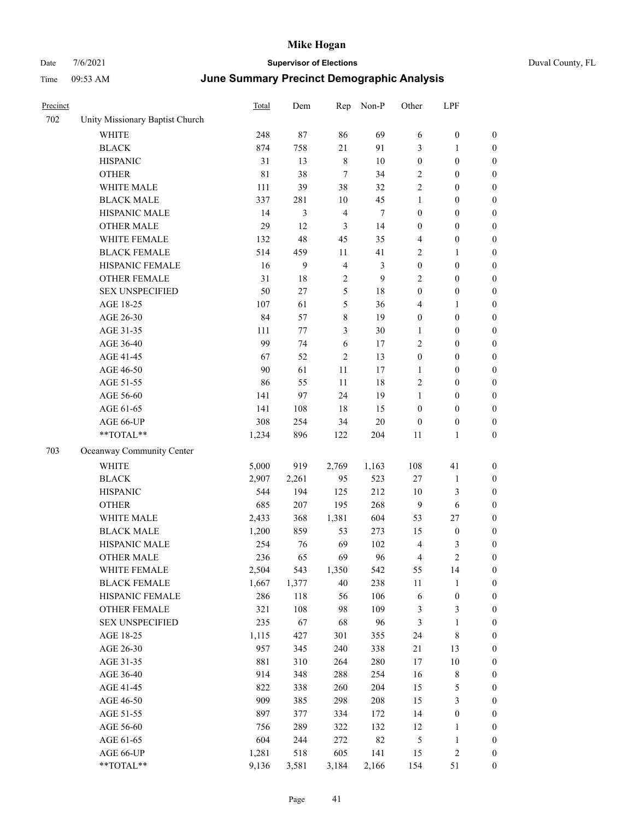| Time     | 09:53 AM                        | June Summary Precinct Demographic Analysis |     |     |       |                |            |          |  |
|----------|---------------------------------|--------------------------------------------|-----|-----|-------|----------------|------------|----------|--|
| Precinct |                                 | Total                                      | Dem | Rep | Non-P | Other          | <b>LPF</b> |          |  |
| 702      | Unity Missionary Baptist Church |                                            |     |     |       |                |            |          |  |
|          | <b>WHITE</b>                    | 248                                        | 87  | 86  | 69    | 6              | $\theta$   | $\theta$ |  |
|          | <b>BLACK</b>                    | 874                                        | 758 | 21  | 91    | 3              |            | $\theta$ |  |
|          | <b>HISPANIC</b>                 | 31                                         | 13  | 8   | 10    | 0              | $\theta$   | $\theta$ |  |
|          | <b>OTHER</b>                    | 81                                         | 38  |     | 34    | 2              | 0          | $\theta$ |  |
|          | <b>WHITE MALE</b>               | 111                                        | 39  | 38  | 32    | $\overline{c}$ | $\theta$   | $\theta$ |  |
|          | <b>BLACK MALE</b>               | 337                                        | 281 | 10  | 45    |                | 0          | $\Omega$ |  |
|          | <b>HISPANIC MALE</b>            | 14                                         | 3   | 4   | 7     | $\mathbf{0}$   | $\theta$   | $\theta$ |  |
|          | <b>OTHER MALE</b>               | 29                                         | 12  | 3   | 14    | 0              | $\theta$   | $\theta$ |  |
|          | WHITE FEMALE                    | 132                                        | 48  | 45  | 35    | 4              | $\theta$   | $\theta$ |  |
|          | <b>BLACK FEMALE</b>             | 514                                        | 459 | 11  | 41    | $\overline{c}$ |            | $\theta$ |  |
|          | <b>HISPANIC FEMALE</b>          | 16                                         | 9   | 4   | 3     | $\theta$       | $\theta$   | $\theta$ |  |
|          | <b>OTHER FEMALE</b>             | 31                                         | 18  | 2   | 9     | 2              | $\theta$   | $\theta$ |  |
|          | <b>SEX UNSPECIFIED</b>          | 50                                         | 27  |     | 18    | 0              | 0          | $\theta$ |  |

|     | <b>BLACK MALE</b>         | 337   | 281     | 10             | 45             | $\mathbf{1}$            | $\boldsymbol{0}$ | $\boldsymbol{0}$ |
|-----|---------------------------|-------|---------|----------------|----------------|-------------------------|------------------|------------------|
|     | HISPANIC MALE             | 14    | 3       | $\overline{4}$ | $\tau$         | $\boldsymbol{0}$        | $\boldsymbol{0}$ | $\boldsymbol{0}$ |
|     | <b>OTHER MALE</b>         | 29    | 12      | 3              | 14             | $\boldsymbol{0}$        | $\boldsymbol{0}$ | $\boldsymbol{0}$ |
|     | WHITE FEMALE              | 132   | 48      | 45             | 35             | $\overline{\mathbf{4}}$ | $\boldsymbol{0}$ | $\boldsymbol{0}$ |
|     | <b>BLACK FEMALE</b>       | 514   | 459     | 11             | 41             | $\overline{c}$          | 1                | $\boldsymbol{0}$ |
|     | HISPANIC FEMALE           | 16    | 9       | $\overline{4}$ | $\mathfrak{Z}$ | $\boldsymbol{0}$        | $\boldsymbol{0}$ | $\boldsymbol{0}$ |
|     | OTHER FEMALE              | 31    | 18      | $\sqrt{2}$     | 9              | $\overline{c}$          | $\boldsymbol{0}$ | $\boldsymbol{0}$ |
|     | <b>SEX UNSPECIFIED</b>    | 50    | 27      | 5              | 18             | $\boldsymbol{0}$        | $\boldsymbol{0}$ | $\boldsymbol{0}$ |
|     | AGE 18-25                 | 107   | 61      | 5              | 36             | $\overline{\mathbf{4}}$ | 1                | $\boldsymbol{0}$ |
|     | AGE 26-30                 | 84    | 57      | 8              | 19             | $\boldsymbol{0}$        | $\boldsymbol{0}$ | $\boldsymbol{0}$ |
|     | AGE 31-35                 | 111   | $77 \,$ | 3              | 30             | $\mathbf{1}$            | $\boldsymbol{0}$ | $\boldsymbol{0}$ |
|     | AGE 36-40                 | 99    | 74      | $\sqrt{6}$     | 17             | $\overline{2}$          | $\boldsymbol{0}$ | $\boldsymbol{0}$ |
|     | AGE 41-45                 | 67    | 52      | $\mathfrak{2}$ | 13             | $\boldsymbol{0}$        | $\boldsymbol{0}$ | 0                |
|     | AGE 46-50                 | 90    | 61      | 11             | 17             | $\mathbf{1}$            | $\boldsymbol{0}$ | $\boldsymbol{0}$ |
|     | AGE 51-55                 | 86    | 55      | 11             | 18             | $\sqrt{2}$              | $\boldsymbol{0}$ | $\boldsymbol{0}$ |
|     | AGE 56-60                 | 141   | 97      | 24             | 19             | $\mathbf{1}$            | $\boldsymbol{0}$ | $\boldsymbol{0}$ |
|     | AGE 61-65                 | 141   | 108     | $18\,$         | 15             | $\boldsymbol{0}$        | $\boldsymbol{0}$ | $\boldsymbol{0}$ |
|     | AGE 66-UP                 | 308   | 254     | 34             | 20             | $\boldsymbol{0}$        | $\boldsymbol{0}$ | $\boldsymbol{0}$ |
|     | **TOTAL**                 | 1,234 | 896     | 122            | 204            | 11                      | $\mathbf{1}$     | $\boldsymbol{0}$ |
| 703 | Oceanway Community Center |       |         |                |                |                         |                  |                  |
|     | <b>WHITE</b>              | 5,000 | 919     | 2,769          | 1,163          | 108                     | 41               | $\boldsymbol{0}$ |
|     | <b>BLACK</b>              | 2,907 | 2,261   | 95             | 523            | $27\,$                  | $\mathbf{1}$     | $\boldsymbol{0}$ |
|     | <b>HISPANIC</b>           | 544   | 194     | 125            | 212            | $10\,$                  | 3                | $\boldsymbol{0}$ |
|     | <b>OTHER</b>              | 685   | 207     | 195            | 268            | $\mathbf{9}$            | $\sqrt{6}$       | $\boldsymbol{0}$ |
|     | WHITE MALE                | 2,433 | 368     | 1,381          | 604            | 53                      | 27               | 0                |
|     | <b>BLACK MALE</b>         | 1,200 | 859     | 53             | 273            | 15                      | $\boldsymbol{0}$ | 0                |
|     | HISPANIC MALE             | 254   | 76      | 69             | 102            | $\overline{\mathbf{4}}$ | 3                | $\boldsymbol{0}$ |
|     | <b>OTHER MALE</b>         | 236   | 65      | 69             | 96             | $\overline{4}$          | $\mathfrak{2}$   | $\boldsymbol{0}$ |
|     | WHITE FEMALE              | 2,504 | 543     | 1,350          | 542            | 55                      | 14               | $\boldsymbol{0}$ |
|     | <b>BLACK FEMALE</b>       | 1,667 | 1,377   | 40             | 238            | 11                      | $\mathbf{1}$     | $\boldsymbol{0}$ |
|     | HISPANIC FEMALE           | 286   | 118     | 56             | 106            | $\sqrt{6}$              | $\boldsymbol{0}$ | $\boldsymbol{0}$ |
|     | OTHER FEMALE              | 321   | 108     | 98             | 109            | $\mathfrak{Z}$          | 3                | $\boldsymbol{0}$ |
|     | <b>SEX UNSPECIFIED</b>    | 235   | 67      | 68             | 96             | $\mathfrak{Z}$          | $\mathbf{1}$     | $\boldsymbol{0}$ |
|     | AGE 18-25                 | 1,115 | 427     | 301            | 355            | 24                      | 8                | $\boldsymbol{0}$ |
|     | AGE 26-30                 | 957   | 345     | 240            | 338            | 21                      | 13               | 0                |
|     | AGE 31-35                 | 881   | 310     | 264            | 280            | 17                      | 10               | $\boldsymbol{0}$ |
|     | AGE 36-40                 | 914   | 348     | 288            | 254            | 16                      | $\,$ 8 $\,$      | $\boldsymbol{0}$ |
|     | AGE 41-45                 | 822   | 338     | 260            | 204            | 15                      | 5                | $\boldsymbol{0}$ |
|     | AGE 46-50                 | 909   | 385     | 298            | 208            | 15                      | 3                | $\mathbf{0}$     |
|     | AGE 51-55                 | 897   | 377     | 334            | 172            | 14                      | $\boldsymbol{0}$ | $\boldsymbol{0}$ |
|     | AGE 56-60                 | 756   | 289     | 322            | 132            | 12                      | $\mathbf{1}$     | 0                |
|     | AGE 61-65                 | 604   | 244     | 272            | 82             | $\mathfrak s$           | $\mathbf{1}$     | $\theta$         |
|     | AGE 66-UP                 | 1,281 | 518     | 605            | 141            | 15                      | 2                | $\boldsymbol{0}$ |
|     | **TOTAL**                 | 9,136 | 3,581   | 3,184          | 2,166          | 154                     | 51               | $\boldsymbol{0}$ |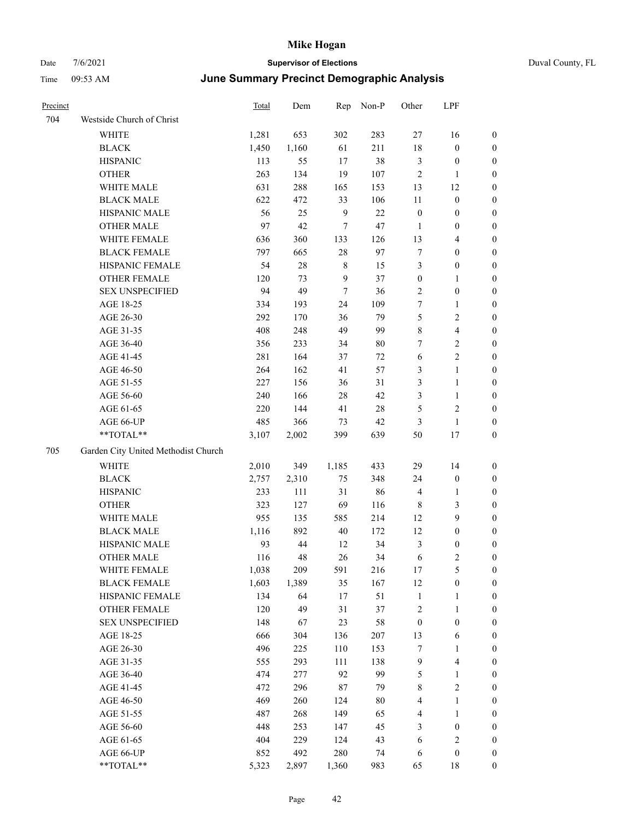|  | Duval County, FL |  |
|--|------------------|--|
|--|------------------|--|

| Precinct |                                     | <b>Total</b> | Dem   | Rep         | Non-P  | Other            | LPF                     |                  |
|----------|-------------------------------------|--------------|-------|-------------|--------|------------------|-------------------------|------------------|
| 704      | Westside Church of Christ           |              |       |             |        |                  |                         |                  |
|          | WHITE                               | 1,281        | 653   | 302         | 283    | 27               | 16                      | $\boldsymbol{0}$ |
|          | <b>BLACK</b>                        | 1,450        | 1,160 | 61          | 211    | 18               | $\boldsymbol{0}$        | 0                |
|          | <b>HISPANIC</b>                     | 113          | 55    | 17          | 38     | 3                | $\boldsymbol{0}$        | 0                |
|          | <b>OTHER</b>                        | 263          | 134   | 19          | 107    | 2                | $\mathbf{1}$            | 0                |
|          | WHITE MALE                          | 631          | 288   | 165         | 153    | 13               | 12                      | $\boldsymbol{0}$ |
|          | <b>BLACK MALE</b>                   | 622          | 472   | 33          | 106    | $11\,$           | $\boldsymbol{0}$        | $\boldsymbol{0}$ |
|          | HISPANIC MALE                       | 56           | 25    | 9           | $22\,$ | $\boldsymbol{0}$ | $\boldsymbol{0}$        | $\boldsymbol{0}$ |
|          | <b>OTHER MALE</b>                   | 97           | 42    | 7           | 47     | $\mathbf{1}$     | $\boldsymbol{0}$        | $\boldsymbol{0}$ |
|          | WHITE FEMALE                        | 636          | 360   | 133         | 126    | 13               | $\overline{\mathbf{4}}$ | $\boldsymbol{0}$ |
|          | <b>BLACK FEMALE</b>                 | 797          | 665   | $28\,$      | 97     | $\tau$           | $\boldsymbol{0}$        | $\boldsymbol{0}$ |
|          | HISPANIC FEMALE                     | 54           | 28    | $\,$ 8 $\,$ | 15     | 3                | $\boldsymbol{0}$        | 0                |
|          | <b>OTHER FEMALE</b>                 | 120          | 73    | 9           | 37     | $\boldsymbol{0}$ | $\mathbf{1}$            | 0                |
|          | <b>SEX UNSPECIFIED</b>              | 94           | 49    | $\tau$      | 36     | $\overline{c}$   | $\boldsymbol{0}$        | 0                |
|          | AGE 18-25                           | 334          | 193   | 24          | 109    | 7                | $\mathbf{1}$            | 0                |
|          | AGE 26-30                           | 292          | 170   | 36          | 79     | 5                | $\sqrt{2}$              | 0                |
|          | AGE 31-35                           | 408          | 248   | 49          | 99     | 8                | $\overline{\mathbf{4}}$ | $\boldsymbol{0}$ |
|          | AGE 36-40                           | 356          | 233   | 34          | 80     | 7                | $\sqrt{2}$              | $\boldsymbol{0}$ |
|          | AGE 41-45                           | 281          | 164   | 37          | 72     | 6                | $\sqrt{2}$              | 0                |
|          | AGE 46-50                           | 264          | 162   | 41          | 57     | 3                | $\mathbf{1}$            | $\boldsymbol{0}$ |
|          | AGE 51-55                           | 227          | 156   | 36          | 31     | 3                | $\mathbf{1}$            | $\boldsymbol{0}$ |
|          | AGE 56-60                           | 240          | 166   | 28          | 42     | 3                | $\mathbf{1}$            | 0                |
|          | AGE 61-65                           | 220          | 144   | 41          | 28     | 5                | $\sqrt{2}$              | 0                |
|          | AGE 66-UP                           | 485          | 366   | 73          | 42     | 3                | $\mathbf{1}$            | 0                |
|          | **TOTAL**                           | 3,107        | 2,002 | 399         | 639    | 50               | 17                      | $\boldsymbol{0}$ |
| 705      | Garden City United Methodist Church |              |       |             |        |                  |                         |                  |
|          | <b>WHITE</b>                        | 2,010        | 349   | 1,185       | 433    | 29               | 14                      | 0                |
|          | <b>BLACK</b>                        | 2,757        | 2,310 | 75          | 348    | 24               | $\boldsymbol{0}$        | $\boldsymbol{0}$ |
|          | <b>HISPANIC</b>                     | 233          | 111   | 31          | 86     | 4                | $\mathbf{1}$            | 0                |
|          | <b>OTHER</b>                        | 323          | 127   | 69          | 116    | 8                | 3                       | $\boldsymbol{0}$ |
|          | WHITE MALE                          | 955          | 135   | 585         | 214    | 12               | 9                       | $\boldsymbol{0}$ |
|          | <b>BLACK MALE</b>                   | 1,116        | 892   | 40          | 172    | 12               | $\boldsymbol{0}$        | $\boldsymbol{0}$ |
|          | HISPANIC MALE                       | 93           | 44    | 12          | 34     | 3                | $\boldsymbol{0}$        | 0                |
|          | <b>OTHER MALE</b>                   | 116          | 48    | 26          | 34     | 6                | $\overline{c}$          | $\boldsymbol{0}$ |
|          | WHITE FEMALE                        | 1,038        | 209   | 591         | 216    | 17               | 5                       | 0                |
|          | <b>BLACK FEMALE</b>                 | 1,603        | 1,389 | 35          | 167    | 12               | $\boldsymbol{0}$        | 0                |
|          | HISPANIC FEMALE                     | 134          | 64    | 17          | 51     | $\mathbf{1}$     | $\mathbf{1}$            | 0                |
|          | <b>OTHER FEMALE</b>                 | 120          | 49    | 31          | 37     | $\overline{c}$   | $\mathbf{1}$            | 0                |
|          | <b>SEX UNSPECIFIED</b>              | 148          | 67    | 23          | 58     | $\boldsymbol{0}$ | $\boldsymbol{0}$        | 0                |
|          | AGE 18-25                           | 666          | 304   | 136         | 207    | 13               | 6                       | 0                |
|          | AGE 26-30                           | 496          | 225   | 110         | 153    | 7                | $\mathbf{1}$            | 0                |
|          | AGE 31-35                           | 555          | 293   | 111         | 138    | $\overline{9}$   | $\overline{\mathbf{4}}$ | 0                |
|          | AGE 36-40                           | 474          | 277   | 92          | 99     | 5                | $\mathbf{1}$            | 0                |
|          | AGE 41-45                           | 472          | 296   | $87\,$      | 79     | $\,$ 8 $\,$      | $\sqrt{2}$              | 0                |
|          | AGE 46-50                           | 469          | 260   | 124         | 80     | 4                | $\mathbf{1}$            | 0                |
|          | AGE 51-55                           | 487          | 268   | 149         | 65     | 4                | $\mathbf{1}$            | 0                |
|          | AGE 56-60                           | 448          | 253   | 147         | 45     | 3                | $\boldsymbol{0}$        | 0                |
|          | AGE 61-65                           | 404          | 229   | 124         | 43     | 6                | $\sqrt{2}$              | 0                |
|          | AGE 66-UP                           | 852          | 492   | 280         | 74     | 6                | $\boldsymbol{0}$        | $\boldsymbol{0}$ |
|          | $**TOTAL**$                         | 5,323        | 2,897 | 1,360       | 983    | 65               | 18                      | $\boldsymbol{0}$ |
|          |                                     |              |       |             |        |                  |                         |                  |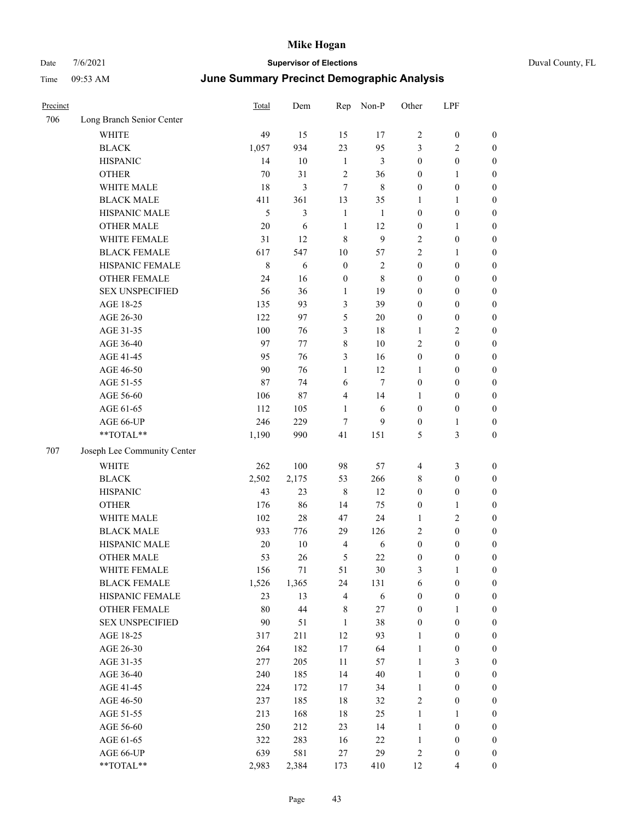| Precinct |                             | Total   | Dem        | Rep              | Non-P          | Other            | LPF                     |                  |
|----------|-----------------------------|---------|------------|------------------|----------------|------------------|-------------------------|------------------|
| 706      | Long Branch Senior Center   |         |            |                  |                |                  |                         |                  |
|          | <b>WHITE</b>                | 49      | 15         | 15               | 17             | $\overline{2}$   | $\boldsymbol{0}$        | $\boldsymbol{0}$ |
|          | <b>BLACK</b>                | 1,057   | 934        | 23               | 95             | 3                | 2                       | $\boldsymbol{0}$ |
|          | <b>HISPANIC</b>             | 14      | 10         | $\mathbf{1}$     | 3              | $\boldsymbol{0}$ | $\boldsymbol{0}$        | $\boldsymbol{0}$ |
|          | <b>OTHER</b>                | 70      | 31         | $\overline{2}$   | 36             | $\boldsymbol{0}$ | 1                       | $\boldsymbol{0}$ |
|          | WHITE MALE                  | 18      | 3          | 7                | 8              | $\mathbf{0}$     | $\boldsymbol{0}$        | $\boldsymbol{0}$ |
|          | <b>BLACK MALE</b>           | 411     | 361        | 13               | 35             | 1                | 1                       | $\boldsymbol{0}$ |
|          | HISPANIC MALE               | 5       | 3          | $\mathbf{1}$     | $\mathbf{1}$   | $\boldsymbol{0}$ | $\boldsymbol{0}$        | $\boldsymbol{0}$ |
|          | <b>OTHER MALE</b>           | 20      | 6          | $\mathbf{1}$     | 12             | $\boldsymbol{0}$ | 1                       | $\boldsymbol{0}$ |
|          | WHITE FEMALE                | 31      | 12         | 8                | 9              | $\overline{2}$   | $\boldsymbol{0}$        | $\boldsymbol{0}$ |
|          | <b>BLACK FEMALE</b>         | 617     | 547        | 10               | 57             | $\overline{2}$   | 1                       | $\boldsymbol{0}$ |
|          | HISPANIC FEMALE             | $\,8\,$ | $\sqrt{6}$ | $\boldsymbol{0}$ | $\overline{2}$ | $\boldsymbol{0}$ | $\boldsymbol{0}$        | $\boldsymbol{0}$ |
|          | <b>OTHER FEMALE</b>         | 24      | 16         | $\boldsymbol{0}$ | 8              | $\boldsymbol{0}$ | $\boldsymbol{0}$        | $\boldsymbol{0}$ |
|          | <b>SEX UNSPECIFIED</b>      | 56      | 36         | 1                | 19             | $\boldsymbol{0}$ | $\boldsymbol{0}$        | $\boldsymbol{0}$ |
|          | AGE 18-25                   | 135     | 93         | 3                | 39             | $\boldsymbol{0}$ | $\boldsymbol{0}$        | $\boldsymbol{0}$ |
|          | AGE 26-30                   | 122     | 97         | 5                | 20             | $\mathbf{0}$     | $\boldsymbol{0}$        | $\boldsymbol{0}$ |
|          | AGE 31-35                   | 100     | 76         | 3                | 18             | 1                | 2                       | $\boldsymbol{0}$ |
|          | AGE 36-40                   | 97      | 77         | 8                | 10             | $\overline{2}$   | $\boldsymbol{0}$        | $\boldsymbol{0}$ |
|          | AGE 41-45                   | 95      | 76         | 3                | 16             | $\boldsymbol{0}$ | $\boldsymbol{0}$        | $\boldsymbol{0}$ |
|          | AGE 46-50                   | 90      | 76         | 1                | 12             | $\mathbf{1}$     | $\boldsymbol{0}$        | $\boldsymbol{0}$ |
|          | AGE 51-55                   | 87      | 74         | 6                | $\tau$         | $\boldsymbol{0}$ | $\boldsymbol{0}$        | $\boldsymbol{0}$ |
|          | AGE 56-60                   | 106     | 87         | 4                | 14             | 1                | $\boldsymbol{0}$        | $\boldsymbol{0}$ |
|          | AGE 61-65                   | 112     | 105        | 1                | 6              | $\boldsymbol{0}$ | $\boldsymbol{0}$        | $\boldsymbol{0}$ |
|          | AGE 66-UP                   | 246     | 229        | $\tau$           | 9              | $\boldsymbol{0}$ | 1                       | $\boldsymbol{0}$ |
|          | **TOTAL**                   | 1,190   | 990        | 41               | 151            | 5                | 3                       | $\boldsymbol{0}$ |
| 707      | Joseph Lee Community Center |         |            |                  |                |                  |                         |                  |
|          | <b>WHITE</b>                | 262     | 100        | 98               | 57             | $\overline{4}$   | 3                       | $\boldsymbol{0}$ |
|          | <b>BLACK</b>                | 2,502   | 2,175      | 53               | 266            | 8                | $\boldsymbol{0}$        | $\boldsymbol{0}$ |
|          | <b>HISPANIC</b>             | 43      | 23         | 8                | 12             | $\boldsymbol{0}$ | $\boldsymbol{0}$        | $\boldsymbol{0}$ |
|          | <b>OTHER</b>                | 176     | 86         | 14               | 75             | $\boldsymbol{0}$ | 1                       | $\boldsymbol{0}$ |
|          | WHITE MALE                  | 102     | $28\,$     | 47               | 24             | 1                | $\overline{\mathbf{c}}$ | $\boldsymbol{0}$ |
|          | <b>BLACK MALE</b>           | 933     | 776        | 29               | 126            | $\overline{2}$   | $\boldsymbol{0}$        | $\boldsymbol{0}$ |
|          | HISPANIC MALE               | 20      | 10         | $\overline{4}$   | 6              | $\boldsymbol{0}$ | $\boldsymbol{0}$        | $\boldsymbol{0}$ |
|          | <b>OTHER MALE</b>           | 53      | 26         | 5                | 22             | $\boldsymbol{0}$ | 0                       | $\boldsymbol{0}$ |
|          | WHITE FEMALE                | 156     | $71\,$     | 51               | 30             | $\mathfrak{Z}$   | $\mathbf{1}$            | $\boldsymbol{0}$ |
|          | <b>BLACK FEMALE</b>         | 1,526   | 1,365      | $24\,$           | 131            | 6                | $\boldsymbol{0}$        | $\boldsymbol{0}$ |
|          | HISPANIC FEMALE             | 23      | 13         | $\overline{4}$   | $\sqrt{6}$     | $\boldsymbol{0}$ | $\boldsymbol{0}$        | $\boldsymbol{0}$ |
|          | OTHER FEMALE                | 80      | 44         | 8                | 27             | $\boldsymbol{0}$ | 1                       | $\boldsymbol{0}$ |
|          | <b>SEX UNSPECIFIED</b>      | 90      | 51         | $\mathbf{1}$     | 38             | $\boldsymbol{0}$ | $\boldsymbol{0}$        | $\boldsymbol{0}$ |
|          | AGE 18-25                   | 317     | 211        | 12               | 93             | $\mathbf{1}$     | $\boldsymbol{0}$        | $\boldsymbol{0}$ |
|          | AGE 26-30                   | 264     | 182        | 17               | 64             | $\mathbf{1}$     | $\boldsymbol{0}$        | $\boldsymbol{0}$ |
|          | AGE 31-35                   | 277     | 205        | 11               | 57             | $\mathbf{1}$     | 3                       | $\boldsymbol{0}$ |
|          | AGE 36-40                   | 240     | 185        | 14               | $40\,$         | $\mathbf{1}$     | $\boldsymbol{0}$        | $\boldsymbol{0}$ |
|          | AGE 41-45                   | 224     | 172        | 17               | 34             | $\mathbf{1}$     | $\boldsymbol{0}$        | $\boldsymbol{0}$ |
|          | AGE 46-50                   | 237     | 185        | 18               | 32             | $\sqrt{2}$       | $\boldsymbol{0}$        | $\boldsymbol{0}$ |
|          | AGE 51-55                   | 213     | 168        | 18               | 25             | $\mathbf{1}$     | 1                       | $\boldsymbol{0}$ |
|          | AGE 56-60                   | 250     | 212        | 23               | 14             | $\mathbf{1}$     | $\boldsymbol{0}$        | $\boldsymbol{0}$ |
|          | AGE 61-65                   | 322     | 283        | 16               | 22             | $\mathbf{1}$     | $\boldsymbol{0}$        | $\boldsymbol{0}$ |
|          | AGE 66-UP                   | 639     | 581        | $27\,$           | 29             | $\sqrt{2}$       | $\boldsymbol{0}$        | $\boldsymbol{0}$ |
|          | $**TOTAL**$                 | 2,983   | 2,384      | 173              | 410            | 12               | 4                       | $\boldsymbol{0}$ |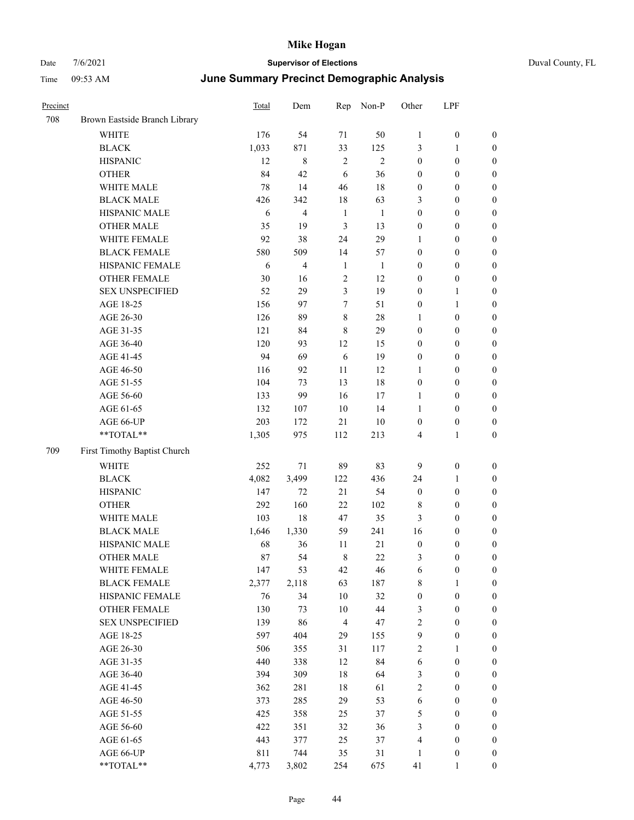| Precinct |                               | Total | Dem                      | Rep            | Non-P          | Other            | LPF              |                  |
|----------|-------------------------------|-------|--------------------------|----------------|----------------|------------------|------------------|------------------|
| 708      | Brown Eastside Branch Library |       |                          |                |                |                  |                  |                  |
|          | <b>WHITE</b>                  | 176   | 54                       | 71             | 50             | $\mathbf{1}$     | $\boldsymbol{0}$ | $\boldsymbol{0}$ |
|          | <b>BLACK</b>                  | 1,033 | 871                      | 33             | 125            | 3                | $\mathbf{1}$     | $\boldsymbol{0}$ |
|          | <b>HISPANIC</b>               | 12    | 8                        | $\sqrt{2}$     | $\mathfrak{2}$ | $\boldsymbol{0}$ | $\boldsymbol{0}$ | 0                |
|          | <b>OTHER</b>                  | 84    | 42                       | 6              | 36             | $\boldsymbol{0}$ | $\boldsymbol{0}$ | 0                |
|          | WHITE MALE                    | 78    | 14                       | 46             | 18             | $\boldsymbol{0}$ | $\boldsymbol{0}$ | $\boldsymbol{0}$ |
|          | <b>BLACK MALE</b>             | 426   | 342                      | $18\,$         | 63             | 3                | $\boldsymbol{0}$ | $\boldsymbol{0}$ |
|          | HISPANIC MALE                 | 6     | 4                        | $\mathbf{1}$   | $\mathbf{1}$   | $\boldsymbol{0}$ | $\boldsymbol{0}$ | $\boldsymbol{0}$ |
|          | <b>OTHER MALE</b>             | 35    | 19                       | 3              | 13             | $\boldsymbol{0}$ | $\boldsymbol{0}$ | $\boldsymbol{0}$ |
|          | WHITE FEMALE                  | 92    | 38                       | 24             | 29             | $\mathbf{1}$     | $\boldsymbol{0}$ | $\boldsymbol{0}$ |
|          | <b>BLACK FEMALE</b>           | 580   | 509                      | 14             | 57             | $\boldsymbol{0}$ | $\boldsymbol{0}$ | $\boldsymbol{0}$ |
|          | HISPANIC FEMALE               | 6     | $\overline{\mathcal{L}}$ | 1              | $\mathbf{1}$   | $\boldsymbol{0}$ | $\boldsymbol{0}$ | $\boldsymbol{0}$ |
|          | OTHER FEMALE                  | 30    | 16                       | $\sqrt{2}$     | 12             | $\boldsymbol{0}$ | $\boldsymbol{0}$ | 0                |
|          | <b>SEX UNSPECIFIED</b>        | 52    | 29                       | 3              | 19             | $\boldsymbol{0}$ | $\mathbf{1}$     | 0                |
|          | AGE 18-25                     | 156   | 97                       | 7              | 51             | $\boldsymbol{0}$ | $\mathbf{1}$     | 0                |
|          | AGE 26-30                     | 126   | 89                       | $\,8\,$        | $28\,$         | 1                | $\boldsymbol{0}$ | 0                |
|          | AGE 31-35                     | 121   | 84                       | $\,8\,$        | 29             | $\boldsymbol{0}$ | $\boldsymbol{0}$ | $\boldsymbol{0}$ |
|          | AGE 36-40                     | 120   | 93                       | 12             | 15             | $\boldsymbol{0}$ | $\boldsymbol{0}$ | $\boldsymbol{0}$ |
|          | AGE 41-45                     | 94    | 69                       | 6              | 19             | $\boldsymbol{0}$ | $\boldsymbol{0}$ | $\boldsymbol{0}$ |
|          | AGE 46-50                     | 116   | 92                       | 11             | 12             | $\mathbf{1}$     | $\boldsymbol{0}$ | $\boldsymbol{0}$ |
|          | AGE 51-55                     | 104   | 73                       | 13             | 18             | $\boldsymbol{0}$ | $\boldsymbol{0}$ | $\boldsymbol{0}$ |
|          | AGE 56-60                     | 133   | 99                       | 16             | 17             | $\mathbf{1}$     | $\boldsymbol{0}$ | $\boldsymbol{0}$ |
|          | AGE 61-65                     | 132   | 107                      | 10             | 14             | $\mathbf{1}$     | $\boldsymbol{0}$ | 0                |
|          | AGE 66-UP                     | 203   | 172                      | 21             | 10             | $\boldsymbol{0}$ | $\boldsymbol{0}$ | 0                |
|          | **TOTAL**                     | 1,305 | 975                      | 112            | 213            | 4                | $\mathbf{1}$     | $\boldsymbol{0}$ |
| 709      | First Timothy Baptist Church  |       |                          |                |                |                  |                  |                  |
|          | <b>WHITE</b>                  | 252   | 71                       | 89             | 83             | 9                | $\boldsymbol{0}$ | 0                |
|          | <b>BLACK</b>                  | 4,082 | 3,499                    | 122            | 436            | 24               | $\mathbf{1}$     | $\boldsymbol{0}$ |
|          | <b>HISPANIC</b>               | 147   | 72                       | 21             | 54             | $\boldsymbol{0}$ | $\boldsymbol{0}$ | 0                |
|          | <b>OTHER</b>                  | 292   | 160                      | $22\,$         | 102            | 8                | $\boldsymbol{0}$ | $\boldsymbol{0}$ |
|          | WHITE MALE                    | 103   | 18                       | 47             | 35             | 3                | $\boldsymbol{0}$ | $\boldsymbol{0}$ |
|          | <b>BLACK MALE</b>             | 1,646 | 1,330                    | 59             | 241            | 16               | $\boldsymbol{0}$ | $\boldsymbol{0}$ |
|          | HISPANIC MALE                 | 68    | 36                       | 11             | 21             | $\boldsymbol{0}$ | $\boldsymbol{0}$ | $\boldsymbol{0}$ |
|          | <b>OTHER MALE</b>             | 87    | 54                       | $\,8\,$        | 22             | 3                | $\boldsymbol{0}$ | $\boldsymbol{0}$ |
|          | WHITE FEMALE                  | 147   | 53                       | 42             | 46             | 6                | $\boldsymbol{0}$ | 0                |
|          | <b>BLACK FEMALE</b>           | 2,377 | 2,118                    | 63             | 187            | 8                | $\mathbf{1}$     | 0                |
|          | HISPANIC FEMALE               | 76    | 34                       | 10             | 32             | $\boldsymbol{0}$ | $\boldsymbol{0}$ | 0                |
|          | OTHER FEMALE                  | 130   | 73                       | $10\,$         | $44\,$         | 3                | $\boldsymbol{0}$ | 0                |
|          | <b>SEX UNSPECIFIED</b>        | 139   | 86                       | $\overline{4}$ | 47             | $\overline{c}$   | $\boldsymbol{0}$ | $\overline{0}$   |
|          | AGE 18-25                     | 597   | 404                      | 29             | 155            | 9                | $\boldsymbol{0}$ | $\overline{0}$   |
|          | AGE 26-30                     | 506   | 355                      | 31             | 117            | $\overline{c}$   | $\mathbf{1}$     | 0                |
|          | AGE 31-35                     | 440   | 338                      | 12             | 84             | 6                | $\boldsymbol{0}$ | $\overline{0}$   |
|          | AGE 36-40                     | 394   | 309                      | $18\,$         | 64             | 3                | $\boldsymbol{0}$ | $\overline{0}$   |
|          | AGE 41-45                     | 362   | 281                      | $18\,$         | 61             | $\sqrt{2}$       | $\boldsymbol{0}$ | $\overline{0}$   |
|          | AGE 46-50                     | 373   | 285                      | 29             | 53             | 6                | $\boldsymbol{0}$ | 0                |
|          | AGE 51-55                     | 425   | 358                      | 25             | 37             | 5                | $\boldsymbol{0}$ | 0                |
|          | AGE 56-60                     | 422   | 351                      | 32             | 36             | 3                | $\boldsymbol{0}$ | $\boldsymbol{0}$ |
|          | AGE 61-65                     | 443   | 377                      | 25             | 37             | $\overline{4}$   | $\boldsymbol{0}$ | $\boldsymbol{0}$ |
|          | AGE 66-UP                     | 811   | 744                      | 35             | 31             | 1                | $\boldsymbol{0}$ | $\boldsymbol{0}$ |
|          | $**TOTAL**$                   | 4,773 | 3,802                    | 254            | 675            | 41               | $\mathbf{1}$     | $\boldsymbol{0}$ |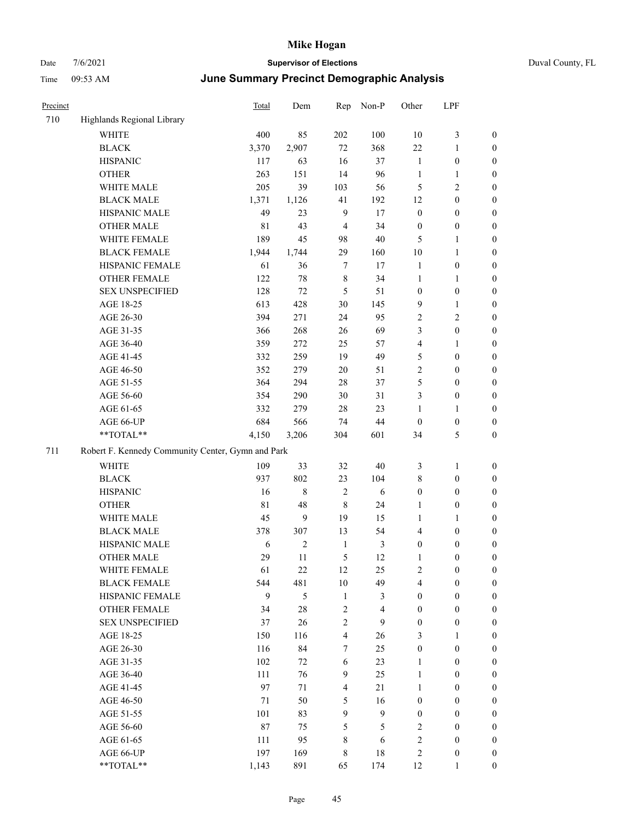| Precinct |                                                   | Total            | Dem            | Rep              | Non-P            | Other                   | LPF              |                  |  |  |
|----------|---------------------------------------------------|------------------|----------------|------------------|------------------|-------------------------|------------------|------------------|--|--|
| 710      | Highlands Regional Library                        |                  |                |                  |                  |                         |                  |                  |  |  |
|          | <b>WHITE</b>                                      | 400              | 85             | 202              | 100              | 10                      | $\mathfrak{Z}$   | $\boldsymbol{0}$ |  |  |
|          | <b>BLACK</b>                                      | 3,370            | 2,907          | 72               | 368              | 22                      | $\mathbf{1}$     | $\boldsymbol{0}$ |  |  |
|          | <b>HISPANIC</b>                                   | 117              | 63             | 16               | 37               | $\mathbf{1}$            | $\boldsymbol{0}$ | $\boldsymbol{0}$ |  |  |
|          | <b>OTHER</b>                                      | 263              | 151            | 14               | 96               | $\mathbf{1}$            | $\mathbf{1}$     | $\boldsymbol{0}$ |  |  |
|          | WHITE MALE                                        | 205              | 39             | 103              | 56               | 5                       | $\mathbf{2}$     | 0                |  |  |
|          | <b>BLACK MALE</b>                                 | 1,371            | 1,126          | 41               | 192              | 12                      | $\boldsymbol{0}$ | $\boldsymbol{0}$ |  |  |
|          | HISPANIC MALE                                     | 49               | 23             | 9                | 17               | $\boldsymbol{0}$        | $\boldsymbol{0}$ | $\boldsymbol{0}$ |  |  |
|          | <b>OTHER MALE</b>                                 | $8\sqrt{1}$      | 43             | $\overline{4}$   | 34               | $\boldsymbol{0}$        | $\boldsymbol{0}$ | $\boldsymbol{0}$ |  |  |
|          | WHITE FEMALE                                      | 189              | 45             | 98               | 40               | 5                       | $\mathbf{1}$     | $\boldsymbol{0}$ |  |  |
|          | <b>BLACK FEMALE</b>                               | 1,944            | 1,744          | 29               | 160              | 10                      | $\mathbf{1}$     | $\boldsymbol{0}$ |  |  |
|          | HISPANIC FEMALE                                   | 61               | 36             | $\tau$           | 17               | $\mathbf{1}$            | $\boldsymbol{0}$ | $\boldsymbol{0}$ |  |  |
|          | OTHER FEMALE                                      | 122              | 78             | $\,$ 8 $\,$      | 34               | $\mathbf{1}$            | $\mathbf{1}$     | $\boldsymbol{0}$ |  |  |
|          | <b>SEX UNSPECIFIED</b>                            | 128              | $72\,$         | 5                | 51               | $\boldsymbol{0}$        | $\boldsymbol{0}$ | $\boldsymbol{0}$ |  |  |
|          | AGE 18-25                                         | 613              | 428            | $30\,$           | 145              | 9                       | $\mathbf{1}$     | $\boldsymbol{0}$ |  |  |
|          | AGE 26-30                                         | 394              | 271            | 24               | 95               | $\sqrt{2}$              | $\mathbf{2}$     | 0                |  |  |
|          | AGE 31-35                                         | 366              | 268            | 26               | 69               | 3                       | $\boldsymbol{0}$ | $\boldsymbol{0}$ |  |  |
|          | AGE 36-40                                         | 359              | 272            | 25               | 57               | 4                       | $\mathbf{1}$     | $\boldsymbol{0}$ |  |  |
|          | AGE 41-45                                         | 332              | 259            | 19               | 49               | 5                       | $\boldsymbol{0}$ | $\boldsymbol{0}$ |  |  |
|          | AGE 46-50                                         | 352              | 279            | $20\,$           | 51               | $\overline{c}$          | $\boldsymbol{0}$ | $\boldsymbol{0}$ |  |  |
|          | AGE 51-55                                         | 364              | 294            | 28               | 37               | 5                       | $\boldsymbol{0}$ | $\boldsymbol{0}$ |  |  |
|          | AGE 56-60                                         | 354              | 290            | 30               | 31               | 3                       | $\boldsymbol{0}$ | $\boldsymbol{0}$ |  |  |
|          | AGE 61-65                                         | 332              | 279            | 28               | 23               | $\mathbf{1}$            | $\mathbf{1}$     | $\boldsymbol{0}$ |  |  |
|          | AGE 66-UP                                         | 684              | 566            | 74               | 44               | $\boldsymbol{0}$        | $\boldsymbol{0}$ | $\boldsymbol{0}$ |  |  |
|          | **TOTAL**                                         | 4,150            | 3,206          | 304              | 601              | 34                      | $\mathfrak{S}$   | $\boldsymbol{0}$ |  |  |
| 711      | Robert F. Kennedy Community Center, Gymn and Park |                  |                |                  |                  |                         |                  |                  |  |  |
|          | WHITE                                             | 109              | 33             | 32               | 40               | 3                       | $\mathbf{1}$     | $\boldsymbol{0}$ |  |  |
|          | <b>BLACK</b>                                      | 937              | 802            | 23               | 104              | 8                       | $\boldsymbol{0}$ | 0                |  |  |
|          | <b>HISPANIC</b>                                   | 16               | 8              | $\sqrt{2}$       | 6                | $\boldsymbol{0}$        | $\boldsymbol{0}$ | 0                |  |  |
|          | <b>OTHER</b>                                      | $8\sqrt{1}$      | 48             | $\,$ 8 $\,$      | 24               | 1                       | $\boldsymbol{0}$ | $\boldsymbol{0}$ |  |  |
|          | WHITE MALE                                        | 45               | 9              | 19               | 15               | 1                       | $\mathbf{1}$     | $\boldsymbol{0}$ |  |  |
|          | <b>BLACK MALE</b>                                 | 378              | 307            | 13               | 54               | 4                       | $\boldsymbol{0}$ | $\boldsymbol{0}$ |  |  |
|          | HISPANIC MALE                                     | 6                | $\overline{c}$ | $\mathbf{1}$     | 3                | $\boldsymbol{0}$        | $\boldsymbol{0}$ | $\boldsymbol{0}$ |  |  |
|          | <b>OTHER MALE</b>                                 | 29               | 11             | 5                | 12               | $\mathbf{1}$            | $\boldsymbol{0}$ | $\boldsymbol{0}$ |  |  |
|          | WHITE FEMALE                                      | 61               | $22\,$         | $12\,$           | 25               | $\sqrt{2}$              | $\boldsymbol{0}$ | $\overline{0}$   |  |  |
|          | <b>BLACK FEMALE</b>                               | 544              | 481            | $10\,$           | 49               | $\overline{\mathbf{4}}$ | $\boldsymbol{0}$ | 0                |  |  |
|          | HISPANIC FEMALE                                   | $\boldsymbol{9}$ | 5              | $\mathbf{1}$     | 3                | $\boldsymbol{0}$        | $\boldsymbol{0}$ | $\overline{0}$   |  |  |
|          | <b>OTHER FEMALE</b>                               | 34               | 28             | $\sqrt{2}$       | $\overline{4}$   | $\boldsymbol{0}$        | $\boldsymbol{0}$ | 0                |  |  |
|          | <b>SEX UNSPECIFIED</b>                            | 37               | 26             | $\sqrt{2}$       | 9                | $\boldsymbol{0}$        | $\boldsymbol{0}$ | 0                |  |  |
|          | AGE 18-25                                         | 150              | 116            | $\overline{4}$   | 26               | 3                       | $\mathbf{1}$     | $\boldsymbol{0}$ |  |  |
|          | AGE 26-30                                         | 116              | 84             | $\tau$           | 25               | $\boldsymbol{0}$        | $\boldsymbol{0}$ | $\boldsymbol{0}$ |  |  |
|          | AGE 31-35                                         | 102              | 72             | 6                | 23               | $\mathbf{1}$            | $\boldsymbol{0}$ | $\boldsymbol{0}$ |  |  |
|          | AGE 36-40                                         | 111              | 76             | $\overline{9}$   | 25               | $\mathbf{1}$            | $\boldsymbol{0}$ | $\overline{0}$   |  |  |
|          | AGE 41-45                                         | 97               | 71             | $\overline{4}$   | 21               | $\mathbf{1}$            | $\boldsymbol{0}$ | $\boldsymbol{0}$ |  |  |
|          | AGE 46-50                                         | 71               | 50             | $\mathfrak s$    | 16               | $\boldsymbol{0}$        | $\boldsymbol{0}$ | $\overline{0}$   |  |  |
|          | AGE 51-55                                         | 101              | 83             | $\boldsymbol{9}$ | $\boldsymbol{9}$ | $\boldsymbol{0}$        | $\boldsymbol{0}$ | $\boldsymbol{0}$ |  |  |
|          | AGE 56-60                                         | 87               | 75             | $\mathfrak s$    | 5                | $\sqrt{2}$              | $\boldsymbol{0}$ | $\boldsymbol{0}$ |  |  |
|          | AGE 61-65                                         | 111              | 95             | $\,$ 8 $\,$      | $\sqrt{6}$       | $\sqrt{2}$              | $\boldsymbol{0}$ | 0                |  |  |
|          | AGE 66-UP                                         | 197              | 169            | $\,$ 8 $\,$      | $18\,$           | $\sqrt{2}$              | $\boldsymbol{0}$ | 0                |  |  |
|          | $**TOTAL**$                                       | 1,143            | 891            | 65               | 174              | $12\,$                  | 1                | $\boldsymbol{0}$ |  |  |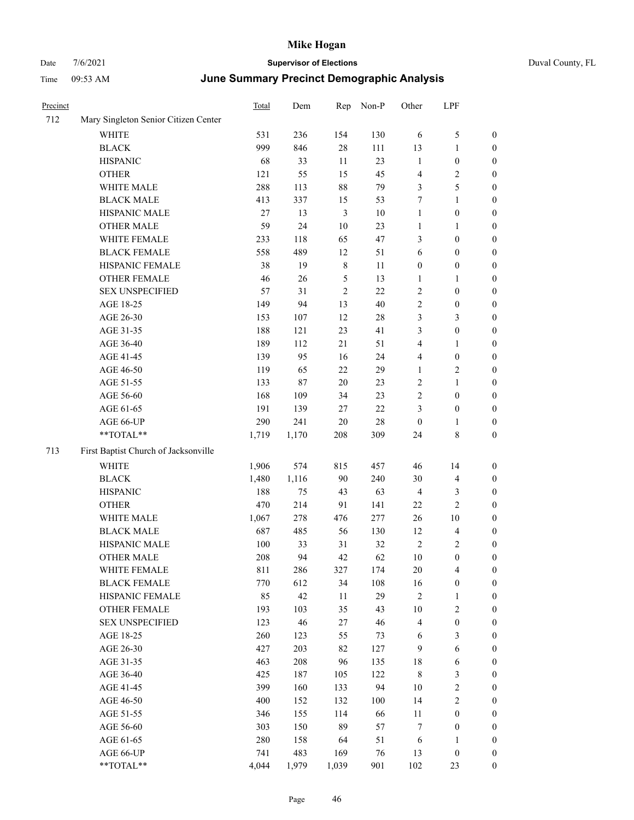| Duval County, FL |  |
|------------------|--|
|                  |  |

| Precinct |                                      | Total  | Dem   | Rep            | Non-P  | Other            | LPF                     |                  |
|----------|--------------------------------------|--------|-------|----------------|--------|------------------|-------------------------|------------------|
| 712      | Mary Singleton Senior Citizen Center |        |       |                |        |                  |                         |                  |
|          | WHITE                                | 531    | 236   | 154            | 130    | 6                | $\mathfrak{S}$          | $\boldsymbol{0}$ |
|          | <b>BLACK</b>                         | 999    | 846   | 28             | 111    | 13               | $\mathbf{1}$            | $\boldsymbol{0}$ |
|          | <b>HISPANIC</b>                      | 68     | 33    | 11             | 23     | $\mathbf{1}$     | $\boldsymbol{0}$        | $\boldsymbol{0}$ |
|          | <b>OTHER</b>                         | 121    | 55    | 15             | 45     | $\overline{4}$   | $\sqrt{2}$              | 0                |
|          | WHITE MALE                           | 288    | 113   | $88\,$         | 79     | 3                | $\mathfrak s$           | 0                |
|          | <b>BLACK MALE</b>                    | 413    | 337   | 15             | 53     | 7                | $\mathbf{1}$            | $\boldsymbol{0}$ |
|          | HISPANIC MALE                        | $27\,$ | 13    | $\mathfrak{Z}$ | $10\,$ | $\mathbf{1}$     | $\boldsymbol{0}$        | $\boldsymbol{0}$ |
|          | <b>OTHER MALE</b>                    | 59     | 24    | $10\,$         | 23     | $\mathbf{1}$     | $\mathbf{1}$            | $\boldsymbol{0}$ |
|          | WHITE FEMALE                         | 233    | 118   | 65             | 47     | 3                | $\boldsymbol{0}$        | $\boldsymbol{0}$ |
|          | <b>BLACK FEMALE</b>                  | 558    | 489   | 12             | 51     | 6                | $\boldsymbol{0}$        | $\boldsymbol{0}$ |
|          | HISPANIC FEMALE                      | 38     | 19    | $\,8\,$        | 11     | $\boldsymbol{0}$ | $\boldsymbol{0}$        | $\boldsymbol{0}$ |
|          | <b>OTHER FEMALE</b>                  | 46     | 26    | $\mathfrak{S}$ | 13     | $\mathbf{1}$     | $\mathbf{1}$            | $\boldsymbol{0}$ |
|          | <b>SEX UNSPECIFIED</b>               | 57     | 31    | $\overline{2}$ | 22     | $\sqrt{2}$       | $\boldsymbol{0}$        | $\boldsymbol{0}$ |
|          | AGE 18-25                            | 149    | 94    | 13             | 40     | $\sqrt{2}$       | $\boldsymbol{0}$        | $\boldsymbol{0}$ |
|          | AGE 26-30                            | 153    | 107   | 12             | $28\,$ | 3                | 3                       | 0                |
|          | AGE 31-35                            | 188    | 121   | 23             | 41     | 3                | $\boldsymbol{0}$        | $\boldsymbol{0}$ |
|          | AGE 36-40                            | 189    | 112   | 21             | 51     | 4                | $\mathbf{1}$            | 0                |
|          | AGE 41-45                            | 139    | 95    | 16             | 24     | 4                | $\boldsymbol{0}$        | $\boldsymbol{0}$ |
|          | AGE 46-50                            | 119    | 65    | $22\,$         | 29     | $\mathbf{1}$     | $\sqrt{2}$              | $\boldsymbol{0}$ |
|          | AGE 51-55                            | 133    | 87    | $20\,$         | 23     | 2                | $\mathbf{1}$            | $\boldsymbol{0}$ |
|          | AGE 56-60                            | 168    | 109   | 34             | 23     | $\sqrt{2}$       | $\boldsymbol{0}$        | $\boldsymbol{0}$ |
|          | AGE 61-65                            | 191    | 139   | $27\,$         | 22     | 3                | $\boldsymbol{0}$        | $\boldsymbol{0}$ |
|          | AGE 66-UP                            | 290    | 241   | $20\,$         | 28     | $\boldsymbol{0}$ | 1                       | 0                |
|          | **TOTAL**                            | 1,719  | 1,170 | 208            | 309    | 24               | $8\,$                   | 0                |
| 713      | First Baptist Church of Jacksonville |        |       |                |        |                  |                         |                  |
|          | WHITE                                | 1,906  | 574   | 815            | 457    | 46               | 14                      | $\boldsymbol{0}$ |
|          | <b>BLACK</b>                         | 1,480  | 1,116 | 90             | 240    | 30               | $\overline{\mathbf{4}}$ | 0                |
|          | <b>HISPANIC</b>                      | 188    | 75    | 43             | 63     | $\overline{4}$   | 3                       | 0                |
|          | <b>OTHER</b>                         | 470    | 214   | 91             | 141    | 22               | $\sqrt{2}$              | $\boldsymbol{0}$ |
|          | WHITE MALE                           | 1,067  | 278   | 476            | 277    | 26               | 10                      | $\boldsymbol{0}$ |
|          | <b>BLACK MALE</b>                    | 687    | 485   | 56             | 130    | 12               | $\overline{\mathbf{4}}$ | $\boldsymbol{0}$ |
|          | HISPANIC MALE                        | 100    | 33    | 31             | 32     | 2                | $\sqrt{2}$              | $\boldsymbol{0}$ |
|          | <b>OTHER MALE</b>                    | 208    | 94    | 42             | 62     | 10               | $\boldsymbol{0}$        | $\boldsymbol{0}$ |
|          | WHITE FEMALE                         | 811    | 286   | 327            | 174    | $20\,$           | $\overline{4}$          | $\boldsymbol{0}$ |
|          | <b>BLACK FEMALE</b>                  | 770    | 612   | 34             | 108    | 16               | $\boldsymbol{0}$        | 0                |
|          | HISPANIC FEMALE                      | 85     | 42    | 11             | 29     | $\sqrt{2}$       | $\mathbf{1}$            | 0                |
|          | <b>OTHER FEMALE</b>                  | 193    | 103   | 35             | 43     | $10\,$           | $\sqrt{2}$              | 0                |
|          | <b>SEX UNSPECIFIED</b>               | 123    | 46    | $27\,$         | 46     | 4                | $\boldsymbol{0}$        | 0                |
|          | AGE 18-25                            | 260    | 123   | 55             | 73     | 6                | 3                       | $\overline{0}$   |
|          | AGE 26-30                            | 427    | 203   | 82             | 127    | 9                | 6                       | $\boldsymbol{0}$ |
|          | AGE 31-35                            | 463    | 208   | 96             | 135    | 18               | 6                       | $\overline{0}$   |
|          | AGE 36-40                            | 425    | 187   | 105            | 122    | $\,$ 8 $\,$      | $\mathfrak{Z}$          | 0                |
|          | AGE 41-45                            | 399    | 160   | 133            | 94     | 10               | $\sqrt{2}$              | $\overline{0}$   |
|          | AGE 46-50                            | 400    | 152   | 132            | 100    | 14               | $\sqrt{2}$              | $\overline{0}$   |
|          | AGE 51-55                            | 346    | 155   | 114            | 66     | 11               | $\boldsymbol{0}$        | $\boldsymbol{0}$ |
|          | AGE 56-60                            | 303    | 150   | 89             | 57     | 7                | $\boldsymbol{0}$        | 0                |
|          | AGE 61-65                            | 280    | 158   | 64             | 51     | 6                | $\mathbf{1}$            | 0                |
|          | AGE 66-UP                            | 741    | 483   | 169            | 76     | 13               | $\boldsymbol{0}$        | 0                |
|          | $**TOTAL**$                          | 4,044  | 1,979 | 1,039          | 901    | 102              | 23                      | $\boldsymbol{0}$ |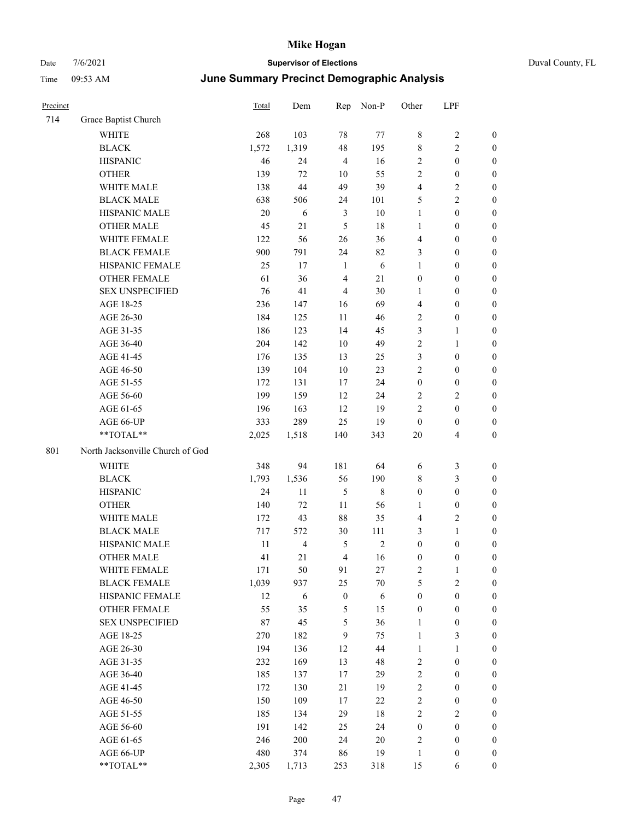| Precinct |                                  | <b>Total</b> | Dem            | Rep              | Non-P      | Other            | LPF              |                  |
|----------|----------------------------------|--------------|----------------|------------------|------------|------------------|------------------|------------------|
| 714      | Grace Baptist Church             |              |                |                  |            |                  |                  |                  |
|          | WHITE                            | 268          | 103            | $78\,$           | 77         | $\,$ 8 $\,$      | $\sqrt{2}$       | $\boldsymbol{0}$ |
|          | <b>BLACK</b>                     | 1,572        | 1,319          | 48               | 195        | $\,8\,$          | 2                | $\boldsymbol{0}$ |
|          | <b>HISPANIC</b>                  | 46           | 24             | $\overline{4}$   | 16         | $\overline{2}$   | $\boldsymbol{0}$ | $\boldsymbol{0}$ |
|          | <b>OTHER</b>                     | 139          | $72\,$         | 10               | 55         | $\overline{2}$   | $\boldsymbol{0}$ | $\boldsymbol{0}$ |
|          | WHITE MALE                       | 138          | 44             | 49               | 39         | $\overline{4}$   | 2                | $\boldsymbol{0}$ |
|          | <b>BLACK MALE</b>                | 638          | 506            | 24               | 101        | 5                | $\overline{c}$   | $\boldsymbol{0}$ |
|          | HISPANIC MALE                    | 20           | 6              | $\mathfrak{Z}$   | $10\,$     | $\mathbf{1}$     | $\boldsymbol{0}$ | $\boldsymbol{0}$ |
|          | <b>OTHER MALE</b>                | 45           | 21             | 5                | 18         | $\mathbf{1}$     | $\boldsymbol{0}$ | $\boldsymbol{0}$ |
|          | WHITE FEMALE                     | 122          | 56             | $26\,$           | 36         | $\overline{4}$   | $\theta$         | $\boldsymbol{0}$ |
|          | <b>BLACK FEMALE</b>              | 900          | 791            | 24               | 82         | 3                | $\boldsymbol{0}$ | $\boldsymbol{0}$ |
|          | HISPANIC FEMALE                  | 25           | $17\,$         | 1                | $\sqrt{6}$ | $\mathbf{1}$     | $\boldsymbol{0}$ | $\boldsymbol{0}$ |
|          | <b>OTHER FEMALE</b>              | 61           | 36             | $\overline{4}$   | 21         | $\boldsymbol{0}$ | $\boldsymbol{0}$ | $\boldsymbol{0}$ |
|          | <b>SEX UNSPECIFIED</b>           | 76           | 41             | $\overline{4}$   | 30         | 1                | $\boldsymbol{0}$ | $\boldsymbol{0}$ |
|          | AGE 18-25                        | 236          | 147            | 16               | 69         | $\overline{4}$   | $\boldsymbol{0}$ | $\boldsymbol{0}$ |
|          | AGE 26-30                        | 184          | 125            | 11               | 46         | $\overline{2}$   | $\boldsymbol{0}$ | $\boldsymbol{0}$ |
|          | AGE 31-35                        | 186          | 123            | 14               | 45         | 3                | 1                | $\boldsymbol{0}$ |
|          | AGE 36-40                        | 204          | 142            | 10               | 49         | $\sqrt{2}$       | 1                | $\boldsymbol{0}$ |
|          | AGE 41-45                        | 176          | 135            | 13               | 25         | $\mathfrak{Z}$   | $\boldsymbol{0}$ | $\boldsymbol{0}$ |
|          | AGE 46-50                        | 139          | 104            | 10               | 23         | $\sqrt{2}$       | $\boldsymbol{0}$ | $\boldsymbol{0}$ |
|          | AGE 51-55                        | 172          | 131            | 17               | 24         | $\boldsymbol{0}$ | $\boldsymbol{0}$ | $\boldsymbol{0}$ |
|          | AGE 56-60                        | 199          | 159            | 12               | 24         | $\sqrt{2}$       | 2                | $\boldsymbol{0}$ |
|          | AGE 61-65                        | 196          | 163            | 12               | 19         | $\overline{2}$   | $\boldsymbol{0}$ | $\boldsymbol{0}$ |
|          | AGE 66-UP                        | 333          | 289            | 25               | 19         | $\boldsymbol{0}$ | $\boldsymbol{0}$ | $\boldsymbol{0}$ |
|          | **TOTAL**                        | 2,025        | 1,518          | 140              | 343        | 20               | 4                | $\boldsymbol{0}$ |
| 801      | North Jacksonville Church of God |              |                |                  |            |                  |                  |                  |
|          | <b>WHITE</b>                     | 348          | 94             | 181              | 64         | 6                | 3                | $\boldsymbol{0}$ |
|          | <b>BLACK</b>                     | 1,793        | 1,536          | 56               | 190        | 8                | 3                | $\boldsymbol{0}$ |
|          | <b>HISPANIC</b>                  | 24           | 11             | $\mathfrak{H}$   | $\,8\,$    | $\boldsymbol{0}$ | $\boldsymbol{0}$ | $\boldsymbol{0}$ |
|          | <b>OTHER</b>                     | 140          | 72             | 11               | 56         | 1                | $\boldsymbol{0}$ | $\boldsymbol{0}$ |
|          | WHITE MALE                       | 172          | 43             | 88               | 35         | $\overline{4}$   | 2                | $\boldsymbol{0}$ |
|          | <b>BLACK MALE</b>                | 717          | 572            | 30               | 111        | $\mathfrak{Z}$   | 1                | $\boldsymbol{0}$ |
|          | HISPANIC MALE                    | $11\,$       | $\overline{4}$ | 5                | 2          | $\boldsymbol{0}$ | $\boldsymbol{0}$ | $\boldsymbol{0}$ |
|          | <b>OTHER MALE</b>                | 41           | 21             | 4                | 16         | $\boldsymbol{0}$ | $\boldsymbol{0}$ | $\boldsymbol{0}$ |
|          | WHITE FEMALE                     | 171          | 50             | 91               | 27         | $\sqrt{2}$       | $\mathbf{1}$     | $\boldsymbol{0}$ |
|          | <b>BLACK FEMALE</b>              | 1,039        | 937            | 25               | 70         | 5                | $\mathbf{2}$     | $\boldsymbol{0}$ |
|          | HISPANIC FEMALE                  | 12           | 6              | $\boldsymbol{0}$ | 6          | $\boldsymbol{0}$ | $\boldsymbol{0}$ | $\boldsymbol{0}$ |
|          | OTHER FEMALE                     | 55           | 35             | 5                | 15         | $\boldsymbol{0}$ | $\boldsymbol{0}$ | $\boldsymbol{0}$ |
|          | <b>SEX UNSPECIFIED</b>           | $87\,$       | 45             | 5                | 36         | $\mathbf{1}$     | $\boldsymbol{0}$ | $\boldsymbol{0}$ |
|          | AGE 18-25                        | 270          | 182            | 9                | 75         | $\mathbf{1}$     | 3                | $\boldsymbol{0}$ |
|          | AGE 26-30                        | 194          | 136            | 12               | 44         | $\mathbf{1}$     | $\mathbf{1}$     | $\boldsymbol{0}$ |
|          | AGE 31-35                        | 232          | 169            | 13               | 48         | $\sqrt{2}$       | $\boldsymbol{0}$ | $\boldsymbol{0}$ |
|          | AGE 36-40                        | 185          | 137            | 17               | 29         | $\sqrt{2}$       | $\boldsymbol{0}$ | $\boldsymbol{0}$ |
|          | AGE 41-45                        | 172          | 130            | 21               | 19         | $\sqrt{2}$       | $\boldsymbol{0}$ | $\boldsymbol{0}$ |
|          | AGE 46-50                        | 150          | 109            | 17               | 22         | $\sqrt{2}$       | $\boldsymbol{0}$ | $\boldsymbol{0}$ |
|          | AGE 51-55                        | 185          | 134            | 29               | 18         | $\sqrt{2}$       | 2                | $\boldsymbol{0}$ |
|          | AGE 56-60                        | 191          | 142            | 25               | 24         | $\boldsymbol{0}$ | $\boldsymbol{0}$ | $\boldsymbol{0}$ |
|          | AGE 61-65                        | 246          | 200            | 24               | $20\,$     | $\sqrt{2}$       | $\boldsymbol{0}$ | $\boldsymbol{0}$ |
|          | AGE 66-UP                        | 480          | 374            | 86               | 19         | $\mathbf{1}$     | $\boldsymbol{0}$ | $\boldsymbol{0}$ |
|          | **TOTAL**                        | 2,305        | 1,713          | 253              | 318        | 15               | 6                | $\mathbf{0}$     |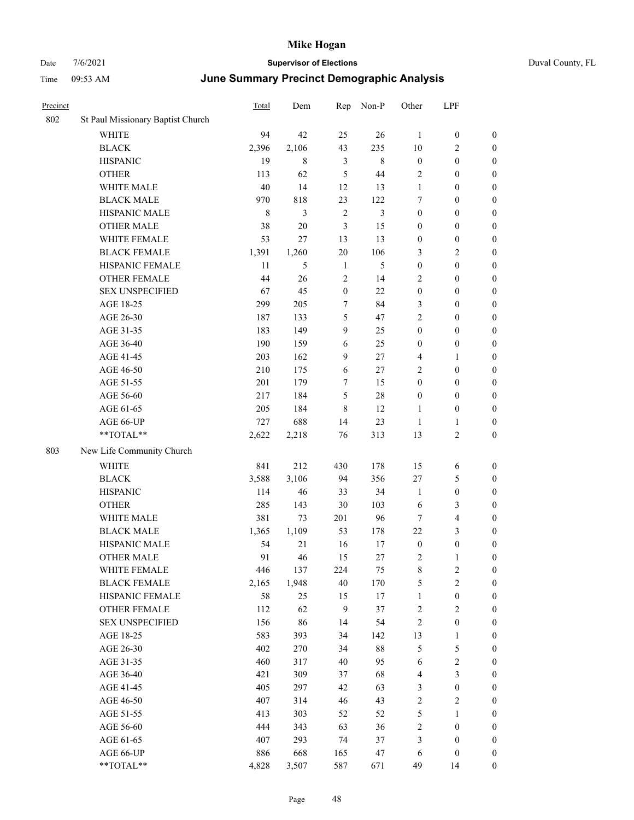| Duval County, FL |  |
|------------------|--|
|------------------|--|

| Precinct |                                                             | Total       | Dem    | Rep              | Non-P          | Other            | LPF                     |                  |
|----------|-------------------------------------------------------------|-------------|--------|------------------|----------------|------------------|-------------------------|------------------|
| 802      | St Paul Missionary Baptist Church                           |             |        |                  |                |                  |                         |                  |
|          | <b>WHITE</b>                                                | 94          | 42     | 25               | 26             | $\mathbf{1}$     | $\boldsymbol{0}$        | $\boldsymbol{0}$ |
|          | <b>BLACK</b>                                                | 2,396       | 2,106  | 43               | 235            | 10               | $\mathbf{2}$            | $\boldsymbol{0}$ |
|          | <b>HISPANIC</b>                                             | 19          | 8      | $\mathfrak{Z}$   | $\,$ 8 $\,$    | $\boldsymbol{0}$ | $\boldsymbol{0}$        | $\boldsymbol{0}$ |
|          | <b>OTHER</b>                                                | 113         | 62     | 5                | 44             | 2                | $\boldsymbol{0}$        | $\boldsymbol{0}$ |
|          | WHITE MALE                                                  | 40          | 14     | 12               | 13             | $\mathbf{1}$     | $\boldsymbol{0}$        | $\boldsymbol{0}$ |
|          | <b>BLACK MALE</b>                                           | 970         | 818    | 23               | 122            | 7                | $\boldsymbol{0}$        | $\boldsymbol{0}$ |
|          | HISPANIC MALE                                               | $\,$ 8 $\,$ | 3      | $\sqrt{2}$       | $\mathfrak{Z}$ | $\boldsymbol{0}$ | $\boldsymbol{0}$        | $\boldsymbol{0}$ |
|          | <b>OTHER MALE</b>                                           | 38          | $20\,$ | $\mathfrak{Z}$   | 15             | $\boldsymbol{0}$ | $\boldsymbol{0}$        | $\boldsymbol{0}$ |
|          | WHITE FEMALE                                                | 53          | 27     | 13               | 13             | $\boldsymbol{0}$ | $\boldsymbol{0}$        | $\boldsymbol{0}$ |
|          | <b>BLACK FEMALE</b>                                         | 1,391       | 1,260  | 20               | 106            | 3                | $\sqrt{2}$              | 0                |
|          | HISPANIC FEMALE                                             | 11          | 5      | 1                | 5              | $\boldsymbol{0}$ | $\boldsymbol{0}$        | $\boldsymbol{0}$ |
|          | OTHER FEMALE                                                | 44          | 26     | $\overline{2}$   | 14             | 2                | $\boldsymbol{0}$        | $\boldsymbol{0}$ |
|          | <b>SEX UNSPECIFIED</b>                                      | 67          | 45     | $\boldsymbol{0}$ | 22             | $\boldsymbol{0}$ | $\boldsymbol{0}$        | $\boldsymbol{0}$ |
|          | AGE 18-25                                                   | 299         | 205    | 7                | 84             | 3                | $\boldsymbol{0}$        | $\boldsymbol{0}$ |
|          | AGE 26-30                                                   | 187         | 133    | 5                | 47             | $\overline{c}$   | $\boldsymbol{0}$        | $\boldsymbol{0}$ |
|          | AGE 31-35                                                   | 183         | 149    | 9                | 25             | $\boldsymbol{0}$ | $\boldsymbol{0}$        | $\boldsymbol{0}$ |
|          | AGE 36-40                                                   | 190         | 159    | 6                | 25             | $\boldsymbol{0}$ | $\boldsymbol{0}$        | $\boldsymbol{0}$ |
|          | AGE 41-45                                                   | 203         | 162    | 9                | 27             | 4                | 1                       | $\boldsymbol{0}$ |
|          | AGE 46-50                                                   | 210         | 175    | 6                | $27\,$         | $\overline{c}$   | $\boldsymbol{0}$        | $\boldsymbol{0}$ |
|          | AGE 51-55                                                   | 201         | 179    | 7                | 15             | $\boldsymbol{0}$ | $\boldsymbol{0}$        | 0                |
|          | AGE 56-60                                                   | 217         | 184    | $\mathfrak{S}$   | $28\,$         | $\boldsymbol{0}$ | $\boldsymbol{0}$        | $\boldsymbol{0}$ |
|          | AGE 61-65                                                   | 205         | 184    | $\,8\,$          | 12             | 1                | $\boldsymbol{0}$        | $\boldsymbol{0}$ |
|          | AGE 66-UP                                                   | 727         | 688    | 14               | 23             | $\mathbf{1}$     | $\mathbf{1}$            | $\boldsymbol{0}$ |
|          | $**TOTAL**$                                                 | 2,622       | 2,218  | 76               | 313            | 13               | $\mathbf{2}$            | $\boldsymbol{0}$ |
| 803      | New Life Community Church                                   |             |        |                  |                |                  |                         |                  |
|          | <b>WHITE</b>                                                | 841         | 212    | 430              | 178            | 15               | 6                       | $\boldsymbol{0}$ |
|          | <b>BLACK</b>                                                | 3,588       | 3,106  | 94               | 356            | $27\,$           | 5                       | $\boldsymbol{0}$ |
|          | <b>HISPANIC</b>                                             | 114         | 46     | 33               | 34             | $\mathbf{1}$     | $\boldsymbol{0}$        | $\boldsymbol{0}$ |
|          | <b>OTHER</b>                                                | 285         | 143    | 30               | 103            | 6                | 3                       | $\boldsymbol{0}$ |
|          | WHITE MALE                                                  | 381         | 73     | 201              | 96             | 7                | $\overline{\mathbf{4}}$ | $\boldsymbol{0}$ |
|          | <b>BLACK MALE</b>                                           | 1,365       | 1,109  | 53               | 178            | $22\,$           | $\mathfrak{Z}$          | $\boldsymbol{0}$ |
|          | HISPANIC MALE                                               | 54          | 21     | 16               | 17             | $\boldsymbol{0}$ | $\boldsymbol{0}$        | 0                |
|          | <b>OTHER MALE</b>                                           | 91          | 46     | 15               | 27             | 2                | 1                       | $\boldsymbol{0}$ |
|          | WHITE FEMALE                                                | 446         | 137    | 224              | 75             | 8                | $\overline{c}$          | $\boldsymbol{0}$ |
|          | <b>BLACK FEMALE</b>                                         | 2,165       | 1,948  | $40\,$           | 170            | 5                | $\sqrt{2}$              | $\boldsymbol{0}$ |
|          | HISPANIC FEMALE                                             | 58          | 25     | 15               | 17             | $\mathbf{1}$     | $\boldsymbol{0}$        | $\overline{0}$   |
|          | <b>OTHER FEMALE</b>                                         | 112         | 62     | $\overline{9}$   | 37             | 2                | $\sqrt{2}$              | 0                |
|          | <b>SEX UNSPECIFIED</b>                                      | 156         | 86     | 14               | 54             | $\overline{c}$   | $\boldsymbol{0}$        | 0                |
|          | AGE 18-25                                                   | 583         | 393    | 34               | 142            | 13               | $\mathbf{1}$            | 0                |
|          | AGE 26-30                                                   | 402         | 270    | 34               | $88\,$         | 5                | $\mathfrak s$           | 0                |
|          | AGE 31-35                                                   | 460         | 317    | 40               | 95             | 6                | $\boldsymbol{2}$        | 0                |
|          | AGE 36-40                                                   | 421         | 309    | 37               | 68             | $\overline{4}$   | $\mathfrak{Z}$          | 0                |
|          | AGE 41-45                                                   | 405         | 297    | 42               | 63             | 3                | $\boldsymbol{0}$        | 0                |
|          | AGE 46-50                                                   | 407         | 314    | 46               | 43             | $\sqrt{2}$       | $\sqrt{2}$              | $\boldsymbol{0}$ |
|          | AGE 51-55                                                   | 413         | 303    | 52               | 52             | 5                | $\mathbf{1}$            | $\boldsymbol{0}$ |
|          | AGE 56-60                                                   | 444         | 343    | 63               | 36             | $\boldsymbol{2}$ | $\boldsymbol{0}$        | $\overline{0}$   |
|          | AGE 61-65                                                   | 407         | 293    | 74               | 37             | 3                | $\boldsymbol{0}$        | 0                |
|          | AGE 66-UP                                                   | 886         | 668    | 165              | 47             | 6                | $\boldsymbol{0}$        | $\boldsymbol{0}$ |
|          | $\mathrm{*}\mathrm{*} \mathrm{TOTAL} \mathrm{*} \mathrm{*}$ | 4,828       | 3,507  | 587              | 671            | 49               | 14                      | $\boldsymbol{0}$ |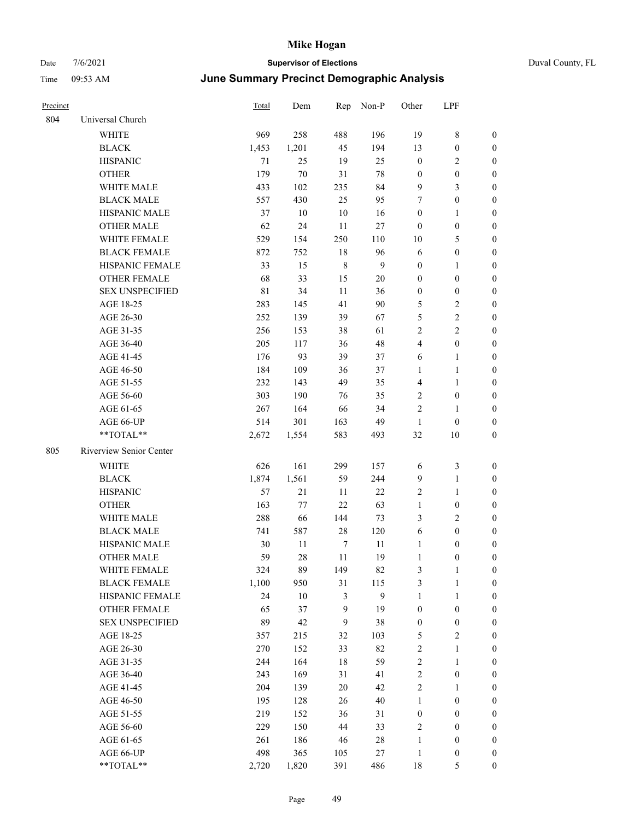| Precinct |                         | Total       | Dem    | Rep            | Non-P        | Other            | LPF              |                  |
|----------|-------------------------|-------------|--------|----------------|--------------|------------------|------------------|------------------|
| 804      | Universal Church        |             |        |                |              |                  |                  |                  |
|          | <b>WHITE</b>            | 969         | 258    | 488            | 196          | 19               | $\,$ 8 $\,$      | $\boldsymbol{0}$ |
|          | <b>BLACK</b>            | 1,453       | 1,201  | 45             | 194          | 13               | $\boldsymbol{0}$ | $\boldsymbol{0}$ |
|          | <b>HISPANIC</b>         | 71          | 25     | 19             | 25           | $\boldsymbol{0}$ | $\sqrt{2}$       | $\boldsymbol{0}$ |
|          | <b>OTHER</b>            | 179         | $70\,$ | 31             | $78\,$       | $\boldsymbol{0}$ | $\boldsymbol{0}$ | $\boldsymbol{0}$ |
|          | WHITE MALE              | 433         | 102    | 235            | 84           | $\overline{9}$   | $\mathfrak{Z}$   | $\boldsymbol{0}$ |
|          | <b>BLACK MALE</b>       | 557         | 430    | 25             | 95           | 7                | $\boldsymbol{0}$ | 0                |
|          | HISPANIC MALE           | 37          | 10     | $10\,$         | 16           | $\boldsymbol{0}$ | $\mathbf{1}$     | 0                |
|          | <b>OTHER MALE</b>       | 62          | 24     | 11             | $27\,$       | $\boldsymbol{0}$ | $\boldsymbol{0}$ | 0                |
|          | WHITE FEMALE            | 529         | 154    | 250            | 110          | 10               | 5                | 0                |
|          | <b>BLACK FEMALE</b>     | 872         | 752    | 18             | 96           | 6                | $\boldsymbol{0}$ | $\boldsymbol{0}$ |
|          | HISPANIC FEMALE         | 33          | 15     | $\,$ 8 $\,$    | 9            | $\boldsymbol{0}$ | $\mathbf{1}$     | $\boldsymbol{0}$ |
|          | OTHER FEMALE            | 68          | 33     | 15             | $20\,$       | $\boldsymbol{0}$ | $\boldsymbol{0}$ | $\boldsymbol{0}$ |
|          | <b>SEX UNSPECIFIED</b>  | $8\sqrt{1}$ | 34     | 11             | 36           | $\boldsymbol{0}$ | $\boldsymbol{0}$ | $\boldsymbol{0}$ |
|          | AGE 18-25               | 283         | 145    | 41             | 90           | 5                | $\sqrt{2}$       | $\overline{0}$   |
|          | AGE 26-30               | 252         | 139    | 39             | 67           | 5                | $\sqrt{2}$       | $\boldsymbol{0}$ |
|          | AGE 31-35               | 256         | 153    | 38             | 61           | $\sqrt{2}$       | $\sqrt{2}$       | $\boldsymbol{0}$ |
|          | AGE 36-40               | 205         | 117    | 36             | 48           | $\overline{4}$   | $\boldsymbol{0}$ | 0                |
|          | AGE 41-45               | 176         | 93     | 39             | 37           | 6                | $\mathbf{1}$     | 0                |
|          | AGE 46-50               | 184         | 109    | 36             | 37           | 1                | $\mathbf{1}$     | 0                |
|          | AGE 51-55               | 232         | 143    | 49             | 35           | $\overline{4}$   | $\mathbf{1}$     | $\boldsymbol{0}$ |
|          | AGE 56-60               | 303         | 190    | 76             | 35           | $\overline{c}$   | $\boldsymbol{0}$ | $\boldsymbol{0}$ |
|          | AGE 61-65               | 267         | 164    | 66             | 34           | $\overline{c}$   | $\mathbf{1}$     | $\boldsymbol{0}$ |
|          | AGE 66-UP               | 514         | 301    | 163            | 49           | $\mathbf{1}$     | $\boldsymbol{0}$ | $\boldsymbol{0}$ |
|          | **TOTAL**               | 2,672       | 1,554  | 583            | 493          | 32               | $10\,$           | $\boldsymbol{0}$ |
| 805      | Riverview Senior Center |             |        |                |              |                  |                  |                  |
|          | WHITE                   | 626         | 161    | 299            | 157          | 6                | $\mathfrak{Z}$   | $\boldsymbol{0}$ |
|          | <b>BLACK</b>            | 1,874       | 1,561  | 59             | 244          | $\overline{9}$   | $\mathbf{1}$     | $\boldsymbol{0}$ |
|          | <b>HISPANIC</b>         | 57          | 21     | 11             | 22           | $\overline{c}$   | $\mathbf{1}$     | $\boldsymbol{0}$ |
|          | <b>OTHER</b>            | 163         | 77     | 22             | 63           | $\mathbf{1}$     | $\boldsymbol{0}$ | 0                |
|          | WHITE MALE              | 288         | 66     | 144            | 73           | 3                | $\overline{2}$   | 0                |
|          | <b>BLACK MALE</b>       | 741         | 587    | $28\,$         | 120          | 6                | $\boldsymbol{0}$ | 0                |
|          | HISPANIC MALE           | 30          | 11     | $\tau$         | 11           | 1                | $\boldsymbol{0}$ | $\boldsymbol{0}$ |
|          | <b>OTHER MALE</b>       | 59          | 28     | 11             | 19           | $\mathbf{1}$     | $\boldsymbol{0}$ | $\boldsymbol{0}$ |
|          | WHITE FEMALE            | 324         | 89     | 149            | 82           | 3                | $\mathbf{1}$     | $\boldsymbol{0}$ |
|          | <b>BLACK FEMALE</b>     | 1,100       | 950    | 31             | 115          | 3                | $\mathbf{1}$     | $\overline{0}$   |
|          | HISPANIC FEMALE         | 24          | 10     | $\mathfrak{Z}$ | $\mathbf{9}$ | $\mathbf{1}$     | $\mathbf{1}$     | $\overline{0}$   |
|          | <b>OTHER FEMALE</b>     | 65          | 37     | $\overline{9}$ | 19           | $\boldsymbol{0}$ | $\boldsymbol{0}$ | $\overline{0}$   |
|          | <b>SEX UNSPECIFIED</b>  | 89          | 42     | $\overline{9}$ | 38           | $\boldsymbol{0}$ | $\boldsymbol{0}$ | 0                |
|          | AGE 18-25               | 357         | 215    | 32             | 103          | 5                | $\sqrt{2}$       | 0                |
|          | AGE 26-30               | 270         | 152    | 33             | 82           | $\boldsymbol{2}$ | $\mathbf{1}$     | 0                |
|          | AGE 31-35               | 244         | 164    | $18\,$         | 59           | $\sqrt{2}$       | $\mathbf{1}$     | $\overline{0}$   |
|          | AGE 36-40               | 243         | 169    | 31             | 41           | $\sqrt{2}$       | $\boldsymbol{0}$ | $\boldsymbol{0}$ |
|          | AGE 41-45               | 204         | 139    | $20\,$         | 42           | $\sqrt{2}$       | $\mathbf{1}$     | $\boldsymbol{0}$ |
|          | AGE 46-50               | 195         | 128    | 26             | $40\,$       | $\mathbf{1}$     | $\boldsymbol{0}$ | $\boldsymbol{0}$ |
|          | AGE 51-55               | 219         | 152    | 36             | 31           | $\boldsymbol{0}$ | $\boldsymbol{0}$ | $\overline{0}$   |
|          | AGE 56-60               | 229         | 150    | $44\,$         | 33           | $\overline{c}$   | $\boldsymbol{0}$ | $\overline{0}$   |
|          | AGE 61-65               | 261         | 186    | 46             | $28\,$       | $\mathbf{1}$     | $\boldsymbol{0}$ | $\overline{0}$   |
|          | AGE 66-UP               | 498         | 365    | 105            | 27           | $\mathbf{1}$     | $\boldsymbol{0}$ | $\boldsymbol{0}$ |
|          | **TOTAL**               | 2,720       | 1,820  | 391            | 486          | 18               | 5                | $\boldsymbol{0}$ |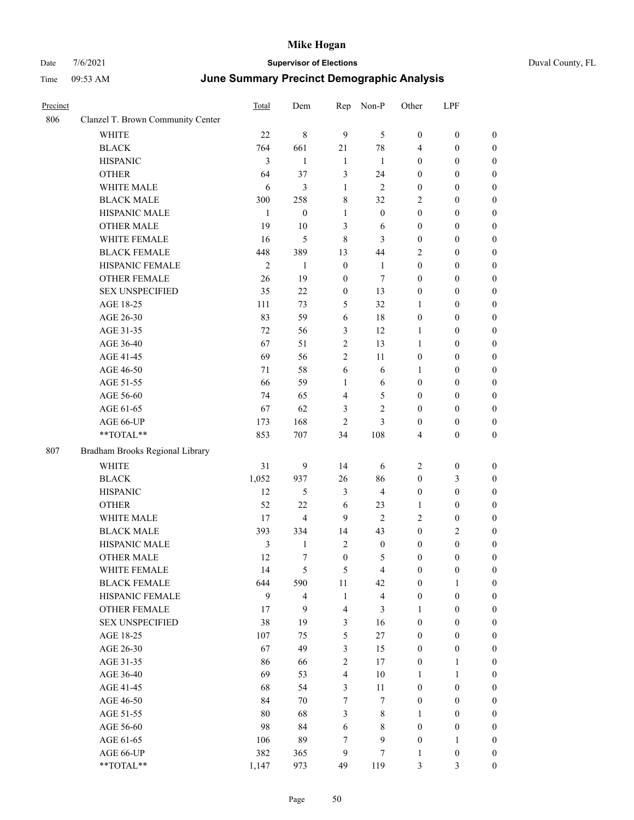## Date  $7/6/2021$  **Supervisor of Elections Duval County, FL** Time 09:53 AM **June Summary Precinct Demographic Analysis**

| Precinct |                                   | Total          | Dem          | Rep              | Non-P            | Other            | LPF              |                  |  |
|----------|-----------------------------------|----------------|--------------|------------------|------------------|------------------|------------------|------------------|--|
| 806      | Clanzel T. Brown Community Center |                |              |                  |                  |                  |                  |                  |  |
|          | <b>WHITE</b>                      | 22             | $\,8\,$      | 9                | 5                | $\boldsymbol{0}$ | $\boldsymbol{0}$ | $\boldsymbol{0}$ |  |
|          | <b>BLACK</b>                      | 764            | 661          | 21               | 78               | 4                | $\mathbf{0}$     | $\overline{0}$   |  |
|          | <b>HISPANIC</b>                   | 3              | $\mathbf{1}$ | $\mathbf{1}$     | 1                | $\boldsymbol{0}$ | $\boldsymbol{0}$ | $\boldsymbol{0}$ |  |
|          | <b>OTHER</b>                      | 64             | 37           | 3                | 24               | $\mathbf{0}$     | $\theta$         | $\boldsymbol{0}$ |  |
|          | WHITE MALE                        | 6              | 3            | 1                | $\overline{2}$   | $\boldsymbol{0}$ | $\theta$         | 0                |  |
|          | <b>BLACK MALE</b>                 | 300            | 258          | 8                | 32               | 2                | $\boldsymbol{0}$ | 0                |  |
|          | HISPANIC MALE                     | 1              | $\mathbf{0}$ | 1                | $\boldsymbol{0}$ | $\boldsymbol{0}$ | $\boldsymbol{0}$ | $\boldsymbol{0}$ |  |
|          | <b>OTHER MALE</b>                 | 19             | 10           | 3                | 6                | $\mathbf{0}$     | $\theta$         | $\theta$         |  |
|          | WHITE FEMALE                      | 16             | 5            | 8                | 3                | $\mathbf{0}$     | $\theta$         | 0                |  |
|          | <b>BLACK FEMALE</b>               | 448            | 389          | 13               | 44               | 2                | $\boldsymbol{0}$ | 0                |  |
|          | HISPANIC FEMALE                   | $\overline{c}$ | $\mathbf{1}$ | $\boldsymbol{0}$ | $\mathbf{1}$     | $\boldsymbol{0}$ | $\boldsymbol{0}$ | $\boldsymbol{0}$ |  |
|          | <b>OTHER FEMALE</b>               | 26             | 19           | $\theta$         | 7                | $\boldsymbol{0}$ | 0                | $\boldsymbol{0}$ |  |
|          | <b>SEX UNSPECIFIED</b>            | 35             | 22           | $\mathbf{0}$     | 13               | $\mathbf{0}$     | $\theta$         | $\boldsymbol{0}$ |  |
|          | AGE 18-25                         | 111            | 73           | 5                | 32               | 1                | $\boldsymbol{0}$ | 0                |  |
|          | AGE 26-30                         | 83             | 59           | 6                | 18               | $\boldsymbol{0}$ | $\boldsymbol{0}$ | 0                |  |
|          | AGE 31-35                         | 72             | 56           | 3                | 12               | 1                | $\boldsymbol{0}$ | $\boldsymbol{0}$ |  |
|          | AGE 36-40                         | 67             | 51           | 2                | 13               | 1                | $\boldsymbol{0}$ | 0                |  |
|          | AGE 41-45                         | 69             | 56           | $\overline{2}$   | 11               | $\boldsymbol{0}$ | $\theta$         | 0                |  |
|          | AGE 46-50                         | 71             | 58           | 6                | 6                | $\mathbf{1}$     | $\mathbf{0}$     | $\boldsymbol{0}$ |  |
|          | AGE 51-55                         | 66             | 59           | 1                | 6                | $\boldsymbol{0}$ | $\boldsymbol{0}$ | $\boldsymbol{0}$ |  |
|          | AGE 56-60                         | 74             | 65           | $\overline{4}$   | 5                | $\mathbf{0}$     | $\theta$         | 0                |  |
|          | AGE 61-65                         | 67             | 62           | 3                | $\overline{c}$   | $\mathbf{0}$     | $\theta$         | 0                |  |
|          | AGE 66-UP                         | 173            | 168          | $\overline{c}$   | 3                | $\boldsymbol{0}$ | $\boldsymbol{0}$ | $\boldsymbol{0}$ |  |
|          | **TOTAL**                         | 853            | 707          | 34               | 108              | 4                | $\mathbf{0}$     | $\boldsymbol{0}$ |  |
| 807      | Bradham Brooks Regional Library   |                |              |                  |                  |                  |                  |                  |  |
|          | <b>WHITE</b>                      | 31             | 9            | 14               | 6                | 2                | $\boldsymbol{0}$ | $\boldsymbol{0}$ |  |
|          | <b>BLACK</b>                      | 1,052          | 937          | 26               | 86               | $\boldsymbol{0}$ | 3                | $\boldsymbol{0}$ |  |
|          | <b>HISPANIC</b>                   | 12             | 5            | 3                | $\overline{4}$   | $\boldsymbol{0}$ | $\boldsymbol{0}$ | $\boldsymbol{0}$ |  |
|          | <b>OTHER</b>                      | 52             | 22           | 6                | 23               | 1                | $\boldsymbol{0}$ | 0                |  |
|          | <b>WHITE MALE</b>                 | 17             | 4            | 9                | $\overline{2}$   | $\overline{2}$   | $\mathbf{0}$     | 0                |  |

|     | <b>OTHER MALE</b>               | 19             | 10             | 3                       | 6                       | $\boldsymbol{0}$         | $\boldsymbol{0}$ | $\boldsymbol{0}$ |
|-----|---------------------------------|----------------|----------------|-------------------------|-------------------------|--------------------------|------------------|------------------|
|     | WHITE FEMALE                    | 16             | 5              | $\,$ $\,$               | 3                       | $\mathbf{0}$             | $\boldsymbol{0}$ | $\boldsymbol{0}$ |
|     | <b>BLACK FEMALE</b>             | 448            | 389            | 13                      | 44                      | $\mathfrak{2}$           | $\boldsymbol{0}$ | $\boldsymbol{0}$ |
|     | HISPANIC FEMALE                 | $\overline{c}$ | $\mathbf{1}$   | $\mathbf{0}$            | $\mathbf{1}$            | $\boldsymbol{0}$         | $\boldsymbol{0}$ | $\boldsymbol{0}$ |
|     | <b>OTHER FEMALE</b>             | 26             | 19             | $\boldsymbol{0}$        | $\tau$                  | $\boldsymbol{0}$         | $\boldsymbol{0}$ | $\boldsymbol{0}$ |
|     | <b>SEX UNSPECIFIED</b>          | 35             | 22             | $\boldsymbol{0}$        | 13                      | $\boldsymbol{0}$         | $\boldsymbol{0}$ | $\boldsymbol{0}$ |
|     | AGE 18-25                       | 111            | 73             | 5                       | 32                      | $\mathbf{1}$             | $\mathbf{0}$     | $\boldsymbol{0}$ |
|     | AGE 26-30                       | 83             | 59             | 6                       | 18                      | $\boldsymbol{0}$         | $\boldsymbol{0}$ | $\boldsymbol{0}$ |
|     | AGE 31-35                       | 72             | 56             | $\overline{\mathbf{3}}$ | 12                      | $\mathbf{1}$             | $\boldsymbol{0}$ | $\boldsymbol{0}$ |
|     | AGE 36-40                       | 67             | 51             | $\overline{2}$          | 13                      | $\mathbf{1}$             | $\boldsymbol{0}$ | $\boldsymbol{0}$ |
|     | AGE 41-45                       | 69             | 56             | $\overline{2}$          | 11                      | $\boldsymbol{0}$         | $\boldsymbol{0}$ | $\boldsymbol{0}$ |
|     | AGE 46-50                       | 71             | 58             | 6                       | 6                       | $\mathbf{1}$             | $\boldsymbol{0}$ | $\boldsymbol{0}$ |
|     | AGE 51-55                       | 66             | 59             | $\mathbf{1}$            | 6                       | $\boldsymbol{0}$         | $\boldsymbol{0}$ | $\boldsymbol{0}$ |
|     | AGE 56-60                       | 74             | 65             | $\overline{4}$          | 5                       | $\boldsymbol{0}$         | $\boldsymbol{0}$ | $\boldsymbol{0}$ |
|     | AGE 61-65                       | 67             | 62             | 3                       | $\overline{2}$          | $\mathbf{0}$             | $\mathbf{0}$     | $\boldsymbol{0}$ |
|     | AGE 66-UP                       | 173            | 168            | $\overline{2}$          | $\overline{\mathbf{3}}$ | $\boldsymbol{0}$         | $\boldsymbol{0}$ | $\boldsymbol{0}$ |
|     | **TOTAL**                       | 853            | 707            | 34                      | 108                     | $\overline{\mathcal{L}}$ | $\boldsymbol{0}$ | $\boldsymbol{0}$ |
| 807 | Bradham Brooks Regional Library |                |                |                         |                         |                          |                  |                  |
|     | WHITE                           | 31             | $\mathbf{9}$   | 14                      | 6                       | $\overline{c}$           | $\boldsymbol{0}$ | $\boldsymbol{0}$ |
|     | <b>BLACK</b>                    | 1,052          | 937            | 26                      | 86                      | $\boldsymbol{0}$         | 3                | $\boldsymbol{0}$ |
|     | <b>HISPANIC</b>                 | 12             | 5              | $\mathfrak{Z}$          | $\overline{4}$          | $\boldsymbol{0}$         | $\boldsymbol{0}$ | $\boldsymbol{0}$ |
|     | <b>OTHER</b>                    | 52             | 22             | 6                       | 23                      | $\mathbf{1}$             | $\boldsymbol{0}$ | $\boldsymbol{0}$ |
|     | WHITE MALE                      | 17             | 4              | 9                       | $\overline{2}$          | $\overline{2}$           | $\mathbf{0}$     | $\boldsymbol{0}$ |
|     | <b>BLACK MALE</b>               | 393            | 334            | 14                      | 43                      | $\mathbf{0}$             | $\overline{c}$   | $\mathbf{0}$     |
|     | HISPANIC MALE                   | 3              | $\,1$          | $\overline{2}$          | $\boldsymbol{0}$        | $\boldsymbol{0}$         | $\boldsymbol{0}$ | $\boldsymbol{0}$ |
|     | <b>OTHER MALE</b>               | 12             | 7              | $\mathbf{0}$            | 5                       | $\mathbf{0}$             | $\boldsymbol{0}$ | $\boldsymbol{0}$ |
|     | WHITE FEMALE                    | 14             | 5              | 5                       | $\overline{\mathbf{4}}$ | $\boldsymbol{0}$         | $\boldsymbol{0}$ | $\boldsymbol{0}$ |
|     | <b>BLACK FEMALE</b>             | 644            | 590            | 11                      | 42                      | $\boldsymbol{0}$         | $\mathbf{1}$     | $\boldsymbol{0}$ |
|     | HISPANIC FEMALE                 | 9              | $\overline{4}$ | $\mathbf{1}$            | $\overline{4}$          | $\mathbf{0}$             | $\mathbf{0}$     | $\boldsymbol{0}$ |
|     | <b>OTHER FEMALE</b>             | $17\,$         | 9              | $\overline{\mathbf{4}}$ | 3                       | $\,1\,$                  | $\boldsymbol{0}$ | $\boldsymbol{0}$ |
|     | <b>SEX UNSPECIFIED</b>          | 38             | 19             | 3                       | 16                      | $\boldsymbol{0}$         | $\boldsymbol{0}$ | $\boldsymbol{0}$ |
|     | AGE 18-25                       | 107            | 75             | 5                       | 27                      | $\boldsymbol{0}$         | $\boldsymbol{0}$ | $\boldsymbol{0}$ |
|     | AGE 26-30                       | 67             | 49             | 3                       | 15                      | $\boldsymbol{0}$         | $\boldsymbol{0}$ | $\boldsymbol{0}$ |
|     | AGE 31-35                       | 86             | 66             | $\overline{2}$          | 17                      | $\mathbf{0}$             | $\mathbf{1}$     | $\boldsymbol{0}$ |
|     | AGE 36-40                       | 69             | 53             | $\overline{4}$          | 10                      | $\mathbf{1}$             | $\mathbf{1}$     | $\boldsymbol{0}$ |
|     | AGE 41-45                       | 68             | 54             | 3                       | 11                      | $\boldsymbol{0}$         | $\boldsymbol{0}$ | $\boldsymbol{0}$ |
|     | AGE 46-50                       | 84             | 70             | $\boldsymbol{7}$        | $\boldsymbol{7}$        | $\boldsymbol{0}$         | $\boldsymbol{0}$ | $\boldsymbol{0}$ |
|     | AGE 51-55                       | 80             | 68             | 3                       | 8                       | $\mathbf{1}$             | $\boldsymbol{0}$ | $\boldsymbol{0}$ |
|     | AGE 56-60                       | 98             | 84             | 6                       | 8                       | $\boldsymbol{0}$         | $\boldsymbol{0}$ | $\boldsymbol{0}$ |
|     | AGE 61-65                       | 106            | 89             | $\tau$                  | 9                       | $\boldsymbol{0}$         | $\mathbf{1}$     | $\boldsymbol{0}$ |
|     | AGE 66-UP                       | 382            | 365            | 9                       | $\overline{7}$          | 1                        | $\mathbf{0}$     | $\boldsymbol{0}$ |

\*\*TOTAL\*\* 1,147 973 49 119 3 3 0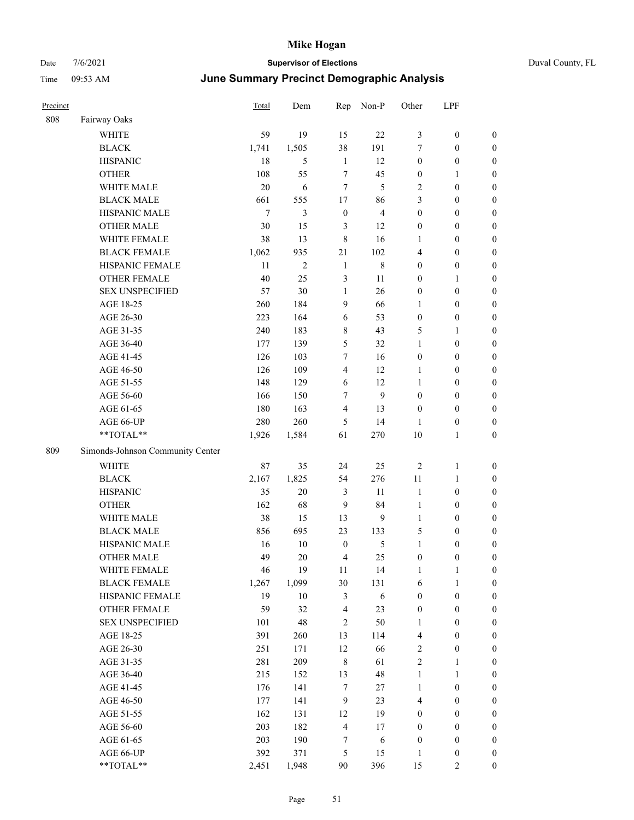| Duval County, FL |  |
|------------------|--|
|------------------|--|

| Precinct |                                  | Total          | Dem            | Rep              | Non-P                   | Other            | LPF              |                  |
|----------|----------------------------------|----------------|----------------|------------------|-------------------------|------------------|------------------|------------------|
| 808      | Fairway Oaks                     |                |                |                  |                         |                  |                  |                  |
|          | WHITE                            | 59             | 19             | 15               | 22                      | 3                | $\boldsymbol{0}$ | $\boldsymbol{0}$ |
|          | <b>BLACK</b>                     | 1,741          | 1,505          | 38               | 191                     | 7                | $\boldsymbol{0}$ | $\boldsymbol{0}$ |
|          | <b>HISPANIC</b>                  | 18             | 5              | $\mathbf{1}$     | 12                      | $\boldsymbol{0}$ | $\boldsymbol{0}$ | 0                |
|          | <b>OTHER</b>                     | 108            | 55             | $\boldsymbol{7}$ | 45                      | $\boldsymbol{0}$ | $\mathbf{1}$     | 0                |
|          | WHITE MALE                       | 20             | 6              | $\tau$           | 5                       | 2                | $\boldsymbol{0}$ | $\boldsymbol{0}$ |
|          | <b>BLACK MALE</b>                | 661            | 555            | $17\,$           | 86                      | 3                | $\boldsymbol{0}$ | $\boldsymbol{0}$ |
|          | HISPANIC MALE                    | $\overline{7}$ | 3              | $\boldsymbol{0}$ | $\overline{\mathbf{4}}$ | $\boldsymbol{0}$ | $\boldsymbol{0}$ | $\boldsymbol{0}$ |
|          | <b>OTHER MALE</b>                | 30             | 15             | 3                | 12                      | $\boldsymbol{0}$ | $\boldsymbol{0}$ | $\boldsymbol{0}$ |
|          | WHITE FEMALE                     | 38             | 13             | $\,8\,$          | 16                      | 1                | $\boldsymbol{0}$ | $\boldsymbol{0}$ |
|          | <b>BLACK FEMALE</b>              | 1,062          | 935            | 21               | 102                     | 4                | $\boldsymbol{0}$ | $\boldsymbol{0}$ |
|          | HISPANIC FEMALE                  | 11             | $\overline{c}$ | $\mathbf{1}$     | $\,8\,$                 | $\boldsymbol{0}$ | $\boldsymbol{0}$ | $\boldsymbol{0}$ |
|          | OTHER FEMALE                     | 40             | 25             | $\mathfrak{Z}$   | 11                      | $\boldsymbol{0}$ | $\mathbf{1}$     | $\boldsymbol{0}$ |
|          | <b>SEX UNSPECIFIED</b>           | 57             | 30             | $\mathbf{1}$     | 26                      | $\boldsymbol{0}$ | $\boldsymbol{0}$ | 0                |
|          | AGE 18-25                        | 260            | 184            | 9                | 66                      | 1                | $\boldsymbol{0}$ | 0                |
|          | AGE 26-30                        | 223            | 164            | 6                | 53                      | $\boldsymbol{0}$ | $\boldsymbol{0}$ | $\boldsymbol{0}$ |
|          | AGE 31-35                        | 240            | 183            | $\,$ 8 $\,$      | 43                      | 5                | $\mathbf{1}$     | $\boldsymbol{0}$ |
|          | AGE 36-40                        | 177            | 139            | $\mathfrak{S}$   | 32                      | $\mathbf{1}$     | $\boldsymbol{0}$ | $\boldsymbol{0}$ |
|          | AGE 41-45                        | 126            | 103            | $\tau$           | 16                      | $\boldsymbol{0}$ | $\boldsymbol{0}$ | $\boldsymbol{0}$ |
|          | AGE 46-50                        | 126            | 109            | $\overline{4}$   | 12                      | $\mathbf{1}$     | $\boldsymbol{0}$ | $\boldsymbol{0}$ |
|          | AGE 51-55                        | 148            | 129            | 6                | 12                      | $\mathbf{1}$     | $\boldsymbol{0}$ | $\boldsymbol{0}$ |
|          | AGE 56-60                        | 166            | 150            | 7                | $\mathbf{9}$            | $\boldsymbol{0}$ | $\boldsymbol{0}$ | $\boldsymbol{0}$ |
|          | AGE 61-65                        | 180            | 163            | $\overline{4}$   | 13                      | $\boldsymbol{0}$ | $\boldsymbol{0}$ | $\boldsymbol{0}$ |
|          | AGE 66-UP                        | 280            | 260            | 5                | 14                      | $\mathbf{1}$     | $\boldsymbol{0}$ | 0                |
|          | **TOTAL**                        | 1,926          | 1,584          | 61               | 270                     | 10               | $\mathbf{1}$     | $\boldsymbol{0}$ |
| 809      | Simonds-Johnson Community Center |                |                |                  |                         |                  |                  |                  |
|          | <b>WHITE</b>                     | 87             | 35             | 24               | 25                      | $\overline{2}$   | $\mathbf{1}$     | 0                |
|          | <b>BLACK</b>                     | 2,167          | 1,825          | 54               | 276                     | $11\,$           | $\mathbf{1}$     | $\boldsymbol{0}$ |
|          | <b>HISPANIC</b>                  | 35             | $20\,$         | 3                | 11                      | $\mathbf{1}$     | $\boldsymbol{0}$ | $\boldsymbol{0}$ |
|          | <b>OTHER</b>                     | 162            | 68             | 9                | 84                      | $\mathbf{1}$     | $\boldsymbol{0}$ | $\boldsymbol{0}$ |
|          | WHITE MALE                       | 38             | 15             | 13               | 9                       | $\mathbf{1}$     | $\boldsymbol{0}$ | $\boldsymbol{0}$ |
|          | <b>BLACK MALE</b>                | 856            | 695            | 23               | 133                     | 5                | $\boldsymbol{0}$ | $\boldsymbol{0}$ |
|          | HISPANIC MALE                    | 16             | $10\,$         | $\boldsymbol{0}$ | 5                       | $\mathbf{1}$     | $\boldsymbol{0}$ | $\boldsymbol{0}$ |
|          | <b>OTHER MALE</b>                | 49             | 20             | $\overline{4}$   | 25                      | $\boldsymbol{0}$ | $\boldsymbol{0}$ | $\boldsymbol{0}$ |
|          | WHITE FEMALE                     | 46             | 19             | $11\,$           | 14                      | $\mathbf{1}$     | $\mathbf{1}$     | 0                |
|          | <b>BLACK FEMALE</b>              | 1,267          | 1,099          | 30               | 131                     | 6                | $\mathbf{1}$     | 0                |
|          | HISPANIC FEMALE                  | 19             | 10             | $\mathfrak{Z}$   | $\sqrt{6}$              | $\boldsymbol{0}$ | $\boldsymbol{0}$ | 0                |
|          | <b>OTHER FEMALE</b>              | 59             | 32             | $\overline{4}$   | 23                      | $\boldsymbol{0}$ | $\boldsymbol{0}$ | 0                |
|          | <b>SEX UNSPECIFIED</b>           | 101            | 48             | $\overline{c}$   | 50                      | $\mathbf{1}$     | $\boldsymbol{0}$ | $\overline{0}$   |
|          | AGE 18-25                        | 391            | 260            | 13               | 114                     | 4                | $\boldsymbol{0}$ | $\boldsymbol{0}$ |
|          | AGE 26-30                        | 251            | 171            | 12               | 66                      | $\overline{c}$   | $\boldsymbol{0}$ | $\overline{0}$   |
|          | AGE 31-35                        | 281            | 209            | $\,8\,$          | 61                      | $\sqrt{2}$       | $\mathbf{1}$     | $\boldsymbol{0}$ |
|          | AGE 36-40                        | 215            | 152            | 13               | 48                      | $\mathbf{1}$     | $\mathbf{1}$     | $\overline{0}$   |
|          | AGE 41-45                        | 176            | 141            | $\tau$           | 27                      | $\mathbf{1}$     | $\boldsymbol{0}$ | $\overline{0}$   |
|          | AGE 46-50                        | 177            | 141            | $\boldsymbol{9}$ | 23                      | 4                | $\boldsymbol{0}$ | $\boldsymbol{0}$ |
|          | AGE 51-55                        | 162            | 131            | 12               | 19                      | $\boldsymbol{0}$ | $\boldsymbol{0}$ | 0                |
|          | AGE 56-60                        | 203            | 182            | $\overline{4}$   | 17                      | $\boldsymbol{0}$ | $\boldsymbol{0}$ | 0                |
|          | AGE 61-65                        | 203            | 190            | 7                | 6                       | $\boldsymbol{0}$ | $\boldsymbol{0}$ | $\boldsymbol{0}$ |
|          | AGE 66-UP                        | 392            | 371            | $\mathfrak{S}$   | 15                      | $\mathbf{1}$     | $\boldsymbol{0}$ | 0                |
|          | $**TOTAL**$                      | 2,451          | 1,948          | $90\,$           | 396                     | 15               | $\overline{c}$   | $\boldsymbol{0}$ |
|          |                                  |                |                |                  |                         |                  |                  |                  |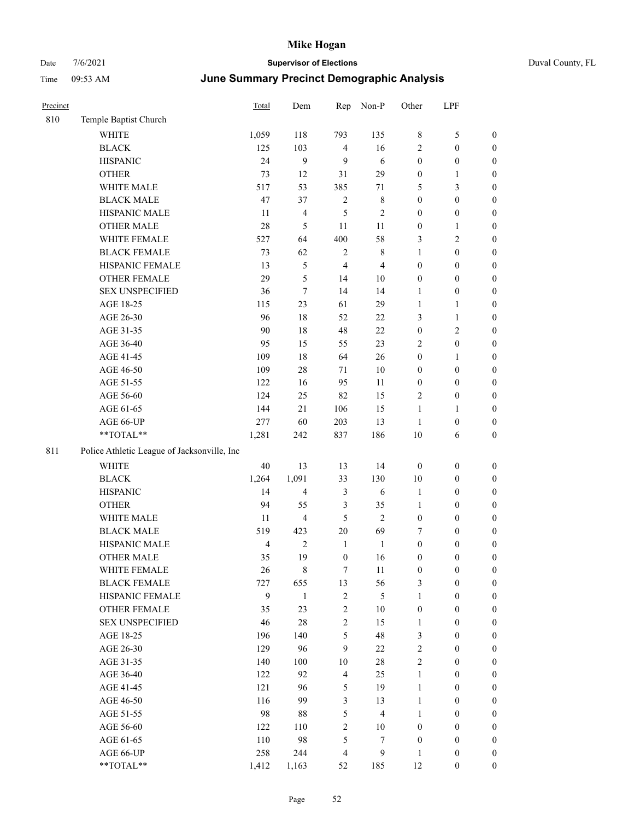| Duval County, FL |  |  |
|------------------|--|--|
|------------------|--|--|

| Precinct |                                             | Total | Dem                     | Rep              | Non-P            | Other            | LPF              |                  |
|----------|---------------------------------------------|-------|-------------------------|------------------|------------------|------------------|------------------|------------------|
| 810      | Temple Baptist Church                       |       |                         |                  |                  |                  |                  |                  |
|          | <b>WHITE</b>                                | 1,059 | 118                     | 793              | 135              | $\,$ 8 $\,$      | 5                | $\boldsymbol{0}$ |
|          | <b>BLACK</b>                                | 125   | 103                     | $\overline{4}$   | 16               | $\mathfrak{2}$   | $\boldsymbol{0}$ | $\boldsymbol{0}$ |
|          | <b>HISPANIC</b>                             | 24    | $\mathbf{9}$            | $\mathbf{9}$     | 6                | $\boldsymbol{0}$ | $\boldsymbol{0}$ | $\boldsymbol{0}$ |
|          | <b>OTHER</b>                                | 73    | 12                      | 31               | 29               | $\boldsymbol{0}$ | $\mathbf{1}$     | $\boldsymbol{0}$ |
|          | WHITE MALE                                  | 517   | 53                      | 385              | $71\,$           | 5                | 3                | $\boldsymbol{0}$ |
|          | <b>BLACK MALE</b>                           | 47    | 37                      | $\sqrt{2}$       | $\,$ 8 $\,$      | $\boldsymbol{0}$ | $\boldsymbol{0}$ | $\boldsymbol{0}$ |
|          | HISPANIC MALE                               | 11    | $\overline{\mathbf{4}}$ | $\mathfrak{S}$   | $\overline{2}$   | $\boldsymbol{0}$ | $\boldsymbol{0}$ | $\boldsymbol{0}$ |
|          | <b>OTHER MALE</b>                           | 28    | $\mathfrak s$           | $11\,$           | 11               | $\boldsymbol{0}$ | $\mathbf{1}$     | $\boldsymbol{0}$ |
|          | WHITE FEMALE                                | 527   | 64                      | 400              | 58               | 3                | $\mathbf{2}$     | $\boldsymbol{0}$ |
|          | <b>BLACK FEMALE</b>                         | 73    | 62                      | $\sqrt{2}$       | $\,8\,$          | $\mathbf{1}$     | $\boldsymbol{0}$ | $\boldsymbol{0}$ |
|          | HISPANIC FEMALE                             | 13    | $\mathfrak s$           | $\overline{4}$   | $\overline{4}$   | $\boldsymbol{0}$ | $\boldsymbol{0}$ | $\boldsymbol{0}$ |
|          | OTHER FEMALE                                | 29    | 5                       | 14               | $10\,$           | $\boldsymbol{0}$ | $\boldsymbol{0}$ | $\boldsymbol{0}$ |
|          | <b>SEX UNSPECIFIED</b>                      | 36    | $\boldsymbol{7}$        | 14               | 14               | $\mathbf{1}$     | $\boldsymbol{0}$ | $\boldsymbol{0}$ |
|          | AGE 18-25                                   | 115   | 23                      | 61               | 29               | $\mathbf{1}$     | $\mathbf{1}$     | $\boldsymbol{0}$ |
|          | AGE 26-30                                   | 96    | 18                      | 52               | 22               | 3                | $\mathbf{1}$     | $\boldsymbol{0}$ |
|          | AGE 31-35                                   | 90    | 18                      | $48\,$           | $22\,$           | $\boldsymbol{0}$ | $\mathbf{2}$     | $\boldsymbol{0}$ |
|          | AGE 36-40                                   | 95    | 15                      | 55               | 23               | $\overline{2}$   | $\boldsymbol{0}$ | $\boldsymbol{0}$ |
|          | AGE 41-45                                   | 109   | 18                      | 64               | 26               | $\boldsymbol{0}$ | $\mathbf{1}$     | $\boldsymbol{0}$ |
|          | AGE 46-50                                   | 109   | $28\,$                  | 71               | $10\,$           | $\boldsymbol{0}$ | $\boldsymbol{0}$ | $\boldsymbol{0}$ |
|          | AGE 51-55                                   | 122   | 16                      | 95               | 11               | $\boldsymbol{0}$ | $\boldsymbol{0}$ | $\boldsymbol{0}$ |
|          | AGE 56-60                                   | 124   | 25                      | 82               | 15               | $\overline{c}$   | $\boldsymbol{0}$ | $\boldsymbol{0}$ |
|          | AGE 61-65                                   | 144   | 21                      | 106              | 15               | $\mathbf{1}$     | $\mathbf{1}$     | $\boldsymbol{0}$ |
|          | AGE 66-UP                                   | 277   | 60                      | 203              | 13               | $\mathbf{1}$     | $\boldsymbol{0}$ | $\boldsymbol{0}$ |
|          | **TOTAL**                                   | 1,281 | 242                     | 837              | 186              | $10\,$           | 6                | $\boldsymbol{0}$ |
| 811      | Police Athletic League of Jacksonville, Inc |       |                         |                  |                  |                  |                  |                  |
|          | <b>WHITE</b>                                | 40    | 13                      | 13               | 14               | $\boldsymbol{0}$ | $\boldsymbol{0}$ | $\boldsymbol{0}$ |
|          | <b>BLACK</b>                                | 1,264 | 1,091                   | 33               | 130              | $10\,$           | $\boldsymbol{0}$ | $\boldsymbol{0}$ |
|          | <b>HISPANIC</b>                             | 14    | $\overline{4}$          | $\mathfrak{Z}$   | 6                | $\mathbf{1}$     | $\boldsymbol{0}$ | $\boldsymbol{0}$ |
|          | <b>OTHER</b>                                | 94    | 55                      | $\mathfrak{Z}$   | 35               | $\mathbf{1}$     | $\boldsymbol{0}$ | $\boldsymbol{0}$ |
|          | WHITE MALE                                  | 11    | $\overline{4}$          | 5                | $\overline{2}$   | $\boldsymbol{0}$ | $\boldsymbol{0}$ | $\boldsymbol{0}$ |
|          | <b>BLACK MALE</b>                           | 519   | 423                     | $20\,$           | 69               | 7                | $\boldsymbol{0}$ | $\boldsymbol{0}$ |
|          | HISPANIC MALE                               | 4     | $\sqrt{2}$              | $\mathbf{1}$     | $\mathbf{1}$     | $\boldsymbol{0}$ | $\boldsymbol{0}$ | $\boldsymbol{0}$ |
|          | <b>OTHER MALE</b>                           | 35    | 19                      | $\boldsymbol{0}$ | 16               | $\boldsymbol{0}$ | 0                | $\boldsymbol{0}$ |
|          | WHITE FEMALE                                | 26    | $\,$ 8 $\,$             | $\boldsymbol{7}$ | $11\,$           | $\boldsymbol{0}$ | $\boldsymbol{0}$ | $\boldsymbol{0}$ |
|          | <b>BLACK FEMALE</b>                         | 727   | 655                     | 13               | 56               | 3                | $\boldsymbol{0}$ | $\boldsymbol{0}$ |
|          | HISPANIC FEMALE                             | 9     | $1\,$                   | $\sqrt{2}$       | $\mathfrak{S}$   | $\mathbf{1}$     | $\boldsymbol{0}$ | $\boldsymbol{0}$ |
|          | <b>OTHER FEMALE</b>                         | 35    | 23                      | $\sqrt{2}$       | 10               | $\boldsymbol{0}$ | $\boldsymbol{0}$ | $\boldsymbol{0}$ |
|          | <b>SEX UNSPECIFIED</b>                      | 46    | $28\,$                  | $\sqrt{2}$       | 15               | $\mathbf{1}$     | $\boldsymbol{0}$ | $\boldsymbol{0}$ |
|          | AGE 18-25                                   | 196   | 140                     | $\mathfrak{S}$   | 48               | 3                | $\boldsymbol{0}$ | $\boldsymbol{0}$ |
|          | AGE 26-30                                   | 129   | 96                      | 9                | 22               | $\sqrt{2}$       | $\boldsymbol{0}$ | $\boldsymbol{0}$ |
|          | AGE 31-35                                   | 140   | 100                     | 10               | 28               | $\overline{c}$   | 0                | $\boldsymbol{0}$ |
|          | AGE 36-40                                   | 122   | 92                      | $\overline{4}$   | 25               | $\mathbf{1}$     | $\boldsymbol{0}$ | $\boldsymbol{0}$ |
|          | AGE 41-45                                   | 121   | 96                      | $\sqrt{5}$       | 19               | $\mathbf{1}$     | $\boldsymbol{0}$ | $\boldsymbol{0}$ |
|          | AGE 46-50                                   | 116   | 99                      | $\mathfrak{Z}$   | 13               | $\mathbf{1}$     | $\boldsymbol{0}$ | $\boldsymbol{0}$ |
|          | AGE 51-55                                   | 98    | $88\,$                  | $\mathfrak s$    | $\overline{4}$   | $\mathbf{1}$     | $\boldsymbol{0}$ | $\boldsymbol{0}$ |
|          | AGE 56-60                                   | 122   | 110                     | $\sqrt{2}$       | 10               | $\boldsymbol{0}$ | $\boldsymbol{0}$ | $\boldsymbol{0}$ |
|          | AGE 61-65                                   | 110   | 98                      | $\mathfrak{S}$   | $\boldsymbol{7}$ | $\boldsymbol{0}$ | $\boldsymbol{0}$ | $\boldsymbol{0}$ |
|          | AGE 66-UP                                   | 258   | 244                     | $\overline{4}$   | $\overline{9}$   | $\mathbf{1}$     | $\boldsymbol{0}$ | $\mathbf{0}$     |
|          | **TOTAL**                                   | 1.412 | 1.163                   | 52               | 185              | 12               | $\mathbf{0}$     | $\overline{0}$   |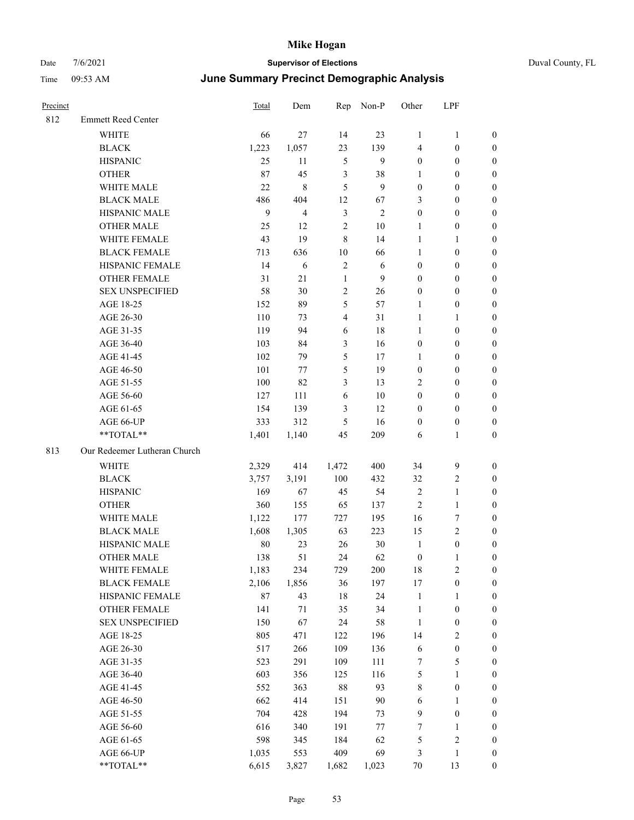|  | Duval County, FL |
|--|------------------|
|--|------------------|

| Precinct |                              | Total  | Dem   | Rep            | Non-P        | Other            | LPF              |                  |
|----------|------------------------------|--------|-------|----------------|--------------|------------------|------------------|------------------|
| 812      | <b>Emmett Reed Center</b>    |        |       |                |              |                  |                  |                  |
|          | WHITE                        | 66     | 27    | 14             | 23           | 1                | $\mathbf{1}$     | $\boldsymbol{0}$ |
|          | <b>BLACK</b>                 | 1,223  | 1,057 | 23             | 139          | 4                | $\boldsymbol{0}$ | $\boldsymbol{0}$ |
|          | <b>HISPANIC</b>              | 25     | 11    | $\sqrt{5}$     | 9            | $\boldsymbol{0}$ | $\boldsymbol{0}$ | 0                |
|          | <b>OTHER</b>                 | 87     | 45    | $\mathfrak{Z}$ | 38           | 1                | $\boldsymbol{0}$ | 0                |
|          | WHITE MALE                   | 22     | 8     | 5              | 9            | $\boldsymbol{0}$ | $\boldsymbol{0}$ | $\boldsymbol{0}$ |
|          | <b>BLACK MALE</b>            | 486    | 404   | 12             | 67           | 3                | $\boldsymbol{0}$ | $\boldsymbol{0}$ |
|          | HISPANIC MALE                | 9      | 4     | $\mathfrak{Z}$ | $\mathbf{2}$ | $\boldsymbol{0}$ | $\boldsymbol{0}$ | $\boldsymbol{0}$ |
|          | <b>OTHER MALE</b>            | 25     | 12    | $\sqrt{2}$     | 10           | $\mathbf{1}$     | $\boldsymbol{0}$ | $\boldsymbol{0}$ |
|          | WHITE FEMALE                 | 43     | 19    | $\,$ 8 $\,$    | 14           | $\mathbf{1}$     | $\mathbf{1}$     | $\boldsymbol{0}$ |
|          | <b>BLACK FEMALE</b>          | 713    | 636   | $10\,$         | 66           | $\mathbf{1}$     | $\boldsymbol{0}$ | $\boldsymbol{0}$ |
|          | HISPANIC FEMALE              | 14     | 6     | $\sqrt{2}$     | 6            | $\boldsymbol{0}$ | $\boldsymbol{0}$ | $\boldsymbol{0}$ |
|          | OTHER FEMALE                 | 31     | 21    | $\mathbf{1}$   | 9            | $\boldsymbol{0}$ | $\boldsymbol{0}$ | 0                |
|          | <b>SEX UNSPECIFIED</b>       | 58     | 30    | $\overline{2}$ | 26           | $\boldsymbol{0}$ | $\boldsymbol{0}$ | 0                |
|          | AGE 18-25                    | 152    | 89    | $\mathfrak{S}$ | 57           | 1                | $\boldsymbol{0}$ | 0                |
|          | AGE 26-30                    | 110    | 73    | $\overline{4}$ | 31           | 1                | $\mathbf{1}$     | $\boldsymbol{0}$ |
|          | AGE 31-35                    | 119    | 94    | 6              | $18\,$       | $\mathbf{1}$     | $\boldsymbol{0}$ | $\boldsymbol{0}$ |
|          | AGE 36-40                    | 103    | 84    | $\mathfrak{Z}$ | 16           | $\boldsymbol{0}$ | $\boldsymbol{0}$ | $\boldsymbol{0}$ |
|          | AGE 41-45                    | 102    | 79    | 5              | 17           | $\mathbf{1}$     | $\boldsymbol{0}$ | $\boldsymbol{0}$ |
|          | AGE 46-50                    | 101    | 77    | 5              | 19           | $\boldsymbol{0}$ | $\boldsymbol{0}$ | $\boldsymbol{0}$ |
|          | AGE 51-55                    | 100    | 82    | $\mathfrak{Z}$ | 13           | $\overline{c}$   | $\boldsymbol{0}$ | $\boldsymbol{0}$ |
|          | AGE 56-60                    | 127    | 111   | 6              | $10\,$       | $\boldsymbol{0}$ | $\boldsymbol{0}$ | 0                |
|          | AGE 61-65                    | 154    | 139   | 3              | 12           | $\boldsymbol{0}$ | $\boldsymbol{0}$ | 0                |
|          | AGE 66-UP                    | 333    | 312   | 5              | 16           | $\boldsymbol{0}$ | $\boldsymbol{0}$ | 0                |
|          | **TOTAL**                    | 1,401  | 1,140 | 45             | 209          | 6                | $\mathbf{1}$     | $\boldsymbol{0}$ |
| 813      | Our Redeemer Lutheran Church |        |       |                |              |                  |                  |                  |
|          | <b>WHITE</b>                 | 2,329  | 414   | 1,472          | 400          | 34               | 9                | $\boldsymbol{0}$ |
|          | <b>BLACK</b>                 | 3,757  | 3,191 | 100            | 432          | 32               | $\overline{c}$   | $\boldsymbol{0}$ |
|          | <b>HISPANIC</b>              | 169    | 67    | 45             | 54           | $\overline{2}$   | $\mathbf{1}$     | $\boldsymbol{0}$ |
|          | <b>OTHER</b>                 | 360    | 155   | 65             | 137          | $\overline{c}$   | $\mathbf{1}$     | $\boldsymbol{0}$ |
|          | WHITE MALE                   | 1,122  | 177   | 727            | 195          | 16               | 7                | $\boldsymbol{0}$ |
|          | <b>BLACK MALE</b>            | 1,608  | 1,305 | 63             | 223          | 15               | $\sqrt{2}$       | $\boldsymbol{0}$ |
|          | HISPANIC MALE                | 80     | 23    | 26             | 30           | $\mathbf{1}$     | $\boldsymbol{0}$ | $\boldsymbol{0}$ |
|          | <b>OTHER MALE</b>            | 138    | 51    | 24             | 62           | $\boldsymbol{0}$ | $\mathbf{1}$     | $\boldsymbol{0}$ |
|          | WHITE FEMALE                 | 1,183  | 234   | 729            | 200          | 18               | $\sqrt{2}$       | 0                |
|          | <b>BLACK FEMALE</b>          | 2,106  | 1,856 | 36             | 197          | 17               | $\boldsymbol{0}$ | 0                |
|          | HISPANIC FEMALE              | $87\,$ | 43    | 18             | 24           | $\mathbf{1}$     | $\mathbf{1}$     | 0                |
|          | <b>OTHER FEMALE</b>          | 141    | 71    | 35             | 34           | $\mathbf{1}$     | $\boldsymbol{0}$ | 0                |
|          | <b>SEX UNSPECIFIED</b>       | 150    | 67    | 24             | 58           | $\mathbf{1}$     | $\boldsymbol{0}$ | 0                |
|          | AGE 18-25                    | 805    | 471   | 122            | 196          | 14               | $\sqrt{2}$       | 0                |
|          | AGE 26-30                    | 517    | 266   | 109            | 136          | $\sqrt{6}$       | $\boldsymbol{0}$ | 0                |
|          | AGE 31-35                    | 523    | 291   | 109            | 111          | 7                | $\mathfrak{S}$   | 0                |
|          | AGE 36-40                    | 603    | 356   | 125            | 116          | 5                | $\mathbf{1}$     | 0                |
|          | AGE 41-45                    | 552    | 363   | $88\,$         | 93           | 8                | $\boldsymbol{0}$ | 0                |
|          | AGE 46-50                    | 662    | 414   | 151            | $90\,$       | 6                | $\mathbf{1}$     | 0                |
|          | AGE 51-55                    | 704    | 428   | 194            | 73           | $\overline{9}$   | $\boldsymbol{0}$ | 0                |
|          | AGE 56-60                    | 616    | 340   | 191            | $77\,$       | 7                | $\mathbf{1}$     | 0                |
|          | AGE 61-65                    | 598    | 345   | 184            | 62           | 5                | $\sqrt{2}$       | $\boldsymbol{0}$ |
|          | AGE 66-UP                    | 1,035  | 553   | 409            | 69           | 3                | $\mathbf{1}$     | $\boldsymbol{0}$ |
|          | $**TOTAL**$                  | 6,615  | 3,827 | 1,682          | 1,023        | $70\,$           | 13               | $\boldsymbol{0}$ |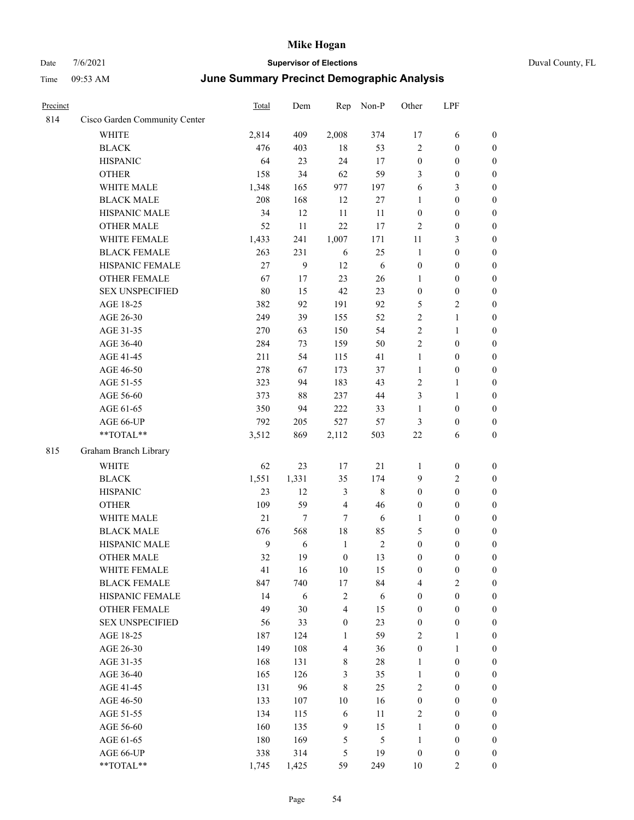| Precinct |                               | <b>Total</b> | Dem    | Rep                     | Non-P          | Other            | LPF              |                  |
|----------|-------------------------------|--------------|--------|-------------------------|----------------|------------------|------------------|------------------|
| 814      | Cisco Garden Community Center |              |        |                         |                |                  |                  |                  |
|          | WHITE                         | 2,814        | 409    | 2,008                   | 374            | 17               | 6                | $\boldsymbol{0}$ |
|          | <b>BLACK</b>                  | 476          | 403    | 18                      | 53             | $\overline{2}$   | $\boldsymbol{0}$ | $\boldsymbol{0}$ |
|          | <b>HISPANIC</b>               | 64           | 23     | 24                      | 17             | $\boldsymbol{0}$ | $\boldsymbol{0}$ | $\boldsymbol{0}$ |
|          | <b>OTHER</b>                  | 158          | 34     | 62                      | 59             | 3                | $\boldsymbol{0}$ | $\boldsymbol{0}$ |
|          | WHITE MALE                    | 1,348        | 165    | 977                     | 197            | 6                | 3                | $\boldsymbol{0}$ |
|          | <b>BLACK MALE</b>             | 208          | 168    | 12                      | 27             | 1                | $\boldsymbol{0}$ | $\boldsymbol{0}$ |
|          | HISPANIC MALE                 | 34           | 12     | 11                      | 11             | $\boldsymbol{0}$ | $\boldsymbol{0}$ | $\boldsymbol{0}$ |
|          | <b>OTHER MALE</b>             | 52           | 11     | 22                      | 17             | $\overline{2}$   | $\boldsymbol{0}$ | $\boldsymbol{0}$ |
|          | WHITE FEMALE                  | 1,433        | 241    | 1,007                   | 171            | 11               | 3                | $\boldsymbol{0}$ |
|          | <b>BLACK FEMALE</b>           | 263          | 231    | 6                       | 25             | 1                | $\boldsymbol{0}$ | $\boldsymbol{0}$ |
|          | HISPANIC FEMALE               | 27           | 9      | 12                      | 6              | $\boldsymbol{0}$ | $\boldsymbol{0}$ | $\boldsymbol{0}$ |
|          | <b>OTHER FEMALE</b>           | 67           | 17     | 23                      | 26             | $\mathbf{1}$     | $\boldsymbol{0}$ | $\boldsymbol{0}$ |
|          | <b>SEX UNSPECIFIED</b>        | 80           | 15     | 42                      | 23             | $\boldsymbol{0}$ | $\boldsymbol{0}$ | $\boldsymbol{0}$ |
|          | AGE 18-25                     | 382          | 92     | 191                     | 92             | 5                | 2                | $\boldsymbol{0}$ |
|          | AGE 26-30                     | 249          | 39     | 155                     | 52             | $\sqrt{2}$       | 1                | $\boldsymbol{0}$ |
|          | AGE 31-35                     | 270          | 63     | 150                     | 54             | $\sqrt{2}$       | $\mathbf{1}$     | $\boldsymbol{0}$ |
|          | AGE 36-40                     | 284          | 73     | 159                     | 50             | $\overline{2}$   | $\boldsymbol{0}$ | $\boldsymbol{0}$ |
|          | AGE 41-45                     | 211          | 54     | 115                     | 41             | $\mathbf{1}$     | $\boldsymbol{0}$ | $\boldsymbol{0}$ |
|          | AGE 46-50                     | 278          | 67     | 173                     | 37             | $\mathbf{1}$     | $\boldsymbol{0}$ | $\boldsymbol{0}$ |
|          | AGE 51-55                     | 323          | 94     | 183                     | 43             | $\sqrt{2}$       | 1                | $\boldsymbol{0}$ |
|          | AGE 56-60                     | 373          | 88     | 237                     | 44             | 3                | 1                | $\boldsymbol{0}$ |
|          | AGE 61-65                     | 350          | 94     | 222                     | 33             | 1                | $\boldsymbol{0}$ | $\boldsymbol{0}$ |
|          | AGE 66-UP                     | 792          | 205    | 527                     | 57             | $\mathfrak{Z}$   | $\boldsymbol{0}$ | $\boldsymbol{0}$ |
|          | **TOTAL**                     | 3,512        | 869    | 2,112                   | 503            | $22\,$           | 6                | $\boldsymbol{0}$ |
| 815      | Graham Branch Library         |              |        |                         |                |                  |                  |                  |
|          | <b>WHITE</b>                  | 62           | 23     | 17                      | 21             | $\mathbf{1}$     | $\boldsymbol{0}$ | $\boldsymbol{0}$ |
|          | <b>BLACK</b>                  | 1,551        | 1,331  | 35                      | 174            | 9                | 2                | $\boldsymbol{0}$ |
|          | <b>HISPANIC</b>               | 23           | 12     | 3                       | 8              | $\boldsymbol{0}$ | $\boldsymbol{0}$ | $\boldsymbol{0}$ |
|          | <b>OTHER</b>                  | 109          | 59     | $\overline{4}$          | 46             | $\boldsymbol{0}$ | $\boldsymbol{0}$ | $\boldsymbol{0}$ |
|          | WHITE MALE                    | 21           | $\tau$ | $7\phantom{.0}$         | 6              | 1                | $\boldsymbol{0}$ | $\boldsymbol{0}$ |
|          | <b>BLACK MALE</b>             | 676          | 568    | 18                      | 85             | 5                | $\boldsymbol{0}$ | $\boldsymbol{0}$ |
|          | HISPANIC MALE                 | 9            | 6      | $\mathbf{1}$            | $\sqrt{2}$     | $\boldsymbol{0}$ | $\boldsymbol{0}$ | $\boldsymbol{0}$ |
|          | <b>OTHER MALE</b>             | 32           | 19     | $\boldsymbol{0}$        | 13             | $\boldsymbol{0}$ | $\boldsymbol{0}$ | $\boldsymbol{0}$ |
|          | WHITE FEMALE                  | 41           | 16     | $10\,$                  | 15             | $\boldsymbol{0}$ | $\boldsymbol{0}$ | $\boldsymbol{0}$ |
|          | <b>BLACK FEMALE</b>           | 847          | 740    | $17\,$                  | 84             | $\overline{4}$   | 2                | $\boldsymbol{0}$ |
|          | HISPANIC FEMALE               | 14           | 6      | $\sqrt{2}$              | 6              | $\boldsymbol{0}$ | $\boldsymbol{0}$ | $\boldsymbol{0}$ |
|          | <b>OTHER FEMALE</b>           | 49           | 30     | $\overline{\mathbf{4}}$ | 15             | $\boldsymbol{0}$ | $\boldsymbol{0}$ | $\boldsymbol{0}$ |
|          | <b>SEX UNSPECIFIED</b>        | 56           | 33     | $\boldsymbol{0}$        | 23             | $\boldsymbol{0}$ | $\boldsymbol{0}$ | $\boldsymbol{0}$ |
|          | AGE 18-25                     | 187          | 124    | 1                       | 59             | $\sqrt{2}$       | $\mathbf{1}$     | $\boldsymbol{0}$ |
|          | AGE 26-30                     | 149          | 108    | $\overline{\mathbf{4}}$ | 36             | $\boldsymbol{0}$ | $\mathbf{1}$     | $\boldsymbol{0}$ |
|          | AGE 31-35                     | 168          | 131    | 8                       | $28\,$         | 1                | $\boldsymbol{0}$ | $\boldsymbol{0}$ |
|          | AGE 36-40                     | 165          | 126    | 3                       | 35             | $\mathbf{1}$     | $\boldsymbol{0}$ | $\boldsymbol{0}$ |
|          | AGE 41-45                     | 131          | 96     | $\,8\,$                 | 25             | $\overline{2}$   | $\boldsymbol{0}$ | $\boldsymbol{0}$ |
|          | AGE 46-50                     | 133          | 107    | 10                      | 16             | $\boldsymbol{0}$ | $\boldsymbol{0}$ | $\boldsymbol{0}$ |
|          | AGE 51-55                     | 134          | 115    | 6                       | 11             | $\overline{2}$   | $\boldsymbol{0}$ | $\boldsymbol{0}$ |
|          | AGE 56-60                     | 160          | 135    | $\overline{9}$          | 15             | $\mathbf{1}$     | $\boldsymbol{0}$ | $\boldsymbol{0}$ |
|          | AGE 61-65                     | 180          | 169    | $\mathfrak{S}$          | $\mathfrak{S}$ | $\mathbf{1}$     | $\boldsymbol{0}$ | $\boldsymbol{0}$ |
|          | AGE 66-UP                     | 338          | 314    | $\sqrt{5}$              | 19             | $\boldsymbol{0}$ | $\boldsymbol{0}$ | $\boldsymbol{0}$ |
|          | **TOTAL**                     | 1,745        | 1,425  | 59                      | 249            | $10\,$           | $\overline{2}$   | $\boldsymbol{0}$ |
|          |                               |              |        |                         |                |                  |                  |                  |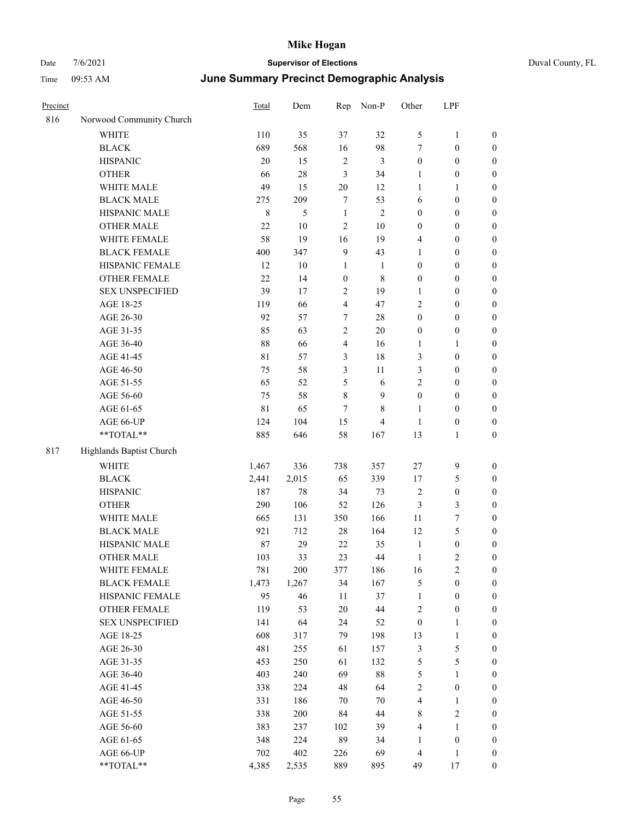## Date  $7/6/2021$  **Supervisor of Elections Supervisor of Elections** Duval County, FL Time 09:53 AM **June Summary Precinct Demographic Analysis**

| Precinct |                          | Total  | Dem    | Rep              | Non-P          | Other            | LPF              |                  |
|----------|--------------------------|--------|--------|------------------|----------------|------------------|------------------|------------------|
| 816      | Norwood Community Church |        |        |                  |                |                  |                  |                  |
|          | <b>WHITE</b>             | 110    | 35     | 37               | 32             | 5                | $\mathbf{1}$     | $\boldsymbol{0}$ |
|          | <b>BLACK</b>             | 689    | 568    | 16               | 98             | 7                | $\boldsymbol{0}$ | $\mathbf{0}$     |
|          | <b>HISPANIC</b>          | $20\,$ | 15     | $\sqrt{2}$       | 3              | $\mathbf{0}$     | $\boldsymbol{0}$ | 0                |
|          | <b>OTHER</b>             | 66     | 28     | 3                | 34             | 1                | $\boldsymbol{0}$ | 0                |
|          | WHITE MALE               | 49     | 15     | $20\,$           | 12             | $\mathbf{1}$     | 1                | 0                |
|          | <b>BLACK MALE</b>        | 275    | 209    | 7                | 53             | 6                | $\boldsymbol{0}$ | 0                |
|          | HISPANIC MALE            | 8      | 5      | $\mathbf{1}$     | $\overline{2}$ | 0                | 0                | 0                |
|          | <b>OTHER MALE</b>        | 22     | $10\,$ | $\overline{2}$   | $10\,$         | 0                | $\boldsymbol{0}$ | 0                |
|          | WHITE FEMALE             | 58     | 19     | 16               | 19             | 4                | 0                | 0                |
|          | <b>BLACK FEMALE</b>      | 400    | 347    | 9                | 43             | 1                | $\boldsymbol{0}$ | 0                |
|          | HISPANIC FEMALE          | 12     | $10\,$ | 1                | $\mathbf{1}$   | $\boldsymbol{0}$ | 0                | 0                |
|          | OTHER FEMALE             | 22     | 14     | $\boldsymbol{0}$ | 8              | $\boldsymbol{0}$ | 0                | 0                |
|          | <b>SEX UNSPECIFIED</b>   | 39     | 17     | $\overline{2}$   | 19             | 1                | $\boldsymbol{0}$ | 0                |
|          | AGE 18-25                | 119    | 66     | 4                | 47             | $\overline{2}$   | $\boldsymbol{0}$ | 0                |
|          | AGE 26-30                | 92     | 57     | 7                | 28             | $\boldsymbol{0}$ | 0                | 0                |
|          | AGE 31-35                | 85     | 63     | $\overline{c}$   | $20\,$         | 0                | 0                | 0                |
|          | AGE 36-40                | 88     | 66     | 4                | 16             | $\mathbf{1}$     | $\mathbf{1}$     | 0                |
|          | AGE 41-45                | 81     | 57     | 3                | 18             | 3                | $\boldsymbol{0}$ | 0                |
|          | AGE 46-50                | 75     | 58     | 3                | $11\,$         | 3                | $\boldsymbol{0}$ | 0                |
|          | AGE 51-55                | 65     | 52     | 5                | 6              | 2                | $\boldsymbol{0}$ | 0                |
|          | AGE 56-60                | 75     | 58     | 8                | 9              | $\overline{0}$   | $\boldsymbol{0}$ | 0                |
|          | AGE 61-65                | 81     | 65     | 7                | 8              | $\mathbf{1}$     | $\boldsymbol{0}$ | 0                |
|          | AGE 66-UP                | 124    | 104    | 15               | 4              | $\mathbf{1}$     | $\boldsymbol{0}$ | 0                |
|          | **TOTAL**                | 885    | 646    | 58               | 167            | 13               | $\mathbf{1}$     | 0                |
| 817      | Highlands Baptist Church |        |        |                  |                |                  |                  |                  |
|          | <b>WHITE</b>             | 1,467  | 336    | 738              | 357            | 27               | 9                | $\boldsymbol{0}$ |
|          | <b>BLACK</b>             | 2,441  | 2,015  | 65               | 339            | 17               | 5                | $\boldsymbol{0}$ |
|          | <b>HISPANIC</b>          | 187    | 78     | 34               | 73             | 2                | $\boldsymbol{0}$ | 0                |
|          | <b>OTHER</b>             | 290    | 106    | 52               | 126            | 3                | 3                | 0                |
|          | WHITE MALE               | 665    | 131    | 350              | 166            | $11\,$           | 7                | $\boldsymbol{0}$ |
|          | <b>BLACK MALE</b>        | 921    | 712    | 28               | 164            | 12               | 5                | 0                |
|          | HISPANIC MALE            | 87     | 29     | $22\,$           | 35             | $\mathbf{1}$     | 0                | 0                |
|          | <b>OTHER MALE</b>        | 103    | 33     | 23               | 44             | $\mathbf{1}$     | 2                | $\boldsymbol{0}$ |
|          | WHITE FEMALE             | 781    | 200    | 377              | 186            | 16               | 2                | $\theta$         |
|          | <b>BLACK FEMALE</b>      | 1,473  | 1,267  | 34               | 167            | 5                | 0                | $\boldsymbol{0}$ |
|          | HISPANIC FEMALE          | 95     | 46     | 11               | 37             | $\mathbf{1}$     | $\overline{0}$   | 0                |
|          | OTHER FEMALE             | 119    | 53     | $20\,$           | 44             | $\overline{2}$   | $\boldsymbol{0}$ | 0                |
|          | <b>SEX UNSPECIFIED</b>   | 141    | 64     | 24               | 52             | $\boldsymbol{0}$ | 1                | 0                |
|          | AGE 18-25                | 608    | 317    | 79               | 198            | 13               | 1                | 0                |
|          | AGE 26-30                | 481    | 255    | 61               | 157            | 3                | 5                | $\boldsymbol{0}$ |
|          | AGE 31-35                | 453    | 250    | 61               | 132            | 5                | 5                | $\boldsymbol{0}$ |
|          | AGE 36-40                | 403    | 240    | 69               | 88             | 5                | $\mathbf{1}$     | 0                |

AGE 41-45 338 224 48 64 2 0 0 AGE 46-50 331 186 70 70 4 1 0 AGE 51-55 338 200 84 44 8 2 0 AGE 56-60 383 237 102 39 4 1 0 AGE 61-65 348 224 89 34 1 0 0 AGE 66-UP 702 402 226 69 4 1 0 \*\*TOTAL\*\* 4,385 2,535 889 895 49 17 0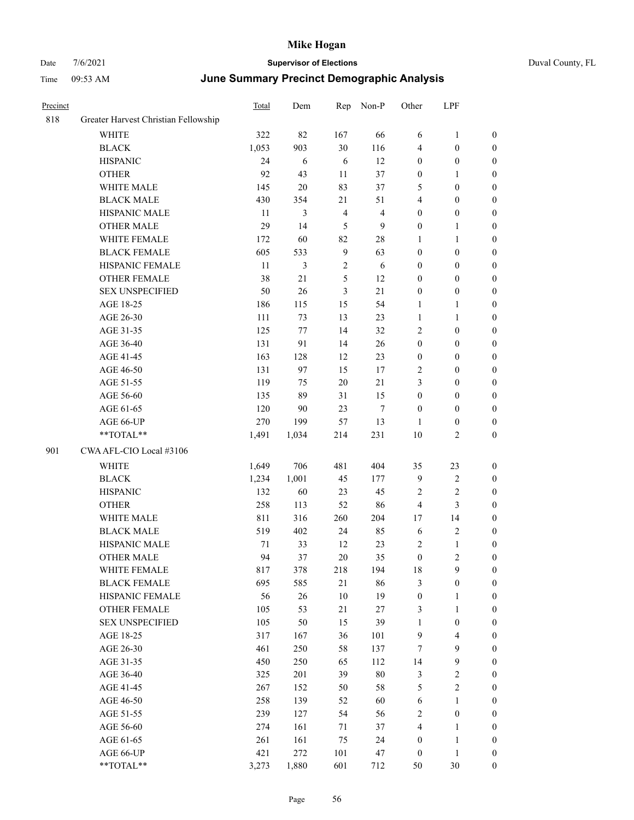| Precinct |                                      | Total  | Dem            | Rep            | Non-P          | Other            | LPF                     |                  |
|----------|--------------------------------------|--------|----------------|----------------|----------------|------------------|-------------------------|------------------|
| 818      | Greater Harvest Christian Fellowship |        |                |                |                |                  |                         |                  |
|          | WHITE                                | 322    | 82             | 167            | 66             | 6                | 1                       | $\boldsymbol{0}$ |
|          | <b>BLACK</b>                         | 1,053  | 903            | 30             | 116            | $\overline{4}$   | $\boldsymbol{0}$        | $\boldsymbol{0}$ |
|          | <b>HISPANIC</b>                      | 24     | 6              | 6              | 12             | $\boldsymbol{0}$ | $\boldsymbol{0}$        | $\boldsymbol{0}$ |
|          | <b>OTHER</b>                         | 92     | 43             | 11             | 37             | $\boldsymbol{0}$ | 1                       | $\boldsymbol{0}$ |
|          | WHITE MALE                           | 145    | 20             | 83             | 37             | 5                | $\boldsymbol{0}$        | $\boldsymbol{0}$ |
|          | <b>BLACK MALE</b>                    | 430    | 354            | 21             | 51             | $\overline{4}$   | $\boldsymbol{0}$        | $\boldsymbol{0}$ |
|          | HISPANIC MALE                        | 11     | 3              | $\overline{4}$ | $\overline{4}$ | $\boldsymbol{0}$ | $\boldsymbol{0}$        | $\boldsymbol{0}$ |
|          | <b>OTHER MALE</b>                    | 29     | 14             | 5              | 9              | $\boldsymbol{0}$ | 1                       | $\boldsymbol{0}$ |
|          | WHITE FEMALE                         | 172    | 60             | 82             | 28             | $\mathbf{1}$     | 1                       | $\boldsymbol{0}$ |
|          | <b>BLACK FEMALE</b>                  | 605    | 533            | 9              | 63             | $\boldsymbol{0}$ | $\boldsymbol{0}$        | $\boldsymbol{0}$ |
|          | HISPANIC FEMALE                      | 11     | $\mathfrak{Z}$ | $\sqrt{2}$     | 6              | $\boldsymbol{0}$ | $\boldsymbol{0}$        | $\boldsymbol{0}$ |
|          | <b>OTHER FEMALE</b>                  | 38     | 21             | 5              | 12             | $\boldsymbol{0}$ | $\boldsymbol{0}$        | $\boldsymbol{0}$ |
|          | <b>SEX UNSPECIFIED</b>               | 50     | 26             | 3              | 21             | $\boldsymbol{0}$ | $\boldsymbol{0}$        | $\boldsymbol{0}$ |
|          | AGE 18-25                            | 186    | 115            | 15             | 54             | 1                | 1                       | $\boldsymbol{0}$ |
|          | AGE 26-30                            | 111    | 73             | 13             | 23             | 1                | 1                       | $\boldsymbol{0}$ |
|          | AGE 31-35                            | 125    | 77             | 14             | 32             | $\sqrt{2}$       | $\boldsymbol{0}$        | $\boldsymbol{0}$ |
|          | AGE 36-40                            | 131    | 91             | 14             | 26             | $\boldsymbol{0}$ | $\boldsymbol{0}$        | $\boldsymbol{0}$ |
|          | AGE 41-45                            | 163    | 128            | 12             | 23             | $\boldsymbol{0}$ | $\boldsymbol{0}$        | $\boldsymbol{0}$ |
|          | AGE 46-50                            | 131    | 97             | 15             | 17             | $\sqrt{2}$       | $\boldsymbol{0}$        | $\boldsymbol{0}$ |
|          | AGE 51-55                            | 119    | 75             | $20\,$         | 21             | 3                | $\boldsymbol{0}$        | $\boldsymbol{0}$ |
|          | AGE 56-60                            | 135    | 89             | 31             | 15             | $\boldsymbol{0}$ | $\boldsymbol{0}$        | $\boldsymbol{0}$ |
|          | AGE 61-65                            | 120    | 90             | 23             | $\overline{7}$ | $\boldsymbol{0}$ | $\boldsymbol{0}$        | $\boldsymbol{0}$ |
|          | AGE 66-UP                            | 270    | 199            | 57             | 13             | 1                | $\boldsymbol{0}$        | $\boldsymbol{0}$ |
|          | **TOTAL**                            | 1,491  | 1,034          | 214            | 231            | 10               | 2                       | $\boldsymbol{0}$ |
| 901      | CWA AFL-CIO Local #3106              |        |                |                |                |                  |                         |                  |
|          | <b>WHITE</b>                         | 1,649  | 706            | 481            | 404            | 35               | 23                      | $\boldsymbol{0}$ |
|          | <b>BLACK</b>                         | 1,234  | 1,001          | 45             | 177            | 9                | $\sqrt{2}$              | $\boldsymbol{0}$ |
|          | <b>HISPANIC</b>                      | 132    | 60             | 23             | 45             | $\overline{2}$   | $\overline{c}$          | $\boldsymbol{0}$ |
|          | <b>OTHER</b>                         | 258    | 113            | 52             | 86             | $\overline{4}$   | 3                       | $\boldsymbol{0}$ |
|          | WHITE MALE                           | 811    | 316            | 260            | 204            | 17               | 14                      | $\boldsymbol{0}$ |
|          | <b>BLACK MALE</b>                    | 519    | 402            | 24             | 85             | 6                | $\overline{\mathbf{c}}$ | $\boldsymbol{0}$ |
|          | HISPANIC MALE                        | $71\,$ | 33             | 12             | 23             | $\sqrt{2}$       | 1                       | $\boldsymbol{0}$ |
|          | <b>OTHER MALE</b>                    | 94     | 37             | 20             | 35             | $\mathbf{0}$     | 2                       | $\boldsymbol{0}$ |
|          | WHITE FEMALE                         | 817    | 378            | 218            | 194            | 18               | 9                       | $\boldsymbol{0}$ |
|          | <b>BLACK FEMALE</b>                  | 695    | 585            | 21             | 86             | $\mathfrak{Z}$   | $\boldsymbol{0}$        | $\boldsymbol{0}$ |
|          | HISPANIC FEMALE                      | 56     | 26             | 10             | 19             | $\boldsymbol{0}$ | 1                       | $\boldsymbol{0}$ |
|          | OTHER FEMALE                         | 105    | 53             | 21             | 27             | $\mathfrak{Z}$   | 1                       | $\boldsymbol{0}$ |
|          | <b>SEX UNSPECIFIED</b>               | 105    | 50             | 15             | 39             | $\mathbf{1}$     | $\boldsymbol{0}$        | $\boldsymbol{0}$ |
|          | AGE 18-25                            | 317    | 167            | 36             | 101            | $\mathbf{9}$     | 4                       | $\boldsymbol{0}$ |
|          | AGE 26-30                            | 461    | 250            | 58             | 137            | 7                | 9                       | $\boldsymbol{0}$ |
|          | AGE 31-35                            | 450    | 250            | 65             | 112            | 14               | 9                       | $\boldsymbol{0}$ |
|          | AGE 36-40                            | 325    | 201            | 39             | $80\,$         | $\mathfrak{Z}$   | $\sqrt{2}$              | $\boldsymbol{0}$ |
|          | AGE 41-45                            | 267    | 152            | 50             | 58             | $\sqrt{5}$       | $\mathbf{2}$            | $\boldsymbol{0}$ |
|          | AGE 46-50                            | 258    | 139            | 52             | 60             | 6                | $\mathbf{1}$            | $\boldsymbol{0}$ |
|          | AGE 51-55                            | 239    | 127            | 54             | 56             | $\overline{2}$   | $\boldsymbol{0}$        | $\boldsymbol{0}$ |
|          | AGE 56-60                            | 274    | 161            | 71             | 37             | $\overline{4}$   | 1                       | $\boldsymbol{0}$ |
|          | AGE 61-65                            | 261    | 161            | 75             | 24             | $\boldsymbol{0}$ | 1                       | $\boldsymbol{0}$ |
|          | AGE 66-UP                            | 421    | 272            | 101            | 47             | $\boldsymbol{0}$ | $\mathbf{1}$            | $\boldsymbol{0}$ |
|          | **TOTAL**                            | 3,273  | 1,880          | 601            | 712            | 50               | $30\,$                  | $\boldsymbol{0}$ |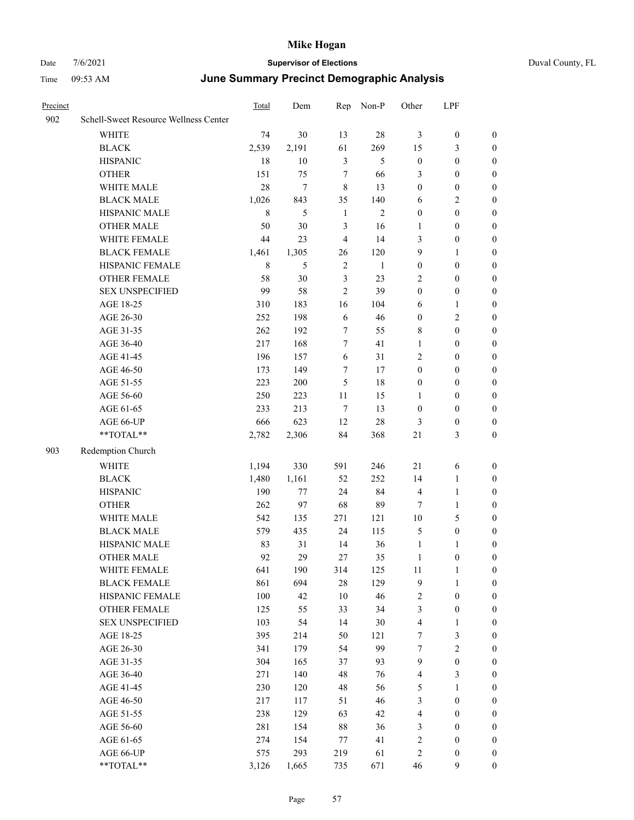| Duval County, FL |  |
|------------------|--|

| Precinct |                                       | Total       | Dem   | Rep            | Non-P        | Other            | LPF              |                  |
|----------|---------------------------------------|-------------|-------|----------------|--------------|------------------|------------------|------------------|
| 902      | Schell-Sweet Resource Wellness Center |             |       |                |              |                  |                  |                  |
|          | WHITE                                 | 74          | 30    | 13             | $28\,$       | 3                | $\boldsymbol{0}$ | $\boldsymbol{0}$ |
|          | <b>BLACK</b>                          | 2,539       | 2,191 | 61             | 269          | 15               | 3                | $\boldsymbol{0}$ |
|          | <b>HISPANIC</b>                       | 18          | 10    | $\mathfrak{Z}$ | 5            | $\boldsymbol{0}$ | $\boldsymbol{0}$ | 0                |
|          | <b>OTHER</b>                          | 151         | 75    | $\tau$         | 66           | 3                | $\boldsymbol{0}$ | $\boldsymbol{0}$ |
|          | WHITE MALE                            | 28          | 7     | $\,$ 8 $\,$    | 13           | $\boldsymbol{0}$ | $\boldsymbol{0}$ | $\boldsymbol{0}$ |
|          | <b>BLACK MALE</b>                     | 1,026       | 843   | 35             | 140          | 6                | $\sqrt{2}$       | $\boldsymbol{0}$ |
|          | HISPANIC MALE                         | $\,$ 8 $\,$ | 5     | $\mathbf{1}$   | $\mathbf{2}$ | $\boldsymbol{0}$ | $\boldsymbol{0}$ | $\boldsymbol{0}$ |
|          | <b>OTHER MALE</b>                     | 50          | 30    | $\mathfrak{Z}$ | 16           | $\mathbf{1}$     | $\boldsymbol{0}$ | $\boldsymbol{0}$ |
|          | WHITE FEMALE                          | 44          | 23    | $\overline{4}$ | 14           | 3                | $\boldsymbol{0}$ | $\boldsymbol{0}$ |
|          | <b>BLACK FEMALE</b>                   | 1,461       | 1,305 | 26             | 120          | 9                | $\mathbf{1}$     | $\boldsymbol{0}$ |
|          | HISPANIC FEMALE                       | $\,$ 8 $\,$ | 5     | $\sqrt{2}$     | $\mathbf{1}$ | $\boldsymbol{0}$ | $\boldsymbol{0}$ | $\boldsymbol{0}$ |
|          | OTHER FEMALE                          | 58          | 30    | 3              | 23           | $\overline{2}$   | $\boldsymbol{0}$ | 0                |
|          | <b>SEX UNSPECIFIED</b>                | 99          | 58    | $\overline{2}$ | 39           | $\boldsymbol{0}$ | $\boldsymbol{0}$ | 0                |
|          | AGE 18-25                             | 310         | 183   | 16             | 104          | 6                | $\mathbf{1}$     | 0                |
|          | AGE 26-30                             | 252         | 198   | 6              | 46           | $\boldsymbol{0}$ | $\sqrt{2}$       | $\boldsymbol{0}$ |
|          | AGE 31-35                             | 262         | 192   | $\tau$         | 55           | 8                | $\boldsymbol{0}$ | $\boldsymbol{0}$ |
|          | AGE 36-40                             | 217         | 168   | $\tau$         | 41           | $\mathbf{1}$     | $\boldsymbol{0}$ | $\boldsymbol{0}$ |
|          | AGE 41-45                             | 196         | 157   | 6              | 31           | $\overline{c}$   | $\boldsymbol{0}$ | $\boldsymbol{0}$ |
|          | AGE 46-50                             | 173         | 149   | 7              | 17           | $\boldsymbol{0}$ | $\boldsymbol{0}$ | $\boldsymbol{0}$ |
|          | AGE 51-55                             | 223         | 200   | 5              | 18           | $\boldsymbol{0}$ | $\boldsymbol{0}$ | $\boldsymbol{0}$ |
|          | AGE 56-60                             | 250         | 223   | 11             | 15           | 1                | $\boldsymbol{0}$ | 0                |
|          | AGE 61-65                             | 233         | 213   | $\tau$         | 13           | $\boldsymbol{0}$ | $\boldsymbol{0}$ | 0                |
|          | AGE 66-UP                             | 666         | 623   | 12             | 28           | 3                | $\boldsymbol{0}$ | 0                |
|          | $**TOTAL**$                           | 2,782       | 2,306 | 84             | 368          | $21\,$           | 3                | $\boldsymbol{0}$ |
| 903      | Redemption Church                     |             |       |                |              |                  |                  |                  |
|          | <b>WHITE</b>                          | 1,194       | 330   | 591            | 246          | 21               | 6                | $\boldsymbol{0}$ |
|          | <b>BLACK</b>                          | 1,480       | 1,161 | 52             | 252          | 14               | $\mathbf{1}$     | $\boldsymbol{0}$ |
|          | <b>HISPANIC</b>                       | 190         | 77    | 24             | 84           | 4                | $\mathbf{1}$     | $\boldsymbol{0}$ |
|          | <b>OTHER</b>                          | 262         | 97    | 68             | 89           | 7                | $\mathbf{1}$     | $\boldsymbol{0}$ |
|          | WHITE MALE                            | 542         | 135   | 271            | 121          | 10               | 5                | $\boldsymbol{0}$ |
|          | <b>BLACK MALE</b>                     | 579         | 435   | 24             | 115          | 5                | $\boldsymbol{0}$ | $\boldsymbol{0}$ |
|          | HISPANIC MALE                         | 83          | 31    | 14             | 36           | $\mathbf{1}$     | 1                | $\boldsymbol{0}$ |
|          | <b>OTHER MALE</b>                     | 92          | 29    | 27             | 35           | $\mathbf{1}$     | $\boldsymbol{0}$ | $\boldsymbol{0}$ |
|          | WHITE FEMALE                          | 641         | 190   | 314            | 125          | 11               | $\mathbf{1}$     | 0                |
|          | <b>BLACK FEMALE</b>                   | 861         | 694   | $28\,$         | 129          | $\mathbf{9}$     | $\mathbf{1}$     | 0                |
|          | HISPANIC FEMALE                       | 100         | 42    | 10             | 46           | 2                | $\boldsymbol{0}$ | 0                |
|          | <b>OTHER FEMALE</b>                   | 125         | 55    | 33             | 34           | 3                | $\boldsymbol{0}$ | 0                |
|          | <b>SEX UNSPECIFIED</b>                | 103         | 54    | 14             | 30           | 4                | $\mathbf{1}$     | $\boldsymbol{0}$ |
|          | AGE 18-25                             | 395         | 214   | 50             | 121          | 7                | $\mathfrak{Z}$   | 0                |
|          | AGE 26-30                             | 341         | 179   | 54             | 99           | 7                | $\sqrt{2}$       | 0                |
|          | AGE 31-35                             | 304         | 165   | 37             | 93           | $\overline{9}$   | $\boldsymbol{0}$ | 0                |
|          | AGE 36-40                             | 271         | 140   | 48             | 76           | 4                | $\mathfrak{Z}$   | 0                |
|          | AGE 41-45                             | 230         | 120   | 48             | 56           | 5                | $\mathbf{1}$     | 0                |
|          | AGE 46-50                             | 217         | 117   | 51             | 46           | 3                | $\boldsymbol{0}$ | 0                |
|          | AGE 51-55                             | 238         | 129   | 63             | 42           | 4                | $\boldsymbol{0}$ | 0                |
|          | AGE 56-60                             | 281         | 154   | 88             | 36           | 3                | $\boldsymbol{0}$ | $\boldsymbol{0}$ |
|          | AGE 61-65                             | 274         | 154   | 77             | 41           | $\sqrt{2}$       | $\boldsymbol{0}$ | $\boldsymbol{0}$ |
|          | AGE 66-UP                             | 575         | 293   | 219            | 61           | $\overline{c}$   | $\boldsymbol{0}$ | $\boldsymbol{0}$ |
|          | $**TOTAL**$                           | 3,126       | 1,665 | 735            | 671          | $46\,$           | 9                | $\boldsymbol{0}$ |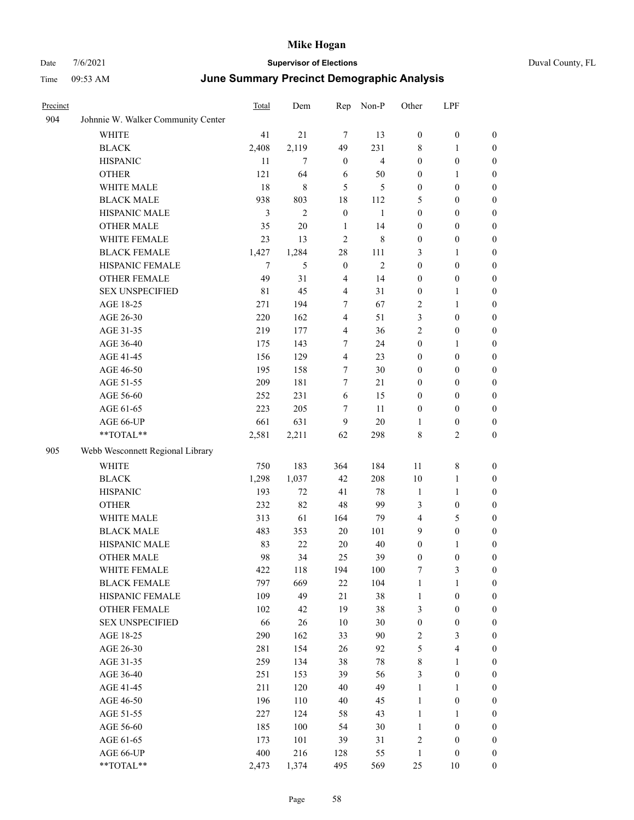|  | Duval County, FL |
|--|------------------|
|--|------------------|

| Precinct |                                    | Total | Dem            | Rep            | Non-P          | Other            | LPF                     |                  |
|----------|------------------------------------|-------|----------------|----------------|----------------|------------------|-------------------------|------------------|
| 904      | Johnnie W. Walker Community Center |       |                |                |                |                  |                         |                  |
|          | WHITE                              | 41    | 21             | 7              | 13             | $\boldsymbol{0}$ | $\boldsymbol{0}$        | $\boldsymbol{0}$ |
|          | <b>BLACK</b>                       | 2,408 | 2,119          | 49             | 231            | $\,$ 8 $\,$      | $\mathbf{1}$            | $\boldsymbol{0}$ |
|          | <b>HISPANIC</b>                    | 11    | $\overline{7}$ | $\mathbf{0}$   | 4              | $\boldsymbol{0}$ | $\boldsymbol{0}$        | $\boldsymbol{0}$ |
|          | <b>OTHER</b>                       | 121   | 64             | 6              | 50             | $\boldsymbol{0}$ | 1                       | $\boldsymbol{0}$ |
|          | WHITE MALE                         | 18    | 8              | 5              | 5              | $\boldsymbol{0}$ | $\boldsymbol{0}$        | $\boldsymbol{0}$ |
|          | <b>BLACK MALE</b>                  | 938   | 803            | 18             | 112            | 5                | $\boldsymbol{0}$        | $\boldsymbol{0}$ |
|          | HISPANIC MALE                      | 3     | $\mathbf{2}$   | $\mathbf{0}$   | $\mathbf{1}$   | $\boldsymbol{0}$ | $\boldsymbol{0}$        | $\boldsymbol{0}$ |
|          | <b>OTHER MALE</b>                  | 35    | $20\,$         | $\mathbf{1}$   | 14             | $\boldsymbol{0}$ | $\boldsymbol{0}$        | $\boldsymbol{0}$ |
|          | WHITE FEMALE                       | 23    | 13             | $\overline{2}$ | 8              | $\boldsymbol{0}$ | $\boldsymbol{0}$        | $\boldsymbol{0}$ |
|          | <b>BLACK FEMALE</b>                | 1,427 | 1,284          | 28             | 111            | 3                | 1                       | $\boldsymbol{0}$ |
|          | HISPANIC FEMALE                    | 7     | 5              | $\mathbf{0}$   | $\overline{2}$ | $\boldsymbol{0}$ | $\boldsymbol{0}$        | $\boldsymbol{0}$ |
|          | OTHER FEMALE                       | 49    | 31             | $\overline{4}$ | 14             | $\boldsymbol{0}$ | $\boldsymbol{0}$        | $\boldsymbol{0}$ |
|          | <b>SEX UNSPECIFIED</b>             | 81    | 45             | $\overline{4}$ | 31             | $\boldsymbol{0}$ | 1                       | $\boldsymbol{0}$ |
|          | AGE 18-25                          | 271   | 194            | 7              | 67             | $\overline{2}$   | 1                       | $\boldsymbol{0}$ |
|          | AGE 26-30                          | 220   | 162            | 4              | 51             | 3                | $\boldsymbol{0}$        | $\boldsymbol{0}$ |
|          | AGE 31-35                          | 219   | 177            | 4              | 36             | $\overline{c}$   | $\boldsymbol{0}$        | $\boldsymbol{0}$ |
|          | AGE 36-40                          | 175   | 143            | 7              | 24             | $\boldsymbol{0}$ | $\mathbf{1}$            | $\boldsymbol{0}$ |
|          | AGE 41-45                          | 156   | 129            | $\overline{4}$ | 23             | $\boldsymbol{0}$ | $\boldsymbol{0}$        | $\boldsymbol{0}$ |
|          | AGE 46-50                          | 195   | 158            | 7              | 30             | $\boldsymbol{0}$ | $\boldsymbol{0}$        | $\boldsymbol{0}$ |
|          | AGE 51-55                          | 209   | 181            | $\overline{7}$ | 21             | $\boldsymbol{0}$ | $\boldsymbol{0}$        | $\boldsymbol{0}$ |
|          | AGE 56-60                          | 252   | 231            | 6              | 15             | $\boldsymbol{0}$ | $\boldsymbol{0}$        | $\boldsymbol{0}$ |
|          | AGE 61-65                          | 223   | 205            | 7              | 11             | $\boldsymbol{0}$ | $\boldsymbol{0}$        | $\boldsymbol{0}$ |
|          | AGE 66-UP                          | 661   | 631            | 9              | 20             | $\mathbf{1}$     | $\boldsymbol{0}$        | $\boldsymbol{0}$ |
|          | **TOTAL**                          | 2,581 | 2,211          | 62             | 298            | $\,8\,$          | 2                       | $\boldsymbol{0}$ |
| 905      | Webb Wesconnett Regional Library   |       |                |                |                |                  |                         |                  |
|          | <b>WHITE</b>                       | 750   | 183            | 364            | 184            | 11               | 8                       | $\boldsymbol{0}$ |
|          | <b>BLACK</b>                       | 1,298 | 1,037          | 42             | 208            | 10               | 1                       | $\boldsymbol{0}$ |
|          | <b>HISPANIC</b>                    | 193   | 72             | 41             | 78             | 1                | 1                       | $\boldsymbol{0}$ |
|          | <b>OTHER</b>                       | 232   | 82             | 48             | 99             | 3                | $\boldsymbol{0}$        | $\boldsymbol{0}$ |
|          | WHITE MALE                         | 313   | 61             | 164            | 79             | 4                | 5                       | $\boldsymbol{0}$ |
|          | <b>BLACK MALE</b>                  | 483   | 353            | 20             | 101            | 9                | $\boldsymbol{0}$        | $\boldsymbol{0}$ |
|          | HISPANIC MALE                      | 83    | 22             | 20             | 40             | $\boldsymbol{0}$ | 1                       | $\boldsymbol{0}$ |
|          | <b>OTHER MALE</b>                  | 98    | 34             | 25             | 39             | $\mathbf{0}$     | $\mathbf{0}$            | $\boldsymbol{0}$ |
|          | WHITE FEMALE                       | 422   | 118            | 194            | 100            | $\boldsymbol{7}$ | 3                       | $\boldsymbol{0}$ |
|          | <b>BLACK FEMALE</b>                | 797   | 669            | 22             | 104            | $\mathbf{1}$     | 1                       | $\boldsymbol{0}$ |
|          | HISPANIC FEMALE                    | 109   | 49             | $21\,$         | 38             | $\mathbf{1}$     | $\boldsymbol{0}$        | $\boldsymbol{0}$ |
|          | <b>OTHER FEMALE</b>                | 102   | 42             | 19             | 38             | $\mathfrak{Z}$   | $\boldsymbol{0}$        | $\boldsymbol{0}$ |
|          | <b>SEX UNSPECIFIED</b>             | 66    | 26             | 10             | 30             | $\boldsymbol{0}$ | $\boldsymbol{0}$        | $\boldsymbol{0}$ |
|          | AGE 18-25                          | 290   | 162            | 33             | 90             | $\sqrt{2}$       | 3                       | $\boldsymbol{0}$ |
|          | AGE 26-30                          | 281   | 154            | 26             | 92             | $\mathfrak s$    | $\overline{\mathbf{4}}$ | $\boldsymbol{0}$ |
|          | AGE 31-35                          | 259   | 134            | 38             | 78             | $\,$ $\,$        | $\mathbf{1}$            | $\boldsymbol{0}$ |
|          | AGE 36-40                          | 251   | 153            | 39             | 56             | $\mathfrak{Z}$   | $\boldsymbol{0}$        | $\boldsymbol{0}$ |
|          | AGE 41-45                          | 211   | 120            | 40             | 49             | $\mathbf{1}$     | 1                       | $\boldsymbol{0}$ |
|          | AGE 46-50                          | 196   | 110            | 40             | 45             | $\mathbf{1}$     | $\boldsymbol{0}$        | $\boldsymbol{0}$ |
|          | AGE 51-55                          | 227   | 124            | 58             | 43             | $\mathbf{1}$     | 1                       | $\boldsymbol{0}$ |
|          | AGE 56-60                          | 185   | 100            | 54             | 30             | $\mathbf{1}$     | $\boldsymbol{0}$        | $\boldsymbol{0}$ |
|          | AGE 61-65                          | 173   | 101            | 39             | 31             | $\sqrt{2}$       | $\boldsymbol{0}$        | $\boldsymbol{0}$ |
|          | AGE 66-UP                          | 400   | 216            | 128            | 55             | $\mathbf{1}$     | $\boldsymbol{0}$        | $\boldsymbol{0}$ |
|          | $**TOTAL**$                        | 2,473 | 1,374          | 495            | 569            | $25\,$           | $10\,$                  | $\boldsymbol{0}$ |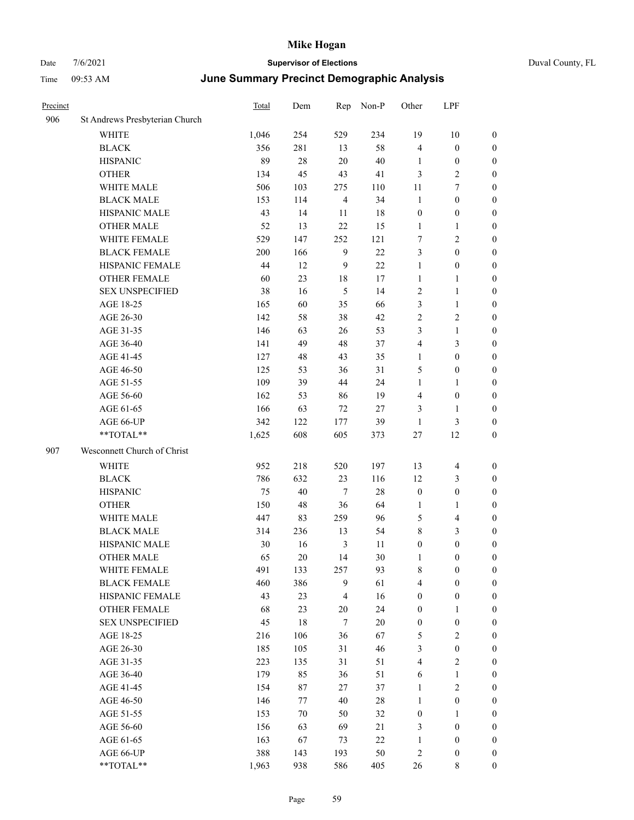| Precinct |                                | <b>Total</b> | Dem    | Rep            | Non-P  | Other            | LPF                     |                  |
|----------|--------------------------------|--------------|--------|----------------|--------|------------------|-------------------------|------------------|
| 906      | St Andrews Presbyterian Church |              |        |                |        |                  |                         |                  |
|          | <b>WHITE</b>                   | 1,046        | 254    | 529            | 234    | 19               | 10                      | $\boldsymbol{0}$ |
|          | <b>BLACK</b>                   | 356          | 281    | 13             | 58     | $\overline{4}$   | $\boldsymbol{0}$        | $\boldsymbol{0}$ |
|          | <b>HISPANIC</b>                | 89           | 28     | 20             | $40\,$ | 1                | $\boldsymbol{0}$        | $\boldsymbol{0}$ |
|          | <b>OTHER</b>                   | 134          | 45     | 43             | 41     | $\mathfrak{Z}$   | 2                       | $\boldsymbol{0}$ |
|          | WHITE MALE                     | 506          | 103    | 275            | 110    | 11               | 7                       | $\boldsymbol{0}$ |
|          | <b>BLACK MALE</b>              | 153          | 114    | $\overline{4}$ | 34     | $\mathbf{1}$     | $\boldsymbol{0}$        | $\boldsymbol{0}$ |
|          | HISPANIC MALE                  | 43           | 14     | 11             | 18     | $\boldsymbol{0}$ | $\boldsymbol{0}$        | $\boldsymbol{0}$ |
|          | <b>OTHER MALE</b>              | 52           | 13     | $22\,$         | 15     | $\mathbf{1}$     | 1                       | $\boldsymbol{0}$ |
|          | WHITE FEMALE                   | 529          | 147    | 252            | 121    | $\tau$           | 2                       | $\boldsymbol{0}$ |
|          | <b>BLACK FEMALE</b>            | 200          | 166    | 9              | 22     | 3                | $\boldsymbol{0}$        | $\boldsymbol{0}$ |
|          | HISPANIC FEMALE                | 44           | 12     | 9              | 22     | $\mathbf{1}$     | $\boldsymbol{0}$        | $\boldsymbol{0}$ |
|          | <b>OTHER FEMALE</b>            | 60           | 23     | 18             | 17     | $\mathbf{1}$     | 1                       | $\boldsymbol{0}$ |
|          | <b>SEX UNSPECIFIED</b>         | 38           | 16     | $\mathfrak{H}$ | 14     | $\sqrt{2}$       | 1                       | $\boldsymbol{0}$ |
|          | AGE 18-25                      | 165          | 60     | 35             | 66     | 3                | $\mathbf{1}$            | $\boldsymbol{0}$ |
|          | AGE 26-30                      | 142          | 58     | 38             | 42     | $\overline{2}$   | 2                       | $\boldsymbol{0}$ |
|          | AGE 31-35                      | 146          | 63     | 26             | 53     | 3                | $\mathbf{1}$            | $\boldsymbol{0}$ |
|          | AGE 36-40                      | 141          | 49     | 48             | 37     | $\overline{4}$   | 3                       | $\boldsymbol{0}$ |
|          | AGE 41-45                      | 127          | 48     | 43             | 35     | 1                | $\boldsymbol{0}$        | $\boldsymbol{0}$ |
|          | AGE 46-50                      | 125          | 53     | 36             | 31     | 5                | $\boldsymbol{0}$        | $\boldsymbol{0}$ |
|          | AGE 51-55                      | 109          | 39     | 44             | 24     | $\mathbf{1}$     | 1                       | $\boldsymbol{0}$ |
|          | AGE 56-60                      | 162          | 53     | 86             | 19     | $\overline{4}$   | $\boldsymbol{0}$        | $\boldsymbol{0}$ |
|          | AGE 61-65                      | 166          | 63     | 72             | 27     | 3                | 1                       | $\boldsymbol{0}$ |
|          | AGE 66-UP                      | 342          | 122    | 177            | 39     | $\mathbf{1}$     | 3                       | $\boldsymbol{0}$ |
|          | **TOTAL**                      | 1,625        | 608    | 605            | 373    | 27               | 12                      | $\boldsymbol{0}$ |
| 907      | Wesconnett Church of Christ    |              |        |                |        |                  |                         |                  |
|          | WHITE                          | 952          | 218    | 520            | 197    | 13               | $\overline{4}$          | $\boldsymbol{0}$ |
|          | <b>BLACK</b>                   | 786          | 632    | 23             | 116    | 12               | 3                       | $\boldsymbol{0}$ |
|          | <b>HISPANIC</b>                | 75           | 40     | $\tau$         | $28\,$ | $\boldsymbol{0}$ | $\boldsymbol{0}$        | $\boldsymbol{0}$ |
|          | <b>OTHER</b>                   | 150          | 48     | 36             | 64     | 1                | 1                       | $\boldsymbol{0}$ |
|          | WHITE MALE                     | 447          | 83     | 259            | 96     | 5                | 4                       | $\boldsymbol{0}$ |
|          | <b>BLACK MALE</b>              | 314          | 236    | 13             | 54     | $\,$ 8 $\,$      | 3                       | $\boldsymbol{0}$ |
|          | HISPANIC MALE                  | 30           | 16     | 3              | 11     | $\boldsymbol{0}$ | $\boldsymbol{0}$        | $\boldsymbol{0}$ |
|          | <b>OTHER MALE</b>              | 65           | $20\,$ | 14             | 30     | 1                | 0                       | $\boldsymbol{0}$ |
|          | WHITE FEMALE                   | 491          | 133    | 257            | 93     | $\,$ $\,$        | $\boldsymbol{0}$        | $\boldsymbol{0}$ |
|          | <b>BLACK FEMALE</b>            | 460          | 386    | $\overline{9}$ | 61     | $\overline{4}$   | $\boldsymbol{0}$        | $\boldsymbol{0}$ |
|          | HISPANIC FEMALE                | 43           | 23     | $\overline{4}$ | 16     | $\boldsymbol{0}$ | $\boldsymbol{0}$        | $\boldsymbol{0}$ |
|          | <b>OTHER FEMALE</b>            | 68           | 23     | 20             | 24     | $\boldsymbol{0}$ | 1                       | $\boldsymbol{0}$ |
|          | <b>SEX UNSPECIFIED</b>         | 45           | 18     | $\tau$         | $20\,$ | $\boldsymbol{0}$ | $\boldsymbol{0}$        | $\boldsymbol{0}$ |
|          | AGE 18-25                      | 216          | 106    | 36             | 67     | $\mathfrak{S}$   | $\mathbf{2}$            | $\boldsymbol{0}$ |
|          | AGE 26-30                      | 185          | 105    | 31             | 46     | $\mathfrak{Z}$   | $\boldsymbol{0}$        | $\boldsymbol{0}$ |
|          | AGE 31-35                      | 223          | 135    | 31             | 51     | $\overline{4}$   | 2                       | $\boldsymbol{0}$ |
|          | AGE 36-40                      | 179          | 85     | 36             | 51     | 6                | 1                       | $\boldsymbol{0}$ |
|          | AGE 41-45                      | 154          | 87     | $27\,$         | 37     | $\mathbf{1}$     | $\overline{\mathbf{c}}$ | $\boldsymbol{0}$ |
|          | AGE 46-50                      | 146          | 77     | 40             | $28\,$ | $\mathbf{1}$     | $\boldsymbol{0}$        | $\boldsymbol{0}$ |
|          | AGE 51-55                      | 153          | 70     | 50             | 32     | $\boldsymbol{0}$ | 1                       | $\boldsymbol{0}$ |
|          | AGE 56-60                      | 156          | 63     | 69             | $21\,$ | 3                | $\boldsymbol{0}$        | $\boldsymbol{0}$ |
|          | AGE 61-65                      | 163          | 67     | 73             | $22\,$ | $\mathbf{1}$     | $\boldsymbol{0}$        | $\boldsymbol{0}$ |
|          | AGE 66-UP                      | 388          | 143    | 193            | 50     | $\sqrt{2}$       | $\boldsymbol{0}$        | $\boldsymbol{0}$ |
|          | **TOTAL**                      | 1,963        | 938    | 586            | 405    | 26               | $\,$ 8 $\,$             | $\boldsymbol{0}$ |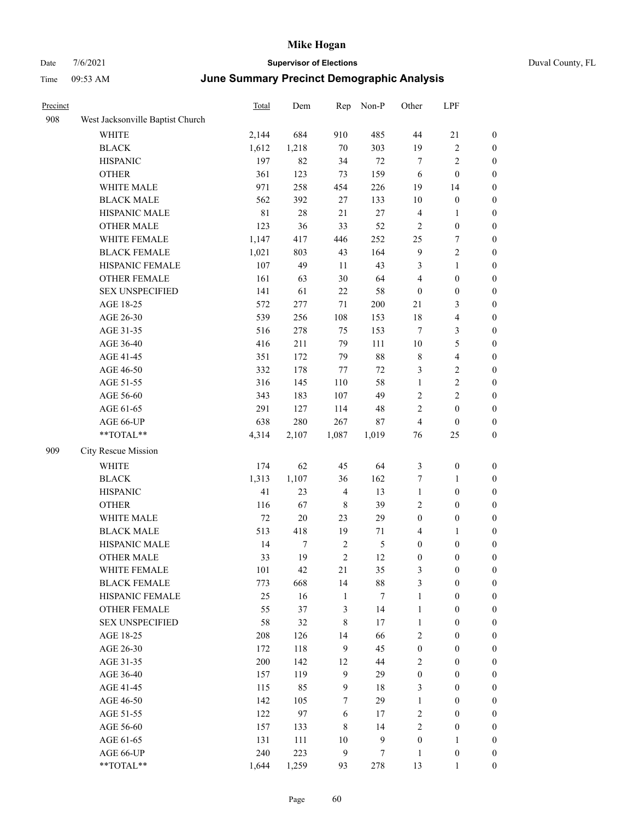| Precinct |                                  | <b>Total</b> | Dem    | Rep              | Non-P            | Other            | LPF                     |                  |
|----------|----------------------------------|--------------|--------|------------------|------------------|------------------|-------------------------|------------------|
| 908      | West Jacksonville Baptist Church |              |        |                  |                  |                  |                         |                  |
|          | <b>WHITE</b>                     | 2,144        | 684    | 910              | 485              | 44               | $21\,$                  | $\boldsymbol{0}$ |
|          | <b>BLACK</b>                     | 1,612        | 1,218  | 70               | 303              | 19               | $\sqrt{2}$              | $\boldsymbol{0}$ |
|          | <b>HISPANIC</b>                  | 197          | 82     | 34               | $72\,$           | 7                | $\sqrt{2}$              | $\boldsymbol{0}$ |
|          | <b>OTHER</b>                     | 361          | 123    | 73               | 159              | 6                | $\boldsymbol{0}$        | $\boldsymbol{0}$ |
|          | WHITE MALE                       | 971          | 258    | 454              | 226              | 19               | 14                      | $\boldsymbol{0}$ |
|          | <b>BLACK MALE</b>                | 562          | 392    | 27               | 133              | 10               | $\boldsymbol{0}$        | $\boldsymbol{0}$ |
|          | HISPANIC MALE                    | $8\sqrt{1}$  | $28\,$ | 21               | $27\,$           | $\overline{4}$   | $\mathbf{1}$            | $\boldsymbol{0}$ |
|          | <b>OTHER MALE</b>                | 123          | 36     | 33               | 52               | $\sqrt{2}$       | $\boldsymbol{0}$        | $\boldsymbol{0}$ |
|          | WHITE FEMALE                     | 1,147        | 417    | 446              | 252              | 25               | 7                       | $\boldsymbol{0}$ |
|          | <b>BLACK FEMALE</b>              | 1,021        | 803    | 43               | 164              | $\overline{9}$   | $\sqrt{2}$              | 0                |
|          | HISPANIC FEMALE                  | 107          | 49     | 11               | 43               | 3                | $\mathbf{1}$            | 0                |
|          | OTHER FEMALE                     | 161          | 63     | $30\,$           | 64               | 4                | $\boldsymbol{0}$        | $\boldsymbol{0}$ |
|          | <b>SEX UNSPECIFIED</b>           | 141          | 61     | 22               | 58               | $\boldsymbol{0}$ | $\boldsymbol{0}$        | $\boldsymbol{0}$ |
|          | AGE 18-25                        | 572          | 277    | 71               | $200\,$          | 21               | 3                       | $\boldsymbol{0}$ |
|          | AGE 26-30                        | 539          | 256    | 108              | 153              | 18               | $\overline{\mathbf{4}}$ | $\boldsymbol{0}$ |
|          | AGE 31-35                        | 516          | 278    | 75               | 153              | 7                | $\mathfrak{Z}$          | $\boldsymbol{0}$ |
|          | AGE 36-40                        | 416          | 211    | 79               | 111              | 10               | $\mathfrak{S}$          | $\boldsymbol{0}$ |
|          | AGE 41-45                        | 351          | 172    | 79               | 88               | $\,$ 8 $\,$      | $\overline{\mathbf{4}}$ | $\boldsymbol{0}$ |
|          | AGE 46-50                        | 332          | 178    | 77               | $72\,$           | 3                | $\sqrt{2}$              | $\boldsymbol{0}$ |
|          | AGE 51-55                        | 316          | 145    | 110              | 58               | $\mathbf{1}$     | $\sqrt{2}$              | 0                |
|          | AGE 56-60                        | 343          | 183    | 107              | 49               | $\overline{c}$   | $\sqrt{2}$              | 0                |
|          | AGE 61-65                        | 291          | 127    | 114              | 48               | $\overline{c}$   | $\boldsymbol{0}$        | $\boldsymbol{0}$ |
|          | AGE 66-UP                        | 638          | 280    | 267              | $87\,$           | 4                | $\boldsymbol{0}$        | $\boldsymbol{0}$ |
|          | **TOTAL**                        | 4,314        | 2,107  | 1,087            | 1,019            | 76               | 25                      | $\boldsymbol{0}$ |
| 909      | City Rescue Mission              |              |        |                  |                  |                  |                         |                  |
|          | WHITE                            | 174          | 62     | 45               | 64               | 3                | $\boldsymbol{0}$        | $\boldsymbol{0}$ |
|          | <b>BLACK</b>                     | 1,313        | 1,107  | 36               | 162              | 7                | $\mathbf{1}$            | $\boldsymbol{0}$ |
|          | <b>HISPANIC</b>                  | 41           | 23     | $\overline{4}$   | 13               | $\mathbf{1}$     | $\boldsymbol{0}$        | $\boldsymbol{0}$ |
|          | <b>OTHER</b>                     | 116          | 67     | $\,$ 8 $\,$      | 39               | $\overline{c}$   | $\boldsymbol{0}$        | $\boldsymbol{0}$ |
|          | WHITE MALE                       | $72\,$       | $20\,$ | 23               | 29               | $\boldsymbol{0}$ | $\boldsymbol{0}$        | $\boldsymbol{0}$ |
|          | <b>BLACK MALE</b>                | 513          | 418    | 19               | 71               | 4                | $\mathbf{1}$            | $\boldsymbol{0}$ |
|          | HISPANIC MALE                    | 14           | $\tau$ | $\overline{2}$   | 5                | $\boldsymbol{0}$ | $\boldsymbol{0}$        | 0                |
|          | <b>OTHER MALE</b>                | 33           | 19     | $\boldsymbol{2}$ | 12               | 0                | $\boldsymbol{0}$        | $\overline{0}$   |
|          | WHITE FEMALE                     | 101          | 42     | 21               | 35               | 3                | $\boldsymbol{0}$        | $\boldsymbol{0}$ |
|          | <b>BLACK FEMALE</b>              | 773          | 668    | 14               | $88\,$           | 3                | $\boldsymbol{0}$        | $\boldsymbol{0}$ |
|          | HISPANIC FEMALE                  | 25           | 16     | $\mathbf{1}$     | $\tau$           | $\mathbf{1}$     | $\boldsymbol{0}$        | $\boldsymbol{0}$ |
|          | OTHER FEMALE                     | 55           | 37     | $\mathfrak{Z}$   | 14               | $\mathbf{1}$     | $\boldsymbol{0}$        | $\overline{0}$   |
|          | <b>SEX UNSPECIFIED</b>           | 58           | 32     | $\,8\,$          | 17               | $\mathbf{1}$     | $\boldsymbol{0}$        | $\boldsymbol{0}$ |
|          | AGE 18-25                        | 208          | 126    | 14               | 66               | $\sqrt{2}$       | $\boldsymbol{0}$        | $\overline{0}$   |
|          | AGE 26-30                        | 172          | 118    | $\overline{9}$   | 45               | $\boldsymbol{0}$ | $\boldsymbol{0}$        | $\overline{0}$   |
|          | AGE 31-35                        | $200\,$      | 142    | 12               | $44\,$           | $\mathbf{2}$     | $\boldsymbol{0}$        | $\boldsymbol{0}$ |
|          | AGE 36-40                        | 157          | 119    | $\overline{9}$   | 29               | $\boldsymbol{0}$ | $\boldsymbol{0}$        | 0                |
|          | AGE 41-45                        | 115          | 85     | $\overline{9}$   | $18\,$           | 3                | $\boldsymbol{0}$        | 0                |
|          | AGE 46-50                        | 142          | 105    | 7                | 29               | $\mathbf{1}$     | $\boldsymbol{0}$        | $\boldsymbol{0}$ |
|          | AGE 51-55                        | 122          | 97     | 6                | $17\,$           | $\sqrt{2}$       | $\boldsymbol{0}$        | $\boldsymbol{0}$ |
|          | AGE 56-60                        | 157          | 133    | $\,8\,$          | 14               | $\sqrt{2}$       | $\boldsymbol{0}$        | $\boldsymbol{0}$ |
|          | AGE 61-65                        | 131          | 111    | $10\,$           | 9                | $\boldsymbol{0}$ | $\mathbf{1}$            | $\boldsymbol{0}$ |
|          | AGE 66-UP                        | 240          | 223    | $\overline{9}$   | $\boldsymbol{7}$ | $\mathbf{1}$     | $\boldsymbol{0}$        | $\boldsymbol{0}$ |
|          | $**TOTAL**$                      | 1,644        | 1,259  | 93               | 278              | 13               | 1                       | $\overline{0}$   |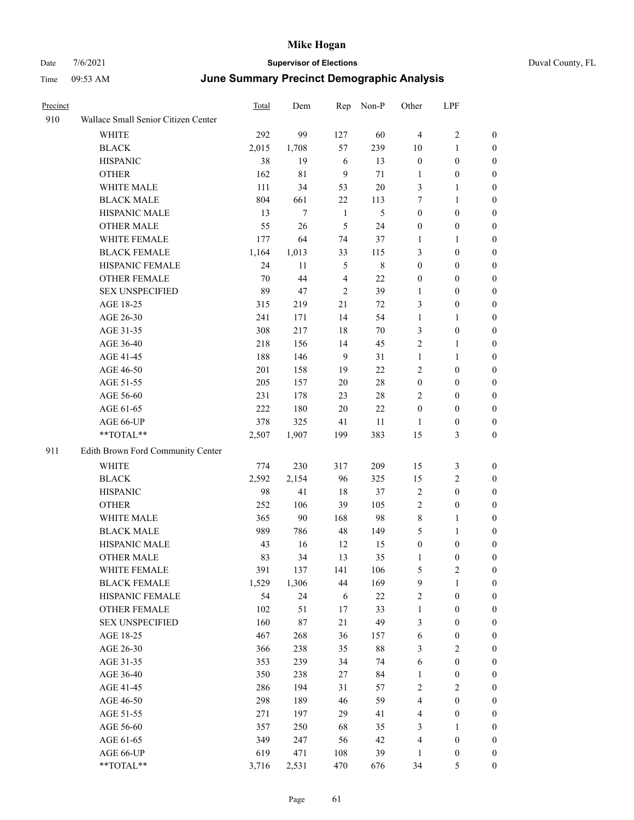| Precinct |                                                             | <b>Total</b> | Dem   | Rep            | Non-P       | Other            | LPF              |                  |
|----------|-------------------------------------------------------------|--------------|-------|----------------|-------------|------------------|------------------|------------------|
| 910      | Wallace Small Senior Citizen Center                         |              |       |                |             |                  |                  |                  |
|          | WHITE                                                       | 292          | 99    | 127            | 60          | $\overline{4}$   | $\sqrt{2}$       | $\boldsymbol{0}$ |
|          | <b>BLACK</b>                                                | 2,015        | 1,708 | 57             | 239         | 10               | $\mathbf{1}$     | $\boldsymbol{0}$ |
|          | <b>HISPANIC</b>                                             | 38           | 19    | 6              | 13          | $\boldsymbol{0}$ | $\boldsymbol{0}$ | $\boldsymbol{0}$ |
|          | <b>OTHER</b>                                                | 162          | 81    | 9              | 71          | $\mathbf{1}$     | $\boldsymbol{0}$ | $\overline{0}$   |
|          | WHITE MALE                                                  | 111          | 34    | 53             | $20\,$      | 3                | $\mathbf{1}$     | $\boldsymbol{0}$ |
|          | <b>BLACK MALE</b>                                           | 804          | 661   | $22\,$         | 113         | 7                | $\mathbf{1}$     | $\boldsymbol{0}$ |
|          | HISPANIC MALE                                               | 13           | 7     | 1              | 5           | $\boldsymbol{0}$ | $\boldsymbol{0}$ | 0                |
|          | <b>OTHER MALE</b>                                           | 55           | 26    | $\mathfrak{H}$ | 24          | $\boldsymbol{0}$ | $\boldsymbol{0}$ | 0                |
|          | WHITE FEMALE                                                | 177          | 64    | 74             | 37          | 1                | $\mathbf{1}$     | 0                |
|          | <b>BLACK FEMALE</b>                                         | 1,164        | 1,013 | 33             | 115         | 3                | $\boldsymbol{0}$ | $\boldsymbol{0}$ |
|          | HISPANIC FEMALE                                             | 24           | 11    | $\sqrt{5}$     | $\,$ 8 $\,$ | $\boldsymbol{0}$ | $\boldsymbol{0}$ | $\boldsymbol{0}$ |
|          | OTHER FEMALE                                                | 70           | 44    | $\overline{4}$ | 22          | $\boldsymbol{0}$ | $\boldsymbol{0}$ | $\boldsymbol{0}$ |
|          | <b>SEX UNSPECIFIED</b>                                      | 89           | 47    | $\overline{2}$ | 39          | $\mathbf{1}$     | $\boldsymbol{0}$ | $\boldsymbol{0}$ |
|          | AGE 18-25                                                   | 315          | 219   | 21             | 72          | 3                | $\boldsymbol{0}$ | $\boldsymbol{0}$ |
|          | AGE 26-30                                                   | 241          | 171   | 14             | 54          | $\mathbf{1}$     | $\mathbf{1}$     | $\boldsymbol{0}$ |
|          | AGE 31-35                                                   | 308          | 217   | 18             | 70          | 3                | $\boldsymbol{0}$ | 0                |
|          | AGE 36-40                                                   | 218          | 156   | 14             | 45          | $\mathbf{2}$     | $\mathbf{1}$     | 0                |
|          | AGE 41-45                                                   | 188          | 146   | 9              | 31          | $\mathbf{1}$     | $\mathbf{1}$     | 0                |
|          | AGE 46-50                                                   | 201          | 158   | 19             | 22          | $\overline{c}$   | $\boldsymbol{0}$ | 0                |
|          | AGE 51-55                                                   | 205          | 157   | $20\,$         | $28\,$      | $\boldsymbol{0}$ | $\boldsymbol{0}$ | $\boldsymbol{0}$ |
|          | AGE 56-60                                                   | 231          | 178   | 23             | $28\,$      | $\overline{c}$   | $\boldsymbol{0}$ | $\boldsymbol{0}$ |
|          | AGE 61-65                                                   | 222          | 180   | 20             | $22\,$      | $\boldsymbol{0}$ | $\boldsymbol{0}$ | $\boldsymbol{0}$ |
|          | AGE 66-UP                                                   | 378          | 325   | 41             | 11          | $\mathbf{1}$     | $\boldsymbol{0}$ | $\boldsymbol{0}$ |
|          | **TOTAL**                                                   | 2,507        | 1,907 | 199            | 383         | 15               | 3                | $\boldsymbol{0}$ |
| 911      | Edith Brown Ford Community Center                           |              |       |                |             |                  |                  |                  |
|          | WHITE                                                       | 774          | 230   | 317            | 209         | 15               | 3                | $\boldsymbol{0}$ |
|          | <b>BLACK</b>                                                | 2,592        | 2,154 | 96             | 325         | 15               | $\overline{2}$   | $\boldsymbol{0}$ |
|          | <b>HISPANIC</b>                                             | 98           | 41    | 18             | 37          | $\overline{2}$   | $\boldsymbol{0}$ | $\boldsymbol{0}$ |
|          | <b>OTHER</b>                                                | 252          | 106   | 39             | 105         | $\mathfrak{2}$   | $\boldsymbol{0}$ | 0                |
|          | WHITE MALE                                                  | 365          | 90    | 168            | 98          | $\,$ 8 $\,$      | $\mathbf{1}$     | 0                |
|          | <b>BLACK MALE</b>                                           | 989          | 786   | 48             | 149         | 5                | $\mathbf{1}$     | $\boldsymbol{0}$ |
|          | HISPANIC MALE                                               | 43           | 16    | 12             | 15          | $\boldsymbol{0}$ | $\boldsymbol{0}$ | $\boldsymbol{0}$ |
|          | <b>OTHER MALE</b>                                           | 83           | 34    | 13             | 35          | 1                | $\bf{0}$         | $\theta$         |
|          | WHITE FEMALE                                                | 391          | 137   | 141            | 106         | 5                | $\overline{c}$   | 0                |
|          | <b>BLACK FEMALE</b>                                         | 1,529        | 1,306 | $44\,$         | 169         | 9                | $\mathbf{1}$     | 0                |
|          | HISPANIC FEMALE                                             | 54           | 24    | 6              | $22\,$      | $\overline{c}$   | $\boldsymbol{0}$ | 0                |
|          | <b>OTHER FEMALE</b>                                         | 102          | 51    | 17             | 33          | $\mathbf{1}$     | $\boldsymbol{0}$ | 0                |
|          | <b>SEX UNSPECIFIED</b>                                      | 160          | 87    | 21             | 49          | 3                | $\boldsymbol{0}$ | 0                |
|          | AGE 18-25                                                   | 467          | 268   | 36             | 157         | 6                | $\boldsymbol{0}$ | 0                |
|          | AGE 26-30                                                   | 366          | 238   | 35             | $88\,$      | 3                | $\overline{c}$   | 0                |
|          | AGE 31-35                                                   | 353          | 239   | 34             | 74          | 6                | $\boldsymbol{0}$ | 0                |
|          | AGE 36-40                                                   | 350          | 238   | 27             | 84          | 1                | $\boldsymbol{0}$ | 0                |
|          | AGE 41-45                                                   | 286          | 194   | 31             | 57          | $\overline{c}$   | $\sqrt{2}$       | $\boldsymbol{0}$ |
|          | AGE 46-50                                                   | 298          | 189   | 46             | 59          | 4                | $\boldsymbol{0}$ | 0                |
|          | AGE 51-55                                                   | 271          | 197   | 29             | 41          | 4                | $\boldsymbol{0}$ | 0                |
|          | AGE 56-60                                                   | 357          | 250   | 68             | 35          | 3                | $\mathbf{1}$     | 0                |
|          | AGE 61-65                                                   | 349          | 247   | 56             | 42          | 4                | $\boldsymbol{0}$ | 0                |
|          | AGE 66-UP                                                   | 619          | 471   | $108\,$        | 39          | 1                | $\boldsymbol{0}$ | 0                |
|          | $\mathrm{*}\mathrm{*} \mathrm{TOTAL} \mathrm{*} \mathrm{*}$ | 3,716        | 2,531 | 470            | 676         | 34               | 5                | 0                |
|          |                                                             |              |       |                |             |                  |                  |                  |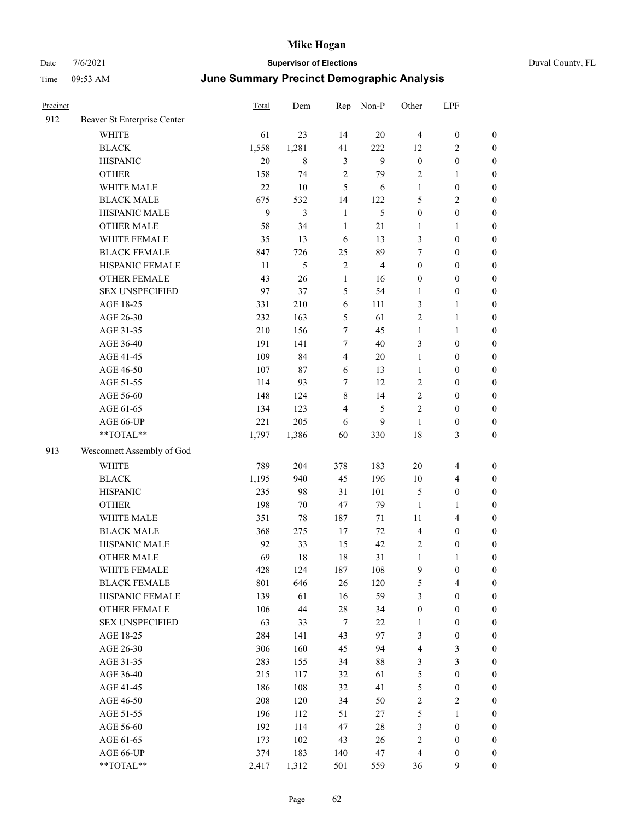| Duval County, FL |
|------------------|
|------------------|

| Precinct |                             | Total  | Dem    | Rep                     | Non-P                   | Other            | LPF                     |                  |
|----------|-----------------------------|--------|--------|-------------------------|-------------------------|------------------|-------------------------|------------------|
| 912      | Beaver St Enterprise Center |        |        |                         |                         |                  |                         |                  |
|          | WHITE                       | 61     | 23     | 14                      | $20\,$                  | $\overline{4}$   | $\boldsymbol{0}$        | $\boldsymbol{0}$ |
|          | <b>BLACK</b>                | 1,558  | 1,281  | 41                      | 222                     | 12               | $\overline{2}$          | $\boldsymbol{0}$ |
|          | <b>HISPANIC</b>             | 20     | 8      | $\mathfrak{Z}$          | 9                       | $\boldsymbol{0}$ | $\boldsymbol{0}$        | 0                |
|          | <b>OTHER</b>                | 158    | 74     | $\sqrt{2}$              | 79                      | $\overline{c}$   | $\mathbf{1}$            | $\boldsymbol{0}$ |
|          | WHITE MALE                  | $22\,$ | $10\,$ | 5                       | 6                       | $\mathbf{1}$     | $\boldsymbol{0}$        | $\boldsymbol{0}$ |
|          | <b>BLACK MALE</b>           | 675    | 532    | 14                      | 122                     | 5                | $\sqrt{2}$              | $\boldsymbol{0}$ |
|          | HISPANIC MALE               | 9      | 3      | $\mathbf{1}$            | 5                       | $\boldsymbol{0}$ | $\boldsymbol{0}$        | $\boldsymbol{0}$ |
|          | <b>OTHER MALE</b>           | 58     | 34     | $\mathbf{1}$            | 21                      | $\mathbf{1}$     | $\mathbf{1}$            | $\boldsymbol{0}$ |
|          | WHITE FEMALE                | 35     | 13     | 6                       | 13                      | 3                | $\boldsymbol{0}$        | $\boldsymbol{0}$ |
|          | <b>BLACK FEMALE</b>         | 847    | 726    | 25                      | 89                      | 7                | $\boldsymbol{0}$        | $\boldsymbol{0}$ |
|          | HISPANIC FEMALE             | 11     | 5      | $\sqrt{2}$              | $\overline{\mathbf{4}}$ | $\boldsymbol{0}$ | $\boldsymbol{0}$        | $\boldsymbol{0}$ |
|          | OTHER FEMALE                | 43     | 26     | $\mathbf{1}$            | 16                      | $\boldsymbol{0}$ | $\boldsymbol{0}$        | 0                |
|          | <b>SEX UNSPECIFIED</b>      | 97     | 37     | 5                       | 54                      | $\mathbf{1}$     | $\boldsymbol{0}$        | 0                |
|          | AGE 18-25                   | 331    | 210    | 6                       | 111                     | 3                | $\mathbf{1}$            | $\boldsymbol{0}$ |
|          | AGE 26-30                   | 232    | 163    | 5                       | 61                      | $\overline{c}$   | 1                       | $\boldsymbol{0}$ |
|          | AGE 31-35                   | 210    | 156    | 7                       | 45                      | $\mathbf{1}$     | $\mathbf{1}$            | $\boldsymbol{0}$ |
|          | AGE 36-40                   | 191    | 141    | 7                       | 40                      | 3                | $\boldsymbol{0}$        | $\boldsymbol{0}$ |
|          | AGE 41-45                   | 109    | 84     | $\overline{4}$          | $20\,$                  | $\mathbf{1}$     | $\boldsymbol{0}$        | $\boldsymbol{0}$ |
|          | AGE 46-50                   | 107    | 87     | 6                       | 13                      | $\mathbf{1}$     | $\boldsymbol{0}$        | $\boldsymbol{0}$ |
|          | AGE 51-55                   | 114    | 93     | 7                       | 12                      | $\overline{c}$   | $\boldsymbol{0}$        | $\boldsymbol{0}$ |
|          | AGE 56-60                   | 148    | 124    | $\,$ 8 $\,$             | 14                      | $\overline{c}$   | $\boldsymbol{0}$        | $\boldsymbol{0}$ |
|          | AGE 61-65                   | 134    | 123    | $\overline{\mathbf{4}}$ | 5                       | $\mathfrak{2}$   | $\boldsymbol{0}$        | 0                |
|          | AGE 66-UP                   | 221    | 205    | 6                       | 9                       | $\mathbf{1}$     | $\boldsymbol{0}$        | 0                |
|          | $**TOTAL**$                 | 1,797  | 1,386  | 60                      | 330                     | 18               | 3                       | $\boldsymbol{0}$ |
| 913      | Wesconnett Assembly of God  |        |        |                         |                         |                  |                         |                  |
|          | <b>WHITE</b>                | 789    | 204    | 378                     | 183                     | $20\,$           | 4                       | $\boldsymbol{0}$ |
|          | <b>BLACK</b>                | 1,195  | 940    | 45                      | 196                     | 10               | $\overline{\mathbf{4}}$ | $\boldsymbol{0}$ |
|          | <b>HISPANIC</b>             | 235    | 98     | 31                      | 101                     | 5                | $\boldsymbol{0}$        | $\boldsymbol{0}$ |
|          | <b>OTHER</b>                | 198    | 70     | $47\,$                  | 79                      | $\mathbf{1}$     | $\mathbf{1}$            | $\boldsymbol{0}$ |
|          | WHITE MALE                  | 351    | 78     | 187                     | 71                      | 11               | $\overline{\mathbf{4}}$ | $\boldsymbol{0}$ |
|          | <b>BLACK MALE</b>           | 368    | 275    | 17                      | $72\,$                  | $\overline{4}$   | $\boldsymbol{0}$        | $\boldsymbol{0}$ |
|          | HISPANIC MALE               | 92     | 33     | 15                      | 42                      | $\overline{c}$   | $\boldsymbol{0}$        | $\boldsymbol{0}$ |
|          | <b>OTHER MALE</b>           | 69     | 18     | 18                      | 31                      | $\mathbf{1}$     | 1                       | $\boldsymbol{0}$ |
|          | WHITE FEMALE                | 428    | 124    | 187                     | 108                     | $\overline{9}$   | $\boldsymbol{0}$        | 0                |
|          | <b>BLACK FEMALE</b>         | 801    | 646    | 26                      | 120                     | 5                | $\overline{\mathbf{4}}$ | 0                |
|          | HISPANIC FEMALE             | 139    | 61     | 16                      | 59                      | 3                | $\boldsymbol{0}$        | $\overline{0}$   |
|          | <b>OTHER FEMALE</b>         | 106    | 44     | $28\,$                  | 34                      | $\boldsymbol{0}$ | $\boldsymbol{0}$        | 0                |
|          | <b>SEX UNSPECIFIED</b>      | 63     | 33     | $\tau$                  | 22                      | $\mathbf{1}$     | $\boldsymbol{0}$        | $\boldsymbol{0}$ |
|          | AGE 18-25                   | 284    | 141    | 43                      | 97                      | 3                | $\boldsymbol{0}$        | 0                |
|          | AGE 26-30                   | 306    | 160    | 45                      | 94                      | 4                | $\mathfrak{Z}$          | 0                |
|          | AGE 31-35                   | 283    | 155    | 34                      | $88\,$                  | 3                | $\mathfrak{Z}$          | $\overline{0}$   |
|          | AGE 36-40                   | 215    | 117    | 32                      | 61                      | 5                | $\boldsymbol{0}$        | 0                |
|          | AGE 41-45                   | 186    | 108    | 32                      | 41                      | $\mathfrak s$    | $\boldsymbol{0}$        | 0                |
|          | AGE 46-50                   | 208    | 120    | 34                      | 50                      | $\sqrt{2}$       | $\sqrt{2}$              | 0                |
|          | AGE 51-55                   | 196    | 112    | 51                      | 27                      | $\mathfrak s$    | $\mathbf{1}$            | 0                |
|          | AGE 56-60                   | 192    | 114    | 47                      | $28\,$                  | 3                | $\boldsymbol{0}$        | $\boldsymbol{0}$ |
|          | AGE 61-65                   | 173    | 102    | 43                      | 26                      | $\sqrt{2}$       | $\boldsymbol{0}$        | $\boldsymbol{0}$ |
|          | AGE 66-UP                   | 374    | 183    | 140                     | 47                      | 4                | $\boldsymbol{0}$        | $\boldsymbol{0}$ |
|          | $**TOTAL**$                 | 2,417  | 1,312  | 501                     | 559                     | 36               | 9                       | $\boldsymbol{0}$ |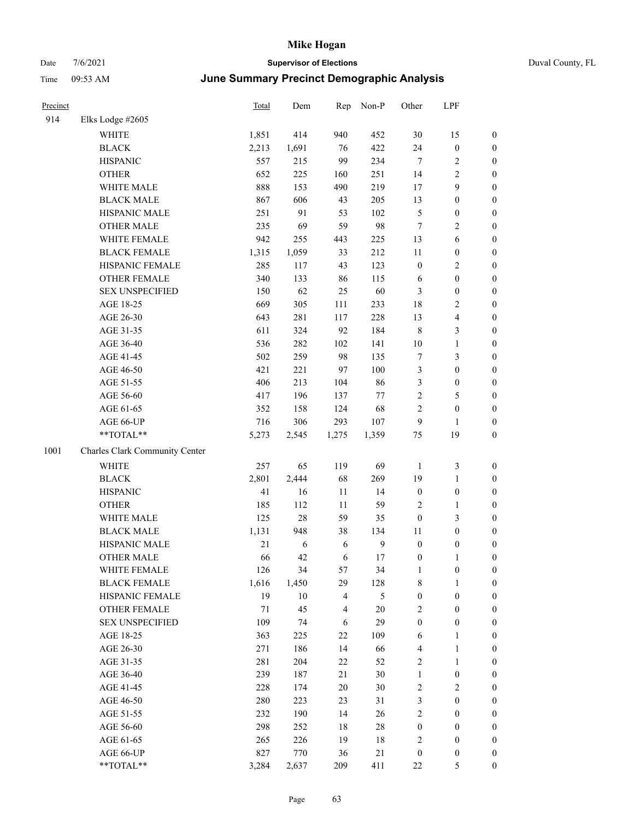## Date 7/6/2021 **Supervisor of Elections** Duval County, FL Time 09:53 AM **June Summary Precinct Demographic Analysis**

| Precinct |                                | Total  | Dem    | Rep            | Non-P  | Other            | LPF              |                  |
|----------|--------------------------------|--------|--------|----------------|--------|------------------|------------------|------------------|
| 914      | Elks Lodge #2605               |        |        |                |        |                  |                  |                  |
|          | WHITE                          | 1,851  | 414    | 940            | 452    | 30               | 15               | $\boldsymbol{0}$ |
|          | <b>BLACK</b>                   | 2,213  | 1,691  | 76             | 422    | 24               | $\boldsymbol{0}$ | $\boldsymbol{0}$ |
|          | <b>HISPANIC</b>                | 557    | 215    | 99             | 234    | $\overline{7}$   | 2                | $\boldsymbol{0}$ |
|          | <b>OTHER</b>                   | 652    | 225    | 160            | 251    | 14               | 2                | $\boldsymbol{0}$ |
|          | WHITE MALE                     | 888    | 153    | 490            | 219    | 17               | 9                | $\boldsymbol{0}$ |
|          | <b>BLACK MALE</b>              | 867    | 606    | 43             | 205    | 13               | $\boldsymbol{0}$ | $\boldsymbol{0}$ |
|          | HISPANIC MALE                  | 251    | 91     | 53             | 102    | $\mathfrak{S}$   | $\boldsymbol{0}$ | $\boldsymbol{0}$ |
|          | <b>OTHER MALE</b>              | 235    | 69     | 59             | 98     | $\tau$           | 2                | $\boldsymbol{0}$ |
|          | WHITE FEMALE                   | 942    | 255    | 443            | 225    | 13               | 6                | $\boldsymbol{0}$ |
|          | <b>BLACK FEMALE</b>            | 1,315  | 1,059  | 33             | 212    | 11               | $\boldsymbol{0}$ | $\boldsymbol{0}$ |
|          | HISPANIC FEMALE                | 285    | 117    | 43             | 123    | $\boldsymbol{0}$ | 2                | $\boldsymbol{0}$ |
|          | <b>OTHER FEMALE</b>            | 340    | 133    | 86             | 115    | 6                | $\boldsymbol{0}$ | $\boldsymbol{0}$ |
|          | <b>SEX UNSPECIFIED</b>         | 150    | 62     | 25             | 60     | $\mathfrak{Z}$   | $\boldsymbol{0}$ | $\boldsymbol{0}$ |
|          | AGE 18-25                      | 669    | 305    | 111            | 233    | 18               | 2                | $\boldsymbol{0}$ |
|          | AGE 26-30                      | 643    | 281    | 117            | 228    | 13               | 4                | $\boldsymbol{0}$ |
|          | AGE 31-35                      | 611    | 324    | 92             | 184    | $\,8\,$          | 3                | $\boldsymbol{0}$ |
|          | AGE 36-40                      | 536    | 282    | 102            | 141    | 10               | 1                | $\boldsymbol{0}$ |
|          | AGE 41-45                      | 502    | 259    | 98             | 135    | $\boldsymbol{7}$ | 3                | $\boldsymbol{0}$ |
|          | AGE 46-50                      | 421    | 221    | 97             | 100    | $\mathfrak{Z}$   | $\boldsymbol{0}$ | $\boldsymbol{0}$ |
|          | AGE 51-55                      | 406    | 213    | 104            | 86     | 3                | $\boldsymbol{0}$ | $\boldsymbol{0}$ |
|          | AGE 56-60                      | 417    | 196    | 137            | 77     | $\overline{2}$   | 5                | $\boldsymbol{0}$ |
|          | AGE 61-65                      | 352    | 158    | 124            | 68     | $\sqrt{2}$       | $\boldsymbol{0}$ | $\boldsymbol{0}$ |
|          | AGE 66-UP                      | 716    | 306    | 293            | 107    | 9                | 1                | $\boldsymbol{0}$ |
|          | **TOTAL**                      | 5,273  | 2,545  | 1,275          | 1,359  | 75               | 19               | $\boldsymbol{0}$ |
| 1001     | Charles Clark Community Center |        |        |                |        |                  |                  |                  |
|          | <b>WHITE</b>                   | 257    | 65     | 119            | 69     | $\mathbf{1}$     | 3                | $\boldsymbol{0}$ |
|          | <b>BLACK</b>                   | 2,801  | 2,444  | 68             | 269    | 19               | $\mathbf{1}$     | $\boldsymbol{0}$ |
|          | <b>HISPANIC</b>                | 41     | 16     | 11             | 14     | $\boldsymbol{0}$ | $\boldsymbol{0}$ | $\boldsymbol{0}$ |
|          | <b>OTHER</b>                   | 185    | 112    | 11             | 59     | $\sqrt{2}$       | 1                | $\boldsymbol{0}$ |
|          | WHITE MALE                     | 125    | $28\,$ | 59             | 35     | $\boldsymbol{0}$ | 3                | $\boldsymbol{0}$ |
|          | <b>BLACK MALE</b>              | 1,131  | 948    | 38             | 134    | 11               | $\boldsymbol{0}$ | $\boldsymbol{0}$ |
|          | HISPANIC MALE                  | 21     | 6      | 6              | 9      | $\boldsymbol{0}$ | $\boldsymbol{0}$ | $\boldsymbol{0}$ |
|          | <b>OTHER MALE</b>              | 66     | 42     | 6              | 17     | $\boldsymbol{0}$ | 1                | $\boldsymbol{0}$ |
|          | WHITE FEMALE                   | 126    | 34     | 57             | 34     | $\mathbf{1}$     | $\boldsymbol{0}$ | $\boldsymbol{0}$ |
|          | <b>BLACK FEMALE</b>            | 1,616  | 1,450  | 29             | 128    | $\,$ 8 $\,$      | 1                | $\boldsymbol{0}$ |
|          | HISPANIC FEMALE                | 19     | $10\,$ | $\overline{4}$ | 5      | $\boldsymbol{0}$ | $\boldsymbol{0}$ | $\boldsymbol{0}$ |
|          | <b>OTHER FEMALE</b>            | $71\,$ | 45     | $\overline{4}$ | $20\,$ | $\sqrt{2}$       | $\boldsymbol{0}$ | $\boldsymbol{0}$ |
|          | <b>SEX UNSPECIFIED</b>         | 109    | 74     | 6              | 29     | $\boldsymbol{0}$ | $\boldsymbol{0}$ | $\boldsymbol{0}$ |
|          | AGE 18-25                      | 363    | 225    | $22\,$         | 109    | 6                | 1                | $\boldsymbol{0}$ |
|          | AGE 26-30                      | 271    | 186    | 14             | 66     | $\overline{4}$   | 1                | $\boldsymbol{0}$ |
|          | AGE 31-35                      | 281    | 204    | 22             | 52     | $\overline{2}$   | 1                | $\boldsymbol{0}$ |
|          | AGE 36-40                      | 239    | 187    | 21             | 30     | $\mathbf{1}$     | $\boldsymbol{0}$ | $\boldsymbol{0}$ |
|          | AGE 41-45                      | 228    | 174    | $20\,$         | 30     | $\sqrt{2}$       | $\mathbf{2}$     | $\boldsymbol{0}$ |
|          | AGE 46-50                      | 280    | 223    | 23             | 31     | $\mathfrak{Z}$   | $\boldsymbol{0}$ | $\boldsymbol{0}$ |
|          | AGE 51-55                      | 232    | 190    | 14             | 26     | $\sqrt{2}$       | $\boldsymbol{0}$ | $\boldsymbol{0}$ |
|          | AGE 56-60                      | 298    | 252    | 18             | 28     | $\boldsymbol{0}$ | $\boldsymbol{0}$ | $\boldsymbol{0}$ |
|          | AGE 61-65                      | 265    | 226    | 19             | $18\,$ | $\overline{2}$   | $\mathbf{0}$     | $\boldsymbol{0}$ |

AGE 66-UP 827 770 36 21 0 0 \*\*TOTAL\*\* 3,284 2,637 209 411 22 5 0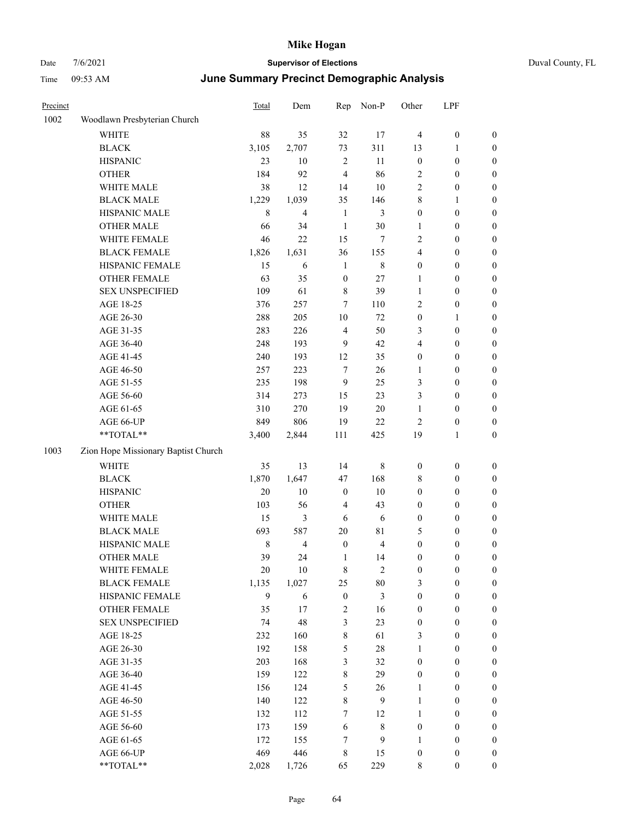| Precinct |                                                            | <b>Total</b> | Dem                      | Rep              | Non-P       | Other            | LPF              |                  |
|----------|------------------------------------------------------------|--------------|--------------------------|------------------|-------------|------------------|------------------|------------------|
| 1002     | Woodlawn Presbyterian Church                               |              |                          |                  |             |                  |                  |                  |
|          | <b>WHITE</b>                                               | 88           | 35                       | 32               | 17          | $\overline{4}$   | $\boldsymbol{0}$ | $\boldsymbol{0}$ |
|          | <b>BLACK</b>                                               | 3,105        | 2,707                    | 73               | 311         | 13               | 1                | $\boldsymbol{0}$ |
|          | <b>HISPANIC</b>                                            | 23           | 10                       | $\sqrt{2}$       | 11          | $\boldsymbol{0}$ | $\boldsymbol{0}$ | $\boldsymbol{0}$ |
|          | <b>OTHER</b>                                               | 184          | 92                       | $\overline{4}$   | 86          | $\overline{2}$   | $\boldsymbol{0}$ | $\boldsymbol{0}$ |
|          | WHITE MALE                                                 | 38           | 12                       | 14               | 10          | $\sqrt{2}$       | 0                | $\boldsymbol{0}$ |
|          | <b>BLACK MALE</b>                                          | 1,229        | 1,039                    | 35               | 146         | $\,$ 8 $\,$      | 1                | $\boldsymbol{0}$ |
|          | HISPANIC MALE                                              | 8            | $\overline{4}$           | $\mathbf{1}$     | 3           | $\boldsymbol{0}$ | $\boldsymbol{0}$ | $\boldsymbol{0}$ |
|          | <b>OTHER MALE</b>                                          | 66           | 34                       | $\mathbf{1}$     | 30          | $\mathbf{1}$     | $\boldsymbol{0}$ | $\boldsymbol{0}$ |
|          | WHITE FEMALE                                               | 46           | 22                       | 15               | $\tau$      | $\overline{2}$   | $\boldsymbol{0}$ | $\boldsymbol{0}$ |
|          | <b>BLACK FEMALE</b>                                        | 1,826        | 1,631                    | 36               | 155         | $\overline{4}$   | $\boldsymbol{0}$ | $\boldsymbol{0}$ |
|          | HISPANIC FEMALE                                            | 15           | 6                        | $\mathbf{1}$     | $\,$ 8 $\,$ | $\boldsymbol{0}$ | $\boldsymbol{0}$ | $\boldsymbol{0}$ |
|          | OTHER FEMALE                                               | 63           | 35                       | $\boldsymbol{0}$ | 27          | $\mathbf{1}$     | $\boldsymbol{0}$ | $\boldsymbol{0}$ |
|          | <b>SEX UNSPECIFIED</b>                                     | 109          | 61                       | 8                | 39          | $\mathbf{1}$     | $\boldsymbol{0}$ | $\boldsymbol{0}$ |
|          | AGE 18-25                                                  | 376          | 257                      | $\overline{7}$   | 110         | $\overline{2}$   | $\boldsymbol{0}$ | $\boldsymbol{0}$ |
|          | AGE 26-30                                                  | 288          | 205                      | 10               | 72          | $\boldsymbol{0}$ | 1                | $\boldsymbol{0}$ |
|          | AGE 31-35                                                  | 283          | 226                      | $\overline{4}$   | 50          | 3                | $\boldsymbol{0}$ | $\boldsymbol{0}$ |
|          | AGE 36-40                                                  | 248          | 193                      | 9                | 42          | $\overline{4}$   | $\boldsymbol{0}$ | $\boldsymbol{0}$ |
|          | AGE 41-45                                                  | 240          | 193                      | 12               | 35          | $\boldsymbol{0}$ | $\boldsymbol{0}$ | $\boldsymbol{0}$ |
|          | AGE 46-50                                                  | 257          | 223                      | $\tau$           | 26          | 1                | $\boldsymbol{0}$ | $\boldsymbol{0}$ |
|          | AGE 51-55                                                  | 235          | 198                      | 9                | 25          | 3                | $\boldsymbol{0}$ | $\boldsymbol{0}$ |
|          | AGE 56-60                                                  | 314          | 273                      | 15               | 23          | 3                | $\boldsymbol{0}$ | $\boldsymbol{0}$ |
|          | AGE 61-65                                                  | 310          | 270                      | 19               | $20\,$      | $\mathbf{1}$     | $\boldsymbol{0}$ | $\boldsymbol{0}$ |
|          | AGE 66-UP                                                  | 849          | 806                      | 19               | $22\,$      | $\sqrt{2}$       | $\boldsymbol{0}$ | $\boldsymbol{0}$ |
|          | **TOTAL**                                                  | 3,400        | 2,844                    | 111              | 425         | 19               | 1                | $\boldsymbol{0}$ |
| 1003     | Zion Hope Missionary Baptist Church                        |              |                          |                  |             |                  |                  |                  |
|          | <b>WHITE</b>                                               | 35           | 13                       | 14               | 8           | $\boldsymbol{0}$ | $\boldsymbol{0}$ | $\boldsymbol{0}$ |
|          | <b>BLACK</b>                                               | 1,870        | 1,647                    | 47               | 168         | 8                | $\boldsymbol{0}$ | $\boldsymbol{0}$ |
|          | <b>HISPANIC</b>                                            | $20\,$       | $10\,$                   | $\boldsymbol{0}$ | 10          | $\boldsymbol{0}$ | $\boldsymbol{0}$ | $\boldsymbol{0}$ |
|          | <b>OTHER</b>                                               | 103          | 56                       | 4                | 43          | $\boldsymbol{0}$ | $\boldsymbol{0}$ | $\boldsymbol{0}$ |
|          | WHITE MALE                                                 | 15           | 3                        | 6                | 6           | $\boldsymbol{0}$ | $\boldsymbol{0}$ | $\boldsymbol{0}$ |
|          | <b>BLACK MALE</b>                                          | 693          | 587                      | 20               | 81          | 5                | $\boldsymbol{0}$ | $\boldsymbol{0}$ |
|          | HISPANIC MALE                                              | $\,$ 8 $\,$  | $\overline{\mathcal{L}}$ | $\boldsymbol{0}$ | 4           | $\boldsymbol{0}$ | 0                | $\boldsymbol{0}$ |
|          | <b>OTHER MALE</b>                                          | 39           | 24                       | 1                | 14          | $\boldsymbol{0}$ | 0                | $\boldsymbol{0}$ |
|          | WHITE FEMALE                                               | $20\,$       | 10                       | $\,$ 8 $\,$      | $\sqrt{2}$  | $\boldsymbol{0}$ | $\boldsymbol{0}$ | $\boldsymbol{0}$ |
|          | <b>BLACK FEMALE</b>                                        | 1,135        | 1,027                    | 25               | $80\,$      | $\mathfrak{Z}$   | $\boldsymbol{0}$ | $\boldsymbol{0}$ |
|          | HISPANIC FEMALE                                            | $\mathbf{9}$ | 6                        | $\boldsymbol{0}$ | 3           | $\boldsymbol{0}$ | $\boldsymbol{0}$ | $\boldsymbol{0}$ |
|          | <b>OTHER FEMALE</b>                                        | 35           | 17                       | $\sqrt{2}$       | 16          | $\boldsymbol{0}$ | $\boldsymbol{0}$ | $\boldsymbol{0}$ |
|          | <b>SEX UNSPECIFIED</b>                                     | 74           | 48                       | 3                | 23          | $\boldsymbol{0}$ | $\boldsymbol{0}$ | $\boldsymbol{0}$ |
|          | AGE 18-25                                                  | 232          | 160                      | $\,$ 8 $\,$      | 61          | $\mathfrak{Z}$   | $\boldsymbol{0}$ | $\boldsymbol{0}$ |
|          | AGE 26-30                                                  | 192          | 158                      | 5                | $28\,$      | $\mathbf{1}$     | $\boldsymbol{0}$ | $\boldsymbol{0}$ |
|          | AGE 31-35                                                  | 203          | 168                      | 3                | 32          | $\boldsymbol{0}$ | $\boldsymbol{0}$ | $\boldsymbol{0}$ |
|          | AGE 36-40                                                  | 159          | 122                      | $\,$ 8 $\,$      | 29          | $\boldsymbol{0}$ | $\boldsymbol{0}$ | $\boldsymbol{0}$ |
|          | AGE 41-45                                                  | 156          | 124                      | 5                | 26          | $\mathbf{1}$     | $\boldsymbol{0}$ | $\boldsymbol{0}$ |
|          | AGE 46-50                                                  | 140          | 122                      | $\,$ 8 $\,$      | 9           | $\mathbf{1}$     | $\boldsymbol{0}$ | $\boldsymbol{0}$ |
|          | AGE 51-55                                                  | 132          | 112                      | $\tau$           | 12          | $\mathbf{1}$     | $\boldsymbol{0}$ | $\boldsymbol{0}$ |
|          | AGE 56-60                                                  | 173          | 159                      | 6                | $\,$ 8 $\,$ | $\boldsymbol{0}$ | $\boldsymbol{0}$ | $\boldsymbol{0}$ |
|          | AGE 61-65                                                  | 172          | 155                      | $\tau$           | 9           | $\mathbf{1}$     | $\boldsymbol{0}$ | $\boldsymbol{0}$ |
|          | AGE 66-UP                                                  | 469          | 446                      | $\,$ 8 $\,$      | 15          | $\boldsymbol{0}$ | $\boldsymbol{0}$ | $\boldsymbol{0}$ |
|          | $\mathrm{*}\mathrm{*} \mathrm{TOTAL} \mathrm{*}\mathrm{*}$ | 2,028        | 1,726                    | 65               | 229         | $\,$ 8 $\,$      | $\boldsymbol{0}$ | $\boldsymbol{0}$ |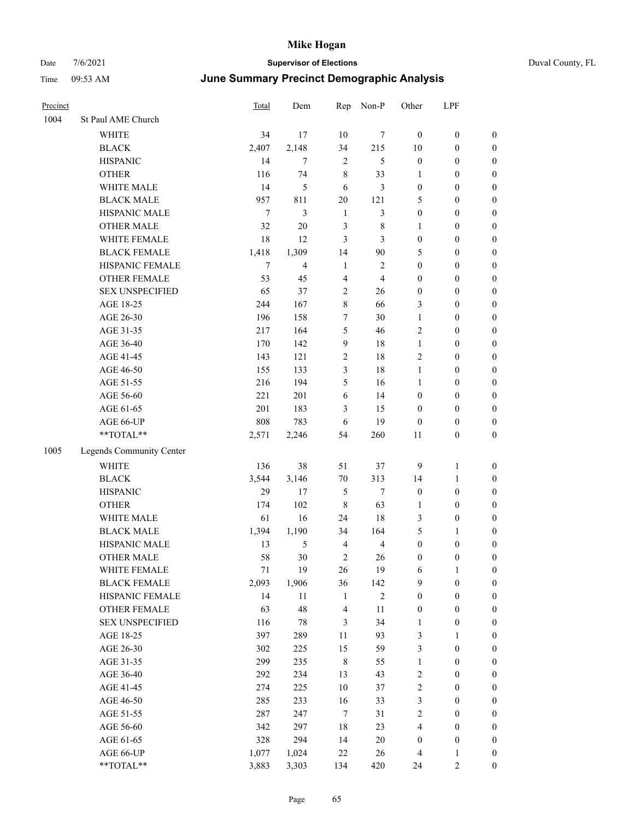| Precinct |                          | <b>Total</b>   | Dem            | Rep            | Non-P          | Other                | LPF                 |                                      |
|----------|--------------------------|----------------|----------------|----------------|----------------|----------------------|---------------------|--------------------------------------|
| 1004     | St Paul AME Church       |                |                |                |                |                      |                     |                                      |
|          | WHITE                    | 34             | 17             | 10             | $\tau$         | $\boldsymbol{0}$     | $\boldsymbol{0}$    | $\boldsymbol{0}$                     |
|          | <b>BLACK</b>             | 2,407          | 2,148          | 34             | 215            | 10                   | $\boldsymbol{0}$    | $\boldsymbol{0}$                     |
|          | <b>HISPANIC</b>          | 14             | 7              | $\overline{2}$ | 5              | $\boldsymbol{0}$     | $\boldsymbol{0}$    | $\boldsymbol{0}$                     |
|          | <b>OTHER</b>             | 116            | 74             | $\,8\,$        | 33             | 1                    | $\boldsymbol{0}$    | $\boldsymbol{0}$                     |
|          | WHITE MALE               | 14             | 5              | 6              | 3              | $\boldsymbol{0}$     | $\boldsymbol{0}$    | $\boldsymbol{0}$                     |
|          | <b>BLACK MALE</b>        | 957            | 811            | $20\,$         | 121            | 5                    | $\boldsymbol{0}$    | $\boldsymbol{0}$                     |
|          | HISPANIC MALE            | $\tau$         | 3              | $\mathbf{1}$   | 3              | $\boldsymbol{0}$     | $\boldsymbol{0}$    | $\boldsymbol{0}$                     |
|          | <b>OTHER MALE</b>        | 32             | 20             | 3              | 8              | $\mathbf{1}$         | $\boldsymbol{0}$    | $\boldsymbol{0}$                     |
|          | WHITE FEMALE             | 18             | 12             | 3              | 3              | $\boldsymbol{0}$     | $\boldsymbol{0}$    | $\boldsymbol{0}$                     |
|          | <b>BLACK FEMALE</b>      | 1,418          | 1,309          | 14             | 90             | 5                    | $\boldsymbol{0}$    | $\boldsymbol{0}$                     |
|          | HISPANIC FEMALE          | $\overline{7}$ | $\overline{4}$ | 1              | $\overline{2}$ | $\boldsymbol{0}$     | $\boldsymbol{0}$    | $\boldsymbol{0}$                     |
|          | <b>OTHER FEMALE</b>      | 53             | 45             | 4              | $\overline{4}$ | $\boldsymbol{0}$     | $\boldsymbol{0}$    | $\boldsymbol{0}$                     |
|          | <b>SEX UNSPECIFIED</b>   | 65             | 37             | $\overline{2}$ | 26             | $\mathbf{0}$         | $\boldsymbol{0}$    | $\boldsymbol{0}$                     |
|          | AGE 18-25                | 244            | 167            | $\,8\,$        | 66             | 3                    | $\boldsymbol{0}$    | $\boldsymbol{0}$                     |
|          | AGE 26-30                | 196            | 158            | 7              | 30             | 1                    | $\boldsymbol{0}$    | $\boldsymbol{0}$                     |
|          | AGE 31-35                | 217            | 164            | 5              | 46             | $\overline{2}$       | $\boldsymbol{0}$    | $\boldsymbol{0}$                     |
|          | AGE 36-40                | 170            | 142            | 9              | 18             | $\mathbf{1}$         | $\boldsymbol{0}$    | $\boldsymbol{0}$                     |
|          | AGE 41-45                | 143            | 121            | $\overline{c}$ | 18             | $\overline{2}$       | $\boldsymbol{0}$    | $\boldsymbol{0}$                     |
|          | AGE 46-50                | 155            | 133            | 3              | 18             | 1                    | $\boldsymbol{0}$    | $\boldsymbol{0}$                     |
|          | AGE 51-55                | 216            | 194            | 5              | 16             | 1                    | $\boldsymbol{0}$    | $\boldsymbol{0}$                     |
|          | AGE 56-60                | 221            | 201            | 6              | 14             | $\boldsymbol{0}$     | $\boldsymbol{0}$    | $\boldsymbol{0}$                     |
|          | AGE 61-65                | 201            | 183            | 3              | 15             | $\boldsymbol{0}$     | $\boldsymbol{0}$    | $\boldsymbol{0}$                     |
|          | AGE 66-UP                | 808            | 783            | 6              | 19             | $\mathbf{0}$         | $\boldsymbol{0}$    | $\boldsymbol{0}$                     |
|          | **TOTAL**                | 2,571          | 2,246          | 54             | 260            | 11                   | $\boldsymbol{0}$    | $\boldsymbol{0}$                     |
| 1005     | Legends Community Center |                |                |                |                |                      |                     |                                      |
|          | <b>WHITE</b>             | 136            | 38             | 51             | 37             | 9                    | $\mathbf{1}$        | $\boldsymbol{0}$                     |
|          | <b>BLACK</b>             | 3,544          | 3,146          | 70             | 313            | 14                   | 1                   | $\boldsymbol{0}$                     |
|          | <b>HISPANIC</b>          | 29             | 17             | 5              | $\tau$         | $\boldsymbol{0}$     | $\boldsymbol{0}$    | $\boldsymbol{0}$                     |
|          | <b>OTHER</b>             | 174            | 102            | 8              | 63             | 1                    | $\boldsymbol{0}$    | $\boldsymbol{0}$                     |
|          | WHITE MALE               | 61             | 16             | 24             | 18             | 3                    | $\boldsymbol{0}$    | $\boldsymbol{0}$                     |
|          | <b>BLACK MALE</b>        | 1,394          | 1,190          | 34             | 164            | 5                    | 1                   | $\boldsymbol{0}$                     |
|          | HISPANIC MALE            | 13             | 5              | $\overline{4}$ | 4              | $\boldsymbol{0}$     | $\boldsymbol{0}$    | $\boldsymbol{0}$                     |
|          | <b>OTHER MALE</b>        | 58             | 30             | $\overline{2}$ | 26             | $\boldsymbol{0}$     | $\boldsymbol{0}$    | $\boldsymbol{0}$                     |
|          | WHITE FEMALE             | 71             | 19             | $26\,$         | 19             | 6                    | $\mathbf{1}$        | $\boldsymbol{0}$                     |
|          | <b>BLACK FEMALE</b>      | 2,093          | 1,906          | 36             | 142            | 9                    | $\boldsymbol{0}$    | $\boldsymbol{0}$                     |
|          | HISPANIC FEMALE          | 14             | 11             | $\mathbf{1}$   | $\sqrt{2}$     | $\boldsymbol{0}$     | $\boldsymbol{0}$    | $\boldsymbol{0}$                     |
|          | <b>OTHER FEMALE</b>      | 63             | 48             | $\overline{4}$ | 11             | $\boldsymbol{0}$     | $\boldsymbol{0}$    | $\boldsymbol{0}$                     |
|          | <b>SEX UNSPECIFIED</b>   | 116            | 78             | 3              | 34             | $\mathbf{1}$         | $\boldsymbol{0}$    | $\boldsymbol{0}$                     |
|          | AGE 18-25                | 397            | 289            | 11             | 93             | $\mathfrak{Z}$       | 1                   | $\boldsymbol{0}$                     |
|          | AGE 26-30                | 302            | 225            | 15             | 59             | $\mathfrak{Z}$       | $\boldsymbol{0}$    | $\boldsymbol{0}$                     |
|          | AGE 31-35                | 299            | 235            | $\,8\,$        | 55             | $\mathbf{1}$         | $\boldsymbol{0}$    | $\boldsymbol{0}$                     |
|          | AGE 36-40                | 292            | 234            | 13             | 43             | $\sqrt{2}$           | $\boldsymbol{0}$    | $\boldsymbol{0}$                     |
|          | AGE 41-45                | 274            | 225            | $10\,$         | 37             | $\sqrt{2}$           | $\boldsymbol{0}$    | $\boldsymbol{0}$                     |
|          | AGE 46-50                | 285            | 233            | 16             | 33             | $\mathfrak{Z}$       | $\boldsymbol{0}$    | $\boldsymbol{0}$                     |
|          | AGE 51-55                | 287            | 247            | $\tau$         | 31             | $\sqrt{2}$           | $\boldsymbol{0}$    | $\boldsymbol{0}$                     |
|          | AGE 56-60                | 342            | 297            | 18             | 23             | $\overline{4}$       | $\boldsymbol{0}$    | $\boldsymbol{0}$                     |
|          | AGE 61-65                | 328<br>1,077   | 294            | 14             | $20\,$         | $\boldsymbol{0}$     | $\boldsymbol{0}$    | $\boldsymbol{0}$                     |
|          | AGE 66-UP<br>$**TOTAL**$ | 3,883          | 1,024<br>3,303 | 22<br>134      | 26<br>420      | $\overline{4}$<br>24 | 1<br>$\overline{2}$ | $\boldsymbol{0}$<br>$\boldsymbol{0}$ |
|          |                          |                |                |                |                |                      |                     |                                      |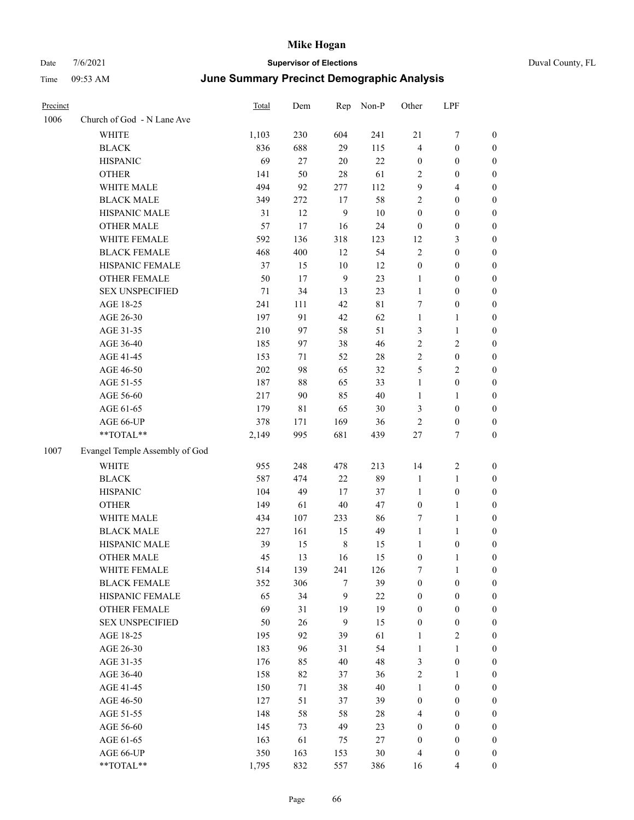| Duval County, FL |
|------------------|
|------------------|

| Precinct |                                | <b>Total</b> | Dem | Rep            | Non-P       | Other            | LPF              |                  |
|----------|--------------------------------|--------------|-----|----------------|-------------|------------------|------------------|------------------|
| 1006     | Church of God - N Lane Ave     |              |     |                |             |                  |                  |                  |
|          | <b>WHITE</b>                   | 1,103        | 230 | 604            | 241         | $21\,$           | $\boldsymbol{7}$ | $\boldsymbol{0}$ |
|          | <b>BLACK</b>                   | 836          | 688 | 29             | 115         | 4                | $\boldsymbol{0}$ | $\boldsymbol{0}$ |
|          | <b>HISPANIC</b>                | 69           | 27  | $20\,$         | 22          | $\boldsymbol{0}$ | $\boldsymbol{0}$ | $\boldsymbol{0}$ |
|          | <b>OTHER</b>                   | 141          | 50  | $28\,$         | 61          | 2                | $\boldsymbol{0}$ | $\boldsymbol{0}$ |
|          | WHITE MALE                     | 494          | 92  | 277            | 112         | 9                | $\overline{4}$   | $\boldsymbol{0}$ |
|          | <b>BLACK MALE</b>              | 349          | 272 | 17             | 58          | 2                | $\boldsymbol{0}$ | $\boldsymbol{0}$ |
|          | HISPANIC MALE                  | 31           | 12  | 9              | $10\,$      | $\boldsymbol{0}$ | $\boldsymbol{0}$ | $\boldsymbol{0}$ |
|          | <b>OTHER MALE</b>              | 57           | 17  | 16             | 24          | $\boldsymbol{0}$ | $\boldsymbol{0}$ | $\boldsymbol{0}$ |
|          | WHITE FEMALE                   | 592          | 136 | 318            | 123         | 12               | $\mathfrak{Z}$   | $\boldsymbol{0}$ |
|          | <b>BLACK FEMALE</b>            | 468          | 400 | 12             | 54          | $\overline{2}$   | $\boldsymbol{0}$ | $\boldsymbol{0}$ |
|          | HISPANIC FEMALE                | 37           | 15  | 10             | 12          | $\boldsymbol{0}$ | $\boldsymbol{0}$ | 0                |
|          | OTHER FEMALE                   | 50           | 17  | 9              | 23          | $\mathbf{1}$     | $\boldsymbol{0}$ | 0                |
|          | <b>SEX UNSPECIFIED</b>         | 71           | 34  | 13             | 23          | $\mathbf{1}$     | $\boldsymbol{0}$ | $\boldsymbol{0}$ |
|          | AGE 18-25                      | 241          | 111 | 42             | $8\sqrt{1}$ | 7                | $\boldsymbol{0}$ | $\boldsymbol{0}$ |
|          | AGE 26-30                      | 197          | 91  | 42             | 62          | $\mathbf{1}$     | $\mathbf{1}$     | $\boldsymbol{0}$ |
|          | AGE 31-35                      | 210          | 97  | 58             | 51          | 3                | $\mathbf{1}$     | $\boldsymbol{0}$ |
|          | AGE 36-40                      | 185          | 97  | 38             | 46          | $\overline{c}$   | $\sqrt{2}$       | $\boldsymbol{0}$ |
|          | AGE 41-45                      | 153          | 71  | 52             | 28          | $\mathfrak{2}$   | $\boldsymbol{0}$ | $\boldsymbol{0}$ |
|          | AGE 46-50                      | $202\,$      | 98  | 65             | 32          | 5                | $\mathfrak{2}$   | $\boldsymbol{0}$ |
|          | AGE 51-55                      | 187          | 88  | 65             | 33          | $\mathbf{1}$     | $\boldsymbol{0}$ | 0                |
|          | AGE 56-60                      | 217          | 90  | 85             | 40          | $\mathbf{1}$     | $\mathbf{1}$     | 0                |
|          | AGE 61-65                      | 179          | 81  | 65             | $30\,$      | 3                | $\boldsymbol{0}$ | 0                |
|          | AGE 66-UP                      | 378          | 171 | 169            | 36          | $\sqrt{2}$       | $\boldsymbol{0}$ | $\boldsymbol{0}$ |
|          | **TOTAL**                      | 2,149        | 995 | 681            | 439         | $27\,$           | $\tau$           | $\boldsymbol{0}$ |
| 1007     | Evangel Temple Assembly of God |              |     |                |             |                  |                  |                  |
|          | <b>WHITE</b>                   | 955          | 248 | 478            | 213         | 14               | $\overline{c}$   | $\boldsymbol{0}$ |
|          | <b>BLACK</b>                   | 587          | 474 | $22\,$         | 89          | $\mathbf{1}$     | $\mathbf{1}$     | $\boldsymbol{0}$ |
|          | <b>HISPANIC</b>                | 104          | 49  | 17             | 37          | $\mathbf{1}$     | $\boldsymbol{0}$ | $\boldsymbol{0}$ |
|          | <b>OTHER</b>                   | 149          | 61  | $40\,$         | 47          | $\boldsymbol{0}$ | $\mathbf{1}$     | $\boldsymbol{0}$ |
|          | WHITE MALE                     | 434          | 107 | 233            | 86          | 7                | $\mathbf{1}$     | $\boldsymbol{0}$ |
|          | <b>BLACK MALE</b>              | 227          | 161 | 15             | 49          | $\mathbf{1}$     | 1                | $\boldsymbol{0}$ |
|          | HISPANIC MALE                  | 39           | 15  | $\,$ 8 $\,$    | 15          | $\mathbf{1}$     | $\boldsymbol{0}$ | 0                |
|          | <b>OTHER MALE</b>              | 45           | 13  | 16             | 15          | 0                | 1                | $\boldsymbol{0}$ |
|          | WHITE FEMALE                   | 514          | 139 | 241            | 126         | 7                | $\mathbf{1}$     | 0                |
|          | <b>BLACK FEMALE</b>            | 352          | 306 | 7              | 39          | $\boldsymbol{0}$ | $\boldsymbol{0}$ | 0                |
|          | HISPANIC FEMALE                | 65           | 34  | 9              | 22          | $\boldsymbol{0}$ | $\boldsymbol{0}$ | $\boldsymbol{0}$ |
|          | <b>OTHER FEMALE</b>            | 69           | 31  | 19             | 19          | $\boldsymbol{0}$ | $\boldsymbol{0}$ | $\overline{0}$   |
|          | <b>SEX UNSPECIFIED</b>         | 50           | 26  | $\overline{9}$ | 15          | $\boldsymbol{0}$ | $\boldsymbol{0}$ | 0                |
|          | AGE 18-25                      | 195          | 92  | 39             | 61          | $\mathbf{1}$     | $\sqrt{2}$       | 0                |
|          | AGE 26-30                      | 183          | 96  | 31             | 54          | $\mathbf{1}$     | $\mathbf{1}$     | 0                |
|          | AGE 31-35                      | 176          | 85  | 40             | 48          | 3                | $\boldsymbol{0}$ | 0                |
|          | AGE 36-40                      | 158          | 82  | 37             | 36          | $\sqrt{2}$       | $\mathbf{1}$     | 0                |
|          | AGE 41-45                      | 150          | 71  | 38             | 40          | $\mathbf{1}$     | $\boldsymbol{0}$ | 0                |
|          | AGE 46-50                      | 127          | 51  | 37             | 39          | $\boldsymbol{0}$ | $\boldsymbol{0}$ | 0                |
|          | AGE 51-55                      | 148          | 58  | 58             | 28          | 4                | $\boldsymbol{0}$ | $\boldsymbol{0}$ |
|          | AGE 56-60                      | 145          | 73  | 49             | 23          | $\boldsymbol{0}$ | $\boldsymbol{0}$ | $\boldsymbol{0}$ |
|          | AGE 61-65                      | 163          | 61  | 75             | 27          | $\boldsymbol{0}$ | $\boldsymbol{0}$ | $\overline{0}$   |
|          | AGE 66-UP                      | 350          | 163 | 153            | $30\,$      | $\overline{4}$   | $\boldsymbol{0}$ | 0                |
|          | $**TOTAL**$                    | 1,795        | 832 | 557            | 386         | 16               | $\overline{4}$   | $\overline{0}$   |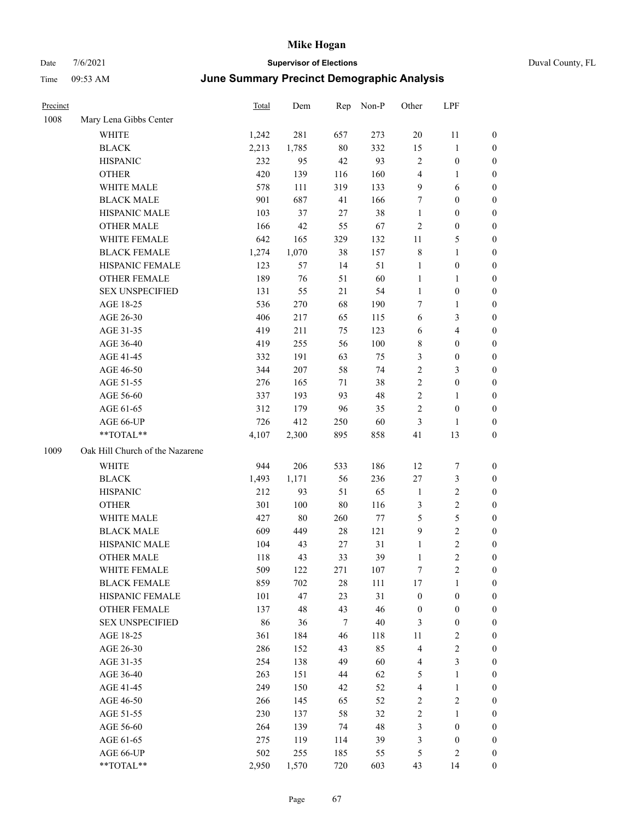# Date 7/6/2021 **Supervisor of Elections** Duval County, FL Time 09:53 AM **June Summary Precinct Demographic Analysis**

| Precinct |                                 | Total | Dem     | Rep    | Non-P   | Other            | LPF                     |                  |
|----------|---------------------------------|-------|---------|--------|---------|------------------|-------------------------|------------------|
| 1008     | Mary Lena Gibbs Center          |       |         |        |         |                  |                         |                  |
|          | <b>WHITE</b>                    | 1,242 | 281     | 657    | 273     | 20               | 11                      | $\boldsymbol{0}$ |
|          | <b>BLACK</b>                    | 2,213 | 1,785   | $80\,$ | 332     | 15               | $\mathbf{1}$            | $\boldsymbol{0}$ |
|          | <b>HISPANIC</b>                 | 232   | 95      | $42\,$ | 93      | 2                | $\boldsymbol{0}$        | $\boldsymbol{0}$ |
|          | <b>OTHER</b>                    | 420   | 139     | 116    | 160     | 4                | $\mathbf{1}$            | $\boldsymbol{0}$ |
|          | WHITE MALE                      | 578   | 111     | 319    | 133     | 9                | 6                       | $\boldsymbol{0}$ |
|          | <b>BLACK MALE</b>               | 901   | 687     | 41     | 166     | 7                | $\boldsymbol{0}$        | $\boldsymbol{0}$ |
|          | HISPANIC MALE                   | 103   | 37      | $27\,$ | 38      | $\mathbf{1}$     | $\boldsymbol{0}$        | 0                |
|          | <b>OTHER MALE</b>               | 166   | 42      | 55     | 67      | $\overline{c}$   | $\boldsymbol{0}$        | 0                |
|          | WHITE FEMALE                    | 642   | 165     | 329    | 132     | 11               | 5                       | 0                |
|          | <b>BLACK FEMALE</b>             | 1,274 | 1,070   | 38     | 157     | 8                | $\mathbf{1}$            | $\boldsymbol{0}$ |
|          | HISPANIC FEMALE                 | 123   | 57      | 14     | 51      | $\mathbf{1}$     | $\boldsymbol{0}$        | $\boldsymbol{0}$ |
|          | OTHER FEMALE                    | 189   | 76      | 51     | 60      | $\mathbf{1}$     | $\mathbf{1}$            | $\boldsymbol{0}$ |
|          | <b>SEX UNSPECIFIED</b>          | 131   | 55      | 21     | 54      | $\mathbf{1}$     | $\boldsymbol{0}$        | $\boldsymbol{0}$ |
|          | AGE 18-25                       | 536   | 270     | 68     | 190     | 7                | $\mathbf{1}$            | $\boldsymbol{0}$ |
|          | AGE 26-30                       | 406   | 217     | 65     | 115     | 6                | $\mathfrak{Z}$          | $\boldsymbol{0}$ |
|          | AGE 31-35                       | 419   | 211     | 75     | 123     | 6                | $\overline{\mathbf{4}}$ | $\boldsymbol{0}$ |
|          | AGE 36-40                       | 419   | 255     | 56     | 100     | 8                | $\boldsymbol{0}$        | $\boldsymbol{0}$ |
|          | AGE 41-45                       | 332   | 191     | 63     | 75      | 3                | $\boldsymbol{0}$        | 0                |
|          | AGE 46-50                       | 344   | 207     | 58     | 74      | $\sqrt{2}$       | 3                       | 0                |
|          | AGE 51-55                       | 276   | 165     | 71     | 38      | $\sqrt{2}$       | $\boldsymbol{0}$        | $\boldsymbol{0}$ |
|          | AGE 56-60                       | 337   | 193     | 93     | 48      | $\overline{c}$   | 1                       | $\boldsymbol{0}$ |
|          | AGE 61-65                       | 312   | 179     | 96     | 35      | 2                | $\boldsymbol{0}$        | $\boldsymbol{0}$ |
|          | AGE 66-UP                       | 726   | 412     | 250    | 60      | 3                | 1                       | $\boldsymbol{0}$ |
|          | **TOTAL**                       | 4,107 | 2,300   | 895    | 858     | 41               | 13                      | $\boldsymbol{0}$ |
| 1009     | Oak Hill Church of the Nazarene |       |         |        |         |                  |                         |                  |
|          | WHITE                           | 944   | 206     | 533    | 186     | 12               | $\boldsymbol{7}$        | $\boldsymbol{0}$ |
|          | <b>BLACK</b>                    | 1,493 | 1,171   | 56     | 236     | 27               | $\mathfrak{Z}$          | $\boldsymbol{0}$ |
|          | <b>HISPANIC</b>                 | 212   | 93      | 51     | 65      | $\mathbf{1}$     | $\sqrt{2}$              | $\boldsymbol{0}$ |
|          | <b>OTHER</b>                    | 301   | $100\,$ | $80\,$ | 116     | 3                | $\sqrt{2}$              | $\boldsymbol{0}$ |
|          | WHITE MALE                      | 427   | $80\,$  | 260    | $77 \,$ | 5                | $\mathfrak s$           | 0                |
|          | <b>BLACK MALE</b>               | 609   | 449     | 28     | 121     | 9                | $\sqrt{2}$              | 0                |
|          | HISPANIC MALE                   | 104   | 43      | 27     | 31      | 1                | $\sqrt{2}$              | 0                |
|          | <b>OTHER MALE</b>               | 118   | 43      | 33     | 39      | $\mathbf{1}$     | $\overline{c}$          | $\boldsymbol{0}$ |
|          | WHITE FEMALE                    | 509   | 122     | 271    | 107     | 7                | $\sqrt{2}$              | $\boldsymbol{0}$ |
|          | <b>BLACK FEMALE</b>             | 859   | 702     | $28\,$ | 111     | 17               | $\mathbf{1}$            | $\overline{0}$   |
|          | HISPANIC FEMALE                 | 101   | 47      | 23     | 31      | $\boldsymbol{0}$ | $\boldsymbol{0}$        | $\theta$         |
|          | <b>OTHER FEMALE</b>             | 137   | 48      | 43     | 46      | $\boldsymbol{0}$ | $\boldsymbol{0}$        | $\overline{0}$   |
|          | <b>SEX UNSPECIFIED</b>          | 86    | 36      | $\tau$ | $40\,$  | 3                | $\boldsymbol{0}$        | 0                |
|          | AGE 18-25                       | 361   | 184     | 46     | 118     | 11               | $\sqrt{2}$              | 0                |
|          | AGE 26-30                       | 286   | 152     | 43     | 85      | $\overline{4}$   | $\boldsymbol{2}$        | 0                |
|          | AGE 31-35                       | 254   | 138     | 49     | 60      | 4                | $\mathfrak{Z}$          | 0                |
|          | AGE 36-40                       | 263   | 151     | 44     | 62      | 5                | $\mathbf{1}$            | $\boldsymbol{0}$ |
|          | AGE 41-45                       | 249   | 150     | 42     | 52      | 4                | $\mathbf{1}$            | $\boldsymbol{0}$ |
|          | AGE 46-50                       | 266   | 145     | 65     | 52      | 2                | $\sqrt{2}$              | $\overline{0}$   |
|          | AGE 51-55                       | 230   | 137     | 58     | 32      | $\sqrt{2}$       | $\mathbf{1}$            | $\boldsymbol{0}$ |
|          | AGE 56-60                       | 264   | 139     | 74     | 48      | $\mathfrak{Z}$   | $\boldsymbol{0}$        | $\overline{0}$   |
|          | AGE 61-65                       | 275   | 119     | 114    | 39      | 3                | $\boldsymbol{0}$        | $\boldsymbol{0}$ |
|          | AGE 66-UP                       | 502   | 255     | 185    | 55      | 5                | $\overline{2}$          | $\boldsymbol{0}$ |

\*\*TOTAL\*\* 2,950 1,570 720 603 43 14 0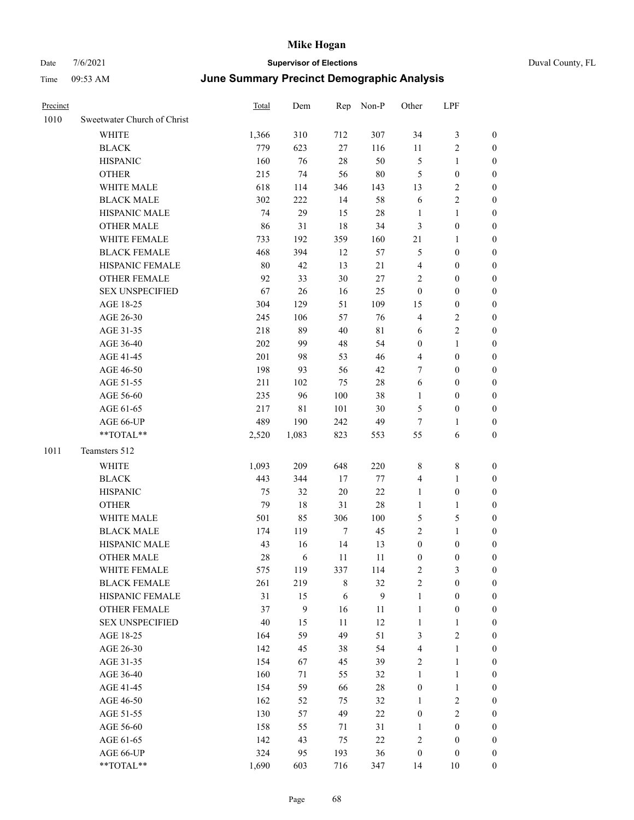| Duval County, FL |  |
|------------------|--|
|                  |  |

| Precinct |                             | <b>Total</b> | Dem         | Rep     | Non-P       | Other            | LPF              |                  |
|----------|-----------------------------|--------------|-------------|---------|-------------|------------------|------------------|------------------|
| 1010     | Sweetwater Church of Christ |              |             |         |             |                  |                  |                  |
|          | <b>WHITE</b>                | 1,366        | 310         | 712     | 307         | 34               | 3                | $\boldsymbol{0}$ |
|          | <b>BLACK</b>                | 779          | 623         | $27\,$  | 116         | 11               | $\sqrt{2}$       | 0                |
|          | <b>HISPANIC</b>             | 160          | 76          | 28      | 50          | 5                | $\mathbf{1}$     | 0                |
|          | <b>OTHER</b>                | 215          | 74          | 56      | $80\,$      | 5                | $\boldsymbol{0}$ | 0                |
|          | WHITE MALE                  | 618          | 114         | 346     | 143         | 13               | $\sqrt{2}$       | 0                |
|          | <b>BLACK MALE</b>           | 302          | 222         | 14      | 58          | 6                | $\sqrt{2}$       | $\boldsymbol{0}$ |
|          | HISPANIC MALE               | 74           | 29          | 15      | 28          | $\mathbf{1}$     | $\mathbf{1}$     | $\boldsymbol{0}$ |
|          | <b>OTHER MALE</b>           | 86           | 31          | 18      | 34          | 3                | $\boldsymbol{0}$ | $\boldsymbol{0}$ |
|          | WHITE FEMALE                | 733          | 192         | 359     | 160         | $21\,$           | $\mathbf{1}$     | $\boldsymbol{0}$ |
|          | <b>BLACK FEMALE</b>         | 468          | 394         | 12      | 57          | 5                | $\boldsymbol{0}$ | $\boldsymbol{0}$ |
|          | HISPANIC FEMALE             | 80           | 42          | 13      | 21          | 4                | $\boldsymbol{0}$ | $\boldsymbol{0}$ |
|          | OTHER FEMALE                | 92           | 33          | $30\,$  | $27\,$      | $\overline{c}$   | $\boldsymbol{0}$ | $\boldsymbol{0}$ |
|          | <b>SEX UNSPECIFIED</b>      | 67           | 26          | 16      | 25          | $\boldsymbol{0}$ | $\boldsymbol{0}$ | 0                |
|          | AGE 18-25                   | 304          | 129         | 51      | 109         | 15               | $\boldsymbol{0}$ | 0                |
|          | AGE 26-30                   | 245          | 106         | 57      | 76          | 4                | $\sqrt{2}$       | 0                |
|          | AGE 31-35                   | 218          | 89          | 40      | $8\sqrt{1}$ | 6                | $\sqrt{2}$       | $\boldsymbol{0}$ |
|          | AGE 36-40                   | 202          | 99          | $48\,$  | 54          | $\boldsymbol{0}$ | $\mathbf{1}$     | $\boldsymbol{0}$ |
|          | AGE 41-45                   | 201          | 98          | 53      | 46          | $\overline{4}$   | $\boldsymbol{0}$ | $\boldsymbol{0}$ |
|          | AGE 46-50                   | 198          | 93          | 56      | 42          | 7                | $\boldsymbol{0}$ | $\boldsymbol{0}$ |
|          | AGE 51-55                   | 211          | 102         | 75      | $28\,$      | 6                | $\boldsymbol{0}$ | $\boldsymbol{0}$ |
|          | AGE 56-60                   | 235          | 96          | 100     | 38          | $\mathbf{1}$     | $\boldsymbol{0}$ | 0                |
|          | AGE 61-65                   | 217          | $8\sqrt{1}$ | 101     | $30\,$      | 5                | $\boldsymbol{0}$ | 0                |
|          | AGE 66-UP                   | 489          | 190         | 242     | 49          | 7                | $\mathbf{1}$     | 0                |
|          | **TOTAL**                   | 2,520        | 1,083       | 823     | 553         | 55               | 6                | 0                |
| 1011     | Teamsters 512               |              |             |         |             |                  |                  |                  |
|          | <b>WHITE</b>                | 1,093        | 209         | 648     | 220         | 8                | 8                | 0                |
|          | <b>BLACK</b>                | 443          | 344         | 17      | 77          | $\overline{4}$   | $\mathbf{1}$     | $\boldsymbol{0}$ |
|          | <b>HISPANIC</b>             | 75           | 32          | 20      | $22\,$      | 1                | $\boldsymbol{0}$ | 0                |
|          | <b>OTHER</b>                | 79           | 18          | 31      | 28          | $\mathbf{1}$     | $\mathbf{1}$     | $\boldsymbol{0}$ |
|          | WHITE MALE                  | 501          | 85          | 306     | 100         | 5                | $\mathfrak{S}$   | 0                |
|          | <b>BLACK MALE</b>           | 174          | 119         | $\tau$  | 45          | $\overline{c}$   | $\mathbf{1}$     | $\boldsymbol{0}$ |
|          | HISPANIC MALE               | 43           | 16          | 14      | 13          | $\boldsymbol{0}$ | $\boldsymbol{0}$ | 0                |
|          | <b>OTHER MALE</b>           | 28           | 6           | 11      | 11          | $\boldsymbol{0}$ | $\boldsymbol{0}$ | $\boldsymbol{0}$ |
|          | WHITE FEMALE                | 575          | 119         | 337     | 114         | $\sqrt{2}$       | $\mathfrak{Z}$   | 0                |
|          | <b>BLACK FEMALE</b>         | 261          | 219         | $\,8\,$ | 32          | $\sqrt{2}$       | $\boldsymbol{0}$ | 0                |
|          | HISPANIC FEMALE             | 31           | 15          | 6       | 9           | $\mathbf{1}$     | $\boldsymbol{0}$ | 0                |
|          | OTHER FEMALE                | 37           | 9           | 16      | 11          | $\mathbf{1}$     | $\boldsymbol{0}$ | 0                |
|          | <b>SEX UNSPECIFIED</b>      | 40           | 15          | $11\,$  | 12          | $\mathbf{1}$     | $\mathbf{1}$     | 0                |
|          | AGE 18-25                   | 164          | 59          | 49      | 51          | 3                | $\sqrt{2}$       | 0                |
|          | AGE 26-30                   | 142          | 45          | 38      | 54          | $\overline{4}$   | $\mathbf{1}$     | 0                |
|          | AGE 31-35                   | 154          | 67          | 45      | 39          | $\sqrt{2}$       | $\mathbf{1}$     | 0                |
|          | AGE 36-40                   | 160          | 71          | 55      | 32          | $\mathbf{1}$     | $\mathbf{1}$     | 0                |
|          | AGE 41-45                   | 154          | 59          | 66      | $28\,$      | $\boldsymbol{0}$ | $\mathbf{1}$     | 0                |
|          | AGE 46-50                   | 162          | 52          | 75      | 32          | $\mathbf{1}$     | $\sqrt{2}$       | 0                |
|          | AGE 51-55                   | 130          | 57          | 49      | $22\,$      | $\boldsymbol{0}$ | $\sqrt{2}$       | 0                |
|          | AGE 56-60                   | 158          | 55          | 71      | 31          | $\mathbf{1}$     | $\boldsymbol{0}$ | 0                |
|          | AGE 61-65                   | 142          | 43          | 75      | $22\,$      | $\sqrt{2}$       | $\boldsymbol{0}$ | $\boldsymbol{0}$ |
|          | AGE 66-UP                   | 324          | 95          | 193     | 36          | $\boldsymbol{0}$ | $\boldsymbol{0}$ | 0                |
|          | $**TOTAL**$                 | 1,690        | 603         | 716     | 347         | 14               | $10\,$           | $\boldsymbol{0}$ |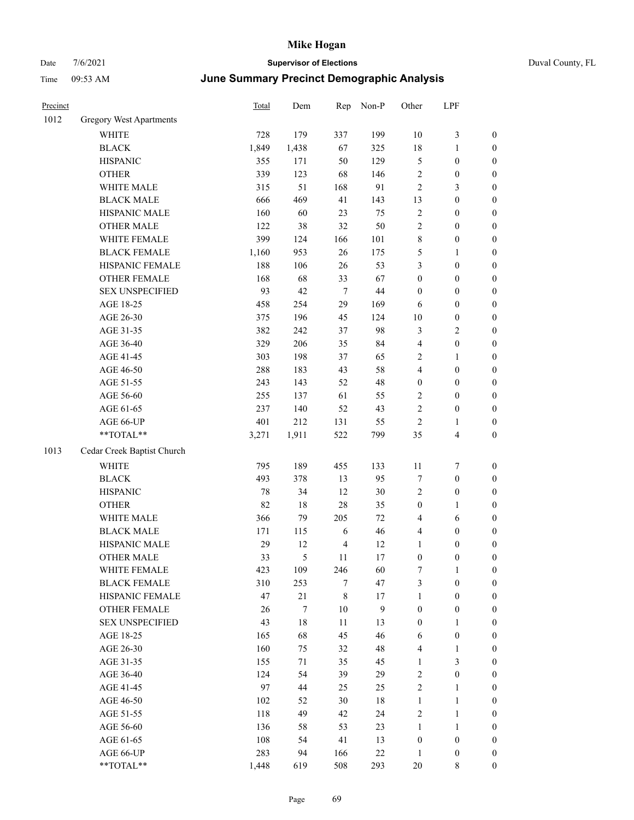| Precinct |                            | Total | Dem    | Rep            | Non-P  | Other            | LPF              |                  |
|----------|----------------------------|-------|--------|----------------|--------|------------------|------------------|------------------|
| 1012     | Gregory West Apartments    |       |        |                |        |                  |                  |                  |
|          | WHITE                      | 728   | 179    | 337            | 199    | 10               | 3                | $\boldsymbol{0}$ |
|          | <b>BLACK</b>               | 1,849 | 1,438  | 67             | 325    | 18               | 1                | $\boldsymbol{0}$ |
|          | <b>HISPANIC</b>            | 355   | 171    | 50             | 129    | $\mathfrak{S}$   | $\boldsymbol{0}$ | $\boldsymbol{0}$ |
|          | <b>OTHER</b>               | 339   | 123    | 68             | 146    | $\sqrt{2}$       | $\boldsymbol{0}$ | $\boldsymbol{0}$ |
|          | WHITE MALE                 | 315   | 51     | 168            | 91     | $\overline{2}$   | 3                | $\boldsymbol{0}$ |
|          | <b>BLACK MALE</b>          | 666   | 469    | 41             | 143    | 13               | $\boldsymbol{0}$ | $\boldsymbol{0}$ |
|          | HISPANIC MALE              | 160   | 60     | 23             | 75     | $\sqrt{2}$       | $\boldsymbol{0}$ | $\boldsymbol{0}$ |
|          | <b>OTHER MALE</b>          | 122   | 38     | 32             | 50     | $\overline{2}$   | $\boldsymbol{0}$ | $\boldsymbol{0}$ |
|          | WHITE FEMALE               | 399   | 124    | 166            | 101    | $\,8\,$          | $\boldsymbol{0}$ | $\boldsymbol{0}$ |
|          | <b>BLACK FEMALE</b>        | 1,160 | 953    | 26             | 175    | 5                | 1                | $\boldsymbol{0}$ |
|          | HISPANIC FEMALE            | 188   | 106    | $26\,$         | 53     | $\mathfrak{Z}$   | $\boldsymbol{0}$ | $\boldsymbol{0}$ |
|          | <b>OTHER FEMALE</b>        | 168   | 68     | 33             | 67     | $\boldsymbol{0}$ | $\boldsymbol{0}$ | $\boldsymbol{0}$ |
|          | <b>SEX UNSPECIFIED</b>     | 93    | 42     | $\overline{7}$ | 44     | $\boldsymbol{0}$ | $\boldsymbol{0}$ | $\boldsymbol{0}$ |
|          | AGE 18-25                  | 458   | 254    | 29             | 169    | 6                | $\boldsymbol{0}$ | $\boldsymbol{0}$ |
|          | AGE 26-30                  | 375   | 196    | 45             | 124    | 10               | $\boldsymbol{0}$ | $\boldsymbol{0}$ |
|          | AGE 31-35                  | 382   | 242    | 37             | 98     | $\mathfrak{Z}$   | 2                | $\boldsymbol{0}$ |
|          | AGE 36-40                  | 329   | 206    | 35             | 84     | $\overline{4}$   | $\boldsymbol{0}$ | $\boldsymbol{0}$ |
|          | AGE 41-45                  | 303   | 198    | 37             | 65     | $\overline{2}$   | 1                | $\boldsymbol{0}$ |
|          | AGE 46-50                  | 288   | 183    | 43             | 58     | $\overline{4}$   | $\boldsymbol{0}$ | $\boldsymbol{0}$ |
|          | AGE 51-55                  | 243   | 143    | 52             | 48     | $\boldsymbol{0}$ | $\boldsymbol{0}$ | $\boldsymbol{0}$ |
|          | AGE 56-60                  | 255   | 137    | 61             | 55     | $\sqrt{2}$       | $\boldsymbol{0}$ | $\boldsymbol{0}$ |
|          | AGE 61-65                  | 237   | 140    | 52             | 43     | $\sqrt{2}$       | $\boldsymbol{0}$ | $\boldsymbol{0}$ |
|          | AGE 66-UP                  | 401   | 212    | 131            | 55     | $\overline{2}$   | 1                | $\boldsymbol{0}$ |
|          | **TOTAL**                  | 3,271 | 1,911  | 522            | 799    | 35               | 4                | $\boldsymbol{0}$ |
| 1013     | Cedar Creek Baptist Church |       |        |                |        |                  |                  |                  |
|          | <b>WHITE</b>               | 795   | 189    | 455            | 133    | 11               | 7                | $\boldsymbol{0}$ |
|          | <b>BLACK</b>               | 493   | 378    | 13             | 95     | $\tau$           | $\boldsymbol{0}$ | $\boldsymbol{0}$ |
|          | <b>HISPANIC</b>            | 78    | 34     | 12             | 30     | $\overline{2}$   | $\boldsymbol{0}$ | $\boldsymbol{0}$ |
|          | <b>OTHER</b>               | 82    | 18     | $28\,$         | 35     | $\boldsymbol{0}$ | 1                | $\boldsymbol{0}$ |
|          | WHITE MALE                 | 366   | 79     | 205            | 72     | $\overline{4}$   | 6                | $\boldsymbol{0}$ |
|          | <b>BLACK MALE</b>          | 171   | 115    | 6              | 46     | $\overline{4}$   | $\boldsymbol{0}$ | $\boldsymbol{0}$ |
|          | HISPANIC MALE              | 29    | 12     | $\overline{4}$ | 12     | 1                | $\boldsymbol{0}$ | $\boldsymbol{0}$ |
|          | <b>OTHER MALE</b>          | 33    | 5      | 11             | 17     | $\boldsymbol{0}$ | $\boldsymbol{0}$ | $\boldsymbol{0}$ |
|          | WHITE FEMALE               | 423   | 109    | 246            | 60     | $\boldsymbol{7}$ | $\mathbf{1}$     | $\boldsymbol{0}$ |
|          | <b>BLACK FEMALE</b>        | 310   | 253    | $\tau$         | 47     | $\mathfrak{Z}$   | $\boldsymbol{0}$ | $\boldsymbol{0}$ |
|          | HISPANIC FEMALE            | 47    | 21     | $\,$ 8 $\,$    | 17     | $\mathbf{1}$     | $\boldsymbol{0}$ | $\boldsymbol{0}$ |
|          | <b>OTHER FEMALE</b>        | 26    | $\tau$ | $10\,$         | 9      | $\boldsymbol{0}$ | $\boldsymbol{0}$ | $\boldsymbol{0}$ |
|          | <b>SEX UNSPECIFIED</b>     | 43    | $18\,$ | 11             | 13     | $\boldsymbol{0}$ | $\mathbf{1}$     | $\boldsymbol{0}$ |
|          | AGE 18-25                  | 165   | 68     | 45             | 46     | 6                | $\boldsymbol{0}$ | $\boldsymbol{0}$ |
|          | AGE 26-30                  | 160   | 75     | 32             | 48     | $\overline{4}$   | $\mathbf{1}$     | $\boldsymbol{0}$ |
|          | AGE 31-35                  | 155   | 71     | 35             | 45     | $\mathbf{1}$     | 3                | $\boldsymbol{0}$ |
|          | AGE 36-40                  | 124   | 54     | 39             | 29     | $\sqrt{2}$       | $\boldsymbol{0}$ | $\boldsymbol{0}$ |
|          | AGE 41-45                  | 97    | 44     | 25             | 25     | $\sqrt{2}$       | 1                | $\boldsymbol{0}$ |
|          | AGE 46-50                  | 102   | 52     | 30             | 18     | $\mathbf{1}$     | 1                | $\boldsymbol{0}$ |
|          | AGE 51-55                  | 118   | 49     | 42             | 24     | $\sqrt{2}$       | 1                | $\boldsymbol{0}$ |
|          | AGE 56-60                  | 136   | 58     | 53             | 23     | $\mathbf{1}$     | 1                | $\boldsymbol{0}$ |
|          | AGE 61-65                  | 108   | 54     | 41             | 13     | $\boldsymbol{0}$ | $\boldsymbol{0}$ | $\boldsymbol{0}$ |
|          | AGE 66-UP                  | 283   | 94     | 166            | $22\,$ | $\mathbf{1}$     | $\boldsymbol{0}$ | $\boldsymbol{0}$ |
|          | **TOTAL**                  | 1.448 | 619    | 508            | 293    | 20               | 8                | $\overline{0}$   |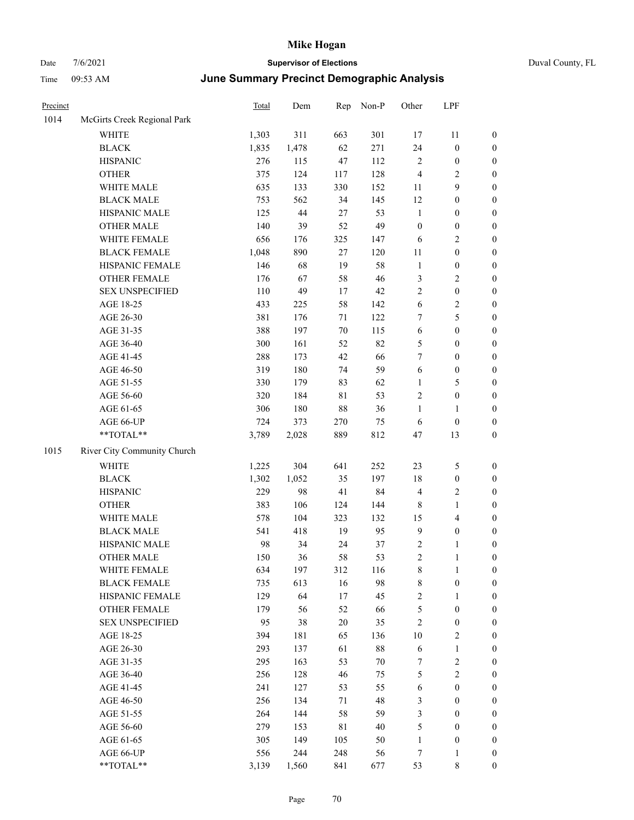| Duval County, FL |  |
|------------------|--|
|                  |  |

| Precinct |                             | <b>Total</b> | Dem   | Rep         | Non-P  | Other            | LPF              |                  |
|----------|-----------------------------|--------------|-------|-------------|--------|------------------|------------------|------------------|
| 1014     | McGirts Creek Regional Park |              |       |             |        |                  |                  |                  |
|          | WHITE                       | 1,303        | 311   | 663         | 301    | 17               | 11               | $\boldsymbol{0}$ |
|          | <b>BLACK</b>                | 1,835        | 1,478 | 62          | 271    | 24               | $\boldsymbol{0}$ | $\boldsymbol{0}$ |
|          | <b>HISPANIC</b>             | 276          | 115   | 47          | 112    | $\sqrt{2}$       | $\boldsymbol{0}$ | $\boldsymbol{0}$ |
|          | <b>OTHER</b>                | 375          | 124   | 117         | 128    | $\overline{4}$   | $\sqrt{2}$       | $\boldsymbol{0}$ |
|          | WHITE MALE                  | 635          | 133   | 330         | 152    | 11               | $\boldsymbol{9}$ | $\boldsymbol{0}$ |
|          | <b>BLACK MALE</b>           | 753          | 562   | 34          | 145    | 12               | $\boldsymbol{0}$ | $\boldsymbol{0}$ |
|          | HISPANIC MALE               | 125          | 44    | $27\,$      | 53     | $\mathbf{1}$     | $\boldsymbol{0}$ | $\boldsymbol{0}$ |
|          | <b>OTHER MALE</b>           | 140          | 39    | 52          | 49     | $\boldsymbol{0}$ | $\boldsymbol{0}$ | $\boldsymbol{0}$ |
|          | WHITE FEMALE                | 656          | 176   | 325         | 147    | 6                | $\sqrt{2}$       | $\boldsymbol{0}$ |
|          | <b>BLACK FEMALE</b>         | 1,048        | 890   | $27\,$      | 120    | $11\,$           | $\boldsymbol{0}$ | $\boldsymbol{0}$ |
|          | HISPANIC FEMALE             | 146          | 68    | 19          | 58     | $\mathbf{1}$     | $\boldsymbol{0}$ | $\boldsymbol{0}$ |
|          | OTHER FEMALE                | 176          | 67    | 58          | 46     | 3                | $\sqrt{2}$       | $\boldsymbol{0}$ |
|          | <b>SEX UNSPECIFIED</b>      | 110          | 49    | 17          | 42     | $\mathbf{2}$     | $\boldsymbol{0}$ | $\boldsymbol{0}$ |
|          | AGE 18-25                   | 433          | 225   | 58          | 142    | 6                | $\sqrt{2}$       | $\boldsymbol{0}$ |
|          | AGE 26-30                   | 381          | 176   | 71          | 122    | 7                | 5                | $\boldsymbol{0}$ |
|          | AGE 31-35                   | 388          | 197   | 70          | 115    | $\sqrt{6}$       | $\boldsymbol{0}$ | $\boldsymbol{0}$ |
|          | AGE 36-40                   | 300          | 161   | 52          | 82     | $\mathfrak{S}$   | $\boldsymbol{0}$ | $\boldsymbol{0}$ |
|          | AGE 41-45                   | 288          | 173   | 42          | 66     | 7                | $\boldsymbol{0}$ | $\boldsymbol{0}$ |
|          | AGE 46-50                   | 319          | 180   | 74          | 59     | 6                | $\boldsymbol{0}$ | $\boldsymbol{0}$ |
|          | AGE 51-55                   | 330          | 179   | 83          | 62     | $\mathbf{1}$     | 5                | $\boldsymbol{0}$ |
|          | AGE 56-60                   | 320          | 184   | $8\sqrt{1}$ | 53     | $\sqrt{2}$       | $\boldsymbol{0}$ | $\boldsymbol{0}$ |
|          | AGE 61-65                   | 306          | 180   | $88\,$      | 36     | $\mathbf{1}$     | $\mathbf{1}$     | $\boldsymbol{0}$ |
|          | AGE 66-UP                   | 724          | 373   | 270         | 75     | 6                | $\boldsymbol{0}$ | $\boldsymbol{0}$ |
|          | **TOTAL**                   | 3,789        | 2,028 | 889         | 812    | 47               | 13               | $\boldsymbol{0}$ |
| 1015     | River City Community Church |              |       |             |        |                  |                  |                  |
|          | WHITE                       | 1,225        | 304   | 641         | 252    | 23               | $\mathfrak{S}$   | $\boldsymbol{0}$ |
|          | <b>BLACK</b>                | 1,302        | 1,052 | 35          | 197    | 18               | $\boldsymbol{0}$ | $\boldsymbol{0}$ |
|          | <b>HISPANIC</b>             | 229          | 98    | 41          | 84     | $\overline{4}$   | $\sqrt{2}$       | 0                |
|          | <b>OTHER</b>                | 383          | 106   | 124         | 144    | 8                | $\mathbf{1}$     | $\boldsymbol{0}$ |
|          | WHITE MALE                  | 578          | 104   | 323         | 132    | 15               | $\overline{4}$   | $\boldsymbol{0}$ |
|          | <b>BLACK MALE</b>           | 541          | 418   | 19          | 95     | 9                | $\boldsymbol{0}$ | $\boldsymbol{0}$ |
|          | HISPANIC MALE               | 98           | 34    | 24          | 37     | 2                | 1                | $\boldsymbol{0}$ |
|          | <b>OTHER MALE</b>           | 150          | 36    | 58          | 53     | $\overline{c}$   | $\mathbf{1}$     | $\boldsymbol{0}$ |
|          | WHITE FEMALE                | 634          | 197   | 312         | 116    | $\,$ 8 $\,$      | $\mathbf{1}$     | $\overline{0}$   |
|          | <b>BLACK FEMALE</b>         | 735          | 613   | 16          | 98     | 8                | $\boldsymbol{0}$ | $\overline{0}$   |
|          | HISPANIC FEMALE             | 129          | 64    | $17\,$      | 45     | $\sqrt{2}$       | $\mathbf{1}$     | 0                |
|          | <b>OTHER FEMALE</b>         | 179          | 56    | 52          | 66     | 5                | $\boldsymbol{0}$ | 0                |
|          | <b>SEX UNSPECIFIED</b>      | 95           | 38    | $20\,$      | 35     | $\sqrt{2}$       | $\boldsymbol{0}$ | 0                |
|          | AGE 18-25                   | 394          | 181   | 65          | 136    | 10               | $\sqrt{2}$       | 0                |
|          | AGE 26-30                   | 293          | 137   | 61          | $88\,$ | 6                | $\mathbf{1}$     | $\boldsymbol{0}$ |
|          | AGE 31-35                   | 295          | 163   | 53          | 70     | 7                | $\sqrt{2}$       | $\boldsymbol{0}$ |
|          | AGE 36-40                   | 256          | 128   | 46          | 75     | 5                | $\sqrt{2}$       | $\overline{0}$   |
|          | AGE 41-45                   | 241          | 127   | 53          | 55     | 6                | $\boldsymbol{0}$ | $\overline{0}$   |
|          | AGE 46-50                   | 256          | 134   | 71          | 48     | $\mathfrak{Z}$   | $\boldsymbol{0}$ | $\overline{0}$   |
|          | AGE 51-55                   | 264          | 144   | 58          | 59     | 3                | $\boldsymbol{0}$ | $\overline{0}$   |
|          | AGE 56-60                   | 279          | 153   | $8\sqrt{1}$ | 40     | 5                | $\boldsymbol{0}$ | $\overline{0}$   |
|          | AGE 61-65                   | 305          | 149   | 105         | 50     | $\mathbf{1}$     | $\boldsymbol{0}$ | 0                |
|          | AGE 66-UP                   | 556          | 244   | 248         | 56     | $\boldsymbol{7}$ | $\mathbf{1}$     | 0                |
|          | **TOTAL**                   | 3,139        | 1,560 | 841         | 677    | 53               | $\,$ 8 $\,$      | $\boldsymbol{0}$ |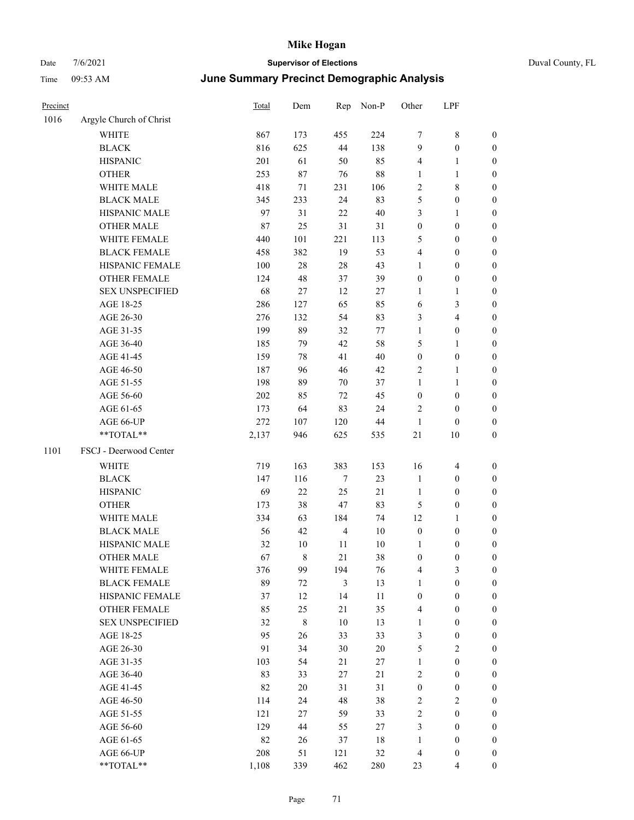| Precinct |                         | Total   | Dem         | Rep            | Non-P  | Other            | LPF                     |                  |
|----------|-------------------------|---------|-------------|----------------|--------|------------------|-------------------------|------------------|
| 1016     | Argyle Church of Christ |         |             |                |        |                  |                         |                  |
|          | WHITE                   | 867     | 173         | 455            | 224    | 7                | $\,$ 8 $\,$             | $\boldsymbol{0}$ |
|          | <b>BLACK</b>            | 816     | 625         | $44\,$         | 138    | $\overline{9}$   | $\boldsymbol{0}$        | $\boldsymbol{0}$ |
|          | <b>HISPANIC</b>         | 201     | 61          | 50             | 85     | 4                | $\mathbf{1}$            | $\boldsymbol{0}$ |
|          | <b>OTHER</b>            | 253     | $87\,$      | 76             | 88     | 1                | $\mathbf{1}$            | $\boldsymbol{0}$ |
|          | WHITE MALE              | 418     | 71          | 231            | 106    | $\overline{c}$   | $\,$ 8 $\,$             | 0                |
|          | <b>BLACK MALE</b>       | 345     | 233         | 24             | 83     | 5                | $\boldsymbol{0}$        | $\boldsymbol{0}$ |
|          | HISPANIC MALE           | 97      | 31          | 22             | $40\,$ | 3                | $\mathbf{1}$            | $\boldsymbol{0}$ |
|          | <b>OTHER MALE</b>       | 87      | 25          | 31             | 31     | $\boldsymbol{0}$ | $\boldsymbol{0}$        | $\boldsymbol{0}$ |
|          | WHITE FEMALE            | 440     | 101         | 221            | 113    | 5                | $\boldsymbol{0}$        | $\boldsymbol{0}$ |
|          | <b>BLACK FEMALE</b>     | 458     | 382         | 19             | 53     | 4                | $\boldsymbol{0}$        | $\boldsymbol{0}$ |
|          | HISPANIC FEMALE         | 100     | $28\,$      | $28\,$         | 43     | $\mathbf{1}$     | $\boldsymbol{0}$        | $\boldsymbol{0}$ |
|          | OTHER FEMALE            | 124     | 48          | 37             | 39     | $\boldsymbol{0}$ | $\boldsymbol{0}$        | $\boldsymbol{0}$ |
|          | <b>SEX UNSPECIFIED</b>  | 68      | 27          | 12             | 27     | $\mathbf{1}$     | $\mathbf{1}$            | $\boldsymbol{0}$ |
|          | AGE 18-25               | 286     | 127         | 65             | 85     | 6                | $\mathfrak{Z}$          | $\boldsymbol{0}$ |
|          | AGE 26-30               | 276     | 132         | 54             | 83     | 3                | $\overline{4}$          | 0                |
|          | AGE 31-35               | 199     | 89          | 32             | $77\,$ | $\mathbf{1}$     | $\boldsymbol{0}$        | 0                |
|          | AGE 36-40               | 185     | 79          | 42             | 58     | 5                | $\mathbf{1}$            | 0                |
|          | AGE 41-45               | 159     | 78          | 41             | $40\,$ | $\boldsymbol{0}$ | $\boldsymbol{0}$        | $\boldsymbol{0}$ |
|          | AGE 46-50               | 187     | 96          | 46             | 42     | $\overline{c}$   | $\mathbf{1}$            | $\boldsymbol{0}$ |
|          | AGE 51-55               | 198     | 89          | 70             | 37     | $\mathbf{1}$     | $\mathbf{1}$            | $\boldsymbol{0}$ |
|          | AGE 56-60               | $202\,$ | 85          | 72             | 45     | $\boldsymbol{0}$ | $\boldsymbol{0}$        | $\boldsymbol{0}$ |
|          | AGE 61-65               | 173     | 64          | 83             | 24     | $\overline{c}$   | $\boldsymbol{0}$        | $\boldsymbol{0}$ |
|          | AGE 66-UP               | 272     | 107         | 120            | $44\,$ | $\mathbf{1}$     | $\boldsymbol{0}$        | 0                |
|          | **TOTAL**               | 2,137   | 946         | 625            | 535    | $21\,$           | $10\,$                  | 0                |
| 1101     | FSCJ - Deerwood Center  |         |             |                |        |                  |                         |                  |
|          | WHITE                   | 719     | 163         | 383            | 153    | 16               | $\overline{\mathbf{4}}$ | $\boldsymbol{0}$ |
|          | <b>BLACK</b>            | 147     | 116         | $\tau$         | 23     | $\mathbf{1}$     | $\boldsymbol{0}$        | 0                |
|          | <b>HISPANIC</b>         | 69      | 22          | 25             | 21     | $\mathbf{1}$     | $\boldsymbol{0}$        | 0                |
|          | <b>OTHER</b>            | 173     | 38          | 47             | 83     | $\mathfrak{S}$   | $\boldsymbol{0}$        | $\boldsymbol{0}$ |
|          | WHITE MALE              | 334     | 63          | 184            | 74     | 12               | $\mathbf{1}$            | $\boldsymbol{0}$ |
|          | <b>BLACK MALE</b>       | 56      | 42          | $\overline{4}$ | 10     | $\boldsymbol{0}$ | $\boldsymbol{0}$        | $\boldsymbol{0}$ |
|          | HISPANIC MALE           | 32      | 10          | 11             | 10     | $\mathbf{1}$     | $\boldsymbol{0}$        | $\boldsymbol{0}$ |
|          | <b>OTHER MALE</b>       | 67      | 8           | 21             | 38     | $\boldsymbol{0}$ | $\boldsymbol{0}$        | $\boldsymbol{0}$ |
|          | WHITE FEMALE            | 376     | 99          | 194            | 76     | 4                | $\mathfrak{Z}$          | $\boldsymbol{0}$ |
|          | <b>BLACK FEMALE</b>     | 89      | 72          | $\mathfrak{Z}$ | 13     | 1                | $\boldsymbol{0}$        | 0                |
|          | HISPANIC FEMALE         | 37      | 12          | 14             | 11     | $\boldsymbol{0}$ | $\boldsymbol{0}$        | 0                |
|          | OTHER FEMALE            | 85      | 25          | 21             | 35     | $\overline{4}$   | $\boldsymbol{0}$        | 0                |
|          | <b>SEX UNSPECIFIED</b>  | 32      | $\,$ 8 $\,$ | $10\,$         | 13     | $\mathbf{1}$     | $\boldsymbol{0}$        | 0                |
|          | AGE 18-25               | 95      | 26          | 33             | 33     | 3                | $\boldsymbol{0}$        | $\overline{0}$   |
|          | AGE 26-30               | 91      | 34          | $30\,$         | $20\,$ | 5                | $\sqrt{2}$              | $\boldsymbol{0}$ |
|          | AGE 31-35               | 103     | 54          | 21             | $27\,$ | $\mathbf{1}$     | $\boldsymbol{0}$        | $\overline{0}$   |
|          | AGE 36-40               | 83      | 33          | 27             | 21     | $\overline{c}$   | $\boldsymbol{0}$        | $\boldsymbol{0}$ |
|          | AGE 41-45               | 82      | 20          | 31             | 31     | $\boldsymbol{0}$ | $\boldsymbol{0}$        | $\overline{0}$   |
|          | AGE 46-50               | 114     | 24          | 48             | 38     | $\sqrt{2}$       | $\overline{2}$          | $\overline{0}$   |
|          | AGE 51-55               | 121     | 27          | 59             | 33     | $\sqrt{2}$       | $\boldsymbol{0}$        | $\boldsymbol{0}$ |
|          | AGE 56-60               | 129     | 44          | 55             | $27\,$ | $\mathfrak{Z}$   | $\boldsymbol{0}$        | $\boldsymbol{0}$ |
|          | AGE 61-65               | 82      | 26          | 37             | $18\,$ | $\mathbf{1}$     | $\boldsymbol{0}$        | 0                |
|          | AGE 66-UP               | 208     | 51          | 121            | 32     | $\overline{4}$   | $\boldsymbol{0}$        | 0                |
|          | $**TOTAL**$             | 1,108   | 339         | 462            | 280    | 23               | $\overline{4}$          | $\boldsymbol{0}$ |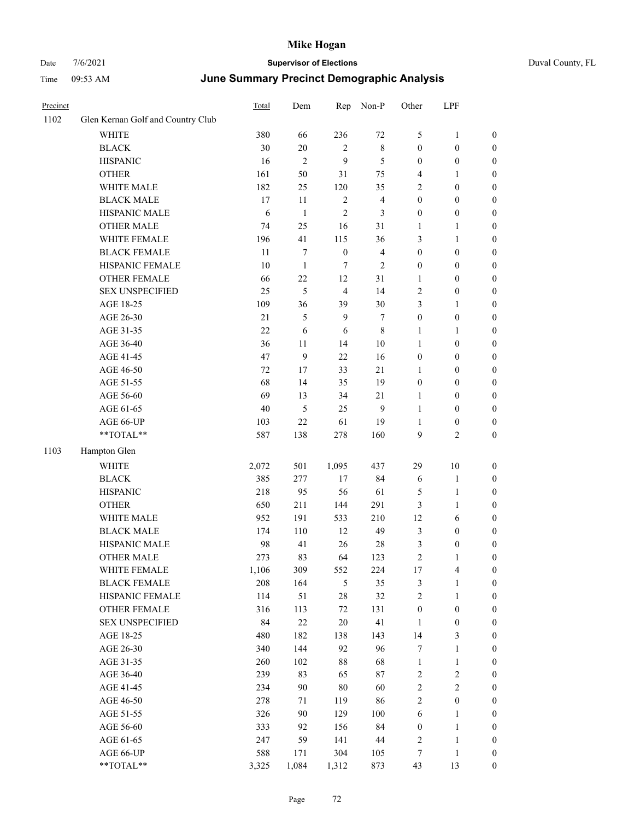|  | Duval County, |
|--|---------------|
|  |               |

| Precinct |                                   | Total | Dem            | Rep              | Non-P          | Other            | LPF                     |                  |
|----------|-----------------------------------|-------|----------------|------------------|----------------|------------------|-------------------------|------------------|
| 1102     | Glen Kernan Golf and Country Club |       |                |                  |                |                  |                         |                  |
|          | <b>WHITE</b>                      | 380   | 66             | 236              | 72             | $\mathfrak{S}$   | $\mathbf{1}$            | $\boldsymbol{0}$ |
|          | <b>BLACK</b>                      | 30    | $20\,$         | $\overline{c}$   | $\,$ 8 $\,$    | $\boldsymbol{0}$ | $\boldsymbol{0}$        | $\boldsymbol{0}$ |
|          | <b>HISPANIC</b>                   | 16    | $\overline{c}$ | 9                | 5              | $\boldsymbol{0}$ | $\boldsymbol{0}$        | $\boldsymbol{0}$ |
|          | <b>OTHER</b>                      | 161   | 50             | 31               | 75             | 4                | 1                       | $\boldsymbol{0}$ |
|          | WHITE MALE                        | 182   | 25             | 120              | 35             | $\overline{2}$   | $\boldsymbol{0}$        | 0                |
|          | <b>BLACK MALE</b>                 | 17    | 11             | $\overline{2}$   | $\overline{4}$ | $\boldsymbol{0}$ | $\boldsymbol{0}$        | 0                |
|          | HISPANIC MALE                     | 6     | $\mathbf{1}$   | $\overline{2}$   | 3              | $\boldsymbol{0}$ | $\boldsymbol{0}$        | $\boldsymbol{0}$ |
|          | <b>OTHER MALE</b>                 | 74    | 25             | 16               | 31             | 1                | 1                       | $\boldsymbol{0}$ |
|          | WHITE FEMALE                      | 196   | 41             | 115              | 36             | 3                | $\mathbf{1}$            | $\boldsymbol{0}$ |
|          | <b>BLACK FEMALE</b>               | 11    | 7              | $\boldsymbol{0}$ | $\overline{4}$ | $\boldsymbol{0}$ | $\boldsymbol{0}$        | $\boldsymbol{0}$ |
|          | HISPANIC FEMALE                   | 10    | $\mathbf{1}$   | 7                | $\mathfrak{2}$ | $\boldsymbol{0}$ | $\boldsymbol{0}$        | $\boldsymbol{0}$ |
|          | OTHER FEMALE                      | 66    | 22             | 12               | 31             | $\mathbf{1}$     | $\boldsymbol{0}$        | $\boldsymbol{0}$ |
|          | <b>SEX UNSPECIFIED</b>            | 25    | 5              | $\overline{4}$   | 14             | $\overline{c}$   | $\boldsymbol{0}$        | $\boldsymbol{0}$ |
|          | AGE 18-25                         | 109   | 36             | 39               | 30             | 3                | 1                       | $\boldsymbol{0}$ |
|          | AGE 26-30                         | 21    | 5              | 9                | 7              | $\boldsymbol{0}$ | $\boldsymbol{0}$        | 0                |
|          | AGE 31-35                         | 22    | 6              | 6                | $\,$ 8 $\,$    | $\mathbf{1}$     | $\mathbf{1}$            | 0                |
|          | AGE 36-40                         | 36    | 11             | 14               | $10\,$         | $\mathbf{1}$     | $\boldsymbol{0}$        | $\boldsymbol{0}$ |
|          | AGE 41-45                         | 47    | 9              | 22               | 16             | $\boldsymbol{0}$ | $\boldsymbol{0}$        | $\boldsymbol{0}$ |
|          | AGE 46-50                         | 72    | 17             | 33               | 21             | 1                | $\boldsymbol{0}$        | $\boldsymbol{0}$ |
|          | AGE 51-55                         | 68    | 14             | 35               | 19             | $\boldsymbol{0}$ | $\boldsymbol{0}$        | $\boldsymbol{0}$ |
|          | AGE 56-60                         | 69    | 13             | 34               | 21             | $\mathbf{1}$     | $\boldsymbol{0}$        | $\boldsymbol{0}$ |
|          | AGE 61-65                         | 40    | 5              | 25               | 9              | $\mathbf{1}$     | $\boldsymbol{0}$        | $\boldsymbol{0}$ |
|          | AGE 66-UP                         | 103   | 22             | 61               | 19             | 1                | $\boldsymbol{0}$        | $\boldsymbol{0}$ |
|          | **TOTAL**                         | 587   | 138            | 278              | 160            | 9                | $\mathfrak{2}$          | $\boldsymbol{0}$ |
| 1103     | Hampton Glen                      |       |                |                  |                |                  |                         |                  |
|          | WHITE                             | 2,072 | 501            | 1,095            | 437            | 29               | $10\,$                  | $\boldsymbol{0}$ |
|          | <b>BLACK</b>                      | 385   | 277            | 17               | 84             | 6                | $\mathbf{1}$            | 0                |
|          | <b>HISPANIC</b>                   | 218   | 95             | 56               | 61             | 5                | $\mathbf{1}$            | 0                |
|          | <b>OTHER</b>                      | 650   | 211            | 144              | 291            | 3                | $\mathbf{1}$            | 0                |
|          | WHITE MALE                        | 952   | 191            | 533              | 210            | 12               | 6                       | $\boldsymbol{0}$ |
|          | <b>BLACK MALE</b>                 | 174   | 110            | 12               | 49             | 3                | $\boldsymbol{0}$        | $\boldsymbol{0}$ |
|          | HISPANIC MALE                     | 98    | 41             | 26               | 28             | 3                | $\boldsymbol{0}$        | $\boldsymbol{0}$ |
|          | <b>OTHER MALE</b>                 | 273   | 83             | 64               | 123            | $\overline{c}$   | $\mathbf{1}$            | $\boldsymbol{0}$ |
|          | WHITE FEMALE                      | 1,106 | 309            | 552              | 224            | 17               | $\overline{\mathbf{4}}$ | $\boldsymbol{0}$ |
|          | <b>BLACK FEMALE</b>               | 208   | 164            | $\sqrt{5}$       | 35             | 3                | $\mathbf{1}$            | 0                |
|          | HISPANIC FEMALE                   | 114   | 51             | $28\,$           | 32             | $\sqrt{2}$       | $\mathbf{1}$            | $\boldsymbol{0}$ |
|          | <b>OTHER FEMALE</b>               | 316   | 113            | 72               | 131            | $\boldsymbol{0}$ | $\boldsymbol{0}$        | 0                |
|          | <b>SEX UNSPECIFIED</b>            | 84    | $22\,$         | $20\,$           | 41             | $\mathbf{1}$     | $\boldsymbol{0}$        | 0                |
|          | AGE 18-25                         | 480   | 182            | 138              | 143            | 14               | $\mathfrak{Z}$          | $\boldsymbol{0}$ |
|          | AGE 26-30                         | 340   | 144            | 92               | 96             | $\boldsymbol{7}$ | $\mathbf{1}$            | $\boldsymbol{0}$ |
|          | AGE 31-35                         | 260   | 102            | $88\,$           | 68             | $\mathbf{1}$     | $\mathbf{1}$            | $\boldsymbol{0}$ |
|          | AGE 36-40                         | 239   | 83             | 65               | 87             | 2                | $\sqrt{2}$              | 0                |
|          | AGE 41-45                         | 234   | 90             | 80               | 60             | $\boldsymbol{2}$ | $\sqrt{2}$              | 0                |
|          | AGE 46-50                         | 278   | 71             | 119              | 86             | $\sqrt{2}$       | $\boldsymbol{0}$        | $\overline{0}$   |
|          | AGE 51-55                         | 326   | 90             | 129              | $100\,$        | 6                | $\mathbf{1}$            | $\boldsymbol{0}$ |
|          | AGE 56-60                         | 333   | 92             | 156              | 84             | $\boldsymbol{0}$ | $\mathbf{1}$            | $\boldsymbol{0}$ |
|          | AGE 61-65                         | 247   | 59             | 141              | $44\,$         | $\sqrt{2}$       | $\mathbf{1}$            | 0                |
|          | AGE 66-UP                         | 588   | 171            | 304              | 105            | 7                | $\mathbf{1}$            | 0                |
|          | $**TOTAL**$                       | 3,325 | 1,084          | 1,312            | 873            | 43               | 13                      | $\boldsymbol{0}$ |
|          |                                   |       |                |                  |                |                  |                         |                  |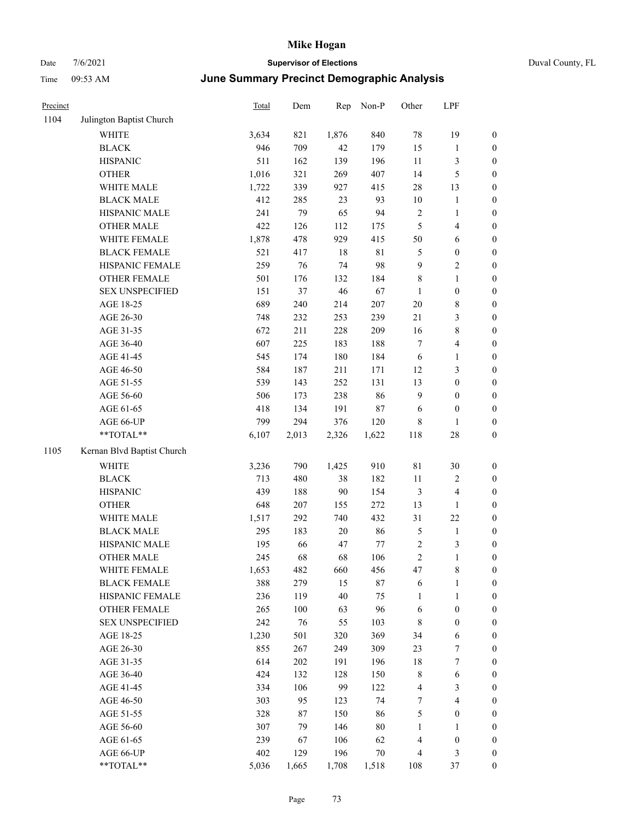| Precinct |                            | Total | Dem    | Rep    | Non-P       | Other          | LPF              |                  |
|----------|----------------------------|-------|--------|--------|-------------|----------------|------------------|------------------|
| 1104     | Julington Baptist Church   |       |        |        |             |                |                  |                  |
|          | <b>WHITE</b>               | 3,634 | 821    | 1,876  | 840         | $78\,$         | 19               | $\boldsymbol{0}$ |
|          | <b>BLACK</b>               | 946   | 709    | 42     | 179         | 15             | 1                | $\boldsymbol{0}$ |
|          | <b>HISPANIC</b>            | 511   | 162    | 139    | 196         | $11\,$         | 3                | $\boldsymbol{0}$ |
|          | <b>OTHER</b>               | 1,016 | 321    | 269    | 407         | 14             | 5                | $\boldsymbol{0}$ |
|          | WHITE MALE                 | 1,722 | 339    | 927    | 415         | 28             | 13               | $\boldsymbol{0}$ |
|          | <b>BLACK MALE</b>          | 412   | 285    | 23     | 93          | $10\,$         | $\mathbf{1}$     | $\boldsymbol{0}$ |
|          | HISPANIC MALE              | 241   | 79     | 65     | 94          | $\sqrt{2}$     | $\mathbf{1}$     | $\boldsymbol{0}$ |
|          | <b>OTHER MALE</b>          | 422   | 126    | 112    | 175         | 5              | 4                | $\boldsymbol{0}$ |
|          | WHITE FEMALE               | 1,878 | 478    | 929    | 415         | 50             | 6                | $\boldsymbol{0}$ |
|          | <b>BLACK FEMALE</b>        | 521   | 417    | 18     | $8\sqrt{1}$ | 5              | $\boldsymbol{0}$ | $\boldsymbol{0}$ |
|          | HISPANIC FEMALE            | 259   | 76     | 74     | 98          | 9              | 2                | $\boldsymbol{0}$ |
|          | <b>OTHER FEMALE</b>        | 501   | 176    | 132    | 184         | $\,$ 8 $\,$    | 1                | $\boldsymbol{0}$ |
|          | <b>SEX UNSPECIFIED</b>     | 151   | 37     | $46\,$ | 67          | $\mathbf{1}$   | $\boldsymbol{0}$ | $\boldsymbol{0}$ |
|          | AGE 18-25                  | 689   | 240    | 214    | 207         | 20             | 8                | $\boldsymbol{0}$ |
|          | AGE 26-30                  | 748   | 232    | 253    | 239         | 21             | 3                | $\boldsymbol{0}$ |
|          | AGE 31-35                  | 672   | 211    | 228    | 209         | 16             | 8                | $\boldsymbol{0}$ |
|          | AGE 36-40                  | 607   | 225    | 183    | 188         | $\tau$         | 4                | $\boldsymbol{0}$ |
|          | AGE 41-45                  | 545   | 174    | 180    | 184         | 6              | 1                | $\boldsymbol{0}$ |
|          | AGE 46-50                  | 584   | 187    | 211    | 171         | 12             | 3                | $\boldsymbol{0}$ |
|          | AGE 51-55                  | 539   | 143    | 252    | 131         | 13             | $\boldsymbol{0}$ | $\boldsymbol{0}$ |
|          | AGE 56-60                  | 506   | 173    | 238    | 86          | 9              | $\boldsymbol{0}$ | $\boldsymbol{0}$ |
|          | AGE 61-65                  | 418   | 134    | 191    | $87\,$      | 6              | $\boldsymbol{0}$ | $\boldsymbol{0}$ |
|          | AGE 66-UP                  | 799   | 294    | 376    | 120         | $\,$ 8 $\,$    | 1                | $\boldsymbol{0}$ |
|          | **TOTAL**                  | 6,107 | 2,013  | 2,326  | 1,622       | 118            | 28               | $\boldsymbol{0}$ |
| 1105     | Kernan Blvd Baptist Church |       |        |        |             |                |                  |                  |
|          | WHITE                      | 3,236 | 790    | 1,425  | 910         | $8\sqrt{1}$    | 30               | $\boldsymbol{0}$ |
|          | <b>BLACK</b>               | 713   | 480    | 38     | 182         | 11             | $\overline{c}$   | $\boldsymbol{0}$ |
|          | <b>HISPANIC</b>            | 439   | 188    | 90     | 154         | $\mathfrak{Z}$ | $\overline{4}$   | $\boldsymbol{0}$ |
|          | <b>OTHER</b>               | 648   | 207    | 155    | 272         | 13             | 1                | $\boldsymbol{0}$ |
|          | WHITE MALE                 | 1,517 | 292    | 740    | 432         | 31             | 22               | $\boldsymbol{0}$ |
|          | <b>BLACK MALE</b>          | 295   | 183    | $20\,$ | 86          | $\mathfrak{S}$ | $\mathbf{1}$     | $\boldsymbol{0}$ |
|          | HISPANIC MALE              | 195   | 66     | 47     | 77          | $\sqrt{2}$     | 3                | $\boldsymbol{0}$ |
|          | <b>OTHER MALE</b>          | 245   | 68     | 68     | 106         | $\sqrt{2}$     | 1                | $\boldsymbol{0}$ |
|          | WHITE FEMALE               | 1,653 | 482    | 660    | 456         | 47             | 8                | $\boldsymbol{0}$ |
|          | <b>BLACK FEMALE</b>        | 388   | 279    | 15     | $87\,$      | 6              | 1                | $\boldsymbol{0}$ |
|          | HISPANIC FEMALE            | 236   | 119    | $40\,$ | 75          | $\mathbf{1}$   | 1                | $\boldsymbol{0}$ |
|          | <b>OTHER FEMALE</b>        | 265   | 100    | 63     | 96          | 6              | $\boldsymbol{0}$ | $\boldsymbol{0}$ |
|          | <b>SEX UNSPECIFIED</b>     | 242   | 76     | 55     | 103         | $\,$ 8 $\,$    | $\boldsymbol{0}$ | $\boldsymbol{0}$ |
|          | AGE 18-25                  | 1,230 | 501    | 320    | 369         | 34             | 6                | $\boldsymbol{0}$ |
|          | AGE 26-30                  | 855   | 267    | 249    | 309         | 23             | 7                | $\boldsymbol{0}$ |
|          | AGE 31-35                  | 614   | 202    | 191    | 196         | 18             | $\boldsymbol{7}$ | $\boldsymbol{0}$ |
|          | AGE 36-40                  | 424   | 132    | 128    | 150         | $\,$ 8 $\,$    | 6                | $\boldsymbol{0}$ |
|          | AGE 41-45                  | 334   | 106    | 99     | 122         | $\overline{4}$ | 3                | $\boldsymbol{0}$ |
|          | AGE 46-50                  | 303   | 95     | 123    | 74          | $\tau$         | 4                | $\boldsymbol{0}$ |
|          | AGE 51-55                  | 328   | $87\,$ | 150    | 86          | $\mathfrak{S}$ | $\boldsymbol{0}$ | $\boldsymbol{0}$ |
|          | AGE 56-60                  | 307   | 79     | 146    | $80\,$      | $\mathbf{1}$   | 1                | $\boldsymbol{0}$ |
|          | AGE 61-65                  | 239   | 67     | 106    | 62          | $\overline{4}$ | $\boldsymbol{0}$ | $\boldsymbol{0}$ |
|          | AGE 66-UP                  | 402   | 129    | 196    | 70          | $\overline{4}$ | 3                | $\boldsymbol{0}$ |
|          | **TOTAL**                  | 5,036 | 1,665  | 1,708  | 1,518       | 108            | 37               | $\boldsymbol{0}$ |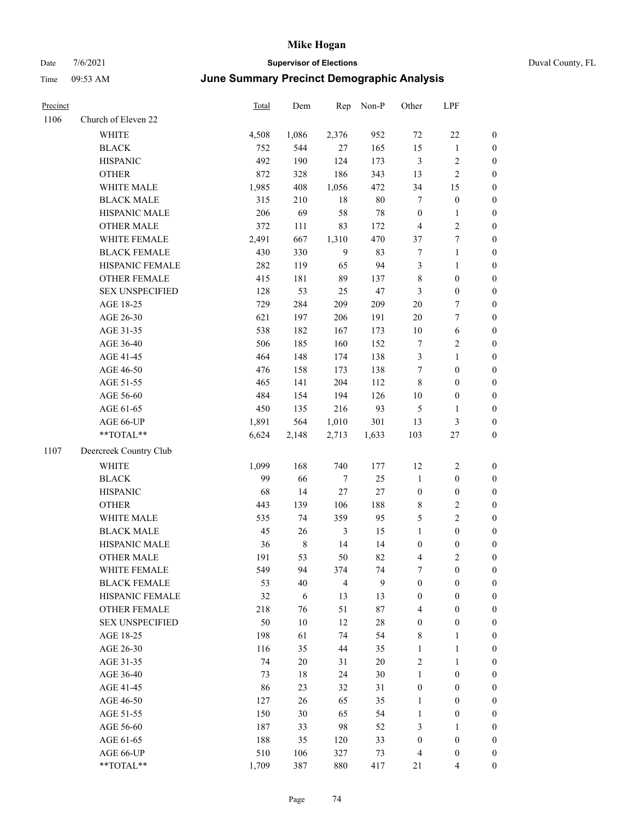| Precinct |                        | Total | Dem         | Rep            | Non-P  | Other            | LPF              |                  |
|----------|------------------------|-------|-------------|----------------|--------|------------------|------------------|------------------|
| 1106     | Church of Eleven 22    |       |             |                |        |                  |                  |                  |
|          | <b>WHITE</b>           | 4,508 | 1,086       | 2,376          | 952    | $72\,$           | 22               | $\boldsymbol{0}$ |
|          | <b>BLACK</b>           | 752   | 544         | 27             | 165    | 15               | 1                | $\boldsymbol{0}$ |
|          | <b>HISPANIC</b>        | 492   | 190         | 124            | 173    | $\mathfrak{Z}$   | 2                | $\boldsymbol{0}$ |
|          | <b>OTHER</b>           | 872   | 328         | 186            | 343    | 13               | 2                | $\boldsymbol{0}$ |
|          | WHITE MALE             | 1,985 | 408         | 1,056          | 472    | 34               | 15               | $\boldsymbol{0}$ |
|          | <b>BLACK MALE</b>      | 315   | 210         | 18             | $80\,$ | $\tau$           | $\boldsymbol{0}$ | $\boldsymbol{0}$ |
|          | HISPANIC MALE          | 206   | 69          | 58             | 78     | $\boldsymbol{0}$ | $\mathbf{1}$     | $\boldsymbol{0}$ |
|          | <b>OTHER MALE</b>      | 372   | 111         | 83             | 172    | $\overline{4}$   | $\mathbf{2}$     | $\boldsymbol{0}$ |
|          | WHITE FEMALE           | 2,491 | 667         | 1,310          | 470    | 37               | 7                | $\boldsymbol{0}$ |
|          | <b>BLACK FEMALE</b>    | 430   | 330         | 9              | 83     | $\boldsymbol{7}$ | 1                | $\boldsymbol{0}$ |
|          | HISPANIC FEMALE        | 282   | 119         | 65             | 94     | $\mathfrak{Z}$   | 1                | $\boldsymbol{0}$ |
|          | <b>OTHER FEMALE</b>    | 415   | 181         | 89             | 137    | $\,$ 8 $\,$      | $\boldsymbol{0}$ | $\boldsymbol{0}$ |
|          | <b>SEX UNSPECIFIED</b> | 128   | 53          | 25             | 47     | $\mathfrak{Z}$   | $\boldsymbol{0}$ | $\boldsymbol{0}$ |
|          | AGE 18-25              | 729   | 284         | 209            | 209    | 20               | 7                | $\boldsymbol{0}$ |
|          | AGE 26-30              | 621   | 197         | 206            | 191    | 20               | 7                | $\boldsymbol{0}$ |
|          | AGE 31-35              | 538   | 182         | 167            | 173    | $10\,$           | 6                | $\boldsymbol{0}$ |
|          | AGE 36-40              | 506   | 185         | 160            | 152    | $\tau$           | 2                | $\boldsymbol{0}$ |
|          | AGE 41-45              | 464   | 148         | 174            | 138    | $\mathfrak{Z}$   | 1                | $\boldsymbol{0}$ |
|          | AGE 46-50              | 476   | 158         | 173            | 138    | $\tau$           | $\boldsymbol{0}$ | $\boldsymbol{0}$ |
|          | AGE 51-55              | 465   | 141         | 204            | 112    | $\,8\,$          | $\boldsymbol{0}$ | $\boldsymbol{0}$ |
|          | AGE 56-60              | 484   | 154         | 194            | 126    | 10               | $\boldsymbol{0}$ | $\boldsymbol{0}$ |
|          | AGE 61-65              | 450   | 135         | 216            | 93     | $\mathfrak{S}$   | $\mathbf{1}$     | $\boldsymbol{0}$ |
|          | AGE 66-UP              | 1,891 | 564         | 1,010          | 301    | 13               | 3                | $\boldsymbol{0}$ |
|          | **TOTAL**              | 6,624 | 2,148       | 2,713          | 1,633  | 103              | 27               | $\boldsymbol{0}$ |
| 1107     | Deercreek Country Club |       |             |                |        |                  |                  |                  |
|          | WHITE                  | 1,099 | 168         | 740            | 177    | 12               | $\overline{c}$   | $\boldsymbol{0}$ |
|          | <b>BLACK</b>           | 99    | 66          | $\tau$         | 25     | $\mathbf{1}$     | $\boldsymbol{0}$ | $\boldsymbol{0}$ |
|          | <b>HISPANIC</b>        | 68    | 14          | $27\,$         | $27\,$ | $\boldsymbol{0}$ | $\boldsymbol{0}$ | $\boldsymbol{0}$ |
|          | <b>OTHER</b>           | 443   | 139         | 106            | 188    | $\,$ 8 $\,$      | 2                | $\boldsymbol{0}$ |
|          | WHITE MALE             | 535   | 74          | 359            | 95     | $\mathfrak{S}$   | 2                | $\boldsymbol{0}$ |
|          | <b>BLACK MALE</b>      | 45    | 26          | $\mathfrak{Z}$ | 15     | $\mathbf{1}$     | $\boldsymbol{0}$ | $\boldsymbol{0}$ |
|          | HISPANIC MALE          | 36    | $\,$ 8 $\,$ | 14             | 14     | $\boldsymbol{0}$ | 0                | $\boldsymbol{0}$ |
|          | <b>OTHER MALE</b>      | 191   | 53          | 50             | 82     | $\overline{4}$   | $\overline{c}$   | $\boldsymbol{0}$ |
|          | WHITE FEMALE           | 549   | 94          | 374            | 74     | $\boldsymbol{7}$ | $\boldsymbol{0}$ | $\boldsymbol{0}$ |
|          | <b>BLACK FEMALE</b>    | 53    | 40          | $\overline{4}$ | 9      | $\boldsymbol{0}$ | $\boldsymbol{0}$ | $\boldsymbol{0}$ |
|          | HISPANIC FEMALE        | 32    | 6           | 13             | 13     | $\boldsymbol{0}$ | $\boldsymbol{0}$ | $\boldsymbol{0}$ |
|          | OTHER FEMALE           | 218   | 76          | 51             | $87\,$ | $\overline{4}$   | $\boldsymbol{0}$ | $\boldsymbol{0}$ |
|          | <b>SEX UNSPECIFIED</b> | 50    | 10          | 12             | 28     | $\boldsymbol{0}$ | $\boldsymbol{0}$ | $\boldsymbol{0}$ |
|          | AGE 18-25              | 198   | 61          | 74             | 54     | 8                | 1                | $\boldsymbol{0}$ |
|          | AGE 26-30              | 116   | 35          | 44             | 35     | $\mathbf{1}$     | 1                | $\boldsymbol{0}$ |
|          | AGE 31-35              | 74    | 20          | 31             | $20\,$ | $\sqrt{2}$       | $\mathbf{1}$     | $\boldsymbol{0}$ |
|          | AGE 36-40              | 73    | 18          | 24             | 30     | $\mathbf{1}$     | $\boldsymbol{0}$ | $\boldsymbol{0}$ |
|          | AGE 41-45              | 86    | 23          | 32             | 31     | $\boldsymbol{0}$ | $\boldsymbol{0}$ | $\boldsymbol{0}$ |
|          | AGE 46-50              | 127   | 26          | 65             | 35     | $\mathbf{1}$     | $\boldsymbol{0}$ | $\boldsymbol{0}$ |
|          | AGE 51-55              | 150   | 30          | 65             | 54     | $\mathbf{1}$     | $\boldsymbol{0}$ | $\boldsymbol{0}$ |
|          | AGE 56-60              | 187   | 33          | 98             | 52     | $\mathfrak{Z}$   | 1                | $\boldsymbol{0}$ |
|          | AGE 61-65              | 188   | 35          | 120            | 33     | $\boldsymbol{0}$ | $\boldsymbol{0}$ | $\boldsymbol{0}$ |
|          | AGE 66-UP              | 510   | 106         | 327            | 73     | $\overline{4}$   | $\boldsymbol{0}$ | $\boldsymbol{0}$ |
|          | **TOTAL**              | 1,709 | 387         | 880            | 417    | $21\,$           | 4                | $\boldsymbol{0}$ |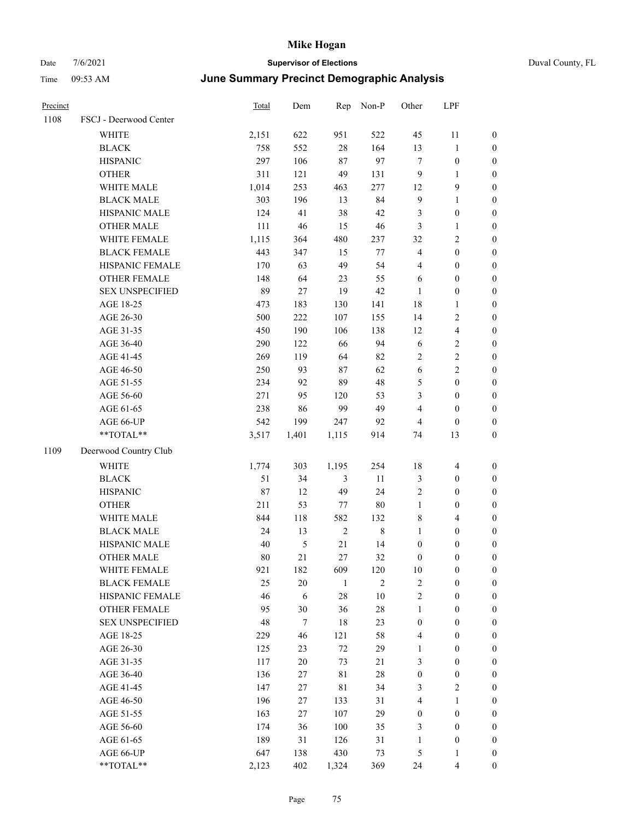| Duval County, FL |  |  |
|------------------|--|--|
|------------------|--|--|

| Precinct |                        | Total | Dem        | Rep         | Non-P          | Other            | LPF                     |                  |
|----------|------------------------|-------|------------|-------------|----------------|------------------|-------------------------|------------------|
| 1108     | FSCJ - Deerwood Center |       |            |             |                |                  |                         |                  |
|          | WHITE                  | 2,151 | 622        | 951         | 522            | 45               | 11                      | $\boldsymbol{0}$ |
|          | <b>BLACK</b>           | 758   | 552        | $28\,$      | 164            | 13               | $\mathbf{1}$            | $\boldsymbol{0}$ |
|          | <b>HISPANIC</b>        | 297   | 106        | $87\,$      | 97             | $\tau$           | $\boldsymbol{0}$        | 0                |
|          | <b>OTHER</b>           | 311   | 121        | 49          | 131            | $\overline{9}$   | $\mathbf{1}$            | $\boldsymbol{0}$ |
|          | WHITE MALE             | 1,014 | 253        | 463         | 277            | 12               | $\mathbf{9}$            | $\boldsymbol{0}$ |
|          | <b>BLACK MALE</b>      | 303   | 196        | 13          | 84             | $\mathbf{9}$     | $\mathbf{1}$            | $\boldsymbol{0}$ |
|          | HISPANIC MALE          | 124   | 41         | 38          | 42             | 3                | $\boldsymbol{0}$        | $\boldsymbol{0}$ |
|          | <b>OTHER MALE</b>      | 111   | 46         | 15          | 46             | $\mathfrak{Z}$   | $\mathbf{1}$            | $\boldsymbol{0}$ |
|          | WHITE FEMALE           | 1,115 | 364        | 480         | 237            | 32               | $\sqrt{2}$              | $\boldsymbol{0}$ |
|          | <b>BLACK FEMALE</b>    | 443   | 347        | 15          | $77\,$         | $\overline{4}$   | $\boldsymbol{0}$        | $\boldsymbol{0}$ |
|          | HISPANIC FEMALE        | 170   | 63         | 49          | 54             | 4                | $\boldsymbol{0}$        | $\boldsymbol{0}$ |
|          | OTHER FEMALE           | 148   | 64         | 23          | 55             | 6                | $\boldsymbol{0}$        | 0                |
|          | <b>SEX UNSPECIFIED</b> | 89    | 27         | 19          | 42             | $\mathbf{1}$     | $\boldsymbol{0}$        | 0                |
|          | AGE 18-25              | 473   | 183        | 130         | 141            | 18               | $\mathbf{1}$            | $\boldsymbol{0}$ |
|          | AGE 26-30              | 500   | 222        | 107         | 155            | 14               | $\sqrt{2}$              | $\boldsymbol{0}$ |
|          | AGE 31-35              | 450   | 190        | 106         | 138            | 12               | $\overline{\mathbf{4}}$ | $\boldsymbol{0}$ |
|          | AGE 36-40              | 290   | 122        | 66          | 94             | 6                | $\sqrt{2}$              | $\boldsymbol{0}$ |
|          | AGE 41-45              | 269   | 119        | 64          | 82             | 2                | $\sqrt{2}$              | $\boldsymbol{0}$ |
|          | AGE 46-50              | 250   | 93         | 87          | 62             | 6                | $\sqrt{2}$              | $\boldsymbol{0}$ |
|          | AGE 51-55              | 234   | 92         | 89          | 48             | 5                | $\boldsymbol{0}$        | $\boldsymbol{0}$ |
|          | AGE 56-60              | 271   | 95         | 120         | 53             | 3                | $\boldsymbol{0}$        | $\boldsymbol{0}$ |
|          | AGE 61-65              | 238   | 86         | 99          | 49             | $\overline{4}$   | $\boldsymbol{0}$        | 0                |
|          | AGE 66-UP              | 542   | 199        | 247         | 92             | 4                | $\boldsymbol{0}$        | 0                |
|          | $**TOTAL**$            | 3,517 | 1,401      | 1,115       | 914            | 74               | 13                      | $\boldsymbol{0}$ |
| 1109     | Deerwood Country Club  |       |            |             |                |                  |                         |                  |
|          | <b>WHITE</b>           | 1,774 | 303        | 1,195       | 254            | 18               | 4                       | $\boldsymbol{0}$ |
|          | <b>BLACK</b>           | 51    | 34         | 3           | 11             | 3                | $\boldsymbol{0}$        | $\boldsymbol{0}$ |
|          | <b>HISPANIC</b>        | 87    | 12         | 49          | 24             | 2                | $\boldsymbol{0}$        | $\boldsymbol{0}$ |
|          | <b>OTHER</b>           | 211   | 53         | 77          | $80\,$         | $\mathbf{1}$     | $\boldsymbol{0}$        | $\boldsymbol{0}$ |
|          | WHITE MALE             | 844   | 118        | 582         | 132            | 8                | $\overline{\mathbf{4}}$ | $\boldsymbol{0}$ |
|          | <b>BLACK MALE</b>      | 24    | 13         | $\sqrt{2}$  | $\,$ 8 $\,$    | $\mathbf{1}$     | $\boldsymbol{0}$        | $\boldsymbol{0}$ |
|          | HISPANIC MALE          | 40    | 5          | $21\,$      | 14             | $\boldsymbol{0}$ | $\boldsymbol{0}$        | $\boldsymbol{0}$ |
|          | <b>OTHER MALE</b>      | 80    | 21         | 27          | 32             | $\boldsymbol{0}$ | $\boldsymbol{0}$        | $\boldsymbol{0}$ |
|          | WHITE FEMALE           | 921   | 182        | 609         | 120            | 10               | $\boldsymbol{0}$        | 0                |
|          | <b>BLACK FEMALE</b>    | 25    | $20\,$     | 1           | $\mathfrak{2}$ | $\overline{c}$   | $\boldsymbol{0}$        | 0                |
|          | HISPANIC FEMALE        | 46    | $\sqrt{6}$ | $28\,$      | 10             | $\overline{c}$   | $\boldsymbol{0}$        | 0                |
|          | OTHER FEMALE           | 95    | 30         | 36          | $28\,$         | $\mathbf{1}$     | $\boldsymbol{0}$        | $\overline{0}$   |
|          | <b>SEX UNSPECIFIED</b> | 48    | $\tau$     | $18\,$      | 23             | $\boldsymbol{0}$ | $\boldsymbol{0}$        | $\overline{0}$   |
|          | AGE 18-25              | 229   | 46         | 121         | 58             | $\overline{4}$   | $\boldsymbol{0}$        | 0                |
|          | AGE 26-30              | 125   | 23         | $72\,$      | 29             | $\mathbf{1}$     | $\boldsymbol{0}$        | 0                |
|          | AGE 31-35              | 117   | 20         | 73          | 21             | 3                | $\boldsymbol{0}$        | $\overline{0}$   |
|          | AGE 36-40              | 136   | 27         | $8\sqrt{1}$ | $28\,$         | $\boldsymbol{0}$ | $\boldsymbol{0}$        | 0                |
|          | AGE 41-45              | 147   | 27         | $8\sqrt{1}$ | 34             | 3                | $\sqrt{2}$              | 0                |
|          | AGE 46-50              | 196   | 27         | 133         | 31             | $\overline{4}$   | $\mathbf{1}$            | 0                |
|          | AGE 51-55              | 163   | 27         | 107         | 29             | $\boldsymbol{0}$ | $\boldsymbol{0}$        | $\boldsymbol{0}$ |
|          | AGE 56-60              | 174   | 36         | 100         | 35             | 3                | $\boldsymbol{0}$        | $\overline{0}$   |
|          | AGE 61-65              | 189   | 31         | 126         | 31             | $\mathbf{1}$     | $\boldsymbol{0}$        | $\boldsymbol{0}$ |
|          | AGE 66-UP              | 647   | 138        | 430         | 73             | 5                | $\mathbf{1}$            | $\boldsymbol{0}$ |
|          | $**TOTAL**$            | 2,123 | 402        | 1,324       | 369            | $24\,$           | $\overline{4}$          | $\boldsymbol{0}$ |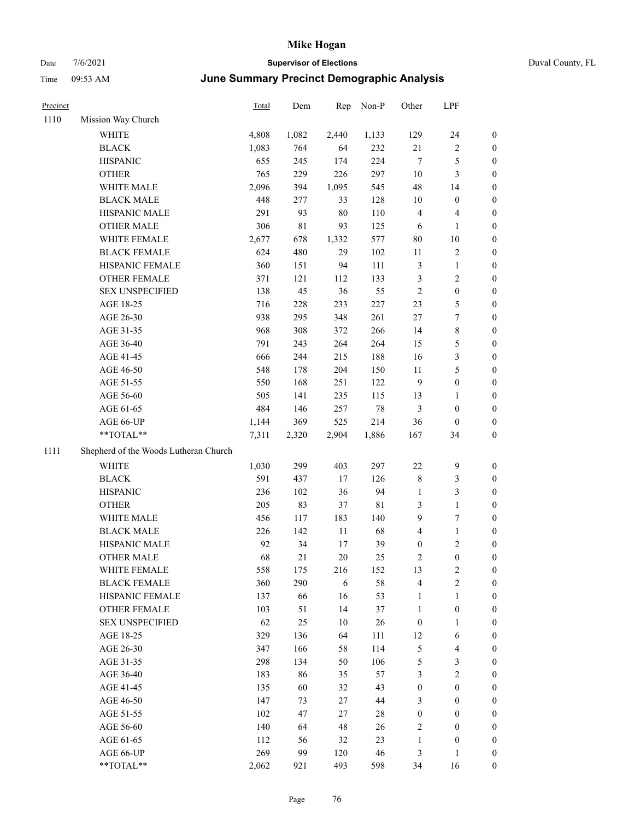# Date 7/6/2021 **Supervisor of Elections** Duval County, FL Time 09:53 AM **June Summary Precinct Demographic Analysis**

| Precinct |                                       | <b>Total</b> | Dem         | Rep        | $Non-P$ | Other                   | LPF                     |                  |
|----------|---------------------------------------|--------------|-------------|------------|---------|-------------------------|-------------------------|------------------|
| 1110     | Mission Way Church                    |              |             |            |         |                         |                         |                  |
|          | <b>WHITE</b>                          | 4,808        | 1,082       | 2,440      | 1,133   | 129                     | 24                      | $\boldsymbol{0}$ |
|          | <b>BLACK</b>                          | 1,083        | 764         | 64         | 232     | $21\,$                  | $\sqrt{2}$              | $\boldsymbol{0}$ |
|          | <b>HISPANIC</b>                       | 655          | 245         | 174        | 224     | $\tau$                  | $\mathfrak{S}$          | $\boldsymbol{0}$ |
|          | <b>OTHER</b>                          | 765          | 229         | 226        | 297     | $10\,$                  | 3                       | $\boldsymbol{0}$ |
|          | WHITE MALE                            | 2,096        | 394         | 1,095      | 545     | 48                      | 14                      | $\boldsymbol{0}$ |
|          | <b>BLACK MALE</b>                     | 448          | 277         | 33         | 128     | 10                      | $\boldsymbol{0}$        | $\boldsymbol{0}$ |
|          | HISPANIC MALE                         | 291          | 93          | $80\,$     | 110     | 4                       | $\overline{4}$          | $\boldsymbol{0}$ |
|          | <b>OTHER MALE</b>                     | 306          | $8\sqrt{1}$ | 93         | 125     | 6                       | $\mathbf{1}$            | $\boldsymbol{0}$ |
|          | WHITE FEMALE                          | 2,677        | 678         | 1,332      | 577     | $80\,$                  | $10\,$                  | $\boldsymbol{0}$ |
|          | <b>BLACK FEMALE</b>                   | 624          | 480         | 29         | 102     | 11                      | $\sqrt{2}$              | 0                |
|          | HISPANIC FEMALE                       | 360          | 151         | 94         | 111     | 3                       | $\mathbf{1}$            | 0                |
|          | OTHER FEMALE                          | 371          | 121         | 112        | 133     | 3                       | $\sqrt{2}$              | 0                |
|          | <b>SEX UNSPECIFIED</b>                | 138          | 45          | 36         | 55      | $\sqrt{2}$              | $\boldsymbol{0}$        | $\boldsymbol{0}$ |
|          | AGE 18-25                             | 716          | 228         | 233        | 227     | 23                      | $\mathfrak{S}$          | $\boldsymbol{0}$ |
|          | AGE 26-30                             | 938          | 295         | 348        | 261     | $27\,$                  | $\boldsymbol{7}$        | $\boldsymbol{0}$ |
|          | AGE 31-35                             | 968          | 308         | 372        | 266     | 14                      | $\,$ 8 $\,$             | $\boldsymbol{0}$ |
|          | AGE 36-40                             | 791          | 243         | 264        | 264     | 15                      | $\mathfrak{S}$          | $\boldsymbol{0}$ |
|          | AGE 41-45                             | 666          | 244         | 215        | 188     | 16                      | $\mathfrak{Z}$          | $\boldsymbol{0}$ |
|          | AGE 46-50                             | 548          | 178         | 204        | 150     | 11                      | $\mathfrak s$           | $\boldsymbol{0}$ |
|          | AGE 51-55                             | 550          | 168         | 251        | 122     | $\overline{9}$          | $\boldsymbol{0}$        | 0                |
|          | AGE 56-60                             | 505          | 141         | 235        | 115     | 13                      | $\mathbf{1}$            | 0                |
|          | AGE 61-65                             | 484          | 146         | 257        | 78      | 3                       | $\boldsymbol{0}$        | 0                |
|          | AGE 66-UP                             | 1,144        | 369         | 525        | 214     | 36                      | $\boldsymbol{0}$        | 0                |
|          | **TOTAL**                             | 7,311        | 2,320       | 2,904      | 1,886   | 167                     | 34                      | $\boldsymbol{0}$ |
| 1111     | Shepherd of the Woods Lutheran Church |              |             |            |         |                         |                         |                  |
|          | WHITE                                 | 1,030        | 299         | 403        | 297     | 22                      | 9                       | $\boldsymbol{0}$ |
|          | <b>BLACK</b>                          | 591          | 437         | 17         | 126     | $\,$ 8 $\,$             | 3                       | $\boldsymbol{0}$ |
|          | <b>HISPANIC</b>                       | 236          | 102         | 36         | 94      | $\mathbf{1}$            | $\mathfrak{Z}$          | $\boldsymbol{0}$ |
|          | <b>OTHER</b>                          | 205          | 83          | 37         | 81      | 3                       | $\mathbf{1}$            | $\boldsymbol{0}$ |
|          | WHITE MALE                            | 456          | 117         | 183        | 140     | 9                       | $\tau$                  | $\boldsymbol{0}$ |
|          | <b>BLACK MALE</b>                     | 226          | 142         | $11\,$     | 68      | 4                       | $\mathbf{1}$            | $\boldsymbol{0}$ |
|          | HISPANIC MALE                         | 92           | 34          | 17         | 39      | $\boldsymbol{0}$        | $\sqrt{2}$              | $\boldsymbol{0}$ |
|          | <b>OTHER MALE</b>                     | 68           | 21          | 20         | 25      | $\overline{\mathbf{c}}$ | $\boldsymbol{0}$        | $\boldsymbol{0}$ |
|          | WHITE FEMALE                          | 558          | 175         | 216        | 152     | 13                      | $\overline{c}$          | 0                |
|          | <b>BLACK FEMALE</b>                   | 360          | 290         | $\sqrt{6}$ | 58      | $\overline{4}$          | $\sqrt{2}$              | 0                |
|          | HISPANIC FEMALE                       | 137          | 66          | 16         | 53      | 1                       | $\mathbf{1}$            | 0                |
|          | <b>OTHER FEMALE</b>                   | 103          | 51          | 14         | 37      | $\mathbf{1}$            | $\boldsymbol{0}$        | 0                |
|          | <b>SEX UNSPECIFIED</b>                | 62           | 25          | 10         | 26      | $\boldsymbol{0}$        | $\mathbf{1}$            | 0                |
|          | AGE 18-25                             | 329          | 136         | 64         | 111     | 12                      | 6                       | 0                |
|          | AGE 26-30                             | 347          | 166         | 58         | 114     | 5                       | $\overline{\mathbf{4}}$ | 0                |
|          | AGE 31-35                             | 298          | 134         | 50         | 106     | 5                       | $\mathfrak{Z}$          | 0                |
|          | AGE 36-40                             | 183          | 86          | 35         | 57      | 3                       | $\sqrt{2}$              | 0                |
|          | AGE 41-45                             | 135          | 60          | 32         | 43      | $\boldsymbol{0}$        | $\boldsymbol{0}$        | 0                |
|          | AGE 46-50                             | 147          | 73          | 27         | 44      | 3                       | $\boldsymbol{0}$        | 0                |
|          | AGE 51-55                             | 102          | 47          | $27\,$     | 28      | $\boldsymbol{0}$        | $\boldsymbol{0}$        | $\overline{0}$   |
|          | AGE 56-60                             | 140          | 64          | 48         | 26      | $\overline{c}$          | $\boldsymbol{0}$        | 0                |
|          | AGE 61-65                             | 112          | 56          | 32         | 23      | $\mathbf{1}$            | $\boldsymbol{0}$        | 0                |
|          | AGE 66-UP                             | 269          | 99          | 120        | 46      | $\mathfrak{Z}$          | $\mathbf{1}$            | $\overline{0}$   |
|          |                                       |              |             |            |         |                         |                         |                  |

\*\*TOTAL\*\* 2,062 921 493 598 34 16 0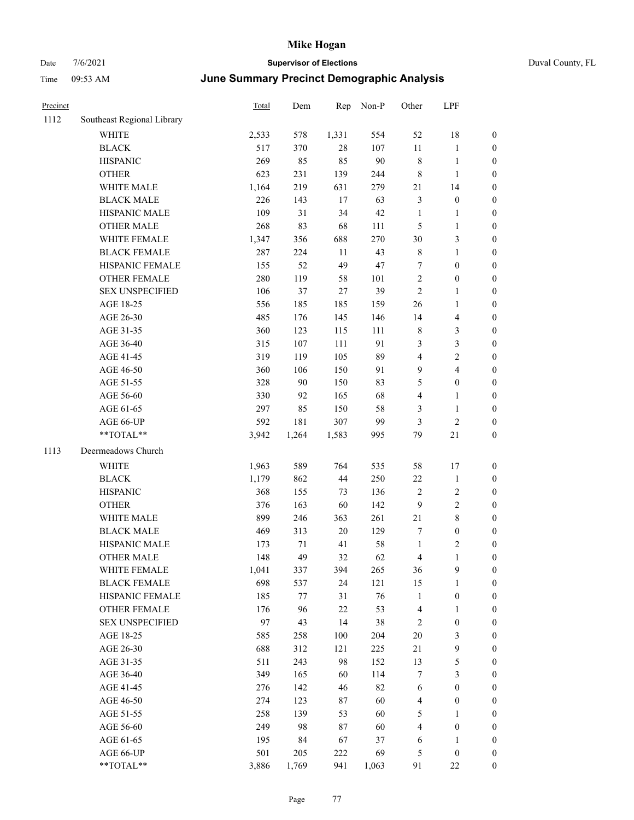| Precinct |                            | <b>Total</b> | Dem   | Rep    | Non-P  | Other                   | LPF                     |                  |
|----------|----------------------------|--------------|-------|--------|--------|-------------------------|-------------------------|------------------|
| 1112     | Southeast Regional Library |              |       |        |        |                         |                         |                  |
|          | WHITE                      | 2,533        | 578   | 1,331  | 554    | 52                      | 18                      | $\boldsymbol{0}$ |
|          | <b>BLACK</b>               | 517          | 370   | $28\,$ | 107    | 11                      | $\mathbf{1}$            | $\boldsymbol{0}$ |
|          | <b>HISPANIC</b>            | 269          | 85    | 85     | $90\,$ | $\,$ 8 $\,$             | $\mathbf{1}$            | $\boldsymbol{0}$ |
|          | <b>OTHER</b>               | 623          | 231   | 139    | 244    | $\,$ 8 $\,$             | $\mathbf{1}$            | $\boldsymbol{0}$ |
|          | WHITE MALE                 | 1,164        | 219   | 631    | 279    | $21\,$                  | 14                      | 0                |
|          | <b>BLACK MALE</b>          | 226          | 143   | 17     | 63     | 3                       | $\boldsymbol{0}$        | $\boldsymbol{0}$ |
|          | HISPANIC MALE              | 109          | 31    | 34     | 42     | $\mathbf{1}$            | $\mathbf{1}$            | $\boldsymbol{0}$ |
|          | <b>OTHER MALE</b>          | 268          | 83    | 68     | 111    | 5                       | $\mathbf{1}$            | $\boldsymbol{0}$ |
|          | WHITE FEMALE               | 1,347        | 356   | 688    | 270    | 30                      | $\mathfrak{Z}$          | $\boldsymbol{0}$ |
|          | <b>BLACK FEMALE</b>        | 287          | 224   | 11     | 43     | $\,$ 8 $\,$             | $\mathbf{1}$            | $\boldsymbol{0}$ |
|          | HISPANIC FEMALE            | 155          | 52    | 49     | 47     | 7                       | $\boldsymbol{0}$        | $\boldsymbol{0}$ |
|          | <b>OTHER FEMALE</b>        | 280          | 119   | 58     | 101    | $\sqrt{2}$              | $\boldsymbol{0}$        | $\boldsymbol{0}$ |
|          | <b>SEX UNSPECIFIED</b>     | 106          | 37    | 27     | 39     | $\overline{2}$          | $\mathbf{1}$            | $\boldsymbol{0}$ |
|          | AGE 18-25                  | 556          | 185   | 185    | 159    | 26                      | $\mathbf{1}$            | $\boldsymbol{0}$ |
|          | AGE 26-30                  | 485          | 176   | 145    | 146    | 14                      | $\overline{\mathbf{4}}$ | 0                |
|          | AGE 31-35                  | 360          | 123   | 115    | 111    | $\,$ 8 $\,$             | $\mathfrak{Z}$          | 0                |
|          | AGE 36-40                  | 315          | 107   | 111    | 91     | 3                       | $\mathfrak{Z}$          | $\boldsymbol{0}$ |
|          | AGE 41-45                  | 319          | 119   | 105    | 89     | 4                       | $\sqrt{2}$              | $\boldsymbol{0}$ |
|          | AGE 46-50                  | 360          | 106   | 150    | 91     | $\overline{9}$          | $\overline{\mathbf{4}}$ | $\boldsymbol{0}$ |
|          | AGE 51-55                  | 328          | 90    | 150    | 83     | 5                       | $\boldsymbol{0}$        | $\boldsymbol{0}$ |
|          | AGE 56-60                  | 330          | 92    | 165    | 68     | 4                       | $\mathbf{1}$            | $\boldsymbol{0}$ |
|          | AGE 61-65                  | 297          | 85    | 150    | 58     | 3                       | $\mathbf{1}$            | $\boldsymbol{0}$ |
|          | AGE 66-UP                  | 592          | 181   | 307    | 99     | 3                       | $\mathfrak{2}$          | 0                |
|          | **TOTAL**                  | 3,942        | 1,264 | 1,583  | 995    | 79                      | 21                      | $\boldsymbol{0}$ |
| 1113     | Deermeadows Church         |              |       |        |        |                         |                         |                  |
|          |                            |              |       |        |        |                         |                         |                  |
|          | WHITE                      | 1,963        | 589   | 764    | 535    | 58                      | 17                      | $\boldsymbol{0}$ |
|          | <b>BLACK</b>               | 1,179        | 862   | $44\,$ | 250    | $22\,$                  | $\mathbf{1}$            | 0                |
|          | <b>HISPANIC</b>            | 368          | 155   | 73     | 136    | $\overline{2}$          | $\sqrt{2}$              | 0                |
|          | <b>OTHER</b>               | 376          | 163   | 60     | 142    | 9                       | $\sqrt{2}$              | $\boldsymbol{0}$ |
|          | WHITE MALE                 | 899          | 246   | 363    | 261    | 21                      | $\,$ 8 $\,$             | $\boldsymbol{0}$ |
|          | <b>BLACK MALE</b>          | 469          | 313   | $20\,$ | 129    | 7                       | $\boldsymbol{0}$        | $\boldsymbol{0}$ |
|          | HISPANIC MALE              | 173          | 71    | 41     | 58     | $\mathbf{1}$            | $\sqrt{2}$              | $\boldsymbol{0}$ |
|          | <b>OTHER MALE</b>          | 148          | 49    | 32     | 62     | 4                       | $\mathbf{1}$            | $\boldsymbol{0}$ |
|          | WHITE FEMALE               | 1,041        | 337   | 394    | 265    | 36                      | $\mathbf{9}$            | $\boldsymbol{0}$ |
|          | <b>BLACK FEMALE</b>        | 698          | 537   | 24     | 121    | 15                      | $\mathbf{1}$            | 0                |
|          | HISPANIC FEMALE            | 185          | 77    | 31     | 76     | $\mathbf{1}$            | $\boldsymbol{0}$        | 0                |
|          | <b>OTHER FEMALE</b>        | 176          | 96    | $22\,$ | 53     | $\overline{4}$          | $\mathbf{1}$            | 0                |
|          | <b>SEX UNSPECIFIED</b>     | 97           | 43    | 14     | 38     | 2                       | $\boldsymbol{0}$        | 0                |
|          | AGE 18-25                  | 585          | 258   | 100    | 204    | $20\,$                  | 3                       | 0                |
|          | AGE 26-30                  | 688          | 312   | 121    | 225    | 21                      | $\mathbf{9}$            | $\boldsymbol{0}$ |
|          | AGE 31-35                  | 511          | 243   | 98     | 152    | 13                      | $\mathfrak s$           | $\overline{0}$   |
|          | AGE 36-40                  | 349          | 165   | 60     | 114    | 7                       | $\mathfrak{Z}$          | 0                |
|          | AGE 41-45                  | 276          | 142   | 46     | 82     | 6                       | $\boldsymbol{0}$        | $\overline{0}$   |
|          | AGE 46-50                  | 274          | 123   | 87     | 60     | $\overline{4}$          | $\boldsymbol{0}$        | 0                |
|          | AGE 51-55                  | 258          | 139   | 53     | 60     | 5                       | $\mathbf{1}$            | $\boldsymbol{0}$ |
|          | AGE 56-60                  | 249          | 98    | $87\,$ | 60     | $\overline{\mathbf{4}}$ | $\boldsymbol{0}$        | 0                |
|          | AGE 61-65                  | 195          | 84    | 67     | 37     | 6                       | $\mathbf{1}$            | 0                |
|          | AGE 66-UP                  | 501          | 205   | 222    | 69     | 5                       | $\boldsymbol{0}$        | 0                |
|          | $**TOTAL**$                | 3,886        | 1,769 | 941    | 1,063  | 91                      | $22\,$                  | $\boldsymbol{0}$ |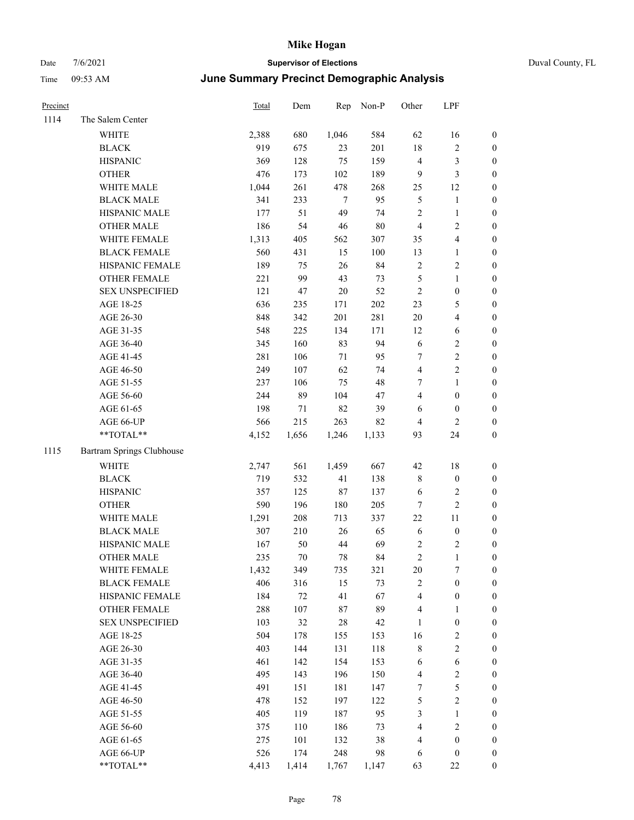| Precinct |                           | Total | Dem    | Rep    | Non-P   | Other            | LPF                     |                  |
|----------|---------------------------|-------|--------|--------|---------|------------------|-------------------------|------------------|
| 1114     | The Salem Center          |       |        |        |         |                  |                         |                  |
|          | WHITE                     | 2,388 | 680    | 1,046  | 584     | 62               | 16                      | 0                |
|          | <b>BLACK</b>              | 919   | 675    | 23     | 201     | $18\,$           | $\sqrt{2}$              | $\boldsymbol{0}$ |
|          | <b>HISPANIC</b>           | 369   | 128    | 75     | 159     | $\overline{4}$   | $\mathfrak{Z}$          | $\boldsymbol{0}$ |
|          | <b>OTHER</b>              | 476   | 173    | 102    | 189     | 9                | 3                       | $\boldsymbol{0}$ |
|          | WHITE MALE                | 1,044 | 261    | 478    | 268     | 25               | 12                      | $\boldsymbol{0}$ |
|          | <b>BLACK MALE</b>         | 341   | 233    | $\tau$ | 95      | 5                | $\mathbf{1}$            | $\boldsymbol{0}$ |
|          | HISPANIC MALE             | 177   | 51     | 49     | 74      | $\overline{c}$   | $\mathbf{1}$            | $\boldsymbol{0}$ |
|          | <b>OTHER MALE</b>         | 186   | 54     | 46     | $80\,$  | $\overline{4}$   | $\overline{2}$          | $\boldsymbol{0}$ |
|          | WHITE FEMALE              | 1,313 | 405    | 562    | 307     | 35               | $\overline{\mathbf{4}}$ | $\boldsymbol{0}$ |
|          | <b>BLACK FEMALE</b>       | 560   | 431    | 15     | 100     | 13               | $\mathbf{1}$            | 0                |
|          | HISPANIC FEMALE           | 189   | 75     | 26     | 84      | $\sqrt{2}$       | $\sqrt{2}$              | 0                |
|          | OTHER FEMALE              | 221   | 99     | 43     | 73      | $\mathfrak s$    | $\mathbf{1}$            | 0                |
|          | <b>SEX UNSPECIFIED</b>    | 121   | 47     | $20\,$ | 52      | $\sqrt{2}$       | $\boldsymbol{0}$        | $\boldsymbol{0}$ |
|          | AGE 18-25                 | 636   | 235    | 171    | $202\,$ | 23               | $\mathfrak{S}$          | $\boldsymbol{0}$ |
|          | AGE 26-30                 | 848   | 342    | 201    | 281     | $20\,$           | $\overline{\mathbf{4}}$ | $\boldsymbol{0}$ |
|          | AGE 31-35                 | 548   | 225    | 134    | 171     | 12               | 6                       | $\boldsymbol{0}$ |
|          | AGE 36-40                 | 345   | 160    | 83     | 94      | $\sqrt{6}$       | $\sqrt{2}$              | $\boldsymbol{0}$ |
|          | AGE 41-45                 | 281   | 106    | $71\,$ | 95      | $\tau$           | $\sqrt{2}$              | $\boldsymbol{0}$ |
|          | AGE 46-50                 | 249   | 107    | 62     | 74      | $\overline{4}$   | $\overline{2}$          | $\boldsymbol{0}$ |
|          | AGE 51-55                 | 237   | 106    | 75     | 48      | 7                | $\mathbf{1}$            | $\boldsymbol{0}$ |
|          | AGE 56-60                 | 244   | 89     | 104    | 47      | $\overline{4}$   | $\boldsymbol{0}$        | 0                |
|          | AGE 61-65                 | 198   | 71     | 82     | 39      | 6                | $\boldsymbol{0}$        | 0                |
|          | AGE 66-UP                 | 566   | 215    | 263    | 82      | $\overline{4}$   | 2                       | $\boldsymbol{0}$ |
|          | $**TOTAL**$               | 4,152 | 1,656  | 1,246  | 1,133   | 93               | 24                      | $\boldsymbol{0}$ |
| 1115     | Bartram Springs Clubhouse |       |        |        |         |                  |                         |                  |
|          | <b>WHITE</b>              | 2,747 | 561    | 1,459  | 667     | 42               | $18\,$                  | $\boldsymbol{0}$ |
|          | <b>BLACK</b>              | 719   | 532    | 41     | 138     | 8                | $\boldsymbol{0}$        | $\boldsymbol{0}$ |
|          | <b>HISPANIC</b>           | 357   | 125    | $87\,$ | 137     | 6                | $\sqrt{2}$              | $\boldsymbol{0}$ |
|          | <b>OTHER</b>              | 590   | 196    | 180    | 205     | $\boldsymbol{7}$ | $\sqrt{2}$              | $\boldsymbol{0}$ |
|          | WHITE MALE                | 1,291 | 208    | 713    | 337     | $22\,$           | $11\,$                  | $\boldsymbol{0}$ |
|          | <b>BLACK MALE</b>         | 307   | 210    | $26\,$ | 65      | $\sqrt{6}$       | $\boldsymbol{0}$        | $\boldsymbol{0}$ |
|          | HISPANIC MALE             | 167   | 50     | $44\,$ | 69      | 2                | $\overline{c}$          | 0                |
|          | <b>OTHER MALE</b>         | 235   | 70     | 78     | 84      | $\sqrt{2}$       | $\mathbf{1}$            | 0                |
|          | WHITE FEMALE              | 1,432 | 349    | 735    | 321     | 20               | 7                       | 0                |
|          | <b>BLACK FEMALE</b>       | 406   | 316    | 15     | 73      | $\sqrt{2}$       | $\boldsymbol{0}$        | $\boldsymbol{0}$ |
|          | HISPANIC FEMALE           | 184   | $72\,$ | 41     | 67      | 4                | $\boldsymbol{0}$        | $\overline{0}$   |
|          | OTHER FEMALE              | 288   | 107    | 87     | 89      | 4                | $\mathbf{1}$            | $\overline{0}$   |
|          | <b>SEX UNSPECIFIED</b>    | 103   | 32     | $28\,$ | 42      | $\mathbf{1}$     | $\boldsymbol{0}$        | 0                |
|          | AGE 18-25                 | 504   | 178    | 155    | 153     | 16               | $\sqrt{2}$              | 0                |
|          | AGE 26-30                 | 403   | 144    | 131    | 118     | 8                | $\sqrt{2}$              | 0                |
|          | AGE 31-35                 | 461   | 142    | 154    | 153     | 6                | $\sqrt{6}$              | 0                |
|          | AGE 36-40                 | 495   | 143    | 196    | 150     | 4                | $\sqrt{2}$              | 0                |
|          | AGE 41-45                 | 491   | 151    | 181    | 147     | 7                | $\mathfrak{S}$          | 0                |
|          | AGE 46-50                 | 478   | 152    | 197    | 122     | 5                | $\sqrt{2}$              | 0                |
|          | AGE 51-55                 | 405   | 119    | 187    | 95      | 3                | $\mathbf{1}$            | $\boldsymbol{0}$ |
|          | AGE 56-60                 | 375   | 110    | 186    | 73      | 4                | $\sqrt{2}$              | $\boldsymbol{0}$ |
|          | AGE 61-65                 | 275   | 101    | 132    | 38      | 4                | $\boldsymbol{0}$        | $\boldsymbol{0}$ |
|          | AGE 66-UP                 | 526   | 174    | 248    | 98      | 6                | $\boldsymbol{0}$        | $\boldsymbol{0}$ |
|          | **TOTAL**                 | 4,413 | 1,414  | 1,767  | 1,147   | 63               | 22                      | $\boldsymbol{0}$ |
|          |                           |       |        |        |         |                  |                         |                  |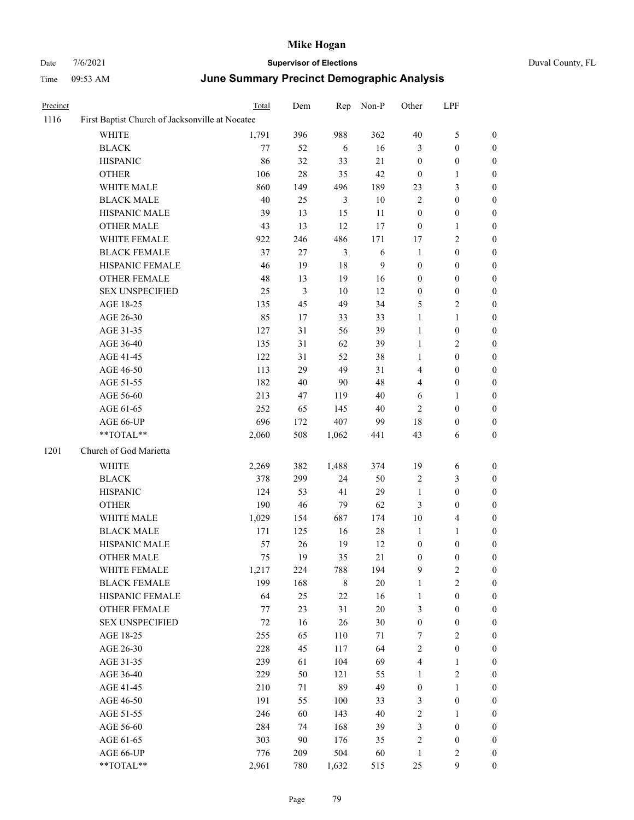#### Date 7/6/2021 **Supervisor of Elections** Duval County, FL Time 09:53 AM **June Summary Precinct Demographic Analysis**

| Precinct |                                                 | Total | Dem             |       | Rep Non-P | Other            | LPF              |                  |  |
|----------|-------------------------------------------------|-------|-----------------|-------|-----------|------------------|------------------|------------------|--|
| 1116     | First Baptist Church of Jacksonville at Nocatee |       |                 |       |           |                  |                  |                  |  |
|          | <b>WHITE</b>                                    | 1,791 | 396             | 988   | 362       | 40               | 5                | $\boldsymbol{0}$ |  |
|          | <b>BLACK</b>                                    | 77    | 52              | 6     | 16        | 3                | $\mathbf{0}$     | 0                |  |
|          | <b>HISPANIC</b>                                 | 86    | 32              | 33    | 21        | $\mathbf{0}$     | $\boldsymbol{0}$ | 0                |  |
|          | <b>OTHER</b>                                    | 106   | 28              | 35    | 42        | $\boldsymbol{0}$ | $\mathbf{1}$     | $\boldsymbol{0}$ |  |
|          | WHITE MALE                                      | 860   | 149             | 496   | 189       | 23               | 3                | 0                |  |
|          | <b>BLACK MALE</b>                               | 40    | 25              | 3     | 10        | $\overline{2}$   | $\mathbf{0}$     | $\overline{0}$   |  |
|          | HISPANIC MALE                                   | 39    | 13              | 15    | 11        | $\boldsymbol{0}$ | $\boldsymbol{0}$ | $\boldsymbol{0}$ |  |
|          | <b>OTHER MALE</b>                               | 43    | 13              | 12    | 17        | $\boldsymbol{0}$ | $\mathbf{1}$     | $\boldsymbol{0}$ |  |
|          | WHITE FEMALE                                    | 922   | 246             | 486   | 171       | 17               | 2                | 0                |  |
|          | <b>BLACK FEMALE</b>                             | 37    | 27              | 3     | 6         | $\mathbf{1}$     | $\boldsymbol{0}$ | $\boldsymbol{0}$ |  |
|          | HISPANIC FEMALE                                 | 46    | 19              | 18    | 9         | $\boldsymbol{0}$ | $\boldsymbol{0}$ | 0                |  |
|          | <b>OTHER FEMALE</b>                             | 48    | 13              | 19    | 16        | $\boldsymbol{0}$ | $\boldsymbol{0}$ | $\boldsymbol{0}$ |  |
|          | <b>SEX UNSPECIFIED</b>                          | 25    | 3               | 10    | 12        | $\boldsymbol{0}$ | $\mathbf{0}$     | $\boldsymbol{0}$ |  |
|          | AGE 18-25                                       | 135   | 45              | 49    | 34        | 5                | 2                | $\boldsymbol{0}$ |  |
|          | AGE 26-30                                       | 85    | 17              | 33    | 33        | $\mathbf{1}$     | $\mathbf{1}$     | 0                |  |
|          | AGE 31-35                                       | 127   | 31              | 56    | 39        | $\mathbf{1}$     | $\boldsymbol{0}$ | $\boldsymbol{0}$ |  |
|          | AGE 36-40                                       | 135   | 31              | 62    | 39        | $\mathbf{1}$     | 2                | $\boldsymbol{0}$ |  |
|          | AGE 41-45                                       | 122   | 31              | 52    | 38        | $\mathbf{1}$     | $\boldsymbol{0}$ | $\boldsymbol{0}$ |  |
|          | AGE 46-50                                       | 113   | 29              | 49    | 31        | 4                | $\boldsymbol{0}$ | 0                |  |
|          | AGE 51-55                                       | 182   | 40              | 90    | 48        | 4                | $\boldsymbol{0}$ | $\boldsymbol{0}$ |  |
|          | AGE 56-60                                       | 213   | 47              | 119   | 40        | 6                | 1                | 0                |  |
|          | AGE 61-65                                       | 252   | 65              | 145   | 40        | 2                | $\boldsymbol{0}$ | 0                |  |
|          | AGE 66-UP                                       | 696   | 172             | 407   | 99        | 18               | $\boldsymbol{0}$ | $\boldsymbol{0}$ |  |
|          | **TOTAL**                                       | 2,060 | 508             | 1,062 | 441       | 43               | 6                | 0                |  |
| 1201     | Church of God Marietta                          |       |                 |       |           |                  |                  |                  |  |
|          | WHITE                                           | 2,269 | 382             | 1,488 | 374       | 19               | 6                | $\boldsymbol{0}$ |  |
|          | <b>BLACK</b>                                    | 378   | 299             | 24    | 50        | $\overline{2}$   | 3                | $\boldsymbol{0}$ |  |
|          | <b>HISPANIC</b>                                 | 124   | 53              | 41    | 29        | $\mathbf{1}$     | $\mathbf{0}$     | $\mathbf{0}$     |  |
|          | <b>OTHER</b>                                    | 100   | $\overline{AB}$ | 70    | 62        | $\mathbf{c}$     | $\Omega$         | ∩                |  |

AGE 56-60 AGE 61-65 AGE 66-UP \*\*TOTAL\*\* 2,060 508 1,062 441 43 6 0 1201 Church of God Marietta WHITE 2,269 382 1,488 374 19 6 0 BLACK 378 299 24 50 2 3 0 HISPANIC 124 53 41 29 1 0 0 OTHER 190 46 79 62 3 0 0 WHITE MALE 1,029 154 687 174 10 4 0 BLACK MALE 171 125 16 28 1 1 0 HISPANIC MALE 57 26 19 12 0 0 0 OTHER MALE 275 19 35 21 0 0 0 WHITE FEMALE 1,217 224 788 194 9 2 0 BLACK FEMALE 199 168 8 20 1 2 0 HISPANIC FEMALE 64 25 22 16 1 0 0 OTHER FEMALE 77 23 31 20 3 0 0 SEX UNSPECIFIED 72 16 26 30 0 0 0 AGE 18-25 255 65 110 71 7 2 0 AGE 26-30 228 45 117 64 2 0 0 AGE 31-35 239 61 104 69 4 1 0 AGE 36-40 229 50 121 55 1 2 0 AGE 41-45 210 71 89 49 0 1 0 AGE 46-50 191 55 100 33 3 0 0 AGE 51-55 246 60 143 40 2 1 0 AGE 56-60 284 74 168 39 3 0 0 AGE 61-65 303 90 176 35 2 0 0 AGE 66-UP 776 209 504 60 1 2 0 \*\*TOTAL\*\* 2,961 780 1,632 515 25 9 0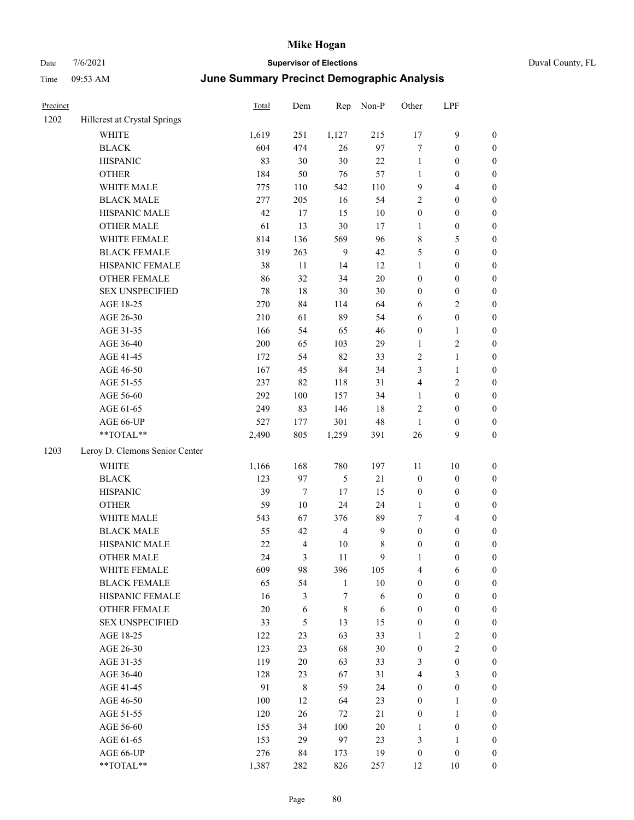| Precinct |                                | Total | Dem            | Rep            | Non-P  | Other            | LPF                     |                  |
|----------|--------------------------------|-------|----------------|----------------|--------|------------------|-------------------------|------------------|
| 1202     | Hillcrest at Crystal Springs   |       |                |                |        |                  |                         |                  |
|          | WHITE                          | 1,619 | 251            | 1,127          | 215    | $17\,$           | 9                       | $\boldsymbol{0}$ |
|          | <b>BLACK</b>                   | 604   | 474            | 26             | 97     | $\tau$           | $\boldsymbol{0}$        | $\boldsymbol{0}$ |
|          | <b>HISPANIC</b>                | 83    | 30             | $30\,$         | $22\,$ | $\mathbf{1}$     | $\boldsymbol{0}$        | $\boldsymbol{0}$ |
|          | <b>OTHER</b>                   | 184   | 50             | 76             | 57     | $\mathbf{1}$     | $\boldsymbol{0}$        | $\boldsymbol{0}$ |
|          | WHITE MALE                     | 775   | 110            | 542            | 110    | 9                | 4                       | $\boldsymbol{0}$ |
|          | <b>BLACK MALE</b>              | 277   | 205            | 16             | 54     | $\sqrt{2}$       | $\boldsymbol{0}$        | $\boldsymbol{0}$ |
|          | HISPANIC MALE                  | 42    | 17             | 15             | $10\,$ | $\boldsymbol{0}$ | $\boldsymbol{0}$        | $\boldsymbol{0}$ |
|          | <b>OTHER MALE</b>              | 61    | 13             | $30\,$         | 17     | $\mathbf{1}$     | $\boldsymbol{0}$        | $\boldsymbol{0}$ |
|          | WHITE FEMALE                   | 814   | 136            | 569            | 96     | $\,$ 8 $\,$      | 5                       | $\boldsymbol{0}$ |
|          | <b>BLACK FEMALE</b>            | 319   | 263            | 9              | 42     | 5                | $\boldsymbol{0}$        | $\boldsymbol{0}$ |
|          | HISPANIC FEMALE                | 38    | 11             | 14             | 12     | $\mathbf{1}$     | $\boldsymbol{0}$        | $\boldsymbol{0}$ |
|          | <b>OTHER FEMALE</b>            | 86    | 32             | 34             | 20     | $\boldsymbol{0}$ | $\boldsymbol{0}$        | $\boldsymbol{0}$ |
|          | <b>SEX UNSPECIFIED</b>         | 78    | $18\,$         | $30\,$         | 30     | $\boldsymbol{0}$ | $\boldsymbol{0}$        | $\boldsymbol{0}$ |
|          | AGE 18-25                      | 270   | 84             | 114            | 64     | 6                | 2                       | $\boldsymbol{0}$ |
|          | AGE 26-30                      | 210   | 61             | 89             | 54     | 6                | $\boldsymbol{0}$        | $\boldsymbol{0}$ |
|          | AGE 31-35                      | 166   | 54             | 65             | 46     | $\boldsymbol{0}$ | 1                       | $\boldsymbol{0}$ |
|          | AGE 36-40                      | 200   | 65             | 103            | 29     | $\mathbf{1}$     | 2                       | $\boldsymbol{0}$ |
|          | AGE 41-45                      | 172   | 54             | 82             | 33     | $\overline{2}$   | 1                       | $\boldsymbol{0}$ |
|          | AGE 46-50                      | 167   | 45             | 84             | 34     | 3                | 1                       | $\boldsymbol{0}$ |
|          | AGE 51-55                      | 237   | 82             | 118            | 31     | $\overline{4}$   | $\overline{\mathbf{c}}$ | $\boldsymbol{0}$ |
|          | AGE 56-60                      | 292   | $100\,$        | 157            | 34     | $\mathbf{1}$     | $\boldsymbol{0}$        | $\boldsymbol{0}$ |
|          | AGE 61-65                      | 249   | 83             | 146            | 18     | $\overline{2}$   | $\boldsymbol{0}$        | $\boldsymbol{0}$ |
|          | AGE 66-UP                      | 527   | 177            | 301            | 48     | 1                | $\boldsymbol{0}$        | $\boldsymbol{0}$ |
|          | **TOTAL**                      | 2,490 | 805            | 1,259          | 391    | 26               | 9                       | $\boldsymbol{0}$ |
| 1203     | Leroy D. Clemons Senior Center |       |                |                |        |                  |                         |                  |
|          | WHITE                          | 1,166 | 168            | 780            | 197    | 11               | 10                      | $\boldsymbol{0}$ |
|          | <b>BLACK</b>                   | 123   | 97             | 5              | $21\,$ | $\boldsymbol{0}$ | $\boldsymbol{0}$        | $\boldsymbol{0}$ |
|          | <b>HISPANIC</b>                | 39    | $\tau$         | 17             | 15     | $\boldsymbol{0}$ | $\boldsymbol{0}$        | $\boldsymbol{0}$ |
|          | <b>OTHER</b>                   | 59    | 10             | 24             | 24     | $\mathbf{1}$     | $\boldsymbol{0}$        | $\boldsymbol{0}$ |
|          | WHITE MALE                     | 543   | 67             | 376            | 89     | 7                | 4                       | $\boldsymbol{0}$ |
|          | <b>BLACK MALE</b>              | 55    | 42             | $\overline{4}$ | 9      | $\boldsymbol{0}$ | $\boldsymbol{0}$        | $\boldsymbol{0}$ |
|          | HISPANIC MALE                  | 22    | $\overline{4}$ | 10             | 8      | $\boldsymbol{0}$ | 0                       | $\boldsymbol{0}$ |
|          | <b>OTHER MALE</b>              | 24    | 3              | 11             | 9      | 1                | $\mathbf{0}$            | $\boldsymbol{0}$ |
|          | WHITE FEMALE                   | 609   | 98             | 396            | 105    | $\overline{4}$   | $\sqrt{6}$              | $\boldsymbol{0}$ |
|          | <b>BLACK FEMALE</b>            | 65    | 54             | $\mathbf{1}$   | $10\,$ | $\boldsymbol{0}$ | $\boldsymbol{0}$        | $\boldsymbol{0}$ |
|          | HISPANIC FEMALE                | 16    | 3              | 7              | 6      | $\boldsymbol{0}$ | $\boldsymbol{0}$        | $\boldsymbol{0}$ |
|          | OTHER FEMALE                   | 20    | 6              | $\,$ 8 $\,$    | 6      | $\boldsymbol{0}$ | $\boldsymbol{0}$        | $\boldsymbol{0}$ |
|          | <b>SEX UNSPECIFIED</b>         | 33    | 5              | 13             | 15     | $\boldsymbol{0}$ | $\boldsymbol{0}$        | $\boldsymbol{0}$ |
|          | AGE 18-25                      | 122   | 23             | 63             | 33     | $\mathbf{1}$     | $\mathbf{2}$            | $\boldsymbol{0}$ |
|          | AGE 26-30                      | 123   | 23             | 68             | 30     | $\boldsymbol{0}$ | $\mathbf{2}$            | $\boldsymbol{0}$ |
|          | AGE 31-35                      | 119   | 20             | 63             | 33     | $\mathfrak{Z}$   | $\boldsymbol{0}$        | $\boldsymbol{0}$ |
|          | AGE 36-40                      | 128   | 23             | 67             | 31     | $\overline{4}$   | 3                       | $\boldsymbol{0}$ |
|          | AGE 41-45                      | 91    | $\,$ 8 $\,$    | 59             | 24     | $\boldsymbol{0}$ | $\boldsymbol{0}$        | $\boldsymbol{0}$ |
|          | AGE 46-50                      | 100   | 12             | 64             | 23     | $\boldsymbol{0}$ | 1                       | $\boldsymbol{0}$ |
|          | AGE 51-55                      | 120   | 26             | 72             | $21\,$ | $\boldsymbol{0}$ | 1                       | $\boldsymbol{0}$ |
|          | AGE 56-60                      | 155   | 34             | 100            | $20\,$ | 1                | $\boldsymbol{0}$        | $\boldsymbol{0}$ |
|          | AGE 61-65                      | 153   | 29             | 97             | 23     | $\mathfrak{Z}$   | 1                       | $\boldsymbol{0}$ |
|          | AGE 66-UP                      | 276   | 84             | 173            | 19     | $\boldsymbol{0}$ | $\boldsymbol{0}$        | $\boldsymbol{0}$ |
|          | **TOTAL**                      | 1,387 | 282            | 826            | 257    | 12               | $10\,$                  | $\boldsymbol{0}$ |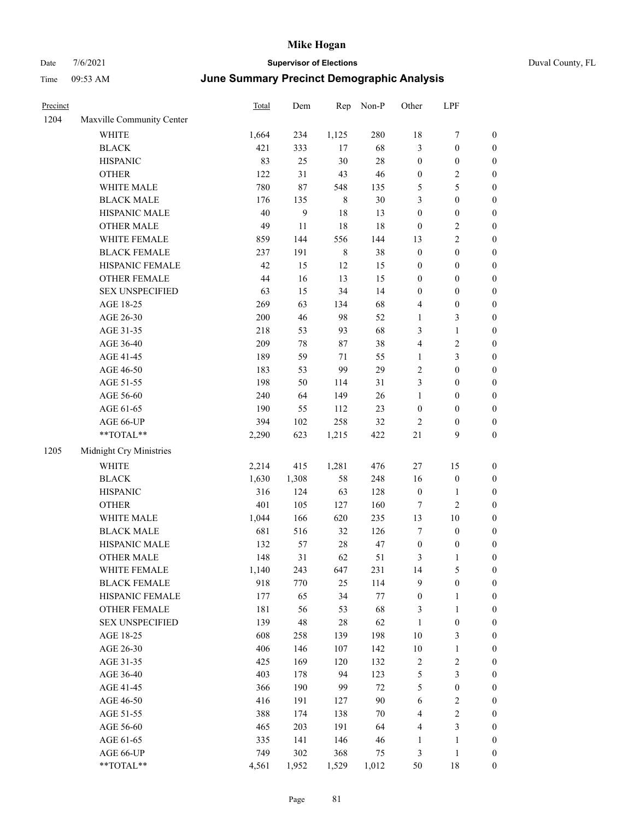|  | Duval County, FL |  |
|--|------------------|--|
|--|------------------|--|

| Precinct |                                                             | Total | Dem              | Rep         | Non-P  | Other            | LPF              |                  |
|----------|-------------------------------------------------------------|-------|------------------|-------------|--------|------------------|------------------|------------------|
| 1204     | Maxville Community Center                                   |       |                  |             |        |                  |                  |                  |
|          | <b>WHITE</b>                                                | 1,664 | 234              | 1,125       | 280    | 18               | $\boldsymbol{7}$ | $\boldsymbol{0}$ |
|          | $_{\rm BLACK}$                                              | 421   | 333              | 17          | 68     | 3                | $\boldsymbol{0}$ | $\boldsymbol{0}$ |
|          | <b>HISPANIC</b>                                             | 83    | 25               | $30\,$      | 28     | $\boldsymbol{0}$ | $\boldsymbol{0}$ | $\boldsymbol{0}$ |
|          | <b>OTHER</b>                                                | 122   | 31               | 43          | 46     | $\boldsymbol{0}$ | $\sqrt{2}$       | $\boldsymbol{0}$ |
|          | WHITE MALE                                                  | 780   | 87               | 548         | 135    | 5                | $\mathfrak s$    | $\boldsymbol{0}$ |
|          | <b>BLACK MALE</b>                                           | 176   | 135              | $\,$ 8 $\,$ | 30     | 3                | $\boldsymbol{0}$ | $\boldsymbol{0}$ |
|          | HISPANIC MALE                                               | 40    | $\boldsymbol{9}$ | 18          | 13     | $\boldsymbol{0}$ | $\boldsymbol{0}$ | $\boldsymbol{0}$ |
|          | <b>OTHER MALE</b>                                           | 49    | 11               | 18          | 18     | $\boldsymbol{0}$ | $\sqrt{2}$       | $\boldsymbol{0}$ |
|          | WHITE FEMALE                                                | 859   | 144              | 556         | 144    | 13               | $\overline{2}$   | 0                |
|          | <b>BLACK FEMALE</b>                                         | 237   | 191              | $\,$ 8 $\,$ | 38     | $\boldsymbol{0}$ | $\boldsymbol{0}$ | 0                |
|          | HISPANIC FEMALE                                             | 42    | 15               | 12          | 15     | $\boldsymbol{0}$ | $\boldsymbol{0}$ | $\boldsymbol{0}$ |
|          | OTHER FEMALE                                                | 44    | 16               | 13          | 15     | $\boldsymbol{0}$ | $\boldsymbol{0}$ | $\boldsymbol{0}$ |
|          | <b>SEX UNSPECIFIED</b>                                      | 63    | 15               | 34          | 14     | $\boldsymbol{0}$ | $\boldsymbol{0}$ | $\boldsymbol{0}$ |
|          | AGE 18-25                                                   | 269   | 63               | 134         | 68     | 4                | $\boldsymbol{0}$ | $\boldsymbol{0}$ |
|          | AGE 26-30                                                   | 200   | 46               | 98          | 52     | $\mathbf{1}$     | $\mathfrak{Z}$   | $\boldsymbol{0}$ |
|          | AGE 31-35                                                   | 218   | 53               | 93          | 68     | 3                | $\mathbf{1}$     | $\boldsymbol{0}$ |
|          | AGE 36-40                                                   | 209   | 78               | $87\,$      | 38     | 4                | $\sqrt{2}$       | $\boldsymbol{0}$ |
|          | AGE 41-45                                                   | 189   | 59               | 71          | 55     | $\mathbf{1}$     | $\mathfrak{Z}$   | $\boldsymbol{0}$ |
|          | AGE 46-50                                                   | 183   | 53               | 99          | 29     | $\mathbf{2}$     | $\boldsymbol{0}$ | 0                |
|          | AGE 51-55                                                   | 198   | 50               | 114         | 31     | 3                | $\boldsymbol{0}$ | 0                |
|          | AGE 56-60                                                   | 240   | 64               | 149         | 26     | $\mathbf{1}$     | $\boldsymbol{0}$ | $\boldsymbol{0}$ |
|          | AGE 61-65                                                   | 190   | 55               | 112         | 23     | $\boldsymbol{0}$ | $\boldsymbol{0}$ | $\boldsymbol{0}$ |
|          | AGE 66-UP                                                   | 394   | 102              | 258         | 32     | $\overline{2}$   | $\boldsymbol{0}$ | $\boldsymbol{0}$ |
|          | **TOTAL**                                                   | 2,290 | 623              | 1,215       | 422    | $21\,$           | 9                | $\boldsymbol{0}$ |
| 1205     | Midnight Cry Ministries                                     |       |                  |             |        |                  |                  |                  |
|          | <b>WHITE</b>                                                | 2,214 | 415              | 1,281       | 476    | 27               | 15               | $\boldsymbol{0}$ |
|          | <b>BLACK</b>                                                | 1,630 | 1,308            | 58          | 248    | 16               | $\boldsymbol{0}$ | $\boldsymbol{0}$ |
|          | <b>HISPANIC</b>                                             | 316   | 124              | 63          | 128    | $\boldsymbol{0}$ | $\mathbf{1}$     | $\boldsymbol{0}$ |
|          | <b>OTHER</b>                                                | 401   | 105              | 127         | 160    | 7                | $\mathfrak{2}$   | $\boldsymbol{0}$ |
|          | WHITE MALE                                                  | 1,044 | 166              | 620         | 235    | 13               | $10\,$           | $\boldsymbol{0}$ |
|          | <b>BLACK MALE</b>                                           | 681   | 516              | 32          | 126    | $\boldsymbol{7}$ | $\boldsymbol{0}$ | 0                |
|          | HISPANIC MALE                                               | 132   | 57               | 28          | 47     | $\boldsymbol{0}$ | $\boldsymbol{0}$ | 0                |
|          | <b>OTHER MALE</b>                                           | 148   | 31               | 62          | 51     | 3                | 1                | $\boldsymbol{0}$ |
|          | WHITE FEMALE                                                | 1,140 | 243              | 647         | 231    | 14               | 5                | $\boldsymbol{0}$ |
|          | <b>BLACK FEMALE</b>                                         | 918   | 770              | 25          | 114    | 9                | $\boldsymbol{0}$ | $\boldsymbol{0}$ |
|          | HISPANIC FEMALE                                             | 177   | 65               | 34          | 77     | $\boldsymbol{0}$ | $\mathbf{1}$     | 0                |
|          | <b>OTHER FEMALE</b>                                         | 181   | 56               | 53          | 68     | 3                | $\mathbf{1}$     | 0                |
|          | <b>SEX UNSPECIFIED</b>                                      | 139   | $\sqrt{48}$      | $28\,$      | 62     | $\mathbf{1}$     | $\boldsymbol{0}$ | 0                |
|          | AGE 18-25                                                   | 608   | 258              | 139         | 198    | $10\,$           | $\mathfrak{Z}$   | 0                |
|          | AGE 26-30                                                   | 406   | 146              | 107         | 142    | $10\,$           | $\mathbf{1}$     | 0                |
|          | AGE 31-35                                                   | 425   | 169              | 120         | 132    | $\sqrt{2}$       | $\sqrt{2}$       | 0                |
|          | AGE 36-40                                                   | 403   | 178              | 94          | 123    | $\mathfrak s$    | $\mathfrak{Z}$   | 0                |
|          | AGE 41-45                                                   | 366   | 190              | 99          | $72\,$ | 5                | $\boldsymbol{0}$ | $\boldsymbol{0}$ |
|          | AGE 46-50                                                   | 416   | 191              | 127         | 90     | 6                | $\sqrt{2}$       | $\boldsymbol{0}$ |
|          | AGE 51-55                                                   | 388   | 174              | 138         | $70\,$ | 4                | $\sqrt{2}$       | $\boldsymbol{0}$ |
|          | AGE 56-60                                                   | 465   | 203              | 191         | 64     | $\overline{4}$   | $\mathfrak{Z}$   | 0                |
|          | AGE 61-65                                                   | 335   | 141              | 146         | 46     | $\mathbf{1}$     | $\mathbf{1}$     | $\boldsymbol{0}$ |
|          | AGE 66-UP                                                   | 749   | 302              | 368         | 75     | 3                | $\mathbf{1}$     | $\boldsymbol{0}$ |
|          | $\mathrm{*}\mathrm{*} \mathrm{TOTAL} \mathrm{*} \mathrm{*}$ | 4,561 | 1,952            | 1,529       | 1,012  | 50               | $18\,$           | $\overline{0}$   |
|          |                                                             |       |                  |             |        |                  |                  |                  |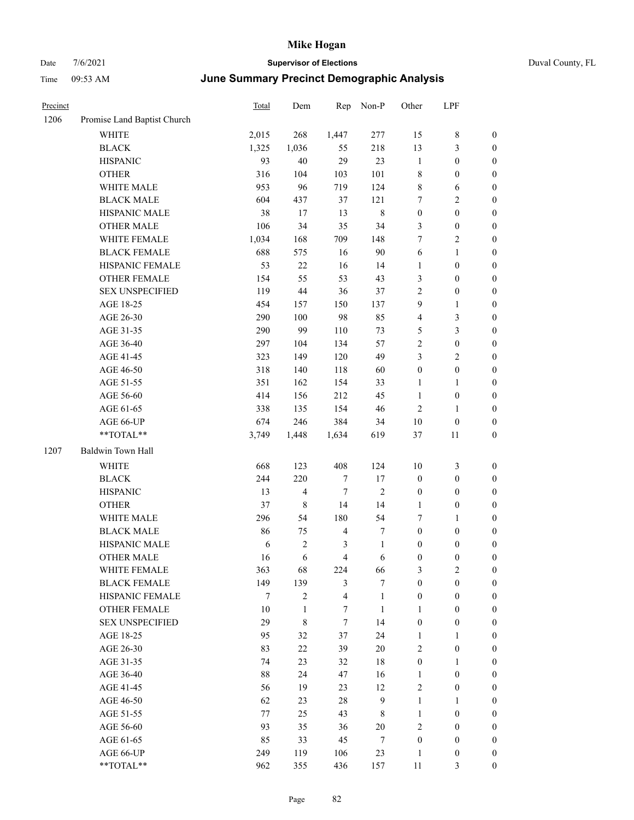| Precinct |                                                           | <b>Total</b>  | Dem            | Rep            | Non-P           | Other                            | LPF                                  |                     |
|----------|-----------------------------------------------------------|---------------|----------------|----------------|-----------------|----------------------------------|--------------------------------------|---------------------|
| 1206     | Promise Land Baptist Church                               |               |                |                |                 |                                  |                                      |                     |
|          | WHITE                                                     | 2,015         | 268            | 1,447          | 277             | 15                               | 8                                    | $\boldsymbol{0}$    |
|          | <b>BLACK</b>                                              | 1,325         | 1,036          | 55             | 218             | 13                               | $\mathfrak{Z}$                       | 0                   |
|          | <b>HISPANIC</b>                                           | 93            | 40             | 29             | 23              | $\mathbf{1}$                     | $\boldsymbol{0}$                     | 0                   |
|          | <b>OTHER</b>                                              | 316           | 104            | 103            | 101             | 8                                | $\boldsymbol{0}$                     | $\boldsymbol{0}$    |
|          | WHITE MALE                                                | 953           | 96             | 719            | 124             | 8                                | 6                                    | $\boldsymbol{0}$    |
|          | <b>BLACK MALE</b>                                         | 604           | 437            | 37             | 121             | 7                                | $\sqrt{2}$                           | $\boldsymbol{0}$    |
|          | HISPANIC MALE                                             | 38            | 17             | 13             | $\,$ 8 $\,$     | $\boldsymbol{0}$                 | $\boldsymbol{0}$                     | $\boldsymbol{0}$    |
|          | <b>OTHER MALE</b>                                         | 106           | 34             | 35             | 34              | 3                                | $\boldsymbol{0}$                     | $\boldsymbol{0}$    |
|          | WHITE FEMALE                                              | 1,034         | 168            | 709            | 148             | 7                                | $\mathfrak{2}$                       | $\boldsymbol{0}$    |
|          | <b>BLACK FEMALE</b>                                       | 688           | 575            | 16             | 90              | 6                                | $\mathbf{1}$                         | $\boldsymbol{0}$    |
|          | HISPANIC FEMALE                                           | 53            | 22             | 16             | 14              | 1                                | $\boldsymbol{0}$                     | 0                   |
|          | OTHER FEMALE                                              | 154           | 55             | 53             | 43              | 3                                | $\boldsymbol{0}$                     | 0                   |
|          | <b>SEX UNSPECIFIED</b>                                    | 119           | 44             | 36             | 37              | $\overline{c}$                   | $\boldsymbol{0}$                     | $\boldsymbol{0}$    |
|          | AGE 18-25                                                 | 454           | 157            | 150            | 137             | 9                                | $\mathbf{1}$                         | $\boldsymbol{0}$    |
|          | AGE 26-30                                                 | 290           | 100            | 98             | 85              | 4                                | 3                                    | $\boldsymbol{0}$    |
|          | AGE 31-35                                                 | 290           | 99             | 110            | 73              | 5                                | $\mathfrak{Z}$                       | $\boldsymbol{0}$    |
|          | AGE 36-40                                                 | 297           | 104            | 134            | 57              | $\sqrt{2}$                       | $\boldsymbol{0}$                     | $\boldsymbol{0}$    |
|          | AGE 41-45                                                 | 323           | 149            | 120            | 49              | 3                                | $\sqrt{2}$                           | $\boldsymbol{0}$    |
|          | AGE 46-50                                                 | 318           | 140            | 118            | 60              | $\boldsymbol{0}$                 | $\boldsymbol{0}$                     | $\boldsymbol{0}$    |
|          | AGE 51-55                                                 | 351           | 162            | 154            | 33              | $\mathbf{1}$                     | $\mathbf{1}$                         | 0                   |
|          | AGE 56-60                                                 | 414           | 156            | 212            | 45              | $\mathbf{1}$                     | $\boldsymbol{0}$                     | 0                   |
|          | AGE 61-65                                                 | 338           | 135            | 154            | 46              | $\overline{c}$                   | $\mathbf{1}$                         | 0                   |
|          | AGE 66-UP                                                 | 674           | 246            | 384            | 34              | $10\,$                           | $\boldsymbol{0}$                     | 0                   |
|          | **TOTAL**                                                 | 3,749         | 1,448          | 1,634          | 619             | 37                               | 11                                   | $\boldsymbol{0}$    |
| 1207     | Baldwin Town Hall                                         |               |                |                |                 |                                  |                                      |                     |
|          | <b>WHITE</b>                                              | 668           | 123            | 408            | 124             | 10                               | 3                                    | $\boldsymbol{0}$    |
|          | <b>BLACK</b>                                              | 244           | 220            | $\tau$         | 17              | $\boldsymbol{0}$                 | $\boldsymbol{0}$                     | $\boldsymbol{0}$    |
|          | <b>HISPANIC</b>                                           | 13            | 4              | $\tau$         | 2               | $\boldsymbol{0}$                 | $\boldsymbol{0}$                     | $\boldsymbol{0}$    |
|          | <b>OTHER</b>                                              | 37            | 8              | 14             | 14              | $\mathbf{1}$                     | $\boldsymbol{0}$                     | $\boldsymbol{0}$    |
|          | WHITE MALE                                                | 296           | 54             | 180            | 54              | 7                                | $\mathbf{1}$                         | $\boldsymbol{0}$    |
|          | <b>BLACK MALE</b>                                         | 86            | 75             | $\overline{4}$ | 7               | $\boldsymbol{0}$                 | $\boldsymbol{0}$                     | $\boldsymbol{0}$    |
|          | HISPANIC MALE                                             | 6             | $\mathfrak{2}$ | 3              | $\mathbf{1}$    | $\boldsymbol{0}$                 | $\boldsymbol{0}$                     | $\boldsymbol{0}$    |
|          | <b>OTHER MALE</b>                                         | 16            | 6              | 4              | 6               | $\boldsymbol{0}$                 | $\boldsymbol{0}$                     | $\boldsymbol{0}$    |
|          | WHITE FEMALE                                              | 363           | 68             | 224            | 66              | 3                                | $\sqrt{2}$                           | 0                   |
|          | <b>BLACK FEMALE</b>                                       | 149           | 139            | $\mathfrak{Z}$ | 7               | $\boldsymbol{0}$                 | $\boldsymbol{0}$                     | 0                   |
|          | HISPANIC FEMALE                                           | $\tau$        | $\overline{2}$ | $\overline{4}$ | $\mathbf{1}$    | $\boldsymbol{0}$                 | $\boldsymbol{0}$                     | $\overline{0}$      |
|          | <b>OTHER FEMALE</b>                                       | 10            | $\mathbf{1}$   | $\tau$         | $\mathbf{1}$    | $\mathbf{1}$                     | $\boldsymbol{0}$                     | $\overline{0}$      |
|          | <b>SEX UNSPECIFIED</b>                                    | 29            | 8              | $\tau$         | 14              | $\boldsymbol{0}$                 | $\boldsymbol{0}$                     | $\overline{0}$      |
|          | AGE 18-25                                                 | 95            | 32             | 37             | 24              | $\mathbf{1}$                     | $\mathbf{1}$                         | 0                   |
|          | AGE 26-30                                                 | 83            | $22\,$         | 39             | $20\,$          | 2                                | $\boldsymbol{0}$                     | $\overline{0}$      |
|          | AGE 31-35                                                 | 74            | 23             | 32             | $18\,$          | $\boldsymbol{0}$                 | $\mathbf{1}$                         | 0                   |
|          | AGE 36-40                                                 | $88\,$        | 24             | 47             | 16              | $\mathbf{1}$                     | $\boldsymbol{0}$                     | 0                   |
|          | AGE 41-45                                                 | 56            | 19             | 23             | 12              | $\sqrt{2}$                       | $\boldsymbol{0}$                     | 0                   |
|          |                                                           |               |                | $28\,$         | $\mathbf{9}$    | $\mathbf{1}$                     |                                      |                     |
|          | AGE 46-50                                                 | 62            | 23             |                |                 |                                  | $\mathbf{1}$                         | 0                   |
|          | AGE 51-55<br>AGE 56-60                                    | $77 \,$<br>93 | 25             | 43             | $8\,$<br>$20\,$ | $\mathbf{1}$<br>$\mathbf{2}$     | $\boldsymbol{0}$<br>$\boldsymbol{0}$ | $\overline{0}$      |
|          |                                                           |               | 35             | 36             |                 |                                  |                                      | 0                   |
|          | AGE 61-65<br>AGE 66-UP                                    | 85<br>249     | 33             | 45<br>106      | $\tau$<br>23    | $\boldsymbol{0}$<br>$\mathbf{1}$ | $\boldsymbol{0}$                     | $\overline{0}$      |
|          | $\mathrm{*}\mathrm{*}\mathrm{TOTAL} \mathrm{*}\mathrm{*}$ | 962           | 119            | 436            |                 | $11\,$                           | $\boldsymbol{0}$<br>3                | 0<br>$\overline{0}$ |
|          |                                                           |               | 355            |                | 157             |                                  |                                      |                     |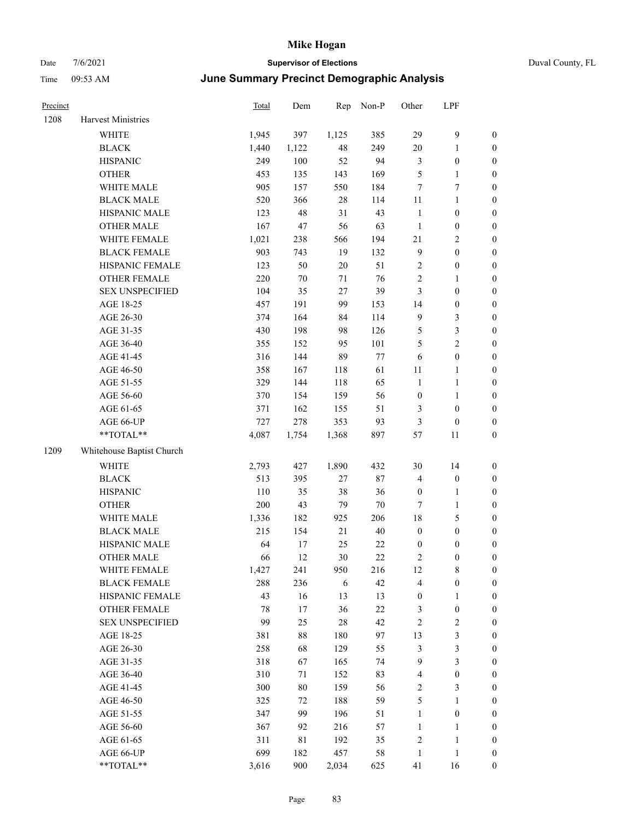| Duval County, FL |  |
|------------------|--|
|------------------|--|

| Precinct |                           | <b>Total</b> | Dem    | Rep    | Non-P  | Other            | LPF              |                  |
|----------|---------------------------|--------------|--------|--------|--------|------------------|------------------|------------------|
| 1208     | Harvest Ministries        |              |        |        |        |                  |                  |                  |
|          | <b>WHITE</b>              | 1,945        | 397    | 1,125  | 385    | 29               | $\mathbf{9}$     | $\boldsymbol{0}$ |
|          | <b>BLACK</b>              | 1,440        | 1,122  | $48\,$ | 249    | 20               | $\mathbf{1}$     | $\boldsymbol{0}$ |
|          | <b>HISPANIC</b>           | 249          | 100    | 52     | 94     | 3                | $\boldsymbol{0}$ | 0                |
|          | <b>OTHER</b>              | 453          | 135    | 143    | 169    | 5                | $\mathbf{1}$     | $\boldsymbol{0}$ |
|          | WHITE MALE                | 905          | 157    | 550    | 184    | 7                | $\tau$           | $\boldsymbol{0}$ |
|          | <b>BLACK MALE</b>         | 520          | 366    | $28\,$ | 114    | 11               | $\mathbf{1}$     | $\boldsymbol{0}$ |
|          | HISPANIC MALE             | 123          | 48     | 31     | 43     | $\mathbf{1}$     | $\boldsymbol{0}$ | $\boldsymbol{0}$ |
|          | <b>OTHER MALE</b>         | 167          | 47     | 56     | 63     | $\mathbf{1}$     | $\boldsymbol{0}$ | $\boldsymbol{0}$ |
|          | WHITE FEMALE              | 1,021        | 238    | 566    | 194    | $21\,$           | $\sqrt{2}$       | $\boldsymbol{0}$ |
|          | <b>BLACK FEMALE</b>       | 903          | 743    | 19     | 132    | $\overline{9}$   | $\boldsymbol{0}$ | $\boldsymbol{0}$ |
|          | HISPANIC FEMALE           | 123          | 50     | $20\,$ | 51     | 2                | $\boldsymbol{0}$ | $\boldsymbol{0}$ |
|          | OTHER FEMALE              | 220          | $70\,$ | 71     | 76     | $\sqrt{2}$       | $\mathbf{1}$     | 0                |
|          | <b>SEX UNSPECIFIED</b>    | 104          | 35     | 27     | 39     | 3                | $\boldsymbol{0}$ | 0                |
|          | AGE 18-25                 | 457          | 191    | 99     | 153    | 14               | $\boldsymbol{0}$ | 0                |
|          | AGE 26-30                 | 374          | 164    | 84     | 114    | 9                | 3                | $\boldsymbol{0}$ |
|          | AGE 31-35                 | 430          | 198    | 98     | 126    | 5                | $\mathfrak{Z}$   | $\boldsymbol{0}$ |
|          | AGE 36-40                 | 355          | 152    | 95     | 101    | 5                | $\mathbf{2}$     | $\boldsymbol{0}$ |
|          | AGE 41-45                 | 316          | 144    | 89     | 77     | 6                | $\boldsymbol{0}$ | $\boldsymbol{0}$ |
|          | AGE 46-50                 | 358          | 167    | 118    | 61     | 11               | $\mathbf{1}$     | $\boldsymbol{0}$ |
|          | AGE 51-55                 | 329          | 144    | 118    | 65     | $\mathbf{1}$     | $\mathbf{1}$     | $\boldsymbol{0}$ |
|          | AGE 56-60                 | 370          | 154    | 159    | 56     | $\boldsymbol{0}$ | $\mathbf{1}$     | 0                |
|          | AGE 61-65                 | 371          | 162    | 155    | 51     | 3                | $\boldsymbol{0}$ | 0                |
|          | AGE 66-UP                 | 727          | 278    | 353    | 93     | 3                | $\boldsymbol{0}$ | 0                |
|          | **TOTAL**                 | 4,087        | 1,754  | 1,368  | 897    | 57               | 11               | $\boldsymbol{0}$ |
| 1209     | Whitehouse Baptist Church |              |        |        |        |                  |                  |                  |
|          | <b>WHITE</b>              | 2,793        | 427    | 1,890  | 432    | 30               | 14               | $\boldsymbol{0}$ |
|          | <b>BLACK</b>              | 513          | 395    | 27     | $87\,$ | 4                | $\boldsymbol{0}$ | $\boldsymbol{0}$ |
|          | <b>HISPANIC</b>           | 110          | 35     | 38     | 36     | $\boldsymbol{0}$ | $\mathbf{1}$     | $\boldsymbol{0}$ |
|          | <b>OTHER</b>              | 200          | 43     | 79     | $70\,$ | 7                | $\mathbf{1}$     | $\boldsymbol{0}$ |
|          | WHITE MALE                | 1,336        | 182    | 925    | 206    | 18               | $\mathfrak{S}$   | $\boldsymbol{0}$ |
|          | <b>BLACK MALE</b>         | 215          | 154    | 21     | 40     | $\boldsymbol{0}$ | $\boldsymbol{0}$ | $\boldsymbol{0}$ |
|          | HISPANIC MALE             | 64           | 17     | 25     | $22\,$ | $\boldsymbol{0}$ | $\boldsymbol{0}$ | $\boldsymbol{0}$ |
|          | <b>OTHER MALE</b>         | 66           | 12     | 30     | 22     | 2                | $\boldsymbol{0}$ | $\boldsymbol{0}$ |
|          | WHITE FEMALE              | 1,427        | 241    | 950    | 216    | 12               | $\,$ 8 $\,$      | 0                |
|          | <b>BLACK FEMALE</b>       | 288          | 236    | 6      | 42     | 4                | $\boldsymbol{0}$ | 0                |
|          | HISPANIC FEMALE           | 43           | 16     | 13     | 13     | $\boldsymbol{0}$ | $\mathbf{1}$     | 0                |
|          | <b>OTHER FEMALE</b>       | 78           | 17     | 36     | $22\,$ | 3                | $\boldsymbol{0}$ | 0                |
|          | <b>SEX UNSPECIFIED</b>    | 99           | 25     | $28\,$ | 42     | 2                | $\sqrt{2}$       | 0                |
|          | AGE 18-25                 | 381          | 88     | 180    | 97     | 13               | $\mathfrak{Z}$   | 0                |
|          | AGE 26-30                 | 258          | 68     | 129    | 55     | $\mathfrak{Z}$   | $\mathfrak{Z}$   | 0                |
|          | AGE 31-35                 | 318          | 67     | 165    | 74     | $\overline{9}$   | $\mathfrak{Z}$   | 0                |
|          | AGE 36-40                 | 310          | 71     | 152    | 83     | 4                | $\boldsymbol{0}$ | 0                |
|          | AGE 41-45                 | 300          | $80\,$ | 159    | 56     | $\sqrt{2}$       | $\mathfrak{Z}$   | 0                |
|          | AGE 46-50                 | 325          | 72     | 188    | 59     | $\mathfrak{S}$   | $\mathbf{1}$     | 0                |
|          | AGE 51-55                 | 347          | 99     | 196    | 51     | $\mathbf{1}$     | $\boldsymbol{0}$ | 0                |
|          | AGE 56-60                 | 367          | 92     | 216    | 57     | $\mathbf{1}$     | $\mathbf{1}$     | 0                |
|          | AGE 61-65                 | 311          | 81     | 192    | 35     | $\sqrt{2}$       | $\mathbf{1}$     | 0                |
|          | AGE 66-UP                 | 699          | 182    | 457    | 58     | $\mathbf{1}$     | $\mathbf{1}$     | $\boldsymbol{0}$ |
|          | $**TOTAL**$               | 3,616        | 900    | 2,034  | 625    | 41               | 16               | $\boldsymbol{0}$ |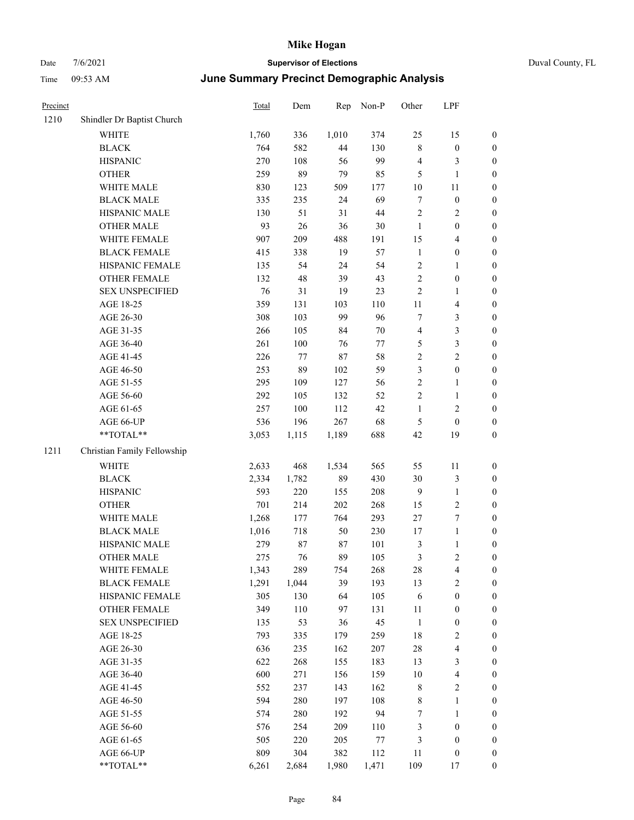# Date 7/6/2021 **Supervisor of Elections** Duval County, FL Time 09:53 AM **June Summary Precinct Demographic Analysis**

| Precinct |                             | Total | Dem   | Rep    | Non-P  | Other            | LPF                     |                  |
|----------|-----------------------------|-------|-------|--------|--------|------------------|-------------------------|------------------|
| 1210     | Shindler Dr Baptist Church  |       |       |        |        |                  |                         |                  |
|          | <b>WHITE</b>                | 1,760 | 336   | 1,010  | 374    | 25               | 15                      | 0                |
|          | <b>BLACK</b>                | 764   | 582   | 44     | 130    | $\,$ 8 $\,$      | $\boldsymbol{0}$        | $\boldsymbol{0}$ |
|          | <b>HISPANIC</b>             | 270   | 108   | 56     | 99     | $\overline{4}$   | 3                       | $\boldsymbol{0}$ |
|          | <b>OTHER</b>                | 259   | 89    | 79     | 85     | 5                | $\mathbf{1}$            | $\boldsymbol{0}$ |
|          | WHITE MALE                  | 830   | 123   | 509    | 177    | 10               | 11                      | $\boldsymbol{0}$ |
|          | <b>BLACK MALE</b>           | 335   | 235   | 24     | 69     | $\tau$           | $\boldsymbol{0}$        | $\boldsymbol{0}$ |
|          | HISPANIC MALE               | 130   | 51    | 31     | $44\,$ | $\overline{c}$   | $\sqrt{2}$              | $\boldsymbol{0}$ |
|          | <b>OTHER MALE</b>           | 93    | 26    | 36     | 30     | $\mathbf{1}$     | $\boldsymbol{0}$        | $\boldsymbol{0}$ |
|          | WHITE FEMALE                | 907   | 209   | 488    | 191    | 15               | $\overline{\mathbf{4}}$ | $\boldsymbol{0}$ |
|          | <b>BLACK FEMALE</b>         | 415   | 338   | 19     | 57     | $\mathbf{1}$     | $\boldsymbol{0}$        | $\boldsymbol{0}$ |
|          | HISPANIC FEMALE             | 135   | 54    | 24     | 54     | $\overline{c}$   | $\mathbf{1}$            | 0                |
|          | OTHER FEMALE                | 132   | 48    | 39     | 43     | $\overline{c}$   | $\boldsymbol{0}$        | $\boldsymbol{0}$ |
|          | <b>SEX UNSPECIFIED</b>      | 76    | 31    | 19     | 23     | $\sqrt{2}$       | $\mathbf{1}$            | $\boldsymbol{0}$ |
|          | AGE 18-25                   | 359   | 131   | 103    | 110    | $11\,$           | $\overline{\mathbf{4}}$ | $\boldsymbol{0}$ |
|          | AGE 26-30                   | 308   | 103   | 99     | 96     | 7                | $\mathfrak{Z}$          | $\boldsymbol{0}$ |
|          | AGE 31-35                   | 266   | 105   | 84     | 70     | $\overline{4}$   | $\mathfrak{Z}$          | $\boldsymbol{0}$ |
|          | AGE 36-40                   | 261   | 100   | 76     | 77     | 5                | $\mathfrak{Z}$          | $\boldsymbol{0}$ |
|          | AGE 41-45                   | 226   | 77    | $87\,$ | 58     | $\sqrt{2}$       | $\overline{2}$          | $\boldsymbol{0}$ |
|          | AGE 46-50                   | 253   | 89    | 102    | 59     | 3                | $\boldsymbol{0}$        | $\boldsymbol{0}$ |
|          | AGE 51-55                   | 295   | 109   | 127    | 56     | $\sqrt{2}$       | $\mathbf{1}$            | $\boldsymbol{0}$ |
|          | AGE 56-60                   | 292   | 105   | 132    | 52     | $\sqrt{2}$       | $\mathbf{1}$            | 0                |
|          | AGE 61-65                   | 257   | 100   | 112    | 42     | $\mathbf{1}$     | $\sqrt{2}$              | 0                |
|          | AGE 66-UP                   | 536   | 196   | 267    | 68     | $\mathfrak{S}$   | $\boldsymbol{0}$        | $\boldsymbol{0}$ |
|          | $**TOTAL**$                 | 3,053 | 1,115 | 1,189  | 688    | 42               | 19                      | $\boldsymbol{0}$ |
| 1211     | Christian Family Fellowship |       |       |        |        |                  |                         |                  |
|          | WHITE                       | 2,633 | 468   | 1,534  | 565    | 55               | 11                      | $\boldsymbol{0}$ |
|          | <b>BLACK</b>                | 2,334 | 1,782 | 89     | 430    | 30               | $\mathfrak{Z}$          | $\boldsymbol{0}$ |
|          | <b>HISPANIC</b>             | 593   | 220   | 155    | 208    | $\overline{9}$   | $\mathbf{1}$            | $\boldsymbol{0}$ |
|          | <b>OTHER</b>                | 701   | 214   | 202    | 268    | 15               | $\sqrt{2}$              | $\boldsymbol{0}$ |
|          | WHITE MALE                  | 1,268 | 177   | 764    | 293    | 27               | $\boldsymbol{7}$        | $\boldsymbol{0}$ |
|          | <b>BLACK MALE</b>           | 1,016 | 718   | 50     | 230    | 17               | $\mathbf{1}$            | $\boldsymbol{0}$ |
|          | HISPANIC MALE               | 279   | 87    | 87     | 101    | $\mathfrak z$    | $\mathbf{1}$            | $\boldsymbol{0}$ |
|          | <b>OTHER MALE</b>           | 275   | 76    | 89     | 105    | 3                | $\overline{c}$          | $\boldsymbol{0}$ |
|          | WHITE FEMALE                | 1,343 | 289   | 754    | 268    | 28               | 4                       | 0                |
|          | <b>BLACK FEMALE</b>         | 1,291 | 1,044 | 39     | 193    | 13               | $\sqrt{2}$              | $\overline{0}$   |
|          | HISPANIC FEMALE             | 305   | 130   | 64     | 105    | 6                | $\boldsymbol{0}$        | $\overline{0}$   |
|          | <b>OTHER FEMALE</b>         | 349   | 110   | 97     | 131    | 11               | $\boldsymbol{0}$        | $\overline{0}$   |
|          | <b>SEX UNSPECIFIED</b>      | 135   | 53    | 36     | 45     | $\mathbf{1}$     | $\boldsymbol{0}$        | 0                |
|          | AGE 18-25                   | 793   | 335   | 179    | 259    | 18               | $\sqrt{2}$              | 0                |
|          | AGE 26-30                   | 636   | 235   | 162    | 207    | $28\,$           | $\overline{\mathbf{4}}$ | 0                |
|          | AGE 31-35                   | 622   | 268   | 155    | 183    | 13               | $\mathfrak{Z}$          | 0                |
|          | AGE 36-40                   | 600   | 271   | 156    | 159    | $10\,$           | $\overline{\mathbf{4}}$ | 0                |
|          | AGE 41-45                   | 552   | 237   | 143    | 162    | 8                | $\sqrt{2}$              | 0                |
|          | AGE 46-50                   | 594   | 280   | 197    | 108    | 8                | $\mathbf{1}$            | 0                |
|          | AGE 51-55                   | 574   | 280   | 192    | 94     | $\boldsymbol{7}$ | $\mathbf{1}$            | 0                |
|          | AGE 56-60                   | 576   | 254   | 209    | 110    | 3                | $\boldsymbol{0}$        | $\boldsymbol{0}$ |
|          | AGE 61-65                   | 505   | 220   | 205    | 77     | 3                | $\boldsymbol{0}$        | $\boldsymbol{0}$ |
|          | AGE 66-UP                   | 809   | 304   | 382    | 112    | 11               | $\boldsymbol{0}$        | $\boldsymbol{0}$ |
|          |                             |       |       |        |        |                  |                         |                  |

\*\*TOTAL\*\* 6,261 2,684 1,980 1,471 109 17 0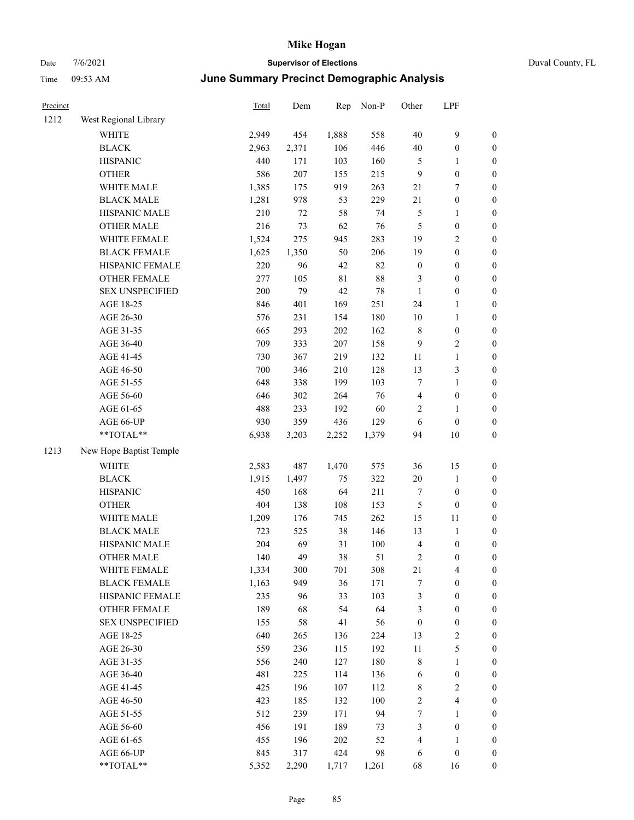# Date 7/6/2021 **Supervisor of Elections** Duval County, FL Time 09:53 AM **June Summary Precinct Demographic Analysis**

|                        | Total                                                                                                                                                                                                                                                                                                                                                                                                                                                                                                                                      | Dem                                                                                                                                                                                                                                                                      | Rep                                                                                                                                                                                                                                         | Non-P                                                                                                                                                                                                                                        | Other                                                                                                                                                                                                                                     | LPF                                                                                                                                                                                                                                                                             |                                                                                                                                                                                                                                                                                                                                                                                                                                                                                                                               |
|------------------------|--------------------------------------------------------------------------------------------------------------------------------------------------------------------------------------------------------------------------------------------------------------------------------------------------------------------------------------------------------------------------------------------------------------------------------------------------------------------------------------------------------------------------------------------|--------------------------------------------------------------------------------------------------------------------------------------------------------------------------------------------------------------------------------------------------------------------------|---------------------------------------------------------------------------------------------------------------------------------------------------------------------------------------------------------------------------------------------|----------------------------------------------------------------------------------------------------------------------------------------------------------------------------------------------------------------------------------------------|-------------------------------------------------------------------------------------------------------------------------------------------------------------------------------------------------------------------------------------------|---------------------------------------------------------------------------------------------------------------------------------------------------------------------------------------------------------------------------------------------------------------------------------|-------------------------------------------------------------------------------------------------------------------------------------------------------------------------------------------------------------------------------------------------------------------------------------------------------------------------------------------------------------------------------------------------------------------------------------------------------------------------------------------------------------------------------|
| West Regional Library  |                                                                                                                                                                                                                                                                                                                                                                                                                                                                                                                                            |                                                                                                                                                                                                                                                                          |                                                                                                                                                                                                                                             |                                                                                                                                                                                                                                              |                                                                                                                                                                                                                                           |                                                                                                                                                                                                                                                                                 |                                                                                                                                                                                                                                                                                                                                                                                                                                                                                                                               |
| <b>WHITE</b>           | 2,949                                                                                                                                                                                                                                                                                                                                                                                                                                                                                                                                      | 454                                                                                                                                                                                                                                                                      | 1,888                                                                                                                                                                                                                                       | 558                                                                                                                                                                                                                                          | 40                                                                                                                                                                                                                                        | 9                                                                                                                                                                                                                                                                               | $\boldsymbol{0}$                                                                                                                                                                                                                                                                                                                                                                                                                                                                                                              |
| <b>BLACK</b>           | 2,963                                                                                                                                                                                                                                                                                                                                                                                                                                                                                                                                      | 2,371                                                                                                                                                                                                                                                                    | 106                                                                                                                                                                                                                                         | 446                                                                                                                                                                                                                                          | 40                                                                                                                                                                                                                                        | $\boldsymbol{0}$                                                                                                                                                                                                                                                                | $\boldsymbol{0}$                                                                                                                                                                                                                                                                                                                                                                                                                                                                                                              |
| <b>HISPANIC</b>        | 440                                                                                                                                                                                                                                                                                                                                                                                                                                                                                                                                        | 171                                                                                                                                                                                                                                                                      | 103                                                                                                                                                                                                                                         | 160                                                                                                                                                                                                                                          | 5                                                                                                                                                                                                                                         | $\mathbf{1}$                                                                                                                                                                                                                                                                    | $\boldsymbol{0}$                                                                                                                                                                                                                                                                                                                                                                                                                                                                                                              |
| <b>OTHER</b>           | 586                                                                                                                                                                                                                                                                                                                                                                                                                                                                                                                                        | 207                                                                                                                                                                                                                                                                      | 155                                                                                                                                                                                                                                         | 215                                                                                                                                                                                                                                          | 9                                                                                                                                                                                                                                         | $\boldsymbol{0}$                                                                                                                                                                                                                                                                | $\boldsymbol{0}$                                                                                                                                                                                                                                                                                                                                                                                                                                                                                                              |
| WHITE MALE             | 1,385                                                                                                                                                                                                                                                                                                                                                                                                                                                                                                                                      | 175                                                                                                                                                                                                                                                                      | 919                                                                                                                                                                                                                                         | 263                                                                                                                                                                                                                                          | 21                                                                                                                                                                                                                                        | $\tau$                                                                                                                                                                                                                                                                          | $\boldsymbol{0}$                                                                                                                                                                                                                                                                                                                                                                                                                                                                                                              |
| <b>BLACK MALE</b>      | 1,281                                                                                                                                                                                                                                                                                                                                                                                                                                                                                                                                      | 978                                                                                                                                                                                                                                                                      | 53                                                                                                                                                                                                                                          | 229                                                                                                                                                                                                                                          | $21\,$                                                                                                                                                                                                                                    | $\boldsymbol{0}$                                                                                                                                                                                                                                                                | $\boldsymbol{0}$                                                                                                                                                                                                                                                                                                                                                                                                                                                                                                              |
| HISPANIC MALE          | 210                                                                                                                                                                                                                                                                                                                                                                                                                                                                                                                                        | $72\,$                                                                                                                                                                                                                                                                   | 58                                                                                                                                                                                                                                          | 74                                                                                                                                                                                                                                           | 5                                                                                                                                                                                                                                         | $\mathbf{1}$                                                                                                                                                                                                                                                                    | $\boldsymbol{0}$                                                                                                                                                                                                                                                                                                                                                                                                                                                                                                              |
| <b>OTHER MALE</b>      | 216                                                                                                                                                                                                                                                                                                                                                                                                                                                                                                                                        | 73                                                                                                                                                                                                                                                                       | 62                                                                                                                                                                                                                                          | 76                                                                                                                                                                                                                                           | 5                                                                                                                                                                                                                                         | $\boldsymbol{0}$                                                                                                                                                                                                                                                                | $\boldsymbol{0}$                                                                                                                                                                                                                                                                                                                                                                                                                                                                                                              |
| WHITE FEMALE           |                                                                                                                                                                                                                                                                                                                                                                                                                                                                                                                                            | 275                                                                                                                                                                                                                                                                      | 945                                                                                                                                                                                                                                         |                                                                                                                                                                                                                                              | 19                                                                                                                                                                                                                                        | $\sqrt{2}$                                                                                                                                                                                                                                                                      | $\boldsymbol{0}$                                                                                                                                                                                                                                                                                                                                                                                                                                                                                                              |
| <b>BLACK FEMALE</b>    |                                                                                                                                                                                                                                                                                                                                                                                                                                                                                                                                            |                                                                                                                                                                                                                                                                          | 50                                                                                                                                                                                                                                          | 206                                                                                                                                                                                                                                          | 19                                                                                                                                                                                                                                        | $\boldsymbol{0}$                                                                                                                                                                                                                                                                | 0                                                                                                                                                                                                                                                                                                                                                                                                                                                                                                                             |
|                        |                                                                                                                                                                                                                                                                                                                                                                                                                                                                                                                                            | 96                                                                                                                                                                                                                                                                       |                                                                                                                                                                                                                                             |                                                                                                                                                                                                                                              |                                                                                                                                                                                                                                           |                                                                                                                                                                                                                                                                                 | $\boldsymbol{0}$                                                                                                                                                                                                                                                                                                                                                                                                                                                                                                              |
| OTHER FEMALE           | 277                                                                                                                                                                                                                                                                                                                                                                                                                                                                                                                                        | 105                                                                                                                                                                                                                                                                      | $8\sqrt{1}$                                                                                                                                                                                                                                 | $88\,$                                                                                                                                                                                                                                       | 3                                                                                                                                                                                                                                         | $\boldsymbol{0}$                                                                                                                                                                                                                                                                | $\boldsymbol{0}$                                                                                                                                                                                                                                                                                                                                                                                                                                                                                                              |
| <b>SEX UNSPECIFIED</b> | 200                                                                                                                                                                                                                                                                                                                                                                                                                                                                                                                                        | 79                                                                                                                                                                                                                                                                       | 42                                                                                                                                                                                                                                          | 78                                                                                                                                                                                                                                           | $\mathbf{1}$                                                                                                                                                                                                                              | $\boldsymbol{0}$                                                                                                                                                                                                                                                                | $\boldsymbol{0}$                                                                                                                                                                                                                                                                                                                                                                                                                                                                                                              |
| AGE 18-25              | 846                                                                                                                                                                                                                                                                                                                                                                                                                                                                                                                                        | 401                                                                                                                                                                                                                                                                      | 169                                                                                                                                                                                                                                         | 251                                                                                                                                                                                                                                          | 24                                                                                                                                                                                                                                        | $\mathbf{1}$                                                                                                                                                                                                                                                                    | $\boldsymbol{0}$                                                                                                                                                                                                                                                                                                                                                                                                                                                                                                              |
|                        |                                                                                                                                                                                                                                                                                                                                                                                                                                                                                                                                            |                                                                                                                                                                                                                                                                          |                                                                                                                                                                                                                                             |                                                                                                                                                                                                                                              |                                                                                                                                                                                                                                           | $\mathbf{1}$                                                                                                                                                                                                                                                                    | $\boldsymbol{0}$                                                                                                                                                                                                                                                                                                                                                                                                                                                                                                              |
|                        |                                                                                                                                                                                                                                                                                                                                                                                                                                                                                                                                            |                                                                                                                                                                                                                                                                          |                                                                                                                                                                                                                                             |                                                                                                                                                                                                                                              |                                                                                                                                                                                                                                           |                                                                                                                                                                                                                                                                                 | $\boldsymbol{0}$                                                                                                                                                                                                                                                                                                                                                                                                                                                                                                              |
|                        |                                                                                                                                                                                                                                                                                                                                                                                                                                                                                                                                            |                                                                                                                                                                                                                                                                          |                                                                                                                                                                                                                                             |                                                                                                                                                                                                                                              |                                                                                                                                                                                                                                           |                                                                                                                                                                                                                                                                                 | $\boldsymbol{0}$                                                                                                                                                                                                                                                                                                                                                                                                                                                                                                              |
|                        |                                                                                                                                                                                                                                                                                                                                                                                                                                                                                                                                            |                                                                                                                                                                                                                                                                          |                                                                                                                                                                                                                                             |                                                                                                                                                                                                                                              |                                                                                                                                                                                                                                           | $\mathbf{1}$                                                                                                                                                                                                                                                                    | $\boldsymbol{0}$                                                                                                                                                                                                                                                                                                                                                                                                                                                                                                              |
|                        |                                                                                                                                                                                                                                                                                                                                                                                                                                                                                                                                            |                                                                                                                                                                                                                                                                          |                                                                                                                                                                                                                                             |                                                                                                                                                                                                                                              |                                                                                                                                                                                                                                           |                                                                                                                                                                                                                                                                                 | $\boldsymbol{0}$                                                                                                                                                                                                                                                                                                                                                                                                                                                                                                              |
|                        |                                                                                                                                                                                                                                                                                                                                                                                                                                                                                                                                            |                                                                                                                                                                                                                                                                          |                                                                                                                                                                                                                                             |                                                                                                                                                                                                                                              | 7                                                                                                                                                                                                                                         | $\mathbf{1}$                                                                                                                                                                                                                                                                    | 0                                                                                                                                                                                                                                                                                                                                                                                                                                                                                                                             |
|                        |                                                                                                                                                                                                                                                                                                                                                                                                                                                                                                                                            |                                                                                                                                                                                                                                                                          |                                                                                                                                                                                                                                             |                                                                                                                                                                                                                                              |                                                                                                                                                                                                                                           |                                                                                                                                                                                                                                                                                 | 0                                                                                                                                                                                                                                                                                                                                                                                                                                                                                                                             |
|                        |                                                                                                                                                                                                                                                                                                                                                                                                                                                                                                                                            |                                                                                                                                                                                                                                                                          |                                                                                                                                                                                                                                             |                                                                                                                                                                                                                                              | 2                                                                                                                                                                                                                                         | 1                                                                                                                                                                                                                                                                               | $\boldsymbol{0}$                                                                                                                                                                                                                                                                                                                                                                                                                                                                                                              |
|                        |                                                                                                                                                                                                                                                                                                                                                                                                                                                                                                                                            |                                                                                                                                                                                                                                                                          |                                                                                                                                                                                                                                             |                                                                                                                                                                                                                                              |                                                                                                                                                                                                                                           |                                                                                                                                                                                                                                                                                 | $\boldsymbol{0}$                                                                                                                                                                                                                                                                                                                                                                                                                                                                                                              |
| **TOTAL**              |                                                                                                                                                                                                                                                                                                                                                                                                                                                                                                                                            |                                                                                                                                                                                                                                                                          |                                                                                                                                                                                                                                             |                                                                                                                                                                                                                                              |                                                                                                                                                                                                                                           |                                                                                                                                                                                                                                                                                 | $\boldsymbol{0}$                                                                                                                                                                                                                                                                                                                                                                                                                                                                                                              |
|                        |                                                                                                                                                                                                                                                                                                                                                                                                                                                                                                                                            |                                                                                                                                                                                                                                                                          |                                                                                                                                                                                                                                             |                                                                                                                                                                                                                                              |                                                                                                                                                                                                                                           |                                                                                                                                                                                                                                                                                 |                                                                                                                                                                                                                                                                                                                                                                                                                                                                                                                               |
|                        |                                                                                                                                                                                                                                                                                                                                                                                                                                                                                                                                            |                                                                                                                                                                                                                                                                          |                                                                                                                                                                                                                                             |                                                                                                                                                                                                                                              |                                                                                                                                                                                                                                           |                                                                                                                                                                                                                                                                                 | $\boldsymbol{0}$                                                                                                                                                                                                                                                                                                                                                                                                                                                                                                              |
|                        |                                                                                                                                                                                                                                                                                                                                                                                                                                                                                                                                            |                                                                                                                                                                                                                                                                          |                                                                                                                                                                                                                                             |                                                                                                                                                                                                                                              |                                                                                                                                                                                                                                           |                                                                                                                                                                                                                                                                                 | $\boldsymbol{0}$                                                                                                                                                                                                                                                                                                                                                                                                                                                                                                              |
|                        |                                                                                                                                                                                                                                                                                                                                                                                                                                                                                                                                            |                                                                                                                                                                                                                                                                          |                                                                                                                                                                                                                                             |                                                                                                                                                                                                                                              |                                                                                                                                                                                                                                           |                                                                                                                                                                                                                                                                                 | $\boldsymbol{0}$                                                                                                                                                                                                                                                                                                                                                                                                                                                                                                              |
|                        |                                                                                                                                                                                                                                                                                                                                                                                                                                                                                                                                            |                                                                                                                                                                                                                                                                          |                                                                                                                                                                                                                                             |                                                                                                                                                                                                                                              |                                                                                                                                                                                                                                           |                                                                                                                                                                                                                                                                                 | $\boldsymbol{0}$                                                                                                                                                                                                                                                                                                                                                                                                                                                                                                              |
|                        |                                                                                                                                                                                                                                                                                                                                                                                                                                                                                                                                            |                                                                                                                                                                                                                                                                          |                                                                                                                                                                                                                                             |                                                                                                                                                                                                                                              |                                                                                                                                                                                                                                           |                                                                                                                                                                                                                                                                                 | $\boldsymbol{0}$                                                                                                                                                                                                                                                                                                                                                                                                                                                                                                              |
|                        |                                                                                                                                                                                                                                                                                                                                                                                                                                                                                                                                            |                                                                                                                                                                                                                                                                          |                                                                                                                                                                                                                                             |                                                                                                                                                                                                                                              |                                                                                                                                                                                                                                           |                                                                                                                                                                                                                                                                                 | $\boldsymbol{0}$                                                                                                                                                                                                                                                                                                                                                                                                                                                                                                              |
|                        |                                                                                                                                                                                                                                                                                                                                                                                                                                                                                                                                            |                                                                                                                                                                                                                                                                          |                                                                                                                                                                                                                                             |                                                                                                                                                                                                                                              |                                                                                                                                                                                                                                           |                                                                                                                                                                                                                                                                                 | 0                                                                                                                                                                                                                                                                                                                                                                                                                                                                                                                             |
|                        |                                                                                                                                                                                                                                                                                                                                                                                                                                                                                                                                            |                                                                                                                                                                                                                                                                          |                                                                                                                                                                                                                                             |                                                                                                                                                                                                                                              |                                                                                                                                                                                                                                           |                                                                                                                                                                                                                                                                                 | $\boldsymbol{0}$                                                                                                                                                                                                                                                                                                                                                                                                                                                                                                              |
|                        |                                                                                                                                                                                                                                                                                                                                                                                                                                                                                                                                            |                                                                                                                                                                                                                                                                          |                                                                                                                                                                                                                                             |                                                                                                                                                                                                                                              |                                                                                                                                                                                                                                           |                                                                                                                                                                                                                                                                                 | $\boldsymbol{0}$                                                                                                                                                                                                                                                                                                                                                                                                                                                                                                              |
|                        |                                                                                                                                                                                                                                                                                                                                                                                                                                                                                                                                            |                                                                                                                                                                                                                                                                          |                                                                                                                                                                                                                                             |                                                                                                                                                                                                                                              |                                                                                                                                                                                                                                           |                                                                                                                                                                                                                                                                                 | $\boldsymbol{0}$                                                                                                                                                                                                                                                                                                                                                                                                                                                                                                              |
|                        |                                                                                                                                                                                                                                                                                                                                                                                                                                                                                                                                            |                                                                                                                                                                                                                                                                          |                                                                                                                                                                                                                                             |                                                                                                                                                                                                                                              |                                                                                                                                                                                                                                           |                                                                                                                                                                                                                                                                                 | $\overline{0}$                                                                                                                                                                                                                                                                                                                                                                                                                                                                                                                |
|                        |                                                                                                                                                                                                                                                                                                                                                                                                                                                                                                                                            |                                                                                                                                                                                                                                                                          |                                                                                                                                                                                                                                             |                                                                                                                                                                                                                                              |                                                                                                                                                                                                                                           |                                                                                                                                                                                                                                                                                 | 0                                                                                                                                                                                                                                                                                                                                                                                                                                                                                                                             |
|                        |                                                                                                                                                                                                                                                                                                                                                                                                                                                                                                                                            |                                                                                                                                                                                                                                                                          |                                                                                                                                                                                                                                             |                                                                                                                                                                                                                                              |                                                                                                                                                                                                                                           |                                                                                                                                                                                                                                                                                 | 0                                                                                                                                                                                                                                                                                                                                                                                                                                                                                                                             |
|                        |                                                                                                                                                                                                                                                                                                                                                                                                                                                                                                                                            |                                                                                                                                                                                                                                                                          |                                                                                                                                                                                                                                             |                                                                                                                                                                                                                                              |                                                                                                                                                                                                                                           |                                                                                                                                                                                                                                                                                 | 0                                                                                                                                                                                                                                                                                                                                                                                                                                                                                                                             |
|                        |                                                                                                                                                                                                                                                                                                                                                                                                                                                                                                                                            |                                                                                                                                                                                                                                                                          |                                                                                                                                                                                                                                             |                                                                                                                                                                                                                                              |                                                                                                                                                                                                                                           |                                                                                                                                                                                                                                                                                 | 0                                                                                                                                                                                                                                                                                                                                                                                                                                                                                                                             |
|                        |                                                                                                                                                                                                                                                                                                                                                                                                                                                                                                                                            |                                                                                                                                                                                                                                                                          |                                                                                                                                                                                                                                             |                                                                                                                                                                                                                                              |                                                                                                                                                                                                                                           |                                                                                                                                                                                                                                                                                 | 0                                                                                                                                                                                                                                                                                                                                                                                                                                                                                                                             |
|                        |                                                                                                                                                                                                                                                                                                                                                                                                                                                                                                                                            |                                                                                                                                                                                                                                                                          |                                                                                                                                                                                                                                             |                                                                                                                                                                                                                                              |                                                                                                                                                                                                                                           |                                                                                                                                                                                                                                                                                 | 0                                                                                                                                                                                                                                                                                                                                                                                                                                                                                                                             |
|                        |                                                                                                                                                                                                                                                                                                                                                                                                                                                                                                                                            |                                                                                                                                                                                                                                                                          |                                                                                                                                                                                                                                             |                                                                                                                                                                                                                                              |                                                                                                                                                                                                                                           |                                                                                                                                                                                                                                                                                 | 0                                                                                                                                                                                                                                                                                                                                                                                                                                                                                                                             |
|                        |                                                                                                                                                                                                                                                                                                                                                                                                                                                                                                                                            |                                                                                                                                                                                                                                                                          |                                                                                                                                                                                                                                             |                                                                                                                                                                                                                                              |                                                                                                                                                                                                                                           |                                                                                                                                                                                                                                                                                 | 0                                                                                                                                                                                                                                                                                                                                                                                                                                                                                                                             |
|                        |                                                                                                                                                                                                                                                                                                                                                                                                                                                                                                                                            |                                                                                                                                                                                                                                                                          |                                                                                                                                                                                                                                             |                                                                                                                                                                                                                                              |                                                                                                                                                                                                                                           |                                                                                                                                                                                                                                                                                 | $\boldsymbol{0}$                                                                                                                                                                                                                                                                                                                                                                                                                                                                                                              |
|                        |                                                                                                                                                                                                                                                                                                                                                                                                                                                                                                                                            |                                                                                                                                                                                                                                                                          |                                                                                                                                                                                                                                             |                                                                                                                                                                                                                                              |                                                                                                                                                                                                                                           |                                                                                                                                                                                                                                                                                 | $\boldsymbol{0}$                                                                                                                                                                                                                                                                                                                                                                                                                                                                                                              |
|                        |                                                                                                                                                                                                                                                                                                                                                                                                                                                                                                                                            |                                                                                                                                                                                                                                                                          |                                                                                                                                                                                                                                             |                                                                                                                                                                                                                                              |                                                                                                                                                                                                                                           |                                                                                                                                                                                                                                                                                 | $\boldsymbol{0}$                                                                                                                                                                                                                                                                                                                                                                                                                                                                                                              |
|                        |                                                                                                                                                                                                                                                                                                                                                                                                                                                                                                                                            |                                                                                                                                                                                                                                                                          |                                                                                                                                                                                                                                             |                                                                                                                                                                                                                                              |                                                                                                                                                                                                                                           | $\boldsymbol{0}$                                                                                                                                                                                                                                                                | $\boldsymbol{0}$                                                                                                                                                                                                                                                                                                                                                                                                                                                                                                              |
|                        | HISPANIC FEMALE<br>AGE 26-30<br>AGE 31-35<br>AGE 36-40<br>AGE 41-45<br>AGE 46-50<br>AGE 51-55<br>AGE 56-60<br>AGE 61-65<br>AGE 66-UP<br>New Hope Baptist Temple<br>WHITE<br><b>BLACK</b><br><b>HISPANIC</b><br><b>OTHER</b><br>WHITE MALE<br><b>BLACK MALE</b><br>HISPANIC MALE<br><b>OTHER MALE</b><br>WHITE FEMALE<br><b>BLACK FEMALE</b><br>HISPANIC FEMALE<br>OTHER FEMALE<br><b>SEX UNSPECIFIED</b><br>AGE 18-25<br>AGE 26-30<br>AGE 31-35<br>AGE 36-40<br>AGE 41-45<br>AGE 46-50<br>AGE 51-55<br>AGE 56-60<br>AGE 61-65<br>AGE 66-UP | 1,524<br>1,625<br>220<br>576<br>665<br>709<br>730<br>700<br>648<br>646<br>488<br>930<br>6,938<br>2,583<br>1,915<br>450<br>404<br>1,209<br>723<br>204<br>140<br>1,334<br>1,163<br>235<br>189<br>155<br>640<br>559<br>556<br>481<br>425<br>423<br>512<br>456<br>455<br>845 | 1,350<br>231<br>293<br>333<br>367<br>346<br>338<br>302<br>233<br>359<br>3,203<br>487<br>1,497<br>168<br>138<br>176<br>525<br>69<br>49<br>300<br>949<br>96<br>68<br>58<br>265<br>236<br>240<br>225<br>196<br>185<br>239<br>191<br>196<br>317 | $42\,$<br>154<br>202<br>207<br>219<br>210<br>199<br>264<br>192<br>436<br>2,252<br>1,470<br>75<br>64<br>108<br>745<br>$38\,$<br>31<br>38<br>701<br>36<br>33<br>54<br>41<br>136<br>115<br>127<br>114<br>107<br>132<br>171<br>189<br>202<br>424 | 283<br>82<br>180<br>162<br>158<br>132<br>128<br>103<br>76<br>60<br>129<br>1,379<br>575<br>322<br>211<br>153<br>262<br>146<br>100<br>51<br>308<br>171<br>103<br>64<br>56<br>224<br>192<br>180<br>136<br>112<br>100<br>94<br>73<br>52<br>98 | $\boldsymbol{0}$<br>10<br>$\,$ $\,$<br>9<br>$11\,$<br>13<br>4<br>6<br>94<br>36<br>20<br>7<br>5<br>15<br>13<br>$\overline{4}$<br>2<br>21<br>7<br>$\mathfrak{Z}$<br>3<br>$\boldsymbol{0}$<br>13<br>$11\,$<br>8<br>6<br>$\,$ 8 $\,$<br>$\sqrt{2}$<br>7<br>3<br>$\overline{4}$<br>6 | $\boldsymbol{0}$<br>$\boldsymbol{0}$<br>$\sqrt{2}$<br>$\mathfrak{Z}$<br>$\boldsymbol{0}$<br>$\boldsymbol{0}$<br>$10\,$<br>15<br>$\mathbf{1}$<br>$\boldsymbol{0}$<br>$\boldsymbol{0}$<br>11<br>$\mathbf{1}$<br>$\boldsymbol{0}$<br>$\boldsymbol{0}$<br>$\overline{\mathbf{4}}$<br>$\boldsymbol{0}$<br>$\boldsymbol{0}$<br>$\boldsymbol{0}$<br>$\boldsymbol{0}$<br>$\sqrt{2}$<br>$\mathfrak s$<br>$\mathbf{1}$<br>$\boldsymbol{0}$<br>$\sqrt{2}$<br>$\overline{\mathbf{4}}$<br>$\mathbf{1}$<br>$\boldsymbol{0}$<br>$\mathbf{1}$ |

\*\*TOTAL\*\* 5,352 2,290 1,717 1,261 68 16 0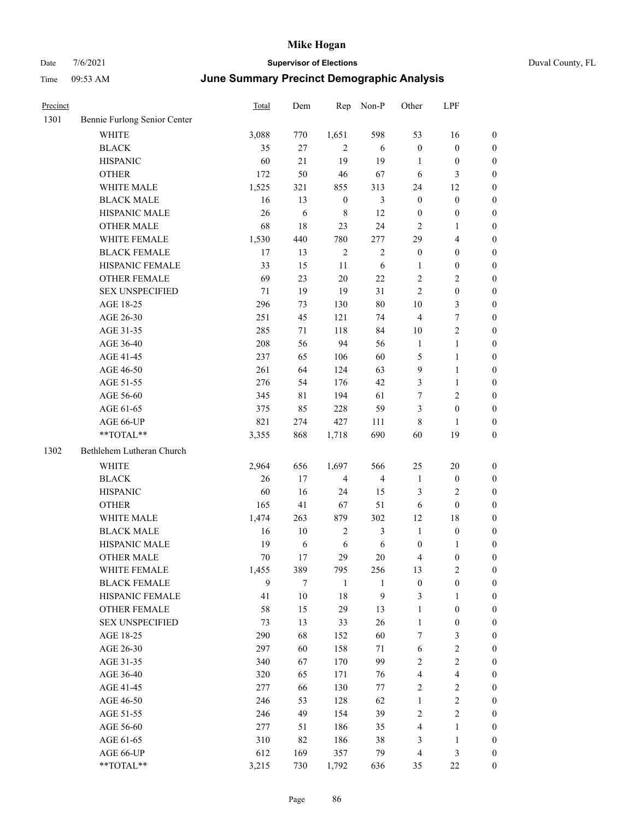| Precinct |                              | Total | Dem        | Rep              | Non-P          | Other            | LPF                     |                  |
|----------|------------------------------|-------|------------|------------------|----------------|------------------|-------------------------|------------------|
| 1301     | Bennie Furlong Senior Center |       |            |                  |                |                  |                         |                  |
|          | <b>WHITE</b>                 | 3,088 | 770        | 1,651            | 598            | 53               | 16                      | $\boldsymbol{0}$ |
|          | <b>BLACK</b>                 | 35    | 27         | $\mathbf{2}$     | 6              | $\boldsymbol{0}$ | $\boldsymbol{0}$        | $\boldsymbol{0}$ |
|          | <b>HISPANIC</b>              | 60    | 21         | 19               | 19             | 1                | $\boldsymbol{0}$        | $\boldsymbol{0}$ |
|          | <b>OTHER</b>                 | 172   | 50         | 46               | 67             | 6                | 3                       | $\boldsymbol{0}$ |
|          | WHITE MALE                   | 1,525 | 321        | 855              | 313            | 24               | 12                      | $\boldsymbol{0}$ |
|          | <b>BLACK MALE</b>            | 16    | 13         | $\boldsymbol{0}$ | 3              | $\boldsymbol{0}$ | $\boldsymbol{0}$        | $\boldsymbol{0}$ |
|          | HISPANIC MALE                | 26    | $\sqrt{6}$ | $\,8\,$          | 12             | $\boldsymbol{0}$ | $\boldsymbol{0}$        | $\boldsymbol{0}$ |
|          | <b>OTHER MALE</b>            | 68    | 18         | 23               | 24             | $\overline{2}$   | 1                       | $\boldsymbol{0}$ |
|          | WHITE FEMALE                 | 1,530 | 440        | 780              | 277            | 29               | 4                       | $\boldsymbol{0}$ |
|          | <b>BLACK FEMALE</b>          | 17    | 13         | $\overline{2}$   | $\overline{2}$ | $\boldsymbol{0}$ | $\boldsymbol{0}$        | $\boldsymbol{0}$ |
|          | HISPANIC FEMALE              | 33    | 15         | 11               | $\sqrt{6}$     | $\mathbf{1}$     | $\boldsymbol{0}$        | $\boldsymbol{0}$ |
|          | <b>OTHER FEMALE</b>          | 69    | 23         | $20\,$           | 22             | $\overline{2}$   | 2                       | $\boldsymbol{0}$ |
|          | <b>SEX UNSPECIFIED</b>       | 71    | 19         | 19               | 31             | $\overline{2}$   | $\boldsymbol{0}$        | $\boldsymbol{0}$ |
|          | AGE 18-25                    | 296   | 73         | 130              | $80\,$         | 10               | 3                       | $\boldsymbol{0}$ |
|          | AGE 26-30                    | 251   | 45         | 121              | 74             | $\overline{4}$   | 7                       | $\boldsymbol{0}$ |
|          | AGE 31-35                    | 285   | 71         | 118              | 84             | 10               | 2                       | $\boldsymbol{0}$ |
|          | AGE 36-40                    | 208   | 56         | 94               | 56             | $\mathbf{1}$     | $\mathbf{1}$            | $\boldsymbol{0}$ |
|          | AGE 41-45                    | 237   | 65         | 106              | 60             | 5                | 1                       | $\boldsymbol{0}$ |
|          | AGE 46-50                    | 261   | 64         | 124              | 63             | 9                | $\mathbf{1}$            | $\boldsymbol{0}$ |
|          | AGE 51-55                    | 276   | 54         | 176              | 42             | 3                | $\mathbf{1}$            | $\boldsymbol{0}$ |
|          | AGE 56-60                    | 345   | 81         | 194              | 61             | $\tau$           | $\overline{\mathbf{c}}$ | $\boldsymbol{0}$ |
|          | AGE 61-65                    | 375   | 85         | 228              | 59             | 3                | $\boldsymbol{0}$        | $\boldsymbol{0}$ |
|          | AGE 66-UP                    | 821   | 274        | 427              | 111            | $\,8\,$          | 1                       | $\boldsymbol{0}$ |
|          | **TOTAL**                    | 3,355 | 868        | 1,718            | 690            | 60               | 19                      | $\boldsymbol{0}$ |
| 1302     | Bethlehem Lutheran Church    |       |            |                  |                |                  |                         |                  |
|          | WHITE                        | 2,964 | 656        | 1,697            | 566            | 25               | 20                      | $\boldsymbol{0}$ |
|          | <b>BLACK</b>                 | 26    | 17         | $\overline{4}$   | $\overline{4}$ | -1               | $\boldsymbol{0}$        | $\boldsymbol{0}$ |
|          | <b>HISPANIC</b>              | 60    | 16         | 24               | 15             | 3                | 2                       | $\boldsymbol{0}$ |
|          | <b>OTHER</b>                 | 165   | 41         | 67               | 51             | 6                | $\boldsymbol{0}$        | $\boldsymbol{0}$ |
|          | WHITE MALE                   | 1,474 | 263        | 879              | 302            | 12               | 18                      | $\boldsymbol{0}$ |
|          | <b>BLACK MALE</b>            | 16    | 10         | $\overline{2}$   | 3              | $\mathbf{1}$     | $\boldsymbol{0}$        | $\boldsymbol{0}$ |
|          | HISPANIC MALE                | 19    | 6          | 6                | 6              | $\boldsymbol{0}$ | 1                       | $\boldsymbol{0}$ |
|          | <b>OTHER MALE</b>            | 70    | 17         | 29               | 20             | $\overline{4}$   | $\boldsymbol{0}$        | $\boldsymbol{0}$ |
|          | WHITE FEMALE                 | 1,455 | 389        | 795              | 256            | 13               | $\mathbf{2}$            | $\boldsymbol{0}$ |
|          | <b>BLACK FEMALE</b>          | 9     | $\tau$     | $\mathbf{1}$     | $\mathbf{1}$   | $\boldsymbol{0}$ | $\boldsymbol{0}$        | $\boldsymbol{0}$ |
|          | HISPANIC FEMALE              | 41    | $10\,$     | 18               | 9              | $\mathfrak{Z}$   | $\mathbf{1}$            | $\boldsymbol{0}$ |
|          | OTHER FEMALE                 | 58    | 15         | 29               | 13             | $\mathbf{1}$     | $\boldsymbol{0}$        | $\boldsymbol{0}$ |
|          | <b>SEX UNSPECIFIED</b>       | 73    | 13         | 33               | $26\,$         | $\mathbf{1}$     | $\boldsymbol{0}$        | $\boldsymbol{0}$ |
|          | AGE 18-25                    | 290   | 68         | 152              | 60             | $\tau$           | 3                       | $\boldsymbol{0}$ |
|          | AGE 26-30                    | 297   | 60         | 158              | 71             | 6                | $\sqrt{2}$              | $\boldsymbol{0}$ |
|          | AGE 31-35                    | 340   | 67         | 170              | 99             | $\sqrt{2}$       | $\sqrt{2}$              | $\boldsymbol{0}$ |
|          | AGE 36-40                    | 320   | 65         | 171              | 76             | $\overline{4}$   | 4                       | $\boldsymbol{0}$ |
|          | AGE 41-45                    | 277   | 66         | 130              | 77             | $\sqrt{2}$       | 2                       | $\boldsymbol{0}$ |
|          | AGE 46-50                    | 246   | 53         | 128              | 62             | $\mathbf{1}$     | $\mathbf{2}$            | $\boldsymbol{0}$ |
|          | AGE 51-55                    | 246   | 49         | 154              | 39             | $\sqrt{2}$       | $\mathbf{2}$            | $\boldsymbol{0}$ |
|          | AGE 56-60                    | 277   | 51         | 186              | 35             | $\overline{4}$   | $\mathbf{1}$            | $\boldsymbol{0}$ |
|          | AGE 61-65                    | 310   | 82         | 186              | 38             | $\mathfrak{Z}$   | $\mathbf{1}$            | $\boldsymbol{0}$ |
|          | AGE 66-UP                    | 612   | 169        | 357              | 79             | $\overline{4}$   | 3                       | $\boldsymbol{0}$ |
|          | **TOTAL**                    | 3,215 | 730        | 1,792            | 636            | 35               | $22\,$                  | $\boldsymbol{0}$ |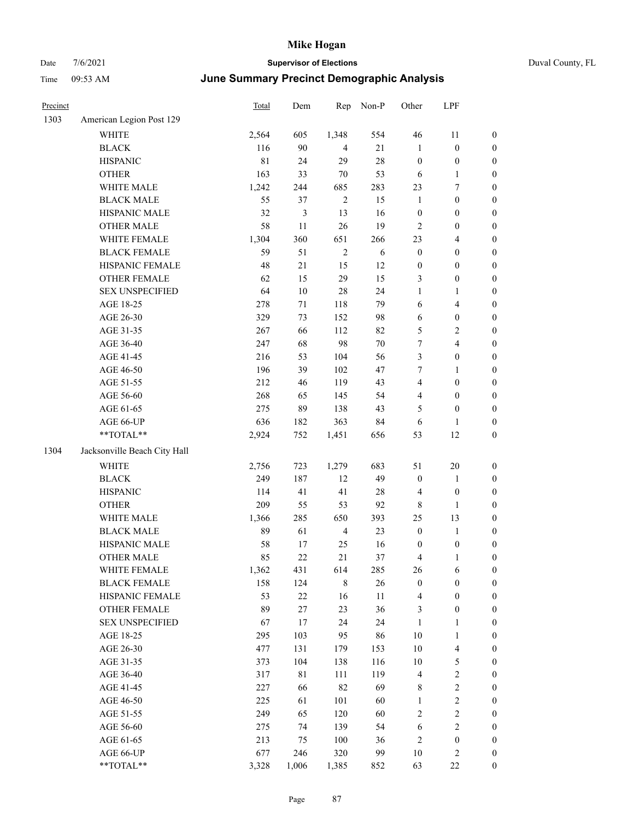|  | Duval County, FL |  |
|--|------------------|--|
|--|------------------|--|

| Precinct |                              | Total       | Dem    | Rep            | Non-P  | Other            | LPF                     |                  |
|----------|------------------------------|-------------|--------|----------------|--------|------------------|-------------------------|------------------|
| 1303     | American Legion Post 129     |             |        |                |        |                  |                         |                  |
|          | <b>WHITE</b>                 | 2,564       | 605    | 1,348          | 554    | $46\,$           | 11                      | $\boldsymbol{0}$ |
|          | <b>BLACK</b>                 | 116         | 90     | $\overline{4}$ | 21     | $\mathbf{1}$     | $\boldsymbol{0}$        | $\boldsymbol{0}$ |
|          | <b>HISPANIC</b>              | $8\sqrt{1}$ | 24     | 29             | 28     | $\boldsymbol{0}$ | $\boldsymbol{0}$        | $\boldsymbol{0}$ |
|          | <b>OTHER</b>                 | 163         | 33     | 70             | 53     | 6                | $\mathbf{1}$            | $\boldsymbol{0}$ |
|          | WHITE MALE                   | 1,242       | 244    | 685            | 283    | 23               | 7                       | $\boldsymbol{0}$ |
|          | <b>BLACK MALE</b>            | 55          | 37     | $\overline{2}$ | 15     | $\mathbf{1}$     | $\boldsymbol{0}$        | $\boldsymbol{0}$ |
|          | HISPANIC MALE                | 32          | 3      | 13             | 16     | $\boldsymbol{0}$ | $\boldsymbol{0}$        | $\boldsymbol{0}$ |
|          | <b>OTHER MALE</b>            | 58          | 11     | 26             | 19     | 2                | $\boldsymbol{0}$        | $\boldsymbol{0}$ |
|          | WHITE FEMALE                 | 1,304       | 360    | 651            | 266    | 23               | $\overline{4}$          | 0                |
|          | <b>BLACK FEMALE</b>          | 59          | 51     | $\overline{2}$ | 6      | $\boldsymbol{0}$ | $\boldsymbol{0}$        | 0                |
|          | HISPANIC FEMALE              | 48          | 21     | 15             | 12     | $\boldsymbol{0}$ | $\boldsymbol{0}$        | $\boldsymbol{0}$ |
|          | OTHER FEMALE                 | 62          | 15     | 29             | 15     | 3                | $\boldsymbol{0}$        | $\boldsymbol{0}$ |
|          | <b>SEX UNSPECIFIED</b>       | 64          | $10\,$ | 28             | 24     | $\mathbf{1}$     | $\mathbf{1}$            | $\boldsymbol{0}$ |
|          | AGE 18-25                    | 278         | $71\,$ | 118            | 79     | 6                | $\overline{\mathbf{4}}$ | $\boldsymbol{0}$ |
|          | AGE 26-30                    | 329         | 73     | 152            | 98     | 6                | $\boldsymbol{0}$        | $\boldsymbol{0}$ |
|          | AGE 31-35                    | 267         | 66     | 112            | 82     | 5                | $\sqrt{2}$              | $\boldsymbol{0}$ |
|          | AGE 36-40                    | 247         | 68     | 98             | $70\,$ | 7                | $\overline{\mathbf{4}}$ | $\boldsymbol{0}$ |
|          | AGE 41-45                    | 216         | 53     | 104            | 56     | 3                | $\boldsymbol{0}$        | $\boldsymbol{0}$ |
|          | AGE 46-50                    | 196         | 39     | 102            | 47     | 7                | $\mathbf{1}$            | 0                |
|          | AGE 51-55                    | 212         | 46     | 119            | 43     | 4                | $\boldsymbol{0}$        | $\boldsymbol{0}$ |
|          | AGE 56-60                    | 268         | 65     | 145            | 54     | 4                | $\boldsymbol{0}$        | $\boldsymbol{0}$ |
|          | AGE 61-65                    | 275         | 89     | 138            | 43     | 5                | $\boldsymbol{0}$        | $\boldsymbol{0}$ |
|          | AGE 66-UP                    | 636         | 182    | 363            | 84     | 6                | 1                       | $\boldsymbol{0}$ |
|          | $**TOTAL**$                  | 2,924       | 752    | 1,451          | 656    | 53               | 12                      | $\boldsymbol{0}$ |
| 1304     | Jacksonville Beach City Hall |             |        |                |        |                  |                         |                  |
|          | <b>WHITE</b>                 | 2,756       | 723    | 1,279          | 683    | 51               | $20\,$                  | $\boldsymbol{0}$ |
|          | <b>BLACK</b>                 | 249         | 187    | 12             | 49     | $\boldsymbol{0}$ | $\mathbf{1}$            | $\boldsymbol{0}$ |
|          | <b>HISPANIC</b>              | 114         | 41     | 41             | $28\,$ | $\overline{4}$   | $\boldsymbol{0}$        | $\boldsymbol{0}$ |
|          | <b>OTHER</b>                 | 209         | 55     | 53             | 92     | $\,$ 8 $\,$      | $\mathbf{1}$            | $\boldsymbol{0}$ |
|          | WHITE MALE                   | 1,366       | 285    | 650            | 393    | $25\,$           | 13                      | $\boldsymbol{0}$ |
|          | <b>BLACK MALE</b>            | 89          | 61     | $\overline{4}$ | 23     | $\boldsymbol{0}$ | $\mathbf{1}$            | 0                |
|          | HISPANIC MALE                | 58          | 17     | 25             | 16     | $\boldsymbol{0}$ | $\boldsymbol{0}$        | 0                |
|          | <b>OTHER MALE</b>            | 85          | 22     | 21             | 37     | 4                | $\mathbf{1}$            | $\boldsymbol{0}$ |
|          | WHITE FEMALE                 | 1,362       | 431    | 614            | 285    | 26               | 6                       | $\boldsymbol{0}$ |
|          | <b>BLACK FEMALE</b>          | 158         | 124    | $\,8\,$        | 26     | $\boldsymbol{0}$ | $\boldsymbol{0}$        | $\boldsymbol{0}$ |
|          | HISPANIC FEMALE              | 53          | $22\,$ | 16             | 11     | $\overline{4}$   | $\boldsymbol{0}$        | $\overline{0}$   |
|          | <b>OTHER FEMALE</b>          | 89          | 27     | 23             | 36     | $\mathfrak{Z}$   | $\boldsymbol{0}$        | $\overline{0}$   |
|          | <b>SEX UNSPECIFIED</b>       | 67          | 17     | 24             | 24     | $\mathbf{1}$     | $\mathbf{1}$            | $\overline{0}$   |
|          | AGE 18-25                    | 295         | 103    | 95             | 86     | $10\,$           | $\mathbf{1}$            | $\overline{0}$   |
|          | AGE 26-30                    | 477         | 131    | 179            | 153    | 10               | $\overline{\mathbf{4}}$ | 0                |
|          | AGE 31-35                    | 373         | 104    | 138            | 116    | 10               | 5                       | 0                |
|          | AGE 36-40                    | 317         | 81     | 111            | 119    | $\overline{4}$   | $\sqrt{2}$              | 0                |
|          | AGE 41-45                    | 227         | 66     | 82             | 69     | 8                | $\sqrt{2}$              | $\boldsymbol{0}$ |
|          | AGE 46-50                    | 225         | 61     | 101            | 60     | $\mathbf{1}$     | $\sqrt{2}$              | $\boldsymbol{0}$ |
|          | AGE 51-55                    | 249         | 65     | 120            | 60     | 2                | $\sqrt{2}$              | $\boldsymbol{0}$ |
|          | AGE 56-60                    | 275         | 74     | 139            | 54     | 6                | $\mathbf{2}$            | $\boldsymbol{0}$ |
|          | AGE 61-65                    | 213         | 75     | 100            | 36     | 2                | $\boldsymbol{0}$        | $\boldsymbol{0}$ |
|          | AGE 66-UP                    | 677         | 246    | 320            | 99     | $10\,$           | $\sqrt{2}$              | $\boldsymbol{0}$ |
|          | **TOTAL**                    | 3,328       | 1,006  | 1,385          | 852    | 63               | $22\,$                  | $\overline{0}$   |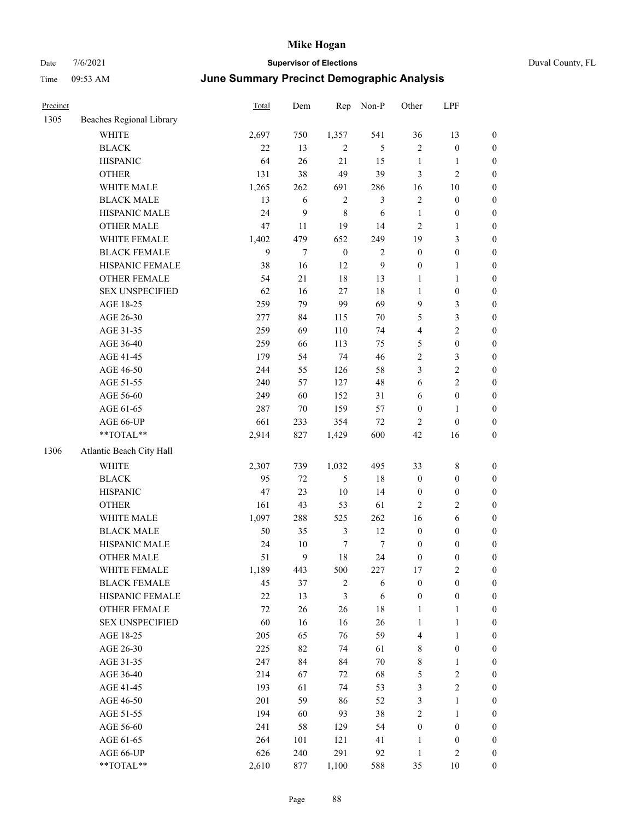| Duval County, FL |  |
|------------------|--|
|------------------|--|

| Precinct |                          | Total  | Dem    | Rep              | Non-P          | Other            | LPF              |                  |
|----------|--------------------------|--------|--------|------------------|----------------|------------------|------------------|------------------|
| 1305     | Beaches Regional Library |        |        |                  |                |                  |                  |                  |
|          | WHITE                    | 2,697  | 750    | 1,357            | 541            | 36               | 13               | $\boldsymbol{0}$ |
|          | <b>BLACK</b>             | 22     | 13     | $\overline{2}$   | $\mathfrak{S}$ | $\mathbf{2}$     | $\boldsymbol{0}$ | $\boldsymbol{0}$ |
|          | <b>HISPANIC</b>          | 64     | 26     | $21\,$           | 15             | $\mathbf{1}$     | 1                | $\boldsymbol{0}$ |
|          | <b>OTHER</b>             | 131    | 38     | 49               | 39             | 3                | $\sqrt{2}$       | $\boldsymbol{0}$ |
|          | WHITE MALE               | 1,265  | 262    | 691              | 286            | 16               | 10               | 0                |
|          | <b>BLACK MALE</b>        | 13     | 6      | $\sqrt{2}$       | 3              | $\sqrt{2}$       | $\boldsymbol{0}$ | $\boldsymbol{0}$ |
|          | HISPANIC MALE            | 24     | 9      | $\,8\,$          | 6              | $\mathbf{1}$     | $\boldsymbol{0}$ | $\boldsymbol{0}$ |
|          | <b>OTHER MALE</b>        | 47     | 11     | 19               | 14             | $\overline{2}$   | $\mathbf{1}$     | $\boldsymbol{0}$ |
|          | WHITE FEMALE             | 1,402  | 479    | 652              | 249            | 19               | $\mathfrak{Z}$   | $\boldsymbol{0}$ |
|          | <b>BLACK FEMALE</b>      | 9      | $\tau$ | $\boldsymbol{0}$ | $\sqrt{2}$     | $\boldsymbol{0}$ | $\boldsymbol{0}$ | $\boldsymbol{0}$ |
|          | HISPANIC FEMALE          | 38     | 16     | 12               | 9              | $\boldsymbol{0}$ | $\mathbf{1}$     | $\boldsymbol{0}$ |
|          | OTHER FEMALE             | 54     | 21     | 18               | 13             | $\mathbf{1}$     | $\mathbf{1}$     | $\boldsymbol{0}$ |
|          | <b>SEX UNSPECIFIED</b>   | 62     | 16     | 27               | $18\,$         | $\mathbf{1}$     | $\boldsymbol{0}$ | $\boldsymbol{0}$ |
|          | AGE 18-25                | 259    | 79     | 99               | 69             | $\overline{9}$   | $\mathfrak{Z}$   | $\boldsymbol{0}$ |
|          | AGE 26-30                | 277    | 84     | 115              | 70             | 5                | $\mathfrak{Z}$   | 0                |
|          | AGE 31-35                | 259    | 69     | 110              | 74             | 4                | $\sqrt{2}$       | $\boldsymbol{0}$ |
|          | AGE 36-40                | 259    | 66     | 113              | 75             | 5                | $\boldsymbol{0}$ | $\boldsymbol{0}$ |
|          | AGE 41-45                | 179    | 54     | 74               | 46             | 2                | 3                | $\boldsymbol{0}$ |
|          | AGE 46-50                | 244    | 55     | 126              | 58             | 3                | $\sqrt{2}$       | $\boldsymbol{0}$ |
|          | AGE 51-55                | 240    | 57     | 127              | 48             | 6                | $\sqrt{2}$       | $\boldsymbol{0}$ |
|          | AGE 56-60                | 249    | 60     | 152              | 31             | 6                | $\boldsymbol{0}$ | $\boldsymbol{0}$ |
|          | AGE 61-65                | 287    | 70     | 159              | 57             | $\boldsymbol{0}$ | $\mathbf{1}$     | $\boldsymbol{0}$ |
|          | AGE 66-UP                | 661    | 233    | 354              | $72\,$         | $\overline{c}$   | $\boldsymbol{0}$ | 0                |
|          | **TOTAL**                | 2,914  | 827    | 1,429            | 600            | 42               | 16               | $\boldsymbol{0}$ |
| 1306     | Atlantic Beach City Hall |        |        |                  |                |                  |                  |                  |
|          | WHITE                    | 2,307  | 739    | 1,032            | 495            | 33               | $\,$ 8 $\,$      | $\boldsymbol{0}$ |
|          | <b>BLACK</b>             | 95     | 72     | 5                | 18             | $\boldsymbol{0}$ | $\boldsymbol{0}$ | 0                |
|          | <b>HISPANIC</b>          | 47     | 23     | 10               | 14             | $\boldsymbol{0}$ | $\boldsymbol{0}$ | 0                |
|          | <b>OTHER</b>             | 161    | 43     | 53               | 61             | $\overline{c}$   | $\overline{c}$   | $\boldsymbol{0}$ |
|          | WHITE MALE               | 1,097  | 288    | 525              | 262            | 16               | 6                | $\boldsymbol{0}$ |
|          | <b>BLACK MALE</b>        | 50     | 35     | $\mathfrak{Z}$   | 12             | $\boldsymbol{0}$ | $\boldsymbol{0}$ | $\boldsymbol{0}$ |
|          | HISPANIC MALE            | 24     | 10     | 7                | 7              | $\boldsymbol{0}$ | $\boldsymbol{0}$ | $\boldsymbol{0}$ |
|          | <b>OTHER MALE</b>        | 51     | 9      | $18\,$           | 24             | $\boldsymbol{0}$ | $\boldsymbol{0}$ | $\boldsymbol{0}$ |
|          | WHITE FEMALE             | 1,189  | 443    | 500              | 227            | 17               | $\overline{2}$   | $\boldsymbol{0}$ |
|          | <b>BLACK FEMALE</b>      | 45     | 37     | $\overline{c}$   | $\sqrt{6}$     | $\boldsymbol{0}$ | $\boldsymbol{0}$ | 0                |
|          | HISPANIC FEMALE          | $22\,$ | 13     | $\mathfrak{Z}$   | 6              | $\boldsymbol{0}$ | $\boldsymbol{0}$ | 0                |
|          | OTHER FEMALE             | $72\,$ | 26     | 26               | $18\,$         | $\mathbf{1}$     | $\mathbf{1}$     | 0                |
|          | <b>SEX UNSPECIFIED</b>   | 60     | 16     | 16               | 26             | $\mathbf{1}$     | $\mathbf{1}$     | 0                |
|          | AGE 18-25                | 205    | 65     | 76               | 59             | $\overline{4}$   | $\mathbf{1}$     | $\overline{0}$   |
|          | AGE 26-30                | 225    | 82     | 74               | 61             | 8                | $\boldsymbol{0}$ | $\boldsymbol{0}$ |
|          | AGE 31-35                | 247    | 84     | 84               | $70\,$         | $\,$ 8 $\,$      | $\mathbf{1}$     | $\overline{0}$   |
|          | AGE 36-40                | 214    | 67     | 72               | 68             | 5                | $\sqrt{2}$       | 0                |
|          | AGE 41-45                | 193    | 61     | 74               | 53             | $\mathfrak{Z}$   | $\sqrt{2}$       | $\overline{0}$   |
|          | AGE 46-50                | 201    | 59     | 86               | 52             | $\mathfrak{Z}$   | $\mathbf{1}$     | $\boldsymbol{0}$ |
|          | AGE 51-55                | 194    | 60     | 93               | 38             | $\sqrt{2}$       | $\mathbf{1}$     | $\boldsymbol{0}$ |
|          | AGE 56-60                | 241    | 58     | 129              | 54             | $\boldsymbol{0}$ | $\boldsymbol{0}$ | 0                |
|          | AGE 61-65                | 264    | 101    | 121              | 41             | $\mathbf{1}$     | $\boldsymbol{0}$ | 0                |
|          | AGE 66-UP                | 626    | 240    | 291              | 92             | $\mathbf{1}$     | $\sqrt{2}$       | 0                |
|          | $**TOTAL**$              | 2,610  | 877    | 1,100            | 588            | 35               | $10\,$           | $\boldsymbol{0}$ |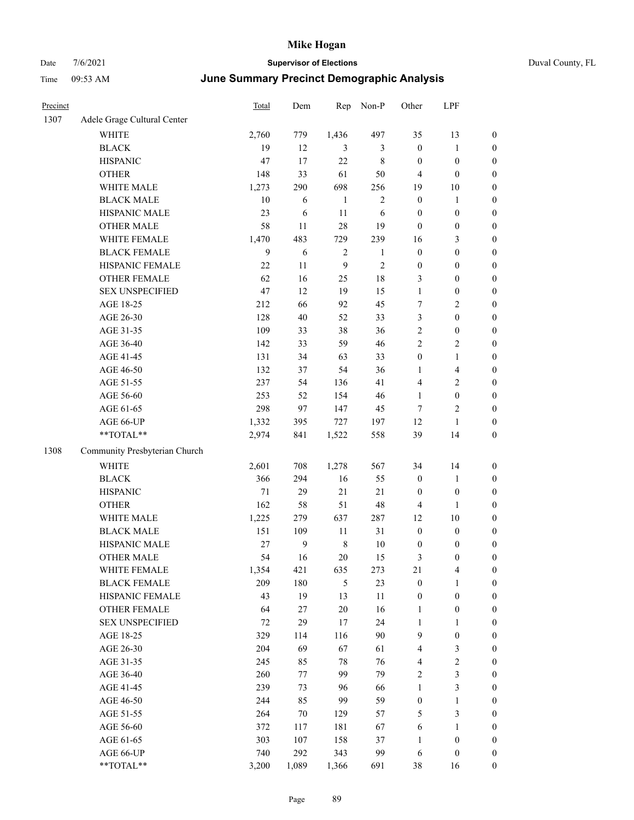|  | Duval County, F |  |
|--|-----------------|--|

| Precinct |                               | Total  | Dem   | Rep            | Non-P          | Other            | LPF                     |                  |
|----------|-------------------------------|--------|-------|----------------|----------------|------------------|-------------------------|------------------|
| 1307     | Adele Grage Cultural Center   |        |       |                |                |                  |                         |                  |
|          | <b>WHITE</b>                  | 2,760  | 779   | 1,436          | 497            | 35               | 13                      | $\boldsymbol{0}$ |
|          | <b>BLACK</b>                  | 19     | 12    | $\mathfrak{Z}$ | 3              | $\boldsymbol{0}$ | $\mathbf{1}$            | $\boldsymbol{0}$ |
|          | <b>HISPANIC</b>               | 47     | 17    | $22\,$         | $\,$ 8 $\,$    | $\boldsymbol{0}$ | $\boldsymbol{0}$        | $\boldsymbol{0}$ |
|          | <b>OTHER</b>                  | 148    | 33    | 61             | 50             | $\overline{4}$   | $\boldsymbol{0}$        | $\boldsymbol{0}$ |
|          | WHITE MALE                    | 1,273  | 290   | 698            | 256            | 19               | $10\,$                  | $\boldsymbol{0}$ |
|          | <b>BLACK MALE</b>             | 10     | 6     | $\mathbf{1}$   | $\mathbf{2}$   | $\boldsymbol{0}$ | $\mathbf{1}$            | 0                |
|          | HISPANIC MALE                 | 23     | 6     | 11             | 6              | $\boldsymbol{0}$ | $\boldsymbol{0}$        | 0                |
|          | <b>OTHER MALE</b>             | 58     | 11    | 28             | 19             | $\boldsymbol{0}$ | $\boldsymbol{0}$        | $\boldsymbol{0}$ |
|          | WHITE FEMALE                  | 1,470  | 483   | 729            | 239            | 16               | 3                       | $\boldsymbol{0}$ |
|          | <b>BLACK FEMALE</b>           | 9      | 6     | $\sqrt{2}$     | $\mathbf{1}$   | $\boldsymbol{0}$ | $\boldsymbol{0}$        | $\boldsymbol{0}$ |
|          | HISPANIC FEMALE               | 22     | 11    | 9              | $\overline{c}$ | $\boldsymbol{0}$ | $\boldsymbol{0}$        | $\boldsymbol{0}$ |
|          | OTHER FEMALE                  | 62     | 16    | 25             | 18             | 3                | $\boldsymbol{0}$        | $\boldsymbol{0}$ |
|          | <b>SEX UNSPECIFIED</b>        | 47     | 12    | 19             | 15             | $\mathbf{1}$     | $\boldsymbol{0}$        | $\boldsymbol{0}$ |
|          | AGE 18-25                     | 212    | 66    | 92             | 45             | $\tau$           | $\overline{2}$          | $\boldsymbol{0}$ |
|          | AGE 26-30                     | 128    | 40    | 52             | 33             | 3                | $\boldsymbol{0}$        | $\boldsymbol{0}$ |
|          | AGE 31-35                     | 109    | 33    | 38             | 36             | $\sqrt{2}$       | $\boldsymbol{0}$        | 0                |
|          | AGE 36-40                     | 142    | 33    | 59             | 46             | $\mathbf{2}$     | $\sqrt{2}$              | 0                |
|          | AGE 41-45                     | 131    | 34    | 63             | 33             | $\boldsymbol{0}$ | $\mathbf{1}$            | $\boldsymbol{0}$ |
|          | AGE 46-50                     | 132    | 37    | 54             | 36             | 1                | $\overline{\mathbf{4}}$ | $\boldsymbol{0}$ |
|          | AGE 51-55                     | 237    | 54    | 136            | 41             | 4                | $\sqrt{2}$              | $\boldsymbol{0}$ |
|          | AGE 56-60                     | 253    | 52    | 154            | 46             | $\mathbf{1}$     | $\boldsymbol{0}$        | $\boldsymbol{0}$ |
|          | AGE 61-65                     | 298    | 97    | 147            | 45             | 7                | $\overline{c}$          | $\boldsymbol{0}$ |
|          | AGE 66-UP                     | 1,332  | 395   | 727            | 197            | 12               | $\mathbf{1}$            | $\boldsymbol{0}$ |
|          | **TOTAL**                     | 2,974  | 841   | 1,522          | 558            | 39               | 14                      | $\boldsymbol{0}$ |
| 1308     | Community Presbyterian Church |        |       |                |                |                  |                         |                  |
|          | <b>WHITE</b>                  | 2,601  | 708   | 1,278          | 567            | 34               | 14                      | $\boldsymbol{0}$ |
|          | <b>BLACK</b>                  | 366    | 294   | 16             | 55             | $\boldsymbol{0}$ | $\mathbf{1}$            | $\boldsymbol{0}$ |
|          | <b>HISPANIC</b>               | 71     | 29    | 21             | 21             | $\boldsymbol{0}$ | $\boldsymbol{0}$        | $\boldsymbol{0}$ |
|          | <b>OTHER</b>                  | 162    | 58    | 51             | 48             | 4                | $\mathbf{1}$            | 0                |
|          | WHITE MALE                    | 1,225  | 279   | 637            | 287            | 12               | 10                      | $\boldsymbol{0}$ |
|          | <b>BLACK MALE</b>             | 151    | 109   | 11             | 31             | $\boldsymbol{0}$ | $\boldsymbol{0}$        | $\boldsymbol{0}$ |
|          | HISPANIC MALE                 | $27\,$ | 9     | $\,$ 8 $\,$    | 10             | $\boldsymbol{0}$ | $\boldsymbol{0}$        | $\boldsymbol{0}$ |
|          | <b>OTHER MALE</b>             | 54     | 16    | $20\,$         | 15             | 3                | $\boldsymbol{0}$        | $\boldsymbol{0}$ |
|          | WHITE FEMALE                  | 1,354  | 421   | 635            | 273            | 21               | $\overline{\mathbf{4}}$ | $\boldsymbol{0}$ |
|          | <b>BLACK FEMALE</b>           | 209    | 180   | $\sqrt{5}$     | 23             | $\boldsymbol{0}$ | $\mathbf{1}$            | $\overline{0}$   |
|          | HISPANIC FEMALE               | 43     | 19    | 13             | 11             | $\boldsymbol{0}$ | $\boldsymbol{0}$        | $\overline{0}$   |
|          | <b>OTHER FEMALE</b>           | 64     | 27    | $20\,$         | 16             | $\mathbf{1}$     | $\boldsymbol{0}$        | 0                |
|          | <b>SEX UNSPECIFIED</b>        | 72     | 29    | 17             | 24             | $\mathbf{1}$     | $\mathbf{1}$            | 0                |
|          | AGE 18-25                     | 329    | 114   | 116            | 90             | $\overline{9}$   | $\boldsymbol{0}$        | 0                |
|          | AGE 26-30                     | 204    | 69    | 67             | 61             | 4                | $\mathfrak{Z}$          | $\boldsymbol{0}$ |
|          | AGE 31-35                     | 245    | 85    | $78\,$         | 76             | 4                | $\sqrt{2}$              | $\boldsymbol{0}$ |
|          | AGE 36-40                     | 260    | 77    | 99             | 79             | $\sqrt{2}$       | $\mathfrak{Z}$          | $\boldsymbol{0}$ |
|          | AGE 41-45                     | 239    | 73    | 96             | 66             | $\mathbf{1}$     | $\mathfrak{Z}$          | $\boldsymbol{0}$ |
|          | AGE 46-50                     | 244    | 85    | 99             | 59             | $\boldsymbol{0}$ | $\mathbf{1}$            | 0                |
|          | AGE 51-55                     | 264    | 70    | 129            | 57             | 5                | $\mathfrak{Z}$          | $\overline{0}$   |
|          | AGE 56-60                     | 372    | 117   | 181            | 67             | 6                | $\mathbf{1}$            | $\overline{0}$   |
|          | AGE 61-65                     | 303    | 107   | 158            | 37             | $\mathbf{1}$     | $\boldsymbol{0}$        | 0                |
|          | AGE 66-UP                     | 740    | 292   | 343            | 99             | 6                | $\boldsymbol{0}$        | $\boldsymbol{0}$ |
|          | $**TOTAL**$                   | 3,200  | 1,089 | 1,366          | 691            | $38\,$           | 16                      | $\boldsymbol{0}$ |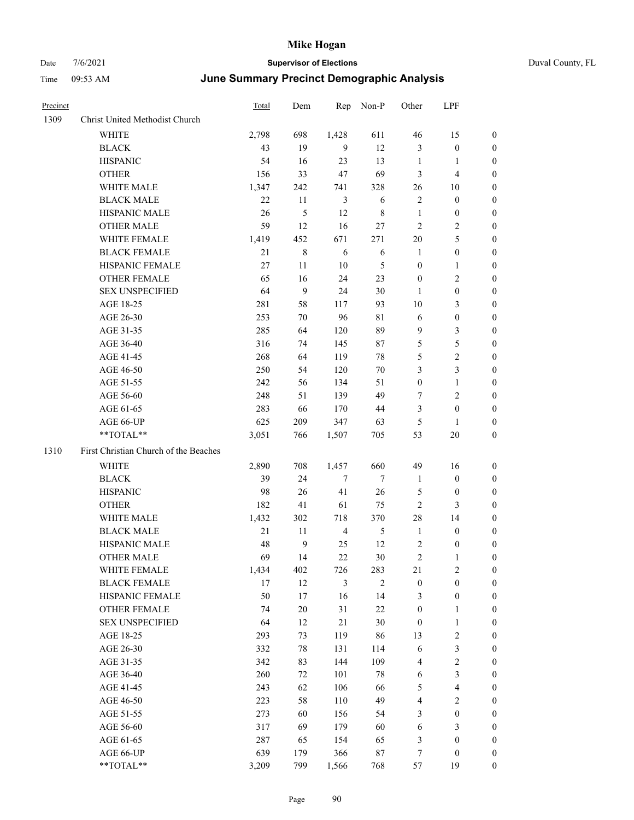Precinct Total Dem Rep Non-P

| ic Analysis |       |   |  |
|-------------|-------|---|--|
| Other       | - LPF |   |  |
| 16          | 15    | 0 |  |

| 1309 | Christ United Methodist Church        |       |                  |                |             |                  |                  |                  |
|------|---------------------------------------|-------|------------------|----------------|-------------|------------------|------------------|------------------|
|      | <b>WHITE</b>                          | 2,798 | 698              | 1,428          | 611         | 46               | 15               | $\boldsymbol{0}$ |
|      | <b>BLACK</b>                          | 43    | 19               | 9              | 12          | 3                | $\boldsymbol{0}$ | $\boldsymbol{0}$ |
|      | <b>HISPANIC</b>                       | 54    | 16               | 23             | 13          | $\mathbf{1}$     | $\mathbf{1}$     | 0                |
|      | <b>OTHER</b>                          | 156   | 33               | 47             | 69          | 3                | $\overline{4}$   | 0                |
|      | WHITE MALE                            | 1,347 | 242              | 741            | 328         | 26               | 10               | $\boldsymbol{0}$ |
|      | <b>BLACK MALE</b>                     | 22    | 11               | 3              | 6           | 2                | $\boldsymbol{0}$ | 0                |
|      | HISPANIC MALE                         | 26    | 5                | 12             | $\,$ 8 $\,$ | $\mathbf{1}$     | $\boldsymbol{0}$ | 0                |
|      | <b>OTHER MALE</b>                     | 59    | 12               | 16             | 27          | 2                | $\sqrt{2}$       | 0                |
|      | WHITE FEMALE                          | 1,419 | 452              | 671            | 271         | 20               | $\mathfrak s$    | 0                |
|      | <b>BLACK FEMALE</b>                   | 21    | $\,$ 8 $\,$      | 6              | 6           | $\mathbf{1}$     | $\boldsymbol{0}$ | 0                |
|      | HISPANIC FEMALE                       | 27    | 11               | $10\,$         | 5           | $\boldsymbol{0}$ | 1                | $\boldsymbol{0}$ |
|      | OTHER FEMALE                          | 65    | 16               | 24             | 23          | $\boldsymbol{0}$ | $\sqrt{2}$       | $\boldsymbol{0}$ |
|      | <b>SEX UNSPECIFIED</b>                | 64    | $\boldsymbol{9}$ | 24             | 30          | $\mathbf{1}$     | $\boldsymbol{0}$ | 0                |
|      | AGE 18-25                             | 281   | 58               | 117            | 93          | 10               | 3                | $\boldsymbol{0}$ |
|      | AGE 26-30                             | 253   | $70\,$           | 96             | 81          | 6                | $\boldsymbol{0}$ | $\boldsymbol{0}$ |
|      | AGE 31-35                             | 285   | 64               | 120            | 89          | 9                | $\mathfrak{Z}$   | 0                |
|      | AGE 36-40                             | 316   | 74               | 145            | 87          | 5                | $\mathfrak s$    | 0                |
|      | AGE 41-45                             | 268   | 64               | 119            | 78          | 5                | $\sqrt{2}$       | 0                |
|      | AGE 46-50                             | 250   | 54               | 120            | 70          | 3                | $\mathfrak{Z}$   | 0                |
|      | AGE 51-55                             | 242   | 56               | 134            | 51          | $\boldsymbol{0}$ | $\mathbf{1}$     | 0                |
|      | AGE 56-60                             | 248   | 51               | 139            | 49          | 7                | $\mathfrak{2}$   | 0                |
|      | AGE 61-65                             | 283   | 66               | 170            | 44          | 3                | $\boldsymbol{0}$ | $\boldsymbol{0}$ |
|      | AGE 66-UP                             | 625   | 209              | 347            | 63          | 5                | $\mathbf{1}$     | 0                |
|      | **TOTAL**                             | 3,051 | 766              | 1,507          | 705         | 53               | 20               | $\boldsymbol{0}$ |
|      |                                       |       |                  |                |             |                  |                  |                  |
| 1310 | First Christian Church of the Beaches |       |                  |                |             |                  |                  |                  |
|      | <b>WHITE</b>                          | 2,890 | 708              | 1,457          | 660         | 49               | 16               | $\boldsymbol{0}$ |
|      | <b>BLACK</b>                          | 39    | 24               | 7              | $\tau$      | $\mathbf{1}$     | $\boldsymbol{0}$ | $\boldsymbol{0}$ |
|      | <b>HISPANIC</b>                       | 98    | 26               | 41             | 26          | 5                | $\boldsymbol{0}$ | 0                |
|      | <b>OTHER</b>                          | 182   | 41               | 61             | 75          | 2                | $\mathfrak{Z}$   | 0                |
|      | WHITE MALE                            | 1,432 | 302              | 718            | 370         | 28               | 14               | 0                |
|      | <b>BLACK MALE</b>                     | 21    | 11               | $\overline{4}$ | 5           | $\mathbf{1}$     | $\boldsymbol{0}$ | 0                |
|      | HISPANIC MALE                         | 48    | 9                | 25             | 12          | 2                | $\boldsymbol{0}$ | 0                |
|      | <b>OTHER MALE</b>                     | 69    | 14               | 22             | 30          | 2                | 1                | 0                |
|      | WHITE FEMALE                          | 1,434 | 402              | 726            | 283         | 21               | $\mathfrak{2}$   | $\boldsymbol{0}$ |
|      | <b>BLACK FEMALE</b>                   | 17    | 12               | $\mathfrak{Z}$ | $\sqrt{2}$  | $\boldsymbol{0}$ | $\boldsymbol{0}$ | $\boldsymbol{0}$ |
|      | HISPANIC FEMALE                       | 50    | 17               | 16             | 14          | 3                | $\boldsymbol{0}$ | $\overline{0}$   |
|      | <b>OTHER FEMALE</b>                   | 74    | $20\,$           | 31             | $22\,$      | $\boldsymbol{0}$ | $\mathbf{1}$     | $\overline{0}$   |
|      | <b>SEX UNSPECIFIED</b>                | 64    | 12               | 21             | 30          | $\boldsymbol{0}$ | $\mathbf{1}$     | 0                |
|      | AGE 18-25                             | 293   | 73               | 119            | 86          | 13               | $\sqrt{2}$       | 0                |
|      | AGE 26-30                             | 332   | 78               | 131            | 114         | 6                | $\mathfrak{Z}$   | 0                |
|      | AGE 31-35                             | 342   | 83               | 144            | 109         | 4                | $\sqrt{2}$       | 0                |
|      | AGE 36-40                             | 260   | 72               | 101            | 78          | 6                | $\mathfrak{Z}$   | 0                |
|      | AGE 41-45                             | 243   | 62               | 106            | 66          | 5                | $\overline{4}$   | $\boldsymbol{0}$ |
|      | AGE 46-50                             | 223   | 58               | 110            | 49          | 4                | $\sqrt{2}$       | $\boldsymbol{0}$ |
|      | AGE 51-55                             | 273   | 60               | 156            | 54          | 3                | $\boldsymbol{0}$ | $\boldsymbol{0}$ |
|      | AGE 56-60                             | 317   | 69               | 179            | 60          | 6                | $\mathfrak{Z}$   | $\boldsymbol{0}$ |
|      | AGE 61-65                             | 287   | 65               | 154            | 65          | 3                | $\boldsymbol{0}$ | $\overline{0}$   |
|      | AGE 66-UP                             | 639   | 179              | 366            | $87\,$      | 7                | $\boldsymbol{0}$ | $\boldsymbol{0}$ |
|      | **TOTAL**                             | 3,209 | 799              | 1,566          | 768         | 57               | 19               | $\boldsymbol{0}$ |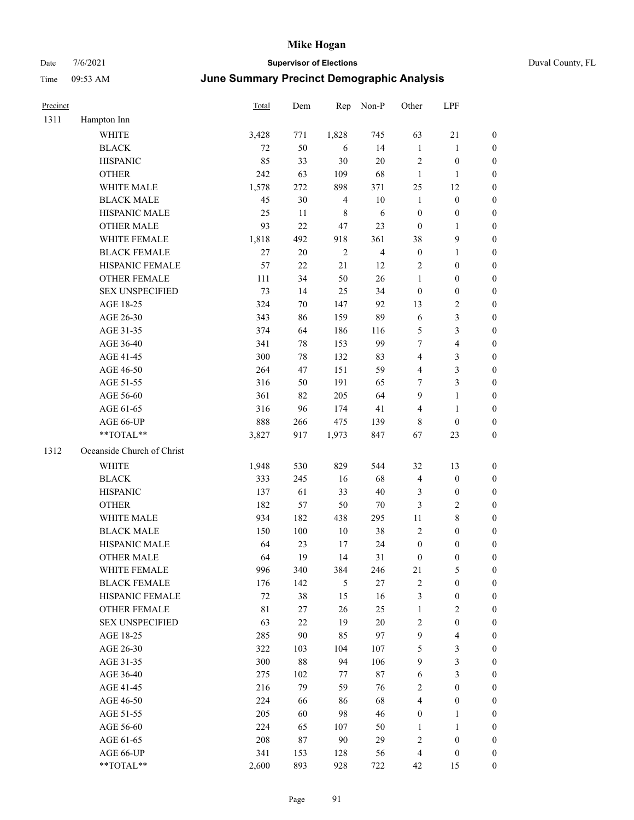| Precinct |                            | <b>Total</b> | Dem    | Rep            | Non-P                   | Other            | LPF              |                  |
|----------|----------------------------|--------------|--------|----------------|-------------------------|------------------|------------------|------------------|
| 1311     | Hampton Inn                |              |        |                |                         |                  |                  |                  |
|          | <b>WHITE</b>               | 3,428        | 771    | 1,828          | 745                     | 63               | 21               | $\boldsymbol{0}$ |
|          | <b>BLACK</b>               | 72           | 50     | 6              | 14                      | $\mathbf{1}$     | 1                | $\boldsymbol{0}$ |
|          | <b>HISPANIC</b>            | 85           | 33     | 30             | $20\,$                  | $\overline{2}$   | $\boldsymbol{0}$ | $\boldsymbol{0}$ |
|          | <b>OTHER</b>               | 242          | 63     | 109            | 68                      | $\mathbf{1}$     | 1                | $\boldsymbol{0}$ |
|          | WHITE MALE                 | 1,578        | 272    | 898            | 371                     | 25               | 12               | $\boldsymbol{0}$ |
|          | <b>BLACK MALE</b>          | 45           | 30     | $\overline{4}$ | $10\,$                  | $\mathbf{1}$     | $\boldsymbol{0}$ | $\boldsymbol{0}$ |
|          | HISPANIC MALE              | 25           | 11     | $\,8\,$        | 6                       | $\boldsymbol{0}$ | $\boldsymbol{0}$ | $\boldsymbol{0}$ |
|          | <b>OTHER MALE</b>          | 93           | 22     | 47             | 23                      | $\mathbf{0}$     | $\mathbf{1}$     | $\boldsymbol{0}$ |
|          | WHITE FEMALE               | 1,818        | 492    | 918            | 361                     | 38               | 9                | $\boldsymbol{0}$ |
|          | <b>BLACK FEMALE</b>        | 27           | 20     | $\mathbf{2}$   | $\overline{\mathbf{4}}$ | $\boldsymbol{0}$ | 1                | $\boldsymbol{0}$ |
|          | HISPANIC FEMALE            | 57           | 22     | $21\,$         | 12                      | $\sqrt{2}$       | $\boldsymbol{0}$ | $\boldsymbol{0}$ |
|          | <b>OTHER FEMALE</b>        | 111          | 34     | 50             | 26                      | $\mathbf{1}$     | $\boldsymbol{0}$ | $\boldsymbol{0}$ |
|          | <b>SEX UNSPECIFIED</b>     | 73           | 14     | 25             | 34                      | $\mathbf{0}$     | $\boldsymbol{0}$ | $\boldsymbol{0}$ |
|          | AGE 18-25                  | 324          | 70     | 147            | 92                      | 13               | 2                | $\boldsymbol{0}$ |
|          | AGE 26-30                  | 343          | 86     | 159            | 89                      | 6                | 3                | $\boldsymbol{0}$ |
|          | AGE 31-35                  | 374          | 64     | 186            | 116                     | $\mathfrak{S}$   | 3                | $\boldsymbol{0}$ |
|          | AGE 36-40                  | 341          | 78     | 153            | 99                      | $\tau$           | 4                | $\boldsymbol{0}$ |
|          | AGE 41-45                  | 300          | 78     | 132            | 83                      | $\overline{4}$   | 3                | $\boldsymbol{0}$ |
|          | AGE 46-50                  | 264          | 47     | 151            | 59                      | $\overline{4}$   | 3                | $\boldsymbol{0}$ |
|          | AGE 51-55                  | 316          | 50     | 191            | 65                      | $\tau$           | 3                | $\boldsymbol{0}$ |
|          | AGE 56-60                  | 361          | 82     | 205            | 64                      | 9                | $\mathbf{1}$     | $\boldsymbol{0}$ |
|          | AGE 61-65                  | 316          | 96     | 174            | 41                      | $\overline{4}$   | $\mathbf{1}$     | $\boldsymbol{0}$ |
|          | AGE 66-UP                  | 888          | 266    | 475            | 139                     | 8                | $\theta$         | $\boldsymbol{0}$ |
|          | **TOTAL**                  | 3,827        | 917    | 1,973          | 847                     | 67               | 23               | $\boldsymbol{0}$ |
| 1312     | Oceanside Church of Christ |              |        |                |                         |                  |                  |                  |
|          | <b>WHITE</b>               | 1,948        | 530    | 829            | 544                     | 32               | 13               | $\boldsymbol{0}$ |
|          | <b>BLACK</b>               | 333          | 245    | 16             | 68                      | $\overline{4}$   | $\boldsymbol{0}$ | $\boldsymbol{0}$ |
|          | <b>HISPANIC</b>            | 137          | 61     | 33             | $40\,$                  | 3                | $\boldsymbol{0}$ | $\boldsymbol{0}$ |
|          | <b>OTHER</b>               | 182          | 57     | 50             | 70                      | $\mathfrak{Z}$   | 2                | $\boldsymbol{0}$ |
|          | WHITE MALE                 | 934          | 182    | 438            | 295                     | 11               | 8                | $\boldsymbol{0}$ |
|          | <b>BLACK MALE</b>          | 150          | 100    | 10             | 38                      | $\sqrt{2}$       | $\boldsymbol{0}$ | $\boldsymbol{0}$ |
|          | HISPANIC MALE              | 64           | 23     | 17             | 24                      | $\boldsymbol{0}$ | $\boldsymbol{0}$ | $\boldsymbol{0}$ |
|          | <b>OTHER MALE</b>          | 64           | 19     | 14             | 31                      | $\mathbf{0}$     | 0                | $\boldsymbol{0}$ |
|          | WHITE FEMALE               | 996          | 340    | 384            | 246                     | 21               | 5                | $\boldsymbol{0}$ |
|          | <b>BLACK FEMALE</b>        | 176          | 142    | 5              | $27\,$                  | $\sqrt{2}$       | $\boldsymbol{0}$ | $\boldsymbol{0}$ |
|          | HISPANIC FEMALE            | $72\,$       | 38     | 15             | 16                      | $\mathfrak{Z}$   | $\boldsymbol{0}$ | $\boldsymbol{0}$ |
|          | OTHER FEMALE               | $8\sqrt{1}$  | $27\,$ | $26\,$         | 25                      | $\mathbf{1}$     | $\mathbf{2}$     | $\boldsymbol{0}$ |
|          | <b>SEX UNSPECIFIED</b>     | 63           | 22     | 19             | $20\,$                  | $\sqrt{2}$       | $\boldsymbol{0}$ | $\boldsymbol{0}$ |
|          | AGE 18-25                  | 285          | $90\,$ | 85             | 97                      | $\mathbf{9}$     | $\overline{4}$   | $\boldsymbol{0}$ |
|          | AGE 26-30                  | 322          | 103    | 104            | 107                     | $\sqrt{5}$       | 3                | $\boldsymbol{0}$ |
|          | AGE 31-35                  | 300          | $88\,$ | 94             | 106                     | $\overline{9}$   | 3                | $\boldsymbol{0}$ |
|          | AGE 36-40                  | 275          | 102    | 77             | $87\,$                  | 6                | 3                | $\boldsymbol{0}$ |
|          | AGE 41-45                  | 216          | 79     | 59             | 76                      | $\sqrt{2}$       | $\boldsymbol{0}$ | $\boldsymbol{0}$ |
|          | AGE 46-50                  | 224          | 66     | 86             | 68                      | $\overline{4}$   | $\boldsymbol{0}$ | $\boldsymbol{0}$ |
|          | AGE 51-55                  | 205          | 60     | 98             | 46                      | $\boldsymbol{0}$ | 1                | $\boldsymbol{0}$ |
|          | AGE 56-60                  | 224          | 65     | 107            | 50                      | $\mathbf{1}$     | $\mathbf{1}$     | $\boldsymbol{0}$ |
|          | AGE 61-65                  | 208          | 87     | $90\,$         | 29                      | $\sqrt{2}$       | $\boldsymbol{0}$ | $\boldsymbol{0}$ |
|          | AGE 66-UP                  | 341          | 153    | 128            | 56                      | $\overline{4}$   | $\boldsymbol{0}$ | $\bf{0}$         |
|          | **TOTAL**                  | 2,600        | 893    | 928            | 722                     | 42               | 15               | $\boldsymbol{0}$ |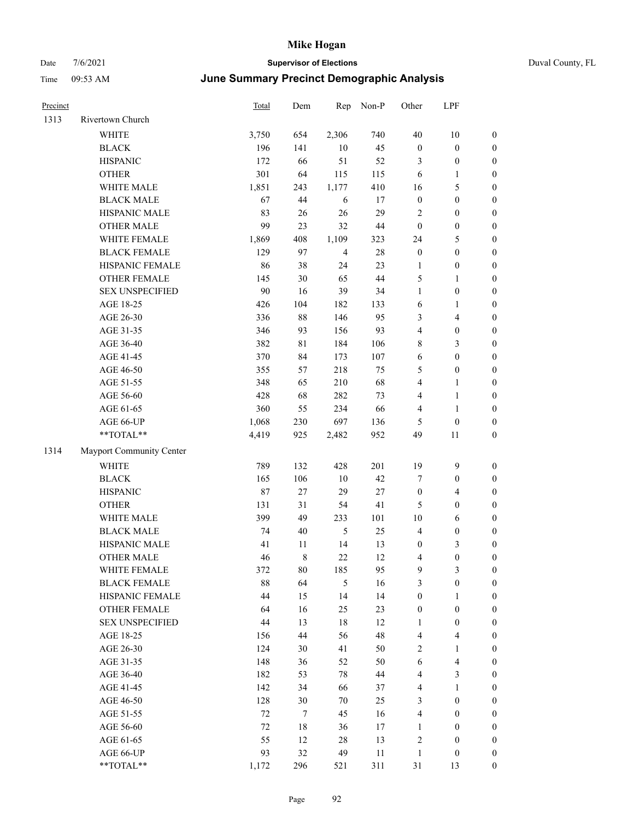| Precinct |                          | <b>Total</b> | Dem    | Rep            | Non-P  | Other                   | LPF                     |                  |
|----------|--------------------------|--------------|--------|----------------|--------|-------------------------|-------------------------|------------------|
| 1313     | Rivertown Church         |              |        |                |        |                         |                         |                  |
|          | WHITE                    | 3,750        | 654    | 2,306          | 740    | $40\,$                  | $10\,$                  | $\boldsymbol{0}$ |
|          | <b>BLACK</b>             | 196          | 141    | $10\,$         | 45     | $\boldsymbol{0}$        | $\boldsymbol{0}$        | $\boldsymbol{0}$ |
|          | <b>HISPANIC</b>          | 172          | 66     | 51             | 52     | 3                       | $\boldsymbol{0}$        | $\boldsymbol{0}$ |
|          | <b>OTHER</b>             | 301          | 64     | 115            | 115    | 6                       | $\mathbf{1}$            | 0                |
|          | WHITE MALE               | 1,851        | 243    | 1,177          | 410    | 16                      | $\mathfrak{S}$          | $\boldsymbol{0}$ |
|          | <b>BLACK MALE</b>        | 67           | 44     | 6              | 17     | $\boldsymbol{0}$        | $\boldsymbol{0}$        | $\boldsymbol{0}$ |
|          | HISPANIC MALE            | 83           | 26     | 26             | 29     | 2                       | $\boldsymbol{0}$        | $\boldsymbol{0}$ |
|          | <b>OTHER MALE</b>        | 99           | 23     | 32             | $44\,$ | $\boldsymbol{0}$        | $\boldsymbol{0}$        | $\boldsymbol{0}$ |
|          | WHITE FEMALE             | 1,869        | 408    | 1,109          | 323    | 24                      | 5                       | $\boldsymbol{0}$ |
|          | <b>BLACK FEMALE</b>      | 129          | 97     | $\overline{4}$ | $28\,$ | $\boldsymbol{0}$        | $\boldsymbol{0}$        | $\boldsymbol{0}$ |
|          | HISPANIC FEMALE          | 86           | 38     | 24             | 23     | $\mathbf{1}$            | $\boldsymbol{0}$        | $\boldsymbol{0}$ |
|          | OTHER FEMALE             | 145          | 30     | 65             | $44\,$ | 5                       | $\mathbf{1}$            | $\boldsymbol{0}$ |
|          | <b>SEX UNSPECIFIED</b>   | 90           | 16     | 39             | 34     | $\mathbf{1}$            | $\boldsymbol{0}$        | $\boldsymbol{0}$ |
|          | AGE 18-25                | 426          | 104    | 182            | 133    | 6                       | $\mathbf{1}$            | 0                |
|          | AGE 26-30                | 336          | 88     | 146            | 95     | 3                       | $\overline{\mathbf{4}}$ | 0                |
|          | AGE 31-35                | 346          | 93     | 156            | 93     | 4                       | $\boldsymbol{0}$        | $\boldsymbol{0}$ |
|          | AGE 36-40                | 382          | 81     | 184            | 106    | 8                       | 3                       | $\boldsymbol{0}$ |
|          | AGE 41-45                | 370          | 84     | 173            | 107    | 6                       | $\boldsymbol{0}$        | $\boldsymbol{0}$ |
|          | AGE 46-50                | 355          | 57     | 218            | 75     | 5                       | $\boldsymbol{0}$        | $\boldsymbol{0}$ |
|          | AGE 51-55                | 348          | 65     | 210            | 68     | 4                       | $\mathbf{1}$            | $\boldsymbol{0}$ |
|          | AGE 56-60                | 428          | 68     | 282            | 73     | 4                       | $\mathbf{1}$            | $\boldsymbol{0}$ |
|          | AGE 61-65                | 360          | 55     | 234            | 66     | 4                       | $\mathbf{1}$            | $\boldsymbol{0}$ |
|          | AGE 66-UP                | 1,068        | 230    | 697            | 136    | 5                       | $\boldsymbol{0}$        | 0                |
|          | $**TOTAL**$              | 4,419        | 925    | 2,482          | 952    | 49                      | 11                      | $\boldsymbol{0}$ |
| 1314     | Mayport Community Center |              |        |                |        |                         |                         |                  |
|          | <b>WHITE</b>             | 789          | 132    | 428            | 201    | 19                      | $\mathbf{9}$            | 0                |
|          | <b>BLACK</b>             | 165          | 106    | $10\,$         | 42     | $\tau$                  | $\boldsymbol{0}$        | 0                |
|          | <b>HISPANIC</b>          | 87           | 27     | 29             | $27\,$ | $\boldsymbol{0}$        | $\overline{4}$          | $\boldsymbol{0}$ |
|          | <b>OTHER</b>             | 131          | 31     | 54             | 41     | 5                       | $\boldsymbol{0}$        | $\boldsymbol{0}$ |
|          | WHITE MALE               | 399          | 49     | 233            | 101    | 10                      | 6                       | $\boldsymbol{0}$ |
|          | <b>BLACK MALE</b>        | 74           | 40     | 5              | 25     | $\overline{4}$          | $\boldsymbol{0}$        | $\boldsymbol{0}$ |
|          | HISPANIC MALE            | 41           | 11     | 14             | 13     | $\boldsymbol{0}$        | 3                       | $\boldsymbol{0}$ |
|          | <b>OTHER MALE</b>        | 46           | 8      | $22\,$         | 12     | 4                       | $\boldsymbol{0}$        | $\boldsymbol{0}$ |
|          | WHITE FEMALE             | 372          | $80\,$ | 185            | 95     | $\overline{9}$          | $\mathfrak{Z}$          | 0                |
|          | <b>BLACK FEMALE</b>      | $88\,$       | 64     | 5              | 16     | 3                       | $\boldsymbol{0}$        | 0                |
|          | HISPANIC FEMALE          | 44           | 15     | 14             | 14     | $\boldsymbol{0}$        | $\mathbf{1}$            | 0                |
|          | OTHER FEMALE             | 64           | 16     | 25             | 23     | $\boldsymbol{0}$        | $\boldsymbol{0}$        | 0                |
|          | <b>SEX UNSPECIFIED</b>   | 44           | 13     | $18\,$         | 12     | 1                       | $\boldsymbol{0}$        | 0                |
|          | AGE 18-25                | 156          | 44     | 56             | 48     | $\overline{4}$          | $\overline{\mathbf{4}}$ | $\boldsymbol{0}$ |
|          | AGE 26-30                | 124          | 30     | 41             | 50     | $\overline{c}$          | $\mathbf{1}$            | $\overline{0}$   |
|          | AGE 31-35                | 148          | 36     | 52             | 50     | 6                       | $\overline{\mathbf{4}}$ | 0                |
|          | AGE 36-40                | 182          | 53     | 78             | 44     | 4                       | $\mathfrak{Z}$          | 0                |
|          | AGE 41-45                | 142          | 34     | 66             | 37     | 4                       | $\mathbf{1}$            | $\overline{0}$   |
|          | AGE 46-50                | 128          | 30     | 70             | 25     | 3                       | $\boldsymbol{0}$        | $\overline{0}$   |
|          | AGE 51-55                | 72           | 7      | 45             | 16     | $\overline{\mathbf{4}}$ | $\boldsymbol{0}$        | 0                |
|          | AGE 56-60                | $72\,$       | 18     | 36             | 17     | $\mathbf{1}$            | $\boldsymbol{0}$        | 0                |
|          | AGE 61-65                | 55           | 12     | 28             | 13     | $\sqrt{2}$              | $\boldsymbol{0}$        | 0                |
|          | AGE 66-UP                | 93           | 32     | 49             | 11     | $\mathbf{1}$            | $\boldsymbol{0}$        | 0                |
|          | $**TOTAL**$              | 1,172        | 296    | 521            | 311    | 31                      | 13                      | $\boldsymbol{0}$ |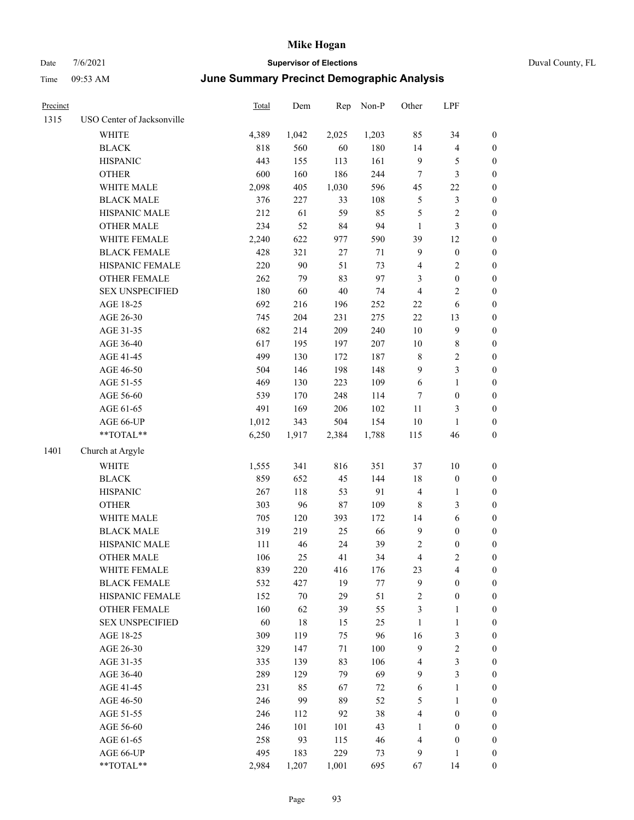|  | Duval County, |
|--|---------------|

| <b>Precinct</b> |                            | Total | Dem   | Rep    | Non-P  | Other            | LPF                     |                  |
|-----------------|----------------------------|-------|-------|--------|--------|------------------|-------------------------|------------------|
| 1315            | USO Center of Jacksonville |       |       |        |        |                  |                         |                  |
|                 | <b>WHITE</b>               | 4,389 | 1,042 | 2,025  | 1,203  | 85               | 34                      | $\boldsymbol{0}$ |
|                 | <b>BLACK</b>               | 818   | 560   | 60     | 180    | 14               | $\overline{\mathbf{4}}$ | $\boldsymbol{0}$ |
|                 | <b>HISPANIC</b>            | 443   | 155   | 113    | 161    | $\mathbf{9}$     | 5                       | $\boldsymbol{0}$ |
|                 | <b>OTHER</b>               | 600   | 160   | 186    | 244    | $\boldsymbol{7}$ | $\mathfrak{Z}$          | $\boldsymbol{0}$ |
|                 | WHITE MALE                 | 2,098 | 405   | 1,030  | 596    | 45               | $22\,$                  | $\boldsymbol{0}$ |
|                 | <b>BLACK MALE</b>          | 376   | 227   | 33     | 108    | 5                | $\mathfrak{Z}$          | $\boldsymbol{0}$ |
|                 | HISPANIC MALE              | 212   | 61    | 59     | 85     | 5                | $\sqrt{2}$              | 0                |
|                 | <b>OTHER MALE</b>          | 234   | 52    | 84     | 94     | $\mathbf{1}$     | $\mathfrak{Z}$          | 0                |
|                 | WHITE FEMALE               | 2,240 | 622   | 977    | 590    | 39               | 12                      | 0                |
|                 | <b>BLACK FEMALE</b>        | 428   | 321   | $27\,$ | $71\,$ | 9                | $\boldsymbol{0}$        | $\boldsymbol{0}$ |
|                 | HISPANIC FEMALE            | 220   | 90    | 51     | 73     | 4                | $\sqrt{2}$              | $\boldsymbol{0}$ |
|                 | OTHER FEMALE               | 262   | 79    | 83     | 97     | 3                | $\boldsymbol{0}$        | $\boldsymbol{0}$ |
|                 | <b>SEX UNSPECIFIED</b>     | 180   | 60    | $40\,$ | 74     | $\overline{4}$   | $\mathbf{2}$            | $\boldsymbol{0}$ |
|                 | AGE 18-25                  | 692   | 216   | 196    | 252    | $22\,$           | 6                       | $\boldsymbol{0}$ |
|                 | AGE 26-30                  | 745   | 204   | 231    | 275    | 22               | 13                      | $\boldsymbol{0}$ |
|                 | AGE 31-35                  | 682   | 214   | 209    | 240    | $10\,$           | $\mathbf{9}$            | $\boldsymbol{0}$ |
|                 | AGE 36-40                  | 617   | 195   | 197    | 207    | $10\,$           | $\,$ 8 $\,$             | $\boldsymbol{0}$ |
|                 | AGE 41-45                  | 499   | 130   | 172    | 187    | 8                | $\sqrt{2}$              | 0                |
|                 | AGE 46-50                  | 504   | 146   | 198    | 148    | $\overline{9}$   | $\mathfrak{Z}$          | 0                |
|                 | AGE 51-55                  | 469   | 130   | 223    | 109    | 6                | $\mathbf{1}$            | $\boldsymbol{0}$ |
|                 | AGE 56-60                  | 539   | 170   | 248    | 114    | 7                | $\boldsymbol{0}$        | $\boldsymbol{0}$ |
|                 | AGE 61-65                  | 491   | 169   | 206    | 102    | 11               | 3                       | $\boldsymbol{0}$ |
|                 | AGE 66-UP                  | 1,012 | 343   | 504    | 154    | 10               | $\mathbf{1}$            | $\boldsymbol{0}$ |
|                 | $**TOTAL**$                | 6,250 | 1,917 | 2,384  | 1,788  | 115              | 46                      | $\boldsymbol{0}$ |
| 1401            | Church at Argyle           |       |       |        |        |                  |                         |                  |
|                 | WHITE                      | 1,555 | 341   | 816    | 351    | 37               | $10\,$                  | $\boldsymbol{0}$ |
|                 | <b>BLACK</b>               | 859   | 652   | 45     | 144    | 18               | $\boldsymbol{0}$        | $\boldsymbol{0}$ |
|                 | <b>HISPANIC</b>            | 267   | 118   | 53     | 91     | $\overline{4}$   | $\mathbf{1}$            | $\boldsymbol{0}$ |
|                 | <b>OTHER</b>               | 303   | 96    | $87\,$ | 109    | $\,$ 8 $\,$      | $\mathfrak{Z}$          | $\boldsymbol{0}$ |
|                 | WHITE MALE                 | 705   | 120   | 393    | 172    | 14               | $\sqrt{6}$              | 0                |
|                 | <b>BLACK MALE</b>          | 319   | 219   | 25     | 66     | $\overline{9}$   | $\boldsymbol{0}$        | 0                |
|                 | HISPANIC MALE              | 111   | 46    | 24     | 39     | 2                | $\boldsymbol{0}$        | 0                |
|                 | <b>OTHER MALE</b>          | 106   | 25    | 41     | 34     | 4                | $\sqrt{2}$              | $\boldsymbol{0}$ |
|                 | WHITE FEMALE               | 839   | 220   | 416    | 176    | 23               | $\overline{4}$          | $\boldsymbol{0}$ |
|                 | <b>BLACK FEMALE</b>        | 532   | 427   | 19     | 77     | 9                | $\boldsymbol{0}$        | $\overline{0}$   |
|                 | HISPANIC FEMALE            | 152   | 70    | 29     | 51     | $\sqrt{2}$       | $\boldsymbol{0}$        | $\overline{0}$   |
|                 | <b>OTHER FEMALE</b>        | 160   | 62    | 39     | 55     | 3                | $\mathbf{1}$            | $\overline{0}$   |
|                 | <b>SEX UNSPECIFIED</b>     | 60    | 18    | 15     | 25     | $\mathbf{1}$     | $\mathbf{1}$            | $\overline{0}$   |
|                 | AGE 18-25                  | 309   | 119   | 75     | 96     | 16               | $\mathfrak{Z}$          | 0                |
|                 | AGE 26-30                  | 329   | 147   | 71     | 100    | $\overline{9}$   | $\sqrt{2}$              | 0                |
|                 | AGE 31-35                  | 335   | 139   | 83     | 106    | $\overline{4}$   | $\mathfrak{Z}$          | 0                |
|                 | AGE 36-40                  | 289   | 129   | 79     | 69     | 9                | $\mathfrak{Z}$          | $\overline{0}$   |
|                 | AGE 41-45                  | 231   | 85    | 67     | 72     | 6                | $\mathbf{1}$            | $\boldsymbol{0}$ |
|                 | AGE 46-50                  | 246   | 99    | 89     | 52     | 5                | $\mathbf{1}$            | $\boldsymbol{0}$ |
|                 | AGE 51-55                  | 246   | 112   | 92     | 38     | $\overline{4}$   | $\boldsymbol{0}$        | $\overline{0}$   |
|                 | AGE 56-60                  | 246   | 101   | 101    | 43     | $\mathbf{1}$     | $\boldsymbol{0}$        | $\overline{0}$   |
|                 | AGE 61-65                  | 258   | 93    | 115    | 46     | 4                | $\boldsymbol{0}$        | $\overline{0}$   |
|                 | AGE 66-UP                  | 495   | 183   | 229    | 73     | $\overline{9}$   | $\mathbf{1}$            | $\overline{0}$   |
|                 | **TOTAL**                  | 2,984 | 1,207 | 1,001  | 695    | 67               | 14                      | $\boldsymbol{0}$ |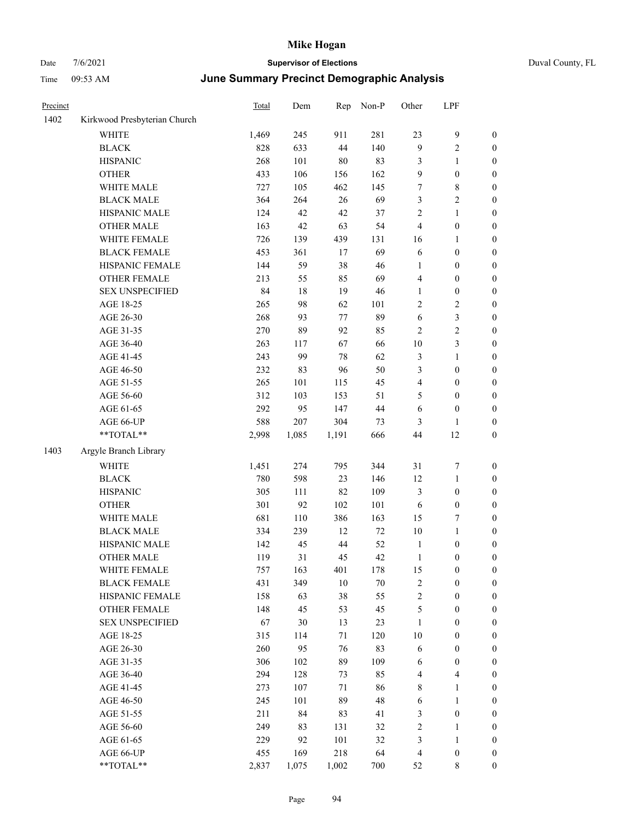| Precinct |                              | <b>Total</b> | Dem      | Rep       | Non-P    | Other          | LPF                     |                                      |
|----------|------------------------------|--------------|----------|-----------|----------|----------------|-------------------------|--------------------------------------|
| 1402     | Kirkwood Presbyterian Church |              |          |           |          |                |                         |                                      |
|          | WHITE                        | 1,469        | 245      | 911       | 281      | 23             | 9                       | $\boldsymbol{0}$                     |
|          | <b>BLACK</b>                 | 828          | 633      | 44        | 140      | 9              | 2                       | $\boldsymbol{0}$                     |
|          | <b>HISPANIC</b>              | 268          | 101      | 80        | 83       | 3              | 1                       | $\boldsymbol{0}$                     |
|          | <b>OTHER</b>                 | 433          | 106      | 156       | 162      | 9              | $\boldsymbol{0}$        | $\boldsymbol{0}$                     |
|          | WHITE MALE                   | 727          | 105      | 462       | 145      | 7              | 8                       | $\boldsymbol{0}$                     |
|          | <b>BLACK MALE</b>            | 364          | 264      | $26\,$    | 69       | 3              | 2                       | $\boldsymbol{0}$                     |
|          | HISPANIC MALE                | 124          | 42       | 42        | 37       | $\overline{c}$ | 1                       | $\boldsymbol{0}$                     |
|          | <b>OTHER MALE</b>            | 163          | 42       | 63        | 54       | $\overline{4}$ | $\boldsymbol{0}$        | $\boldsymbol{0}$                     |
|          | WHITE FEMALE                 | 726          | 139      | 439       | 131      | 16             | 1                       | $\boldsymbol{0}$                     |
|          | <b>BLACK FEMALE</b>          | 453          | 361      | 17        | 69       | 6              | $\boldsymbol{0}$        | $\boldsymbol{0}$                     |
|          | HISPANIC FEMALE              | 144          | 59       | 38        | 46       | $\mathbf{1}$   | $\boldsymbol{0}$        | $\boldsymbol{0}$                     |
|          | <b>OTHER FEMALE</b>          | 213          | 55       | 85        | 69       | $\overline{4}$ | $\boldsymbol{0}$        | $\boldsymbol{0}$                     |
|          | <b>SEX UNSPECIFIED</b>       | 84           | $18\,$   | 19        | 46       | $\mathbf{1}$   | $\boldsymbol{0}$        | $\boldsymbol{0}$                     |
|          | AGE 18-25                    | 265          | 98       | 62        | 101      | $\sqrt{2}$     | $\overline{\mathbf{c}}$ | $\boldsymbol{0}$                     |
|          | AGE 26-30                    | 268          | 93       | 77        | 89       | 6              | 3                       | $\boldsymbol{0}$                     |
|          | AGE 31-35                    | 270          | 89       | 92        | 85       | $\overline{2}$ | $\overline{c}$          | $\boldsymbol{0}$                     |
|          | AGE 36-40                    | 263          | 117      | 67        | 66       | 10             | 3                       | $\boldsymbol{0}$                     |
|          | AGE 41-45                    | 243          | 99       | 78        | 62       | $\mathfrak{Z}$ | 1                       | $\boldsymbol{0}$                     |
|          | AGE 46-50                    | 232          | 83       | 96        | 50       | 3              | $\boldsymbol{0}$        | $\boldsymbol{0}$                     |
|          | AGE 51-55                    | 265          | 101      | 115       | 45       | $\overline{4}$ | $\boldsymbol{0}$        | $\boldsymbol{0}$                     |
|          | AGE 56-60                    | 312          | 103      | 153       | 51       | 5              | $\boldsymbol{0}$        | $\boldsymbol{0}$                     |
|          | AGE 61-65                    | 292          | 95       | 147       | 44       | 6              | $\boldsymbol{0}$        | $\boldsymbol{0}$                     |
|          | AGE 66-UP                    | 588          | 207      | 304       | 73       | 3              | 1                       | $\boldsymbol{0}$                     |
|          | **TOTAL**                    | 2,998        | 1,085    | 1,191     | 666      | 44             | 12                      | $\boldsymbol{0}$                     |
| 1403     | Argyle Branch Library        |              |          |           |          |                |                         |                                      |
|          | <b>WHITE</b>                 | 1,451        | 274      | 795       | 344      | 31             | 7                       | $\boldsymbol{0}$                     |
|          | <b>BLACK</b>                 | 780          | 598      | 23        | 146      | 12             | 1                       | $\boldsymbol{0}$                     |
|          | <b>HISPANIC</b>              | 305          | 111      | 82        | 109      | $\mathfrak{Z}$ | $\boldsymbol{0}$        | $\boldsymbol{0}$                     |
|          | <b>OTHER</b>                 | 301          | 92       | 102       | 101      | 6              | $\boldsymbol{0}$        | $\boldsymbol{0}$                     |
|          | WHITE MALE                   | 681          | 110      | 386       | 163      | 15             | 7                       | $\boldsymbol{0}$                     |
|          | <b>BLACK MALE</b>            | 334          | 239      | 12        | $72\,$   | 10             | 1                       | $\boldsymbol{0}$                     |
|          | HISPANIC MALE                | 142          | 45       | 44        | 52       | $\mathbf{1}$   | $\boldsymbol{0}$        | $\boldsymbol{0}$                     |
|          | <b>OTHER MALE</b>            | 119          | 31       | 45        | 42       | 1              | $\boldsymbol{0}$        | $\boldsymbol{0}$                     |
|          | WHITE FEMALE                 | 757          | 163      | 401       | 178      | 15             | $\boldsymbol{0}$        | $\boldsymbol{0}$                     |
|          | <b>BLACK FEMALE</b>          | 431          | 349      | $10\,$    | $70\,$   | $\sqrt{2}$     | $\boldsymbol{0}$        | $\boldsymbol{0}$                     |
|          | HISPANIC FEMALE              | 158          | 63       | 38        | 55       | $\sqrt{2}$     | $\boldsymbol{0}$        | $\boldsymbol{0}$                     |
|          | OTHER FEMALE                 | 148          | 45       | 53        | 45       | $\sqrt{5}$     | $\boldsymbol{0}$        | $\boldsymbol{0}$                     |
|          | <b>SEX UNSPECIFIED</b>       | 67           | 30       | 13        | 23       | $\mathbf{1}$   | $\boldsymbol{0}$        | $\boldsymbol{0}$                     |
|          | AGE 18-25                    | 315          | 114      | 71        | 120      | $10\,$         | $\boldsymbol{0}$        | $\boldsymbol{0}$                     |
|          | AGE 26-30                    | 260          | 95       | 76        | 83       | 6              | $\boldsymbol{0}$        | $\boldsymbol{0}$                     |
|          | AGE 31-35                    | 306          | 102      | 89        | 109      | 6              | $\boldsymbol{0}$        | $\boldsymbol{0}$                     |
|          | AGE 36-40                    | 294          | 128      | 73        | 85       | $\overline{4}$ | 4                       | $\boldsymbol{0}$                     |
|          | AGE 41-45                    | 273          | 107      | 71        | 86       | $\,8\,$        | 1                       | $\boldsymbol{0}$                     |
|          | AGE 46-50                    | 245          | 101      | 89        | 48       | 6              | 1                       | $\boldsymbol{0}$                     |
|          | AGE 51-55                    | 211          |          |           |          | $\mathfrak{Z}$ |                         |                                      |
|          | AGE 56-60                    | 249          | 84<br>83 | 83<br>131 | 41<br>32 | $\sqrt{2}$     | $\boldsymbol{0}$<br>1   | $\boldsymbol{0}$<br>$\boldsymbol{0}$ |
|          | AGE 61-65                    | 229          | 92       | 101       | 32       | $\mathfrak{Z}$ | $\mathbf{1}$            | $\boldsymbol{0}$                     |
|          | AGE 66-UP                    | 455          | 169      | 218       | 64       | $\overline{4}$ | $\boldsymbol{0}$        | $\bf{0}$                             |
|          | **TOTAL**                    | 2,837        | 1,075    | 1,002     | 700      | 52             | $\,$ 8 $\,$             | $\mathbf{0}$                         |
|          |                              |              |          |           |          |                |                         |                                      |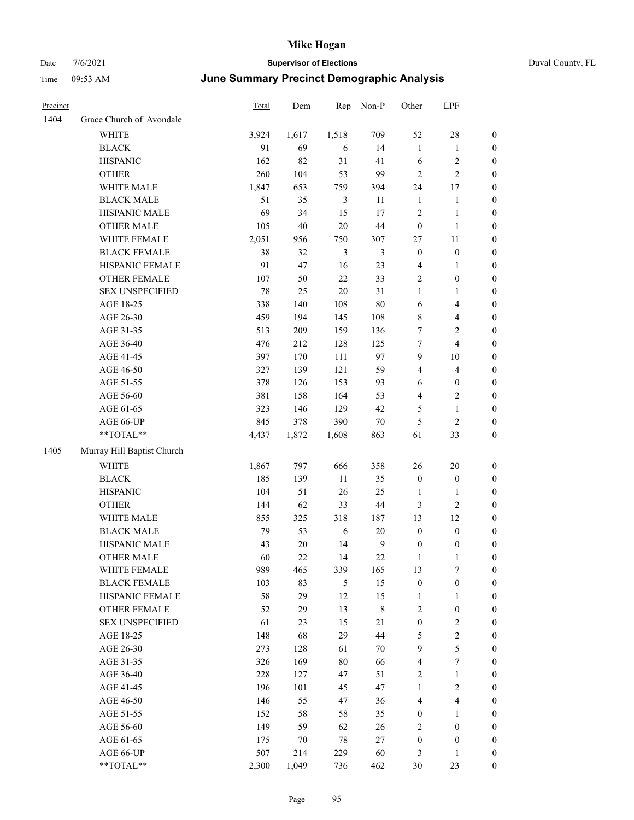| Duval County, FL |  |
|------------------|--|
|                  |  |

| Precinct |                            | <b>Total</b> | Dem    | Rep            | Non-P            | Other            | LPF                     |                  |
|----------|----------------------------|--------------|--------|----------------|------------------|------------------|-------------------------|------------------|
| 1404     | Grace Church of Avondale   |              |        |                |                  |                  |                         |                  |
|          | WHITE                      | 3,924        | 1,617  | 1,518          | 709              | 52               | $28\,$                  | $\boldsymbol{0}$ |
|          | <b>BLACK</b>               | 91           | 69     | 6              | 14               | $\mathbf{1}$     | $\mathbf{1}$            | $\boldsymbol{0}$ |
|          | <b>HISPANIC</b>            | 162          | 82     | 31             | 41               | 6                | $\sqrt{2}$              | 0                |
|          | <b>OTHER</b>               | 260          | 104    | 53             | 99               | $\sqrt{2}$       | $\sqrt{2}$              | 0                |
|          | WHITE MALE                 | 1,847        | 653    | 759            | 394              | 24               | 17                      | $\boldsymbol{0}$ |
|          | <b>BLACK MALE</b>          | 51           | 35     | $\mathfrak{Z}$ | 11               | $\mathbf{1}$     | $\mathbf{1}$            | $\boldsymbol{0}$ |
|          | HISPANIC MALE              | 69           | 34     | 15             | 17               | $\overline{c}$   | $\mathbf{1}$            | $\boldsymbol{0}$ |
|          | <b>OTHER MALE</b>          | 105          | $40\,$ | $20\,$         | 44               | $\boldsymbol{0}$ | $\mathbf{1}$            | $\boldsymbol{0}$ |
|          | WHITE FEMALE               | 2,051        | 956    | 750            | 307              | 27               | 11                      | $\boldsymbol{0}$ |
|          | <b>BLACK FEMALE</b>        | 38           | 32     | $\mathfrak{Z}$ | $\mathfrak{Z}$   | $\boldsymbol{0}$ | $\boldsymbol{0}$        | $\boldsymbol{0}$ |
|          | HISPANIC FEMALE            | 91           | 47     | 16             | 23               | 4                | $\mathbf{1}$            | $\boldsymbol{0}$ |
|          | OTHER FEMALE               | 107          | 50     | 22             | 33               | $\sqrt{2}$       | $\boldsymbol{0}$        | 0                |
|          | <b>SEX UNSPECIFIED</b>     | 78           | 25     | $20\,$         | 31               | $\mathbf{1}$     | $\mathbf{1}$            | 0                |
|          | AGE 18-25                  | 338          | 140    | 108            | $80\,$           | 6                | $\overline{\mathbf{4}}$ | 0                |
|          | AGE 26-30                  | 459          | 194    | 145            | 108              | 8                | $\overline{\mathbf{4}}$ | 0                |
|          | AGE 31-35                  | 513          | 209    | 159            | 136              | 7                | $\sqrt{2}$              | $\boldsymbol{0}$ |
|          | AGE 36-40                  | 476          | 212    | 128            | 125              | 7                | $\overline{\mathbf{4}}$ | $\boldsymbol{0}$ |
|          | AGE 41-45                  | 397          | 170    | 111            | 97               | 9                | 10                      | $\boldsymbol{0}$ |
|          | AGE 46-50                  | 327          | 139    | 121            | 59               | 4                | $\overline{\mathbf{4}}$ | $\boldsymbol{0}$ |
|          | AGE 51-55                  | 378          | 126    | 153            | 93               | 6                | $\boldsymbol{0}$        | $\boldsymbol{0}$ |
|          | AGE 56-60                  | 381          | 158    | 164            | 53               | 4                | $\sqrt{2}$              | 0                |
|          | AGE 61-65                  | 323          | 146    | 129            | 42               | $\mathfrak{S}$   | $\mathbf{1}$            | 0                |
|          | AGE 66-UP                  | 845          | 378    | 390            | $70\,$           | 5                | $\sqrt{2}$              | 0                |
|          | **TOTAL**                  | 4,437        | 1,872  | 1,608          | 863              | 61               | 33                      | $\boldsymbol{0}$ |
| 1405     | Murray Hill Baptist Church |              |        |                |                  |                  |                         |                  |
|          | <b>WHITE</b>               | 1,867        | 797    | 666            | 358              | 26               | $20\,$                  | $\boldsymbol{0}$ |
|          | <b>BLACK</b>               | 185          | 139    | 11             | 35               | $\boldsymbol{0}$ | $\boldsymbol{0}$        | $\boldsymbol{0}$ |
|          | <b>HISPANIC</b>            | 104          | 51     | 26             | 25               | 1                | 1                       | $\boldsymbol{0}$ |
|          | <b>OTHER</b>               | 144          | 62     | 33             | $44\,$           | 3                | $\sqrt{2}$              | $\boldsymbol{0}$ |
|          | WHITE MALE                 | 855          | 325    | 318            | 187              | 13               | 12                      | $\boldsymbol{0}$ |
|          | <b>BLACK MALE</b>          | 79           | 53     | 6              | 20               | $\boldsymbol{0}$ | $\boldsymbol{0}$        | $\boldsymbol{0}$ |
|          | HISPANIC MALE              | 43           | $20\,$ | 14             | $\boldsymbol{9}$ | $\boldsymbol{0}$ | $\boldsymbol{0}$        | 0                |
|          | <b>OTHER MALE</b>          | 60           | 22     | 14             | 22               | 1                | 1                       | $\boldsymbol{0}$ |
|          | WHITE FEMALE               | 989          | 465    | 339            | 165              | 13               | $\tau$                  | 0                |
|          | <b>BLACK FEMALE</b>        | 103          | 83     | 5              | 15               | $\boldsymbol{0}$ | $\boldsymbol{0}$        | 0                |
|          | HISPANIC FEMALE            | 58           | 29     | 12             | 15               | 1                | $\mathbf{1}$            | 0                |
|          | <b>OTHER FEMALE</b>        | 52           | 29     | 13             | $\,$ 8 $\,$      | $\overline{c}$   | $\boldsymbol{0}$        | 0                |
|          | <b>SEX UNSPECIFIED</b>     | 61           | 23     | 15             | 21               | $\boldsymbol{0}$ | $\sqrt{2}$              | $\overline{0}$   |
|          | AGE 18-25                  | 148          | 68     | 29             | 44               | 5                | $\sqrt{2}$              | 0                |
|          | AGE 26-30                  | 273          | 128    | 61             | 70               | 9                | $\mathfrak s$           | 0                |
|          | AGE 31-35                  | 326          | 169    | 80             | 66               | 4                | $\boldsymbol{7}$        | $\overline{0}$   |
|          | AGE 36-40                  | 228          | 127    | 47             | 51               | $\sqrt{2}$       | $\mathbf{1}$            | 0                |
|          | AGE 41-45                  | 196          | 101    | 45             | 47               | $\mathbf{1}$     | $\sqrt{2}$              | 0                |
|          | AGE 46-50                  | 146          | 55     | 47             | 36               | $\overline{4}$   | $\overline{\mathbf{4}}$ | 0                |
|          | AGE 51-55                  | 152          | 58     | 58             | 35               | $\boldsymbol{0}$ | $\mathbf{1}$            | 0                |
|          | AGE 56-60                  | 149          | 59     | 62             | 26               | 2                | $\boldsymbol{0}$        | 0                |
|          | AGE 61-65                  | 175          | 70     | $78\,$         | 27               | $\boldsymbol{0}$ | $\boldsymbol{0}$        | $\boldsymbol{0}$ |
|          | AGE 66-UP                  | 507          | 214    | 229            | 60               | 3                | $\mathbf{1}$            | $\boldsymbol{0}$ |
|          | $**TOTAL**$                | 2,300        | 1,049  | 736            | 462              | 30               | 23                      | $\boldsymbol{0}$ |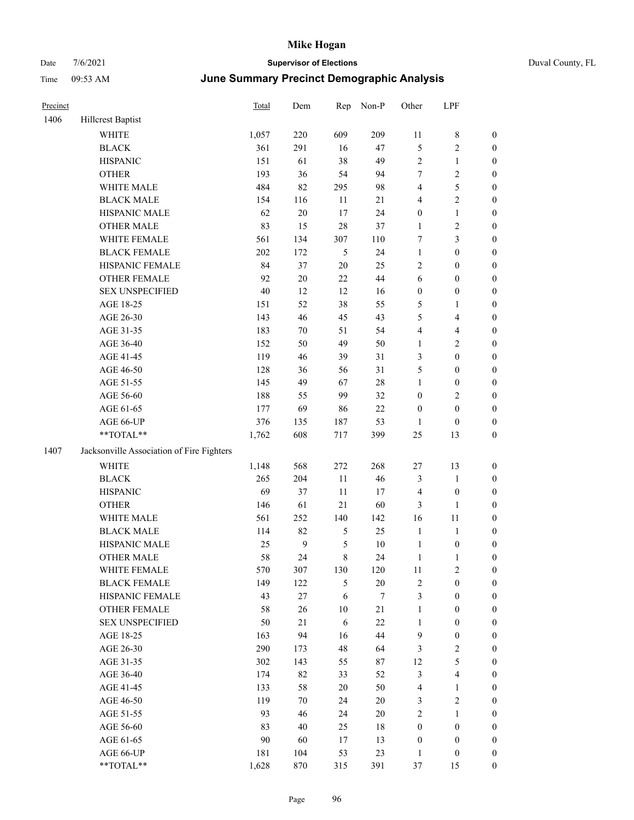|  | Duval County, FL |  |
|--|------------------|--|
|--|------------------|--|

| Precinct |                                           | <b>Total</b> | Dem    | Rep            | Non-P  | Other            | LPF                     |                  |
|----------|-------------------------------------------|--------------|--------|----------------|--------|------------------|-------------------------|------------------|
| 1406     | Hillcrest Baptist                         |              |        |                |        |                  |                         |                  |
|          | <b>WHITE</b>                              | 1,057        | 220    | 609            | 209    | 11               | $\,$ 8 $\,$             | $\boldsymbol{0}$ |
|          | <b>BLACK</b>                              | 361          | 291    | 16             | 47     | 5                | $\sqrt{2}$              | $\boldsymbol{0}$ |
|          | <b>HISPANIC</b>                           | 151          | 61     | 38             | 49     | $\sqrt{2}$       | $\mathbf{1}$            | $\boldsymbol{0}$ |
|          | <b>OTHER</b>                              | 193          | 36     | 54             | 94     | 7                | $\sqrt{2}$              | $\boldsymbol{0}$ |
|          | WHITE MALE                                | 484          | 82     | 295            | 98     | 4                | $\mathfrak s$           | 0                |
|          | <b>BLACK MALE</b>                         | 154          | 116    | 11             | 21     | 4                | $\sqrt{2}$              | 0                |
|          | HISPANIC MALE                             | 62           | $20\,$ | $17\,$         | 24     | $\boldsymbol{0}$ | $\mathbf{1}$            | 0                |
|          | OTHER MALE                                | 83           | 15     | 28             | 37     | $\mathbf{1}$     | $\sqrt{2}$              | $\boldsymbol{0}$ |
|          | WHITE FEMALE                              | 561          | 134    | 307            | 110    | 7                | $\mathfrak{Z}$          | $\boldsymbol{0}$ |
|          | <b>BLACK FEMALE</b>                       | 202          | 172    | $\mathfrak{S}$ | 24     | $\mathbf{1}$     | $\boldsymbol{0}$        | $\boldsymbol{0}$ |
|          | HISPANIC FEMALE                           | 84           | 37     | $20\,$         | 25     | $\sqrt{2}$       | $\boldsymbol{0}$        | $\boldsymbol{0}$ |
|          | OTHER FEMALE                              | 92           | $20\,$ | $22\,$         | $44\,$ | 6                | $\boldsymbol{0}$        | $\boldsymbol{0}$ |
|          | <b>SEX UNSPECIFIED</b>                    | 40           | 12     | 12             | 16     | $\boldsymbol{0}$ | $\boldsymbol{0}$        | $\boldsymbol{0}$ |
|          | AGE 18-25                                 | 151          | 52     | 38             | 55     | 5                | $\mathbf{1}$            | $\boldsymbol{0}$ |
|          | AGE 26-30                                 | 143          | 46     | 45             | 43     | 5                | $\overline{\mathbf{4}}$ | $\boldsymbol{0}$ |
|          | AGE 31-35                                 | 183          | 70     | 51             | 54     | $\overline{4}$   | $\overline{\mathbf{4}}$ | 0                |
|          | AGE 36-40                                 | 152          | 50     | 49             | 50     | $\mathbf{1}$     | $\sqrt{2}$              | 0                |
|          | AGE 41-45                                 | 119          | 46     | 39             | 31     | 3                | $\boldsymbol{0}$        | $\boldsymbol{0}$ |
|          | AGE 46-50                                 | 128          | 36     | 56             | 31     | 5                | $\boldsymbol{0}$        | $\boldsymbol{0}$ |
|          | AGE 51-55                                 | 145          | 49     | 67             | $28\,$ | $\mathbf{1}$     | $\boldsymbol{0}$        | $\boldsymbol{0}$ |
|          | AGE 56-60                                 | 188          | 55     | 99             | 32     | $\boldsymbol{0}$ | $\sqrt{2}$              | $\boldsymbol{0}$ |
|          | AGE 61-65                                 | 177          | 69     | 86             | $22\,$ | $\boldsymbol{0}$ | $\boldsymbol{0}$        | $\boldsymbol{0}$ |
|          | AGE 66-UP                                 | 376          | 135    | 187            | 53     | $\mathbf{1}$     | $\boldsymbol{0}$        | $\boldsymbol{0}$ |
|          | **TOTAL**                                 | 1,762        | 608    | 717            | 399    | $25\,$           | 13                      | $\boldsymbol{0}$ |
| 1407     | Jacksonville Association of Fire Fighters |              |        |                |        |                  |                         |                  |
|          | <b>WHITE</b>                              | 1,148        | 568    | 272            | 268    | $27\,$           | 13                      | $\boldsymbol{0}$ |
|          | <b>BLACK</b>                              | 265          | 204    | $11\,$         | 46     | $\mathfrak{Z}$   | $\mathbf{1}$            | $\boldsymbol{0}$ |
|          | <b>HISPANIC</b>                           | 69           | 37     | 11             | 17     | $\overline{4}$   | $\boldsymbol{0}$        | 0                |
|          | <b>OTHER</b>                              | 146          | 61     | 21             | 60     | 3                | $\mathbf{1}$            | 0                |
|          | WHITE MALE                                | 561          | 252    | 140            | 142    | 16               | 11                      | $\boldsymbol{0}$ |
|          | <b>BLACK MALE</b>                         | 114          | 82     | $\mathfrak{S}$ | 25     | $\mathbf{1}$     | $\mathbf{1}$            | $\boldsymbol{0}$ |
|          | HISPANIC MALE                             | 25           | 9      | 5              | 10     | $\mathbf{1}$     | $\boldsymbol{0}$        | $\boldsymbol{0}$ |
|          | <b>OTHER MALE</b>                         | 58           | 24     | 8              | 24     | $\mathbf{1}$     | $\mathbf{1}$            | $\boldsymbol{0}$ |
|          | WHITE FEMALE                              | 570          | 307    | 130            | 120    | 11               | $\sqrt{2}$              | $\overline{0}$   |
|          | <b>BLACK FEMALE</b>                       | 149          | 122    | $\mathfrak{S}$ | $20\,$ | $\sqrt{2}$       | $\boldsymbol{0}$        | 0                |
|          | HISPANIC FEMALE                           | 43           | 27     | 6              | $\tau$ | 3                | $\boldsymbol{0}$        | $\overline{0}$   |
|          | OTHER FEMALE                              | 58           | 26     | $10\,$         | 21     | $\mathbf{1}$     | $\boldsymbol{0}$        | 0                |
|          | <b>SEX UNSPECIFIED</b>                    | 50           | 21     | 6              | 22     | $\mathbf{1}$     | $\boldsymbol{0}$        | 0                |
|          | AGE 18-25                                 | 163          | 94     | 16             | 44     | $\overline{9}$   | $\boldsymbol{0}$        | $\boldsymbol{0}$ |
|          | AGE 26-30                                 | 290          | 173    | 48             | 64     | 3                | $\sqrt{2}$              | $\overline{0}$   |
|          | AGE 31-35                                 | 302          | 143    | 55             | 87     | 12               | $\mathfrak{S}$          | $\overline{0}$   |
|          | AGE 36-40                                 | 174          | 82     | 33             | 52     | 3                | $\overline{\mathbf{4}}$ | $\overline{0}$   |
|          | AGE 41-45                                 | 133          | 58     | 20             | 50     | $\overline{4}$   | $\mathbf{1}$            | $\boldsymbol{0}$ |
|          | AGE 46-50                                 | 119          | 70     | 24             | 20     | 3                | $\sqrt{2}$              | $\overline{0}$   |
|          | AGE 51-55                                 | 93           | 46     | 24             | $20\,$ | $\mathfrak{2}$   | $\mathbf{1}$            | $\overline{0}$   |
|          | AGE 56-60                                 | 83           | 40     | 25             | $18\,$ | $\boldsymbol{0}$ | $\boldsymbol{0}$        | $\overline{0}$   |
|          | AGE 61-65                                 | 90           | 60     | 17             | 13     | $\boldsymbol{0}$ | $\boldsymbol{0}$        | $\boldsymbol{0}$ |
|          | AGE 66-UP                                 | 181          | 104    | 53             | 23     | $\mathbf{1}$     | $\boldsymbol{0}$        | 0                |
|          | **TOTAL**                                 | 1,628        | 870    | 315            | 391    | $37\,$           | 15                      | $\boldsymbol{0}$ |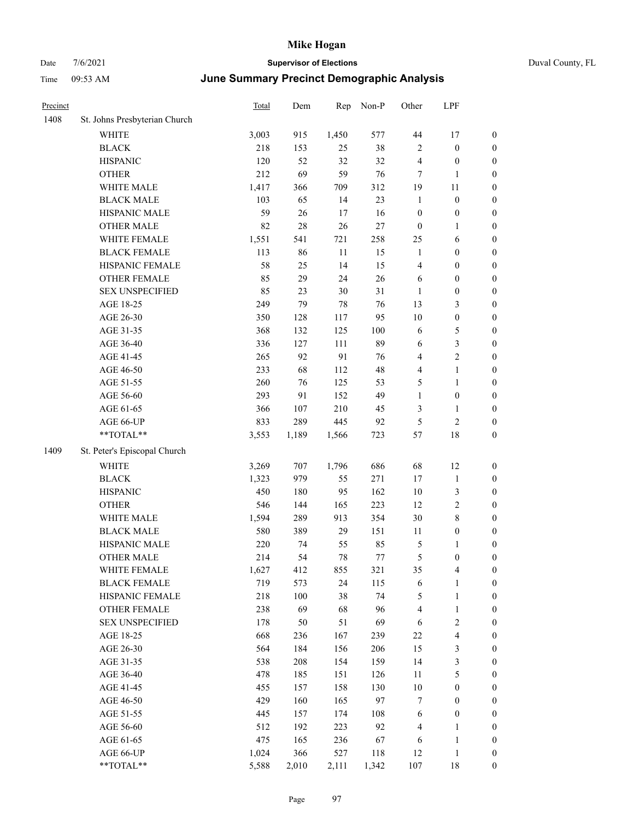| St. Johns Presbyterian Church<br>1,450<br>WHITE<br>3,003<br>915<br>577<br>44<br>17<br>$\boldsymbol{0}$<br>218<br>38<br>$\boldsymbol{0}$<br>$\boldsymbol{0}$<br><b>BLACK</b><br>153<br>25<br>$\overline{2}$<br><b>HISPANIC</b><br>120<br>52<br>32<br>32<br>$\overline{4}$<br>$\boldsymbol{0}$<br>$\boldsymbol{0}$<br>212<br>69<br>59<br>76<br><b>OTHER</b><br>7<br>$\boldsymbol{0}$<br>1<br>WHITE MALE<br>1,417<br>366<br>709<br>312<br>19<br>11<br>$\boldsymbol{0}$<br><b>BLACK MALE</b><br>103<br>65<br>14<br>23<br>$\boldsymbol{0}$<br>$\mathbf{1}$<br>$\boldsymbol{0}$<br>HISPANIC MALE<br>59<br>26<br>16<br>$\boldsymbol{0}$<br>17<br>$\boldsymbol{0}$<br>$\boldsymbol{0}$<br><b>OTHER MALE</b><br>82<br>$28\,$<br>$26\,$<br>$27\,$<br>$\mathbf{0}$<br>$\boldsymbol{0}$<br>1<br>WHITE FEMALE<br>1,551<br>721<br>541<br>258<br>25<br>6<br>$\boldsymbol{0}$<br>113<br>11<br><b>BLACK FEMALE</b><br>86<br>15<br>$\mathbf{1}$<br>$\boldsymbol{0}$<br>$\boldsymbol{0}$<br>58<br>14<br>15<br>$\boldsymbol{0}$<br>HISPANIC FEMALE<br>25<br>$\overline{4}$<br>$\boldsymbol{0}$<br><b>OTHER FEMALE</b><br>29<br>26<br>$\boldsymbol{0}$<br>85<br>24<br>6<br>$\boldsymbol{0}$<br><b>SEX UNSPECIFIED</b><br>85<br>31<br>23<br>30<br>$\boldsymbol{0}$<br>$\boldsymbol{0}$<br>1<br>AGE 18-25<br>79<br>76<br>249<br>78<br>13<br>3<br>$\boldsymbol{0}$<br>AGE 26-30<br>350<br>95<br>10<br>128<br>117<br>$\boldsymbol{0}$<br>$\boldsymbol{0}$<br>132<br>100<br>AGE 31-35<br>368<br>125<br>6<br>5<br>$\boldsymbol{0}$<br>89<br>3<br>AGE 36-40<br>336<br>127<br>111<br>6<br>$\boldsymbol{0}$<br>$\overline{\mathbf{c}}$<br>AGE 41-45<br>265<br>92<br>91<br>76<br>$\overline{4}$<br>$\boldsymbol{0}$<br>48<br>AGE 46-50<br>233<br>68<br>112<br>$\overline{4}$<br>1<br>$\boldsymbol{0}$<br>260<br>5<br>AGE 51-55<br>76<br>125<br>53<br>1<br>$\boldsymbol{0}$<br>49<br>AGE 56-60<br>293<br>91<br>152<br>$\mathbf{1}$<br>$\boldsymbol{0}$<br>$\boldsymbol{0}$<br>AGE 61-65<br>366<br>3<br>$\boldsymbol{0}$<br>107<br>210<br>45<br>1<br>833<br>289<br>445<br>5<br>$\overline{\mathbf{c}}$<br>AGE 66-UP<br>92<br>$\boldsymbol{0}$<br>**TOTAL**<br>18<br>3,553<br>1,189<br>1,566<br>723<br>57<br>$\boldsymbol{0}$<br>St. Peter's Episcopal Church<br><b>WHITE</b><br>12<br>3,269<br>707<br>1,796<br>686<br>68<br>$\boldsymbol{0}$<br><b>BLACK</b><br>979<br>271<br>17<br>1,323<br>55<br>$\mathbf{1}$<br>$\boldsymbol{0}$<br>450<br>10<br>3<br><b>HISPANIC</b><br>180<br>95<br>162<br>$\boldsymbol{0}$<br>12<br>$\overline{\mathbf{c}}$<br><b>OTHER</b><br>546<br>144<br>165<br>223<br>$\boldsymbol{0}$<br>30<br>8<br>WHITE MALE<br>1,594<br>289<br>913<br>354<br>$\boldsymbol{0}$<br>580<br><b>BLACK MALE</b><br>389<br>29<br>151<br>11<br>$\boldsymbol{0}$<br>$\boldsymbol{0}$<br>HISPANIC MALE<br>220<br>85<br>5<br>74<br>55<br>$\boldsymbol{0}$<br>1<br>54<br>78<br>5<br><b>OTHER MALE</b><br>214<br>77<br>$\boldsymbol{0}$<br>$\boldsymbol{0}$<br>4<br>WHITE FEMALE<br>1,627<br>412<br>855<br>321<br>35<br>$\boldsymbol{0}$<br>719<br>573<br>24<br><b>BLACK FEMALE</b><br>115<br>6<br>$\boldsymbol{0}$<br>1<br>HISPANIC FEMALE<br>218<br>38<br>74<br>100<br>5<br>$\mathbf{1}$<br>$\boldsymbol{0}$<br>OTHER FEMALE<br>238<br>69<br>68<br>96<br>$\overline{4}$<br>$\mathbf{1}$<br>$\boldsymbol{0}$<br><b>SEX UNSPECIFIED</b><br>51<br>69<br>$\sqrt{2}$<br>178<br>50<br>6<br>$\boldsymbol{0}$<br>668<br>4<br>AGE 18-25<br>236<br>167<br>239<br>22<br>$\boldsymbol{0}$<br>15<br>3<br>AGE 26-30<br>564<br>184<br>206<br>156<br>$\boldsymbol{0}$<br>14<br>3<br>AGE 31-35<br>538<br>208<br>159<br>$\boldsymbol{0}$<br>154<br>$11\,$<br>5<br>AGE 36-40<br>478<br>185<br>$\boldsymbol{0}$<br>151<br>126<br>10<br>$\boldsymbol{0}$<br>AGE 41-45<br>455<br>157<br>158<br>130<br>$\boldsymbol{0}$<br>429<br>97<br>AGE 46-50<br>160<br>165<br>$\tau$<br>$\boldsymbol{0}$<br>$\boldsymbol{0}$<br>AGE 51-55<br>445<br>157<br>108<br>6<br>$\boldsymbol{0}$<br>$\boldsymbol{0}$<br>174<br>92<br>AGE 56-60<br>512<br>192<br>223<br>$\overline{4}$<br>$\boldsymbol{0}$<br>1<br>AGE 61-65<br>475<br>165<br>67<br>236<br>6<br>$\boldsymbol{0}$<br>1<br>366<br>AGE 66-UP<br>1,024<br>527<br>118<br>12<br>1<br>$\boldsymbol{0}$ | Precinct |           | <b>Total</b> | Dem   | Rep   | Non-P | Other | LPF |                  |
|----------------------------------------------------------------------------------------------------------------------------------------------------------------------------------------------------------------------------------------------------------------------------------------------------------------------------------------------------------------------------------------------------------------------------------------------------------------------------------------------------------------------------------------------------------------------------------------------------------------------------------------------------------------------------------------------------------------------------------------------------------------------------------------------------------------------------------------------------------------------------------------------------------------------------------------------------------------------------------------------------------------------------------------------------------------------------------------------------------------------------------------------------------------------------------------------------------------------------------------------------------------------------------------------------------------------------------------------------------------------------------------------------------------------------------------------------------------------------------------------------------------------------------------------------------------------------------------------------------------------------------------------------------------------------------------------------------------------------------------------------------------------------------------------------------------------------------------------------------------------------------------------------------------------------------------------------------------------------------------------------------------------------------------------------------------------------------------------------------------------------------------------------------------------------------------------------------------------------------------------------------------------------------------------------------------------------------------------------------------------------------------------------------------------------------------------------------------------------------------------------------------------------------------------------------------------------------------------------------------------------------------------------------------------------------------------------------------------------------------------------------------------------------------------------------------------------------------------------------------------------------------------------------------------------------------------------------------------------------------------------------------------------------------------------------------------------------------------------------------------------------------------------------------------------------------------------------------------------------------------------------------------------------------------------------------------------------------------------------------------------------------------------------------------------------------------------------------------------------------------------------------------------------------------------------------------------------------------------------------------------------------------------------------------------------------------------------------------------------------------------------------------------------------------------------------------------------------------------------------------------------------------------------------------------------------------------------------------------------------------------------------------------------------------------------------------------------------------------------------------------------------------------------------------------------------|----------|-----------|--------------|-------|-------|-------|-------|-----|------------------|
|                                                                                                                                                                                                                                                                                                                                                                                                                                                                                                                                                                                                                                                                                                                                                                                                                                                                                                                                                                                                                                                                                                                                                                                                                                                                                                                                                                                                                                                                                                                                                                                                                                                                                                                                                                                                                                                                                                                                                                                                                                                                                                                                                                                                                                                                                                                                                                                                                                                                                                                                                                                                                                                                                                                                                                                                                                                                                                                                                                                                                                                                                                                                                                                                                                                                                                                                                                                                                                                                                                                                                                                                                                                                                                                                                                                                                                                                                                                                                                                                                                                                                                                                                                                        | 1408     |           |              |       |       |       |       |     |                  |
|                                                                                                                                                                                                                                                                                                                                                                                                                                                                                                                                                                                                                                                                                                                                                                                                                                                                                                                                                                                                                                                                                                                                                                                                                                                                                                                                                                                                                                                                                                                                                                                                                                                                                                                                                                                                                                                                                                                                                                                                                                                                                                                                                                                                                                                                                                                                                                                                                                                                                                                                                                                                                                                                                                                                                                                                                                                                                                                                                                                                                                                                                                                                                                                                                                                                                                                                                                                                                                                                                                                                                                                                                                                                                                                                                                                                                                                                                                                                                                                                                                                                                                                                                                                        |          |           |              |       |       |       |       |     |                  |
|                                                                                                                                                                                                                                                                                                                                                                                                                                                                                                                                                                                                                                                                                                                                                                                                                                                                                                                                                                                                                                                                                                                                                                                                                                                                                                                                                                                                                                                                                                                                                                                                                                                                                                                                                                                                                                                                                                                                                                                                                                                                                                                                                                                                                                                                                                                                                                                                                                                                                                                                                                                                                                                                                                                                                                                                                                                                                                                                                                                                                                                                                                                                                                                                                                                                                                                                                                                                                                                                                                                                                                                                                                                                                                                                                                                                                                                                                                                                                                                                                                                                                                                                                                                        |          |           |              |       |       |       |       |     |                  |
|                                                                                                                                                                                                                                                                                                                                                                                                                                                                                                                                                                                                                                                                                                                                                                                                                                                                                                                                                                                                                                                                                                                                                                                                                                                                                                                                                                                                                                                                                                                                                                                                                                                                                                                                                                                                                                                                                                                                                                                                                                                                                                                                                                                                                                                                                                                                                                                                                                                                                                                                                                                                                                                                                                                                                                                                                                                                                                                                                                                                                                                                                                                                                                                                                                                                                                                                                                                                                                                                                                                                                                                                                                                                                                                                                                                                                                                                                                                                                                                                                                                                                                                                                                                        |          |           |              |       |       |       |       |     |                  |
|                                                                                                                                                                                                                                                                                                                                                                                                                                                                                                                                                                                                                                                                                                                                                                                                                                                                                                                                                                                                                                                                                                                                                                                                                                                                                                                                                                                                                                                                                                                                                                                                                                                                                                                                                                                                                                                                                                                                                                                                                                                                                                                                                                                                                                                                                                                                                                                                                                                                                                                                                                                                                                                                                                                                                                                                                                                                                                                                                                                                                                                                                                                                                                                                                                                                                                                                                                                                                                                                                                                                                                                                                                                                                                                                                                                                                                                                                                                                                                                                                                                                                                                                                                                        |          |           |              |       |       |       |       |     |                  |
|                                                                                                                                                                                                                                                                                                                                                                                                                                                                                                                                                                                                                                                                                                                                                                                                                                                                                                                                                                                                                                                                                                                                                                                                                                                                                                                                                                                                                                                                                                                                                                                                                                                                                                                                                                                                                                                                                                                                                                                                                                                                                                                                                                                                                                                                                                                                                                                                                                                                                                                                                                                                                                                                                                                                                                                                                                                                                                                                                                                                                                                                                                                                                                                                                                                                                                                                                                                                                                                                                                                                                                                                                                                                                                                                                                                                                                                                                                                                                                                                                                                                                                                                                                                        |          |           |              |       |       |       |       |     |                  |
|                                                                                                                                                                                                                                                                                                                                                                                                                                                                                                                                                                                                                                                                                                                                                                                                                                                                                                                                                                                                                                                                                                                                                                                                                                                                                                                                                                                                                                                                                                                                                                                                                                                                                                                                                                                                                                                                                                                                                                                                                                                                                                                                                                                                                                                                                                                                                                                                                                                                                                                                                                                                                                                                                                                                                                                                                                                                                                                                                                                                                                                                                                                                                                                                                                                                                                                                                                                                                                                                                                                                                                                                                                                                                                                                                                                                                                                                                                                                                                                                                                                                                                                                                                                        |          |           |              |       |       |       |       |     |                  |
|                                                                                                                                                                                                                                                                                                                                                                                                                                                                                                                                                                                                                                                                                                                                                                                                                                                                                                                                                                                                                                                                                                                                                                                                                                                                                                                                                                                                                                                                                                                                                                                                                                                                                                                                                                                                                                                                                                                                                                                                                                                                                                                                                                                                                                                                                                                                                                                                                                                                                                                                                                                                                                                                                                                                                                                                                                                                                                                                                                                                                                                                                                                                                                                                                                                                                                                                                                                                                                                                                                                                                                                                                                                                                                                                                                                                                                                                                                                                                                                                                                                                                                                                                                                        |          |           |              |       |       |       |       |     |                  |
|                                                                                                                                                                                                                                                                                                                                                                                                                                                                                                                                                                                                                                                                                                                                                                                                                                                                                                                                                                                                                                                                                                                                                                                                                                                                                                                                                                                                                                                                                                                                                                                                                                                                                                                                                                                                                                                                                                                                                                                                                                                                                                                                                                                                                                                                                                                                                                                                                                                                                                                                                                                                                                                                                                                                                                                                                                                                                                                                                                                                                                                                                                                                                                                                                                                                                                                                                                                                                                                                                                                                                                                                                                                                                                                                                                                                                                                                                                                                                                                                                                                                                                                                                                                        |          |           |              |       |       |       |       |     |                  |
|                                                                                                                                                                                                                                                                                                                                                                                                                                                                                                                                                                                                                                                                                                                                                                                                                                                                                                                                                                                                                                                                                                                                                                                                                                                                                                                                                                                                                                                                                                                                                                                                                                                                                                                                                                                                                                                                                                                                                                                                                                                                                                                                                                                                                                                                                                                                                                                                                                                                                                                                                                                                                                                                                                                                                                                                                                                                                                                                                                                                                                                                                                                                                                                                                                                                                                                                                                                                                                                                                                                                                                                                                                                                                                                                                                                                                                                                                                                                                                                                                                                                                                                                                                                        |          |           |              |       |       |       |       |     |                  |
|                                                                                                                                                                                                                                                                                                                                                                                                                                                                                                                                                                                                                                                                                                                                                                                                                                                                                                                                                                                                                                                                                                                                                                                                                                                                                                                                                                                                                                                                                                                                                                                                                                                                                                                                                                                                                                                                                                                                                                                                                                                                                                                                                                                                                                                                                                                                                                                                                                                                                                                                                                                                                                                                                                                                                                                                                                                                                                                                                                                                                                                                                                                                                                                                                                                                                                                                                                                                                                                                                                                                                                                                                                                                                                                                                                                                                                                                                                                                                                                                                                                                                                                                                                                        |          |           |              |       |       |       |       |     |                  |
|                                                                                                                                                                                                                                                                                                                                                                                                                                                                                                                                                                                                                                                                                                                                                                                                                                                                                                                                                                                                                                                                                                                                                                                                                                                                                                                                                                                                                                                                                                                                                                                                                                                                                                                                                                                                                                                                                                                                                                                                                                                                                                                                                                                                                                                                                                                                                                                                                                                                                                                                                                                                                                                                                                                                                                                                                                                                                                                                                                                                                                                                                                                                                                                                                                                                                                                                                                                                                                                                                                                                                                                                                                                                                                                                                                                                                                                                                                                                                                                                                                                                                                                                                                                        |          |           |              |       |       |       |       |     |                  |
|                                                                                                                                                                                                                                                                                                                                                                                                                                                                                                                                                                                                                                                                                                                                                                                                                                                                                                                                                                                                                                                                                                                                                                                                                                                                                                                                                                                                                                                                                                                                                                                                                                                                                                                                                                                                                                                                                                                                                                                                                                                                                                                                                                                                                                                                                                                                                                                                                                                                                                                                                                                                                                                                                                                                                                                                                                                                                                                                                                                                                                                                                                                                                                                                                                                                                                                                                                                                                                                                                                                                                                                                                                                                                                                                                                                                                                                                                                                                                                                                                                                                                                                                                                                        |          |           |              |       |       |       |       |     |                  |
|                                                                                                                                                                                                                                                                                                                                                                                                                                                                                                                                                                                                                                                                                                                                                                                                                                                                                                                                                                                                                                                                                                                                                                                                                                                                                                                                                                                                                                                                                                                                                                                                                                                                                                                                                                                                                                                                                                                                                                                                                                                                                                                                                                                                                                                                                                                                                                                                                                                                                                                                                                                                                                                                                                                                                                                                                                                                                                                                                                                                                                                                                                                                                                                                                                                                                                                                                                                                                                                                                                                                                                                                                                                                                                                                                                                                                                                                                                                                                                                                                                                                                                                                                                                        |          |           |              |       |       |       |       |     |                  |
|                                                                                                                                                                                                                                                                                                                                                                                                                                                                                                                                                                                                                                                                                                                                                                                                                                                                                                                                                                                                                                                                                                                                                                                                                                                                                                                                                                                                                                                                                                                                                                                                                                                                                                                                                                                                                                                                                                                                                                                                                                                                                                                                                                                                                                                                                                                                                                                                                                                                                                                                                                                                                                                                                                                                                                                                                                                                                                                                                                                                                                                                                                                                                                                                                                                                                                                                                                                                                                                                                                                                                                                                                                                                                                                                                                                                                                                                                                                                                                                                                                                                                                                                                                                        |          |           |              |       |       |       |       |     |                  |
|                                                                                                                                                                                                                                                                                                                                                                                                                                                                                                                                                                                                                                                                                                                                                                                                                                                                                                                                                                                                                                                                                                                                                                                                                                                                                                                                                                                                                                                                                                                                                                                                                                                                                                                                                                                                                                                                                                                                                                                                                                                                                                                                                                                                                                                                                                                                                                                                                                                                                                                                                                                                                                                                                                                                                                                                                                                                                                                                                                                                                                                                                                                                                                                                                                                                                                                                                                                                                                                                                                                                                                                                                                                                                                                                                                                                                                                                                                                                                                                                                                                                                                                                                                                        |          |           |              |       |       |       |       |     |                  |
|                                                                                                                                                                                                                                                                                                                                                                                                                                                                                                                                                                                                                                                                                                                                                                                                                                                                                                                                                                                                                                                                                                                                                                                                                                                                                                                                                                                                                                                                                                                                                                                                                                                                                                                                                                                                                                                                                                                                                                                                                                                                                                                                                                                                                                                                                                                                                                                                                                                                                                                                                                                                                                                                                                                                                                                                                                                                                                                                                                                                                                                                                                                                                                                                                                                                                                                                                                                                                                                                                                                                                                                                                                                                                                                                                                                                                                                                                                                                                                                                                                                                                                                                                                                        |          |           |              |       |       |       |       |     |                  |
|                                                                                                                                                                                                                                                                                                                                                                                                                                                                                                                                                                                                                                                                                                                                                                                                                                                                                                                                                                                                                                                                                                                                                                                                                                                                                                                                                                                                                                                                                                                                                                                                                                                                                                                                                                                                                                                                                                                                                                                                                                                                                                                                                                                                                                                                                                                                                                                                                                                                                                                                                                                                                                                                                                                                                                                                                                                                                                                                                                                                                                                                                                                                                                                                                                                                                                                                                                                                                                                                                                                                                                                                                                                                                                                                                                                                                                                                                                                                                                                                                                                                                                                                                                                        |          |           |              |       |       |       |       |     |                  |
|                                                                                                                                                                                                                                                                                                                                                                                                                                                                                                                                                                                                                                                                                                                                                                                                                                                                                                                                                                                                                                                                                                                                                                                                                                                                                                                                                                                                                                                                                                                                                                                                                                                                                                                                                                                                                                                                                                                                                                                                                                                                                                                                                                                                                                                                                                                                                                                                                                                                                                                                                                                                                                                                                                                                                                                                                                                                                                                                                                                                                                                                                                                                                                                                                                                                                                                                                                                                                                                                                                                                                                                                                                                                                                                                                                                                                                                                                                                                                                                                                                                                                                                                                                                        |          |           |              |       |       |       |       |     |                  |
|                                                                                                                                                                                                                                                                                                                                                                                                                                                                                                                                                                                                                                                                                                                                                                                                                                                                                                                                                                                                                                                                                                                                                                                                                                                                                                                                                                                                                                                                                                                                                                                                                                                                                                                                                                                                                                                                                                                                                                                                                                                                                                                                                                                                                                                                                                                                                                                                                                                                                                                                                                                                                                                                                                                                                                                                                                                                                                                                                                                                                                                                                                                                                                                                                                                                                                                                                                                                                                                                                                                                                                                                                                                                                                                                                                                                                                                                                                                                                                                                                                                                                                                                                                                        |          |           |              |       |       |       |       |     |                  |
|                                                                                                                                                                                                                                                                                                                                                                                                                                                                                                                                                                                                                                                                                                                                                                                                                                                                                                                                                                                                                                                                                                                                                                                                                                                                                                                                                                                                                                                                                                                                                                                                                                                                                                                                                                                                                                                                                                                                                                                                                                                                                                                                                                                                                                                                                                                                                                                                                                                                                                                                                                                                                                                                                                                                                                                                                                                                                                                                                                                                                                                                                                                                                                                                                                                                                                                                                                                                                                                                                                                                                                                                                                                                                                                                                                                                                                                                                                                                                                                                                                                                                                                                                                                        |          |           |              |       |       |       |       |     |                  |
|                                                                                                                                                                                                                                                                                                                                                                                                                                                                                                                                                                                                                                                                                                                                                                                                                                                                                                                                                                                                                                                                                                                                                                                                                                                                                                                                                                                                                                                                                                                                                                                                                                                                                                                                                                                                                                                                                                                                                                                                                                                                                                                                                                                                                                                                                                                                                                                                                                                                                                                                                                                                                                                                                                                                                                                                                                                                                                                                                                                                                                                                                                                                                                                                                                                                                                                                                                                                                                                                                                                                                                                                                                                                                                                                                                                                                                                                                                                                                                                                                                                                                                                                                                                        |          |           |              |       |       |       |       |     |                  |
|                                                                                                                                                                                                                                                                                                                                                                                                                                                                                                                                                                                                                                                                                                                                                                                                                                                                                                                                                                                                                                                                                                                                                                                                                                                                                                                                                                                                                                                                                                                                                                                                                                                                                                                                                                                                                                                                                                                                                                                                                                                                                                                                                                                                                                                                                                                                                                                                                                                                                                                                                                                                                                                                                                                                                                                                                                                                                                                                                                                                                                                                                                                                                                                                                                                                                                                                                                                                                                                                                                                                                                                                                                                                                                                                                                                                                                                                                                                                                                                                                                                                                                                                                                                        |          |           |              |       |       |       |       |     |                  |
|                                                                                                                                                                                                                                                                                                                                                                                                                                                                                                                                                                                                                                                                                                                                                                                                                                                                                                                                                                                                                                                                                                                                                                                                                                                                                                                                                                                                                                                                                                                                                                                                                                                                                                                                                                                                                                                                                                                                                                                                                                                                                                                                                                                                                                                                                                                                                                                                                                                                                                                                                                                                                                                                                                                                                                                                                                                                                                                                                                                                                                                                                                                                                                                                                                                                                                                                                                                                                                                                                                                                                                                                                                                                                                                                                                                                                                                                                                                                                                                                                                                                                                                                                                                        |          |           |              |       |       |       |       |     |                  |
|                                                                                                                                                                                                                                                                                                                                                                                                                                                                                                                                                                                                                                                                                                                                                                                                                                                                                                                                                                                                                                                                                                                                                                                                                                                                                                                                                                                                                                                                                                                                                                                                                                                                                                                                                                                                                                                                                                                                                                                                                                                                                                                                                                                                                                                                                                                                                                                                                                                                                                                                                                                                                                                                                                                                                                                                                                                                                                                                                                                                                                                                                                                                                                                                                                                                                                                                                                                                                                                                                                                                                                                                                                                                                                                                                                                                                                                                                                                                                                                                                                                                                                                                                                                        |          |           |              |       |       |       |       |     |                  |
|                                                                                                                                                                                                                                                                                                                                                                                                                                                                                                                                                                                                                                                                                                                                                                                                                                                                                                                                                                                                                                                                                                                                                                                                                                                                                                                                                                                                                                                                                                                                                                                                                                                                                                                                                                                                                                                                                                                                                                                                                                                                                                                                                                                                                                                                                                                                                                                                                                                                                                                                                                                                                                                                                                                                                                                                                                                                                                                                                                                                                                                                                                                                                                                                                                                                                                                                                                                                                                                                                                                                                                                                                                                                                                                                                                                                                                                                                                                                                                                                                                                                                                                                                                                        | 1409     |           |              |       |       |       |       |     |                  |
|                                                                                                                                                                                                                                                                                                                                                                                                                                                                                                                                                                                                                                                                                                                                                                                                                                                                                                                                                                                                                                                                                                                                                                                                                                                                                                                                                                                                                                                                                                                                                                                                                                                                                                                                                                                                                                                                                                                                                                                                                                                                                                                                                                                                                                                                                                                                                                                                                                                                                                                                                                                                                                                                                                                                                                                                                                                                                                                                                                                                                                                                                                                                                                                                                                                                                                                                                                                                                                                                                                                                                                                                                                                                                                                                                                                                                                                                                                                                                                                                                                                                                                                                                                                        |          |           |              |       |       |       |       |     |                  |
|                                                                                                                                                                                                                                                                                                                                                                                                                                                                                                                                                                                                                                                                                                                                                                                                                                                                                                                                                                                                                                                                                                                                                                                                                                                                                                                                                                                                                                                                                                                                                                                                                                                                                                                                                                                                                                                                                                                                                                                                                                                                                                                                                                                                                                                                                                                                                                                                                                                                                                                                                                                                                                                                                                                                                                                                                                                                                                                                                                                                                                                                                                                                                                                                                                                                                                                                                                                                                                                                                                                                                                                                                                                                                                                                                                                                                                                                                                                                                                                                                                                                                                                                                                                        |          |           |              |       |       |       |       |     |                  |
|                                                                                                                                                                                                                                                                                                                                                                                                                                                                                                                                                                                                                                                                                                                                                                                                                                                                                                                                                                                                                                                                                                                                                                                                                                                                                                                                                                                                                                                                                                                                                                                                                                                                                                                                                                                                                                                                                                                                                                                                                                                                                                                                                                                                                                                                                                                                                                                                                                                                                                                                                                                                                                                                                                                                                                                                                                                                                                                                                                                                                                                                                                                                                                                                                                                                                                                                                                                                                                                                                                                                                                                                                                                                                                                                                                                                                                                                                                                                                                                                                                                                                                                                                                                        |          |           |              |       |       |       |       |     |                  |
|                                                                                                                                                                                                                                                                                                                                                                                                                                                                                                                                                                                                                                                                                                                                                                                                                                                                                                                                                                                                                                                                                                                                                                                                                                                                                                                                                                                                                                                                                                                                                                                                                                                                                                                                                                                                                                                                                                                                                                                                                                                                                                                                                                                                                                                                                                                                                                                                                                                                                                                                                                                                                                                                                                                                                                                                                                                                                                                                                                                                                                                                                                                                                                                                                                                                                                                                                                                                                                                                                                                                                                                                                                                                                                                                                                                                                                                                                                                                                                                                                                                                                                                                                                                        |          |           |              |       |       |       |       |     |                  |
|                                                                                                                                                                                                                                                                                                                                                                                                                                                                                                                                                                                                                                                                                                                                                                                                                                                                                                                                                                                                                                                                                                                                                                                                                                                                                                                                                                                                                                                                                                                                                                                                                                                                                                                                                                                                                                                                                                                                                                                                                                                                                                                                                                                                                                                                                                                                                                                                                                                                                                                                                                                                                                                                                                                                                                                                                                                                                                                                                                                                                                                                                                                                                                                                                                                                                                                                                                                                                                                                                                                                                                                                                                                                                                                                                                                                                                                                                                                                                                                                                                                                                                                                                                                        |          |           |              |       |       |       |       |     |                  |
|                                                                                                                                                                                                                                                                                                                                                                                                                                                                                                                                                                                                                                                                                                                                                                                                                                                                                                                                                                                                                                                                                                                                                                                                                                                                                                                                                                                                                                                                                                                                                                                                                                                                                                                                                                                                                                                                                                                                                                                                                                                                                                                                                                                                                                                                                                                                                                                                                                                                                                                                                                                                                                                                                                                                                                                                                                                                                                                                                                                                                                                                                                                                                                                                                                                                                                                                                                                                                                                                                                                                                                                                                                                                                                                                                                                                                                                                                                                                                                                                                                                                                                                                                                                        |          |           |              |       |       |       |       |     |                  |
|                                                                                                                                                                                                                                                                                                                                                                                                                                                                                                                                                                                                                                                                                                                                                                                                                                                                                                                                                                                                                                                                                                                                                                                                                                                                                                                                                                                                                                                                                                                                                                                                                                                                                                                                                                                                                                                                                                                                                                                                                                                                                                                                                                                                                                                                                                                                                                                                                                                                                                                                                                                                                                                                                                                                                                                                                                                                                                                                                                                                                                                                                                                                                                                                                                                                                                                                                                                                                                                                                                                                                                                                                                                                                                                                                                                                                                                                                                                                                                                                                                                                                                                                                                                        |          |           |              |       |       |       |       |     |                  |
|                                                                                                                                                                                                                                                                                                                                                                                                                                                                                                                                                                                                                                                                                                                                                                                                                                                                                                                                                                                                                                                                                                                                                                                                                                                                                                                                                                                                                                                                                                                                                                                                                                                                                                                                                                                                                                                                                                                                                                                                                                                                                                                                                                                                                                                                                                                                                                                                                                                                                                                                                                                                                                                                                                                                                                                                                                                                                                                                                                                                                                                                                                                                                                                                                                                                                                                                                                                                                                                                                                                                                                                                                                                                                                                                                                                                                                                                                                                                                                                                                                                                                                                                                                                        |          |           |              |       |       |       |       |     |                  |
|                                                                                                                                                                                                                                                                                                                                                                                                                                                                                                                                                                                                                                                                                                                                                                                                                                                                                                                                                                                                                                                                                                                                                                                                                                                                                                                                                                                                                                                                                                                                                                                                                                                                                                                                                                                                                                                                                                                                                                                                                                                                                                                                                                                                                                                                                                                                                                                                                                                                                                                                                                                                                                                                                                                                                                                                                                                                                                                                                                                                                                                                                                                                                                                                                                                                                                                                                                                                                                                                                                                                                                                                                                                                                                                                                                                                                                                                                                                                                                                                                                                                                                                                                                                        |          |           |              |       |       |       |       |     |                  |
|                                                                                                                                                                                                                                                                                                                                                                                                                                                                                                                                                                                                                                                                                                                                                                                                                                                                                                                                                                                                                                                                                                                                                                                                                                                                                                                                                                                                                                                                                                                                                                                                                                                                                                                                                                                                                                                                                                                                                                                                                                                                                                                                                                                                                                                                                                                                                                                                                                                                                                                                                                                                                                                                                                                                                                                                                                                                                                                                                                                                                                                                                                                                                                                                                                                                                                                                                                                                                                                                                                                                                                                                                                                                                                                                                                                                                                                                                                                                                                                                                                                                                                                                                                                        |          |           |              |       |       |       |       |     |                  |
|                                                                                                                                                                                                                                                                                                                                                                                                                                                                                                                                                                                                                                                                                                                                                                                                                                                                                                                                                                                                                                                                                                                                                                                                                                                                                                                                                                                                                                                                                                                                                                                                                                                                                                                                                                                                                                                                                                                                                                                                                                                                                                                                                                                                                                                                                                                                                                                                                                                                                                                                                                                                                                                                                                                                                                                                                                                                                                                                                                                                                                                                                                                                                                                                                                                                                                                                                                                                                                                                                                                                                                                                                                                                                                                                                                                                                                                                                                                                                                                                                                                                                                                                                                                        |          |           |              |       |       |       |       |     |                  |
|                                                                                                                                                                                                                                                                                                                                                                                                                                                                                                                                                                                                                                                                                                                                                                                                                                                                                                                                                                                                                                                                                                                                                                                                                                                                                                                                                                                                                                                                                                                                                                                                                                                                                                                                                                                                                                                                                                                                                                                                                                                                                                                                                                                                                                                                                                                                                                                                                                                                                                                                                                                                                                                                                                                                                                                                                                                                                                                                                                                                                                                                                                                                                                                                                                                                                                                                                                                                                                                                                                                                                                                                                                                                                                                                                                                                                                                                                                                                                                                                                                                                                                                                                                                        |          |           |              |       |       |       |       |     |                  |
|                                                                                                                                                                                                                                                                                                                                                                                                                                                                                                                                                                                                                                                                                                                                                                                                                                                                                                                                                                                                                                                                                                                                                                                                                                                                                                                                                                                                                                                                                                                                                                                                                                                                                                                                                                                                                                                                                                                                                                                                                                                                                                                                                                                                                                                                                                                                                                                                                                                                                                                                                                                                                                                                                                                                                                                                                                                                                                                                                                                                                                                                                                                                                                                                                                                                                                                                                                                                                                                                                                                                                                                                                                                                                                                                                                                                                                                                                                                                                                                                                                                                                                                                                                                        |          |           |              |       |       |       |       |     |                  |
|                                                                                                                                                                                                                                                                                                                                                                                                                                                                                                                                                                                                                                                                                                                                                                                                                                                                                                                                                                                                                                                                                                                                                                                                                                                                                                                                                                                                                                                                                                                                                                                                                                                                                                                                                                                                                                                                                                                                                                                                                                                                                                                                                                                                                                                                                                                                                                                                                                                                                                                                                                                                                                                                                                                                                                                                                                                                                                                                                                                                                                                                                                                                                                                                                                                                                                                                                                                                                                                                                                                                                                                                                                                                                                                                                                                                                                                                                                                                                                                                                                                                                                                                                                                        |          |           |              |       |       |       |       |     |                  |
|                                                                                                                                                                                                                                                                                                                                                                                                                                                                                                                                                                                                                                                                                                                                                                                                                                                                                                                                                                                                                                                                                                                                                                                                                                                                                                                                                                                                                                                                                                                                                                                                                                                                                                                                                                                                                                                                                                                                                                                                                                                                                                                                                                                                                                                                                                                                                                                                                                                                                                                                                                                                                                                                                                                                                                                                                                                                                                                                                                                                                                                                                                                                                                                                                                                                                                                                                                                                                                                                                                                                                                                                                                                                                                                                                                                                                                                                                                                                                                                                                                                                                                                                                                                        |          |           |              |       |       |       |       |     |                  |
|                                                                                                                                                                                                                                                                                                                                                                                                                                                                                                                                                                                                                                                                                                                                                                                                                                                                                                                                                                                                                                                                                                                                                                                                                                                                                                                                                                                                                                                                                                                                                                                                                                                                                                                                                                                                                                                                                                                                                                                                                                                                                                                                                                                                                                                                                                                                                                                                                                                                                                                                                                                                                                                                                                                                                                                                                                                                                                                                                                                                                                                                                                                                                                                                                                                                                                                                                                                                                                                                                                                                                                                                                                                                                                                                                                                                                                                                                                                                                                                                                                                                                                                                                                                        |          |           |              |       |       |       |       |     |                  |
|                                                                                                                                                                                                                                                                                                                                                                                                                                                                                                                                                                                                                                                                                                                                                                                                                                                                                                                                                                                                                                                                                                                                                                                                                                                                                                                                                                                                                                                                                                                                                                                                                                                                                                                                                                                                                                                                                                                                                                                                                                                                                                                                                                                                                                                                                                                                                                                                                                                                                                                                                                                                                                                                                                                                                                                                                                                                                                                                                                                                                                                                                                                                                                                                                                                                                                                                                                                                                                                                                                                                                                                                                                                                                                                                                                                                                                                                                                                                                                                                                                                                                                                                                                                        |          |           |              |       |       |       |       |     |                  |
|                                                                                                                                                                                                                                                                                                                                                                                                                                                                                                                                                                                                                                                                                                                                                                                                                                                                                                                                                                                                                                                                                                                                                                                                                                                                                                                                                                                                                                                                                                                                                                                                                                                                                                                                                                                                                                                                                                                                                                                                                                                                                                                                                                                                                                                                                                                                                                                                                                                                                                                                                                                                                                                                                                                                                                                                                                                                                                                                                                                                                                                                                                                                                                                                                                                                                                                                                                                                                                                                                                                                                                                                                                                                                                                                                                                                                                                                                                                                                                                                                                                                                                                                                                                        |          |           |              |       |       |       |       |     |                  |
|                                                                                                                                                                                                                                                                                                                                                                                                                                                                                                                                                                                                                                                                                                                                                                                                                                                                                                                                                                                                                                                                                                                                                                                                                                                                                                                                                                                                                                                                                                                                                                                                                                                                                                                                                                                                                                                                                                                                                                                                                                                                                                                                                                                                                                                                                                                                                                                                                                                                                                                                                                                                                                                                                                                                                                                                                                                                                                                                                                                                                                                                                                                                                                                                                                                                                                                                                                                                                                                                                                                                                                                                                                                                                                                                                                                                                                                                                                                                                                                                                                                                                                                                                                                        |          |           |              |       |       |       |       |     |                  |
|                                                                                                                                                                                                                                                                                                                                                                                                                                                                                                                                                                                                                                                                                                                                                                                                                                                                                                                                                                                                                                                                                                                                                                                                                                                                                                                                                                                                                                                                                                                                                                                                                                                                                                                                                                                                                                                                                                                                                                                                                                                                                                                                                                                                                                                                                                                                                                                                                                                                                                                                                                                                                                                                                                                                                                                                                                                                                                                                                                                                                                                                                                                                                                                                                                                                                                                                                                                                                                                                                                                                                                                                                                                                                                                                                                                                                                                                                                                                                                                                                                                                                                                                                                                        |          |           |              |       |       |       |       |     |                  |
|                                                                                                                                                                                                                                                                                                                                                                                                                                                                                                                                                                                                                                                                                                                                                                                                                                                                                                                                                                                                                                                                                                                                                                                                                                                                                                                                                                                                                                                                                                                                                                                                                                                                                                                                                                                                                                                                                                                                                                                                                                                                                                                                                                                                                                                                                                                                                                                                                                                                                                                                                                                                                                                                                                                                                                                                                                                                                                                                                                                                                                                                                                                                                                                                                                                                                                                                                                                                                                                                                                                                                                                                                                                                                                                                                                                                                                                                                                                                                                                                                                                                                                                                                                                        |          |           |              |       |       |       |       |     |                  |
|                                                                                                                                                                                                                                                                                                                                                                                                                                                                                                                                                                                                                                                                                                                                                                                                                                                                                                                                                                                                                                                                                                                                                                                                                                                                                                                                                                                                                                                                                                                                                                                                                                                                                                                                                                                                                                                                                                                                                                                                                                                                                                                                                                                                                                                                                                                                                                                                                                                                                                                                                                                                                                                                                                                                                                                                                                                                                                                                                                                                                                                                                                                                                                                                                                                                                                                                                                                                                                                                                                                                                                                                                                                                                                                                                                                                                                                                                                                                                                                                                                                                                                                                                                                        |          |           |              |       |       |       |       |     |                  |
|                                                                                                                                                                                                                                                                                                                                                                                                                                                                                                                                                                                                                                                                                                                                                                                                                                                                                                                                                                                                                                                                                                                                                                                                                                                                                                                                                                                                                                                                                                                                                                                                                                                                                                                                                                                                                                                                                                                                                                                                                                                                                                                                                                                                                                                                                                                                                                                                                                                                                                                                                                                                                                                                                                                                                                                                                                                                                                                                                                                                                                                                                                                                                                                                                                                                                                                                                                                                                                                                                                                                                                                                                                                                                                                                                                                                                                                                                                                                                                                                                                                                                                                                                                                        |          |           |              |       |       |       |       |     |                  |
|                                                                                                                                                                                                                                                                                                                                                                                                                                                                                                                                                                                                                                                                                                                                                                                                                                                                                                                                                                                                                                                                                                                                                                                                                                                                                                                                                                                                                                                                                                                                                                                                                                                                                                                                                                                                                                                                                                                                                                                                                                                                                                                                                                                                                                                                                                                                                                                                                                                                                                                                                                                                                                                                                                                                                                                                                                                                                                                                                                                                                                                                                                                                                                                                                                                                                                                                                                                                                                                                                                                                                                                                                                                                                                                                                                                                                                                                                                                                                                                                                                                                                                                                                                                        |          | **TOTAL** | 5,588        | 2,010 | 2,111 | 1,342 | 107   | 18  | $\boldsymbol{0}$ |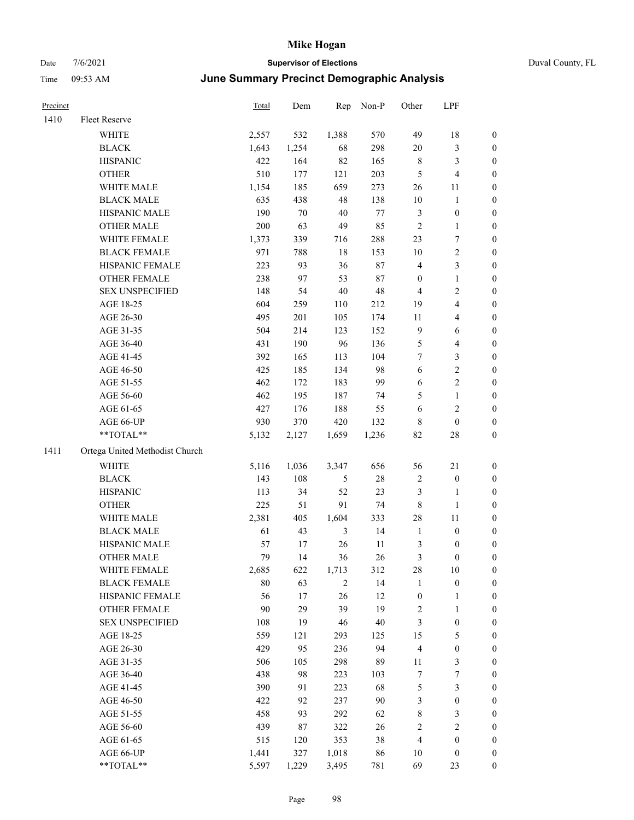### Date  $7/6/2021$  **Supervisor of Elections Supervisor of Elections** Duval County, FL Time 09:53 AM **June Summary Precinct Demographic Analysis**

| Precinct |                                | Total | Dem   | Rep   | Non-P | Other            | LPF              |                  |
|----------|--------------------------------|-------|-------|-------|-------|------------------|------------------|------------------|
| 1410     | Fleet Reserve                  |       |       |       |       |                  |                  |                  |
|          | <b>WHITE</b>                   | 2,557 | 532   | 1,388 | 570   | 49               | 18               | $\boldsymbol{0}$ |
|          | <b>BLACK</b>                   | 1,643 | 1,254 | 68    | 298   | 20               | 3                | $\boldsymbol{0}$ |
|          | <b>HISPANIC</b>                | 422   | 164   | 82    | 165   | $\,8\,$          | 3                | $\boldsymbol{0}$ |
|          | <b>OTHER</b>                   | 510   | 177   | 121   | 203   | 5                | 4                | $\overline{0}$   |
|          | WHITE MALE                     | 1,154 | 185   | 659   | 273   | 26               | 11               | $\boldsymbol{0}$ |
|          | <b>BLACK MALE</b>              | 635   | 438   | 48    | 138   | $10\,$           | $\mathbf{1}$     | $\overline{0}$   |
|          | HISPANIC MALE                  | 190   | 70    | 40    | 77    | 3                | $\boldsymbol{0}$ | $\boldsymbol{0}$ |
|          | <b>OTHER MALE</b>              | 200   | 63    | 49    | 85    | 2                | 1                | $\boldsymbol{0}$ |
|          | WHITE FEMALE                   | 1,373 | 339   | 716   | 288   | 23               | 7                | 0                |
|          | <b>BLACK FEMALE</b>            | 971   | 788   | 18    | 153   | 10               | $\overline{2}$   | $\boldsymbol{0}$ |
|          | HISPANIC FEMALE                | 223   | 93    | 36    | 87    | $\overline{4}$   | 3                | $\boldsymbol{0}$ |
|          | <b>OTHER FEMALE</b>            | 238   | 97    | 53    | 87    | $\boldsymbol{0}$ | $\mathbf{1}$     | $\boldsymbol{0}$ |
|          | <b>SEX UNSPECIFIED</b>         | 148   | 54    | 40    | 48    | 4                | $\overline{2}$   | $\boldsymbol{0}$ |
|          | AGE 18-25                      | 604   | 259   | 110   | 212   | 19               | $\overline{4}$   | $\mathbf{0}$     |
|          | AGE 26-30                      | 495   | 201   | 105   | 174   | 11               | 4                | $\overline{0}$   |
|          | AGE 31-35                      | 504   | 214   | 123   | 152   | 9                | 6                | $\mathbf{0}$     |
|          | AGE 36-40                      | 431   | 190   | 96    | 136   | 5                | 4                | $\mathbf{0}$     |
|          | AGE 41-45                      | 392   | 165   | 113   | 104   | 7                | 3                | $\boldsymbol{0}$ |
|          | AGE 46-50                      | 425   | 185   | 134   | 98    | 6                | 2                | $\boldsymbol{0}$ |
|          | AGE 51-55                      | 462   | 172   | 183   | 99    | 6                | 2                | $\boldsymbol{0}$ |
|          | AGE 56-60                      | 462   | 195   | 187   | 74    | 5                | 1                | $\overline{0}$   |
|          | AGE 61-65                      | 427   | 176   | 188   | 55    | 6                | 2                | $\overline{0}$   |
|          | AGE 66-UP                      | 930   | 370   | 420   | 132   | 8                | $\mathbf{0}$     | 0                |
|          | **TOTAL**                      | 5,132 | 2,127 | 1,659 | 1,236 | 82               | 28               | $\overline{0}$   |
| 1411     | Ortega United Methodist Church |       |       |       |       |                  |                  |                  |
|          | <b>WHITE</b>                   | 5,116 | 1,036 | 3,347 | 656   | 56               | 21               | $\mathbf{0}$     |
|          | <b>BLACK</b>                   | 143   | 108   | 5     | 28    | $\overline{2}$   | $\boldsymbol{0}$ | $\mathbf{0}$     |
|          | <b>HISPANIC</b>                | 113   | 34    | 52    | 23    | 3                | 1                | $\overline{0}$   |
|          | <b>OTHER</b>                   | 225   | 51    | 91    | 74    | 8                | 1                | $\overline{0}$   |
|          | <b>WHITE MALE</b>              | 2,381 | 405   | 1,604 | 333   | 28               | 11               | $\overline{0}$   |
|          | <b>BLACK MALE</b>              | 61    | 43    | 3     | 14    | $\mathbf{1}$     | $\boldsymbol{0}$ | $\boldsymbol{0}$ |

#### 1411 Or

| **TOTAL**                     | 5,132 | 2,127 | 1,659          | 1,236 | 82             | 28             | $\boldsymbol{0}$ |
|-------------------------------|-------|-------|----------------|-------|----------------|----------------|------------------|
| rtega United Methodist Church |       |       |                |       |                |                |                  |
| <b>WHITE</b>                  | 5,116 | 1,036 | 3,347          | 656   | 56             | 21             | $\theta$         |
| <b>BLACK</b>                  | 143   | 108   | 5              | 28    | $\overline{2}$ | $\mathbf{0}$   | $\boldsymbol{0}$ |
| <b>HISPANIC</b>               | 113   | 34    | 52             | 23    | 3              | 1              | $\boldsymbol{0}$ |
| <b>OTHER</b>                  | 225   | 51    | 91             | 74    | 8              | 1              | $\boldsymbol{0}$ |
| <b>WHITE MALE</b>             | 2,381 | 405   | 1,604          | 333   | 28             | 11             | $\boldsymbol{0}$ |
| <b>BLACK MALE</b>             | 61    | 43    | 3              | 14    | 1              | $\theta$       | $\boldsymbol{0}$ |
| <b>HISPANIC MALE</b>          | 57    | 17    | 26             | 11    | 3              | $\theta$       | $\boldsymbol{0}$ |
| <b>OTHER MALE</b>             | 79    | 14    | 36             | 26    | 3              | $\theta$       | $\boldsymbol{0}$ |
| <b>WHITE FEMALE</b>           | 2,685 | 622   | 1,713          | 312   | 28             | 10             | $\boldsymbol{0}$ |
| <b>BLACK FEMALE</b>           | 80    | 63    | $\overline{2}$ | 14    | $\mathbf{1}$   | $\theta$       | $\boldsymbol{0}$ |
| <b>HISPANIC FEMALE</b>        | 56    | 17    | 26             | 12    | $\theta$       | 1              | $\boldsymbol{0}$ |
| <b>OTHER FEMALE</b>           | 90    | 29    | 39             | 19    | $\overline{2}$ | 1              | $\boldsymbol{0}$ |
| <b>SEX UNSPECIFIED</b>        | 108   | 19    | 46             | 40    | 3              | $\mathbf{0}$   | $\boldsymbol{0}$ |
| AGE 18-25                     | 559   | 121   | 293            | 125   | 15             | 5              | $\boldsymbol{0}$ |
| AGE 26-30                     | 429   | 95    | 236            | 94    | $\overline{4}$ | $\mathbf{0}$   | $\boldsymbol{0}$ |
| AGE 31-35                     | 506   | 105   | 298            | 89    | 11             | 3              | $\boldsymbol{0}$ |
| AGE 36-40                     | 438   | 98    | 223            | 103   | 7              | 7              | $\boldsymbol{0}$ |
| AGE 41-45                     | 390   | 91    | 223            | 68    | 5              | 3              | $\boldsymbol{0}$ |
| AGE 46-50                     | 422   | 92    | 237            | 90    | 3              | $\mathbf{0}$   | $\boldsymbol{0}$ |
| AGE 51-55                     | 458   | 93    | 292            | 62    | 8              | 3              | $\boldsymbol{0}$ |
| AGE 56-60                     | 439   | 87    | 322            | 26    | $\overline{c}$ | $\overline{2}$ | $\boldsymbol{0}$ |
| AGE 61-65                     | 515   | 120   | 353            | 38    | $\overline{4}$ | $\theta$       | $\overline{0}$   |
| AGE 66-UP                     | 1,441 | 327   | 1,018          | 86    | 10             | $\theta$       | $\overline{0}$   |

\*\*TOTAL\*\* 5,597 1,229 3,495 781 69 23 0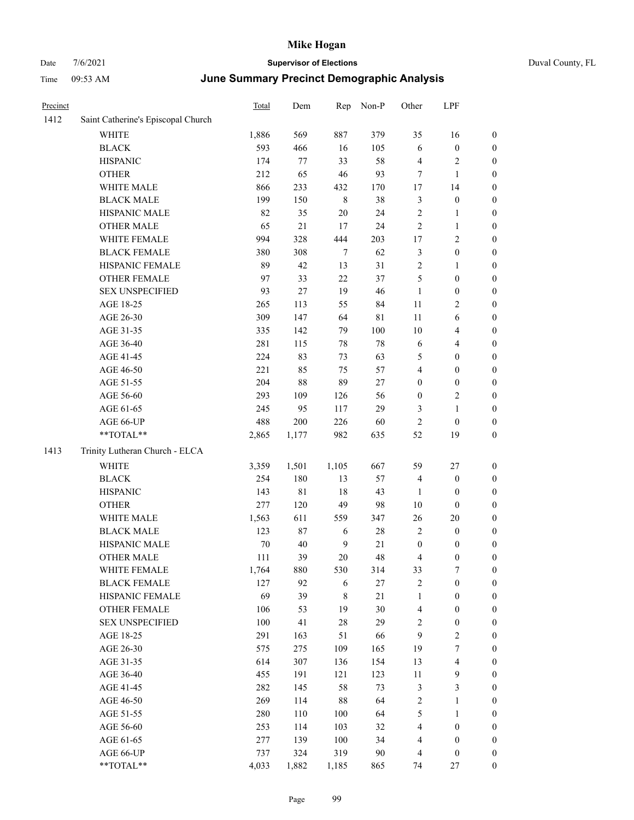| Precinct |                                    | Total | Dem         | Rep     | Non-P  | Other            | LPF                     |                  |
|----------|------------------------------------|-------|-------------|---------|--------|------------------|-------------------------|------------------|
| 1412     | Saint Catherine's Episcopal Church |       |             |         |        |                  |                         |                  |
|          | <b>WHITE</b>                       | 1,886 | 569         | 887     | 379    | 35               | 16                      | $\boldsymbol{0}$ |
|          | <b>BLACK</b>                       | 593   | 466         | 16      | 105    | 6                | $\boldsymbol{0}$        | $\boldsymbol{0}$ |
|          | <b>HISPANIC</b>                    | 174   | 77          | 33      | 58     | $\overline{4}$   | $\overline{\mathbf{c}}$ | $\boldsymbol{0}$ |
|          | <b>OTHER</b>                       | 212   | 65          | 46      | 93     | 7                | 1                       | $\boldsymbol{0}$ |
|          | WHITE MALE                         | 866   | 233         | 432     | 170    | 17               | 14                      | $\boldsymbol{0}$ |
|          | <b>BLACK MALE</b>                  | 199   | 150         | $\,8\,$ | 38     | $\mathfrak{Z}$   | $\boldsymbol{0}$        | $\boldsymbol{0}$ |
|          | HISPANIC MALE                      | 82    | 35          | $20\,$  | 24     | $\sqrt{2}$       | 1                       | $\boldsymbol{0}$ |
|          | <b>OTHER MALE</b>                  | 65    | $21\,$      | 17      | 24     | $\overline{2}$   | 1                       | $\boldsymbol{0}$ |
|          | WHITE FEMALE                       | 994   | 328         | 444     | 203    | 17               | 2                       | $\boldsymbol{0}$ |
|          | <b>BLACK FEMALE</b>                | 380   | 308         | $\tau$  | 62     | $\mathfrak{Z}$   | $\boldsymbol{0}$        | $\boldsymbol{0}$ |
|          | HISPANIC FEMALE                    | 89    | 42          | 13      | 31     | $\sqrt{2}$       | 1                       | $\boldsymbol{0}$ |
|          | <b>OTHER FEMALE</b>                | 97    | 33          | $22\,$  | 37     | 5                | $\boldsymbol{0}$        | $\boldsymbol{0}$ |
|          | <b>SEX UNSPECIFIED</b>             | 93    | $27\,$      | 19      | 46     | $\mathbf{1}$     | $\boldsymbol{0}$        | $\boldsymbol{0}$ |
|          | AGE 18-25                          | 265   | 113         | 55      | 84     | 11               | 2                       | $\boldsymbol{0}$ |
|          | AGE 26-30                          | 309   | 147         | 64      | 81     | 11               | 6                       | $\boldsymbol{0}$ |
|          | AGE 31-35                          | 335   | 142         | 79      | 100    | 10               | 4                       | $\boldsymbol{0}$ |
|          | AGE 36-40                          | 281   | 115         | 78      | 78     | 6                | 4                       | $\boldsymbol{0}$ |
|          | AGE 41-45                          | 224   | 83          | 73      | 63     | 5                | $\boldsymbol{0}$        | $\boldsymbol{0}$ |
|          | AGE 46-50                          | 221   | 85          | 75      | 57     | $\overline{4}$   | $\boldsymbol{0}$        | $\boldsymbol{0}$ |
|          | AGE 51-55                          | 204   | $88\,$      | 89      | 27     | $\boldsymbol{0}$ | $\boldsymbol{0}$        | $\boldsymbol{0}$ |
|          | AGE 56-60                          | 293   | 109         | 126     | 56     | $\boldsymbol{0}$ | $\overline{c}$          | $\boldsymbol{0}$ |
|          | AGE 61-65                          | 245   | 95          | 117     | 29     | 3                | 1                       | $\boldsymbol{0}$ |
|          | AGE 66-UP                          | 488   | $200\,$     | 226     | 60     | $\overline{c}$   | $\boldsymbol{0}$        | $\boldsymbol{0}$ |
|          | **TOTAL**                          | 2,865 | 1,177       | 982     | 635    | 52               | 19                      | $\boldsymbol{0}$ |
| 1413     | Trinity Lutheran Church - ELCA     |       |             |         |        |                  |                         |                  |
|          | WHITE                              | 3,359 | 1,501       | 1,105   | 667    | 59               | 27                      | $\boldsymbol{0}$ |
|          | <b>BLACK</b>                       | 254   | 180         | 13      | 57     | $\overline{4}$   | $\boldsymbol{0}$        | $\boldsymbol{0}$ |
|          | <b>HISPANIC</b>                    | 143   | $8\sqrt{1}$ | 18      | 43     | 1                | $\boldsymbol{0}$        | $\boldsymbol{0}$ |
|          | <b>OTHER</b>                       | 277   | 120         | 49      | 98     | 10               | $\boldsymbol{0}$        | $\boldsymbol{0}$ |
|          | WHITE MALE                         | 1,563 | 611         | 559     | 347    | 26               | 20                      | $\boldsymbol{0}$ |
|          | <b>BLACK MALE</b>                  | 123   | $87\,$      | 6       | 28     | $\sqrt{2}$       | $\boldsymbol{0}$        | $\boldsymbol{0}$ |
|          | HISPANIC MALE                      | 70    | 40          | 9       | 21     | $\boldsymbol{0}$ | $\boldsymbol{0}$        | $\boldsymbol{0}$ |
|          | <b>OTHER MALE</b>                  | 111   | 39          | 20      | 48     | $\overline{4}$   | $\boldsymbol{0}$        | $\boldsymbol{0}$ |
|          | WHITE FEMALE                       | 1,764 | 880         | 530     | 314    | 33               | $\boldsymbol{7}$        | $\boldsymbol{0}$ |
|          | <b>BLACK FEMALE</b>                | 127   | 92          | 6       | $27\,$ | $\sqrt{2}$       | $\boldsymbol{0}$        | $\boldsymbol{0}$ |
|          | HISPANIC FEMALE                    | 69    | 39          | 8       | $21\,$ | $\mathbf{1}$     | $\boldsymbol{0}$        | $\boldsymbol{0}$ |
|          | OTHER FEMALE                       | 106   | 53          | 19      | 30     | $\overline{4}$   | $\boldsymbol{0}$        | $\boldsymbol{0}$ |
|          | <b>SEX UNSPECIFIED</b>             | 100   | 41          | $28\,$  | 29     | $\overline{2}$   | $\boldsymbol{0}$        | $\boldsymbol{0}$ |
|          | AGE 18-25                          | 291   | 163         | 51      | 66     | 9                | $\overline{\mathbf{c}}$ | $\boldsymbol{0}$ |
|          | AGE 26-30                          | 575   | 275         | 109     | 165    | 19               | 7                       | $\boldsymbol{0}$ |
|          | AGE 31-35                          | 614   | 307         | 136     | 154    | 13               | 4                       | $\boldsymbol{0}$ |
|          | AGE 36-40                          | 455   | 191         | 121     | 123    | 11               | 9                       | $\boldsymbol{0}$ |
|          | AGE 41-45                          | 282   | 145         | 58      | 73     | $\sqrt{3}$       | 3                       | $\boldsymbol{0}$ |
|          | AGE 46-50                          | 269   | 114         | $88\,$  | 64     | $\sqrt{2}$       | 1                       | $\boldsymbol{0}$ |
|          | AGE 51-55                          | 280   | 110         | 100     | 64     | $\sqrt{5}$       | 1                       | $\boldsymbol{0}$ |
|          | AGE 56-60                          | 253   | 114         | 103     | 32     | $\overline{4}$   | $\boldsymbol{0}$        | $\boldsymbol{0}$ |
|          | AGE 61-65                          | 277   | 139         | 100     | 34     | $\overline{4}$   | $\boldsymbol{0}$        | $\boldsymbol{0}$ |
|          | AGE 66-UP                          | 737   | 324         | 319     | 90     | $\overline{4}$   | $\boldsymbol{0}$        | $\boldsymbol{0}$ |
|          | **TOTAL**                          | 4,033 | 1,882       | 1,185   | 865    | 74               | $27\,$                  | $\boldsymbol{0}$ |